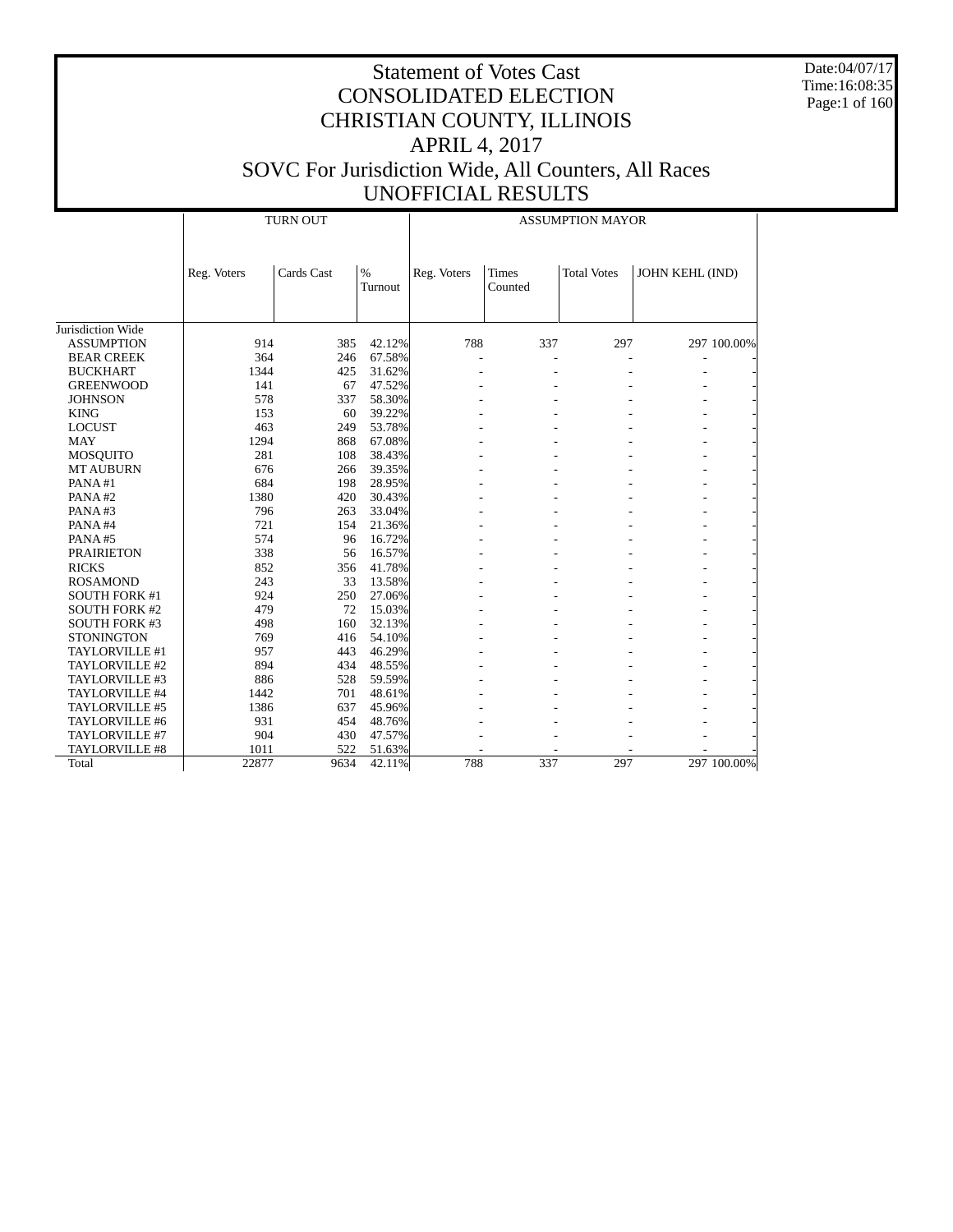Date:04/07/17 Time:16:08:35 Page:1 of 160

|                                      | <b>TURN OUT</b><br><b>ASSUMPTION MAYOR</b> |            |                 |             |                         |                    |                 |             |
|--------------------------------------|--------------------------------------------|------------|-----------------|-------------|-------------------------|--------------------|-----------------|-------------|
|                                      | Reg. Voters                                | Cards Cast | $\%$<br>Turnout | Reg. Voters | <b>Times</b><br>Counted | <b>Total Votes</b> | JOHN KEHL (IND) |             |
| Jurisdiction Wide                    |                                            |            |                 |             |                         |                    |                 |             |
| <b>ASSUMPTION</b>                    | 914                                        | 385        | 42.12%          | 788         | 337                     | 297                |                 | 297 100.00% |
|                                      | 364                                        | 246        | 67.58%          |             |                         |                    |                 |             |
| <b>BEAR CREEK</b><br><b>BUCKHART</b> | 1344                                       | 425        | 31.62%          |             |                         |                    |                 |             |
|                                      |                                            |            |                 |             |                         | ٠                  |                 |             |
| <b>GREENWOOD</b>                     | 141                                        | 67         | 47.52%          |             |                         |                    |                 |             |
| <b>JOHNSON</b>                       | 578                                        | 337        | 58.30%          |             |                         |                    |                 |             |
| <b>KING</b>                          | 153                                        | 60         | 39.22%          |             |                         |                    |                 |             |
| <b>LOCUST</b>                        | 463                                        | 249        | 53.78%          |             |                         |                    |                 |             |
| <b>MAY</b>                           | 1294                                       | 868        | 67.08%          |             |                         |                    |                 |             |
| <b>MOSQUITO</b>                      | 281                                        | 108        | 38.43%          |             |                         |                    |                 |             |
| <b>MT AUBURN</b>                     | 676                                        | 266        | 39.35%          |             |                         |                    |                 |             |
| PANA#1                               | 684                                        | 198        | 28.95%          |             |                         |                    |                 |             |
| PANA#2                               | 1380                                       | 420        | 30.43%          |             |                         |                    |                 |             |
| PANA#3                               | 796                                        | 263        | 33.04%          |             |                         |                    |                 |             |
| PANA#4                               | 721                                        | 154        | 21.36%          |             |                         |                    |                 |             |
| PANA#5                               | 574                                        | 96         | 16.72%          |             |                         |                    |                 |             |
| <b>PRAIRIETON</b>                    | 338                                        | 56         | 16.57%          |             |                         |                    |                 |             |
| <b>RICKS</b>                         | 852                                        | 356        | 41.78%          |             |                         |                    |                 |             |
| <b>ROSAMOND</b>                      | 243                                        | 33         | 13.58%          |             |                         |                    |                 |             |
| <b>SOUTH FORK #1</b>                 | 924                                        | 250        | 27.06%          |             |                         |                    |                 |             |
| <b>SOUTH FORK #2</b>                 | 479                                        | 72         | 15.03%          |             |                         |                    |                 |             |
| <b>SOUTH FORK #3</b>                 | 498                                        | 160        | 32.13%          |             |                         |                    |                 |             |
| <b>STONINGTON</b>                    | 769                                        | 416        | 54.10%          |             |                         |                    |                 |             |
| TAYLORVILLE #1                       | 957                                        | 443        | 46.29%          |             |                         |                    |                 |             |
| TAYLORVILLE #2                       | 894                                        | 434        | 48.55%          |             |                         |                    |                 |             |
| TAYLORVILLE #3                       | 886                                        | 528        | 59.59%          |             |                         |                    |                 |             |
| TAYLORVILLE #4                       | 1442                                       | 701        | 48.61%          |             |                         |                    |                 |             |
| TAYLORVILLE #5                       | 1386                                       | 637        | 45.96%          |             |                         |                    |                 |             |
| TAYLORVILLE #6                       | 931                                        | 454        | 48.76%          |             |                         |                    |                 |             |
| TAYLORVILLE #7                       | 904                                        | 430        | 47.57%          |             |                         |                    |                 |             |
| TAYLORVILLE #8                       | 1011                                       | 522        | 51.63%          |             |                         |                    |                 |             |
| Total                                | 22877                                      | 9634       | 42.11%          | 788         | 337                     | 297                |                 | 297 100.00% |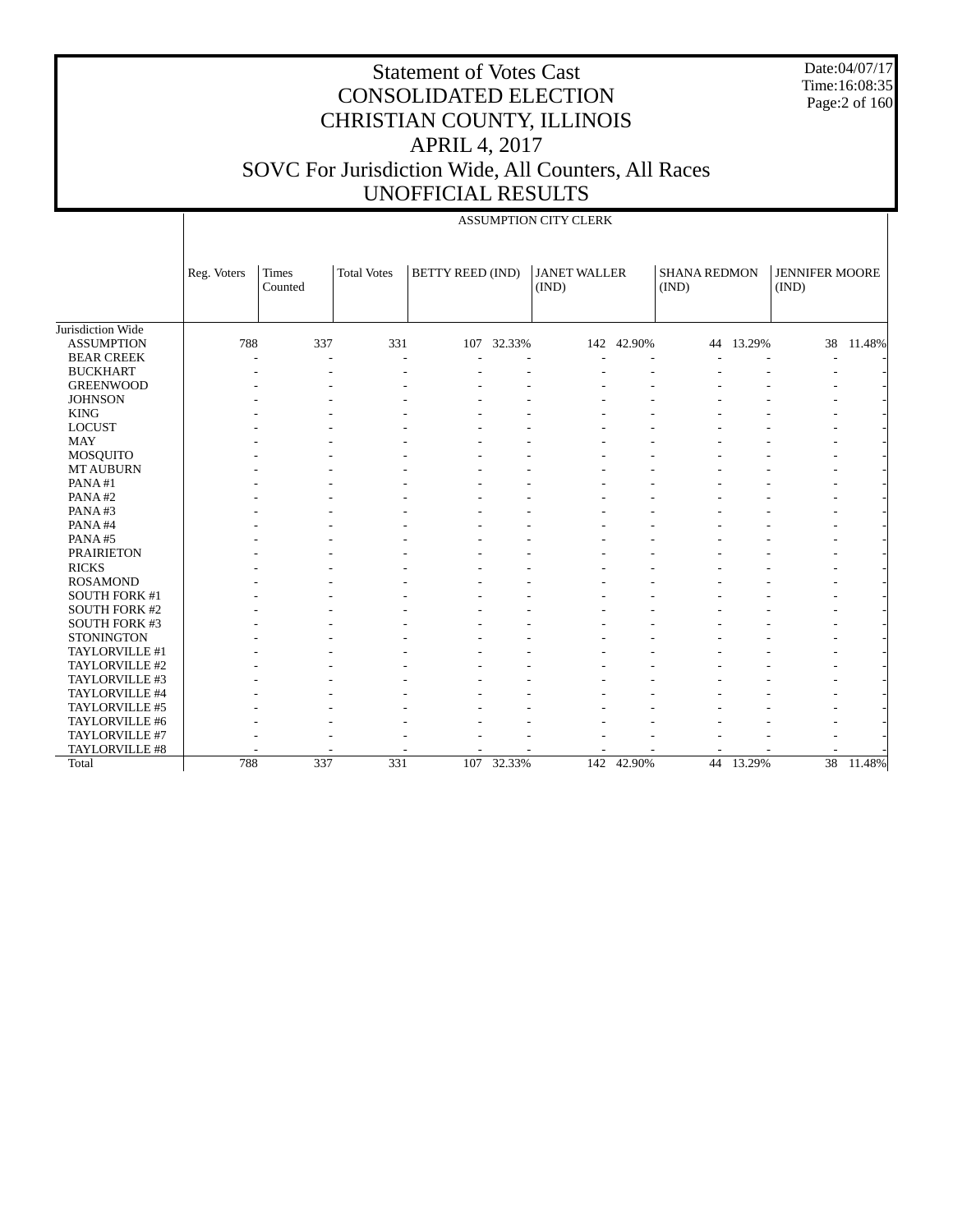Date:04/07/17 Time:16:08:35 Page:2 of 160

|                      |             |                  |                    |                         |            | ASSUMPTION CITY CLERK        |            |                              |           |                                |        |
|----------------------|-------------|------------------|--------------------|-------------------------|------------|------------------------------|------------|------------------------------|-----------|--------------------------------|--------|
|                      | Reg. Voters | Times<br>Counted | <b>Total Votes</b> | <b>BETTY REED (IND)</b> |            | <b>JANET WALLER</b><br>(IND) |            | <b>SHANA REDMON</b><br>(IND) |           | <b>JENNIFER MOORE</b><br>(IND) |        |
| Jurisdiction Wide    |             |                  |                    |                         |            |                              |            |                              |           |                                |        |
| <b>ASSUMPTION</b>    | 788         | 337              | 331                |                         | 107 32.33% |                              | 142 42.90% |                              | 44 13.29% | 38                             | 11.48% |
| <b>BEAR CREEK</b>    |             | L,               | L,                 |                         |            |                              |            |                              |           |                                |        |
| <b>BUCKHART</b>      |             |                  |                    |                         |            |                              |            |                              |           |                                |        |
| <b>GREENWOOD</b>     |             |                  |                    |                         |            |                              |            |                              |           |                                |        |
| <b>JOHNSON</b>       |             |                  |                    |                         |            |                              |            |                              |           |                                |        |
| <b>KING</b>          |             |                  |                    |                         |            |                              |            |                              |           |                                |        |
| <b>LOCUST</b>        |             |                  |                    |                         |            |                              |            |                              |           |                                |        |
| <b>MAY</b>           |             |                  |                    |                         |            |                              |            |                              |           |                                |        |
| MOSQUITO             |             |                  |                    |                         |            |                              |            |                              |           |                                |        |
| <b>MT AUBURN</b>     |             |                  |                    |                         |            |                              |            |                              |           |                                |        |
| PANA#1               |             |                  |                    |                         |            |                              |            |                              |           |                                |        |
| PANA#2               |             |                  |                    |                         |            |                              |            |                              |           |                                |        |
| PANA#3               |             |                  |                    |                         |            |                              |            |                              |           |                                |        |
| PANA#4               |             |                  |                    |                         |            |                              |            |                              |           |                                |        |
| PANA#5               |             |                  |                    |                         |            |                              |            |                              |           |                                |        |
| <b>PRAIRIETON</b>    |             |                  |                    |                         |            |                              |            |                              |           |                                |        |
| <b>RICKS</b>         |             |                  |                    |                         |            |                              |            |                              |           |                                |        |
| <b>ROSAMOND</b>      |             |                  |                    |                         |            |                              |            |                              |           |                                |        |
| SOUTH FORK #1        |             |                  |                    |                         |            |                              |            |                              |           |                                |        |
| <b>SOUTH FORK #2</b> |             |                  |                    |                         |            |                              |            |                              |           |                                |        |
| SOUTH FORK #3        |             |                  |                    |                         |            |                              |            |                              |           |                                |        |
| <b>STONINGTON</b>    |             |                  |                    |                         |            |                              |            |                              |           |                                |        |
| TAYLORVILLE #1       |             |                  |                    |                         |            |                              |            |                              |           |                                |        |
| TAYLORVILLE #2       |             |                  |                    |                         |            |                              |            |                              |           |                                |        |
| TAYLORVILLE #3       |             |                  |                    |                         |            |                              |            |                              |           |                                |        |
| TAYLORVILLE #4       |             |                  |                    |                         |            |                              |            |                              |           |                                |        |
| TAYLORVILLE #5       |             |                  |                    |                         |            |                              |            |                              |           |                                |        |
| TAYLORVILLE #6       |             |                  |                    |                         |            |                              |            |                              |           |                                |        |
| TAYLORVILLE #7       |             |                  |                    |                         |            |                              |            |                              |           |                                |        |
| TAYLORVILLE #8       |             |                  |                    |                         |            |                              |            |                              |           |                                |        |
| Total                | 788         | 337              | 331                |                         | 107 32.33% |                              | 142 42.90% | 44                           | 13.29%    | $\overline{38}$                | 11.48% |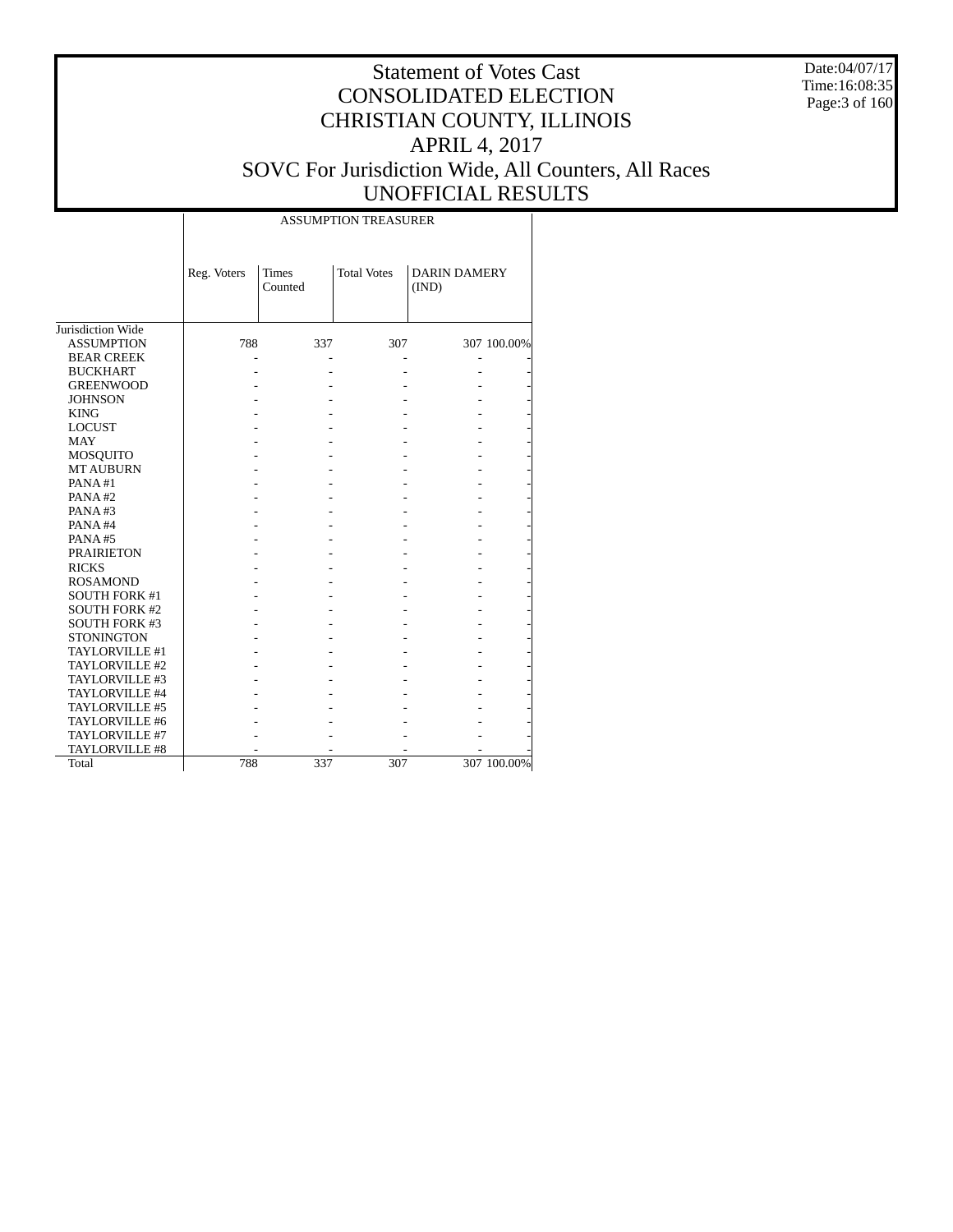Date:04/07/17 Time:16:08:35 Page:3 of 160

|                      |             |                         | <b>ASSUMPTION TREASURER</b> |                              |             |
|----------------------|-------------|-------------------------|-----------------------------|------------------------------|-------------|
|                      | Reg. Voters | <b>Times</b><br>Counted | <b>Total Votes</b>          | <b>DARIN DAMERY</b><br>(IND) |             |
| Jurisdiction Wide    |             |                         |                             |                              |             |
| <b>ASSUMPTION</b>    | 788         | 337                     | 307                         |                              | 307 100.00% |
| <b>BEAR CREEK</b>    |             |                         |                             |                              |             |
| <b>BUCKHART</b>      |             |                         |                             |                              |             |
| <b>GREENWOOD</b>     |             |                         |                             |                              |             |
| <b>JOHNSON</b>       |             |                         |                             |                              |             |
| <b>KING</b>          |             |                         |                             |                              |             |
| <b>LOCUST</b>        |             |                         |                             |                              |             |
| <b>MAY</b>           |             |                         |                             |                              |             |
| MOSQUITO             |             |                         |                             |                              |             |
| <b>MT AUBURN</b>     |             |                         |                             |                              |             |
| PANA#1               |             |                         |                             |                              |             |
| PANA#2               |             |                         |                             |                              |             |
| PANA#3               |             |                         |                             |                              |             |
| PANA#4               |             |                         |                             |                              |             |
| PANA#5               |             |                         |                             |                              |             |
| <b>PRAIRIETON</b>    |             |                         |                             |                              |             |
| <b>RICKS</b>         |             |                         |                             |                              |             |
| <b>ROSAMOND</b>      |             |                         |                             |                              |             |
| <b>SOUTH FORK #1</b> |             |                         |                             |                              |             |
| <b>SOUTH FORK #2</b> |             |                         |                             |                              |             |
| <b>SOUTH FORK #3</b> |             |                         |                             |                              |             |
| <b>STONINGTON</b>    |             |                         |                             |                              |             |
| TAYLORVILLE #1       |             |                         |                             |                              |             |
| TAYLORVILLE #2       |             |                         |                             |                              |             |
| TAYLORVILLE #3       |             |                         |                             |                              |             |
| TAYLORVILLE #4       |             |                         |                             |                              |             |
| TAYLORVILLE #5       |             |                         |                             |                              |             |
| TAYLORVILLE #6       |             |                         |                             |                              |             |
| TAYLORVILLE #7       |             |                         |                             |                              |             |
| TAYLORVILLE #8       |             |                         |                             |                              |             |
| Total                | 788         | 337                     | 307                         |                              | 307 100.00% |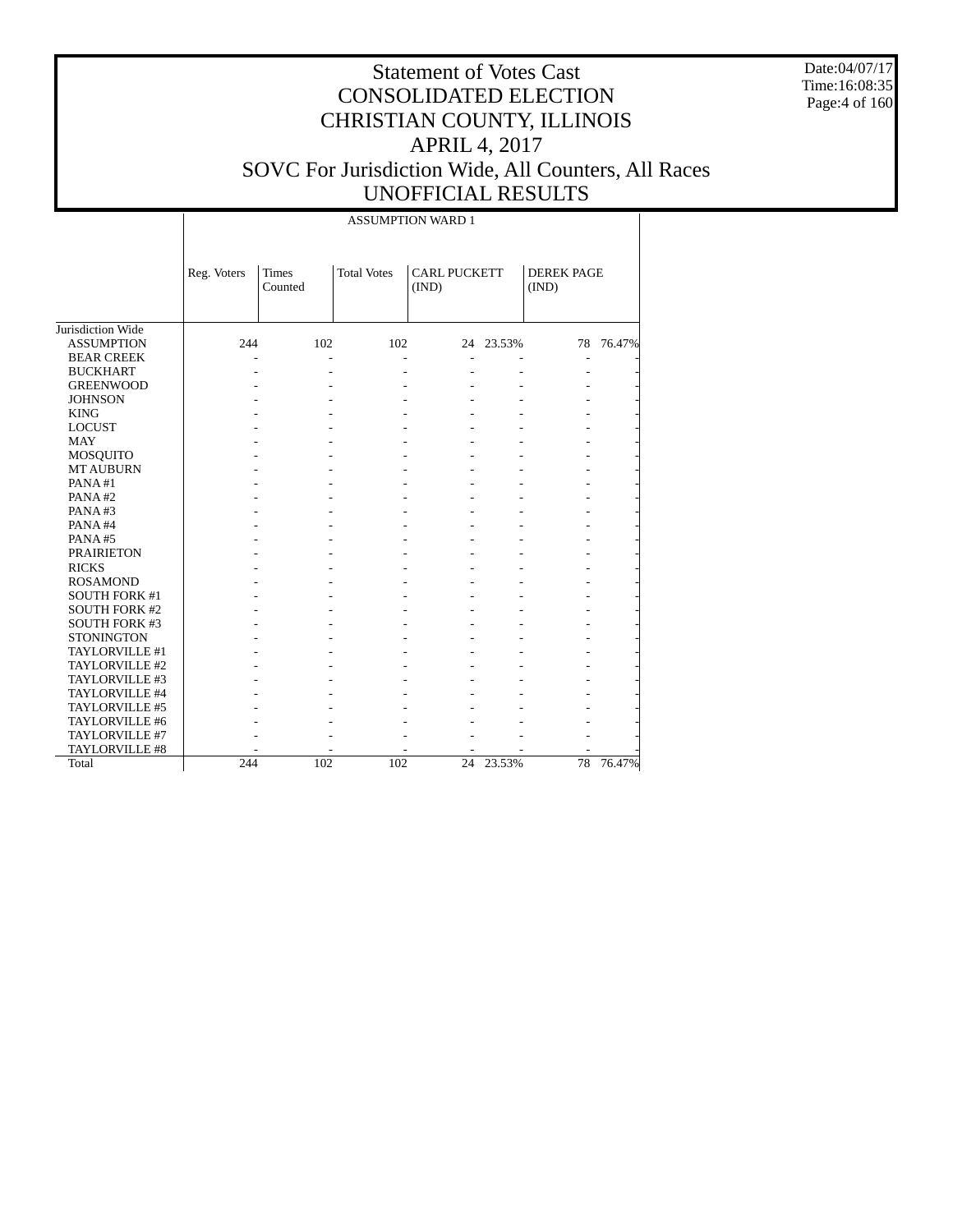Date:04/07/17 Time:16:08:35 Page:4 of 160

|                      |             | <b>ASSUMPTION WARD 1</b> |                    |                              |           |                            |        |  |  |  |
|----------------------|-------------|--------------------------|--------------------|------------------------------|-----------|----------------------------|--------|--|--|--|
|                      | Reg. Voters | Times<br>Counted         | <b>Total Votes</b> | <b>CARL PUCKETT</b><br>(IND) |           | <b>DEREK PAGE</b><br>(IND) |        |  |  |  |
| Jurisdiction Wide    |             |                          |                    |                              |           |                            |        |  |  |  |
| <b>ASSUMPTION</b>    | 244         | 102                      | 102                |                              | 24 23.53% | 78                         | 76.47% |  |  |  |
| <b>BEAR CREEK</b>    |             | L,                       |                    |                              |           |                            |        |  |  |  |
| <b>BUCKHART</b>      |             |                          |                    |                              |           |                            |        |  |  |  |
| <b>GREENWOOD</b>     |             |                          |                    |                              |           |                            |        |  |  |  |
| <b>JOHNSON</b>       |             |                          |                    |                              |           |                            |        |  |  |  |
| <b>KING</b>          |             |                          |                    |                              |           |                            |        |  |  |  |
| <b>LOCUST</b>        |             |                          |                    |                              |           |                            |        |  |  |  |
| <b>MAY</b>           |             |                          |                    |                              |           |                            |        |  |  |  |
| MOSQUITO             |             |                          |                    |                              |           |                            |        |  |  |  |
| <b>MT AUBURN</b>     |             |                          |                    |                              |           |                            |        |  |  |  |
| PANA#1               |             |                          |                    |                              |           |                            |        |  |  |  |
| PANA#2               |             |                          |                    |                              |           |                            |        |  |  |  |
| PANA#3               |             |                          |                    |                              |           |                            |        |  |  |  |
| PANA#4               |             |                          |                    |                              |           |                            |        |  |  |  |
| PANA#5               |             |                          |                    |                              |           |                            |        |  |  |  |
| <b>PRAIRIETON</b>    |             |                          |                    |                              |           |                            |        |  |  |  |
| <b>RICKS</b>         |             |                          |                    |                              |           |                            |        |  |  |  |
| <b>ROSAMOND</b>      |             |                          |                    |                              |           |                            |        |  |  |  |
| <b>SOUTH FORK #1</b> |             |                          |                    |                              |           |                            |        |  |  |  |
| <b>SOUTH FORK #2</b> |             |                          |                    |                              |           |                            |        |  |  |  |
| <b>SOUTH FORK #3</b> |             |                          |                    |                              |           |                            |        |  |  |  |
| <b>STONINGTON</b>    |             |                          |                    |                              |           |                            |        |  |  |  |
| TAYLORVILLE #1       |             |                          |                    |                              |           |                            |        |  |  |  |
| TAYLORVILLE #2       |             |                          |                    |                              |           |                            |        |  |  |  |
| TAYLORVILLE #3       |             |                          |                    |                              |           |                            |        |  |  |  |
| TAYLORVILLE #4       |             |                          |                    |                              |           |                            |        |  |  |  |
| TAYLORVILLE #5       |             |                          |                    |                              |           |                            |        |  |  |  |
| TAYLORVILLE #6       |             |                          |                    |                              |           |                            |        |  |  |  |
| TAYLORVILLE #7       |             |                          |                    |                              |           |                            |        |  |  |  |
| TAYLORVILLE #8       |             |                          |                    |                              |           |                            |        |  |  |  |
| Total                | 244         | 102                      | 102                | 24                           | 23.53%    | 78                         | 76.47% |  |  |  |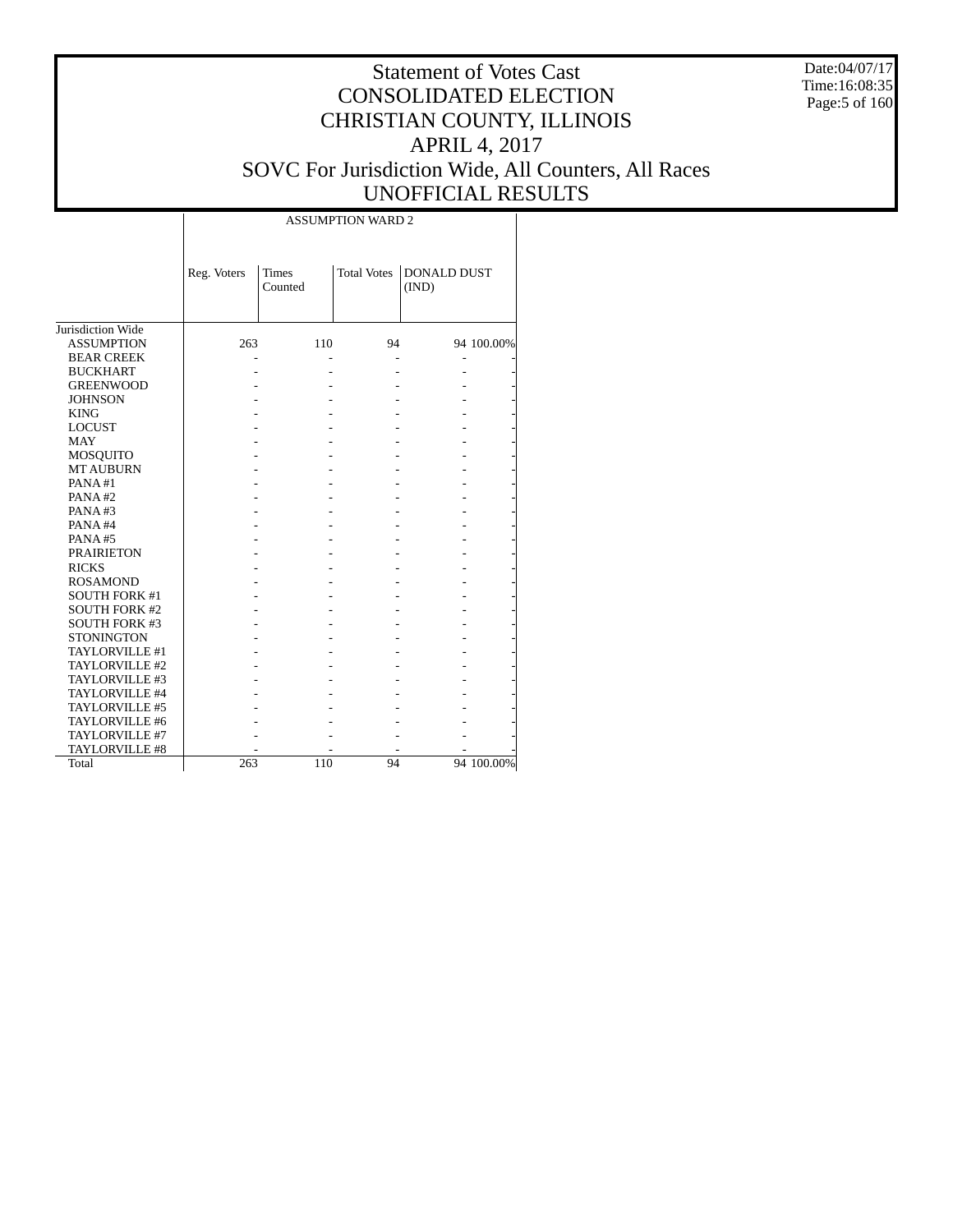Date:04/07/17 Time:16:08:35 Page:5 of 160

# Statement of Votes Cast CONSOLIDATED ELECTION CHRISTIAN COUNTY, ILLINOIS APRIL 4, 2017 SOVC For Jurisdiction Wide, All Counters, All Races UNOFFICIAL RESULTS

 $\top$ 

|                      | Reg. Voters | Times<br>Counted |    | Total Votes DONALD DUST<br>(IND) |            |
|----------------------|-------------|------------------|----|----------------------------------|------------|
| Jurisdiction Wide    |             |                  |    |                                  |            |
| <b>ASSUMPTION</b>    | 263         | 110              | 94 |                                  | 94 100.00% |
| <b>BEAR CREEK</b>    |             |                  |    |                                  |            |
| <b>BUCKHART</b>      |             |                  |    |                                  |            |
| <b>GREENWOOD</b>     |             |                  |    |                                  |            |
| <b>JOHNSON</b>       |             |                  |    |                                  |            |
| <b>KING</b>          |             |                  |    |                                  |            |
| <b>LOCUST</b>        |             |                  |    |                                  |            |
| <b>MAY</b>           |             |                  |    |                                  |            |
| <b>MOSQUITO</b>      |             |                  |    |                                  |            |
| <b>MT AUBURN</b>     |             |                  |    |                                  |            |
| PANA#1               |             |                  |    |                                  |            |
| PANA#2               |             |                  |    |                                  |            |
| PANA#3               |             |                  |    |                                  |            |
| PANA#4               |             |                  |    |                                  |            |
| PANA#5               |             |                  |    |                                  |            |
| <b>PRAIRIETON</b>    |             |                  |    |                                  |            |
| <b>RICKS</b>         |             |                  |    |                                  |            |
| <b>ROSAMOND</b>      |             |                  |    |                                  |            |
| <b>SOUTH FORK #1</b> |             |                  |    |                                  |            |
| <b>SOUTH FORK #2</b> |             |                  |    |                                  |            |
| <b>SOUTH FORK #3</b> |             |                  |    |                                  |            |
| <b>STONINGTON</b>    |             |                  |    |                                  |            |
| TAYLORVILLE #1       |             |                  |    |                                  |            |
| TAYLORVILLE #2       |             |                  |    |                                  |            |
| TAYLORVILLE #3       |             |                  |    |                                  |            |
| TAYLORVILLE #4       |             |                  |    |                                  |            |
| TAYLORVILLE #5       |             |                  |    |                                  |            |
| TAYLORVILLE #6       |             |                  |    |                                  |            |
| TAYLORVILLE #7       |             |                  |    |                                  |            |
| TAYLORVILLE #8       |             |                  |    |                                  |            |
| Total                | 263         | 110              | 94 |                                  | 94 100.00% |

 $\overline{\phantom{a}}$ 

ASSUMPTION WARD 2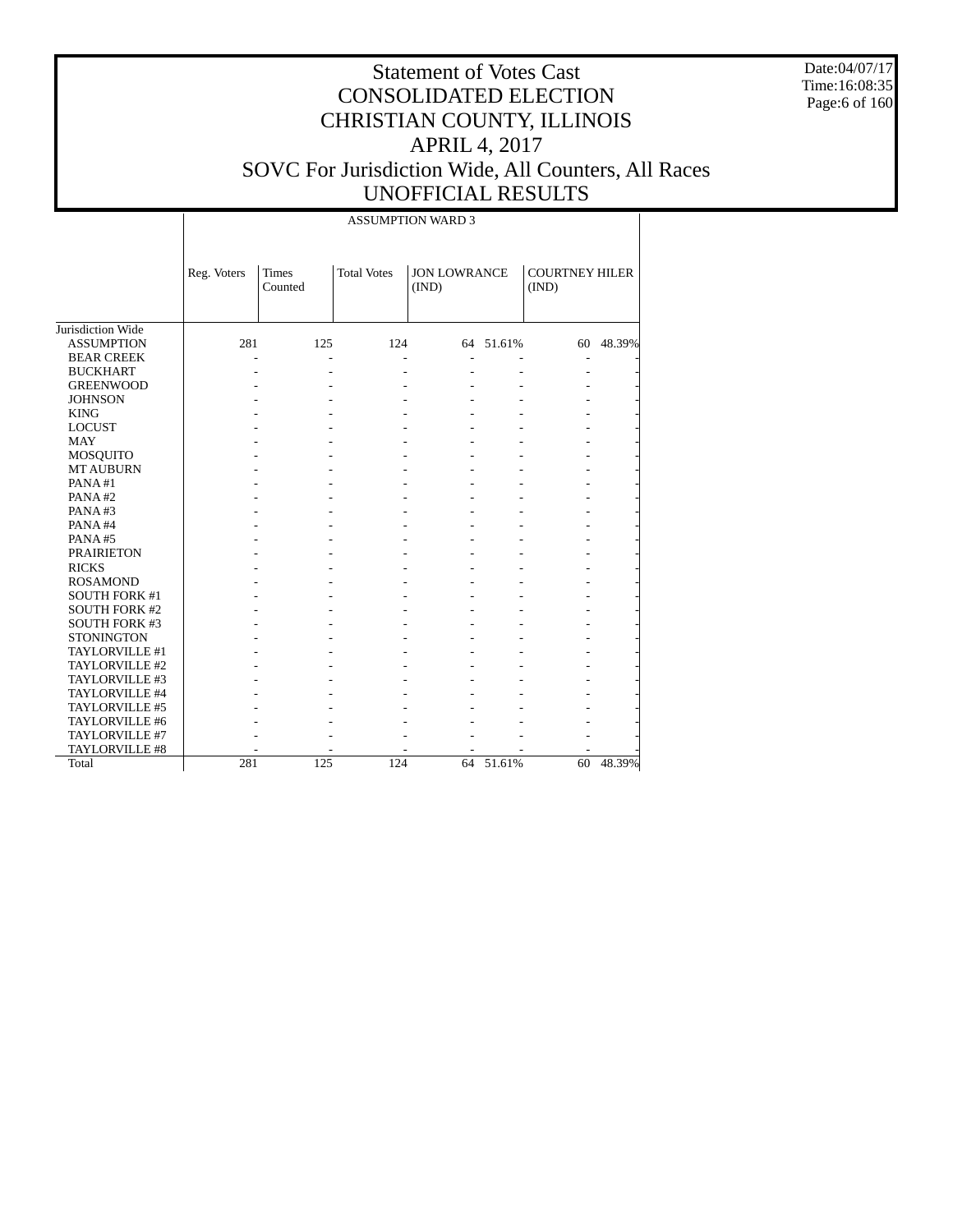Date:04/07/17 Time:16:08:35 Page:6 of 160

|                      |                |                         |                    | <b>ASSUMPTION WARD 3</b>     |           |                                |        |
|----------------------|----------------|-------------------------|--------------------|------------------------------|-----------|--------------------------------|--------|
|                      | Reg. Voters    | <b>Times</b><br>Counted | <b>Total Votes</b> | <b>JON LOWRANCE</b><br>(IND) |           | <b>COURTNEY HILER</b><br>(IND) |        |
| Jurisdiction Wide    |                |                         |                    |                              |           |                                |        |
| <b>ASSUMPTION</b>    | 281            | 125                     | 124                |                              | 64 51.61% | 60                             | 48.39% |
| <b>BEAR CREEK</b>    | $\overline{a}$ | $\overline{a}$          |                    |                              |           | Ē,                             |        |
| <b>BUCKHART</b>      |                |                         |                    |                              |           |                                |        |
| <b>GREENWOOD</b>     |                |                         |                    |                              |           |                                |        |
| <b>JOHNSON</b>       |                |                         |                    |                              |           |                                |        |
| <b>KING</b>          |                |                         |                    |                              |           |                                |        |
| <b>LOCUST</b>        |                |                         |                    |                              |           |                                |        |
| <b>MAY</b>           |                |                         |                    |                              |           |                                |        |
| <b>MOSQUITO</b>      |                |                         |                    |                              |           |                                |        |
| <b>MT AUBURN</b>     |                |                         |                    |                              |           |                                |        |
| PANA#1               |                |                         |                    |                              |           |                                |        |
| PANA#2               |                |                         |                    |                              |           |                                |        |
| PANA#3               |                |                         |                    |                              |           |                                |        |
| PANA#4               |                |                         |                    |                              |           |                                |        |
| PANA#5               |                |                         |                    |                              |           |                                |        |
| <b>PRAIRIETON</b>    |                |                         |                    |                              |           |                                |        |
| <b>RICKS</b>         |                |                         |                    |                              |           |                                |        |
| <b>ROSAMOND</b>      |                |                         |                    |                              |           |                                |        |
| <b>SOUTH FORK #1</b> |                |                         |                    |                              |           |                                |        |
| <b>SOUTH FORK #2</b> |                |                         |                    |                              |           |                                |        |
| <b>SOUTH FORK #3</b> |                |                         |                    |                              |           |                                |        |
| <b>STONINGTON</b>    |                |                         |                    |                              |           |                                |        |
| TAYLORVILLE #1       |                |                         |                    |                              |           |                                |        |
| TAYLORVILLE #2       |                |                         |                    |                              |           |                                |        |
| TAYLORVILLE #3       |                |                         |                    |                              |           |                                |        |
| TAYLORVILLE #4       |                |                         |                    |                              |           |                                |        |
| TAYLORVILLE #5       |                |                         |                    |                              |           |                                |        |
| TAYLORVILLE #6       |                |                         |                    |                              |           |                                |        |
| TAYLORVILLE #7       |                |                         |                    |                              |           |                                |        |
| TAYLORVILLE #8       |                |                         |                    |                              |           |                                |        |
| Total                | 281            | 125                     | 124                | 64                           | 51.61%    | 60                             | 48.39% |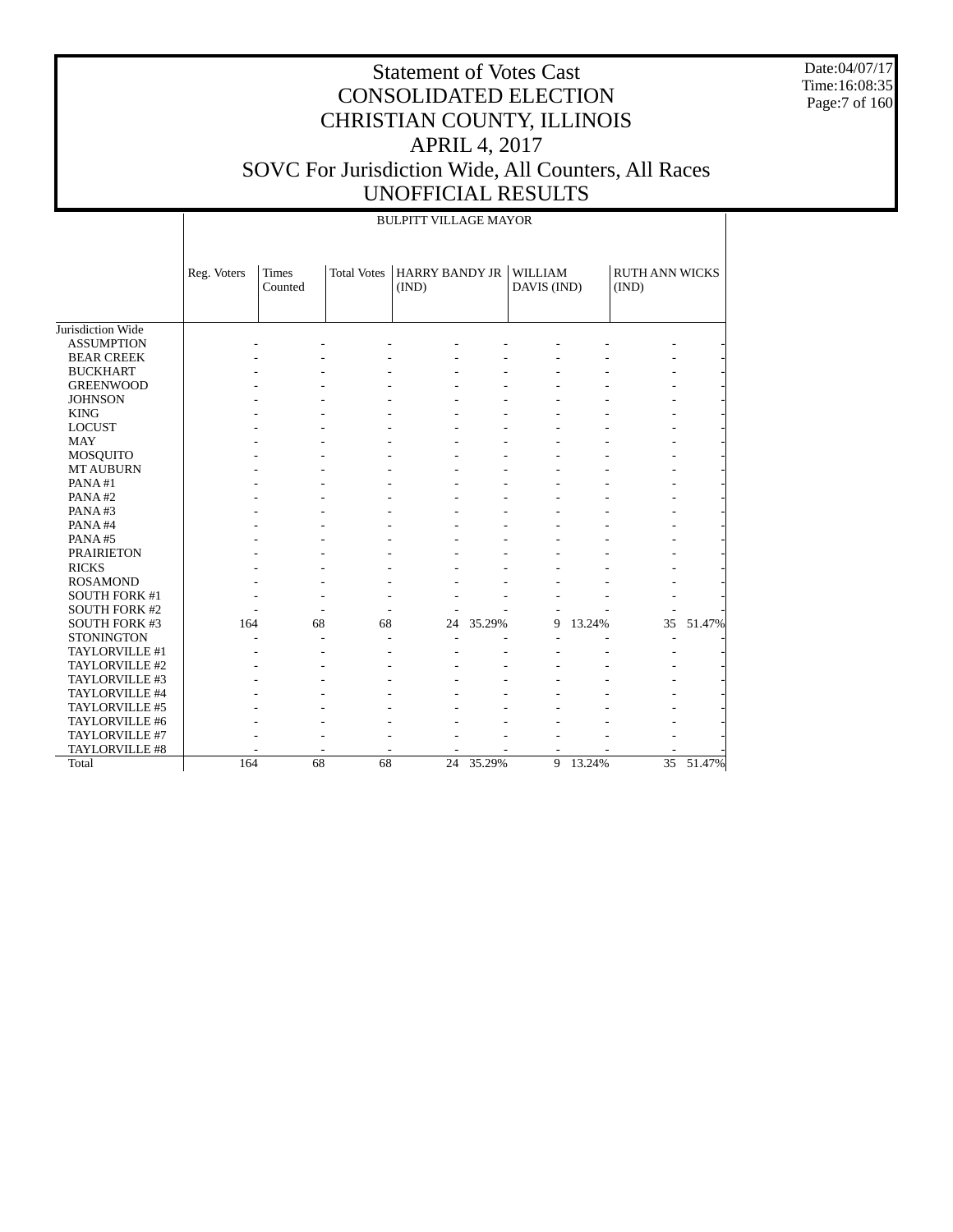Date:04/07/17 Time:16:08:35 Page:7 of 160

|                      | <b>BULPITT VILLAGE MAYOR</b> |                         |                    |                                |           |                               |        |                                |           |
|----------------------|------------------------------|-------------------------|--------------------|--------------------------------|-----------|-------------------------------|--------|--------------------------------|-----------|
|                      | Reg. Voters                  | <b>Times</b><br>Counted | <b>Total Votes</b> | <b>HARRY BANDY JR</b><br>(IND) |           | <b>WILLIAM</b><br>DAVIS (IND) |        | <b>RUTH ANN WICKS</b><br>(IND) |           |
| Jurisdiction Wide    |                              |                         |                    |                                |           |                               |        |                                |           |
| <b>ASSUMPTION</b>    |                              |                         |                    |                                |           |                               |        |                                |           |
| <b>BEAR CREEK</b>    |                              |                         |                    |                                |           |                               |        |                                |           |
|                      |                              |                         |                    |                                |           |                               |        |                                |           |
| <b>BUCKHART</b>      |                              |                         |                    |                                |           |                               |        |                                |           |
| <b>GREENWOOD</b>     |                              |                         |                    |                                |           |                               |        |                                |           |
| <b>JOHNSON</b>       |                              |                         |                    |                                |           |                               |        |                                |           |
| <b>KING</b>          |                              |                         |                    |                                |           |                               |        |                                |           |
| <b>LOCUST</b>        |                              |                         |                    |                                |           |                               |        |                                |           |
| <b>MAY</b>           |                              |                         |                    |                                |           |                               |        |                                |           |
| <b>MOSQUITO</b>      |                              |                         |                    |                                |           |                               |        |                                |           |
| <b>MT AUBURN</b>     |                              |                         |                    |                                |           |                               |        |                                |           |
| PANA#1               |                              |                         |                    |                                |           |                               |        |                                |           |
| PANA#2               |                              |                         |                    |                                |           |                               |        |                                |           |
| PANA#3               |                              |                         |                    |                                |           |                               |        |                                |           |
| PANA#4               |                              |                         |                    |                                |           |                               |        |                                |           |
| PANA#5               |                              |                         |                    |                                |           |                               |        |                                |           |
| <b>PRAIRIETON</b>    |                              |                         |                    |                                |           |                               |        |                                |           |
| <b>RICKS</b>         |                              |                         |                    |                                |           |                               |        |                                |           |
| <b>ROSAMOND</b>      |                              |                         |                    |                                |           |                               |        |                                |           |
| <b>SOUTH FORK #1</b> |                              |                         |                    |                                |           |                               |        |                                |           |
| <b>SOUTH FORK #2</b> |                              |                         |                    |                                |           |                               |        |                                |           |
| <b>SOUTH FORK #3</b> | 164                          |                         | 68<br>68           | 24                             | 35.29%    | 9                             | 13.24% | 35                             | 51.47%    |
| <b>STONINGTON</b>    |                              |                         |                    |                                |           |                               |        |                                |           |
| TAYLORVILLE #1       |                              |                         |                    |                                |           |                               |        |                                |           |
| TAYLORVILLE #2       |                              |                         |                    |                                |           |                               |        |                                |           |
| TAYLORVILLE #3       |                              |                         |                    |                                |           |                               |        |                                |           |
| TAYLORVILLE #4       |                              |                         |                    |                                |           |                               |        |                                |           |
| TAYLORVILLE #5       |                              |                         |                    |                                |           |                               |        |                                |           |
| TAYLORVILLE #6       |                              |                         |                    |                                |           |                               |        |                                |           |
| TAYLORVILLE #7       |                              |                         |                    |                                |           |                               |        |                                |           |
| TAYLORVILLE #8       |                              |                         |                    |                                |           |                               |        |                                |           |
| Total                | 164                          |                         | 68<br>68           |                                | 24 35.29% | 9                             | 13.24% |                                | 35 51.47% |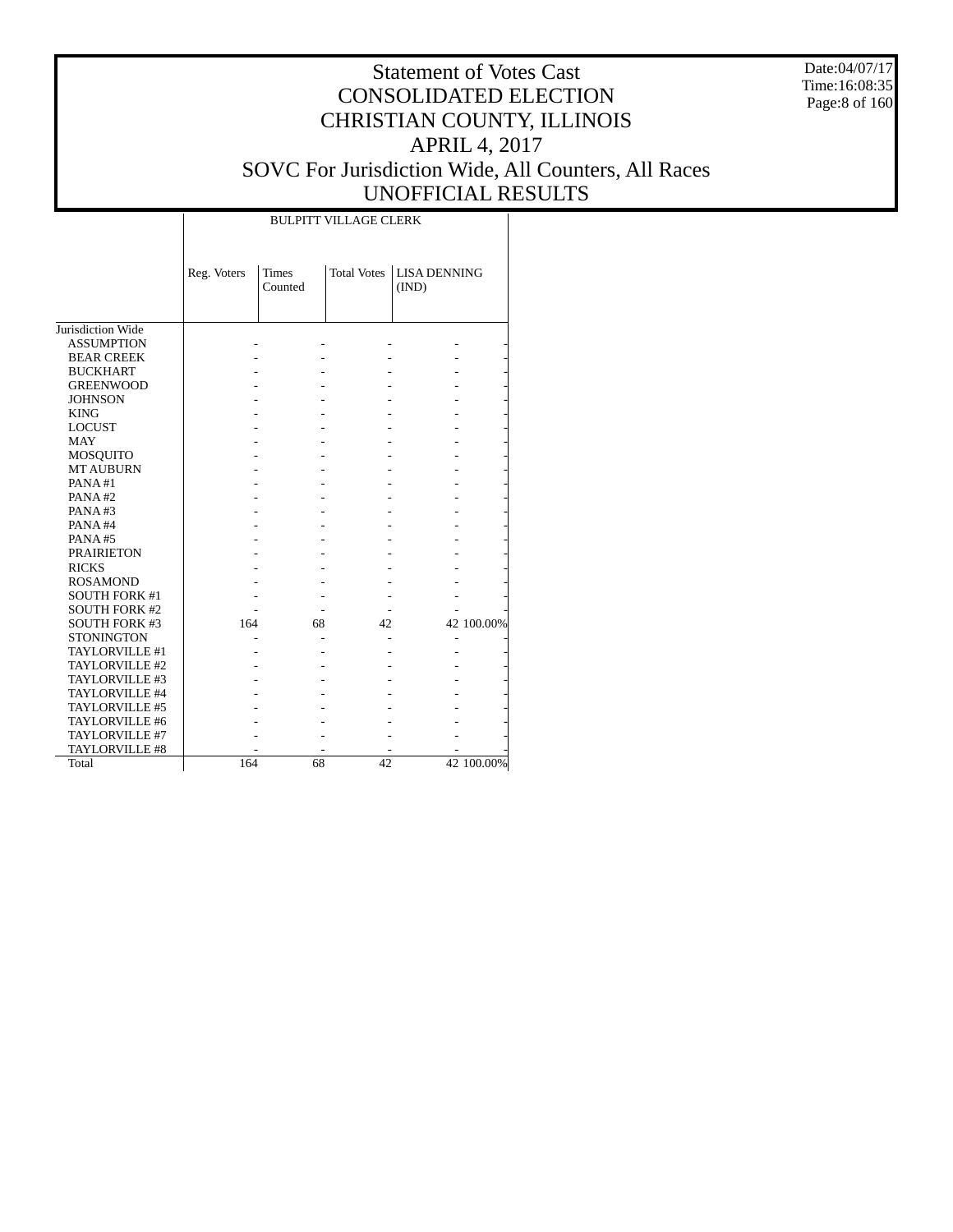Date:04/07/17 Time:16:08:35 Page:8 of 160

# Statement of Votes Cast CONSOLIDATED ELECTION CHRISTIAN COUNTY, ILLINOIS APRIL 4, 2017 SOVC For Jurisdiction Wide, All Counters, All Races UNOFFICIAL RESULTS

|                      | Reg. Voters | <b>Times</b><br>Counted | <b>Total Votes</b> | <b>LISA DENNING</b><br>(IND) |            |
|----------------------|-------------|-------------------------|--------------------|------------------------------|------------|
| Jurisdiction Wide    |             |                         |                    |                              |            |
| <b>ASSUMPTION</b>    |             |                         |                    |                              |            |
| <b>BEAR CREEK</b>    |             |                         |                    |                              |            |
| <b>BUCKHART</b>      |             |                         |                    |                              |            |
| <b>GREENWOOD</b>     |             |                         |                    |                              |            |
| <b>JOHNSON</b>       |             |                         |                    |                              |            |
| <b>KING</b>          |             |                         |                    |                              |            |
| <b>LOCUST</b>        |             |                         |                    |                              |            |
| <b>MAY</b>           |             |                         |                    |                              |            |
| MOSQUITO             |             |                         |                    |                              |            |
| <b>MT AUBURN</b>     |             |                         |                    |                              |            |
| PANA#1               |             |                         |                    |                              |            |
| PANA#2               |             |                         |                    |                              |            |
| PANA#3               |             |                         |                    |                              |            |
| PANA#4               |             |                         |                    |                              |            |
| <b>PANA#5</b>        |             |                         |                    |                              |            |
| <b>PRAIRIETON</b>    |             |                         |                    |                              |            |
| <b>RICKS</b>         |             |                         |                    |                              |            |
| <b>ROSAMOND</b>      |             |                         |                    |                              |            |
| <b>SOUTH FORK #1</b> |             |                         |                    |                              |            |
| <b>SOUTH FORK #2</b> |             |                         |                    |                              |            |
| <b>SOUTH FORK #3</b> | 164         | 68                      | 42                 |                              | 42 100.00% |
| <b>STONINGTON</b>    |             |                         |                    |                              |            |
| TAYLORVILLE #1       |             |                         |                    |                              |            |
| TAYLORVILLE #2       |             |                         |                    |                              |            |
| TAYLORVILLE #3       |             |                         |                    |                              |            |
| TAYLORVILLE #4       |             |                         |                    |                              |            |
| TAYLORVILLE #5       |             |                         |                    |                              |            |
| TAYLORVILLE #6       |             |                         |                    |                              |            |
| TAYLORVILLE #7       |             |                         |                    |                              |            |
| TAYLORVILLE #8       |             |                         |                    |                              |            |
| Total                | 164         | 68                      | 42                 |                              | 42 100.00% |

BULPITT VILLAGE CLERK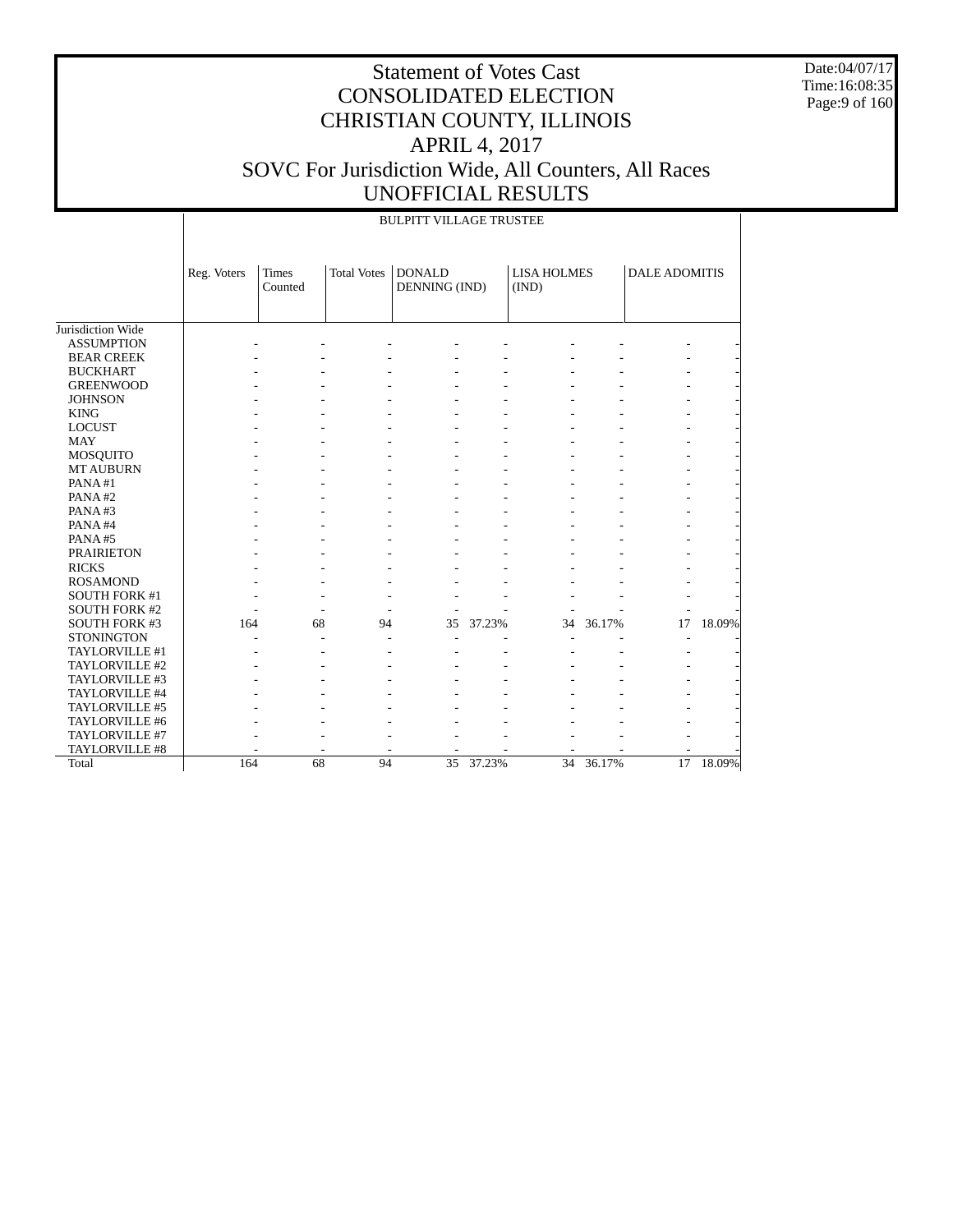Date:04/07/17 Time:16:08:35 Page:9 of 160

|                      |             | <b>BULPITT VILLAGE TRUSTEE</b> |                    |                                |        |                             |        |                      |           |  |
|----------------------|-------------|--------------------------------|--------------------|--------------------------------|--------|-----------------------------|--------|----------------------|-----------|--|
|                      | Reg. Voters | <b>Times</b><br>Counted        | <b>Total Votes</b> | <b>DONALD</b><br>DENNING (IND) |        | <b>LISA HOLMES</b><br>(IND) |        | <b>DALE ADOMITIS</b> |           |  |
| Jurisdiction Wide    |             |                                |                    |                                |        |                             |        |                      |           |  |
| <b>ASSUMPTION</b>    |             |                                |                    |                                |        |                             |        |                      |           |  |
| <b>BEAR CREEK</b>    |             |                                |                    |                                |        |                             |        |                      |           |  |
| <b>BUCKHART</b>      |             |                                |                    |                                |        |                             |        |                      |           |  |
| <b>GREENWOOD</b>     |             |                                |                    |                                |        |                             |        |                      |           |  |
| <b>JOHNSON</b>       |             |                                |                    |                                |        |                             |        |                      |           |  |
| <b>KING</b>          |             |                                |                    |                                |        |                             |        |                      |           |  |
| <b>LOCUST</b>        |             |                                |                    |                                |        |                             |        |                      |           |  |
| <b>MAY</b>           |             |                                |                    |                                |        |                             |        |                      |           |  |
| MOSQUITO             |             |                                |                    |                                |        |                             |        |                      |           |  |
| <b>MT AUBURN</b>     |             |                                |                    |                                |        |                             |        |                      |           |  |
| PANA#1               |             |                                |                    |                                |        |                             |        |                      |           |  |
| PANA#2               |             |                                |                    |                                |        |                             |        |                      |           |  |
| PANA#3               |             |                                |                    |                                |        |                             |        |                      |           |  |
| PANA#4               |             |                                |                    |                                |        |                             |        |                      |           |  |
| PANA#5               |             |                                |                    |                                |        |                             |        |                      |           |  |
| <b>PRAIRIETON</b>    |             |                                |                    |                                |        |                             |        |                      |           |  |
| <b>RICKS</b>         |             |                                |                    |                                |        |                             |        |                      |           |  |
| <b>ROSAMOND</b>      |             |                                |                    |                                |        |                             |        |                      |           |  |
| <b>SOUTH FORK #1</b> |             |                                |                    |                                |        |                             |        |                      |           |  |
| <b>SOUTH FORK #2</b> |             |                                |                    |                                |        |                             |        |                      |           |  |
| <b>SOUTH FORK #3</b> | 164         |                                | 68<br>94           | 35                             | 37.23% | 34                          | 36.17% | 17                   | 18.09%    |  |
| <b>STONINGTON</b>    |             |                                |                    |                                |        |                             |        |                      |           |  |
| TAYLORVILLE #1       |             |                                |                    |                                |        |                             |        |                      |           |  |
| TAYLORVILLE #2       |             |                                |                    |                                |        |                             |        |                      |           |  |
| TAYLORVILLE #3       |             |                                |                    |                                |        |                             |        |                      |           |  |
| TAYLORVILLE #4       |             |                                |                    |                                |        |                             |        |                      |           |  |
| TAYLORVILLE #5       |             |                                |                    |                                |        |                             |        |                      |           |  |
| TAYLORVILLE #6       |             |                                |                    |                                |        |                             |        |                      |           |  |
| TAYLORVILLE #7       |             |                                |                    |                                |        |                             |        |                      |           |  |
| TAYLORVILLE #8       |             |                                |                    |                                |        |                             |        |                      |           |  |
| Total                | 164         |                                | 68<br>94           | $\overline{35}$                | 37.23% | $\overline{34}$             | 36.17% |                      | 17 18.09% |  |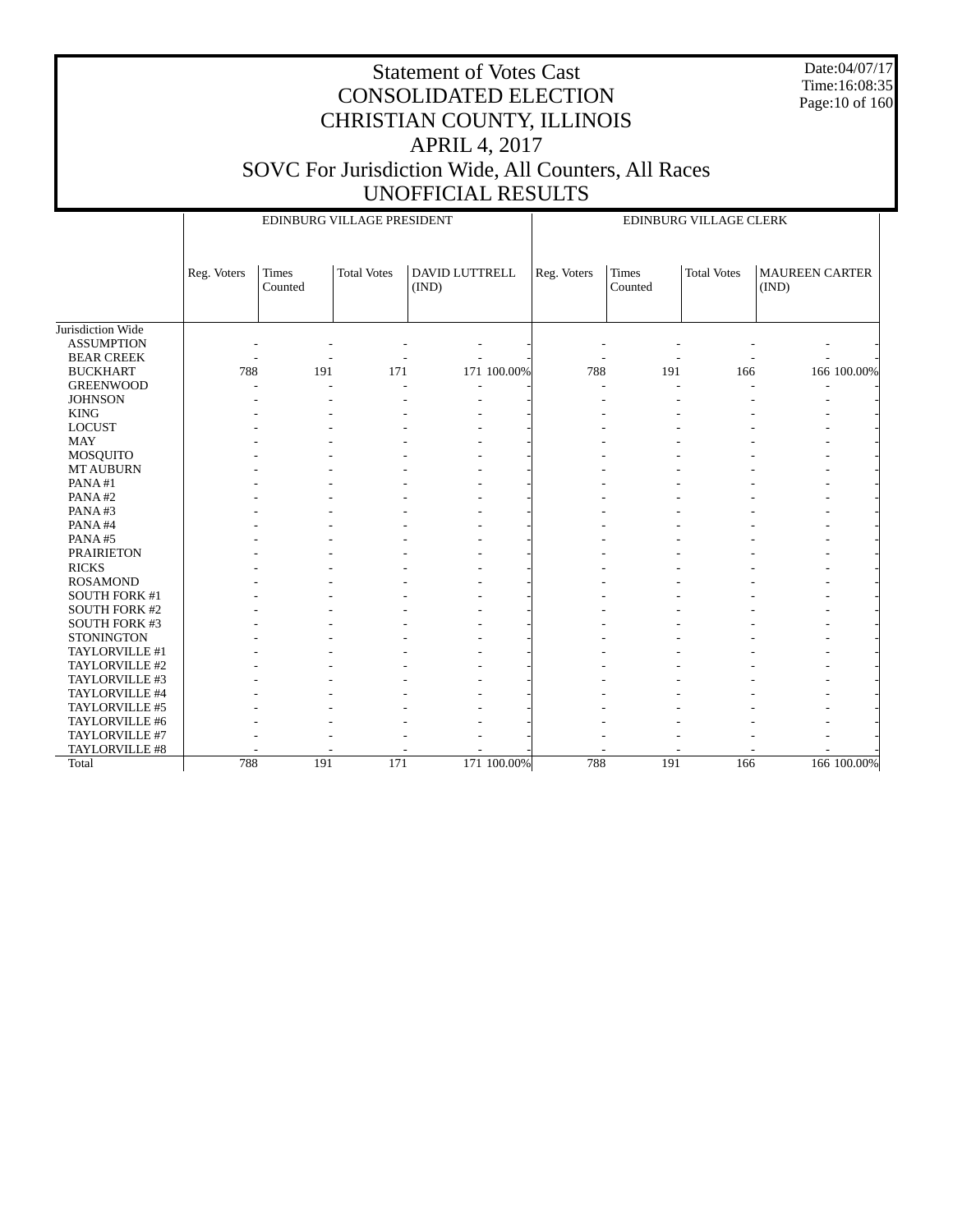Date:04/07/17 Time:16:08:35 Page:10 of 160

|                      |             |                         | EDINBURG VILLAGE PRESIDENT |       |                                                                                                | EDINBURG VILLAGE CLERK |     |     |  |                       |  |
|----------------------|-------------|-------------------------|----------------------------|-------|------------------------------------------------------------------------------------------------|------------------------|-----|-----|--|-----------------------|--|
|                      | Reg. Voters | <b>Times</b><br>Counted | <b>Total Votes</b>         | (IND) | <b>DAVID LUTTRELL</b><br><b>Times</b><br><b>Total Votes</b><br>Reg. Voters<br>Counted<br>(IND) |                        |     |     |  | <b>MAUREEN CARTER</b> |  |
| Jurisdiction Wide    |             |                         |                            |       |                                                                                                |                        |     |     |  |                       |  |
| <b>ASSUMPTION</b>    |             |                         |                            |       |                                                                                                |                        |     |     |  |                       |  |
| <b>BEAR CREEK</b>    |             |                         |                            |       |                                                                                                |                        |     |     |  |                       |  |
| <b>BUCKHART</b>      | 788         | 191                     | 171                        |       | 171 100.00%                                                                                    | 788                    | 191 | 166 |  | 166 100.00%           |  |
| <b>GREENWOOD</b>     |             |                         | $\overline{a}$             |       |                                                                                                |                        |     |     |  |                       |  |
| <b>JOHNSON</b>       |             |                         |                            |       |                                                                                                |                        |     |     |  |                       |  |
| <b>KING</b>          |             |                         |                            |       |                                                                                                |                        |     |     |  |                       |  |
| <b>LOCUST</b>        |             |                         |                            |       |                                                                                                |                        |     |     |  |                       |  |
| <b>MAY</b>           |             |                         |                            |       |                                                                                                |                        |     |     |  |                       |  |
| MOSQUITO             |             |                         |                            |       |                                                                                                |                        |     |     |  |                       |  |
| <b>MT AUBURN</b>     |             |                         |                            |       |                                                                                                |                        |     |     |  |                       |  |
| PANA#1               |             |                         |                            |       |                                                                                                |                        |     |     |  |                       |  |
| PANA#2               |             |                         |                            |       |                                                                                                |                        |     |     |  |                       |  |
| PANA#3               |             |                         |                            |       |                                                                                                |                        |     |     |  |                       |  |
| PANA#4               |             |                         |                            |       |                                                                                                |                        |     |     |  |                       |  |
| PANA#5               |             |                         |                            |       |                                                                                                |                        |     |     |  |                       |  |
| <b>PRAIRIETON</b>    |             |                         |                            |       |                                                                                                |                        |     |     |  |                       |  |
| <b>RICKS</b>         |             |                         |                            |       |                                                                                                |                        |     |     |  |                       |  |
| <b>ROSAMOND</b>      |             |                         |                            |       |                                                                                                |                        |     |     |  |                       |  |
| SOUTH FORK #1        |             |                         |                            |       |                                                                                                |                        |     |     |  |                       |  |
| <b>SOUTH FORK #2</b> |             |                         |                            |       |                                                                                                |                        |     |     |  |                       |  |
| SOUTH FORK #3        |             |                         |                            |       |                                                                                                |                        |     |     |  |                       |  |
| <b>STONINGTON</b>    |             |                         |                            |       |                                                                                                |                        |     |     |  |                       |  |
| TAYLORVILLE #1       |             |                         |                            |       |                                                                                                |                        |     |     |  |                       |  |
| TAYLORVILLE #2       |             |                         |                            |       |                                                                                                |                        |     |     |  |                       |  |
| TAYLORVILLE #3       |             |                         |                            |       |                                                                                                |                        |     |     |  |                       |  |
| TAYLORVILLE #4       |             |                         |                            |       |                                                                                                |                        |     |     |  |                       |  |
| TAYLORVILLE #5       |             |                         |                            |       |                                                                                                |                        |     |     |  |                       |  |
| TAYLORVILLE #6       |             |                         |                            |       |                                                                                                |                        |     |     |  |                       |  |
| TAYLORVILLE #7       |             |                         |                            |       |                                                                                                |                        |     |     |  |                       |  |
| TAYLORVILLE #8       |             |                         |                            |       |                                                                                                |                        |     |     |  |                       |  |
| Total                | 788         | 191                     | 171                        |       | 171 100.00%                                                                                    | 788                    | 191 | 166 |  | 166 100.00%           |  |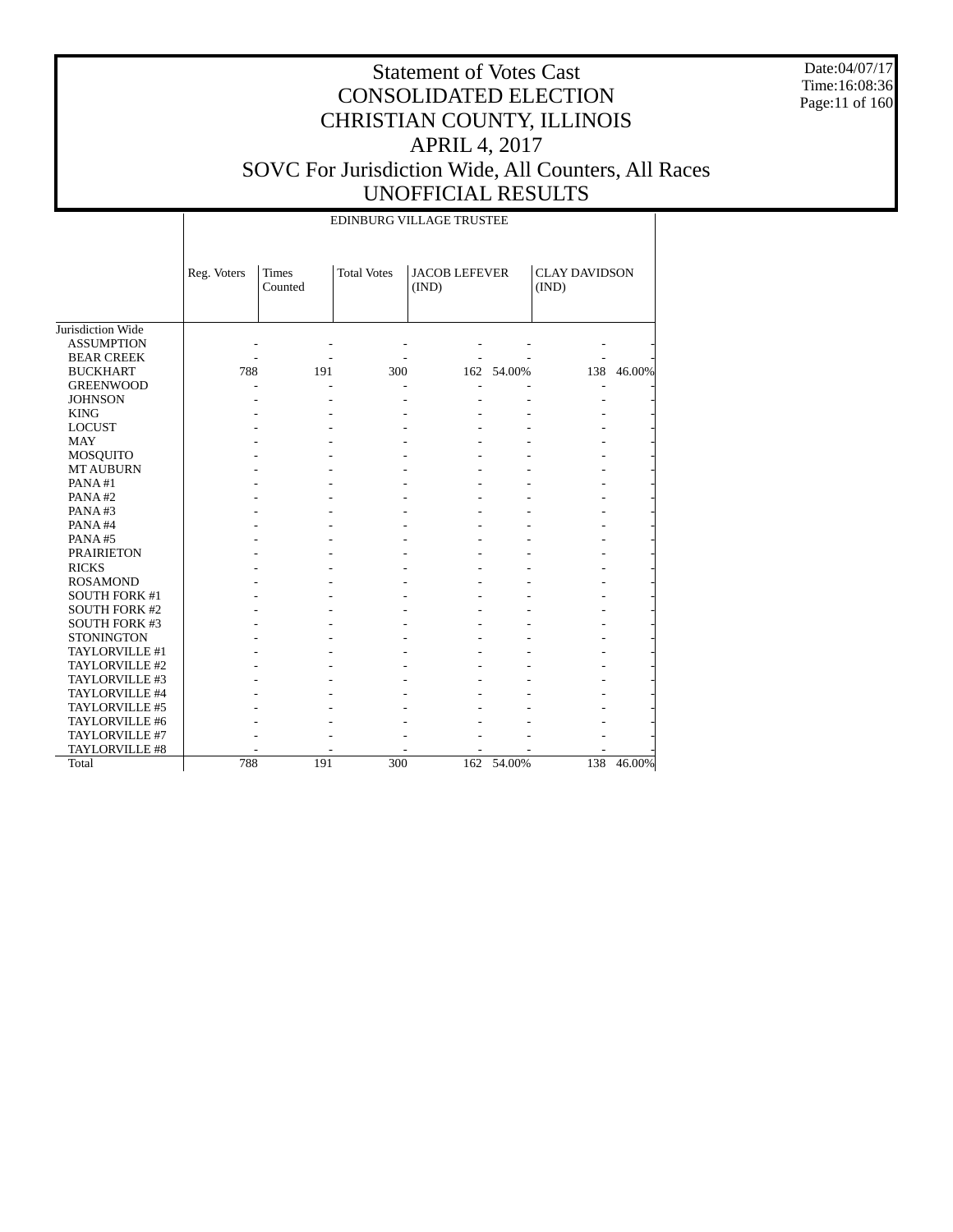Date:04/07/17 Time:16:08:36 Page:11 of 160

|                      |             | EDINBURG VILLAGE TRUSTEE |                    |                               |            |                               |            |  |  |  |
|----------------------|-------------|--------------------------|--------------------|-------------------------------|------------|-------------------------------|------------|--|--|--|
|                      | Reg. Voters | Times<br>Counted         | <b>Total Votes</b> | <b>JACOB LEFEVER</b><br>(IND) |            | <b>CLAY DAVIDSON</b><br>(IND) |            |  |  |  |
| Jurisdiction Wide    |             |                          |                    |                               |            |                               |            |  |  |  |
| <b>ASSUMPTION</b>    |             |                          |                    |                               |            |                               |            |  |  |  |
| <b>BEAR CREEK</b>    |             |                          |                    |                               |            |                               |            |  |  |  |
| <b>BUCKHART</b>      | 788         | 191                      | 300                |                               | 162 54.00% |                               | 138 46.00% |  |  |  |
| <b>GREENWOOD</b>     |             |                          |                    |                               |            |                               |            |  |  |  |
| <b>JOHNSON</b>       |             |                          |                    |                               |            |                               |            |  |  |  |
| <b>KING</b>          |             |                          |                    |                               |            |                               |            |  |  |  |
| <b>LOCUST</b>        |             |                          |                    |                               |            |                               |            |  |  |  |
| <b>MAY</b>           |             |                          |                    |                               |            |                               |            |  |  |  |
| MOSQUITO             |             |                          |                    |                               |            |                               |            |  |  |  |
| <b>MT AUBURN</b>     |             |                          |                    |                               |            |                               |            |  |  |  |
| PANA#1               |             |                          |                    |                               |            |                               |            |  |  |  |
| PANA#2               |             |                          |                    |                               |            |                               |            |  |  |  |
| PANA#3               |             |                          |                    |                               |            |                               |            |  |  |  |
| PANA#4               |             |                          |                    |                               |            |                               |            |  |  |  |
| PANA#5               |             |                          |                    |                               |            |                               |            |  |  |  |
| <b>PRAIRIETON</b>    |             |                          |                    |                               |            |                               |            |  |  |  |
| <b>RICKS</b>         |             |                          |                    |                               |            |                               |            |  |  |  |
| <b>ROSAMOND</b>      |             |                          |                    |                               |            |                               |            |  |  |  |
| <b>SOUTH FORK #1</b> |             |                          |                    |                               |            |                               |            |  |  |  |
| <b>SOUTH FORK #2</b> |             |                          |                    |                               |            |                               |            |  |  |  |
| <b>SOUTH FORK #3</b> |             |                          |                    |                               |            |                               |            |  |  |  |
| <b>STONINGTON</b>    |             |                          |                    |                               |            |                               |            |  |  |  |
| TAYLORVILLE #1       |             |                          |                    |                               |            |                               |            |  |  |  |
| TAYLORVILLE #2       |             |                          |                    |                               |            |                               |            |  |  |  |
| TAYLORVILLE #3       |             |                          |                    |                               |            |                               |            |  |  |  |
| TAYLORVILLE #4       |             |                          |                    |                               |            |                               |            |  |  |  |
| TAYLORVILLE #5       |             |                          |                    |                               |            |                               |            |  |  |  |
| TAYLORVILLE #6       |             |                          |                    |                               |            |                               |            |  |  |  |
| TAYLORVILLE #7       |             |                          |                    |                               |            |                               |            |  |  |  |
| TAYLORVILLE #8       |             |                          |                    |                               |            |                               |            |  |  |  |
| Total                | 788         | 191                      | 300                | 162                           | 54.00%     | 138                           | 46.00%     |  |  |  |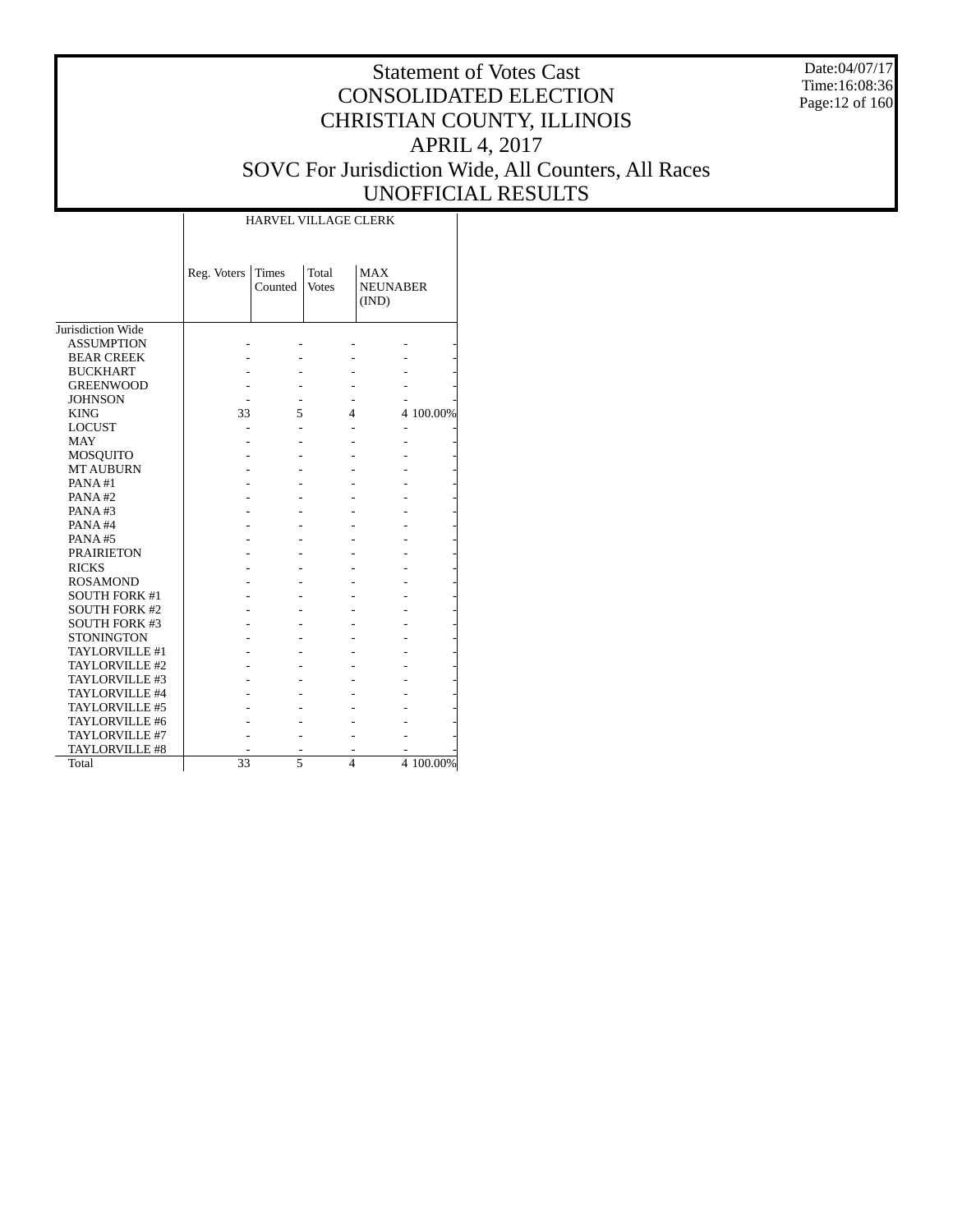Date:04/07/17 Time:16:08:36 Page:12 of 160

# Statement of Votes Cast CONSOLIDATED ELECTION CHRISTIAN COUNTY, ILLINOIS APRIL 4, 2017 SOVC For Jurisdiction Wide, All Counters, All Races UNOFFICIAL RESULTS

|                       |             |                         | <b>HARVEL VILLAGE CLERK</b> |                                        |           |
|-----------------------|-------------|-------------------------|-----------------------------|----------------------------------------|-----------|
|                       | Reg. Voters | <b>Times</b><br>Counted | Total<br><b>Votes</b>       | <b>MAX</b><br><b>NEUNABER</b><br>(IND) |           |
| Jurisdiction Wide     |             |                         |                             |                                        |           |
| <b>ASSUMPTION</b>     |             |                         |                             |                                        |           |
| <b>BEAR CREEK</b>     |             |                         |                             |                                        |           |
| <b>BUCKHART</b>       |             |                         |                             |                                        |           |
| <b>GREENWOOD</b>      |             |                         |                             |                                        |           |
| <b>JOHNSON</b>        |             |                         |                             |                                        |           |
| <b>KING</b>           | 33          | 5                       | 4                           |                                        | 4 100.00% |
| <b>LOCUST</b>         |             |                         |                             |                                        |           |
| <b>MAY</b>            |             |                         |                             |                                        |           |
| MOSQUITO              |             |                         |                             |                                        |           |
| <b>MT AUBURN</b>      |             |                         |                             |                                        |           |
| PANA#1                |             |                         |                             |                                        |           |
| PANA#2                |             |                         |                             |                                        |           |
| PANA#3                |             |                         |                             |                                        |           |
| PANA#4                |             |                         |                             |                                        |           |
| PANA#5                |             |                         |                             |                                        |           |
| <b>PRAIRIETON</b>     |             |                         |                             |                                        |           |
| <b>RICKS</b>          |             |                         |                             |                                        |           |
| <b>ROSAMOND</b>       |             |                         |                             |                                        |           |
| <b>SOUTH FORK #1</b>  |             |                         |                             |                                        |           |
| <b>SOUTH FORK #2</b>  |             |                         |                             |                                        |           |
| <b>SOUTH FORK #3</b>  |             |                         |                             |                                        |           |
| <b>STONINGTON</b>     |             |                         |                             |                                        |           |
| TAYLORVILLE #1        |             |                         |                             |                                        |           |
| TAYLORVILLE #2        |             |                         |                             |                                        |           |
| TAYLORVILLE #3        |             |                         |                             |                                        |           |
| TAYLORVILLE #4        |             |                         |                             |                                        |           |
| TAYLORVILLE #5        |             |                         |                             |                                        |           |
| TAYLORVILLE #6        |             |                         |                             |                                        |           |
| TAYLORVILLE #7        |             |                         |                             |                                        |           |
| <b>TAYLORVILLE #8</b> |             |                         |                             |                                        |           |
| Total                 | 33          | 5                       | 4                           |                                        | 4 100.00% |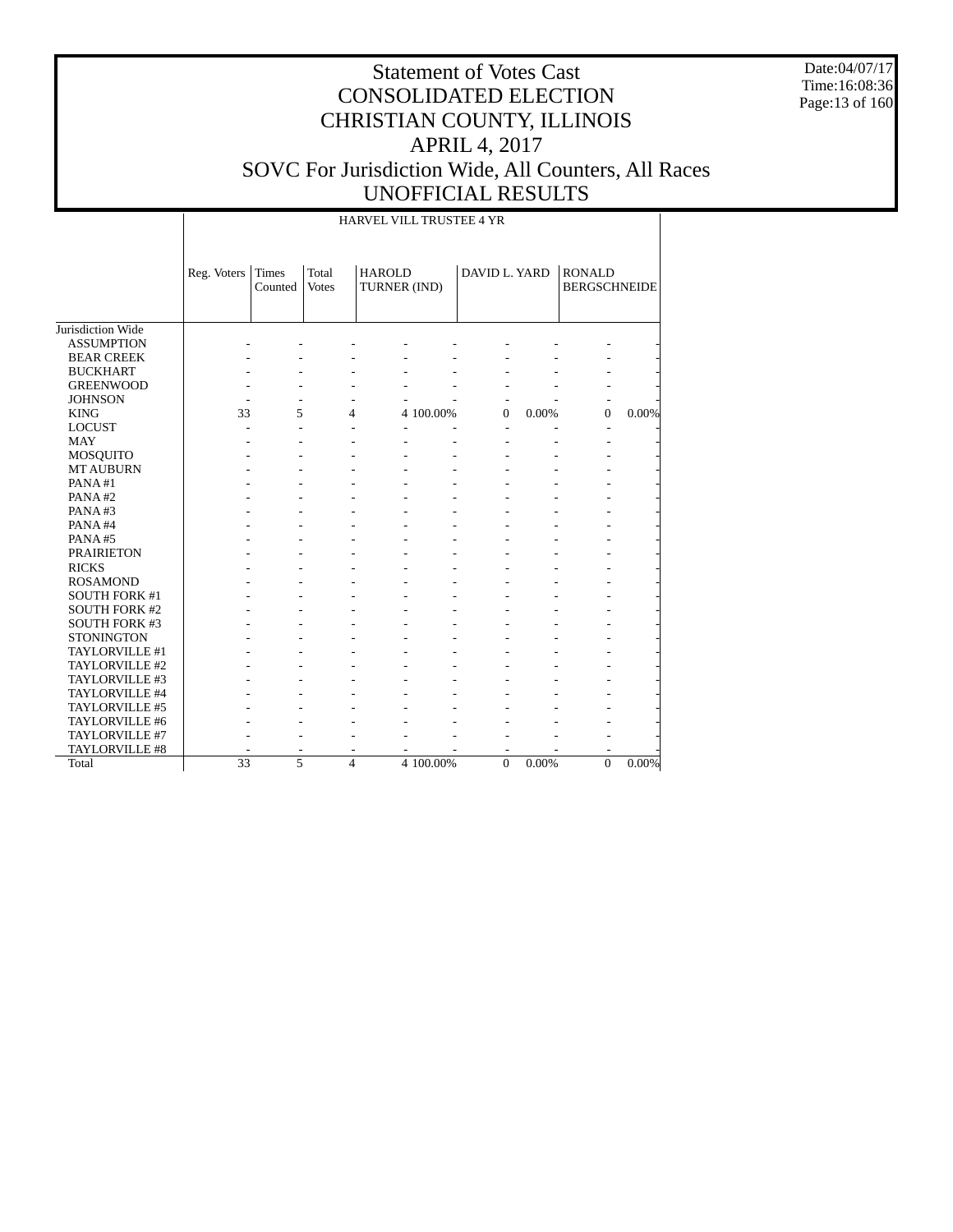Date:04/07/17 Time:16:08:36 Page:13 of 160

# Statement of Votes Cast CONSOLIDATED ELECTION CHRISTIAN COUNTY, ILLINOIS APRIL 4, 2017 SOVC For Jurisdiction Wide, All Counters, All Races UNOFFICIAL RESULTS

HARVEL VILL TRUSTEE 4 YR

|                      | Reg. Voters | Times<br>Counted | Total<br><b>Votes</b>   | <b>HAROLD</b><br>TURNER (IND) |           | DAVID L. YARD            |       | <b>RONALD</b><br><b>BERGSCHNEIDE</b> |          |
|----------------------|-------------|------------------|-------------------------|-------------------------------|-----------|--------------------------|-------|--------------------------------------|----------|
| Jurisdiction Wide    |             |                  |                         |                               |           |                          |       |                                      |          |
| <b>ASSUMPTION</b>    |             |                  |                         |                               |           |                          |       |                                      |          |
| <b>BEAR CREEK</b>    |             |                  |                         |                               |           |                          |       |                                      |          |
| <b>BUCKHART</b>      |             |                  |                         |                               |           |                          |       |                                      |          |
| <b>GREENWOOD</b>     |             |                  |                         |                               |           |                          |       |                                      |          |
| <b>JOHNSON</b>       |             |                  |                         |                               |           | ٠                        |       |                                      |          |
| <b>KING</b>          | 33          | 5                | 4                       |                               | 4 100.00% | $\mathbf{0}$             | 0.00% | $\Omega$                             | 0.00%    |
| <b>LOCUST</b>        |             |                  |                         | L,                            |           | $\overline{\phantom{a}}$ |       |                                      |          |
| <b>MAY</b>           |             |                  |                         |                               |           |                          |       |                                      |          |
| MOSQUITO             |             |                  |                         |                               |           |                          |       |                                      |          |
| <b>MT AUBURN</b>     |             |                  |                         |                               |           |                          |       |                                      |          |
| PANA#1               |             |                  |                         |                               |           |                          |       |                                      |          |
| PANA#2               |             |                  |                         |                               |           |                          |       |                                      |          |
| PANA#3               |             |                  |                         |                               |           |                          |       |                                      |          |
| PANA#4               |             |                  |                         |                               |           |                          |       |                                      |          |
| PANA#5               |             |                  |                         |                               |           |                          |       |                                      |          |
| <b>PRAIRIETON</b>    |             |                  |                         |                               |           |                          |       |                                      |          |
| <b>RICKS</b>         |             |                  |                         |                               |           |                          |       |                                      |          |
| <b>ROSAMOND</b>      |             |                  |                         |                               |           |                          |       |                                      |          |
| <b>SOUTH FORK #1</b> |             |                  |                         |                               |           |                          |       |                                      |          |
| <b>SOUTH FORK #2</b> |             |                  |                         |                               |           |                          |       |                                      |          |
| <b>SOUTH FORK #3</b> |             |                  |                         |                               |           |                          |       |                                      |          |
| <b>STONINGTON</b>    |             |                  |                         |                               |           |                          |       |                                      |          |
| TAYLORVILLE #1       |             |                  |                         |                               |           |                          |       |                                      |          |
| TAYLORVILLE #2       |             |                  |                         |                               |           |                          |       |                                      |          |
| TAYLORVILLE #3       |             |                  |                         |                               |           |                          |       |                                      |          |
| TAYLORVILLE #4       |             |                  |                         |                               |           |                          |       |                                      |          |
| TAYLORVILLE #5       |             |                  |                         |                               |           |                          |       |                                      |          |
| TAYLORVILLE #6       |             |                  |                         |                               |           |                          |       |                                      |          |
| TAYLORVILLE #7       |             |                  |                         |                               |           |                          |       |                                      |          |
| TAYLORVILLE #8       |             |                  |                         |                               |           |                          |       |                                      |          |
| Total                | 33          | 5                | $\overline{\mathbf{4}}$ |                               | 4 100.00% | $\theta$                 | 0.00% | $\mathbf{0}$                         | $0.00\%$ |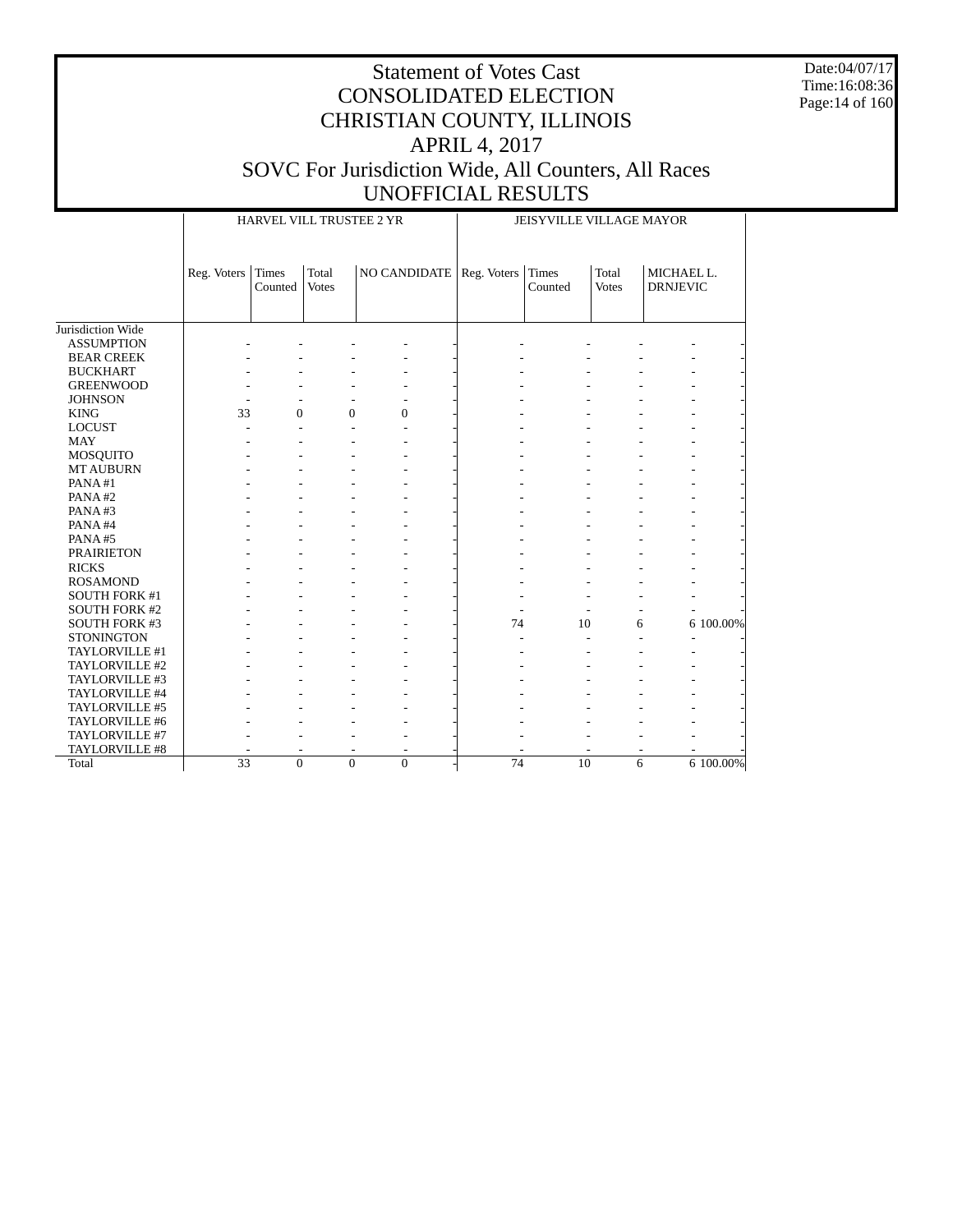Date:04/07/17 Time:16:08:36 Page:14 of 160

|                      |             |                  | HARVEL VILL TRUSTEE 2 YR |                            |                 | JEISYVILLE VILLAGE MAYOR |                       |                               |
|----------------------|-------------|------------------|--------------------------|----------------------------|-----------------|--------------------------|-----------------------|-------------------------------|
|                      |             |                  |                          |                            |                 |                          |                       |                               |
|                      | Reg. Voters | Times<br>Counted | Total<br><b>Votes</b>    | NO CANDIDATE   Reg. Voters |                 | Times<br>Counted         | Total<br><b>Votes</b> | MICHAEL L.<br><b>DRNJEVIC</b> |
|                      |             |                  |                          |                            |                 |                          |                       |                               |
| Jurisdiction Wide    |             |                  |                          |                            |                 |                          |                       |                               |
| <b>ASSUMPTION</b>    |             |                  |                          |                            |                 |                          |                       |                               |
| <b>BEAR CREEK</b>    |             |                  |                          |                            |                 |                          |                       |                               |
| <b>BUCKHART</b>      |             |                  |                          |                            |                 |                          |                       |                               |
| <b>GREENWOOD</b>     |             |                  |                          |                            |                 |                          |                       |                               |
| <b>JOHNSON</b>       |             |                  |                          |                            |                 |                          |                       |                               |
| <b>KING</b>          | 33          | $\overline{0}$   | $\overline{0}$           | $\overline{0}$             |                 |                          |                       |                               |
| <b>LOCUST</b>        |             |                  |                          |                            |                 |                          |                       |                               |
| <b>MAY</b>           |             |                  |                          |                            |                 |                          |                       |                               |
| MOSQUITO             |             |                  |                          |                            |                 |                          |                       |                               |
| <b>MT AUBURN</b>     |             |                  |                          |                            |                 |                          |                       |                               |
| PANA#1               |             |                  |                          |                            |                 |                          |                       |                               |
| PANA#2               |             |                  |                          |                            |                 |                          |                       |                               |
| PANA#3               |             |                  |                          |                            |                 |                          |                       |                               |
| PANA#4               |             |                  |                          |                            |                 |                          |                       |                               |
| PANA#5               |             |                  |                          |                            |                 |                          |                       |                               |
| <b>PRAIRIETON</b>    |             |                  |                          |                            |                 |                          |                       |                               |
| <b>RICKS</b>         |             |                  |                          |                            |                 |                          |                       |                               |
| <b>ROSAMOND</b>      |             |                  |                          |                            |                 |                          |                       |                               |
| <b>SOUTH FORK #1</b> |             |                  |                          |                            |                 |                          |                       |                               |
| <b>SOUTH FORK #2</b> |             |                  |                          |                            |                 |                          |                       |                               |
| <b>SOUTH FORK #3</b> |             |                  |                          |                            | 74              | 10                       | 6                     | 6 100.00%                     |
| <b>STONINGTON</b>    |             |                  |                          |                            |                 | L.                       |                       |                               |
| TAYLORVILLE #1       |             |                  |                          |                            |                 |                          |                       |                               |
| TAYLORVILLE #2       |             |                  |                          |                            |                 |                          |                       |                               |
| TAYLORVILLE #3       |             |                  |                          |                            |                 |                          |                       |                               |
| TAYLORVILLE #4       |             |                  |                          |                            |                 |                          |                       |                               |
| TAYLORVILLE #5       |             |                  |                          |                            |                 |                          |                       |                               |
| TAYLORVILLE #6       |             |                  |                          |                            |                 |                          |                       |                               |
| TAYLORVILLE #7       |             |                  |                          |                            |                 |                          |                       |                               |
| TAYLORVILLE #8       |             |                  |                          |                            |                 |                          |                       |                               |
| Total                | 33          | $\overline{0}$   | $\overline{0}$           | $\overline{0}$             | $\overline{74}$ | 10                       | 6                     | 6 100.00%                     |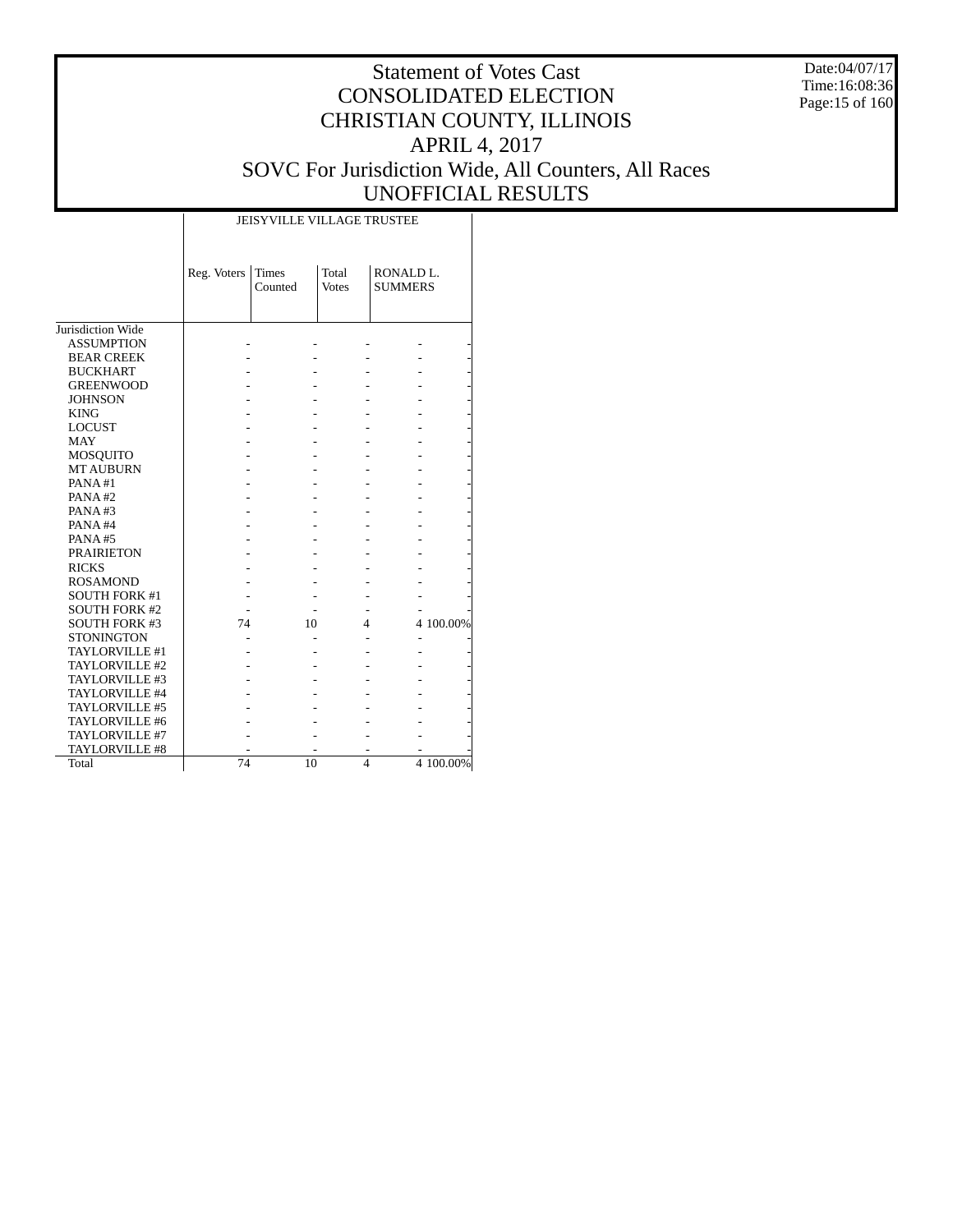Date:04/07/17 Time:16:08:36 Page:15 of 160

# Statement of Votes Cast CONSOLIDATED ELECTION CHRISTIAN COUNTY, ILLINOIS APRIL 4, 2017 SOVC For Jurisdiction Wide, All Counters, All Races UNOFFICIAL RESULTS

|                       |             | <b>JEISYVILLE VILLAGE TRUSTEE</b> |                       |                                         |           |
|-----------------------|-------------|-----------------------------------|-----------------------|-----------------------------------------|-----------|
|                       | Reg. Voters | <b>Times</b><br>Counted           | Total<br><b>Votes</b> | RONALD <sub>L</sub> .<br><b>SUMMERS</b> |           |
| Jurisdiction Wide     |             |                                   |                       |                                         |           |
| <b>ASSUMPTION</b>     |             |                                   |                       |                                         |           |
| <b>BEAR CREEK</b>     |             |                                   |                       |                                         |           |
| <b>BUCKHART</b>       |             |                                   |                       |                                         |           |
| <b>GREENWOOD</b>      |             |                                   |                       |                                         |           |
| <b>JOHNSON</b>        |             |                                   |                       |                                         |           |
| <b>KING</b>           |             |                                   |                       |                                         |           |
| <b>LOCUST</b>         |             |                                   |                       |                                         |           |
| <b>MAY</b>            |             |                                   |                       |                                         |           |
| <b>MOSQUITO</b>       |             |                                   |                       |                                         |           |
| <b>MT AUBURN</b>      |             |                                   |                       |                                         |           |
| PANA#1                |             |                                   |                       |                                         |           |
| PANA#2                |             |                                   |                       |                                         |           |
| PANA#3                |             |                                   |                       |                                         |           |
| PANA#4                |             |                                   |                       |                                         |           |
| PANA#5                |             |                                   |                       |                                         |           |
| <b>PRAIRIETON</b>     |             |                                   |                       |                                         |           |
| <b>RICKS</b>          |             |                                   |                       |                                         |           |
| <b>ROSAMOND</b>       |             |                                   |                       |                                         |           |
| <b>SOUTH FORK #1</b>  |             |                                   |                       |                                         |           |
| <b>SOUTH FORK #2</b>  |             |                                   |                       |                                         |           |
| <b>SOUTH FORK #3</b>  | 74          | 10                                | 4                     |                                         | 4 100.00% |
| <b>STONINGTON</b>     |             |                                   |                       |                                         |           |
| <b>TAYLORVILLE #1</b> |             |                                   |                       |                                         |           |
| TAYLORVILLE #2        |             |                                   |                       |                                         |           |
| TAYLORVILLE #3        |             |                                   |                       |                                         |           |
| TAYLORVILLE #4        |             |                                   |                       |                                         |           |
| TAYLORVILLE #5        |             |                                   |                       |                                         |           |
| TAYLORVILLE #6        |             |                                   |                       |                                         |           |
| TAYLORVILLE #7        |             |                                   |                       |                                         |           |
| TAYLORVILLE #8        |             |                                   |                       |                                         |           |
| Total                 | 74          | 10                                | $\overline{4}$        |                                         | 4 100.00% |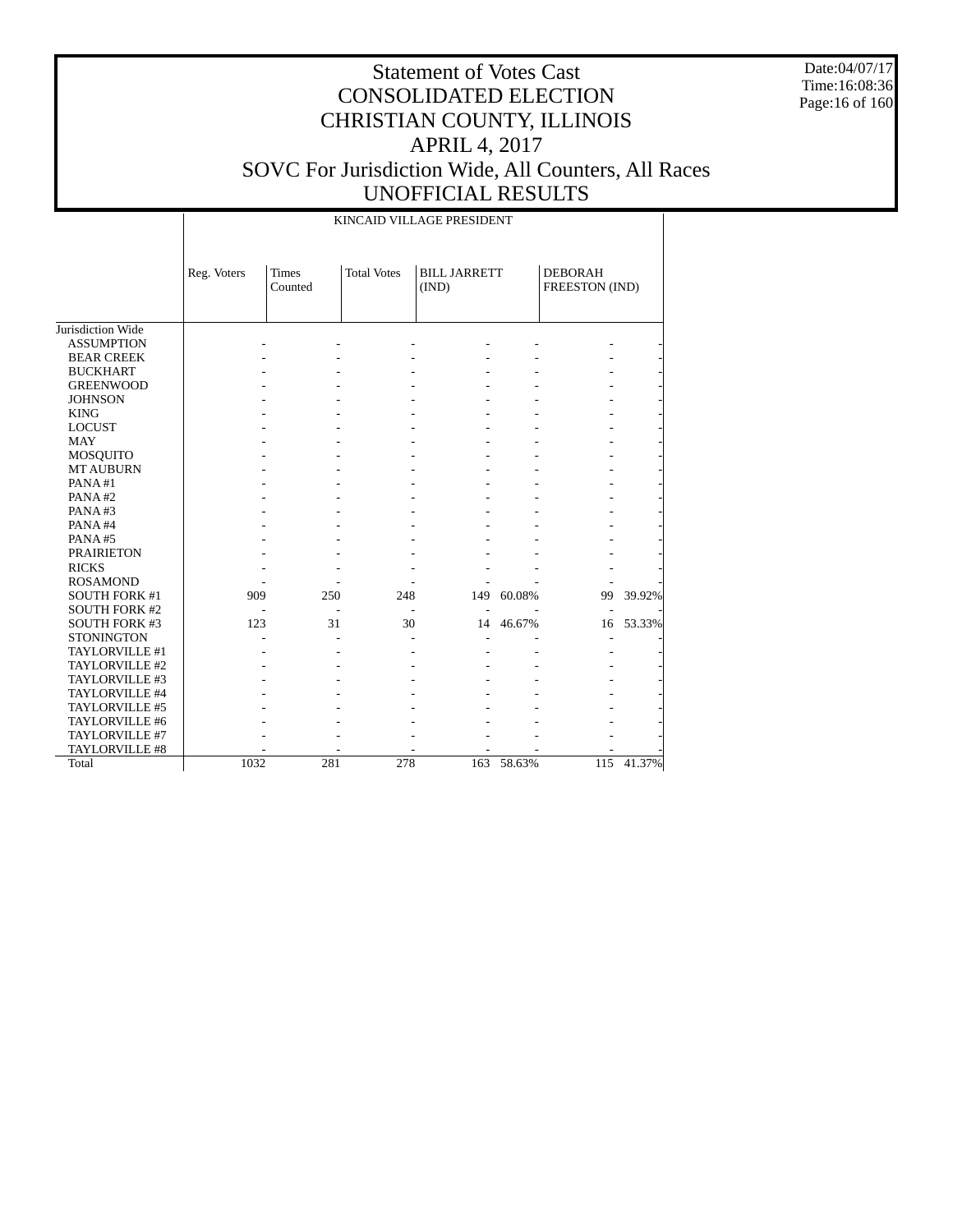Date:04/07/17 Time:16:08:36 Page:16 of 160

|                      |             |                         |                    | KINCAID VILLAGE PRESIDENT    |        |                                  |        |
|----------------------|-------------|-------------------------|--------------------|------------------------------|--------|----------------------------------|--------|
|                      | Reg. Voters | <b>Times</b><br>Counted | <b>Total Votes</b> | <b>BILL JARRETT</b><br>(IND) |        | <b>DEBORAH</b><br>FREESTON (IND) |        |
|                      |             |                         |                    |                              |        |                                  |        |
| Jurisdiction Wide    |             |                         |                    |                              |        |                                  |        |
| <b>ASSUMPTION</b>    |             |                         |                    |                              |        |                                  |        |
| <b>BEAR CREEK</b>    |             |                         |                    |                              |        |                                  |        |
| <b>BUCKHART</b>      |             |                         |                    |                              |        |                                  |        |
| <b>GREENWOOD</b>     |             |                         |                    |                              |        |                                  |        |
| <b>JOHNSON</b>       |             |                         |                    |                              |        |                                  |        |
| <b>KING</b>          |             |                         |                    |                              |        |                                  |        |
| <b>LOCUST</b>        |             |                         |                    |                              |        |                                  |        |
| <b>MAY</b>           |             |                         |                    |                              |        |                                  |        |
| MOSQUITO             |             |                         |                    |                              |        |                                  |        |
| <b>MT AUBURN</b>     |             |                         |                    |                              |        |                                  |        |
| PANA#1               |             |                         |                    |                              |        |                                  |        |
| PANA#2               |             |                         |                    |                              |        |                                  |        |
| PANA#3               |             |                         |                    |                              |        |                                  |        |
| PANA#4               |             |                         |                    |                              |        |                                  |        |
| PANA#5               |             |                         |                    |                              |        |                                  |        |
| <b>PRAIRIETON</b>    |             |                         |                    |                              |        |                                  |        |
| <b>RICKS</b>         |             |                         |                    |                              |        |                                  |        |
| <b>ROSAMOND</b>      |             |                         |                    |                              |        |                                  |        |
| <b>SOUTH FORK #1</b> | 909         | 250                     | 248                | 149                          | 60.08% | 99                               | 39.92% |
| <b>SOUTH FORK #2</b> |             |                         |                    |                              |        |                                  |        |
| <b>SOUTH FORK #3</b> | 123         | 31                      | 30                 | 14                           | 46.67% | 16                               | 53.33% |
| <b>STONINGTON</b>    |             |                         |                    |                              |        |                                  |        |
| TAYLORVILLE #1       |             |                         |                    |                              |        |                                  |        |
| TAYLORVILLE #2       |             |                         |                    |                              |        |                                  |        |
| TAYLORVILLE #3       |             |                         |                    |                              |        |                                  |        |
| TAYLORVILLE #4       |             |                         |                    |                              |        |                                  |        |
| TAYLORVILLE #5       |             |                         |                    |                              |        |                                  |        |
| TAYLORVILLE #6       |             |                         |                    |                              |        |                                  |        |
| TAYLORVILLE #7       |             |                         |                    |                              |        |                                  |        |
| TAYLORVILLE #8       |             |                         |                    |                              |        |                                  |        |
| Total                | 1032        | 281                     | 278                | 163                          | 58.63% | 115                              | 41.37% |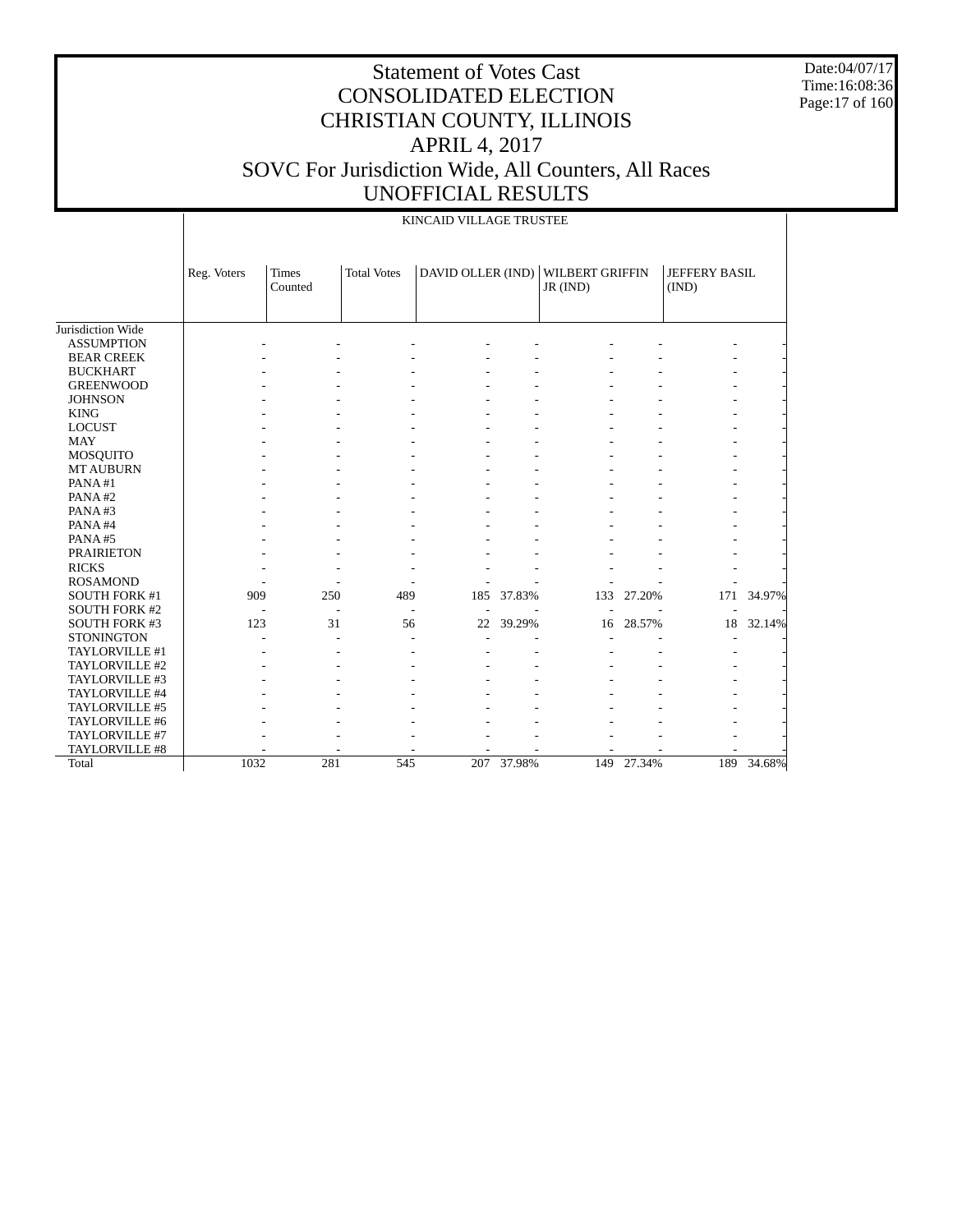Date:04/07/17 Time:16:08:36 Page:17 of 160

|                      |             |                         |                    | KINCAID VILLAGE TRUSTEE |        |                                    |            |                        |        |
|----------------------|-------------|-------------------------|--------------------|-------------------------|--------|------------------------------------|------------|------------------------|--------|
|                      | Reg. Voters | <b>Times</b><br>Counted | <b>Total Votes</b> | DAVID OLLER (IND)       |        | <b>WILBERT GRIFFIN</b><br>JR (IND) |            | JEFFERY BASIL<br>(IND) |        |
| Jurisdiction Wide    |             |                         |                    |                         |        |                                    |            |                        |        |
| <b>ASSUMPTION</b>    |             |                         |                    |                         |        |                                    |            |                        |        |
| <b>BEAR CREEK</b>    |             |                         |                    |                         |        |                                    |            |                        |        |
| <b>BUCKHART</b>      |             |                         |                    |                         |        |                                    |            |                        |        |
| <b>GREENWOOD</b>     |             |                         |                    |                         |        |                                    |            |                        |        |
| <b>JOHNSON</b>       |             |                         |                    |                         |        |                                    |            |                        |        |
| <b>KING</b>          |             |                         |                    |                         |        |                                    |            |                        |        |
| <b>LOCUST</b>        |             |                         |                    |                         |        |                                    |            |                        |        |
| <b>MAY</b>           |             |                         |                    |                         |        |                                    |            |                        |        |
| <b>MOSQUITO</b>      |             |                         |                    |                         |        |                                    |            |                        |        |
| <b>MT AUBURN</b>     |             |                         |                    |                         |        |                                    |            |                        |        |
| PANA#1               |             |                         |                    |                         |        |                                    |            |                        |        |
| PANA#2               |             |                         |                    |                         |        |                                    |            |                        |        |
| PANA#3               |             |                         |                    |                         |        |                                    |            |                        |        |
| PANA#4               |             |                         |                    |                         |        |                                    |            |                        |        |
| PANA#5               |             |                         |                    |                         |        |                                    |            |                        |        |
| <b>PRAIRIETON</b>    |             |                         |                    |                         |        |                                    |            |                        |        |
| <b>RICKS</b>         |             |                         |                    |                         |        |                                    |            |                        |        |
| <b>ROSAMOND</b>      |             |                         |                    |                         |        |                                    |            |                        |        |
| SOUTH FORK #1        | 909         | 250                     | 489                | 185                     | 37.83% | 133                                | 27.20%     | 171                    | 34.97% |
| <b>SOUTH FORK #2</b> |             |                         |                    |                         |        |                                    |            |                        |        |
| SOUTH FORK #3        | 123         |                         | 31<br>56           | 22                      | 39.29% | 16                                 | 28.57%     | 18                     | 32.14% |
| <b>STONINGTON</b>    |             |                         |                    |                         |        |                                    |            |                        |        |
| TAYLORVILLE #1       |             |                         |                    |                         |        |                                    |            |                        |        |
| TAYLORVILLE #2       |             |                         |                    |                         |        |                                    |            |                        |        |
| TAYLORVILLE #3       |             |                         |                    |                         |        |                                    |            |                        |        |
| TAYLORVILLE #4       |             |                         |                    |                         |        |                                    |            |                        |        |
| TAYLORVILLE #5       |             |                         |                    |                         |        |                                    |            |                        |        |
| TAYLORVILLE #6       |             |                         |                    |                         |        |                                    |            |                        |        |
| TAYLORVILLE #7       |             |                         |                    |                         |        |                                    |            |                        |        |
| TAYLORVILLE #8       |             |                         |                    |                         |        |                                    |            |                        |        |
| Total                | 1032        | 281                     | 545                | 207                     | 37.98% |                                    | 149 27.34% | 189                    | 34.68% |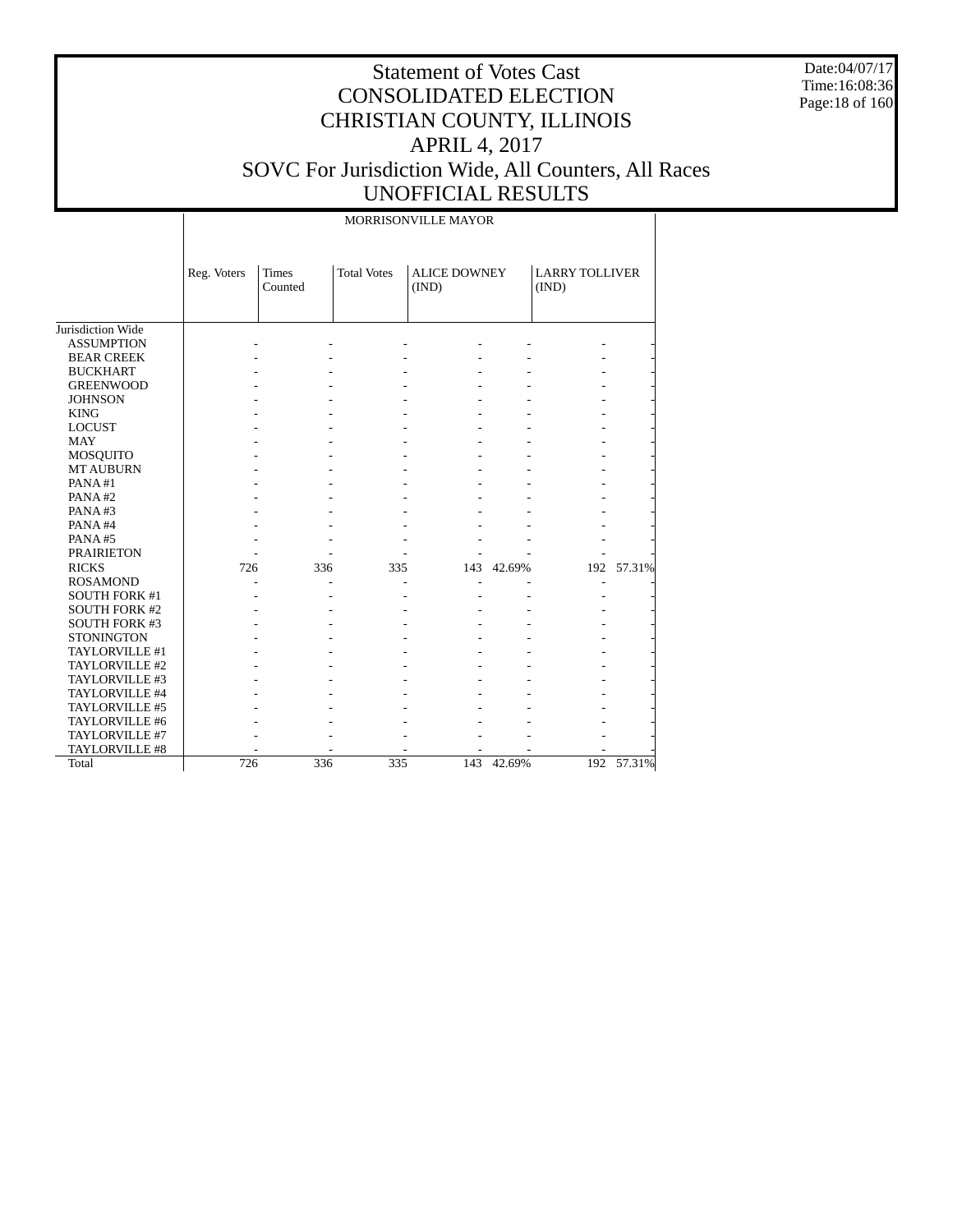Date:04/07/17 Time:16:08:36 Page:18 of 160

#### Statement of Votes Cast CONSOLIDATED ELECTION CHRISTIAN COUNTY, ILLINOIS APRIL 4, 2017 SOVC For Jurisdiction Wide, All Counters, All Races UNOFFICIAL RESULTS

 Jurisdiction Wide ASSUMPTION BEAR CREEK BUCKHART GREENWOOD JOHNSON KING LOCUST MAY MOSQUITO MT AUBURN PANA #1 PANA #2 PANA #3 PANA #4 PANA #5 PRAIRIETON RICKS ROSAMOND SOUTH FORK #1 SOUTH FORK #2 SOUTH FORK #3 **STONINGTON**  TAYLORVILLE #1 TAYLORVILLE #2 TAYLORVILLE #3 TAYLORVILLE #4 TAYLORVILLE #5 TAYLORVILLE #6 TAYLORVILLE #7 TAYLORVILLE #8 Total Reg. Voters | Times Counted Total Votes | ALICE DOWNEY (IND) LARRY TOLLIVER (IND) MORRISONVILLE MAYOR - - - - - - - - - - - - - - - - - - - - - - - - - - - - - - - - - - - - - - - - - - - - - - - - - - - - - - - - - - - - - - - - - - - - - - - - - - - - - - - - - - - - - - - - - - - - - - - - - - - - - - - - - - - - - - - - 726 336 335 143 42.69% 192 57.31% - - - - - - - - - - - - - - - - - - - - - - - - - - - - - - - - - - - - - - - - - - - - - - - - - - - - - - - - - - - - - - - - - - - - - - - - - - - - - - - - - - - - - - - - - - - 726 336 335 143 42.69% 192 57.31%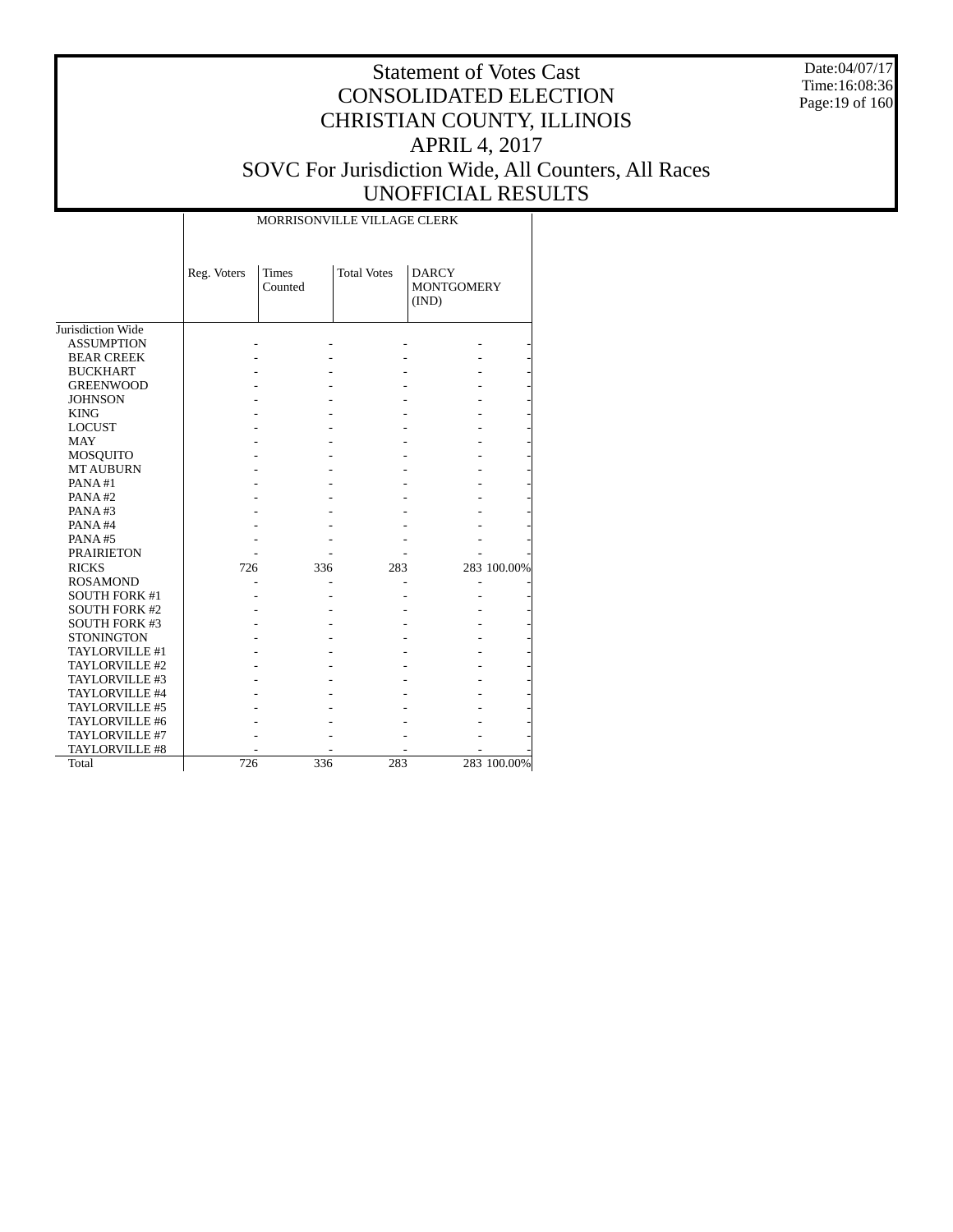Date:04/07/17 Time:16:08:36 Page:19 of 160

|                      |             | MORRISONVILLE VILLAGE CLERK |                    |                                            |             |
|----------------------|-------------|-----------------------------|--------------------|--------------------------------------------|-------------|
|                      | Reg. Voters | <b>Times</b><br>Counted     | <b>Total Votes</b> | <b>DARCY</b><br><b>MONTGOMERY</b><br>(IND) |             |
| Jurisdiction Wide    |             |                             |                    |                                            |             |
| <b>ASSUMPTION</b>    |             |                             |                    |                                            |             |
| <b>BEAR CREEK</b>    |             |                             |                    |                                            |             |
| <b>BUCKHART</b>      |             |                             |                    |                                            |             |
| <b>GREENWOOD</b>     |             |                             |                    |                                            |             |
| <b>JOHNSON</b>       |             |                             |                    |                                            |             |
| <b>KING</b>          |             |                             |                    |                                            |             |
| <b>LOCUST</b>        |             |                             |                    |                                            |             |
| <b>MAY</b>           |             |                             |                    |                                            |             |
| MOSQUITO             |             |                             |                    |                                            |             |
| <b>MT AUBURN</b>     |             |                             |                    |                                            |             |
| PANA#1               |             |                             |                    |                                            |             |
| PANA#2               |             |                             |                    |                                            |             |
| PANA#3               |             |                             |                    |                                            |             |
| PANA#4               |             |                             |                    |                                            |             |
| PANA#5               |             |                             |                    |                                            |             |
| <b>PRAIRIETON</b>    |             |                             |                    |                                            |             |
| <b>RICKS</b>         | 726         | 336                         | 283                |                                            | 283 100.00% |
| <b>ROSAMOND</b>      |             |                             |                    |                                            |             |
| <b>SOUTH FORK #1</b> |             |                             |                    |                                            |             |
| <b>SOUTH FORK #2</b> |             |                             |                    |                                            |             |
| <b>SOUTH FORK #3</b> |             |                             |                    |                                            |             |
| <b>STONINGTON</b>    |             |                             |                    |                                            |             |
| TAYLORVILLE #1       |             |                             |                    |                                            |             |
| TAYLORVILLE #2       |             |                             |                    |                                            |             |
| TAYLORVILLE #3       |             |                             |                    |                                            |             |
| TAYLORVILLE #4       |             |                             |                    |                                            |             |
| TAYLORVILLE #5       |             |                             |                    |                                            |             |
| TAYLORVILLE #6       |             |                             |                    |                                            |             |
| TAYLORVILLE #7       |             |                             |                    |                                            |             |
| TAYLORVILLE #8       |             |                             |                    |                                            |             |
| Total                | 726         | 336                         | 283                |                                            | 283 100.00% |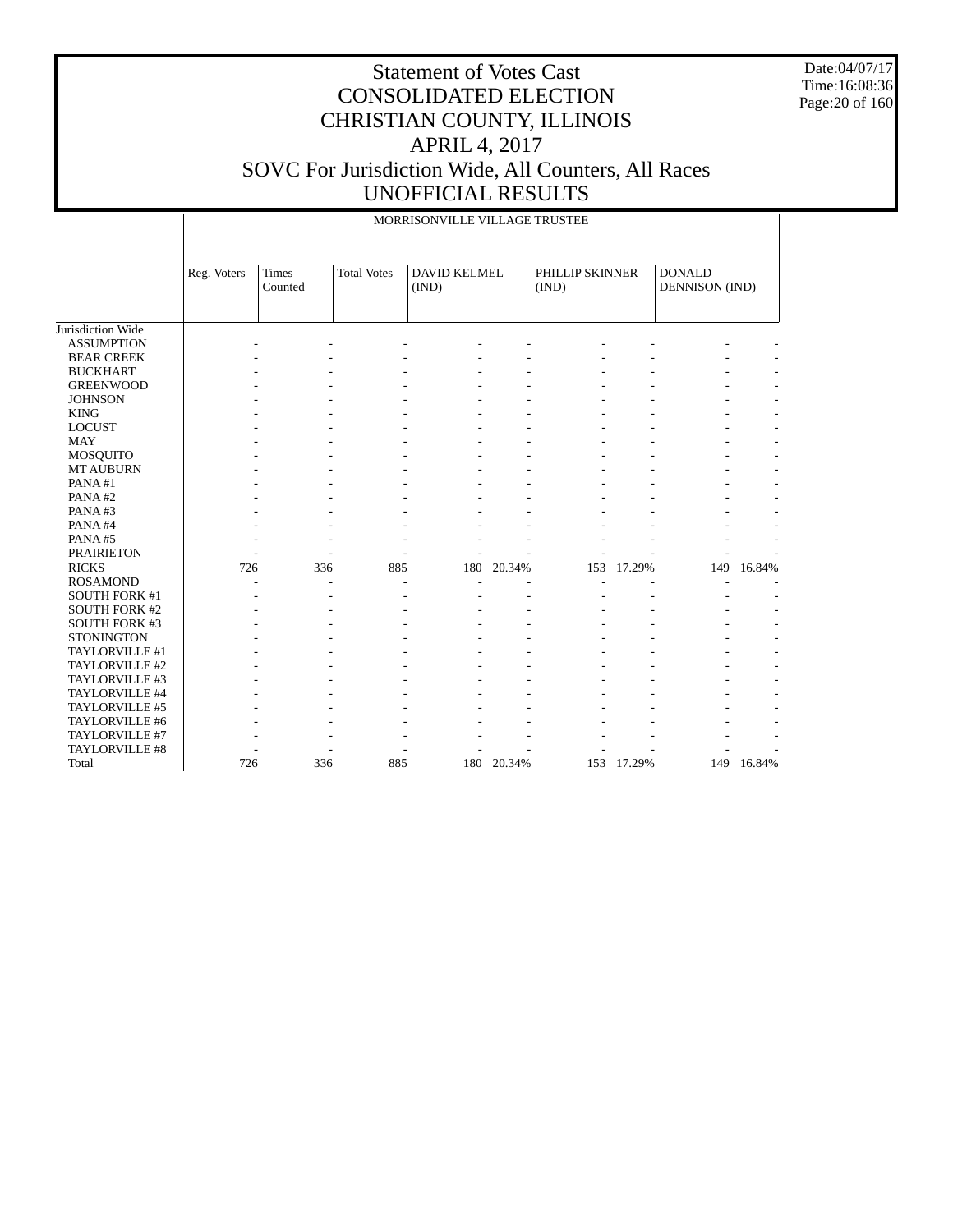Date:04/07/17 Time:16:08:36 Page:20 of 160

|                      |             |                  |                      | MORRISONVILLE VILLAGE TRUSTEE |        |                          |        |                                 |        |
|----------------------|-------------|------------------|----------------------|-------------------------------|--------|--------------------------|--------|---------------------------------|--------|
|                      | Reg. Voters | Times<br>Counted | <b>Total Votes</b>   | <b>DAVID KELMEL</b><br>(IND)  |        | PHILLIP SKINNER<br>(IND) |        | <b>DONALD</b><br>DENNISON (IND) |        |
| Jurisdiction Wide    |             |                  |                      |                               |        |                          |        |                                 |        |
| <b>ASSUMPTION</b>    |             |                  |                      |                               |        |                          |        |                                 |        |
| <b>BEAR CREEK</b>    |             |                  |                      |                               |        |                          |        |                                 |        |
| <b>BUCKHART</b>      |             |                  |                      |                               |        |                          |        |                                 |        |
| <b>GREENWOOD</b>     |             |                  |                      |                               |        |                          |        |                                 |        |
| <b>JOHNSON</b>       |             |                  |                      |                               |        |                          |        |                                 |        |
| <b>KING</b>          |             |                  |                      |                               |        |                          |        |                                 |        |
| <b>LOCUST</b>        |             |                  |                      |                               |        |                          |        |                                 |        |
| <b>MAY</b>           |             |                  |                      |                               |        |                          |        |                                 |        |
| MOSQUITO             |             |                  |                      |                               |        |                          |        |                                 |        |
| <b>MT AUBURN</b>     |             |                  |                      |                               |        |                          |        |                                 |        |
| PANA#1               |             |                  |                      |                               |        |                          |        |                                 |        |
| PANA#2               |             |                  |                      |                               |        |                          |        |                                 |        |
| PANA#3               |             |                  |                      |                               |        |                          |        |                                 |        |
| PANA#4               |             |                  |                      |                               |        |                          |        |                                 |        |
| PANA#5               |             |                  |                      |                               |        |                          |        |                                 |        |
| <b>PRAIRIETON</b>    |             |                  |                      |                               |        |                          |        |                                 |        |
| <b>RICKS</b>         | 726         | 336              | 885                  | 180                           | 20.34% | 153                      | 17.29% | 149                             | 16.84% |
| <b>ROSAMOND</b>      |             |                  | $\overline{a}$<br>÷, |                               |        |                          |        |                                 |        |
| <b>SOUTH FORK #1</b> |             |                  |                      |                               |        |                          |        |                                 |        |
| <b>SOUTH FORK #2</b> |             |                  |                      |                               |        |                          |        |                                 |        |
| <b>SOUTH FORK #3</b> |             |                  |                      |                               |        |                          |        |                                 |        |
| <b>STONINGTON</b>    |             |                  |                      |                               |        |                          |        |                                 |        |
| TAYLORVILLE #1       |             |                  |                      |                               |        |                          |        |                                 |        |
| TAYLORVILLE #2       |             |                  |                      |                               |        |                          |        |                                 |        |
| TAYLORVILLE #3       |             |                  |                      |                               |        |                          |        |                                 |        |
| TAYLORVILLE #4       |             |                  |                      |                               |        |                          |        |                                 |        |
| TAYLORVILLE #5       |             |                  |                      |                               |        |                          |        |                                 |        |
| TAYLORVILLE #6       |             |                  |                      |                               |        |                          |        |                                 |        |
| TAYLORVILLE #7       |             |                  |                      |                               |        |                          |        |                                 |        |
| TAYLORVILLE #8       |             |                  |                      |                               |        |                          |        |                                 |        |
| Total                | 726         | 336              | 885                  | 180                           | 20.34% | 153                      | 17.29% | 149                             | 16.84% |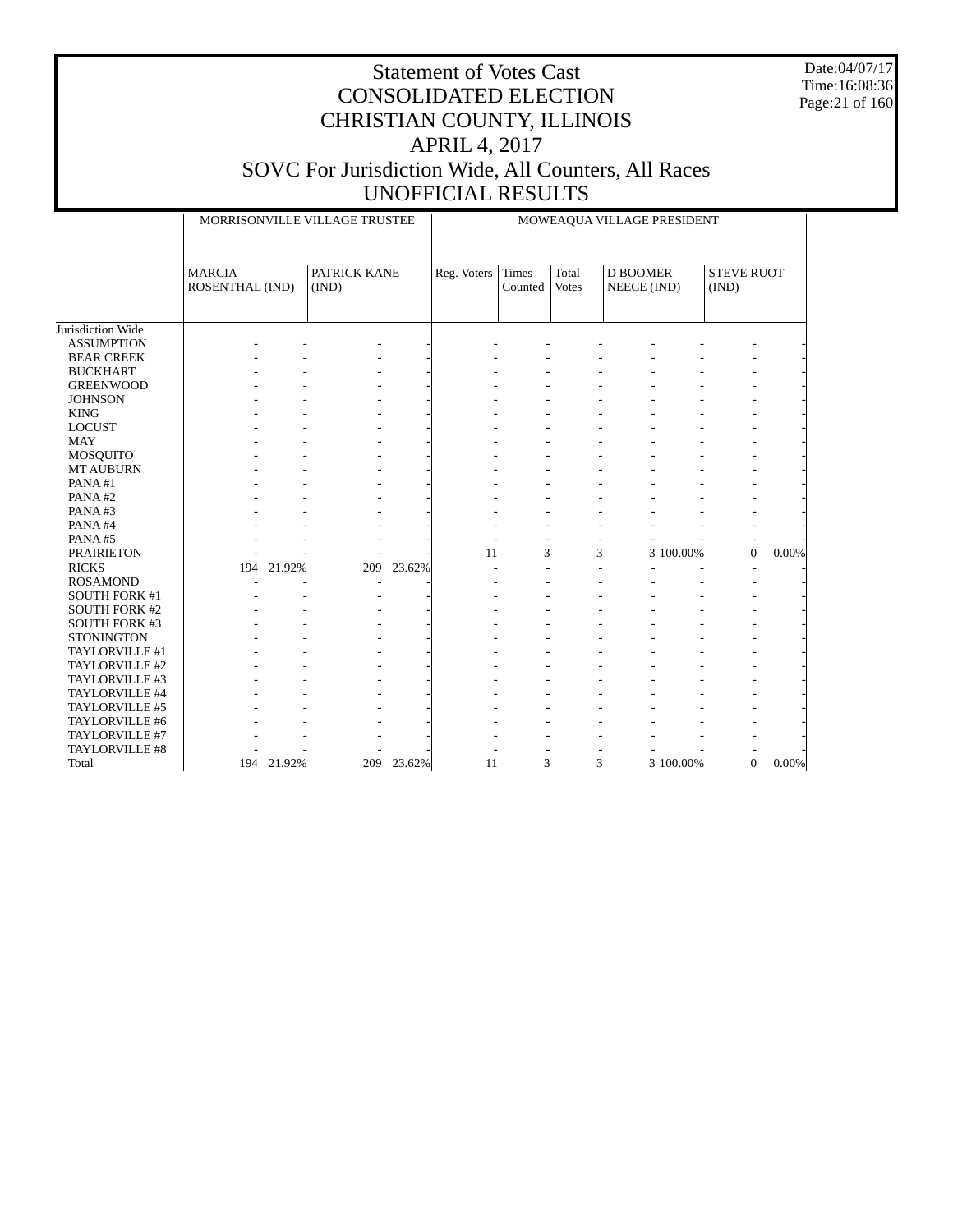Date:04/07/17 Time:16:08:36 Page:21 of 160

|                                     |                                  |            | MORRISONVILLE VILLAGE TRUSTEE |            |             |                  |                       | MOWEAQUA VILLAGE PRESIDENT     |           |                            |       |
|-------------------------------------|----------------------------------|------------|-------------------------------|------------|-------------|------------------|-----------------------|--------------------------------|-----------|----------------------------|-------|
|                                     | <b>MARCIA</b><br>ROSENTHAL (IND) |            | PATRICK KANE<br>(IND)         |            | Reg. Voters | Times<br>Counted | Total<br><b>Votes</b> | <b>D BOOMER</b><br>NEECE (IND) |           | <b>STEVE RUOT</b><br>(IND) |       |
| Jurisdiction Wide                   |                                  |            |                               |            |             |                  |                       |                                |           |                            |       |
| <b>ASSUMPTION</b>                   |                                  |            |                               |            |             |                  |                       |                                |           |                            |       |
| <b>BEAR CREEK</b>                   |                                  |            |                               |            |             |                  |                       |                                |           |                            |       |
| <b>BUCKHART</b>                     |                                  |            |                               |            |             |                  |                       |                                |           |                            |       |
| <b>GREENWOOD</b>                    |                                  |            |                               |            |             |                  |                       |                                |           |                            |       |
| <b>JOHNSON</b>                      |                                  |            |                               |            |             |                  |                       |                                |           |                            |       |
| <b>KING</b>                         |                                  |            |                               |            |             |                  |                       |                                |           |                            |       |
| <b>LOCUST</b>                       |                                  |            |                               |            |             |                  |                       |                                |           |                            |       |
| <b>MAY</b>                          |                                  |            |                               |            |             |                  |                       |                                |           |                            |       |
|                                     |                                  |            |                               |            |             |                  |                       |                                |           |                            |       |
| MOSQUITO<br><b>MT AUBURN</b>        |                                  |            |                               |            |             |                  |                       |                                |           |                            |       |
| PANA#1                              |                                  |            |                               |            |             |                  |                       |                                |           |                            |       |
| PANA#2                              |                                  |            |                               |            |             |                  |                       |                                |           |                            |       |
| PANA#3                              |                                  |            |                               |            |             |                  |                       |                                |           |                            |       |
| PANA#4                              |                                  |            |                               |            |             |                  |                       |                                |           |                            |       |
|                                     |                                  |            |                               |            |             |                  |                       |                                |           |                            |       |
| PANA#5                              |                                  |            |                               |            | 11          |                  |                       |                                |           |                            |       |
| <b>PRAIRIETON</b>                   |                                  |            |                               |            |             | 3                |                       | 3                              | 3 100.00% | $\mathbf{0}$               | 0.00% |
| <b>RICKS</b>                        | 194                              | 21.92%     | 209                           | 23.62%     | ÷           |                  |                       |                                |           |                            |       |
| <b>ROSAMOND</b>                     |                                  |            |                               |            |             |                  |                       |                                |           |                            |       |
| <b>SOUTH FORK #1</b>                |                                  |            |                               |            |             |                  |                       |                                |           |                            |       |
| <b>SOUTH FORK #2</b>                |                                  |            |                               |            |             |                  |                       |                                |           |                            |       |
| <b>SOUTH FORK #3</b>                |                                  |            |                               |            |             |                  |                       |                                |           |                            |       |
| <b>STONINGTON</b><br>TAYLORVILLE #1 |                                  |            |                               |            |             |                  |                       |                                |           |                            |       |
| TAYLORVILLE #2                      |                                  |            |                               |            |             |                  |                       |                                |           |                            |       |
|                                     |                                  |            |                               |            |             |                  |                       |                                |           |                            |       |
| TAYLORVILLE #3                      |                                  |            |                               |            |             |                  |                       |                                |           |                            |       |
| TAYLORVILLE #4                      |                                  |            |                               |            |             |                  |                       |                                |           |                            |       |
| TAYLORVILLE #5                      |                                  |            |                               |            |             |                  |                       |                                |           |                            |       |
| TAYLORVILLE #6                      |                                  |            |                               |            |             |                  |                       |                                |           |                            |       |
| TAYLORVILLE #7                      |                                  |            |                               |            |             |                  |                       |                                |           |                            |       |
| TAYLORVILLE #8                      |                                  | 194 21.92% |                               | 209 23.62% | 11          |                  | 3                     | 3                              | 3 100.00% | $\Omega$                   | 0.00% |
| Total                               |                                  |            |                               |            |             |                  |                       |                                |           |                            |       |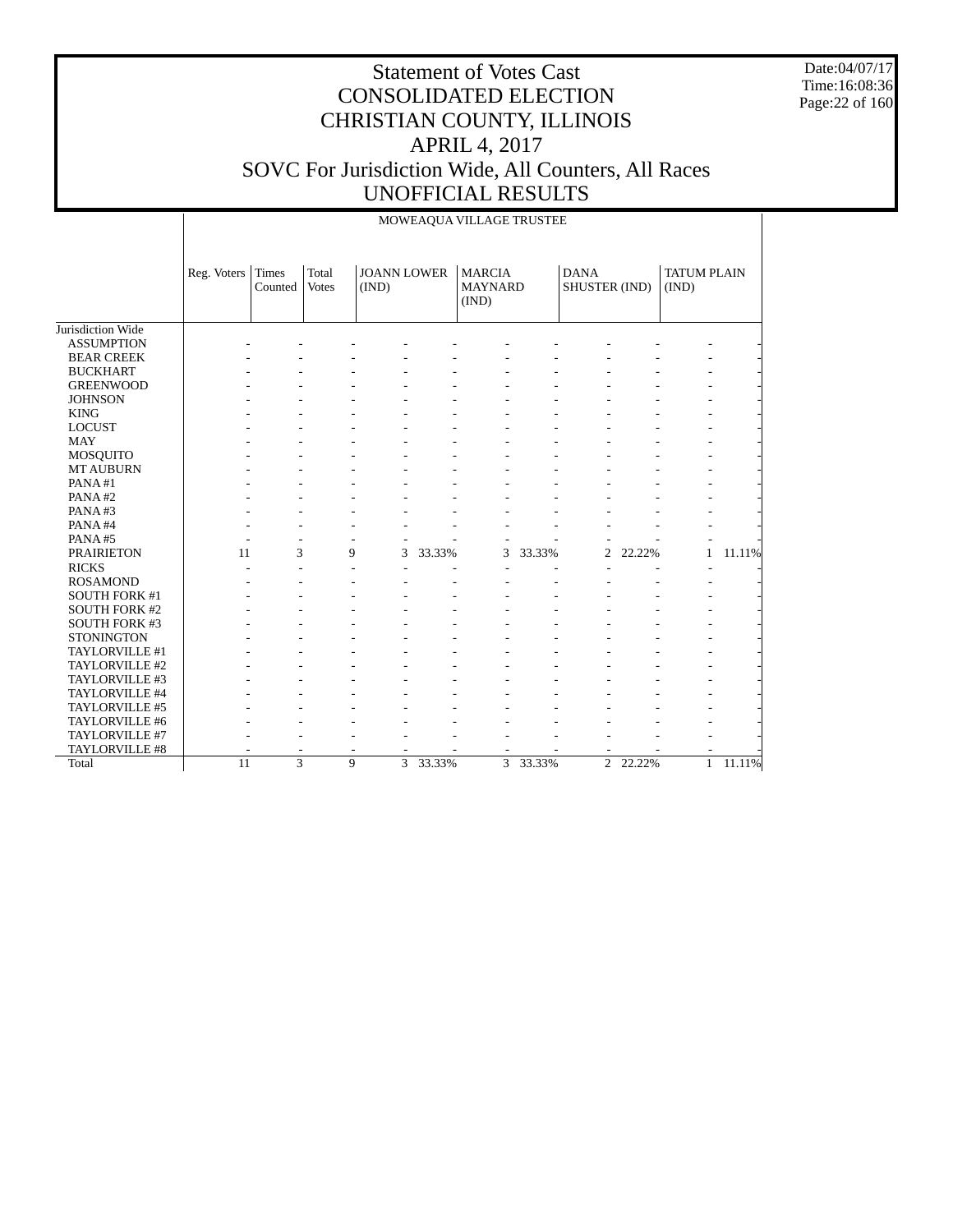Date:04/07/17 Time:16:08:36 Page:22 of 160

|                      |             |                  |                       |                             |        | MOWEAQUA VILLAGE TRUSTEE                 |        |                              |        |                             |        |
|----------------------|-------------|------------------|-----------------------|-----------------------------|--------|------------------------------------------|--------|------------------------------|--------|-----------------------------|--------|
|                      | Reg. Voters | Times<br>Counted | Total<br><b>Votes</b> | <b>JOANN LOWER</b><br>(IND) |        | <b>MARCIA</b><br><b>MAYNARD</b><br>(IND) |        | <b>DANA</b><br>SHUSTER (IND) |        | <b>TATUM PLAIN</b><br>(IND) |        |
| Jurisdiction Wide    |             |                  |                       |                             |        |                                          |        |                              |        |                             |        |
| <b>ASSUMPTION</b>    |             |                  |                       |                             |        |                                          |        |                              |        |                             |        |
| <b>BEAR CREEK</b>    |             |                  |                       |                             |        |                                          |        |                              |        |                             |        |
| <b>BUCKHART</b>      |             |                  |                       |                             |        |                                          |        |                              |        |                             |        |
| <b>GREENWOOD</b>     |             |                  |                       |                             |        |                                          |        |                              |        |                             |        |
| <b>JOHNSON</b>       |             |                  |                       |                             |        |                                          |        |                              |        |                             |        |
| <b>KING</b>          |             |                  |                       |                             |        |                                          |        |                              |        |                             |        |
| <b>LOCUST</b>        |             |                  |                       |                             |        |                                          |        |                              |        |                             |        |
| <b>MAY</b>           |             |                  |                       |                             |        |                                          |        |                              |        |                             |        |
| <b>MOSQUITO</b>      |             |                  |                       |                             |        |                                          |        |                              |        |                             |        |
| <b>MT AUBURN</b>     |             |                  |                       |                             |        |                                          |        |                              |        |                             |        |
| PANA#1               |             |                  |                       |                             |        |                                          |        |                              |        |                             |        |
| PANA#2               |             |                  |                       |                             |        |                                          |        |                              |        |                             |        |
| PANA#3               |             |                  |                       |                             |        |                                          |        |                              |        |                             |        |
| PANA#4               |             |                  |                       |                             |        |                                          |        |                              |        |                             |        |
| PANA#5               |             |                  |                       |                             |        |                                          |        |                              |        |                             |        |
| <b>PRAIRIETON</b>    | 11          | 3                |                       | 9<br>3                      | 33.33% | 3                                        | 33.33% | $\overline{c}$               | 22.22% | 1                           | 11.11% |
| <b>RICKS</b>         |             |                  |                       |                             |        |                                          |        |                              |        |                             |        |
| <b>ROSAMOND</b>      |             |                  |                       |                             |        |                                          |        |                              |        |                             |        |
| <b>SOUTH FORK #1</b> |             |                  |                       |                             |        |                                          |        |                              |        |                             |        |
| <b>SOUTH FORK #2</b> |             |                  |                       |                             |        |                                          |        |                              |        |                             |        |
| <b>SOUTH FORK #3</b> |             |                  |                       |                             |        |                                          |        |                              |        |                             |        |
| <b>STONINGTON</b>    |             |                  |                       |                             |        |                                          |        |                              |        |                             |        |
| TAYLORVILLE #1       |             |                  |                       |                             |        |                                          |        |                              |        |                             |        |
| TAYLORVILLE #2       |             |                  |                       |                             |        |                                          |        |                              |        |                             |        |
| TAYLORVILLE #3       |             |                  |                       |                             |        |                                          |        |                              |        |                             |        |
| TAYLORVILLE #4       |             |                  |                       |                             |        |                                          |        |                              |        |                             |        |
| TAYLORVILLE #5       |             |                  |                       |                             |        |                                          |        |                              |        |                             |        |
| TAYLORVILLE #6       |             |                  |                       |                             |        |                                          |        |                              |        |                             |        |
| TAYLORVILLE #7       |             |                  |                       |                             |        |                                          |        |                              |        |                             |        |
| TAYLORVILLE #8       |             |                  |                       |                             |        |                                          |        |                              |        |                             |        |
| Total                | 11          | $\overline{3}$   |                       | $\mathbf Q$<br>3            | 33.33% | $\overline{3}$                           | 33.33% | $\overline{2}$               | 22.22% | $\mathbf{1}$                | 11.11% |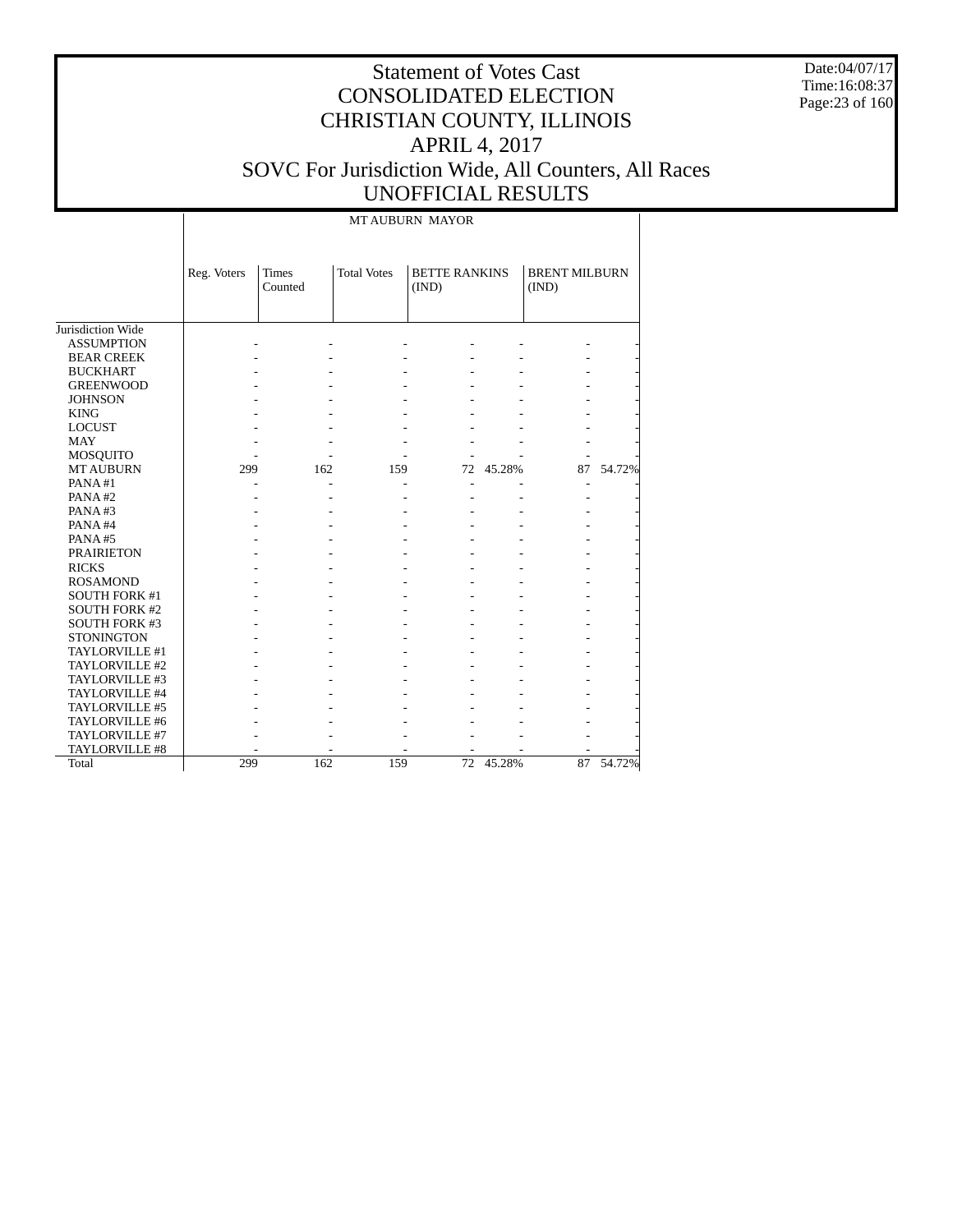Date:04/07/17 Time:16:08:37 Page:23 of 160

# Statement of Votes Cast CONSOLIDATED ELECTION CHRISTIAN COUNTY, ILLINOIS APRIL 4, 2017 SOVC For Jurisdiction Wide, All Counters, All Races UNOFFICIAL RESULTS

MT AUBURN MAYOR

|                      | Reg. Voters | <b>Times</b><br>Counted | <b>Total Votes</b> | <b>BETTE RANKINS</b><br>(IND) |        | <b>BRENT MILBURN</b><br>(IND) |        |
|----------------------|-------------|-------------------------|--------------------|-------------------------------|--------|-------------------------------|--------|
| Jurisdiction Wide    |             |                         |                    |                               |        |                               |        |
| <b>ASSUMPTION</b>    |             |                         |                    |                               |        |                               |        |
| <b>BEAR CREEK</b>    |             |                         |                    |                               |        |                               |        |
| <b>BUCKHART</b>      |             |                         |                    |                               |        |                               |        |
| <b>GREENWOOD</b>     |             |                         |                    |                               |        |                               |        |
| <b>JOHNSON</b>       |             |                         |                    |                               |        |                               |        |
| <b>KING</b>          |             |                         |                    |                               |        |                               |        |
| <b>LOCUST</b>        |             |                         |                    |                               |        |                               |        |
| <b>MAY</b>           |             |                         |                    |                               |        |                               |        |
| <b>MOSQUITO</b>      |             |                         |                    |                               |        |                               |        |
| <b>MT AUBURN</b>     | 299         | 162                     | 159                | 72                            | 45.28% | 87                            | 54.72% |
| PANA#1               |             |                         |                    |                               |        |                               |        |
| PANA#2               |             |                         |                    |                               |        |                               |        |
| PANA#3               |             |                         |                    |                               |        |                               |        |
| PANA#4               |             |                         |                    |                               |        |                               |        |
| PANA#5               |             |                         |                    |                               |        |                               |        |
| <b>PRAIRIETON</b>    |             |                         |                    |                               |        |                               |        |
| <b>RICKS</b>         |             |                         |                    |                               |        |                               |        |
| <b>ROSAMOND</b>      |             |                         |                    |                               |        |                               |        |
| <b>SOUTH FORK #1</b> |             |                         |                    |                               |        |                               |        |
| <b>SOUTH FORK #2</b> |             |                         |                    |                               |        |                               |        |
| <b>SOUTH FORK #3</b> |             |                         |                    |                               |        |                               |        |
| <b>STONINGTON</b>    |             |                         |                    |                               |        |                               |        |
| TAYLORVILLE #1       |             |                         |                    |                               |        |                               |        |
| TAYLORVILLE #2       |             |                         |                    |                               |        |                               |        |
| TAYLORVILLE #3       |             |                         |                    |                               |        |                               |        |
| TAYLORVILLE #4       |             |                         |                    |                               |        |                               |        |
| TAYLORVILLE #5       |             |                         |                    |                               |        |                               |        |
| TAYLORVILLE #6       |             |                         |                    |                               |        |                               |        |
| TAYLORVILLE #7       |             |                         |                    |                               |        |                               |        |
| TAYLORVILLE #8       |             |                         |                    |                               |        |                               |        |
| Total                | 299         | 162                     | 159                | 72                            | 45.28% | 87                            | 54.72% |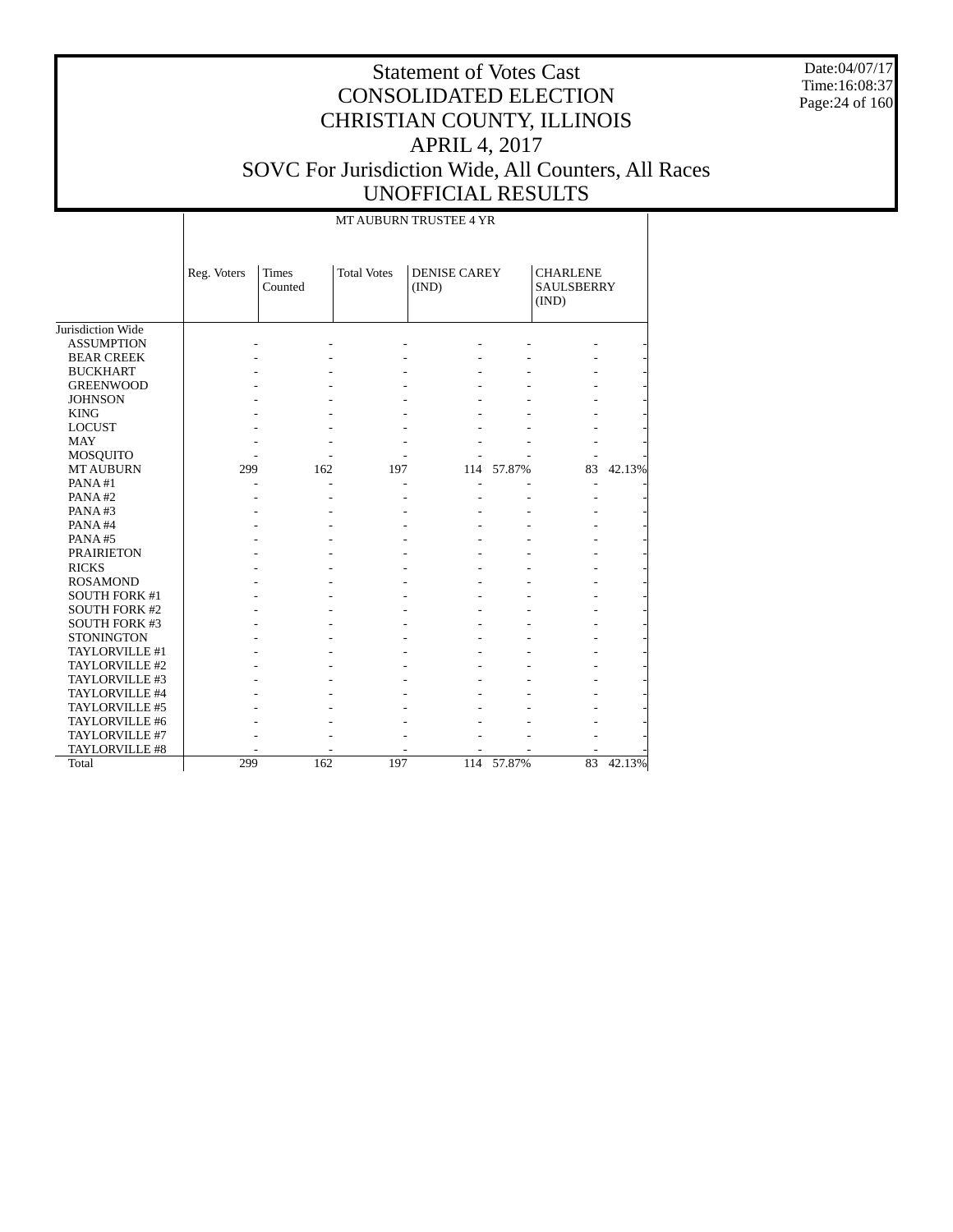Date:04/07/17 Time:16:08:37 Page:24 of 160

|                      |                                        |     |                    | MT AUBURN TRUSTEE 4 YR       |        |                                               |        |  |
|----------------------|----------------------------------------|-----|--------------------|------------------------------|--------|-----------------------------------------------|--------|--|
|                      | Reg. Voters<br><b>Times</b><br>Counted |     | <b>Total Votes</b> | <b>DENISE CAREY</b><br>(IND) |        | <b>CHARLENE</b><br><b>SAULSBERRY</b><br>(IND) |        |  |
| Jurisdiction Wide    |                                        |     |                    |                              |        |                                               |        |  |
| <b>ASSUMPTION</b>    |                                        |     |                    |                              |        |                                               |        |  |
| <b>BEAR CREEK</b>    |                                        |     |                    |                              |        |                                               |        |  |
| <b>BUCKHART</b>      |                                        |     |                    |                              |        |                                               |        |  |
| <b>GREENWOOD</b>     |                                        |     |                    |                              |        |                                               |        |  |
| <b>JOHNSON</b>       |                                        |     |                    |                              |        |                                               |        |  |
| <b>KING</b>          |                                        |     |                    |                              |        |                                               |        |  |
| <b>LOCUST</b>        |                                        |     |                    |                              |        |                                               |        |  |
| <b>MAY</b>           |                                        |     |                    |                              |        |                                               |        |  |
| <b>MOSQUITO</b>      |                                        |     |                    |                              |        |                                               |        |  |
| <b>MT AUBURN</b>     | 299                                    | 162 | 197                | 114                          | 57.87% | 83                                            | 42.13% |  |
| PANA#1               |                                        |     |                    |                              |        | $\overline{\phantom{a}}$                      |        |  |
| PANA#2               |                                        |     |                    |                              |        |                                               |        |  |
| PANA#3               |                                        |     |                    |                              |        |                                               |        |  |
| PANA#4               |                                        |     |                    |                              |        |                                               |        |  |
| PANA#5               |                                        |     |                    |                              |        |                                               |        |  |
| <b>PRAIRIETON</b>    |                                        |     |                    |                              |        |                                               |        |  |
| <b>RICKS</b>         |                                        |     |                    |                              |        |                                               |        |  |
| <b>ROSAMOND</b>      |                                        |     |                    |                              |        |                                               |        |  |
| <b>SOUTH FORK #1</b> |                                        |     |                    |                              |        |                                               |        |  |
| <b>SOUTH FORK #2</b> |                                        |     |                    |                              |        |                                               |        |  |
| <b>SOUTH FORK #3</b> |                                        |     |                    |                              |        |                                               |        |  |
| <b>STONINGTON</b>    |                                        |     |                    |                              |        |                                               |        |  |
| TAYLORVILLE #1       |                                        |     |                    |                              |        |                                               |        |  |
| TAYLORVILLE #2       |                                        |     |                    |                              |        |                                               |        |  |
| TAYLORVILLE #3       |                                        |     |                    |                              |        |                                               |        |  |
| TAYLORVILLE #4       |                                        |     |                    |                              |        |                                               |        |  |
| TAYLORVILLE #5       |                                        |     |                    |                              |        |                                               |        |  |
| TAYLORVILLE #6       |                                        |     |                    |                              |        |                                               |        |  |
| TAYLORVILLE #7       |                                        |     |                    |                              |        |                                               |        |  |
| TAYLORVILLE #8       |                                        |     |                    |                              |        |                                               |        |  |
| Total                | 299                                    | 162 | 197                | 114                          | 57.87% | 83                                            | 42.13% |  |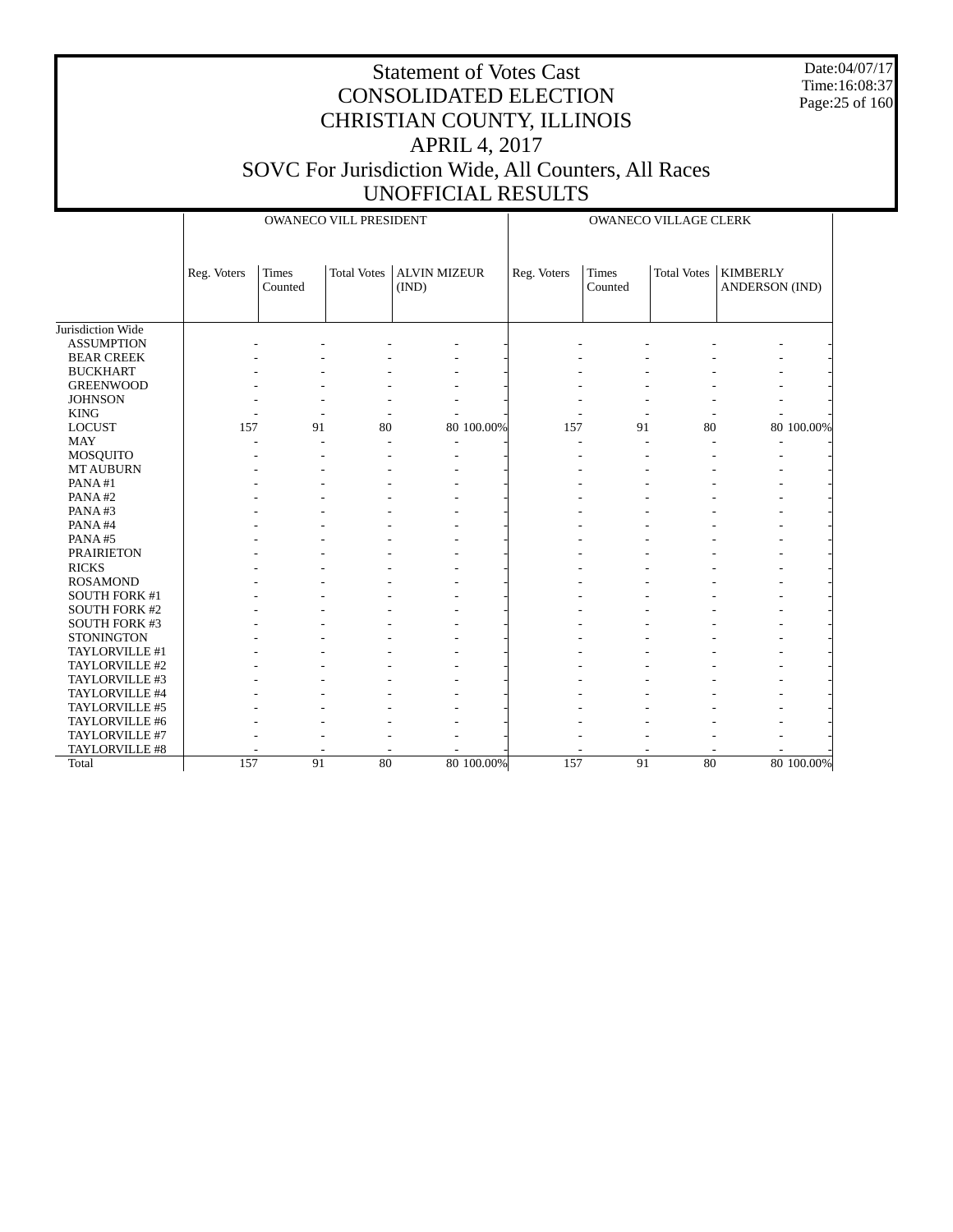Date:04/07/17 Time:16:08:37 Page:25 of 160

|                      |             |                         | OWANECO VILL PRESIDENT |                              |             |                  | OWANECO VILLAGE CLERK |                                          |            |
|----------------------|-------------|-------------------------|------------------------|------------------------------|-------------|------------------|-----------------------|------------------------------------------|------------|
|                      | Reg. Voters | <b>Times</b><br>Counted | <b>Total Votes</b>     | <b>ALVIN MIZEUR</b><br>(IND) | Reg. Voters | Times<br>Counted | <b>Total Votes</b>    | <b>KIMBERLY</b><br><b>ANDERSON</b> (IND) |            |
| Jurisdiction Wide    |             |                         |                        |                              |             |                  |                       |                                          |            |
| <b>ASSUMPTION</b>    |             |                         |                        |                              |             |                  |                       |                                          |            |
| <b>BEAR CREEK</b>    |             |                         |                        |                              |             |                  |                       |                                          |            |
| <b>BUCKHART</b>      |             |                         |                        |                              |             |                  |                       |                                          |            |
| <b>GREENWOOD</b>     |             |                         |                        |                              |             |                  |                       |                                          |            |
| <b>JOHNSON</b>       |             |                         |                        |                              |             |                  |                       |                                          |            |
| <b>KING</b>          |             |                         |                        |                              |             |                  |                       |                                          |            |
| <b>LOCUST</b>        | 157         | 91                      | 80                     | 80 100.00%                   | 157         | 91               | 80                    |                                          | 80 100.00% |
| <b>MAY</b>           |             |                         |                        |                              |             |                  |                       |                                          |            |
| MOSQUITO             |             |                         |                        |                              |             |                  |                       |                                          |            |
| <b>MT AUBURN</b>     |             |                         |                        |                              |             |                  |                       |                                          |            |
| PANA#1               |             |                         |                        |                              |             |                  |                       |                                          |            |
| PANA#2               |             |                         |                        |                              |             |                  |                       |                                          |            |
| PANA#3               |             |                         |                        |                              |             |                  |                       |                                          |            |
| PANA#4               |             |                         |                        |                              |             |                  |                       |                                          |            |
| PANA#5               |             |                         |                        |                              |             |                  |                       |                                          |            |
| <b>PRAIRIETON</b>    |             |                         |                        |                              |             |                  |                       |                                          |            |
| <b>RICKS</b>         |             |                         |                        |                              |             |                  |                       |                                          |            |
| <b>ROSAMOND</b>      |             |                         |                        |                              |             |                  |                       |                                          |            |
| <b>SOUTH FORK #1</b> |             |                         |                        |                              |             |                  |                       |                                          |            |
| <b>SOUTH FORK #2</b> |             |                         |                        |                              |             |                  |                       |                                          |            |
| SOUTH FORK #3        |             |                         |                        |                              |             |                  |                       |                                          |            |
| <b>STONINGTON</b>    |             |                         |                        |                              |             |                  |                       |                                          |            |
| TAYLORVILLE #1       |             |                         |                        |                              |             |                  |                       |                                          |            |
| TAYLORVILLE #2       |             |                         |                        |                              |             |                  |                       |                                          |            |
| TAYLORVILLE #3       |             |                         |                        |                              |             |                  |                       |                                          |            |
| TAYLORVILLE #4       |             |                         |                        |                              |             |                  |                       |                                          |            |
| TAYLORVILLE #5       |             |                         |                        |                              |             |                  |                       |                                          |            |
| TAYLORVILLE #6       |             |                         |                        |                              |             |                  |                       |                                          |            |
| TAYLORVILLE #7       |             |                         |                        |                              |             |                  |                       |                                          |            |
| TAYLORVILLE #8       |             |                         |                        |                              |             |                  |                       |                                          |            |
| Total                | 157         | 91                      | 80                     | 80 100.00%                   | 157         | 91               | 80                    |                                          | 80 100.00% |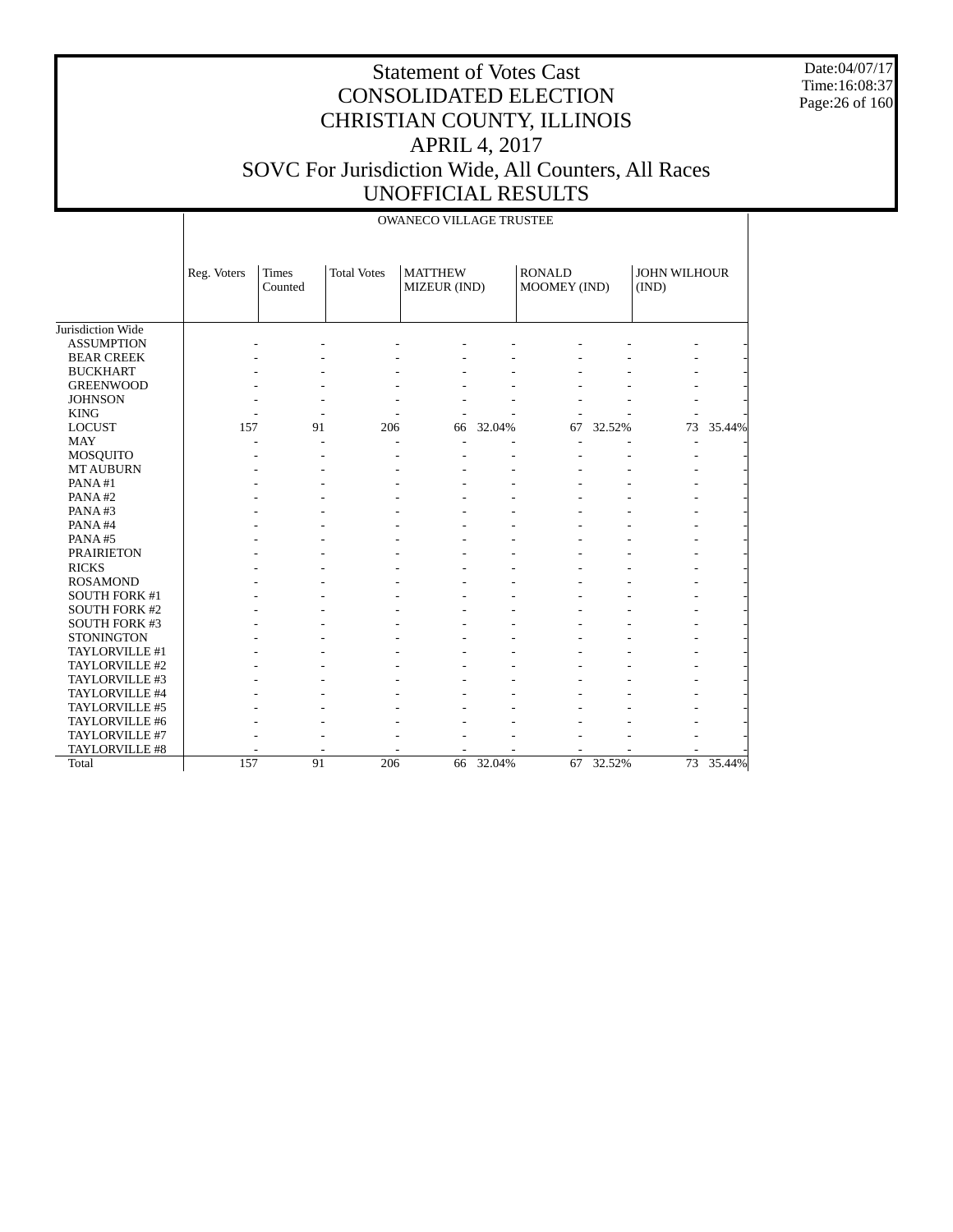Date:04/07/17 Time:16:08:37 Page:26 of 160

|                      |             | <b>OWANECO VILLAGE TRUSTEE</b> |                    |                                |        |                               |        |                       |           |  |  |
|----------------------|-------------|--------------------------------|--------------------|--------------------------------|--------|-------------------------------|--------|-----------------------|-----------|--|--|
|                      | Reg. Voters | Times<br>Counted               | <b>Total Votes</b> | <b>MATTHEW</b><br>MIZEUR (IND) |        | <b>RONALD</b><br>MOOMEY (IND) |        | JOHN WILHOUR<br>(IND) |           |  |  |
| Jurisdiction Wide    |             |                                |                    |                                |        |                               |        |                       |           |  |  |
| <b>ASSUMPTION</b>    |             |                                |                    |                                |        |                               |        |                       |           |  |  |
| <b>BEAR CREEK</b>    |             |                                |                    |                                |        |                               |        |                       |           |  |  |
| <b>BUCKHART</b>      |             |                                |                    |                                |        |                               |        |                       |           |  |  |
| <b>GREENWOOD</b>     |             |                                |                    |                                |        |                               |        |                       |           |  |  |
| <b>JOHNSON</b>       |             |                                |                    |                                |        |                               |        |                       |           |  |  |
| <b>KING</b>          |             |                                |                    |                                |        |                               |        |                       |           |  |  |
| <b>LOCUST</b>        | 157         | 91                             | 206                | 66                             | 32.04% | 67                            | 32.52% | 73                    | 35.44%    |  |  |
| <b>MAY</b>           |             |                                |                    | ٠                              |        |                               |        | ٠                     |           |  |  |
| <b>MOSQUITO</b>      |             |                                |                    |                                |        |                               |        |                       |           |  |  |
| <b>MT AUBURN</b>     |             |                                |                    |                                |        |                               |        |                       |           |  |  |
| PANA#1               |             |                                |                    |                                |        |                               |        |                       |           |  |  |
| PANA#2               |             |                                |                    |                                |        |                               |        |                       |           |  |  |
| PANA#3               |             |                                |                    |                                |        |                               |        |                       |           |  |  |
| PANA#4               |             |                                |                    |                                |        |                               |        |                       |           |  |  |
| PANA#5               |             |                                |                    |                                |        |                               |        |                       |           |  |  |
| <b>PRAIRIETON</b>    |             |                                |                    |                                |        |                               |        |                       |           |  |  |
| <b>RICKS</b>         |             |                                |                    |                                |        |                               |        |                       |           |  |  |
| <b>ROSAMOND</b>      |             |                                |                    |                                |        |                               |        |                       |           |  |  |
| <b>SOUTH FORK #1</b> |             |                                |                    |                                |        |                               |        |                       |           |  |  |
| <b>SOUTH FORK #2</b> |             |                                |                    |                                |        |                               |        |                       |           |  |  |
| <b>SOUTH FORK #3</b> |             |                                |                    |                                |        |                               |        |                       |           |  |  |
| <b>STONINGTON</b>    |             |                                |                    |                                |        |                               |        |                       |           |  |  |
| TAYLORVILLE #1       |             |                                |                    |                                |        |                               |        |                       |           |  |  |
| TAYLORVILLE #2       |             |                                |                    |                                |        |                               |        |                       |           |  |  |
| TAYLORVILLE #3       |             |                                |                    |                                |        |                               |        |                       |           |  |  |
| TAYLORVILLE #4       |             |                                |                    |                                |        |                               |        |                       |           |  |  |
| TAYLORVILLE #5       |             |                                |                    |                                |        |                               |        |                       |           |  |  |
| TAYLORVILLE #6       |             |                                |                    |                                |        |                               |        |                       |           |  |  |
| TAYLORVILLE #7       |             |                                |                    |                                |        |                               |        |                       |           |  |  |
| TAYLORVILLE #8       |             |                                |                    |                                |        |                               |        |                       |           |  |  |
| Total                | 157         | 91                             | 206                | 66                             | 32.04% | 67                            | 32.52% |                       | 73 35.44% |  |  |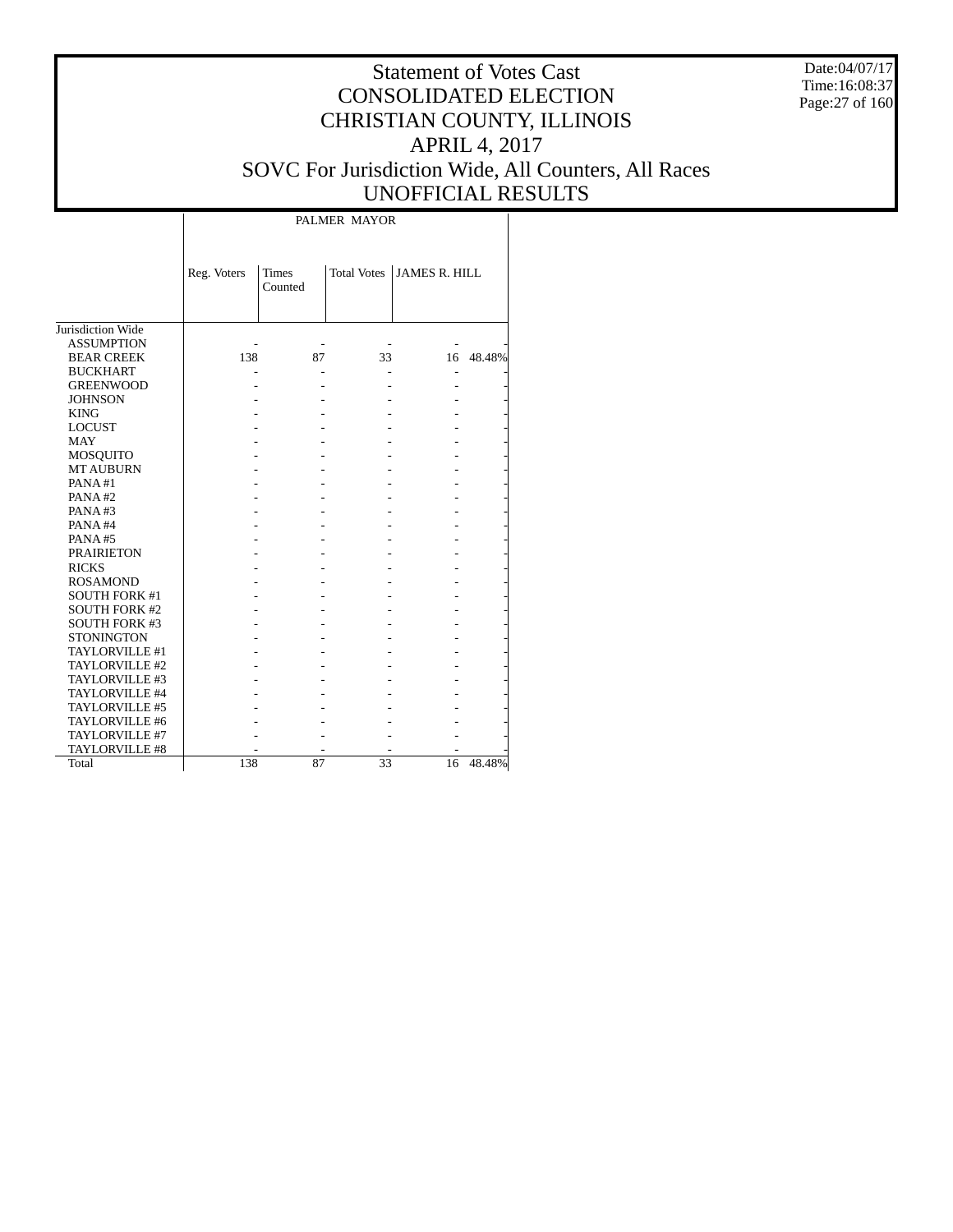Date:04/07/17 Time:16:08:37 Page:27 of 160

# Statement of Votes Cast CONSOLIDATED ELECTION CHRISTIAN COUNTY, ILLINOIS APRIL 4, 2017 SOVC For Jurisdiction Wide, All Counters, All Races UNOFFICIAL RESULTS

Τ

|                      | Reg. Voters | Times<br>Counted | <b>Total Votes</b> | <b>JAMES R. HILL</b> |           |
|----------------------|-------------|------------------|--------------------|----------------------|-----------|
| Jurisdiction Wide    |             |                  |                    |                      |           |
| <b>ASSUMPTION</b>    |             |                  |                    |                      |           |
| <b>BEAR CREEK</b>    | 138         | 87               | 33                 |                      | 16 48.48% |
| <b>BUCKHART</b>      |             |                  |                    |                      |           |
| <b>GREENWOOD</b>     |             |                  |                    |                      |           |
| <b>JOHNSON</b>       |             |                  |                    |                      |           |
| <b>KING</b>          |             |                  |                    |                      |           |
| <b>LOCUST</b>        |             |                  |                    |                      |           |
|                      |             |                  |                    |                      |           |
| <b>MAY</b>           |             |                  |                    |                      |           |
| <b>MOSQUITO</b>      |             |                  |                    |                      |           |
| <b>MT AUBURN</b>     |             |                  |                    |                      |           |
| PANA#1               |             |                  |                    |                      |           |
| PANA#2               |             |                  |                    |                      |           |
| PANA#3               |             |                  |                    |                      |           |
| PANA#4               |             |                  |                    |                      |           |
| PANA#5               |             |                  |                    |                      |           |
| <b>PRAIRIETON</b>    |             |                  |                    |                      |           |
| <b>RICKS</b>         |             |                  |                    |                      |           |
| <b>ROSAMOND</b>      |             |                  |                    |                      |           |
| <b>SOUTH FORK #1</b> |             |                  |                    |                      |           |
| <b>SOUTH FORK #2</b> |             |                  |                    |                      |           |
| <b>SOUTH FORK #3</b> |             |                  |                    |                      |           |
| <b>STONINGTON</b>    |             |                  |                    |                      |           |
| TAYLORVILLE #1       |             |                  |                    |                      |           |
| TAYLORVILLE #2       |             |                  |                    |                      |           |
| TAYLORVILLE #3       |             |                  |                    |                      |           |
| TAYLORVILLE #4       |             |                  |                    |                      |           |
| TAYLORVILLE #5       |             |                  |                    |                      |           |
| TAYLORVILLE #6       |             |                  |                    |                      |           |
| TAYLORVILLE #7       |             |                  |                    |                      |           |
| TAYLORVILLE #8       |             |                  |                    |                      |           |
| Total                | 138         | 87               | 33                 | 16                   | 48.48%    |

 $\overline{\phantom{a}}$ 

PALMER MAYOR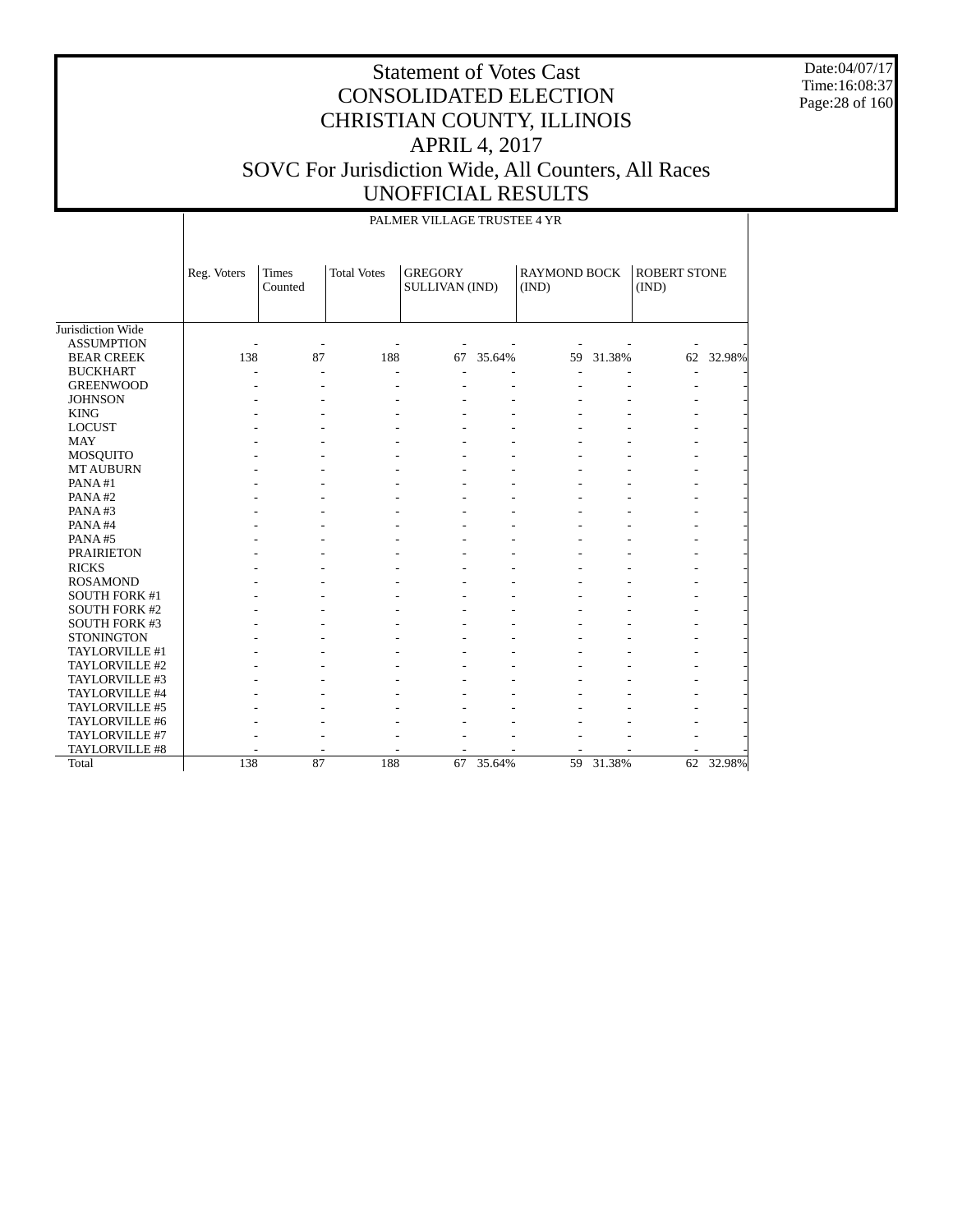Date:04/07/17 Time:16:08:37 Page:28 of 160

|                      |             | PALMER VILLAGE TRUSTEE 4 YR |                    |                                  |        |                              |           |                              |           |  |
|----------------------|-------------|-----------------------------|--------------------|----------------------------------|--------|------------------------------|-----------|------------------------------|-----------|--|
|                      | Reg. Voters | <b>Times</b><br>Counted     | <b>Total Votes</b> | <b>GREGORY</b><br>SULLIVAN (IND) |        | <b>RAYMOND BOCK</b><br>(IND) |           | <b>ROBERT STONE</b><br>(IND) |           |  |
| Jurisdiction Wide    |             |                             |                    |                                  |        |                              |           |                              |           |  |
| <b>ASSUMPTION</b>    |             | ٠                           |                    |                                  |        |                              |           |                              |           |  |
| <b>BEAR CREEK</b>    | 138         | 87                          | 188                | 67                               | 35.64% |                              | 59 31.38% |                              | 62 32.98% |  |
| <b>BUCKHART</b>      |             | ٠                           |                    |                                  |        |                              |           |                              |           |  |
| <b>GREENWOOD</b>     |             |                             |                    |                                  |        |                              |           |                              |           |  |
| <b>JOHNSON</b>       |             |                             |                    |                                  |        |                              |           |                              |           |  |
| <b>KING</b>          |             |                             |                    |                                  |        |                              |           |                              |           |  |
| <b>LOCUST</b>        |             |                             |                    |                                  |        |                              |           |                              |           |  |
| <b>MAY</b>           |             |                             |                    |                                  |        |                              |           |                              |           |  |
| <b>MOSQUITO</b>      |             |                             |                    |                                  |        |                              |           |                              |           |  |
| <b>MT AUBURN</b>     |             |                             |                    |                                  |        |                              |           |                              |           |  |
| PANA#1               |             |                             |                    |                                  |        |                              |           |                              |           |  |
| PANA#2               |             |                             |                    |                                  |        |                              |           |                              |           |  |
| PANA#3               |             |                             |                    |                                  |        |                              |           |                              |           |  |
| PANA#4               |             |                             |                    |                                  |        |                              |           |                              |           |  |
| PANA#5               |             |                             |                    |                                  |        |                              |           |                              |           |  |
| <b>PRAIRIETON</b>    |             |                             |                    |                                  |        |                              |           |                              |           |  |
| <b>RICKS</b>         |             |                             |                    |                                  |        |                              |           |                              |           |  |
| <b>ROSAMOND</b>      |             |                             |                    |                                  |        |                              |           |                              |           |  |
| <b>SOUTH FORK #1</b> |             |                             |                    |                                  |        |                              |           |                              |           |  |
| <b>SOUTH FORK #2</b> |             |                             |                    |                                  |        |                              |           |                              |           |  |
| <b>SOUTH FORK #3</b> |             |                             |                    |                                  |        |                              |           |                              |           |  |
| <b>STONINGTON</b>    |             |                             |                    |                                  |        |                              |           |                              |           |  |
| TAYLORVILLE #1       |             |                             |                    |                                  |        |                              |           |                              |           |  |
| TAYLORVILLE #2       |             |                             |                    |                                  |        |                              |           |                              |           |  |
| TAYLORVILLE #3       |             |                             |                    |                                  |        |                              |           |                              |           |  |
| TAYLORVILLE #4       |             |                             |                    |                                  |        |                              |           |                              |           |  |
| TAYLORVILLE #5       |             |                             |                    |                                  |        |                              |           |                              |           |  |
| TAYLORVILLE #6       |             |                             |                    |                                  |        |                              |           |                              |           |  |
| TAYLORVILLE #7       |             |                             |                    |                                  |        |                              |           |                              |           |  |
| TAYLORVILLE #8       |             |                             |                    |                                  |        |                              |           |                              |           |  |
| Total                | 138         | 87                          | 188                | 67                               | 35.64% | 59                           | 31.38%    |                              | 62 32.98% |  |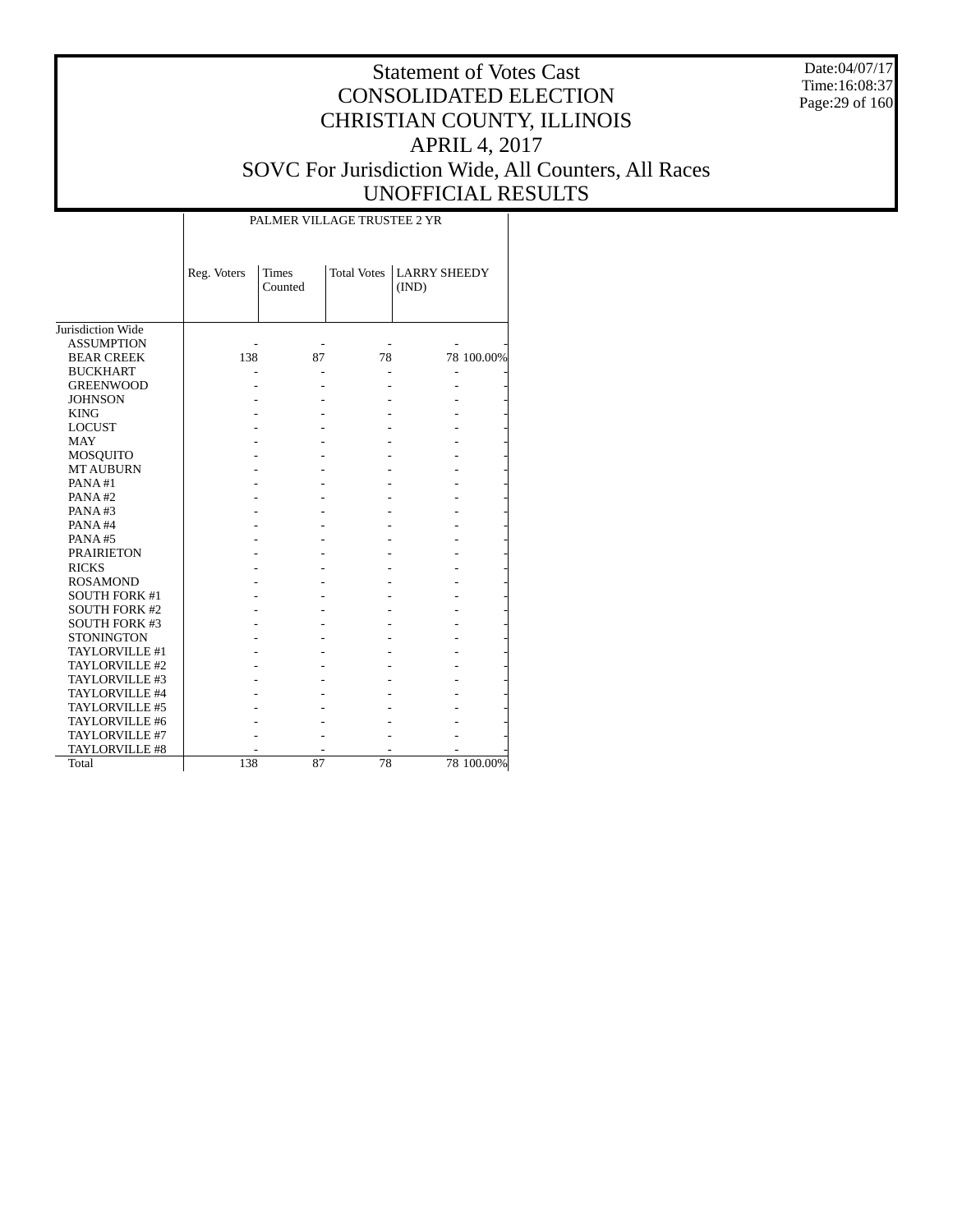Date:04/07/17 Time:16:08:37 Page:29 of 160

# Statement of Votes Cast CONSOLIDATED ELECTION CHRISTIAN COUNTY, ILLINOIS APRIL 4, 2017 SOVC For Jurisdiction Wide, All Counters, All Races UNOFFICIAL RESULTS

|                      | Reg. Voters | <b>Times</b><br>Counted | <b>Total Votes</b> | <b>LARRY SHEEDY</b><br>(IND) |            |
|----------------------|-------------|-------------------------|--------------------|------------------------------|------------|
| Jurisdiction Wide    |             |                         |                    |                              |            |
| <b>ASSUMPTION</b>    |             |                         |                    |                              |            |
| <b>BEAR CREEK</b>    | 138         | 87                      | 78                 |                              | 78 100.00% |
| <b>BUCKHART</b>      |             |                         |                    |                              |            |
| <b>GREENWOOD</b>     |             |                         |                    |                              |            |
| <b>JOHNSON</b>       |             |                         |                    |                              |            |
| <b>KING</b>          |             |                         |                    |                              |            |
| <b>LOCUST</b>        |             |                         |                    |                              |            |
| <b>MAY</b>           |             |                         |                    |                              |            |
| MOSQUITO             |             |                         |                    |                              |            |
| <b>MT AUBURN</b>     |             |                         |                    |                              |            |
| PANA#1               |             |                         |                    |                              |            |
| PANA#2               |             |                         |                    |                              |            |
| PANA#3               |             |                         |                    |                              |            |
| PANA#4               |             |                         |                    |                              |            |
| PANA#5               |             |                         |                    |                              |            |
| <b>PRAIRIETON</b>    |             |                         |                    |                              |            |
| <b>RICKS</b>         |             |                         |                    |                              |            |
| <b>ROSAMOND</b>      |             |                         |                    |                              |            |
| <b>SOUTH FORK #1</b> |             |                         |                    |                              |            |
| <b>SOUTH FORK #2</b> |             |                         |                    |                              |            |
| <b>SOUTH FORK #3</b> |             |                         |                    |                              |            |
| <b>STONINGTON</b>    |             |                         |                    |                              |            |
| TAYLORVILLE #1       |             |                         |                    |                              |            |
| TAYLORVILLE #2       |             |                         |                    |                              |            |
| TAYLORVILLE #3       |             |                         |                    |                              |            |
| TAYLORVILLE #4       |             |                         |                    |                              |            |
| TAYLORVILLE #5       |             |                         |                    |                              |            |
| TAYLORVILLE #6       |             |                         |                    |                              |            |
| TAYLORVILLE #7       |             |                         |                    |                              |            |
| TAYLORVILLE #8       |             |                         |                    |                              |            |
| Total                | 138         | 87                      | 78                 |                              | 78 100.00% |

PALMER VILLAGE TRUSTEE 2 YR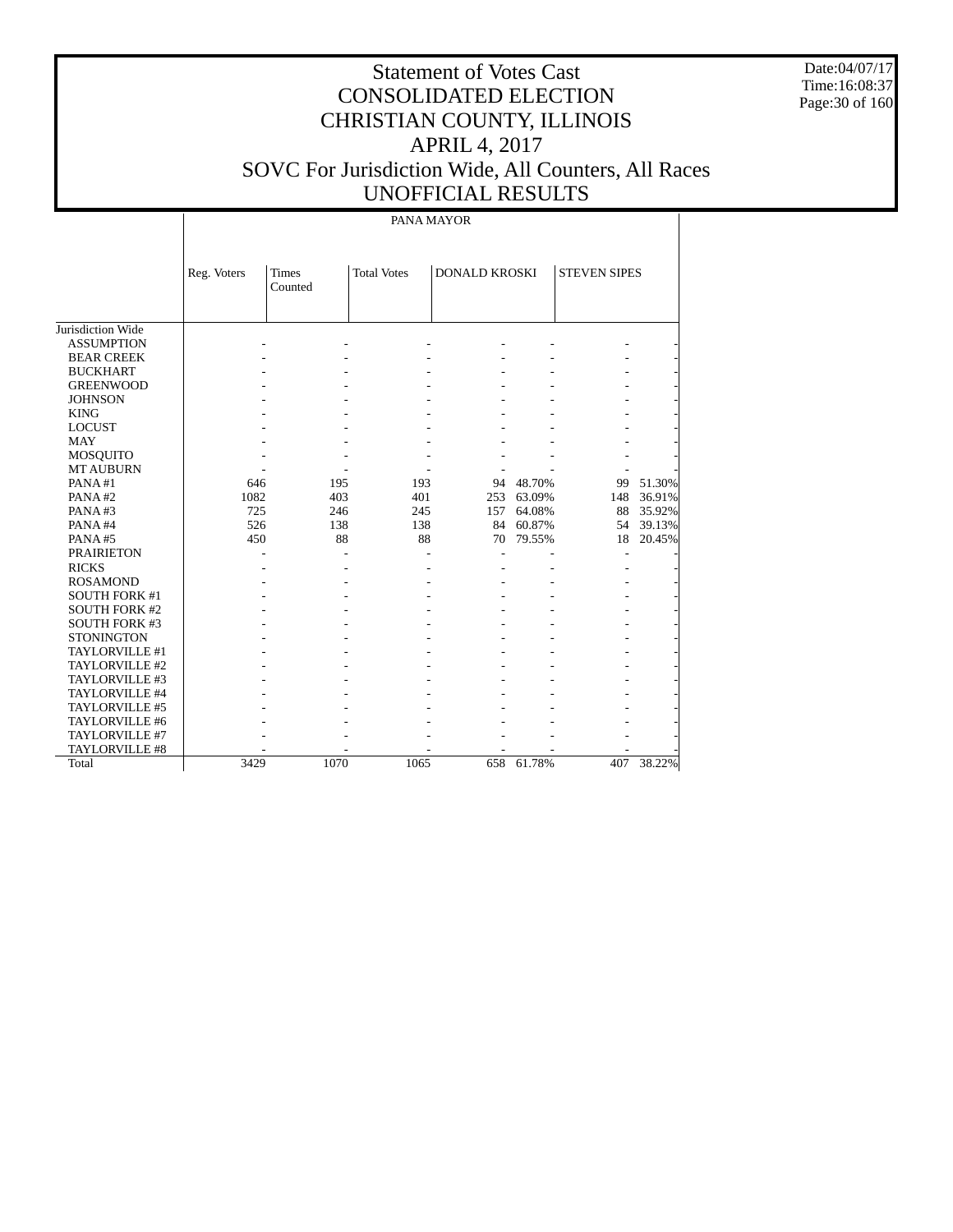Date:04/07/17 Time:16:08:37 Page:30 of 160

# Statement of Votes Cast CONSOLIDATED ELECTION CHRISTIAN COUNTY, ILLINOIS APRIL 4, 2017 SOVC For Jurisdiction Wide, All Counters, All Races UNOFFICIAL RESULTS

#### PANA MAYOR

|                      | <b>Total Votes</b><br><b>DONALD KROSKI</b><br>Reg. Voters<br><b>Times</b><br>Counted |      | <b>STEVEN SIPES</b> |     |           |     |        |
|----------------------|--------------------------------------------------------------------------------------|------|---------------------|-----|-----------|-----|--------|
|                      |                                                                                      |      |                     |     |           |     |        |
|                      |                                                                                      |      |                     |     |           |     |        |
| Jurisdiction Wide    |                                                                                      |      |                     |     |           |     |        |
| <b>ASSUMPTION</b>    |                                                                                      |      |                     |     |           |     |        |
| <b>BEAR CREEK</b>    |                                                                                      |      |                     |     |           |     |        |
| <b>BUCKHART</b>      |                                                                                      |      |                     |     |           |     |        |
| <b>GREENWOOD</b>     |                                                                                      |      |                     |     |           |     |        |
| <b>JOHNSON</b>       |                                                                                      |      |                     |     |           |     |        |
| <b>KING</b>          |                                                                                      |      |                     |     |           |     |        |
| <b>LOCUST</b>        |                                                                                      |      |                     |     |           |     |        |
| <b>MAY</b>           |                                                                                      |      |                     |     |           |     |        |
| <b>MOSQUITO</b>      |                                                                                      |      |                     |     |           |     |        |
| <b>MT AUBURN</b>     |                                                                                      |      |                     |     |           |     |        |
| PANA#1               | 646                                                                                  | 195  | 193                 | 94  | 48.70%    | 99  | 51.30% |
| PANA#2               | 1082                                                                                 | 403  | 401                 | 253 | 63.09%    | 148 | 36.91% |
| PANA#3               | 725                                                                                  | 246  | 245                 | 157 | 64.08%    | 88  | 35.92% |
| PANA#4               | 526                                                                                  | 138  | 138                 |     | 84 60.87% | 54  | 39.13% |
| PANA#5               | 450                                                                                  | 88   | 88                  | 70  | 79.55%    | 18  | 20.45% |
| <b>PRAIRIETON</b>    |                                                                                      |      |                     |     |           |     |        |
| <b>RICKS</b>         |                                                                                      |      |                     |     |           |     |        |
| <b>ROSAMOND</b>      |                                                                                      |      |                     |     |           |     |        |
| <b>SOUTH FORK #1</b> |                                                                                      |      |                     |     |           |     |        |
| <b>SOUTH FORK #2</b> |                                                                                      |      |                     |     |           |     |        |
| <b>SOUTH FORK #3</b> |                                                                                      |      |                     |     |           |     |        |
| <b>STONINGTON</b>    |                                                                                      |      |                     |     |           |     |        |
| TAYLORVILLE #1       |                                                                                      |      |                     |     |           |     |        |
| TAYLORVILLE #2       |                                                                                      |      |                     |     |           |     |        |
| TAYLORVILLE #3       |                                                                                      |      |                     |     |           |     |        |
| TAYLORVILLE #4       |                                                                                      |      |                     |     |           |     |        |
| TAYLORVILLE #5       |                                                                                      |      |                     |     |           |     |        |
| TAYLORVILLE #6       |                                                                                      |      |                     |     |           |     |        |
| TAYLORVILLE #7       |                                                                                      |      |                     |     |           |     |        |
| TAYLORVILLE #8       |                                                                                      |      |                     |     |           |     |        |
| Total                | 3429                                                                                 | 1070 | 1065                | 658 | 61.78%    | 407 | 38.22% |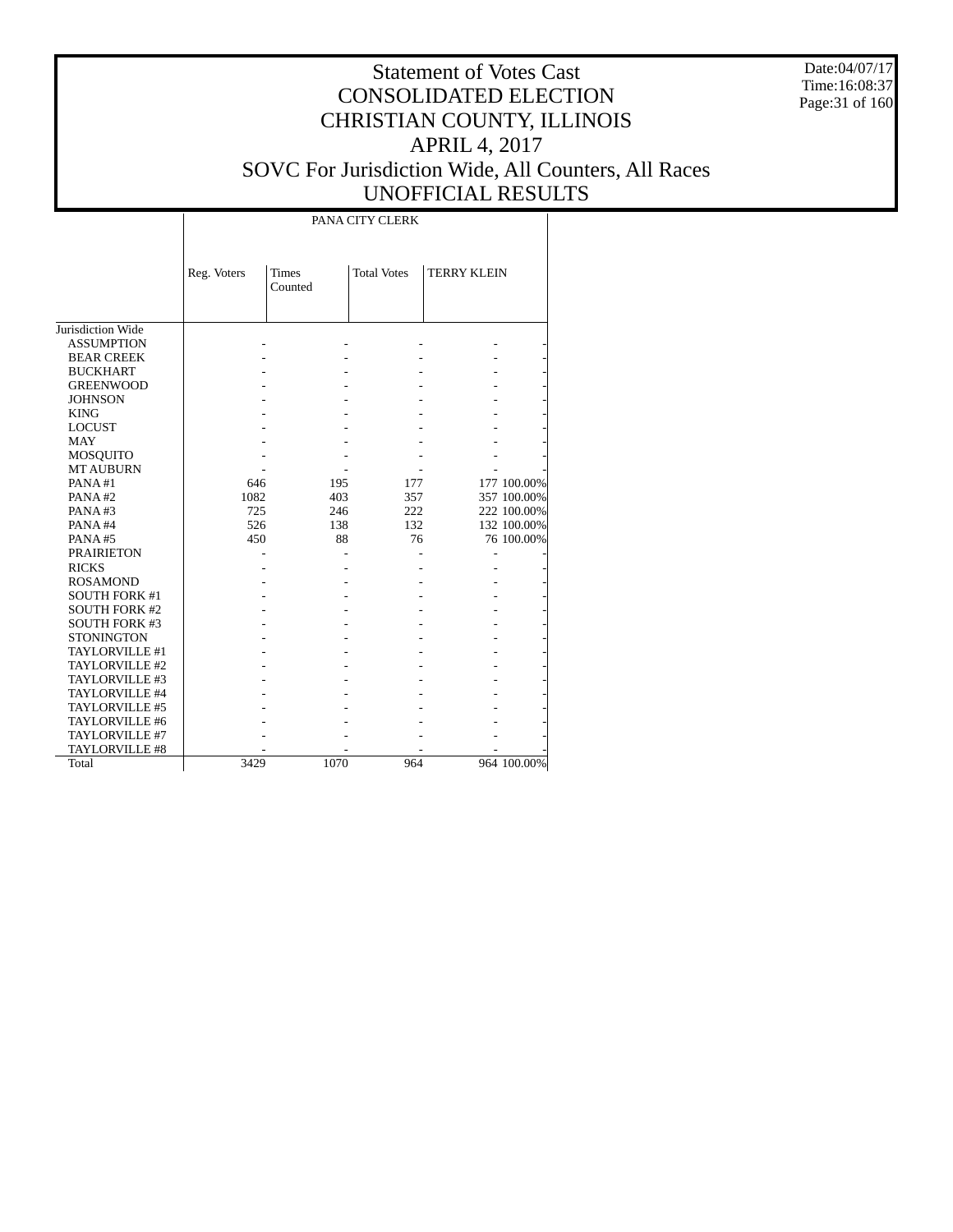Date:04/07/17 Time:16:08:37 Page:31 of 160

# Statement of Votes Cast CONSOLIDATED ELECTION CHRISTIAN COUNTY, ILLINOIS APRIL 4, 2017 SOVC For Jurisdiction Wide, All Counters, All Races UNOFFICIAL RESULTS

PANA CITY CLERK

|                       | Reg. Voters | <b>Times</b> | <b>Total Votes</b> | <b>TERRY KLEIN</b> |             |
|-----------------------|-------------|--------------|--------------------|--------------------|-------------|
|                       |             | Counted      |                    |                    |             |
|                       |             |              |                    |                    |             |
|                       |             |              |                    |                    |             |
| Jurisdiction Wide     |             |              |                    |                    |             |
| <b>ASSUMPTION</b>     |             |              |                    |                    |             |
| <b>BEAR CREEK</b>     |             |              |                    |                    |             |
| <b>BUCKHART</b>       |             |              |                    |                    |             |
| <b>GREENWOOD</b>      |             |              |                    |                    |             |
| <b>JOHNSON</b>        |             |              |                    |                    |             |
| <b>KING</b>           |             |              |                    |                    |             |
| <b>LOCUST</b>         |             |              |                    |                    |             |
| <b>MAY</b>            |             |              |                    |                    |             |
| <b>MOSQUITO</b>       |             |              |                    |                    |             |
| <b>MT AUBURN</b>      |             |              |                    |                    |             |
| PANA#1                | 646         | 195          | 177                |                    | 177 100.00% |
| PANA#2                | 1082        | 403          | 357                |                    | 357 100.00% |
| PANA#3                | 725         | 246          | 222                |                    | 222 100.00% |
| PANA#4                | 526         | 138          | 132                |                    | 132 100.00% |
| PANA#5                | 450         | 88           | 76                 |                    | 76 100.00%  |
| <b>PRAIRIETON</b>     |             |              |                    |                    |             |
| <b>RICKS</b>          |             |              |                    |                    |             |
| <b>ROSAMOND</b>       |             |              |                    |                    |             |
| <b>SOUTH FORK #1</b>  |             |              |                    |                    |             |
| <b>SOUTH FORK #2</b>  |             |              |                    |                    |             |
| <b>SOUTH FORK #3</b>  |             |              |                    |                    |             |
| <b>STONINGTON</b>     |             |              |                    |                    |             |
| <b>TAYLORVILLE #1</b> |             |              |                    |                    |             |
| TAYLORVILLE #2        |             |              |                    |                    |             |
| TAYLORVILLE #3        |             |              |                    |                    |             |
| TAYLORVILLE #4        |             |              |                    |                    |             |
| TAYLORVILLE #5        |             |              |                    |                    |             |
| TAYLORVILLE #6        |             |              |                    |                    |             |
| TAYLORVILLE #7        |             |              |                    |                    |             |
| <b>TAYLORVILLE #8</b> |             |              |                    |                    |             |
| Total                 | 3429        | 1070         | 964                |                    | 964 100.00% |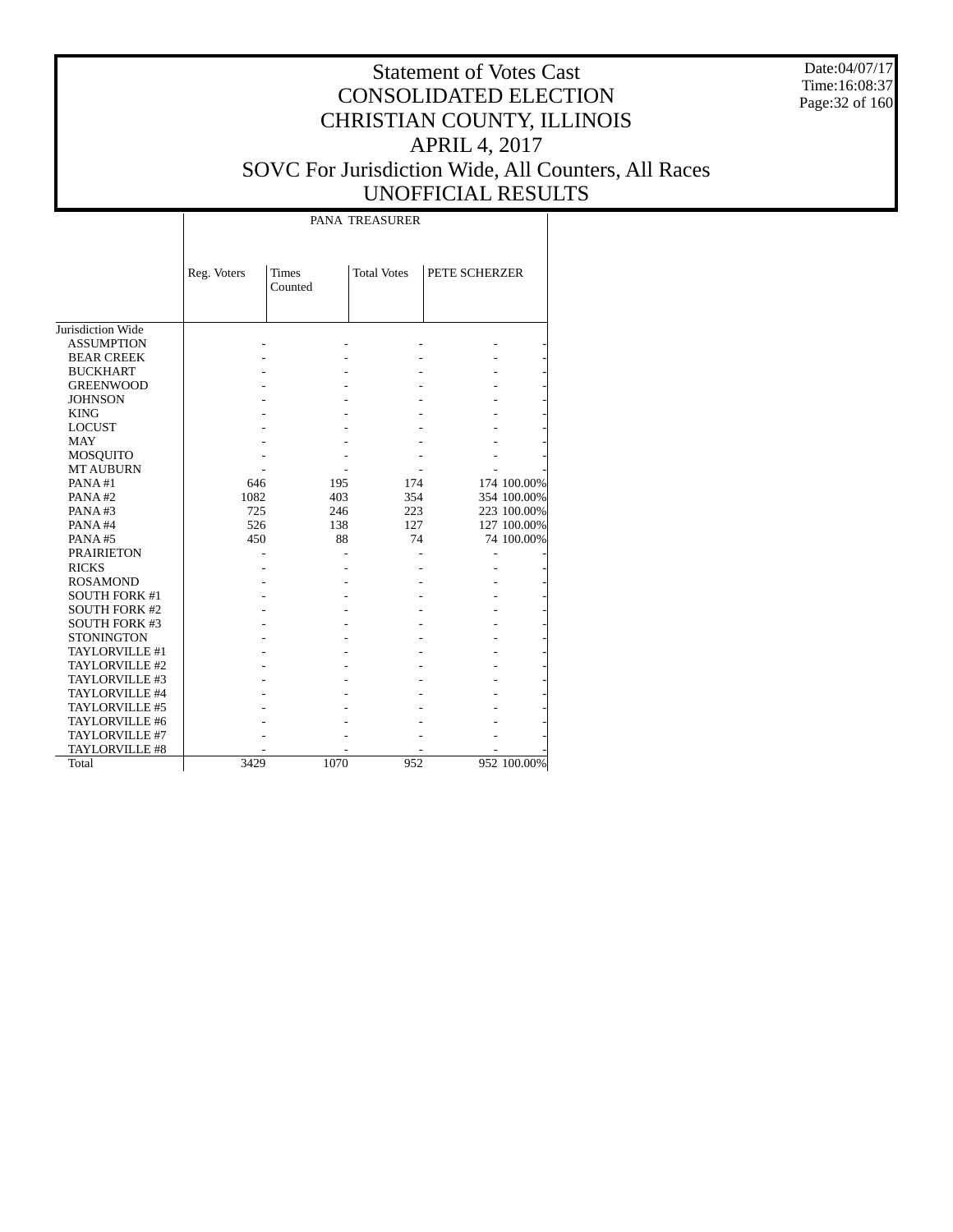Date:04/07/17 Time:16:08:37 Page:32 of 160

# Statement of Votes Cast CONSOLIDATED ELECTION CHRISTIAN COUNTY, ILLINOIS APRIL 4, 2017 SOVC For Jurisdiction Wide, All Counters, All Races UNOFFICIAL RESULTS

PANA TREASURER

|                      | Reg. Voters | <b>Times</b> | <b>Total Votes</b> | PETE SCHERZER |             |
|----------------------|-------------|--------------|--------------------|---------------|-------------|
|                      |             | Counted      |                    |               |             |
|                      |             |              |                    |               |             |
|                      |             |              |                    |               |             |
| Jurisdiction Wide    |             |              |                    |               |             |
| <b>ASSUMPTION</b>    |             |              |                    |               |             |
| <b>BEAR CREEK</b>    |             |              |                    |               |             |
| <b>BUCKHART</b>      |             |              |                    |               |             |
| <b>GREENWOOD</b>     |             |              |                    |               |             |
| <b>JOHNSON</b>       |             |              |                    |               |             |
| <b>KING</b>          |             |              |                    |               |             |
| <b>LOCUST</b>        |             |              |                    |               |             |
| <b>MAY</b>           |             |              |                    |               |             |
| <b>MOSQUITO</b>      |             |              |                    |               |             |
| <b>MT AUBURN</b>     |             |              |                    |               |             |
| PANA#1               | 646         | 195          | 174                |               | 174 100.00% |
| PANA#2               | 1082        | 403          | 354                |               | 354 100.00% |
| PANA#3               | 725         | 246          | 223                |               | 223 100.00% |
| PANA#4               | 526         | 138          | 127                |               | 127 100.00% |
| PANA#5               | 450         | 88           | 74                 |               | 74 100.00%  |
| <b>PRAIRIETON</b>    |             |              |                    |               |             |
| <b>RICKS</b>         |             |              |                    |               |             |
| <b>ROSAMOND</b>      |             |              |                    |               |             |
| <b>SOUTH FORK #1</b> |             |              |                    |               |             |
| <b>SOUTH FORK #2</b> |             |              |                    |               |             |
| <b>SOUTH FORK #3</b> |             |              |                    |               |             |
| <b>STONINGTON</b>    |             |              |                    |               |             |
| TAYLORVILLE #1       |             |              |                    |               |             |
| TAYLORVILLE #2       |             |              |                    |               |             |
| TAYLORVILLE #3       |             |              |                    |               |             |
| TAYLORVILLE #4       |             |              |                    |               |             |
| TAYLORVILLE #5       |             |              |                    |               |             |
| TAYLORVILLE #6       |             |              |                    |               |             |
| TAYLORVILLE #7       |             |              |                    |               |             |
| TAYLORVILLE #8       |             |              |                    |               |             |
| Total                | 3429        | 1070         | 952                |               | 952 100.00% |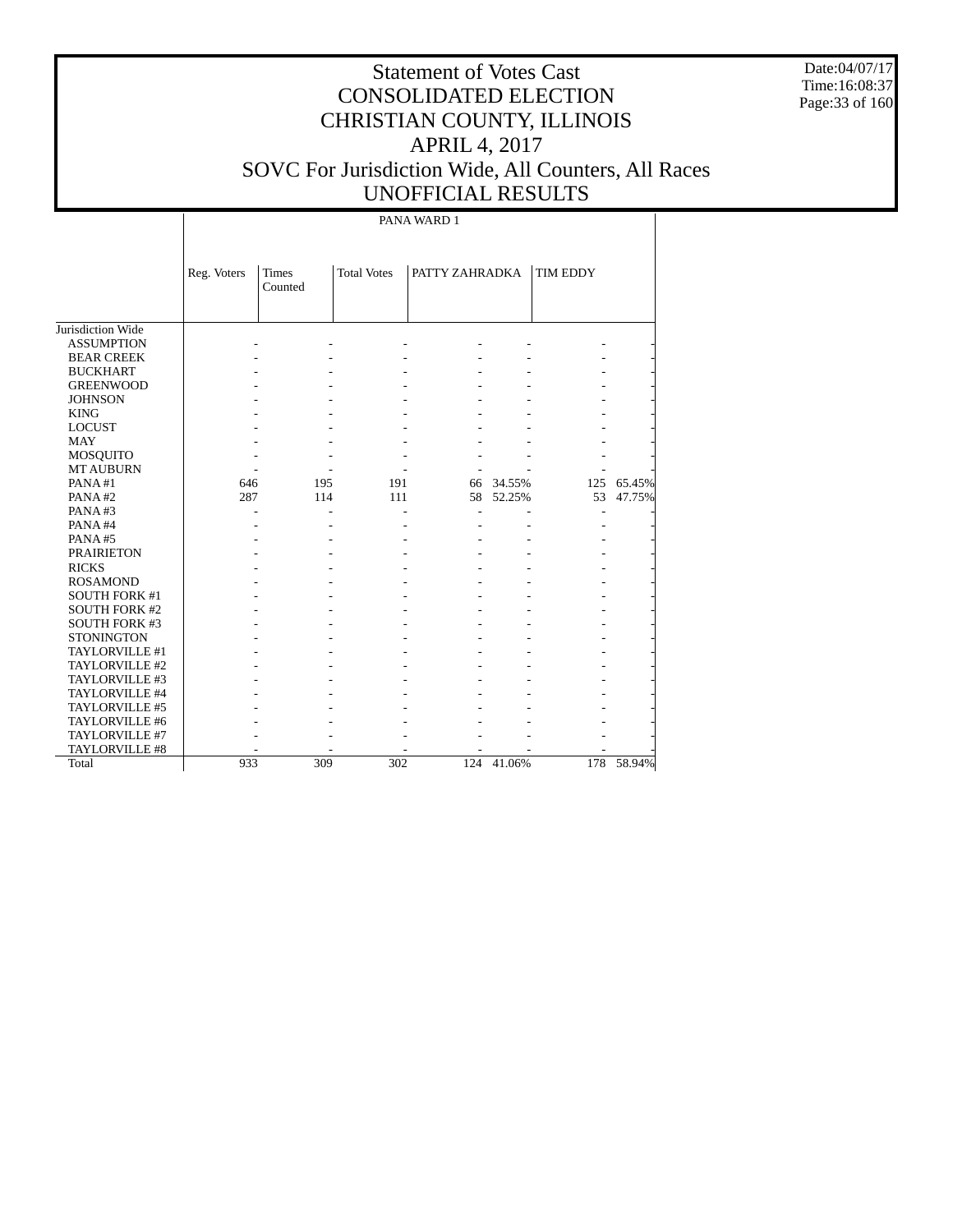Date:04/07/17 Time:16:08:37 Page:33 of 160

# Statement of Votes Cast CONSOLIDATED ELECTION CHRISTIAN COUNTY, ILLINOIS APRIL 4, 2017 SOVC For Jurisdiction Wide, All Counters, All Races UNOFFICIAL RESULTS

PANA WARD 1

|                      | Reg. Voters | <b>Times</b><br>Counted | <b>Total Votes</b> | PATTY ZAHRADKA |        | TIM EDDY |            |
|----------------------|-------------|-------------------------|--------------------|----------------|--------|----------|------------|
| Jurisdiction Wide    |             |                         |                    |                |        |          |            |
| <b>ASSUMPTION</b>    |             |                         |                    |                |        |          |            |
| <b>BEAR CREEK</b>    |             |                         |                    |                |        |          |            |
| <b>BUCKHART</b>      |             |                         |                    |                |        |          |            |
| <b>GREENWOOD</b>     |             |                         |                    |                |        |          |            |
| <b>JOHNSON</b>       |             |                         |                    |                |        |          |            |
| <b>KING</b>          |             |                         |                    |                |        |          |            |
| <b>LOCUST</b>        |             |                         |                    |                |        |          |            |
| <b>MAY</b>           |             |                         |                    |                |        |          |            |
| <b>MOSQUITO</b>      |             |                         |                    |                |        |          |            |
| <b>MT AUBURN</b>     |             |                         |                    |                |        |          |            |
| PANA#1               | 646         | 195                     | 191                | 66             | 34.55% | 125      | 65.45%     |
| PANA#2               | 287         | 114                     | 111                | 58             | 52.25% | 53       | 47.75%     |
| PANA#3               |             |                         |                    |                |        |          |            |
| PANA#4               |             |                         |                    |                |        |          |            |
| PANA#5               |             |                         |                    |                |        |          |            |
| <b>PRAIRIETON</b>    |             |                         |                    |                |        |          |            |
| <b>RICKS</b>         |             |                         |                    |                |        |          |            |
| <b>ROSAMOND</b>      |             |                         |                    |                |        |          |            |
| <b>SOUTH FORK #1</b> |             |                         |                    |                |        |          |            |
| <b>SOUTH FORK #2</b> |             |                         |                    |                |        |          |            |
| <b>SOUTH FORK #3</b> |             |                         |                    |                |        |          |            |
| <b>STONINGTON</b>    |             |                         |                    |                |        |          |            |
| TAYLORVILLE #1       |             |                         |                    |                |        |          |            |
| TAYLORVILLE #2       |             |                         |                    |                |        |          |            |
| TAYLORVILLE #3       |             |                         |                    |                |        |          |            |
| TAYLORVILLE #4       |             |                         |                    |                |        |          |            |
| TAYLORVILLE #5       |             |                         |                    |                |        |          |            |
| TAYLORVILLE #6       |             |                         |                    |                |        |          |            |
| TAYLORVILLE #7       |             |                         |                    |                |        |          |            |
| TAYLORVILLE #8       |             |                         |                    |                |        |          |            |
| Total                | 933         | 309                     | 302                | 124            | 41.06% |          | 178 58.94% |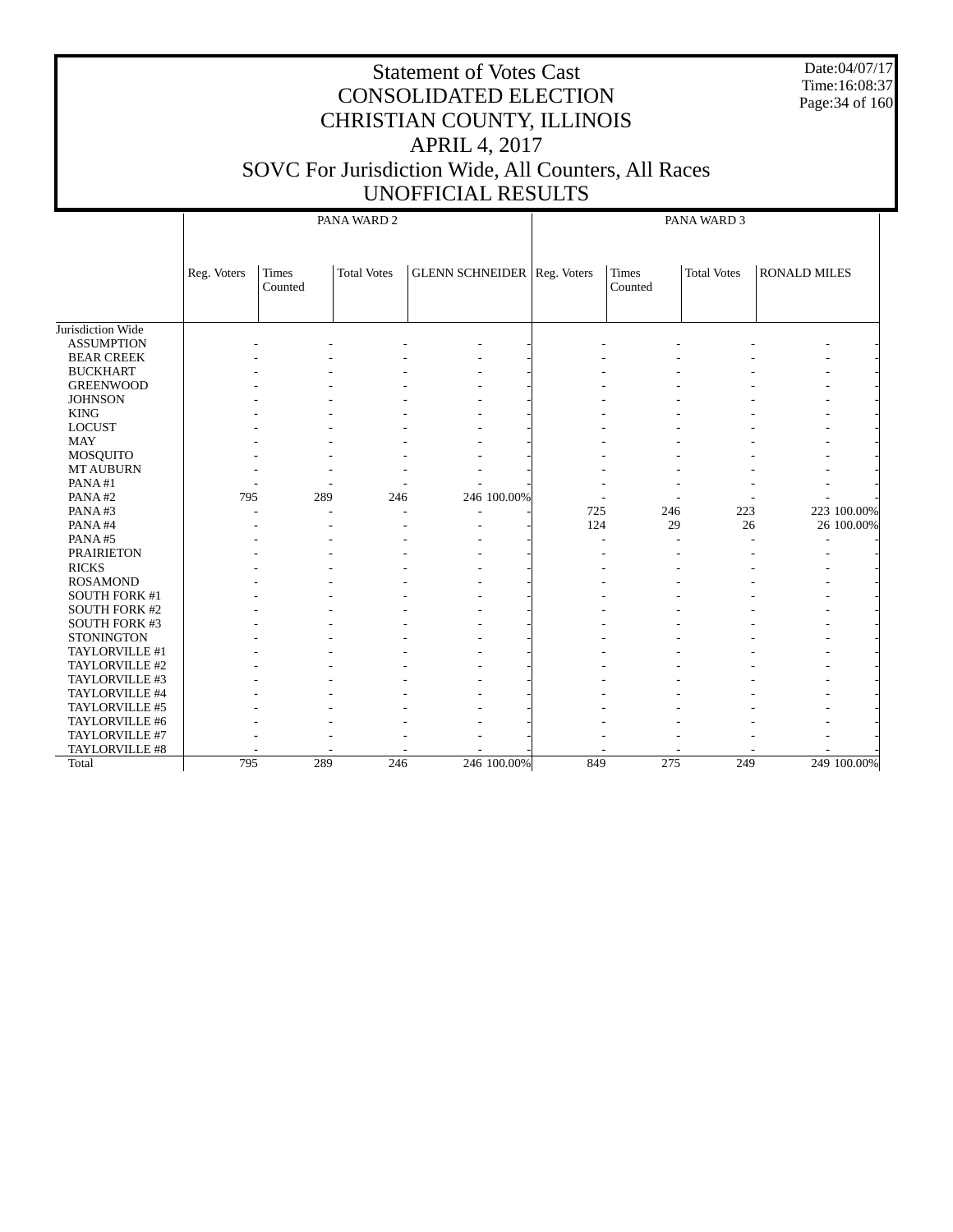Date:04/07/17 Time:16:08:37 Page:34 of 160

|                      | PANA WARD 2 |                  |                    |                                    |                          | PANA WARD 3             |                    |                          |  |  |
|----------------------|-------------|------------------|--------------------|------------------------------------|--------------------------|-------------------------|--------------------|--------------------------|--|--|
|                      | Reg. Voters | Times<br>Counted | <b>Total Votes</b> | <b>GLENN SCHNEIDER</b> Reg. Voters |                          | <b>Times</b><br>Counted | <b>Total Votes</b> | <b>RONALD MILES</b>      |  |  |
| Jurisdiction Wide    |             |                  |                    |                                    |                          |                         |                    |                          |  |  |
| <b>ASSUMPTION</b>    |             |                  |                    |                                    |                          |                         |                    |                          |  |  |
| <b>BEAR CREEK</b>    |             |                  |                    |                                    |                          |                         |                    |                          |  |  |
| <b>BUCKHART</b>      |             |                  |                    |                                    |                          |                         |                    |                          |  |  |
| <b>GREENWOOD</b>     |             |                  |                    |                                    |                          |                         |                    |                          |  |  |
| <b>JOHNSON</b>       |             |                  |                    |                                    |                          |                         |                    |                          |  |  |
| <b>KING</b>          |             |                  |                    |                                    |                          |                         |                    |                          |  |  |
| <b>LOCUST</b>        |             |                  |                    |                                    |                          |                         |                    |                          |  |  |
| <b>MAY</b>           |             |                  |                    |                                    |                          |                         |                    |                          |  |  |
| MOSQUITO             |             |                  |                    |                                    |                          |                         |                    |                          |  |  |
| <b>MT AUBURN</b>     |             |                  |                    |                                    |                          |                         |                    |                          |  |  |
| PANA#1               |             |                  |                    |                                    |                          |                         |                    |                          |  |  |
| PANA#2               | 795         | 289              | 246                | 246 100.00%                        | $\overline{\phantom{a}}$ |                         |                    |                          |  |  |
| PANA#3               |             |                  |                    |                                    | 725                      | 246                     | 223                | 223 100.00%              |  |  |
| PANA#4               |             |                  |                    |                                    | 124                      | 29                      | 26                 | 26 100.00%               |  |  |
| PANA#5               |             |                  |                    |                                    |                          |                         |                    | $\overline{\phantom{a}}$ |  |  |
| <b>PRAIRIETON</b>    |             |                  |                    |                                    |                          |                         |                    |                          |  |  |
| <b>RICKS</b>         |             |                  |                    |                                    |                          |                         |                    |                          |  |  |
| <b>ROSAMOND</b>      |             |                  |                    |                                    |                          |                         |                    |                          |  |  |
| <b>SOUTH FORK #1</b> |             |                  |                    |                                    |                          |                         |                    |                          |  |  |
| <b>SOUTH FORK #2</b> |             |                  |                    |                                    |                          |                         |                    |                          |  |  |
| SOUTH FORK #3        |             |                  |                    |                                    |                          |                         |                    |                          |  |  |
| <b>STONINGTON</b>    |             |                  |                    |                                    |                          |                         |                    |                          |  |  |
| TAYLORVILLE #1       |             |                  |                    |                                    |                          |                         |                    |                          |  |  |
| TAYLORVILLE #2       |             |                  |                    |                                    |                          |                         |                    |                          |  |  |
| TAYLORVILLE #3       |             |                  |                    |                                    |                          |                         |                    |                          |  |  |
| TAYLORVILLE #4       |             |                  |                    |                                    |                          |                         |                    |                          |  |  |
| TAYLORVILLE #5       |             |                  |                    |                                    |                          |                         |                    |                          |  |  |
| TAYLORVILLE #6       |             |                  |                    |                                    |                          |                         |                    |                          |  |  |
| TAYLORVILLE #7       |             |                  |                    |                                    |                          |                         |                    |                          |  |  |
| TAYLORVILLE #8       |             |                  |                    |                                    |                          |                         |                    |                          |  |  |
| Total                | 795         | 289              | 246                | 246 100.00%                        | 849                      | 275                     | 249                | 249 100.00%              |  |  |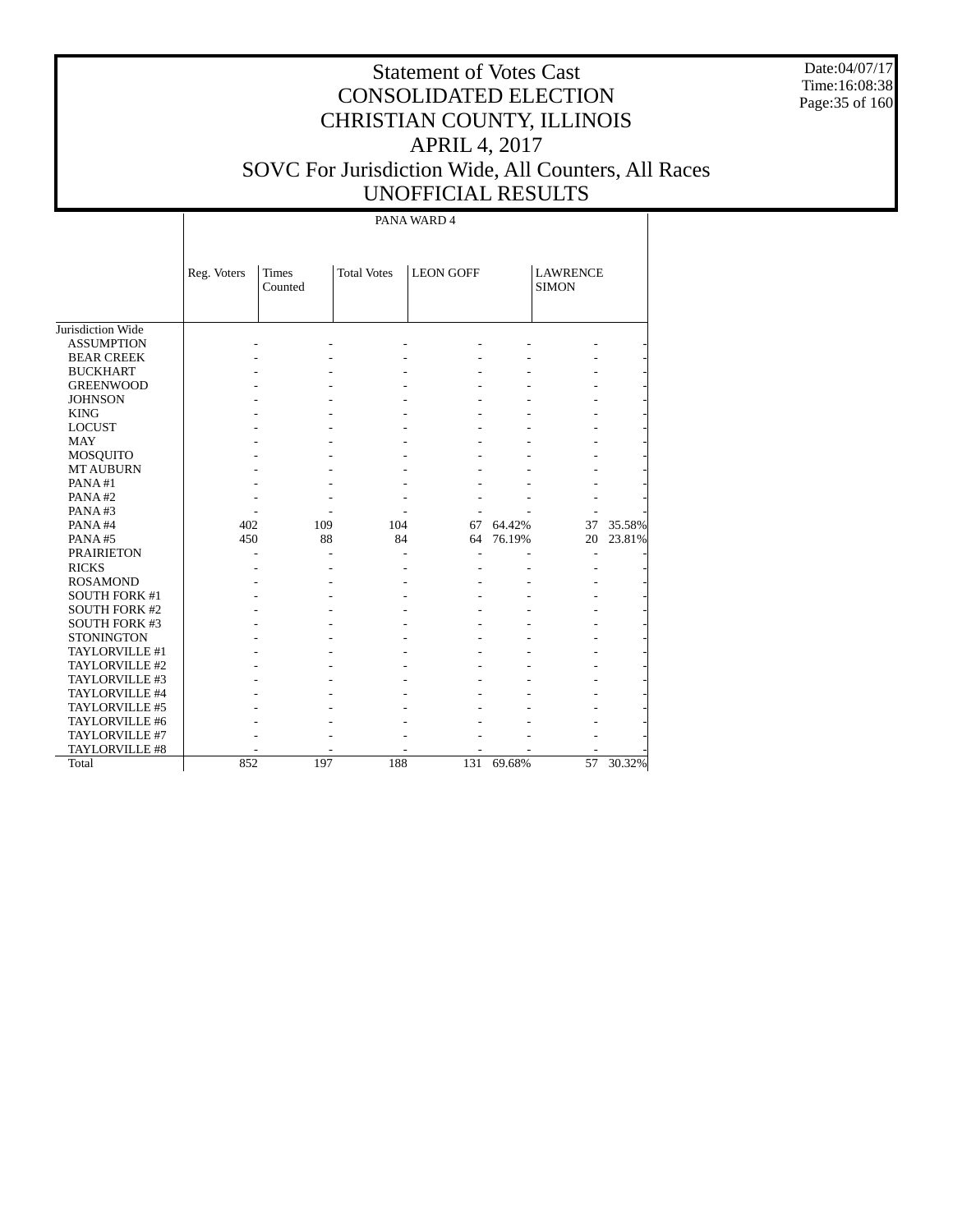Date:04/07/17 Time:16:08:38 Page:35 of 160

# Statement of Votes Cast CONSOLIDATED ELECTION CHRISTIAN COUNTY, ILLINOIS APRIL 4, 2017 SOVC For Jurisdiction Wide, All Counters, All Races UNOFFICIAL RESULTS

PANA WARD 4

|                      | Reg. Voters | <b>Times</b> | <b>Total Votes</b> | <b>LEON GOFF</b> |        | <b>LAWRENCE</b> |        |
|----------------------|-------------|--------------|--------------------|------------------|--------|-----------------|--------|
|                      |             | Counted      |                    |                  |        | <b>SIMON</b>    |        |
|                      |             |              |                    |                  |        |                 |        |
|                      |             |              |                    |                  |        |                 |        |
| Jurisdiction Wide    |             |              |                    |                  |        |                 |        |
| <b>ASSUMPTION</b>    |             |              |                    |                  |        |                 |        |
| <b>BEAR CREEK</b>    |             |              |                    |                  |        |                 |        |
| <b>BUCKHART</b>      |             |              |                    |                  |        |                 |        |
| <b>GREENWOOD</b>     |             |              |                    |                  |        |                 |        |
| <b>JOHNSON</b>       |             |              |                    |                  |        |                 |        |
| <b>KING</b>          |             |              |                    |                  |        |                 |        |
| <b>LOCUST</b>        |             |              |                    |                  |        |                 |        |
| <b>MAY</b>           |             |              |                    |                  |        |                 |        |
| <b>MOSQUITO</b>      |             |              |                    |                  |        |                 |        |
| <b>MT AUBURN</b>     |             |              |                    |                  |        |                 |        |
| PANA#1               |             |              |                    |                  |        |                 |        |
| PANA#2               |             |              |                    |                  |        |                 |        |
| PANA#3               |             |              |                    |                  |        |                 |        |
| PANA#4               | 402         | 109          | 104                | 67               | 64.42% | 37              | 35.58% |
| PANA#5               | 450         | 88           | 84                 | 64               | 76.19% | 20              | 23.81% |
| <b>PRAIRIETON</b>    |             |              |                    |                  |        |                 |        |
| <b>RICKS</b>         |             |              |                    |                  |        |                 |        |
| <b>ROSAMOND</b>      |             |              |                    |                  |        |                 |        |
| <b>SOUTH FORK #1</b> |             |              |                    |                  |        |                 |        |
| <b>SOUTH FORK #2</b> |             |              |                    |                  |        |                 |        |
| <b>SOUTH FORK #3</b> |             |              |                    |                  |        |                 |        |
| <b>STONINGTON</b>    |             |              |                    |                  |        |                 |        |
| TAYLORVILLE #1       |             |              |                    |                  |        |                 |        |
| TAYLORVILLE #2       |             |              |                    |                  |        |                 |        |
| TAYLORVILLE #3       |             |              |                    |                  |        |                 |        |
| TAYLORVILLE #4       |             |              |                    |                  |        |                 |        |
| TAYLORVILLE #5       |             |              |                    |                  |        |                 |        |
| TAYLORVILLE #6       |             |              |                    |                  |        |                 |        |
| TAYLORVILLE #7       |             |              |                    |                  |        |                 |        |
| TAYLORVILLE #8       |             |              |                    |                  |        |                 |        |
| Total                | 852         | 197          | 188                | 131              | 69.68% | 57              | 30.32% |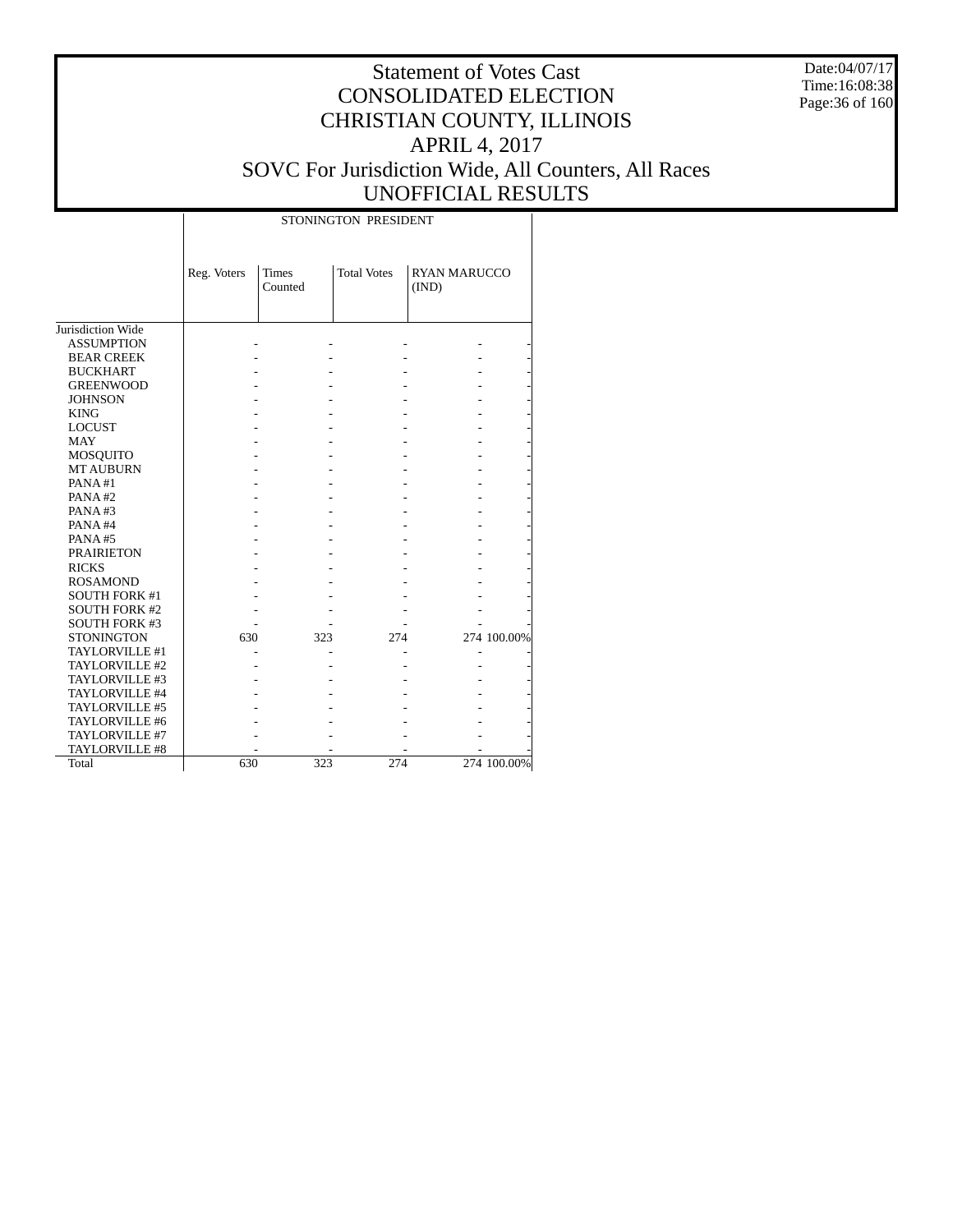Date:04/07/17 Time:16:08:38 Page:36 of 160

#### Statement of Votes Cast CONSOLIDATED ELECTION CHRISTIAN COUNTY, ILLINOIS APRIL 4, 2017 SOVC For Jurisdiction Wide, All Counters, All Races UNOFFICIAL RESULTS

Τ

|                      |             | STONINGTON PRESIDENT    |     |                    |                              |             |  |  |  |  |
|----------------------|-------------|-------------------------|-----|--------------------|------------------------------|-------------|--|--|--|--|
|                      | Reg. Voters | <b>Times</b><br>Counted |     | <b>Total Votes</b> | <b>RYAN MARUCCO</b><br>(IND) |             |  |  |  |  |
| Jurisdiction Wide    |             |                         |     |                    |                              |             |  |  |  |  |
| <b>ASSUMPTION</b>    |             |                         |     |                    |                              |             |  |  |  |  |
| <b>BEAR CREEK</b>    |             |                         |     |                    |                              |             |  |  |  |  |
| <b>BUCKHART</b>      |             |                         |     |                    |                              |             |  |  |  |  |
| <b>GREENWOOD</b>     |             |                         |     |                    |                              |             |  |  |  |  |
| <b>JOHNSON</b>       |             |                         |     |                    |                              |             |  |  |  |  |
| <b>KING</b>          |             |                         |     |                    |                              |             |  |  |  |  |
| <b>LOCUST</b>        |             |                         |     |                    |                              |             |  |  |  |  |
| <b>MAY</b>           |             |                         |     |                    |                              |             |  |  |  |  |
| MOSQUITO             |             |                         |     |                    |                              |             |  |  |  |  |
| <b>MT AUBURN</b>     |             |                         |     |                    |                              |             |  |  |  |  |
| PANA#1               |             |                         |     |                    |                              |             |  |  |  |  |
| PANA#2               |             |                         |     |                    |                              |             |  |  |  |  |
| PANA#3               |             |                         |     |                    |                              |             |  |  |  |  |
| PANA#4               |             |                         |     |                    |                              |             |  |  |  |  |
| PANA#5               |             |                         |     |                    |                              |             |  |  |  |  |
| <b>PRAIRIETON</b>    |             |                         |     |                    |                              |             |  |  |  |  |
| <b>RICKS</b>         |             |                         |     |                    |                              |             |  |  |  |  |
| <b>ROSAMOND</b>      |             |                         |     |                    |                              |             |  |  |  |  |
| <b>SOUTH FORK #1</b> |             |                         |     |                    |                              |             |  |  |  |  |
| <b>SOUTH FORK #2</b> |             |                         |     |                    |                              |             |  |  |  |  |
| <b>SOUTH FORK #3</b> |             |                         |     |                    |                              |             |  |  |  |  |
| <b>STONINGTON</b>    | 630         |                         | 323 | 274                |                              | 274 100.00% |  |  |  |  |
| TAYLORVILLE #1       |             |                         |     |                    |                              |             |  |  |  |  |
| TAYLORVILLE #2       |             |                         |     |                    |                              |             |  |  |  |  |
| TAYLORVILLE #3       |             |                         |     |                    |                              |             |  |  |  |  |
| TAYLORVILLE #4       |             |                         |     |                    |                              |             |  |  |  |  |
| TAYLORVILLE #5       |             |                         |     |                    |                              |             |  |  |  |  |
| TAYLORVILLE #6       |             |                         |     |                    |                              |             |  |  |  |  |
| TAYLORVILLE #7       |             |                         |     |                    |                              |             |  |  |  |  |
| TAYLORVILLE #8       |             |                         |     |                    |                              |             |  |  |  |  |
| Total                | 630         |                         | 323 | 274                |                              | 274 100.00% |  |  |  |  |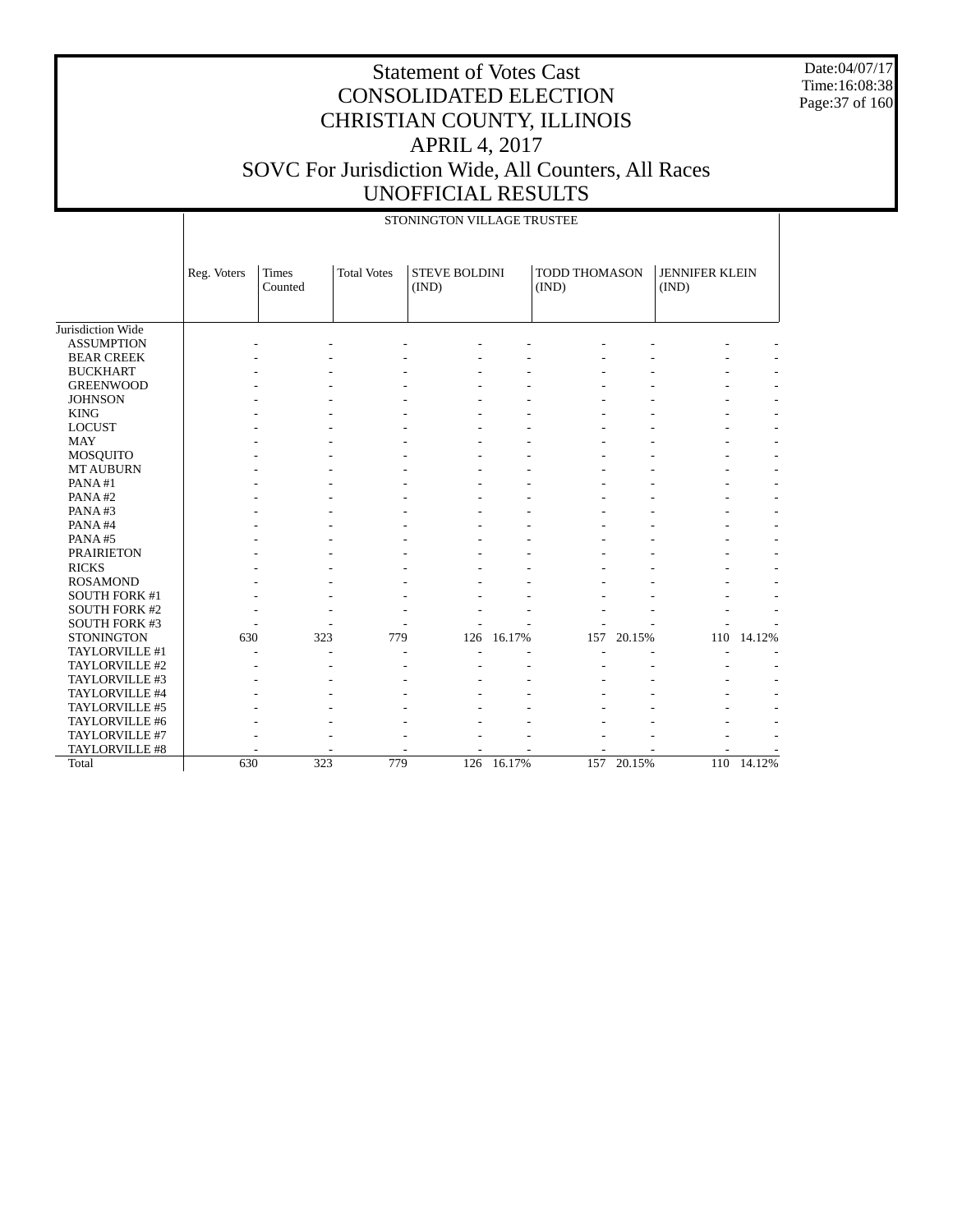Date:04/07/17 Time:16:08:38 Page:37 of 160

|                      |             |                         |                    | STONINGTON VILLAGE TRUSTEE    |        |                        |        |                                |        |
|----------------------|-------------|-------------------------|--------------------|-------------------------------|--------|------------------------|--------|--------------------------------|--------|
|                      | Reg. Voters | <b>Times</b><br>Counted | <b>Total Votes</b> | <b>STEVE BOLDINI</b><br>(IND) |        | TODD THOMASON<br>(IND) |        | <b>JENNIFER KLEIN</b><br>(IND) |        |
| Jurisdiction Wide    |             |                         |                    |                               |        |                        |        |                                |        |
| <b>ASSUMPTION</b>    |             |                         |                    |                               |        |                        |        |                                |        |
| <b>BEAR CREEK</b>    |             |                         |                    |                               |        |                        |        |                                |        |
| <b>BUCKHART</b>      |             |                         |                    |                               |        |                        |        |                                |        |
| <b>GREENWOOD</b>     |             |                         |                    |                               |        |                        |        |                                |        |
| <b>JOHNSON</b>       |             |                         |                    |                               |        |                        |        |                                |        |
| <b>KING</b>          |             |                         |                    |                               |        |                        |        |                                |        |
| <b>LOCUST</b>        |             |                         |                    |                               |        |                        |        |                                |        |
| <b>MAY</b>           |             |                         |                    |                               |        |                        |        |                                |        |
| <b>MOSQUITO</b>      |             |                         |                    |                               |        |                        |        |                                |        |
| <b>MT AUBURN</b>     |             |                         |                    |                               |        |                        |        |                                |        |
| PANA#1               |             |                         |                    |                               |        |                        |        |                                |        |
| PANA#2               |             |                         |                    |                               |        |                        |        |                                |        |
| PANA#3               |             |                         |                    |                               |        |                        |        |                                |        |
| PANA#4               |             |                         |                    |                               |        |                        |        |                                |        |
| PANA#5               |             |                         |                    |                               |        |                        |        |                                |        |
| <b>PRAIRIETON</b>    |             |                         |                    |                               |        |                        |        |                                |        |
| <b>RICKS</b>         |             |                         |                    |                               |        |                        |        |                                |        |
| <b>ROSAMOND</b>      |             |                         |                    |                               |        |                        |        |                                |        |
| <b>SOUTH FORK #1</b> |             |                         |                    |                               |        |                        |        |                                |        |
| <b>SOUTH FORK #2</b> |             |                         |                    |                               |        |                        |        |                                |        |
| <b>SOUTH FORK #3</b> |             |                         |                    |                               |        |                        |        |                                |        |
| <b>STONINGTON</b>    | 630         | 323                     | 779                | 126                           | 16.17% | 157                    | 20.15% | 110                            | 14.12% |
| TAYLORVILLE #1       |             |                         |                    |                               |        |                        |        |                                |        |
| TAYLORVILLE #2       |             |                         |                    |                               |        |                        |        |                                |        |
| TAYLORVILLE #3       |             |                         |                    |                               |        |                        |        |                                |        |
| TAYLORVILLE #4       |             |                         |                    |                               |        |                        |        |                                |        |
| TAYLORVILLE #5       |             |                         |                    |                               |        |                        |        |                                |        |
| TAYLORVILLE #6       |             |                         |                    |                               |        |                        |        |                                |        |
| TAYLORVILLE #7       |             |                         |                    |                               |        |                        |        |                                |        |
| TAYLORVILLE #8       |             |                         |                    |                               |        |                        |        |                                |        |
| Total                | 630         | 323                     | 779                | 126                           | 16.17% | 157                    | 20.15% | 110                            | 14.12% |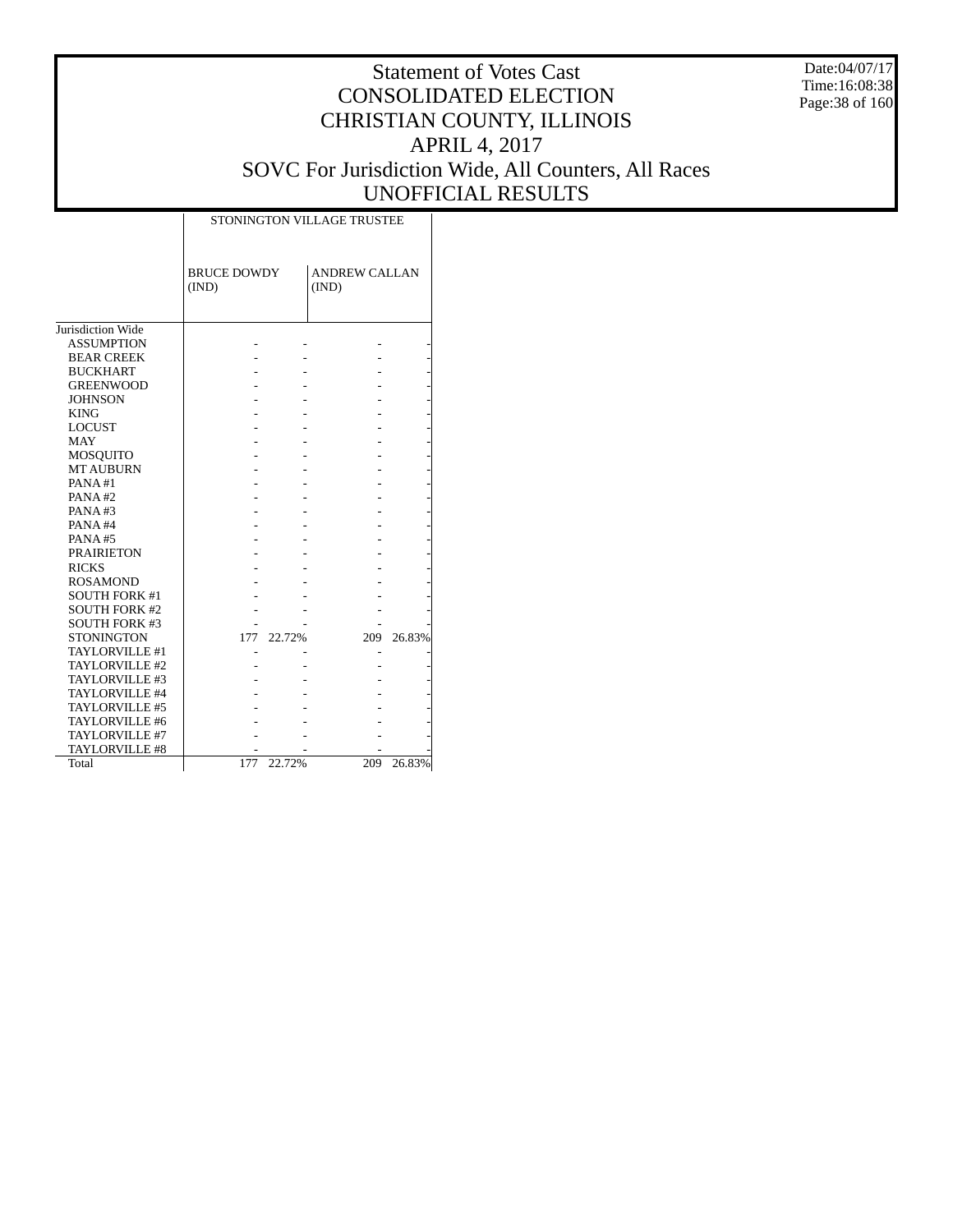Date:04/07/17 Time:16:08:38 Page:38 of 160

|                      |                             |        | STONINGTON VILLAGE TRUSTEE    |        |
|----------------------|-----------------------------|--------|-------------------------------|--------|
|                      | <b>BRUCE DOWDY</b><br>(IND) |        | <b>ANDREW CALLAN</b><br>(IND) |        |
| Jurisdiction Wide    |                             |        |                               |        |
| <b>ASSUMPTION</b>    |                             |        |                               |        |
| <b>BEAR CREEK</b>    |                             |        |                               |        |
| <b>BUCKHART</b>      |                             |        |                               |        |
| <b>GREENWOOD</b>     |                             |        |                               |        |
|                      |                             |        |                               |        |
| <b>JOHNSON</b>       |                             |        |                               |        |
| <b>KING</b>          |                             |        |                               |        |
| <b>LOCUST</b>        |                             |        |                               |        |
| <b>MAY</b>           |                             |        |                               |        |
| MOSQUITO             |                             |        |                               |        |
| <b>MT AUBURN</b>     |                             |        |                               |        |
| PANA#1               |                             |        |                               |        |
| PANA#2               |                             |        |                               |        |
| PANA#3               |                             |        |                               |        |
| PANA#4               |                             |        |                               |        |
| PANA#5               |                             |        |                               |        |
| <b>PRAIRIETON</b>    |                             |        |                               |        |
| <b>RICKS</b>         |                             |        |                               |        |
| <b>ROSAMOND</b>      |                             |        |                               |        |
| <b>SOUTH FORK #1</b> |                             |        |                               |        |
| <b>SOUTH FORK #2</b> |                             |        |                               |        |
| <b>SOUTH FORK #3</b> |                             |        |                               |        |
| <b>STONINGTON</b>    | 177                         | 22.72% | 209                           | 26.83% |
| TAYLORVILLE #1       |                             |        |                               |        |
| TAYLORVILLE #2       |                             |        |                               |        |
| TAYLORVILLE #3       |                             |        |                               |        |
| TAYLORVILLE #4       |                             |        |                               |        |
| TAYLORVILLE #5       |                             |        |                               |        |
| TAYLORVILLE #6       |                             |        |                               |        |
| TAYLORVILLE #7       |                             |        |                               |        |
| TAYLORVILLE #8       |                             |        |                               |        |
| Total                | 177                         | 22.72% | 209                           | 26.83% |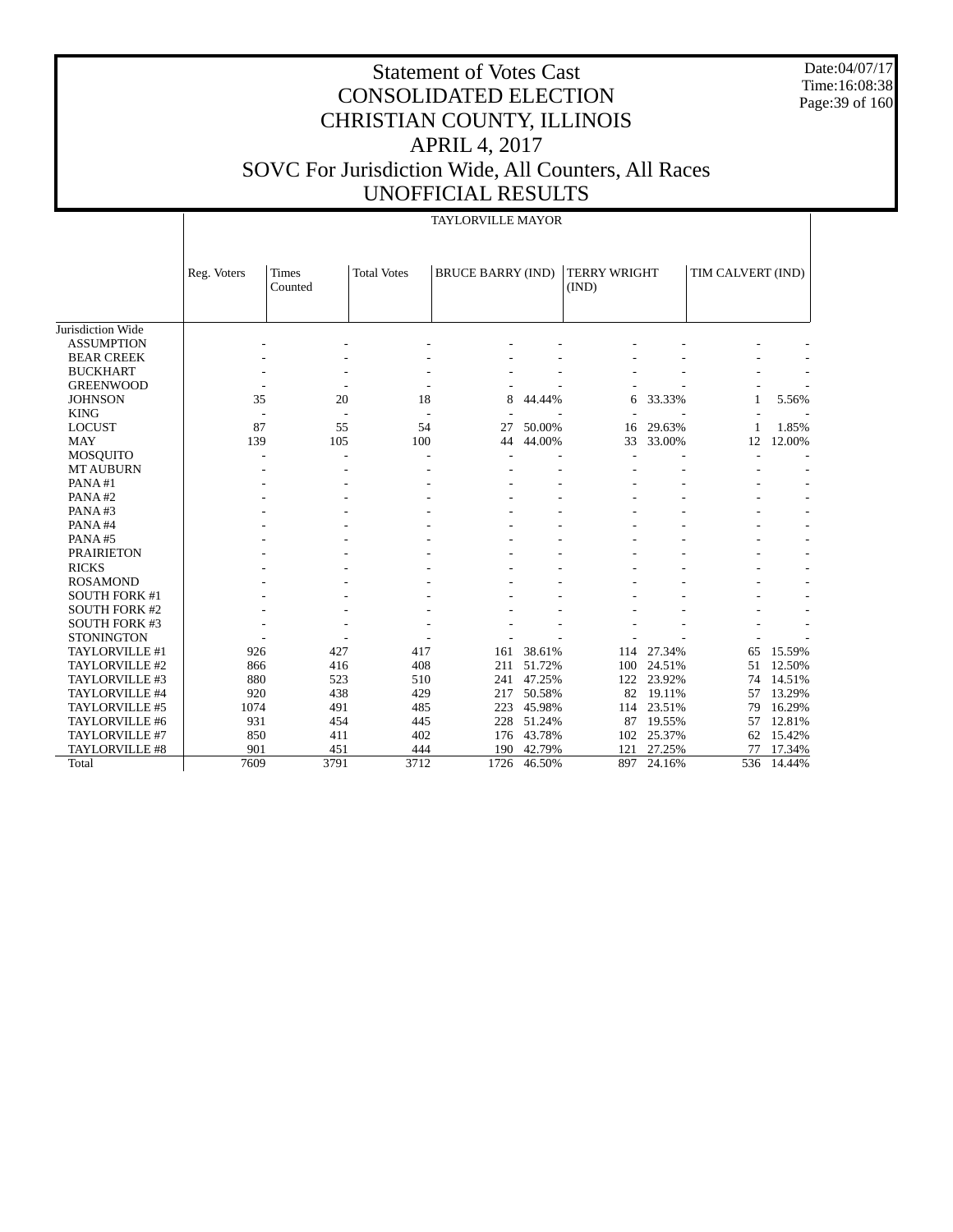Date:04/07/17 Time:16:08:38 Page: 39 of 160

# Statement of Votes Cast CONSOLIDATED ELECTION CHRISTIAN COUNTY, ILLINOIS APRIL 4, 2017 SOVC For Jurisdiction Wide, All Counters, All Races UNOFFICIAL RESULTS

#### TAYLORVILLE MAYOR

|                      | Reg. Voters | <b>Times</b> | <b>Total Votes</b> | <b>BRUCE BARRY (IND)</b> |        | <b>TERRY WRIGHT</b> |        | TIM CALVERT (IND) |        |
|----------------------|-------------|--------------|--------------------|--------------------------|--------|---------------------|--------|-------------------|--------|
|                      |             | Counted      |                    |                          |        | (IND)               |        |                   |        |
|                      |             |              |                    |                          |        |                     |        |                   |        |
| Jurisdiction Wide    |             |              |                    |                          |        |                     |        |                   |        |
| <b>ASSUMPTION</b>    |             |              |                    |                          |        |                     |        |                   |        |
| <b>BEAR CREEK</b>    |             |              |                    |                          |        |                     |        |                   |        |
| <b>BUCKHART</b>      |             |              |                    |                          |        |                     |        |                   |        |
| <b>GREENWOOD</b>     |             |              |                    |                          |        |                     |        |                   |        |
| <b>JOHNSON</b>       | 35          | 20           | 18                 | 8                        | 44.44% | 6                   | 33.33% | 1                 | 5.56%  |
| <b>KING</b>          |             |              |                    |                          |        |                     |        |                   |        |
| <b>LOCUST</b>        | 87          | 55           | 54                 | 27                       | 50.00% | 16                  | 29.63% | $\mathbf{1}$      | 1.85%  |
| <b>MAY</b>           | 139         | 105          | 100                | 44                       | 44.00% | 33                  | 33.00% | 12                | 12.00% |
| <b>MOSQUITO</b>      |             |              |                    |                          |        |                     |        |                   |        |
| <b>MT AUBURN</b>     |             |              |                    |                          |        |                     |        |                   |        |
| PANA#1               |             |              |                    |                          |        |                     |        |                   |        |
| PANA#2               |             |              |                    |                          |        |                     |        |                   |        |
| PANA#3               |             |              |                    |                          |        |                     |        |                   |        |
| PANA#4               |             |              |                    |                          |        |                     |        |                   |        |
| PANA#5               |             |              |                    |                          |        |                     |        |                   |        |
| <b>PRAIRIETON</b>    |             |              |                    |                          |        |                     |        |                   |        |
| <b>RICKS</b>         |             |              |                    |                          |        |                     |        |                   |        |
| <b>ROSAMOND</b>      |             |              |                    |                          |        |                     |        |                   |        |
| <b>SOUTH FORK #1</b> |             |              |                    |                          |        |                     |        |                   |        |
| <b>SOUTH FORK #2</b> |             |              |                    |                          |        |                     |        |                   |        |
| <b>SOUTH FORK #3</b> |             |              |                    |                          |        |                     |        |                   |        |
| <b>STONINGTON</b>    |             |              |                    |                          |        |                     |        |                   |        |
| TAYLORVILLE #1       | 926         | 427          | 417                | 161                      | 38.61% | 114                 | 27.34% | 65                | 15.59% |
| TAYLORVILLE #2       | 866         | 416          | 408                | 211                      | 51.72% | 100                 | 24.51% | 51                | 12.50% |
| TAYLORVILLE #3       | 880         | 523          | 510                | 241                      | 47.25% | 122                 | 23.92% | 74                | 14.51% |
| TAYLORVILLE #4       | 920         | 438          | 429                | 217                      | 50.58% | 82                  | 19.11% | 57                | 13.29% |
| TAYLORVILLE #5       | 1074        | 491          | 485                | 223                      | 45.98% | 114                 | 23.51% | 79                | 16.29% |
| TAYLORVILLE #6       | 931         | 454          | 445                | 228                      | 51.24% | 87                  | 19.55% | 57                | 12.81% |
| TAYLORVILLE #7       | 850         | 411          | 402                | 176                      | 43.78% | 102                 | 25.37% | 62                | 15.42% |
| TAYLORVILLE #8       | 901         | 451          | 444                | 190                      | 42.79% | 121                 | 27.25% | 77                | 17.34% |
| Total                | 7609        | 3791         | 3712               | 1726                     | 46.50% | 897                 | 24.16% | 536               | 14.44% |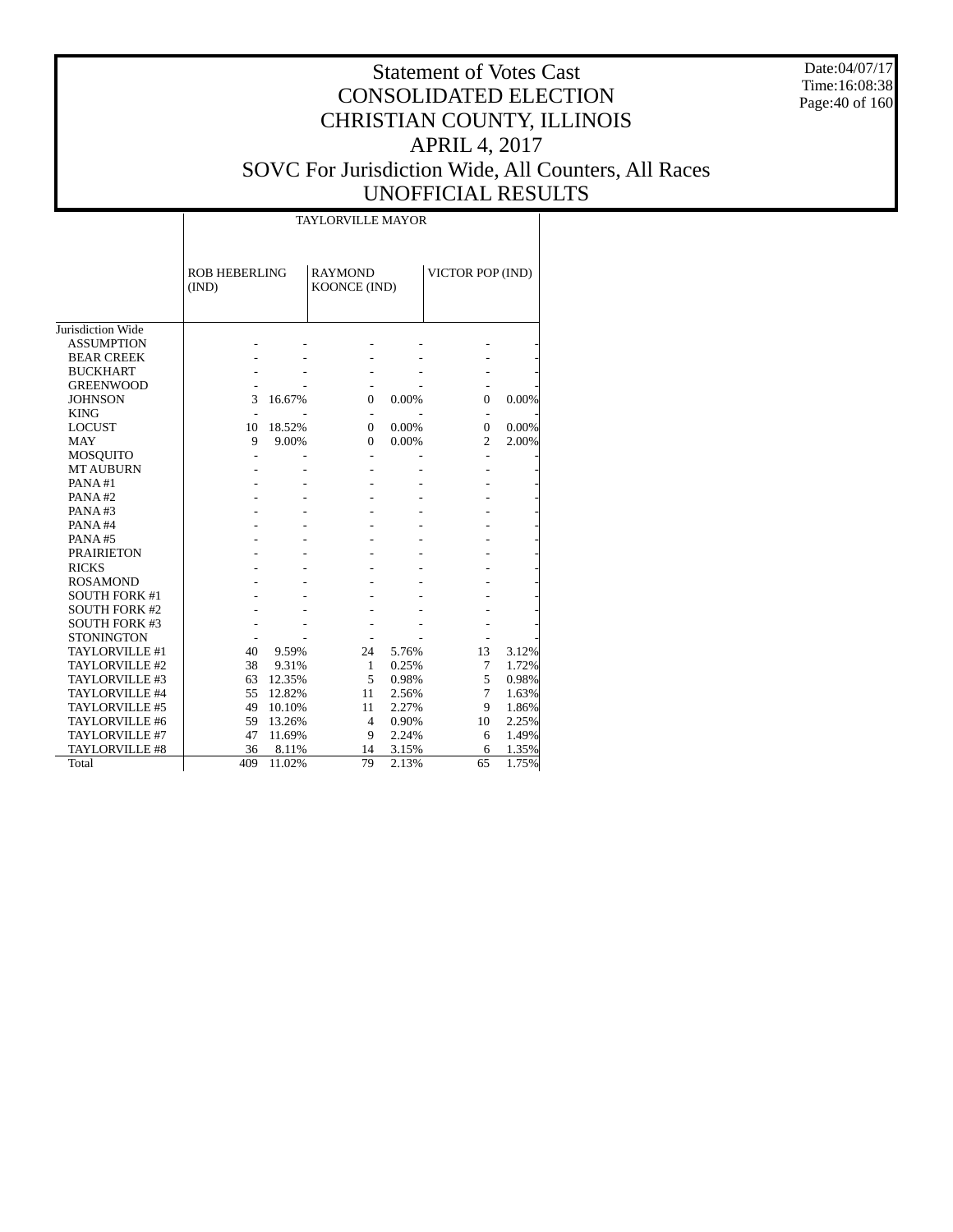Date:04/07/17 Time:16:08:38 Page:40 of 160

#### Statement of Votes Cast CONSOLIDATED ELECTION CHRISTIAN COUNTY, ILLINOIS APRIL 4, 2017 SOVC For Jurisdiction Wide, All Counters, All Races UNOFFICIAL RESULTS

|                      |                               |        | <b>TAYLORVILLE MAYOR</b>       |       |                  |       |
|----------------------|-------------------------------|--------|--------------------------------|-------|------------------|-------|
|                      | <b>ROB HEBERLING</b><br>(IND) |        | <b>RAYMOND</b><br>KOONCE (IND) |       | VICTOR POP (IND) |       |
| Jurisdiction Wide    |                               |        |                                |       |                  |       |
| <b>ASSUMPTION</b>    |                               |        |                                |       |                  |       |
| <b>BEAR CREEK</b>    |                               |        |                                |       |                  |       |
| <b>BUCKHART</b>      |                               |        |                                |       |                  |       |
| <b>GREENWOOD</b>     |                               |        |                                |       |                  |       |
| <b>JOHNSON</b>       | 3                             | 16.67% | $\Omega$                       | 0.00% | 0                | 0.00% |
| <b>KING</b>          |                               |        |                                |       |                  |       |
| <b>LOCUST</b>        | 10                            | 18.52% | $\Omega$                       | 0.00% | $\Omega$         | 0.00% |
| <b>MAY</b>           | 9                             | 9.00%  | $\theta$                       | 0.00% | $\overline{c}$   | 2.00% |
| <b>MOSQUITO</b>      |                               |        | ÷                              |       |                  |       |
| <b>MT AUBURN</b>     |                               |        |                                |       |                  |       |
| PANA#1               |                               |        |                                |       |                  |       |
| PANA#2               |                               |        |                                |       |                  |       |
| PANA#3               |                               |        |                                |       |                  |       |
| PANA#4               |                               |        |                                |       |                  |       |
| PANA#5               |                               |        |                                |       |                  |       |
| <b>PRAIRIETON</b>    |                               |        |                                |       |                  |       |
| <b>RICKS</b>         |                               |        |                                |       |                  |       |
| <b>ROSAMOND</b>      |                               |        |                                |       |                  |       |
| <b>SOUTH FORK #1</b> |                               |        |                                |       |                  |       |
| <b>SOUTH FORK #2</b> |                               |        |                                |       |                  |       |
| <b>SOUTH FORK #3</b> |                               |        |                                |       |                  |       |
| <b>STONINGTON</b>    |                               |        |                                |       |                  |       |
| TAYLORVILLE #1       | 40                            | 9.59%  | 24                             | 5.76% | 13               | 3.12% |
| TAYLORVILLE #2       | 38                            | 9.31%  | 1                              | 0.25% | 7                | 1.72% |
| TAYLORVILLE #3       | 63                            | 12.35% | 5                              | 0.98% | 5                | 0.98% |
| TAYLORVILLE #4       | 55                            | 12.82% | 11                             | 2.56% | 7                | 1.63% |
| TAYLORVILLE #5       | 49                            | 10.10% | 11                             | 2.27% | 9                | 1.86% |
| TAYLORVILLE #6       | 59                            | 13.26% | $\overline{4}$                 | 0.90% | 10               | 2.25% |
| TAYLORVILLE #7       | 47                            | 11.69% | 9                              | 2.24% | 6                | 1.49% |
| TAYLORVILLE #8       | 36                            | 8.11%  | 14                             | 3.15% | 6                | 1.35% |
| Total                | 409                           | 11.02% | 79                             | 2.13% | 65               | 1.75% |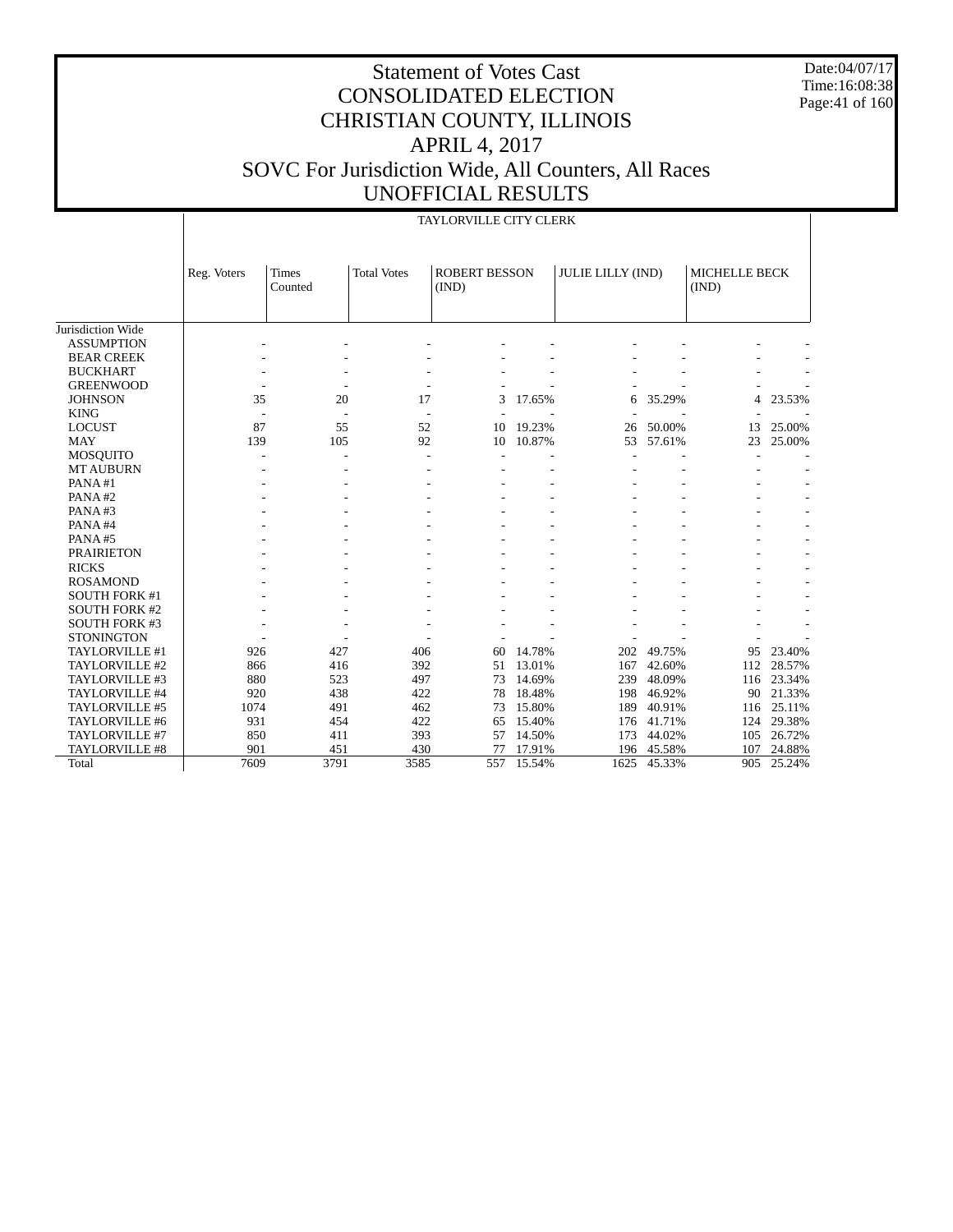Date:04/07/17 Time:16:08:38 Page:41 of 160

#### Statement of Votes Cast CONSOLIDATED ELECTION CHRISTIAN COUNTY, ILLINOIS APRIL 4, 2017 SOVC For Jurisdiction Wide, All Counters, All Races UNOFFICIAL RESULTS

|                      |             | TAYLORVILLE CITY CLERK  |                          |                               |        |                          |        |                               |        |
|----------------------|-------------|-------------------------|--------------------------|-------------------------------|--------|--------------------------|--------|-------------------------------|--------|
|                      |             |                         |                          |                               |        |                          |        |                               |        |
|                      | Reg. Voters | <b>Times</b><br>Counted | <b>Total Votes</b>       | <b>ROBERT BESSON</b><br>(IND) |        | <b>JULIE LILLY (IND)</b> |        | <b>MICHELLE BECK</b><br>(IND) |        |
|                      |             |                         |                          |                               |        |                          |        |                               |        |
| Jurisdiction Wide    |             |                         |                          |                               |        |                          |        |                               |        |
| <b>ASSUMPTION</b>    |             |                         |                          |                               |        |                          |        |                               |        |
| <b>BEAR CREEK</b>    |             |                         |                          |                               |        |                          |        |                               |        |
| <b>BUCKHART</b>      |             |                         |                          |                               |        |                          |        |                               |        |
| <b>GREENWOOD</b>     |             |                         | $\overline{a}$           |                               |        |                          |        |                               |        |
| <b>JOHNSON</b>       | 35          | 20                      | 17                       | 3                             | 17.65% | 6                        | 35.29% | 4                             | 23.53% |
| <b>KING</b>          |             |                         | $\overline{\phantom{a}}$ |                               |        |                          |        |                               |        |
| <b>LOCUST</b>        | 87          | 55                      | 52                       | 10                            | 19.23% | 26                       | 50.00% | 13                            | 25.00% |
| <b>MAY</b>           | 139         | 105                     | 92                       | 10                            | 10.87% | 53                       | 57.61% | 23                            | 25.00% |
| <b>MOSQUITO</b>      |             |                         | $\overline{\phantom{a}}$ |                               |        |                          |        |                               |        |
| <b>MT AUBURN</b>     |             |                         |                          |                               |        |                          |        |                               |        |
| PANA#1               |             |                         |                          |                               |        |                          |        |                               |        |
| PANA#2               |             |                         |                          |                               |        |                          |        |                               |        |
| PANA#3               |             |                         |                          |                               |        |                          |        |                               |        |
| PANA#4               |             |                         |                          |                               |        |                          |        |                               |        |
| PANA#5               |             |                         |                          |                               |        |                          |        |                               |        |
| <b>PRAIRIETON</b>    |             |                         |                          |                               |        |                          |        |                               |        |
| <b>RICKS</b>         |             |                         |                          |                               |        |                          |        |                               |        |
| <b>ROSAMOND</b>      |             |                         |                          |                               |        |                          |        |                               |        |
| <b>SOUTH FORK #1</b> |             |                         |                          |                               |        |                          |        |                               |        |
| <b>SOUTH FORK #2</b> |             |                         |                          |                               |        |                          |        |                               |        |
| <b>SOUTH FORK #3</b> |             |                         |                          |                               |        |                          |        |                               |        |
| <b>STONINGTON</b>    |             |                         |                          |                               |        |                          |        |                               |        |
| TAYLORVILLE #1       | 926         | 427                     | 406                      | 60                            | 14.78% | 202                      | 49.75% | 95                            | 23.40% |
| TAYLORVILLE #2       | 866         | 416                     | 392                      | 51                            | 13.01% | 167                      | 42.60% | 112                           | 28.57% |
| TAYLORVILLE #3       | 880         | 523                     | 497                      | 73                            | 14.69% | 239                      | 48.09% | 116                           | 23.34% |
| TAYLORVILLE #4       | 920         | 438                     | 422                      | 78                            | 18.48% | 198                      | 46.92% | 90                            | 21.33% |
| TAYLORVILLE #5       | 1074        | 491                     | 462                      | 73                            | 15.80% | 189                      | 40.91% | 116                           | 25.11% |
| TAYLORVILLE #6       | 931         | 454                     | 422                      | 65                            | 15.40% | 176                      | 41.71% | 124                           | 29.38% |
| TAYLORVILLE #7       | 850         | 411                     | 393                      | 57                            | 14.50% | 173                      | 44.02% | 105                           | 26.72% |
| TAYLORVILLE #8       | 901         | 451                     | 430                      | 77                            | 17.91% | 196                      | 45.58% | 107                           | 24.88% |
| Total                | 7609        | 3791                    | 3585                     | 557                           | 15.54% | 1625                     | 45.33% | 905                           | 25.24% |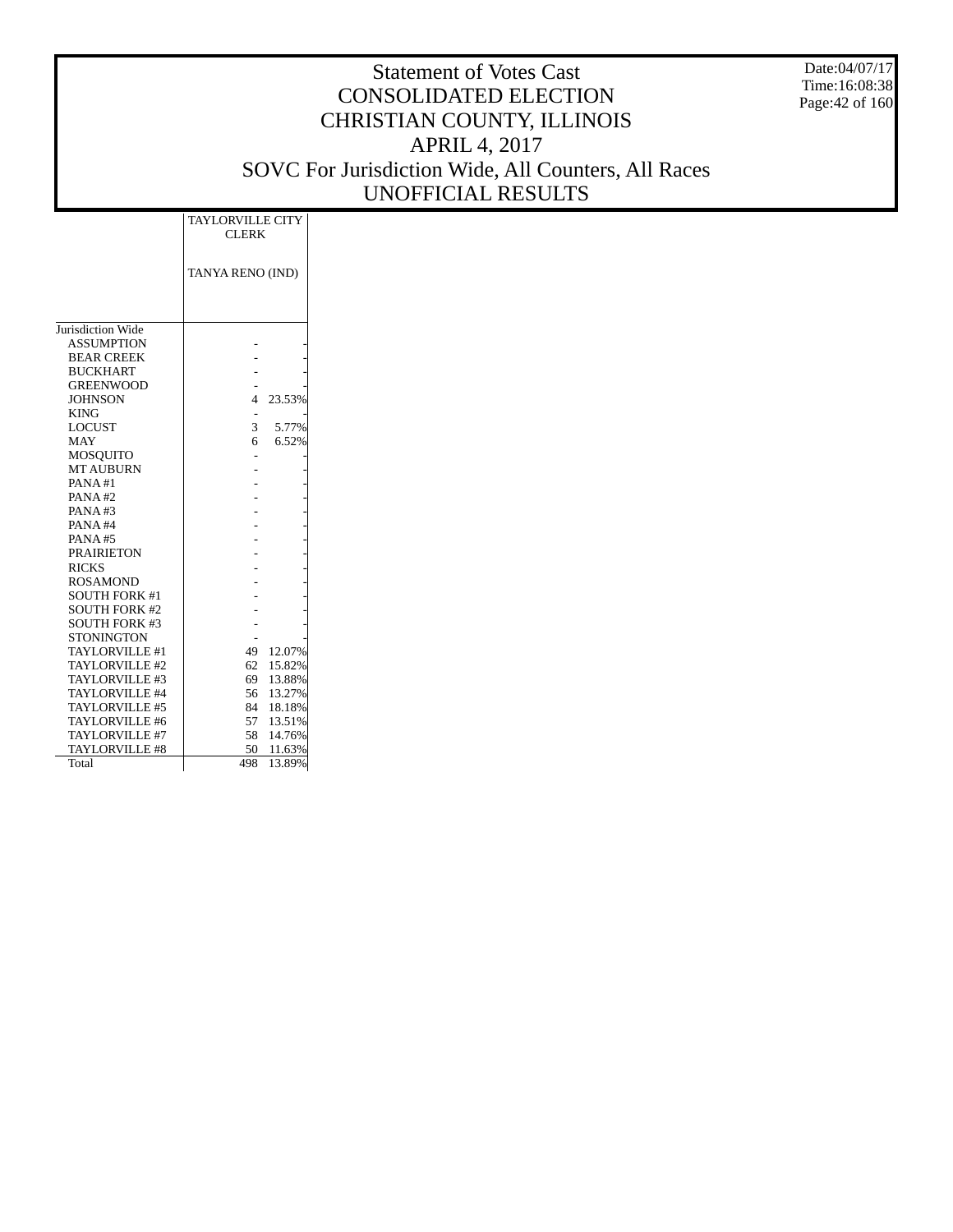Date:04/07/17 Time:16:08:38 Page:42 of 160

|                       | <b>TAYLORVILLE CITY</b><br><b>CLERK</b> |        |
|-----------------------|-----------------------------------------|--------|
|                       | TANYA RENO (IND)                        |        |
| Jurisdiction Wide     |                                         |        |
| <b>ASSUMPTION</b>     |                                         |        |
| <b>BEAR CREEK</b>     |                                         |        |
| <b>BUCKHART</b>       |                                         |        |
| <b>GREENWOOD</b>      |                                         |        |
| <b>JOHNSON</b>        | 4                                       | 23.53% |
| <b>KING</b>           |                                         |        |
| <b>LOCUST</b>         | 3                                       | 5.77%  |
| <b>MAY</b>            | 6                                       | 6.52%  |
| MOSOUITO              |                                         |        |
| <b>MT AUBURN</b>      |                                         |        |
| PANA#1                |                                         |        |
| PANA#2                |                                         |        |
| PANA#3                |                                         |        |
| PANA#4                |                                         |        |
| PANA#5                |                                         |        |
| <b>PRAIRIETON</b>     |                                         |        |
| <b>RICKS</b>          |                                         |        |
| <b>ROSAMOND</b>       |                                         |        |
| <b>SOUTH FORK #1</b>  |                                         |        |
| <b>SOUTH FORK #2</b>  |                                         |        |
| <b>SOUTH FORK #3</b>  |                                         |        |
| <b>STONINGTON</b>     |                                         |        |
| TAYLORVILLE #1        | 49                                      | 12.07% |
| TAYLORVILLE #2        | 62                                      | 15.82% |
| TAYLORVILLE #3        | 69                                      | 13.88% |
| TAYLORVILLE #4        | 56                                      | 13.27% |
| <b>TAYLORVILLE #5</b> | 84                                      | 18.18% |
| TAYLORVILLE #6        | 57                                      | 13.51% |
| TAYLORVILLE #7        | 58                                      | 14.76% |
| <b>TAYLORVILLE #8</b> | 50                                      | 11.63% |
| Total                 | 498                                     | 13.89% |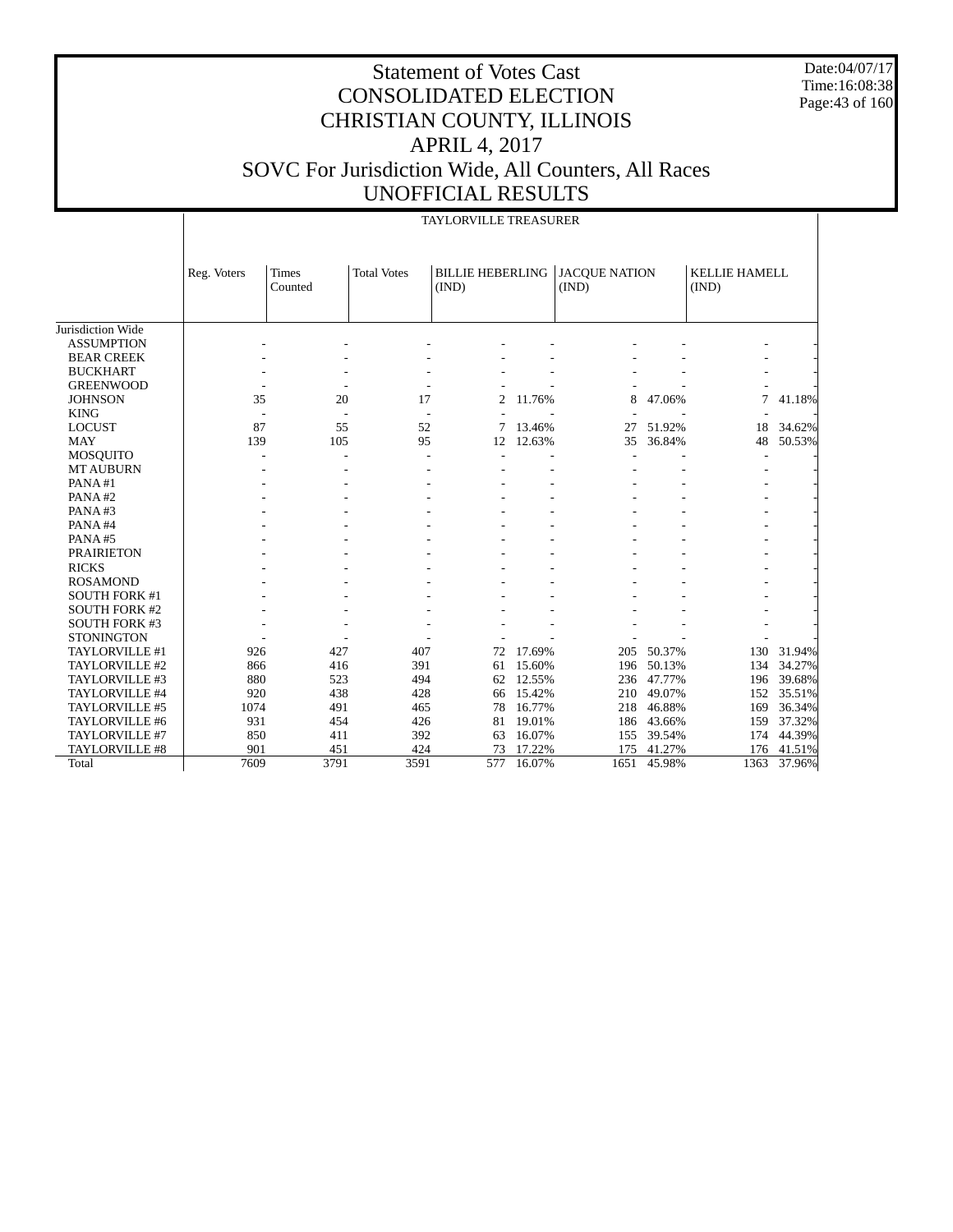Date:04/07/17 Time:16:08:38 Page:43 of 160

|                      |             |                         |                    | <b>TAYLORVILLE TREASURER</b>     |        |                               |        |                               |        |
|----------------------|-------------|-------------------------|--------------------|----------------------------------|--------|-------------------------------|--------|-------------------------------|--------|
|                      | Reg. Voters | <b>Times</b><br>Counted | <b>Total Votes</b> | <b>BILLIE HEBERLING</b><br>(IND) |        | <b>JACQUE NATION</b><br>(IND) |        | <b>KELLIE HAMELL</b><br>(IND) |        |
| Jurisdiction Wide    |             |                         |                    |                                  |        |                               |        |                               |        |
| <b>ASSUMPTION</b>    |             |                         |                    |                                  |        |                               |        |                               |        |
| <b>BEAR CREEK</b>    |             |                         |                    |                                  |        |                               |        |                               |        |
| <b>BUCKHART</b>      |             |                         |                    |                                  |        |                               |        |                               |        |
| <b>GREENWOOD</b>     |             |                         |                    |                                  |        |                               |        |                               |        |
| <b>JOHNSON</b>       | 35          | 20                      | 17                 | 2                                | 11.76% | 8                             | 47.06% | 7                             | 41.18% |
| <b>KING</b>          |             |                         |                    |                                  |        |                               |        |                               |        |
| <b>LOCUST</b>        | 87          | 55                      | 52                 | 7                                | 13.46% | 27                            | 51.92% | 18                            | 34.62% |
| <b>MAY</b>           | 139         | 105                     | 95                 | 12                               | 12.63% | 35                            | 36.84% | 48                            | 50.53% |
| <b>MOSQUITO</b>      |             |                         |                    |                                  |        |                               |        |                               |        |
| <b>MT AUBURN</b>     |             |                         |                    |                                  |        |                               |        |                               |        |
| PANA#1               |             |                         |                    |                                  |        |                               |        |                               |        |
| PANA#2               |             |                         |                    |                                  |        |                               |        |                               |        |
| PANA#3               |             |                         |                    |                                  |        |                               |        |                               |        |
| PANA#4               |             |                         |                    |                                  |        |                               |        |                               |        |
| PANA#5               |             |                         |                    |                                  |        |                               |        |                               |        |
| <b>PRAIRIETON</b>    |             |                         |                    |                                  |        |                               |        |                               |        |
| <b>RICKS</b>         |             |                         |                    |                                  |        |                               |        |                               |        |
| <b>ROSAMOND</b>      |             |                         |                    |                                  |        |                               |        |                               |        |
| <b>SOUTH FORK #1</b> |             |                         |                    |                                  |        |                               |        |                               |        |
| <b>SOUTH FORK #2</b> |             |                         |                    |                                  |        |                               |        |                               |        |
| <b>SOUTH FORK #3</b> |             |                         |                    |                                  |        |                               |        |                               |        |
| <b>STONINGTON</b>    |             |                         |                    |                                  |        |                               |        |                               |        |
| TAYLORVILLE #1       | 926         | 427                     | 407                | 72                               | 17.69% | 205                           | 50.37% | 130                           | 31.94% |
| TAYLORVILLE #2       | 866         | 416                     | 391                | 61                               | 15.60% | 196                           | 50.13% | 134                           | 34.27% |
| TAYLORVILLE #3       | 880         | 523                     | 494                | 62                               | 12.55% | 236                           | 47.77% | 196                           | 39.68% |
| TAYLORVILLE #4       | 920         | 438                     | 428                | 66                               | 15.42% | 210                           | 49.07% | 152                           | 35.51% |
| TAYLORVILLE #5       | 1074        | 491                     | 465                | 78                               | 16.77% | 218                           | 46.88% | 169                           | 36.34% |
| TAYLORVILLE #6       | 931         | 454                     | 426                | 81                               | 19.01% | 186                           | 43.66% | 159                           | 37.32% |
| TAYLORVILLE #7       | 850         | 411                     | 392                | 63                               | 16.07% | 155                           | 39.54% | 174                           | 44.39% |
| TAYLORVILLE #8       | 901         | 451                     | 424                | 73                               | 17.22% | 175                           | 41.27% | 176                           | 41.51% |
| Total                | 7609        | 3791                    | 3591               | 577                              | 16.07% | 1651                          | 45.98% | 1363                          | 37.96% |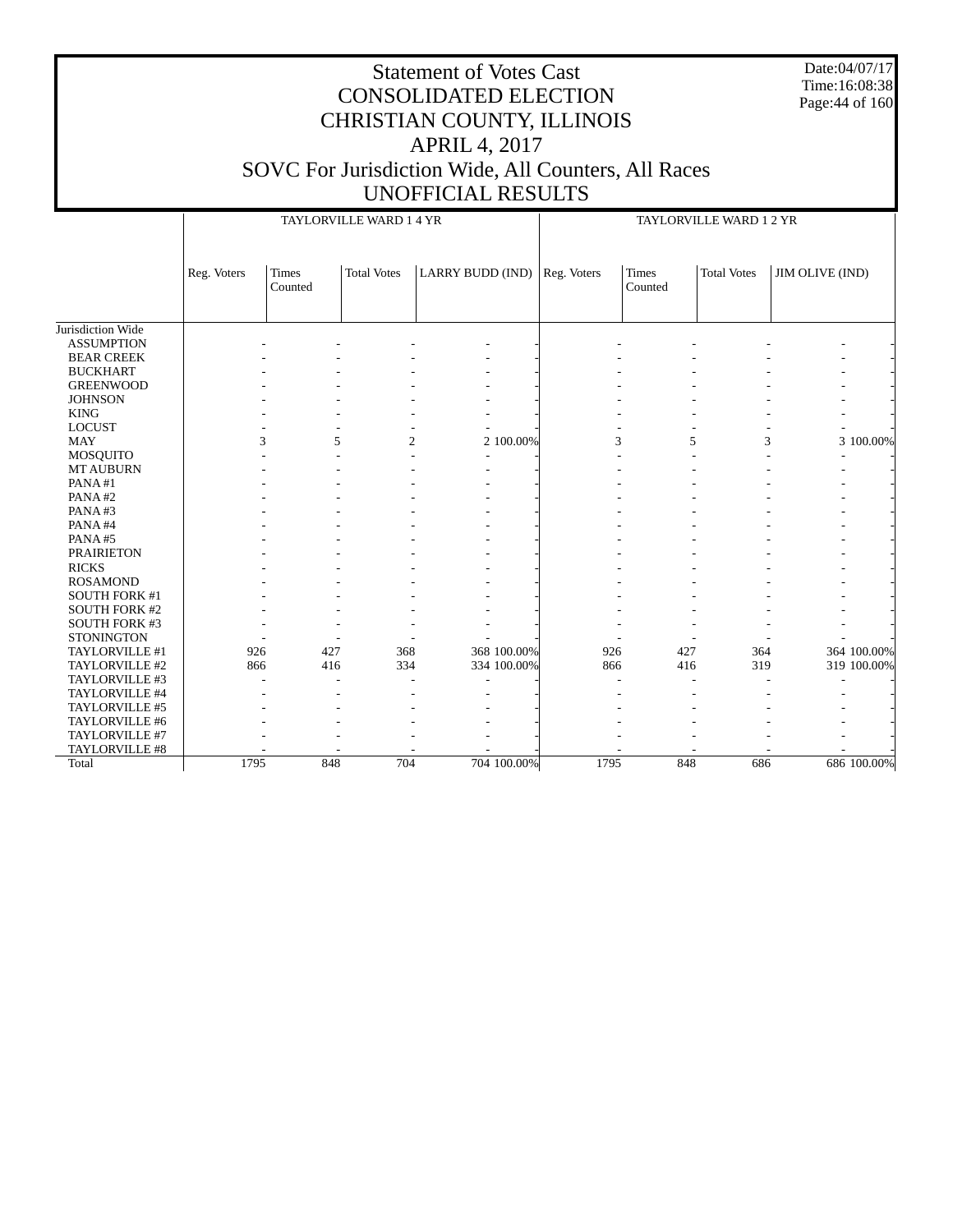Date:04/07/17 Time:16:08:38 Page:44 of 160

# CONSOLIDATED ELECTION CHRISTIAN COUNTY, ILLINOIS APRIL 4, 2017 SOVC For Jurisdiction Wide, All Counters, All Races UNOFFICIAL RESULTS

Statement of Votes Cast

|                      |             |                         | TAYLORVILLE WARD 1 4 YR |                  |           |             |                         | TAYLORVILLE WARD 1 2 YR |                 |             |
|----------------------|-------------|-------------------------|-------------------------|------------------|-----------|-------------|-------------------------|-------------------------|-----------------|-------------|
|                      | Reg. Voters | <b>Times</b><br>Counted | <b>Total Votes</b>      | LARRY BUDD (IND) |           | Reg. Voters | <b>Times</b><br>Counted | <b>Total Votes</b>      | JIM OLIVE (IND) |             |
| Jurisdiction Wide    |             |                         |                         |                  |           |             |                         |                         |                 |             |
| <b>ASSUMPTION</b>    |             |                         |                         |                  |           |             |                         |                         |                 |             |
| <b>BEAR CREEK</b>    |             |                         |                         |                  |           |             |                         |                         |                 |             |
| <b>BUCKHART</b>      |             |                         |                         |                  |           |             |                         |                         |                 |             |
| <b>GREENWOOD</b>     |             |                         |                         |                  |           |             |                         |                         |                 |             |
| <b>JOHNSON</b>       |             |                         |                         |                  |           |             |                         |                         |                 |             |
| <b>KING</b>          |             |                         |                         |                  |           |             |                         |                         |                 |             |
| <b>LOCUST</b>        |             |                         |                         |                  |           |             |                         |                         |                 |             |
| <b>MAY</b>           |             | 3<br>5                  | $\overline{c}$          |                  | 2 100.00% | 3           | 5                       | 3                       |                 | 3 100.00%   |
| MOSQUITO             |             |                         |                         |                  |           |             |                         |                         |                 |             |
| <b>MT AUBURN</b>     |             |                         |                         |                  |           |             |                         |                         |                 |             |
| PANA#1               |             |                         |                         |                  |           |             |                         |                         |                 |             |
| PANA#2               |             |                         |                         |                  |           |             |                         |                         |                 |             |
| PANA#3               |             |                         |                         |                  |           |             |                         |                         |                 |             |
| PANA#4               |             |                         |                         |                  |           |             |                         |                         |                 |             |
| PANA#5               |             |                         |                         |                  |           |             |                         |                         |                 |             |
| <b>PRAIRIETON</b>    |             |                         |                         |                  |           |             |                         |                         |                 |             |
| <b>RICKS</b>         |             |                         |                         |                  |           |             |                         |                         |                 |             |
| <b>ROSAMOND</b>      |             |                         |                         |                  |           |             |                         |                         |                 |             |
| SOUTH FORK #1        |             |                         |                         |                  |           |             |                         |                         |                 |             |
| <b>SOUTH FORK #2</b> |             |                         |                         |                  |           |             |                         |                         |                 |             |
| <b>SOUTH FORK #3</b> |             |                         |                         |                  |           |             |                         |                         |                 |             |
| <b>STONINGTON</b>    |             |                         |                         |                  |           |             |                         |                         |                 |             |
| TAYLORVILLE #1       | 926         | 427                     | 368                     | 368 100.00%      |           | 926         | 427                     | 364                     |                 | 364 100.00% |
| TAYLORVILLE #2       | 866         | 416                     | 334                     | 334 100.00%      |           | 866         | 416                     | 319                     |                 | 319 100.00% |
| TAYLORVILLE #3       |             |                         |                         |                  |           |             | ۰                       |                         |                 |             |
| TAYLORVILLE #4       |             |                         |                         |                  |           |             |                         |                         |                 |             |
| TAYLORVILLE #5       |             |                         |                         |                  |           |             |                         |                         |                 |             |
| TAYLORVILLE #6       |             |                         |                         |                  |           |             |                         |                         |                 |             |
| TAYLORVILLE #7       |             |                         |                         |                  |           |             |                         |                         |                 |             |
| TAYLORVILLE #8       |             |                         |                         |                  |           |             |                         |                         |                 |             |
| Total                | 1795        | 848                     | 704                     | 704 100.00%      |           | 1795        | 848                     | 686                     |                 | 686 100.00% |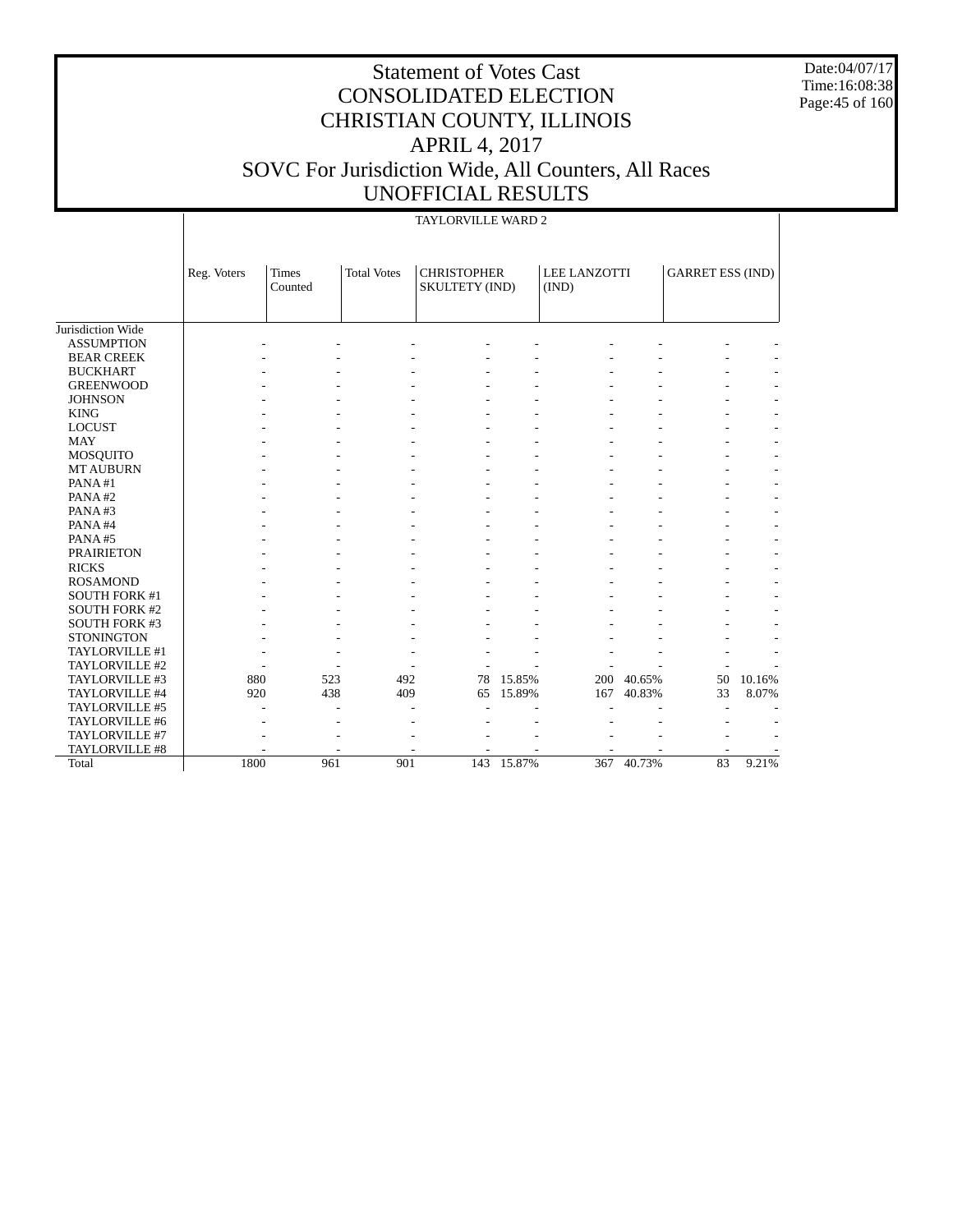Date:04/07/17 Time:16:08:38 Page:45 of 160

|                      |             |                         |                    | <b>TAYLORVILLE WARD 2</b>            |        |                              |        |                         |                |
|----------------------|-------------|-------------------------|--------------------|--------------------------------------|--------|------------------------------|--------|-------------------------|----------------|
|                      | Reg. Voters | <b>Times</b><br>Counted | <b>Total Votes</b> | <b>CHRISTOPHER</b><br>SKULTETY (IND) |        | <b>LEE LANZOTTI</b><br>(IND) |        | <b>GARRET ESS (IND)</b> |                |
| Jurisdiction Wide    |             |                         |                    |                                      |        |                              |        |                         |                |
| <b>ASSUMPTION</b>    |             |                         |                    |                                      |        |                              |        |                         |                |
| <b>BEAR CREEK</b>    |             |                         |                    |                                      |        |                              |        |                         |                |
| <b>BUCKHART</b>      |             |                         |                    |                                      |        |                              |        |                         |                |
| <b>GREENWOOD</b>     |             |                         |                    |                                      |        |                              |        |                         |                |
| <b>JOHNSON</b>       |             |                         |                    |                                      |        |                              |        |                         |                |
| <b>KING</b>          |             |                         |                    |                                      |        |                              |        |                         |                |
| <b>LOCUST</b>        |             |                         |                    |                                      |        |                              |        |                         |                |
| <b>MAY</b>           |             |                         |                    |                                      |        |                              |        |                         |                |
| <b>MOSQUITO</b>      |             |                         |                    |                                      |        |                              |        |                         |                |
| <b>MT AUBURN</b>     |             |                         |                    |                                      |        |                              |        |                         |                |
| PANA#1               |             |                         |                    |                                      |        |                              |        |                         |                |
| PANA#2               |             |                         |                    |                                      |        |                              |        |                         |                |
| PANA#3               |             |                         |                    |                                      |        |                              |        |                         |                |
| PANA#4               |             |                         |                    |                                      |        |                              |        |                         | $\overline{a}$ |
| PANA#5               |             |                         |                    |                                      |        |                              |        |                         |                |
| <b>PRAIRIETON</b>    |             |                         |                    |                                      |        |                              |        |                         | $\overline{a}$ |
| <b>RICKS</b>         |             |                         |                    |                                      |        |                              |        |                         |                |
| <b>ROSAMOND</b>      |             |                         |                    |                                      |        |                              |        |                         |                |
| <b>SOUTH FORK #1</b> |             |                         |                    |                                      |        |                              |        |                         |                |
| <b>SOUTH FORK #2</b> |             |                         |                    |                                      |        |                              |        |                         |                |
| <b>SOUTH FORK #3</b> |             |                         |                    |                                      |        |                              |        |                         |                |
| <b>STONINGTON</b>    |             |                         |                    |                                      |        |                              |        |                         |                |
| TAYLORVILLE #1       |             |                         |                    |                                      |        |                              |        |                         |                |
| TAYLORVILLE #2       |             |                         |                    |                                      |        |                              |        |                         |                |
| TAYLORVILLE #3       |             | 880                     | 523                | 492<br>78                            | 15.85% | 200                          | 40.65% | 50                      | 10.16%         |
| TAYLORVILLE #4       |             | 920                     | 438                | 409<br>65                            | 15.89% | 167                          | 40.83% | 33                      | 8.07%          |
| TAYLORVILLE #5       |             |                         |                    |                                      |        |                              |        |                         |                |
| TAYLORVILLE #6       |             |                         |                    |                                      |        |                              |        |                         |                |
| TAYLORVILLE #7       |             |                         |                    |                                      |        |                              |        |                         |                |
| TAYLORVILLE #8       |             |                         |                    |                                      |        |                              |        |                         |                |
| Total                | 1800        |                         | 961<br>901         | 143                                  | 15.87% | 367                          | 40.73% | 83                      | 9.21%          |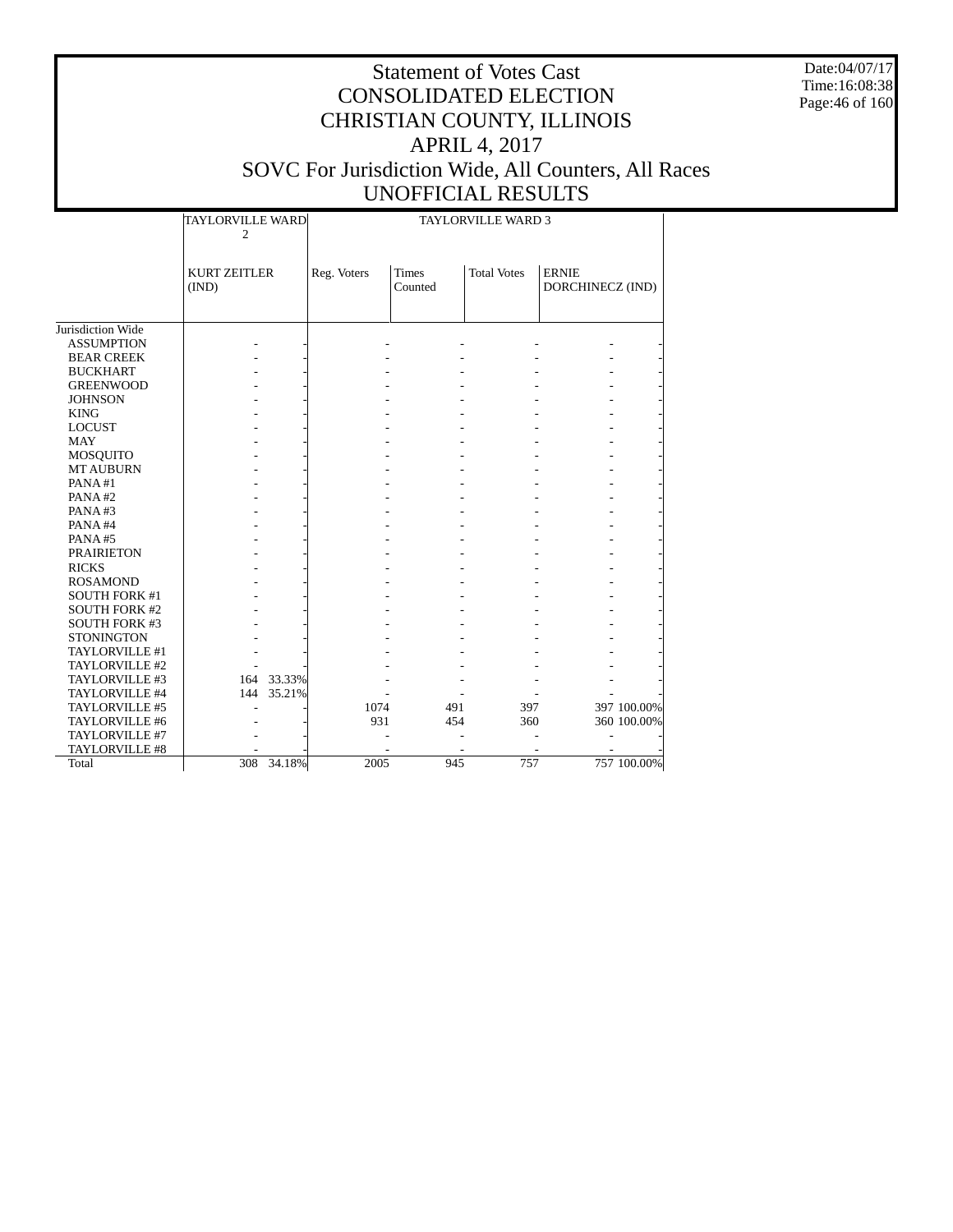Date:04/07/17 Time:16:08:38 Page:46 of 160

|                      | TAYLORVILLE WARD<br>$\overline{c}$ |             |                         | <b>TAYLORVILLE WARD 3</b> |                                  |             |
|----------------------|------------------------------------|-------------|-------------------------|---------------------------|----------------------------------|-------------|
|                      | <b>KURT ZEITLER</b><br>(IND)       | Reg. Voters | <b>Times</b><br>Counted | <b>Total Votes</b>        | <b>ERNIE</b><br>DORCHINECZ (IND) |             |
|                      |                                    |             |                         |                           |                                  |             |
| Jurisdiction Wide    |                                    |             |                         |                           |                                  |             |
| <b>ASSUMPTION</b>    |                                    |             |                         |                           |                                  |             |
| <b>BEAR CREEK</b>    |                                    |             |                         |                           |                                  |             |
| <b>BUCKHART</b>      |                                    |             |                         |                           |                                  |             |
| <b>GREENWOOD</b>     |                                    |             |                         |                           |                                  |             |
| <b>JOHNSON</b>       |                                    |             |                         |                           |                                  |             |
| <b>KING</b>          |                                    |             |                         |                           |                                  |             |
| <b>LOCUST</b>        |                                    |             |                         |                           |                                  |             |
| <b>MAY</b>           |                                    |             |                         |                           |                                  |             |
| <b>MOSQUITO</b>      |                                    |             |                         |                           |                                  |             |
| <b>MT AUBURN</b>     |                                    |             |                         |                           |                                  |             |
| PANA#1               |                                    |             |                         |                           |                                  |             |
| PANA#2               |                                    |             |                         |                           |                                  |             |
| PANA#3               |                                    |             |                         |                           |                                  |             |
| PANA#4               |                                    |             |                         |                           |                                  |             |
| PANA#5               |                                    |             |                         |                           |                                  |             |
| <b>PRAIRIETON</b>    |                                    |             |                         |                           |                                  |             |
| <b>RICKS</b>         |                                    |             |                         |                           |                                  |             |
| <b>ROSAMOND</b>      |                                    |             |                         |                           |                                  |             |
| <b>SOUTH FORK #1</b> |                                    |             |                         |                           |                                  |             |
| <b>SOUTH FORK #2</b> |                                    |             |                         |                           |                                  |             |
| <b>SOUTH FORK #3</b> |                                    |             |                         |                           |                                  |             |
| <b>STONINGTON</b>    |                                    |             |                         |                           |                                  |             |
| TAYLORVILLE #1       |                                    |             |                         |                           |                                  |             |
| TAYLORVILLE #2       |                                    |             |                         |                           |                                  |             |
| TAYLORVILLE #3       | 164 33.33%                         |             |                         |                           |                                  |             |
| TAYLORVILLE #4       | 35.21%<br>144                      |             |                         |                           |                                  |             |
| TAYLORVILLE #5       |                                    | 1074        | 491                     | 397                       |                                  | 397 100.00% |
| TAYLORVILLE #6       |                                    | 931         | 454                     | 360                       |                                  | 360 100.00% |
| TAYLORVILLE #7       |                                    |             |                         |                           |                                  |             |
| TAYLORVILLE #8       |                                    |             |                         |                           |                                  |             |
| Total                | 34.18%<br>308                      | 2005        | 945                     | 757                       |                                  | 757 100.00% |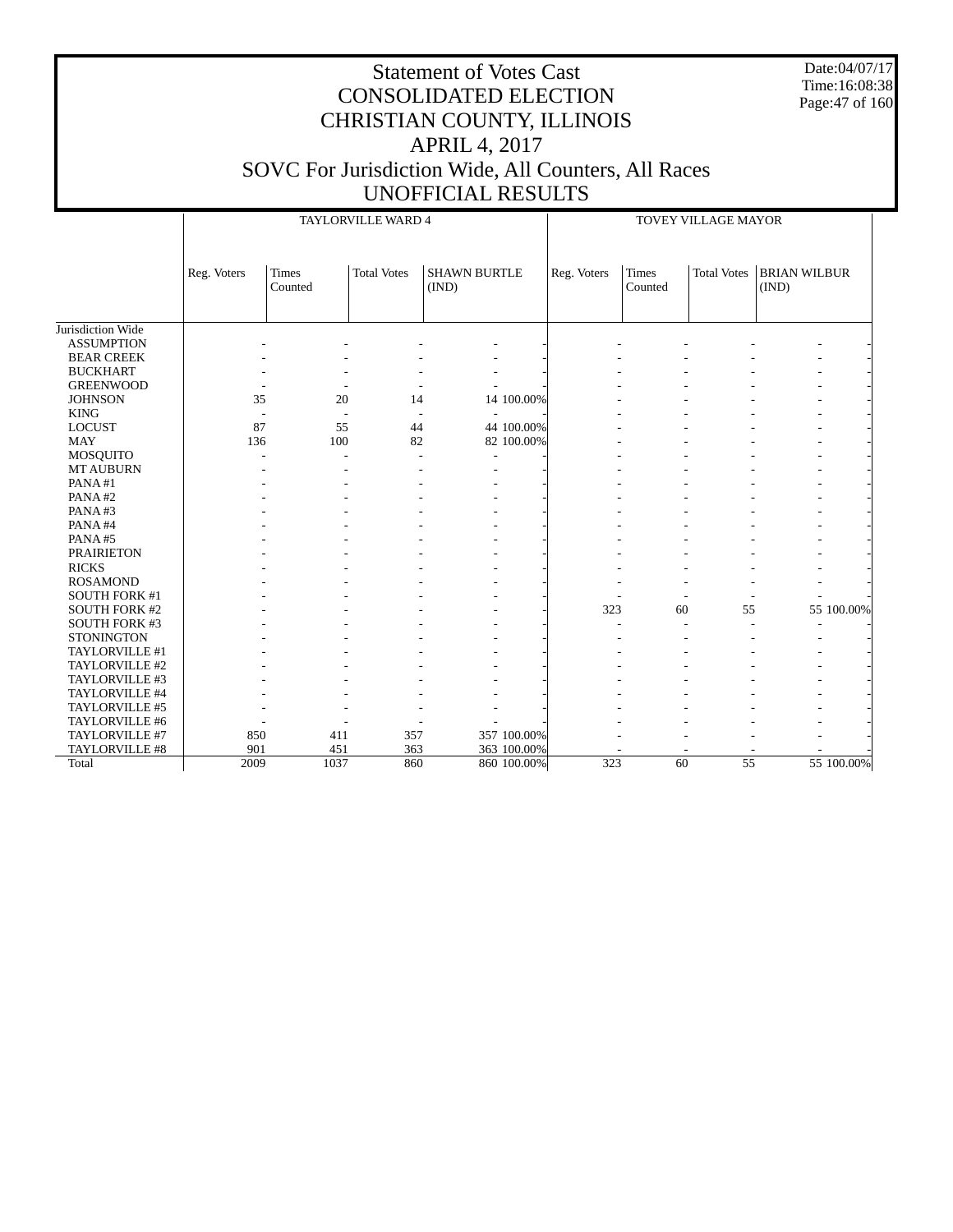Date:04/07/17 Time:16:08:38 Page:47 of 160

|                      |             |                         | TAYLORVILLE WARD 4 |                              | TOVEY VILLAGE MAYOR |                         |                    |                              |            |  |
|----------------------|-------------|-------------------------|--------------------|------------------------------|---------------------|-------------------------|--------------------|------------------------------|------------|--|
|                      | Reg. Voters | <b>Times</b><br>Counted | <b>Total Votes</b> | <b>SHAWN BURTLE</b><br>(IND) | Reg. Voters         | <b>Times</b><br>Counted | <b>Total Votes</b> | <b>BRIAN WILBUR</b><br>(IND) |            |  |
| Jurisdiction Wide    |             |                         |                    |                              |                     |                         |                    |                              |            |  |
| <b>ASSUMPTION</b>    |             |                         |                    |                              |                     |                         |                    |                              |            |  |
| <b>BEAR CREEK</b>    |             |                         |                    |                              |                     |                         |                    |                              |            |  |
| <b>BUCKHART</b>      |             |                         |                    |                              |                     |                         |                    |                              |            |  |
| <b>GREENWOOD</b>     |             |                         |                    |                              |                     |                         |                    |                              |            |  |
| <b>JOHNSON</b>       | 35          | 20                      | 14                 | 14 100.00%                   |                     |                         |                    |                              |            |  |
| <b>KING</b>          |             |                         |                    |                              |                     |                         |                    |                              |            |  |
| <b>LOCUST</b>        | 87          | 55                      | 44                 | 44 100.00%                   |                     |                         |                    |                              |            |  |
| <b>MAY</b>           | 136         | 100                     | 82                 | 82 100.00%                   |                     |                         |                    |                              |            |  |
| MOSQUITO             |             | ÷                       |                    |                              |                     |                         |                    |                              |            |  |
| <b>MT AUBURN</b>     |             |                         |                    |                              |                     |                         |                    |                              |            |  |
| PANA#1               |             |                         |                    |                              |                     |                         |                    |                              |            |  |
| PANA#2               |             |                         |                    |                              |                     |                         |                    |                              |            |  |
| PANA#3               |             |                         |                    |                              |                     |                         |                    |                              |            |  |
| PANA#4               |             |                         |                    |                              |                     |                         |                    |                              |            |  |
| PANA#5               |             |                         |                    |                              |                     |                         |                    |                              |            |  |
| <b>PRAIRIETON</b>    |             |                         |                    |                              |                     |                         |                    |                              |            |  |
| <b>RICKS</b>         |             |                         |                    |                              |                     |                         |                    |                              |            |  |
| <b>ROSAMOND</b>      |             |                         |                    |                              |                     |                         |                    |                              |            |  |
| <b>SOUTH FORK #1</b> |             |                         |                    |                              |                     |                         |                    |                              |            |  |
| <b>SOUTH FORK #2</b> |             |                         |                    |                              | 323                 | 60                      | 55                 |                              | 55 100.00% |  |
| <b>SOUTH FORK #3</b> |             |                         |                    |                              |                     |                         |                    |                              |            |  |
| <b>STONINGTON</b>    |             |                         |                    |                              |                     |                         |                    |                              |            |  |
| TAYLORVILLE #1       |             |                         |                    |                              |                     |                         |                    |                              |            |  |
| TAYLORVILLE #2       |             |                         |                    |                              |                     |                         |                    |                              |            |  |
| TAYLORVILLE #3       |             |                         |                    |                              |                     |                         |                    |                              |            |  |
| TAYLORVILLE #4       |             |                         |                    |                              |                     |                         |                    |                              |            |  |
| TAYLORVILLE #5       |             |                         |                    |                              |                     |                         |                    |                              |            |  |
| TAYLORVILLE #6       |             |                         |                    |                              |                     |                         |                    |                              |            |  |
| TAYLORVILLE #7       | 850         | 411                     | 357                | 357 100.00%                  |                     |                         |                    |                              |            |  |
| TAYLORVILLE #8       | 901         | 451                     | 363                | 363 100.00%                  |                     |                         |                    |                              |            |  |
| Total                | 2009        | 1037                    | 860                | 860 100.00%                  | 323                 | 60                      | 55                 |                              | 55 100.00% |  |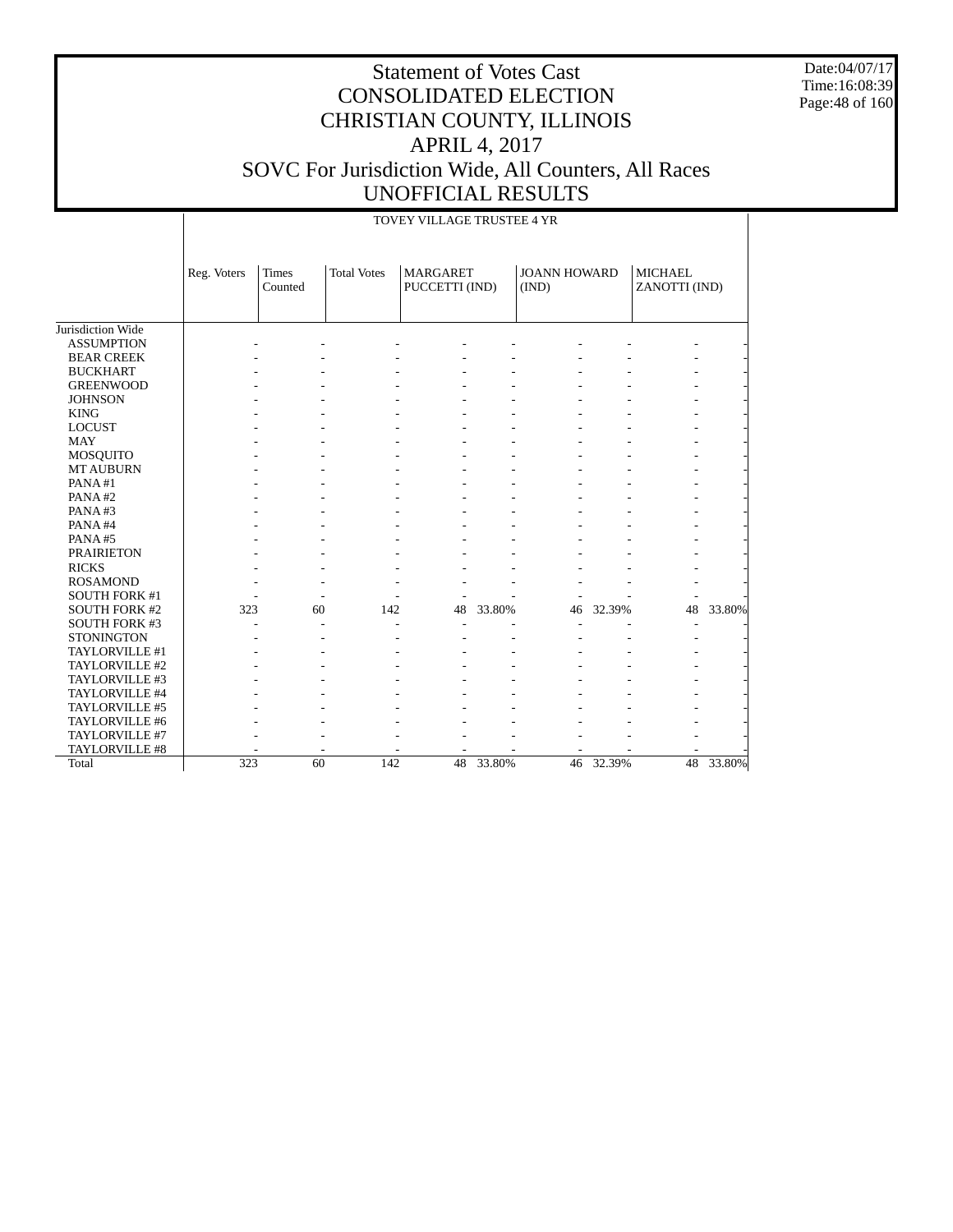Date:04/07/17 Time:16:08:39 Page:48 of 160

|                       |             |                  |                    | TOVEY VILLAGE TRUSTEE 4 YR        |        |                              |        |                                 |        |
|-----------------------|-------------|------------------|--------------------|-----------------------------------|--------|------------------------------|--------|---------------------------------|--------|
|                       | Reg. Voters | Times<br>Counted | <b>Total Votes</b> | <b>MARGARET</b><br>PUCCETTI (IND) |        | <b>JOANN HOWARD</b><br>(IND) |        | <b>MICHAEL</b><br>ZANOTTI (IND) |        |
| Jurisdiction Wide     |             |                  |                    |                                   |        |                              |        |                                 |        |
| <b>ASSUMPTION</b>     |             |                  |                    |                                   |        |                              |        |                                 |        |
| <b>BEAR CREEK</b>     |             |                  |                    |                                   |        |                              |        |                                 |        |
| <b>BUCKHART</b>       |             |                  |                    |                                   |        |                              |        |                                 |        |
| <b>GREENWOOD</b>      |             |                  |                    |                                   |        |                              |        |                                 |        |
| <b>JOHNSON</b>        |             |                  |                    |                                   |        |                              |        |                                 |        |
| <b>KING</b>           |             |                  |                    |                                   |        |                              |        |                                 |        |
| <b>LOCUST</b>         |             |                  |                    |                                   |        |                              |        |                                 |        |
| <b>MAY</b>            |             |                  |                    |                                   |        |                              |        |                                 |        |
| <b>MOSQUITO</b>       |             |                  |                    |                                   |        |                              |        |                                 |        |
| <b>MT AUBURN</b>      |             |                  |                    |                                   |        |                              |        |                                 |        |
| PANA#1                |             |                  |                    |                                   |        |                              |        |                                 |        |
| PANA#2                |             |                  |                    |                                   |        |                              |        |                                 |        |
| PANA#3                |             |                  |                    |                                   |        |                              |        |                                 |        |
| PANA#4                |             |                  |                    |                                   |        |                              |        |                                 |        |
| PANA#5                |             |                  |                    |                                   |        |                              |        |                                 |        |
| <b>PRAIRIETON</b>     |             |                  |                    |                                   |        |                              |        |                                 |        |
| <b>RICKS</b>          |             |                  |                    |                                   |        |                              |        |                                 |        |
| <b>ROSAMOND</b>       |             |                  |                    |                                   |        |                              |        |                                 |        |
| <b>SOUTH FORK #1</b>  |             |                  |                    |                                   |        |                              |        |                                 |        |
| <b>SOUTH FORK #2</b>  | 323         | 60               | 142                | 48                                | 33.80% | 46                           | 32.39% | 48                              | 33.80% |
| <b>SOUTH FORK #3</b>  |             |                  |                    |                                   |        |                              |        |                                 |        |
| <b>STONINGTON</b>     |             |                  |                    |                                   |        |                              |        |                                 |        |
| TAYLORVILLE #1        |             |                  |                    |                                   |        |                              |        |                                 |        |
| TAYLORVILLE #2        |             |                  |                    |                                   |        |                              |        |                                 |        |
| TAYLORVILLE #3        |             |                  |                    |                                   |        |                              |        |                                 |        |
| TAYLORVILLE #4        |             |                  |                    |                                   |        |                              |        |                                 |        |
| TAYLORVILLE #5        |             |                  |                    |                                   |        |                              |        |                                 |        |
| TAYLORVILLE #6        |             |                  |                    |                                   |        |                              |        |                                 |        |
| TAYLORVILLE #7        |             |                  |                    |                                   |        |                              |        |                                 |        |
| <b>TAYLORVILLE #8</b> |             |                  |                    |                                   |        |                              |        |                                 |        |
| Total                 | 323         | 60               | 142                | 48                                | 33.80% | 46                           | 32.39% | 48                              | 33.80% |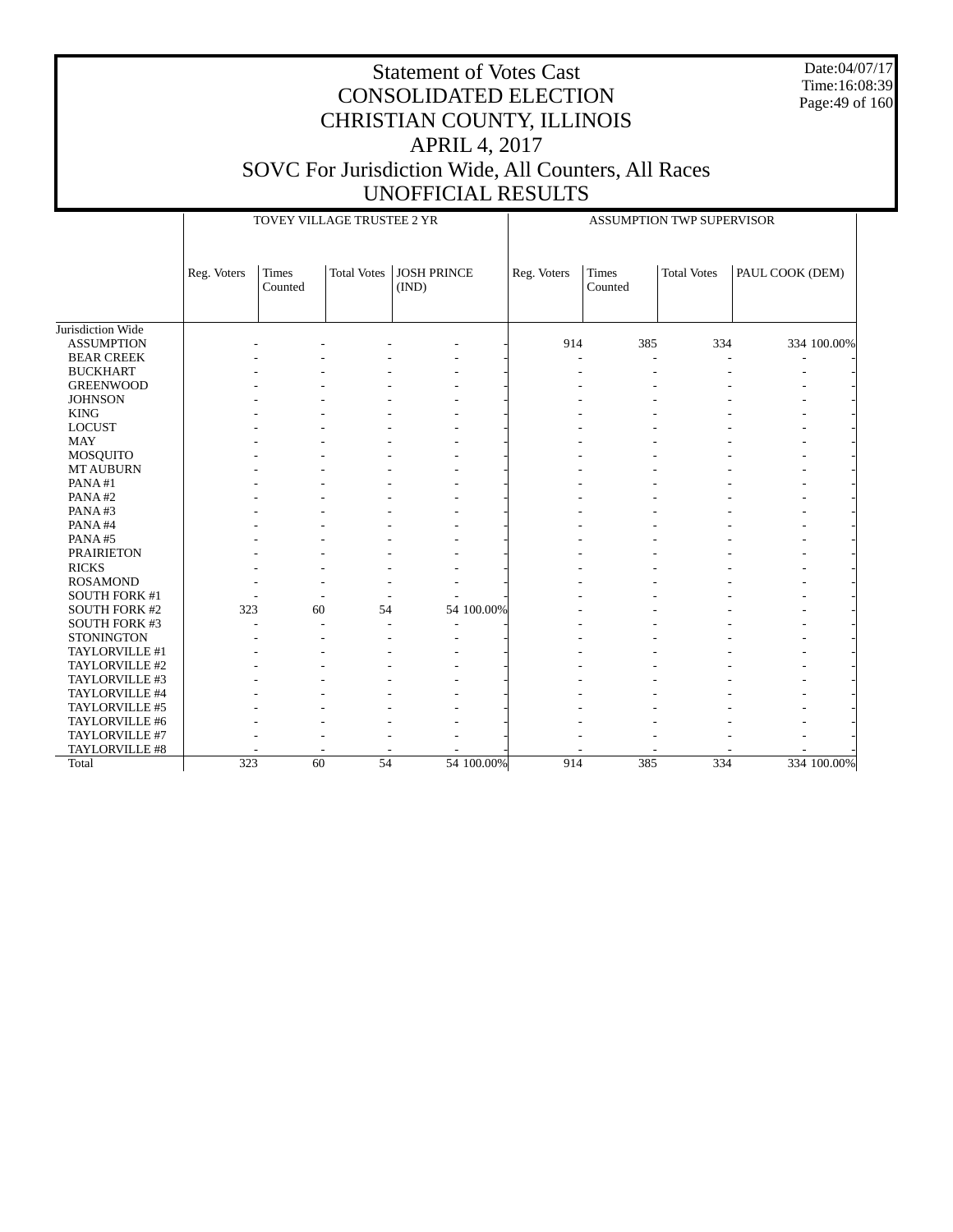Date:04/07/17 Time:16:08:39 Page:49 of 160

|                      |             | TOVEY VILLAGE TRUSTEE 2 YR |                    |                             |            |             |                         | <b>ASSUMPTION TWP SUPERVISOR</b> |                 |             |
|----------------------|-------------|----------------------------|--------------------|-----------------------------|------------|-------------|-------------------------|----------------------------------|-----------------|-------------|
|                      | Reg. Voters | <b>Times</b><br>Counted    | <b>Total Votes</b> | <b>JOSH PRINCE</b><br>(IND) |            | Reg. Voters | <b>Times</b><br>Counted | <b>Total Votes</b>               | PAUL COOK (DEM) |             |
| Jurisdiction Wide    |             |                            |                    |                             |            |             |                         |                                  |                 |             |
| <b>ASSUMPTION</b>    |             |                            |                    |                             |            | 914         | 385                     | 334                              |                 | 334 100.00% |
| <b>BEAR CREEK</b>    |             |                            |                    |                             |            |             | L,                      |                                  |                 |             |
| <b>BUCKHART</b>      |             |                            |                    |                             |            |             |                         |                                  |                 |             |
| <b>GREENWOOD</b>     |             |                            |                    |                             |            |             |                         |                                  |                 |             |
| <b>JOHNSON</b>       |             |                            |                    |                             |            |             |                         |                                  |                 |             |
| <b>KING</b>          |             |                            |                    |                             |            |             |                         |                                  |                 |             |
| <b>LOCUST</b>        |             |                            |                    |                             |            |             |                         |                                  |                 |             |
| <b>MAY</b>           |             |                            |                    |                             |            |             |                         |                                  |                 |             |
| MOSQUITO             |             |                            |                    |                             |            |             |                         |                                  |                 |             |
| <b>MT AUBURN</b>     |             |                            |                    |                             |            |             |                         |                                  |                 |             |
| PANA#1               |             |                            |                    |                             |            |             |                         |                                  |                 |             |
| PANA#2               |             |                            |                    |                             |            |             |                         |                                  |                 |             |
| PANA#3               |             |                            |                    |                             |            |             |                         |                                  |                 |             |
| PANA#4               |             |                            |                    |                             |            |             |                         |                                  |                 |             |
| PANA#5               |             |                            |                    |                             |            |             |                         |                                  |                 |             |
| <b>PRAIRIETON</b>    |             |                            |                    |                             |            |             |                         |                                  |                 |             |
| <b>RICKS</b>         |             |                            |                    |                             |            |             |                         |                                  |                 |             |
| <b>ROSAMOND</b>      |             |                            |                    |                             |            |             |                         |                                  |                 |             |
| SOUTH FORK #1        |             |                            |                    |                             |            |             |                         |                                  |                 |             |
| <b>SOUTH FORK #2</b> | 323         | 60                         | 54                 |                             | 54 100.00% |             |                         |                                  |                 |             |
| SOUTH FORK #3        |             |                            |                    |                             |            |             |                         |                                  |                 |             |
| <b>STONINGTON</b>    |             |                            |                    |                             |            |             |                         |                                  |                 |             |
| TAYLORVILLE #1       |             |                            |                    |                             |            |             |                         |                                  |                 |             |
| TAYLORVILLE #2       |             |                            |                    |                             |            |             |                         |                                  |                 |             |
| TAYLORVILLE #3       |             |                            |                    |                             |            |             |                         |                                  |                 |             |
| TAYLORVILLE #4       |             |                            |                    |                             |            |             |                         |                                  |                 |             |
| TAYLORVILLE #5       |             |                            |                    |                             |            |             |                         |                                  |                 |             |
| TAYLORVILLE #6       |             |                            |                    |                             |            |             |                         |                                  |                 |             |
| TAYLORVILLE #7       |             |                            |                    |                             |            |             |                         |                                  |                 |             |
| TAYLORVILLE #8       |             |                            |                    |                             |            |             |                         |                                  |                 |             |
| Total                | 323         | 60                         | 54                 |                             | 54 100,00% | 914         | 385                     | 334                              |                 | 334 100.00% |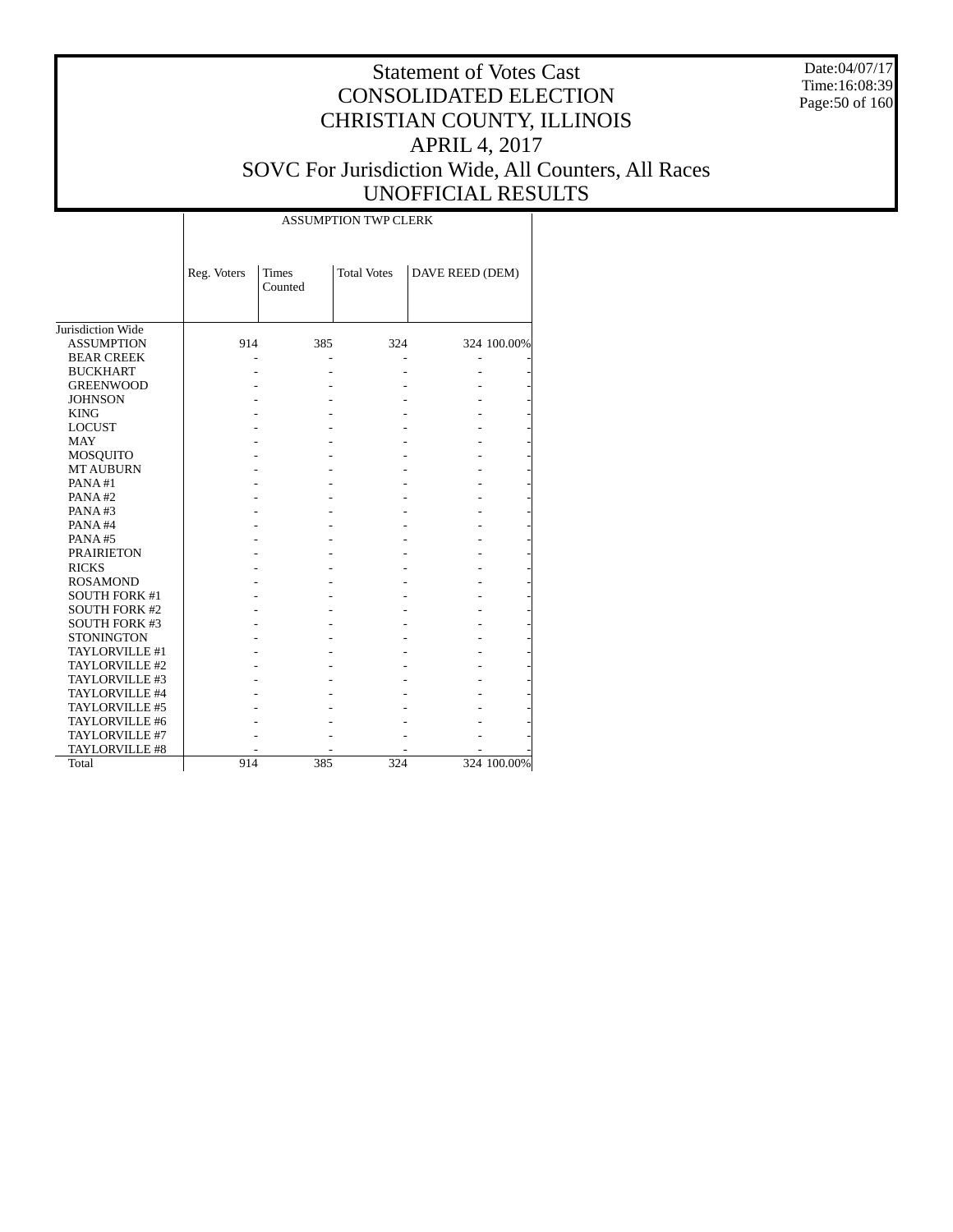Date:04/07/17 Time:16:08:39 Page:50 of 160

#### Statement of Votes Cast CONSOLIDATED ELECTION CHRISTIAN COUNTY, ILLINOIS APRIL 4, 2017 SOVC For Jurisdiction Wide, All Counters, All Races UNOFFICIAL RESULTS

|                      |             |                         | <b>ASSUMPTION TWP CLERK</b> |                 |             |
|----------------------|-------------|-------------------------|-----------------------------|-----------------|-------------|
|                      | Reg. Voters | <b>Times</b><br>Counted | <b>Total Votes</b>          | DAVE REED (DEM) |             |
| Jurisdiction Wide    |             |                         |                             |                 |             |
| <b>ASSUMPTION</b>    | 914         | 385                     | 324                         |                 | 324 100.00% |
| <b>BEAR CREEK</b>    |             |                         |                             |                 |             |
| <b>BUCKHART</b>      |             |                         |                             |                 |             |
| <b>GREENWOOD</b>     |             |                         |                             |                 |             |
| <b>JOHNSON</b>       |             |                         |                             |                 |             |
| <b>KING</b>          |             |                         |                             |                 |             |
| <b>LOCUST</b>        |             |                         |                             |                 |             |
| <b>MAY</b>           |             |                         |                             |                 |             |
| MOSQUITO             |             |                         |                             |                 |             |
| <b>MT AUBURN</b>     |             |                         |                             |                 |             |
| PANA#1               |             |                         |                             |                 |             |
| PANA#2               |             |                         |                             |                 |             |
| PANA#3               |             |                         |                             |                 |             |
| PANA#4               |             |                         |                             |                 |             |
| PANA#5               |             |                         |                             |                 |             |
| <b>PRAIRIETON</b>    |             |                         |                             |                 |             |
| <b>RICKS</b>         |             |                         |                             |                 |             |
| <b>ROSAMOND</b>      |             |                         |                             |                 |             |
| <b>SOUTH FORK #1</b> |             |                         |                             |                 |             |
| <b>SOUTH FORK #2</b> |             |                         |                             |                 |             |
| <b>SOUTH FORK #3</b> |             |                         |                             |                 |             |
| <b>STONINGTON</b>    |             |                         |                             |                 |             |
| TAYLORVILLE #1       |             |                         |                             |                 |             |
| TAYLORVILLE #2       |             |                         |                             |                 |             |
| TAYLORVILLE #3       |             |                         |                             |                 |             |
| TAYLORVILLE #4       |             |                         |                             |                 |             |
| TAYLORVILLE #5       |             |                         |                             |                 |             |
| TAYLORVILLE #6       |             |                         |                             |                 |             |
| TAYLORVILLE #7       |             |                         |                             |                 |             |
| TAYLORVILLE #8       |             |                         |                             |                 |             |
| Total                | 914         | 385                     | 324                         |                 | 324 100.00% |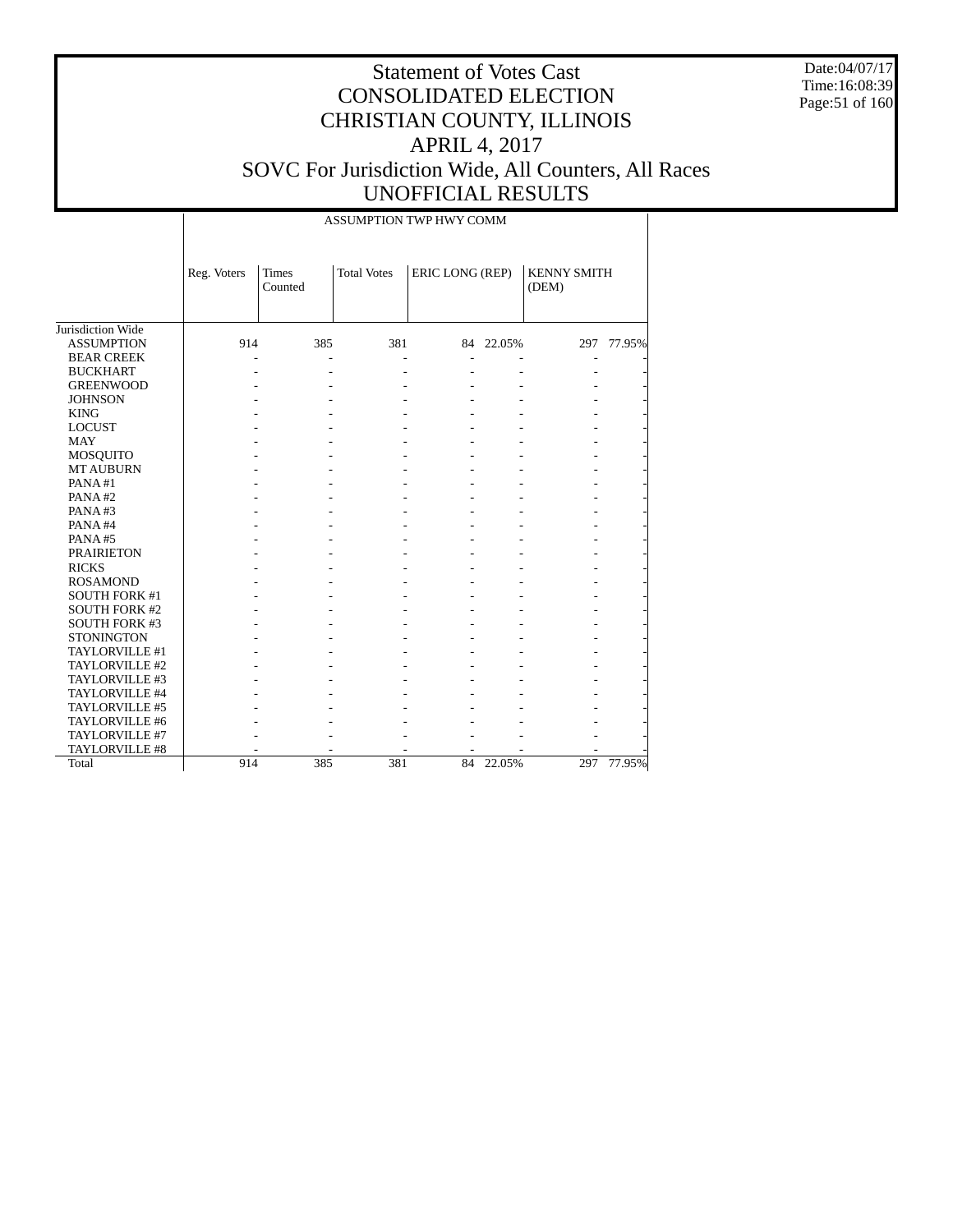Date:04/07/17 Time:16:08:39 Page:51 of 160

|                      |             |                         | ASSUMPTION TWP HWY COMM |                 |           |                      |        |
|----------------------|-------------|-------------------------|-------------------------|-----------------|-----------|----------------------|--------|
|                      | Reg. Voters | <b>Times</b><br>Counted | <b>Total Votes</b>      | ERIC LONG (REP) |           | KENNY SMITH<br>(DEM) |        |
| Jurisdiction Wide    |             |                         |                         |                 |           |                      |        |
| <b>ASSUMPTION</b>    | 914         | 385                     | 381                     |                 | 84 22.05% | 297                  | 77.95% |
| <b>BEAR CREEK</b>    |             |                         |                         |                 |           |                      |        |
| <b>BUCKHART</b>      |             |                         |                         |                 |           |                      |        |
| <b>GREENWOOD</b>     |             |                         |                         |                 |           |                      |        |
| <b>JOHNSON</b>       |             |                         |                         |                 |           |                      |        |
| <b>KING</b>          |             |                         |                         |                 |           |                      |        |
| <b>LOCUST</b>        |             |                         |                         |                 |           |                      |        |
| <b>MAY</b>           |             |                         |                         |                 |           |                      |        |
| <b>MOSQUITO</b>      |             |                         |                         |                 |           |                      |        |
| <b>MT AUBURN</b>     |             |                         |                         |                 |           |                      |        |
| PANA#1               |             |                         |                         |                 |           |                      |        |
| PANA#2               |             |                         |                         |                 |           |                      |        |
| PANA#3               |             |                         |                         |                 |           |                      |        |
| PANA#4               |             |                         |                         |                 |           |                      |        |
| PANA#5               |             |                         |                         |                 |           |                      |        |
| <b>PRAIRIETON</b>    |             |                         |                         |                 |           |                      |        |
| <b>RICKS</b>         |             |                         |                         |                 |           |                      |        |
| <b>ROSAMOND</b>      |             |                         |                         |                 |           |                      |        |
| <b>SOUTH FORK #1</b> |             |                         |                         |                 |           |                      |        |
| <b>SOUTH FORK #2</b> |             |                         |                         |                 |           |                      |        |
| <b>SOUTH FORK #3</b> |             |                         |                         |                 |           |                      |        |
| <b>STONINGTON</b>    |             |                         |                         |                 |           |                      |        |
| TAYLORVILLE #1       |             |                         |                         |                 |           |                      |        |
| TAYLORVILLE #2       |             |                         |                         |                 |           |                      |        |
| TAYLORVILLE #3       |             |                         |                         |                 |           |                      |        |
| TAYLORVILLE #4       |             |                         |                         |                 |           |                      |        |
| TAYLORVILLE #5       |             |                         |                         |                 |           |                      |        |
| TAYLORVILLE #6       |             |                         |                         |                 |           |                      |        |
| TAYLORVILLE #7       |             |                         |                         |                 |           |                      |        |
| TAYLORVILLE #8       |             |                         |                         |                 |           |                      |        |
| Total                | 914         | 385                     | 381                     | 84              | 22.05%    | 297                  | 77.95% |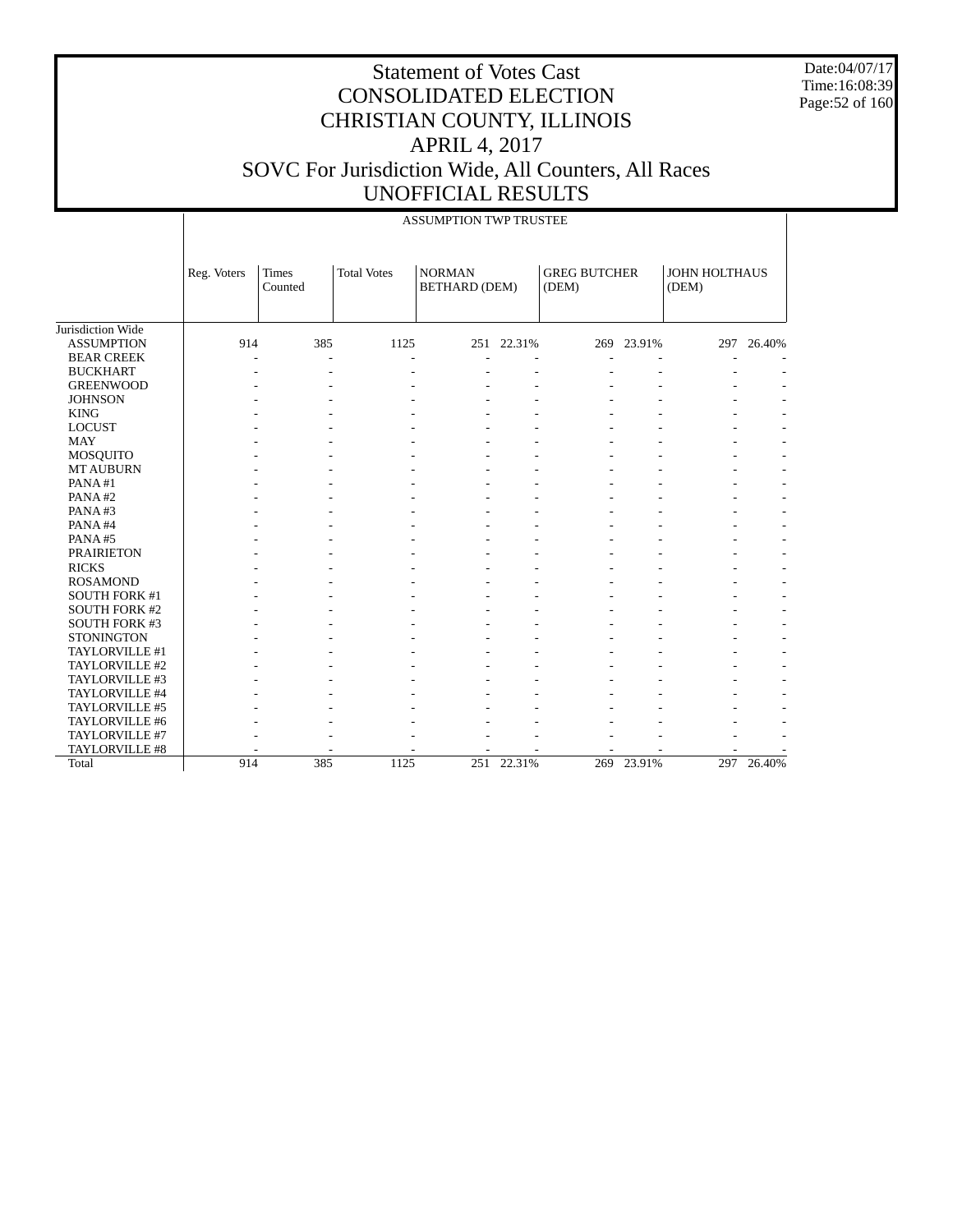Date:04/07/17 Time:16:08:39 Page:52 of 160

|                      |             |                  |                    | <b>ASSUMPTION TWP TRUSTEE</b>  |            |                              |            |                        |            |
|----------------------|-------------|------------------|--------------------|--------------------------------|------------|------------------------------|------------|------------------------|------------|
|                      | Reg. Voters | Times<br>Counted | <b>Total Votes</b> | <b>NORMAN</b><br>BETHARD (DEM) |            | <b>GREG BUTCHER</b><br>(DEM) |            | JOHN HOLTHAUS<br>(DEM) |            |
| Jurisdiction Wide    |             |                  |                    |                                |            |                              |            |                        |            |
| <b>ASSUMPTION</b>    | 914         | 385              | 1125               |                                | 251 22.31% |                              | 269 23.91% | 297                    | 26.40%     |
| <b>BEAR CREEK</b>    |             |                  |                    |                                |            |                              |            |                        |            |
| <b>BUCKHART</b>      |             |                  |                    |                                |            |                              |            |                        |            |
| <b>GREENWOOD</b>     |             |                  |                    |                                |            |                              |            |                        |            |
| <b>JOHNSON</b>       |             |                  |                    |                                |            |                              |            |                        |            |
| <b>KING</b>          |             |                  |                    |                                |            |                              |            |                        |            |
| <b>LOCUST</b>        |             |                  |                    |                                |            |                              |            |                        |            |
| <b>MAY</b>           |             |                  |                    |                                |            |                              |            |                        |            |
| <b>MOSQUITO</b>      |             |                  |                    |                                |            |                              |            |                        |            |
| <b>MT AUBURN</b>     |             |                  |                    |                                |            |                              |            |                        |            |
| PANA#1               |             |                  |                    |                                |            |                              |            |                        |            |
| PANA#2               |             |                  |                    |                                |            |                              |            |                        |            |
| PANA#3               |             |                  |                    |                                |            |                              |            |                        |            |
| PANA#4               |             |                  |                    |                                |            |                              |            |                        |            |
| PANA#5               |             |                  |                    |                                |            |                              |            |                        |            |
| <b>PRAIRIETON</b>    |             |                  |                    |                                |            |                              |            |                        |            |
| <b>RICKS</b>         |             |                  |                    |                                |            |                              |            |                        |            |
| <b>ROSAMOND</b>      |             |                  |                    |                                |            |                              |            |                        |            |
| SOUTH FORK #1        |             |                  |                    |                                |            |                              |            |                        |            |
| <b>SOUTH FORK #2</b> |             |                  |                    |                                |            |                              |            |                        |            |
| SOUTH FORK #3        |             |                  |                    |                                |            |                              |            |                        |            |
| <b>STONINGTON</b>    |             |                  |                    |                                |            |                              |            |                        |            |
| TAYLORVILLE #1       |             |                  |                    |                                |            |                              |            |                        |            |
| TAYLORVILLE #2       |             |                  |                    |                                |            |                              |            |                        |            |
| TAYLORVILLE #3       |             |                  |                    |                                |            |                              |            |                        |            |
| TAYLORVILLE #4       |             |                  |                    |                                |            |                              |            |                        |            |
| TAYLORVILLE #5       |             |                  |                    |                                |            |                              |            |                        |            |
| TAYLORVILLE #6       |             |                  |                    |                                |            |                              |            |                        |            |
| TAYLORVILLE #7       |             |                  |                    |                                |            |                              |            |                        |            |
| TAYLORVILLE #8       |             |                  |                    |                                |            | ٠                            | ٠          |                        |            |
| Total                | 914         | 385              | 1125               |                                | 251 22.31% |                              | 269 23.91% |                        | 297 26.40% |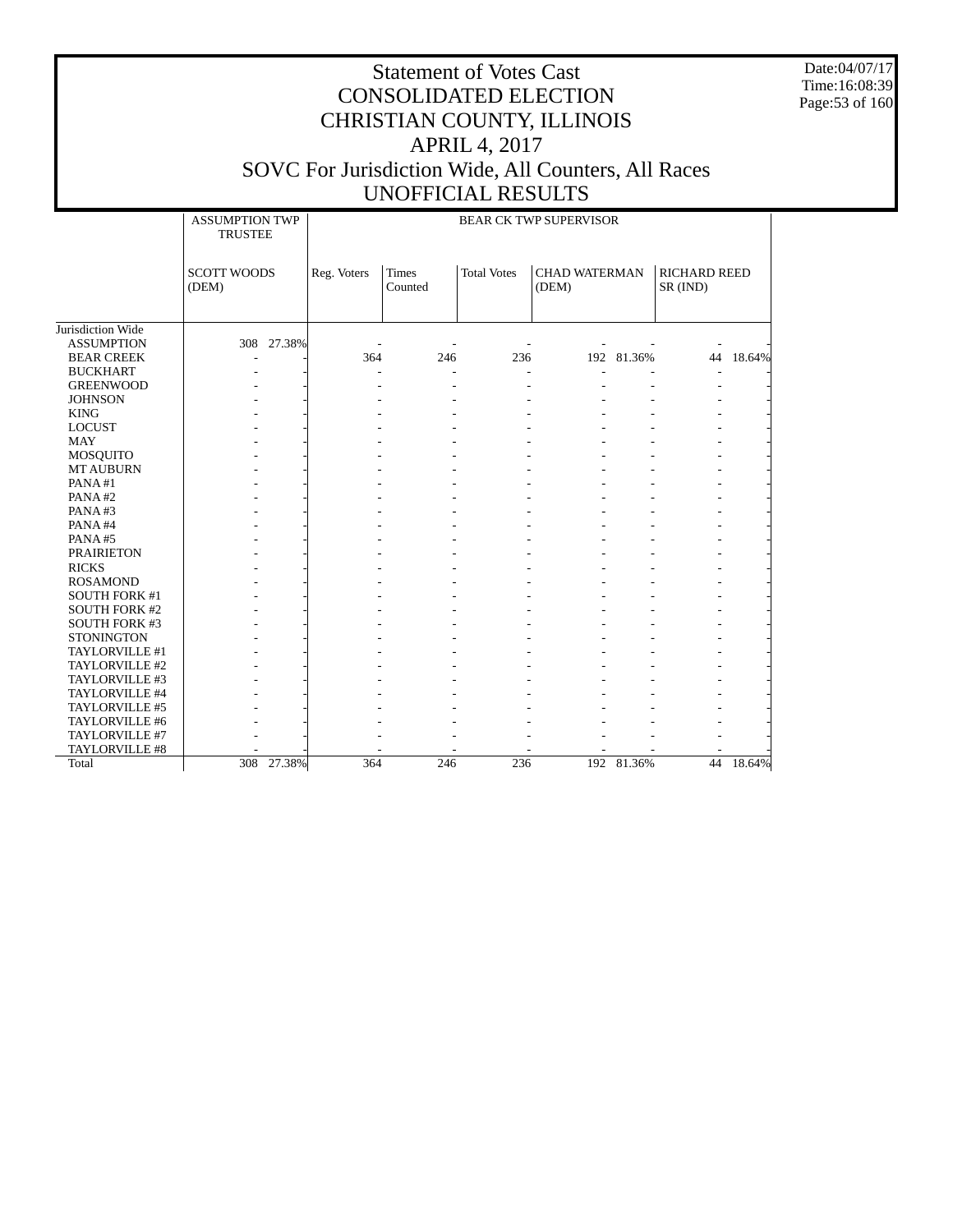Date:04/07/17 Time:16:08:39 Page:53 of 160

|                      | <b>ASSUMPTION TWP</b><br><b>TRUSTEE</b> |             |                         |                    | <b>BEAR CK TWP SUPERVISOR</b> |            |                                 |        |
|----------------------|-----------------------------------------|-------------|-------------------------|--------------------|-------------------------------|------------|---------------------------------|--------|
|                      | <b>SCOTT WOODS</b><br>(DEM)             | Reg. Voters | <b>Times</b><br>Counted | <b>Total Votes</b> | <b>CHAD WATERMAN</b><br>(DEM) |            | <b>RICHARD REED</b><br>SR (IND) |        |
| Jurisdiction Wide    |                                         |             |                         |                    |                               |            |                                 |        |
| <b>ASSUMPTION</b>    | 308 27.38%                              |             |                         |                    |                               |            |                                 |        |
| <b>BEAR CREEK</b>    |                                         | 364         | 246                     | 236                |                               | 192 81.36% | 44                              | 18.64% |
| <b>BUCKHART</b>      |                                         |             |                         |                    |                               |            |                                 |        |
| <b>GREENWOOD</b>     |                                         |             |                         |                    |                               |            |                                 |        |
| <b>JOHNSON</b>       |                                         |             |                         |                    |                               |            |                                 |        |
| <b>KING</b>          |                                         |             |                         |                    |                               |            |                                 |        |
| <b>LOCUST</b>        |                                         |             |                         |                    |                               |            |                                 |        |
| <b>MAY</b>           |                                         |             |                         |                    |                               |            |                                 |        |
| <b>MOSQUITO</b>      |                                         |             |                         |                    |                               |            |                                 |        |
| <b>MT AUBURN</b>     |                                         |             |                         |                    |                               |            |                                 |        |
| PANA#1               |                                         |             |                         |                    |                               |            |                                 |        |
| PANA#2               |                                         |             |                         |                    |                               |            |                                 |        |
| PANA#3               |                                         |             |                         |                    |                               |            |                                 |        |
| PANA#4               |                                         |             |                         |                    |                               |            |                                 |        |
| PANA#5               |                                         |             |                         |                    |                               |            |                                 |        |
| <b>PRAIRIETON</b>    |                                         |             |                         |                    |                               |            |                                 |        |
| <b>RICKS</b>         |                                         |             |                         |                    |                               |            |                                 |        |
| <b>ROSAMOND</b>      |                                         |             |                         |                    |                               |            |                                 |        |
| <b>SOUTH FORK #1</b> |                                         |             |                         |                    |                               |            |                                 |        |
| <b>SOUTH FORK #2</b> |                                         |             |                         |                    |                               |            |                                 |        |
| <b>SOUTH FORK #3</b> |                                         |             |                         |                    |                               |            |                                 |        |
| <b>STONINGTON</b>    |                                         |             |                         |                    |                               |            |                                 |        |
| TAYLORVILLE #1       |                                         |             |                         |                    |                               |            |                                 |        |
| TAYLORVILLE #2       |                                         |             |                         |                    |                               |            |                                 |        |
| TAYLORVILLE #3       |                                         |             |                         |                    |                               |            |                                 |        |
| TAYLORVILLE #4       |                                         |             |                         |                    |                               |            |                                 |        |
| TAYLORVILLE #5       |                                         |             |                         |                    |                               |            |                                 |        |
| TAYLORVILLE #6       |                                         |             |                         |                    |                               |            |                                 |        |
| TAYLORVILLE #7       |                                         |             |                         |                    |                               |            |                                 |        |
| TAYLORVILLE #8       |                                         |             |                         |                    |                               |            |                                 |        |
| Total                | 308 27.38%                              | 364         | 246                     | 236                |                               | 192 81.36% | 44                              | 18.64% |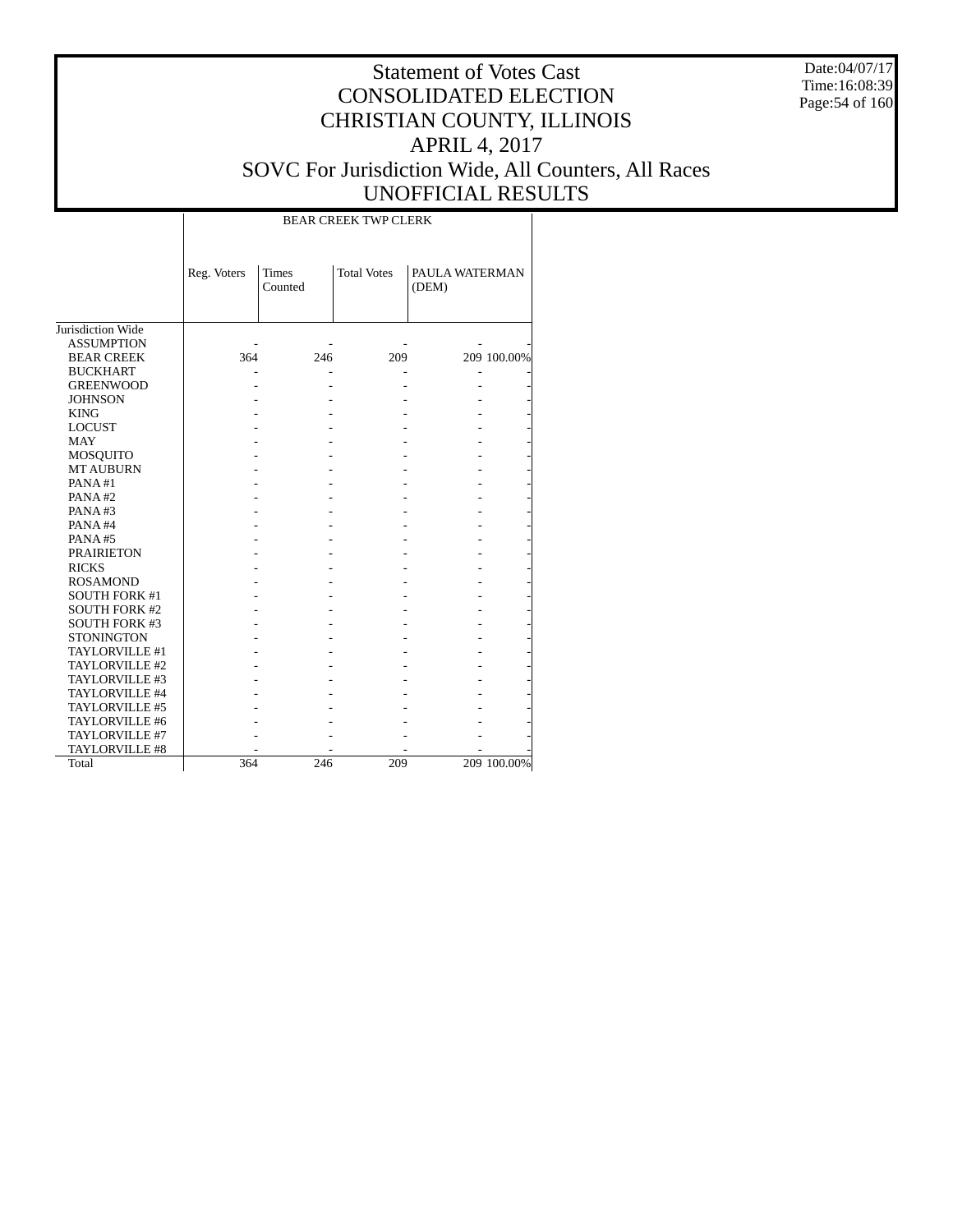Date:04/07/17 Time:16:08:39 Page:54 of 160

|                      |             |                         | <b>BEAR CREEK TWP CLERK</b> |                         |             |
|----------------------|-------------|-------------------------|-----------------------------|-------------------------|-------------|
|                      | Reg. Voters | <b>Times</b><br>Counted | <b>Total Votes</b>          | PAULA WATERMAN<br>(DEM) |             |
| Jurisdiction Wide    |             |                         |                             |                         |             |
| <b>ASSUMPTION</b>    |             |                         |                             |                         |             |
| <b>BEAR CREEK</b>    | 364         | 246                     | 209                         |                         | 209 100.00% |
| <b>BUCKHART</b>      |             |                         |                             |                         |             |
| <b>GREENWOOD</b>     |             |                         |                             |                         |             |
| <b>JOHNSON</b>       |             |                         |                             |                         |             |
| <b>KING</b>          |             |                         |                             |                         |             |
| <b>LOCUST</b>        |             |                         |                             |                         |             |
| <b>MAY</b>           |             |                         |                             |                         |             |
| MOSQUITO             |             |                         |                             |                         |             |
| <b>MT AUBURN</b>     |             |                         |                             |                         |             |
| PANA#1               |             |                         |                             |                         |             |
| PANA#2               |             |                         |                             |                         |             |
| PANA#3               |             |                         |                             |                         |             |
| PANA#4               |             |                         |                             |                         |             |
| PANA#5               |             |                         |                             |                         |             |
| <b>PRAIRIETON</b>    |             |                         |                             |                         |             |
| <b>RICKS</b>         |             |                         |                             |                         |             |
| <b>ROSAMOND</b>      |             |                         |                             |                         |             |
| <b>SOUTH FORK #1</b> |             |                         |                             |                         |             |
| <b>SOUTH FORK #2</b> |             |                         |                             |                         |             |
| <b>SOUTH FORK #3</b> |             |                         |                             |                         |             |
| <b>STONINGTON</b>    |             |                         |                             |                         |             |
| TAYLORVILLE #1       |             |                         |                             |                         |             |
| TAYLORVILLE #2       |             |                         |                             |                         |             |
| TAYLORVILLE #3       |             |                         |                             |                         |             |
| TAYLORVILLE #4       |             |                         |                             |                         |             |
| TAYLORVILLE #5       |             |                         |                             |                         |             |
| TAYLORVILLE #6       |             |                         |                             |                         |             |
| TAYLORVILLE #7       |             |                         |                             |                         |             |
| TAYLORVILLE #8       |             |                         |                             |                         |             |
| Total                | 364         | 246                     | 209                         |                         | 209 100.00% |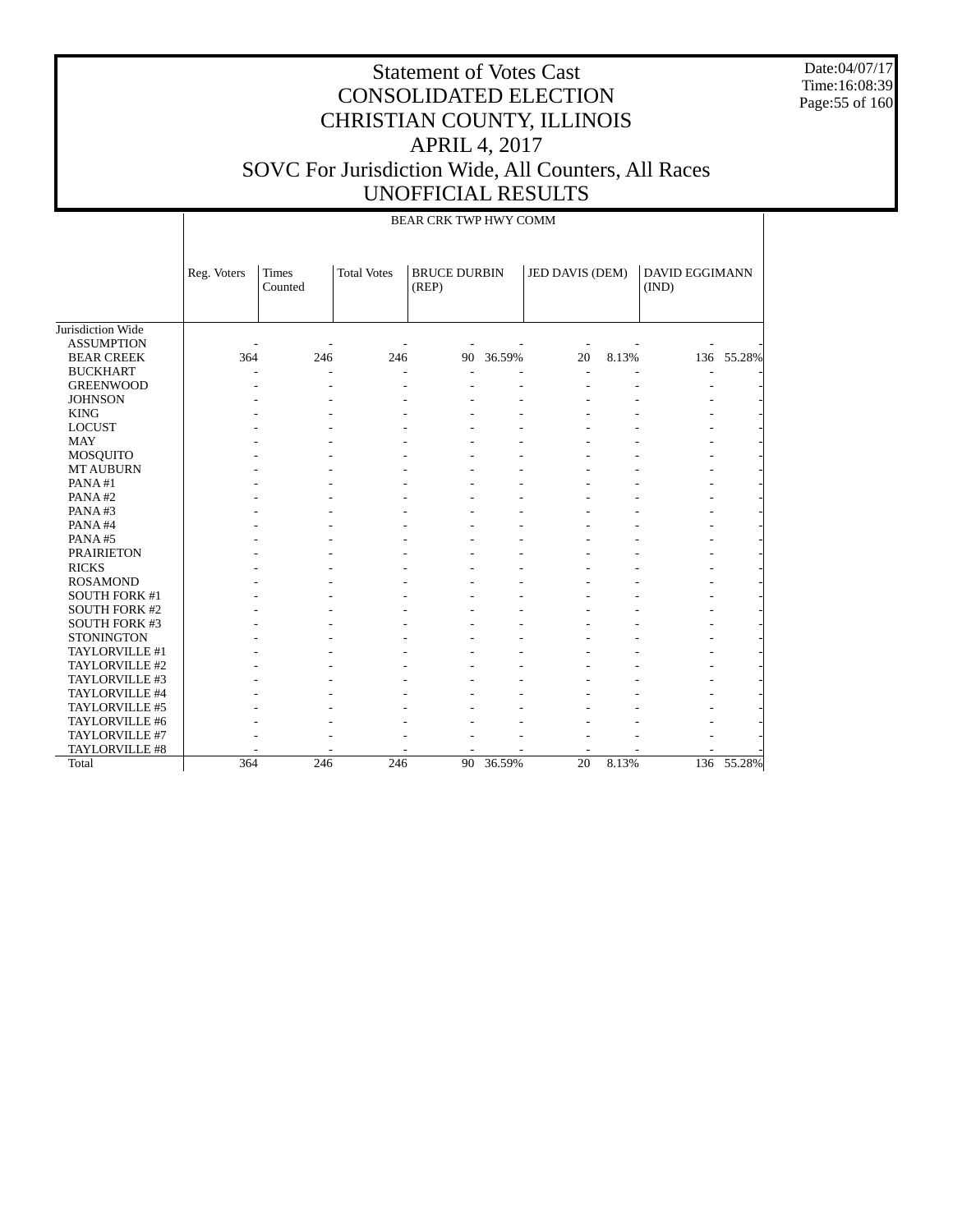Date:04/07/17 Time:16:08:39 Page:55 of 160

|                      |             | BEAR CRK TWP HWY COMM |                    |                              |        |                          |       |                                |            |  |  |
|----------------------|-------------|-----------------------|--------------------|------------------------------|--------|--------------------------|-------|--------------------------------|------------|--|--|
|                      | Reg. Voters | Times<br>Counted      | <b>Total Votes</b> | <b>BRUCE DURBIN</b><br>(REP) |        | JED DAVIS (DEM)          |       | <b>DAVID EGGIMANN</b><br>(IND) |            |  |  |
| Jurisdiction Wide    |             |                       |                    |                              |        |                          |       |                                |            |  |  |
| <b>ASSUMPTION</b>    |             |                       |                    |                              |        | $\overline{\phantom{a}}$ |       |                                |            |  |  |
| <b>BEAR CREEK</b>    | 364         | 246                   | 246                | 90                           | 36.59% | 20                       | 8.13% |                                | 136 55.28% |  |  |
| <b>BUCKHART</b>      |             |                       |                    |                              |        | $\overline{a}$           |       |                                |            |  |  |
| <b>GREENWOOD</b>     |             | $\overline{a}$        |                    |                              |        |                          |       |                                |            |  |  |
| <b>JOHNSON</b>       |             |                       |                    |                              |        |                          |       |                                |            |  |  |
| <b>KING</b>          |             |                       |                    |                              |        |                          |       |                                |            |  |  |
| <b>LOCUST</b>        |             |                       |                    |                              |        |                          |       |                                |            |  |  |
| <b>MAY</b>           |             |                       |                    |                              |        |                          |       |                                |            |  |  |
| <b>MOSQUITO</b>      |             |                       |                    |                              |        |                          |       |                                |            |  |  |
| <b>MT AUBURN</b>     |             |                       |                    |                              |        |                          |       |                                |            |  |  |
| PANA#1               |             |                       |                    |                              |        |                          |       |                                |            |  |  |
| PANA#2               |             |                       |                    |                              |        |                          |       |                                |            |  |  |
| PANA#3               |             |                       |                    |                              |        |                          |       |                                |            |  |  |
| PANA#4               |             |                       |                    |                              |        |                          |       |                                |            |  |  |
| PANA#5               |             |                       |                    |                              |        |                          |       |                                |            |  |  |
| <b>PRAIRIETON</b>    |             |                       |                    |                              |        |                          |       |                                |            |  |  |
| <b>RICKS</b>         |             |                       |                    |                              |        |                          |       |                                |            |  |  |
| <b>ROSAMOND</b>      |             |                       |                    |                              |        |                          |       |                                |            |  |  |
| <b>SOUTH FORK #1</b> |             |                       |                    |                              |        |                          |       |                                |            |  |  |
| <b>SOUTH FORK #2</b> |             |                       |                    |                              |        |                          |       |                                |            |  |  |
| <b>SOUTH FORK #3</b> |             |                       |                    |                              |        |                          |       |                                |            |  |  |
| <b>STONINGTON</b>    |             |                       |                    |                              |        |                          |       |                                |            |  |  |
| TAYLORVILLE #1       |             |                       |                    |                              |        |                          |       |                                |            |  |  |
| TAYLORVILLE #2       |             |                       |                    |                              |        |                          |       |                                |            |  |  |
| TAYLORVILLE #3       |             |                       |                    |                              |        |                          |       |                                |            |  |  |
| TAYLORVILLE #4       |             |                       |                    |                              |        |                          |       |                                |            |  |  |
| TAYLORVILLE #5       |             |                       |                    |                              |        |                          |       |                                |            |  |  |
| TAYLORVILLE #6       |             |                       |                    |                              |        |                          |       |                                |            |  |  |
| TAYLORVILLE #7       |             |                       |                    |                              |        |                          |       |                                |            |  |  |
| TAYLORVILLE #8       |             |                       |                    |                              |        |                          |       |                                |            |  |  |
| Total                | 364         | 246                   | 246                | 90                           | 36.59% | 20                       | 8.13% |                                | 136 55.28% |  |  |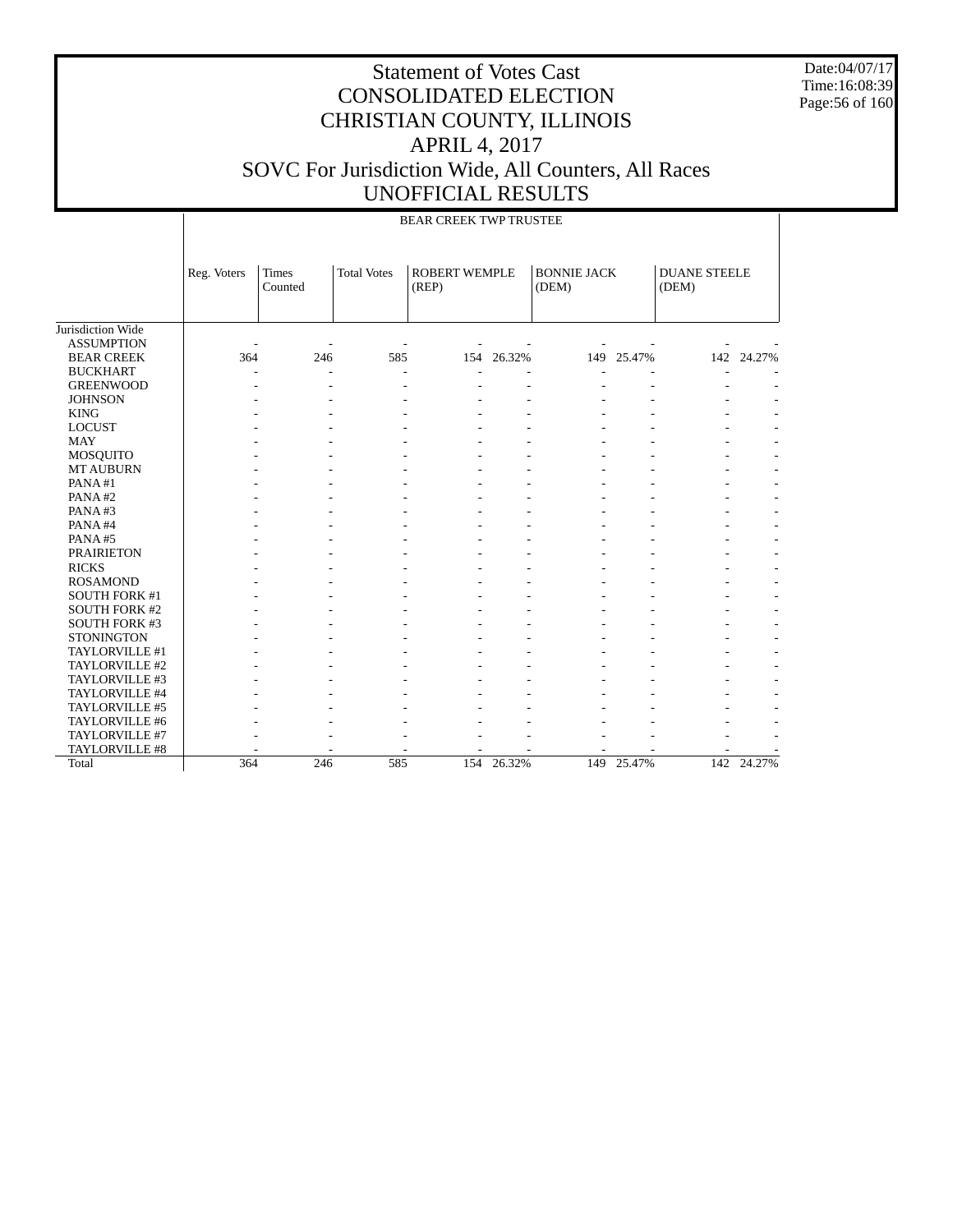Date:04/07/17 Time:16:08:39 Page:56 of 160

|                      |                |                         |                          | BEAR CREEK TWP TRUSTEE        |            |                             |            |                              |            |
|----------------------|----------------|-------------------------|--------------------------|-------------------------------|------------|-----------------------------|------------|------------------------------|------------|
|                      | Reg. Voters    | <b>Times</b><br>Counted | <b>Total Votes</b>       | <b>ROBERT WEMPLE</b><br>(REP) |            | <b>BONNIE JACK</b><br>(DEM) |            | <b>DUANE STEELE</b><br>(DEM) |            |
| Jurisdiction Wide    |                |                         |                          |                               |            |                             |            |                              |            |
| <b>ASSUMPTION</b>    | $\overline{a}$ |                         |                          |                               |            |                             |            |                              |            |
| <b>BEAR CREEK</b>    | 364            | 246                     | 585                      |                               | 154 26.32% |                             | 149 25.47% |                              | 142 24.27% |
| <b>BUCKHART</b>      |                | $\overline{a}$          | $\overline{\phantom{a}}$ |                               |            |                             |            |                              |            |
| <b>GREENWOOD</b>     |                |                         |                          |                               |            |                             |            |                              |            |
| <b>JOHNSON</b>       |                |                         |                          |                               |            |                             |            |                              |            |
| <b>KING</b>          |                |                         |                          |                               |            |                             |            |                              |            |
| <b>LOCUST</b>        |                |                         |                          |                               |            |                             |            |                              |            |
| <b>MAY</b>           |                |                         |                          |                               |            |                             |            |                              |            |
| MOSQUITO             |                |                         |                          |                               |            |                             |            |                              |            |
| <b>MT AUBURN</b>     |                |                         |                          |                               |            |                             |            |                              |            |
| PANA#1               |                |                         |                          |                               |            |                             |            |                              |            |
| PANA#2               |                |                         |                          |                               |            |                             |            |                              |            |
| PANA#3               |                |                         |                          |                               |            |                             |            |                              |            |
| PANA#4               |                |                         |                          |                               |            |                             |            |                              |            |
| PANA#5               |                |                         |                          |                               |            |                             |            |                              |            |
| <b>PRAIRIETON</b>    |                |                         |                          |                               |            |                             |            |                              |            |
| <b>RICKS</b>         |                |                         |                          |                               |            |                             |            |                              |            |
| <b>ROSAMOND</b>      |                |                         |                          |                               |            |                             |            |                              |            |
| <b>SOUTH FORK #1</b> |                |                         |                          |                               |            |                             |            |                              |            |
| <b>SOUTH FORK #2</b> |                |                         |                          |                               |            |                             |            |                              |            |
| SOUTH FORK #3        |                |                         |                          |                               |            |                             |            |                              |            |
| <b>STONINGTON</b>    |                |                         |                          |                               |            |                             |            |                              |            |
| TAYLORVILLE #1       |                |                         |                          |                               |            |                             |            |                              |            |
| TAYLORVILLE #2       |                |                         |                          |                               |            |                             |            |                              |            |
| TAYLORVILLE #3       |                |                         |                          |                               |            |                             |            |                              |            |
| TAYLORVILLE #4       |                |                         |                          |                               |            |                             |            |                              |            |
| TAYLORVILLE #5       |                |                         |                          |                               |            |                             |            |                              |            |
| TAYLORVILLE #6       |                |                         |                          |                               |            |                             |            |                              |            |
| TAYLORVILLE #7       |                |                         |                          |                               |            |                             |            |                              |            |
| TAYLORVILLE #8       |                |                         |                          |                               |            |                             |            |                              |            |
| Total                | 364            | 246                     | 585                      | 154                           | 26.32%     | 149                         | 25.47%     |                              | 142 24.27% |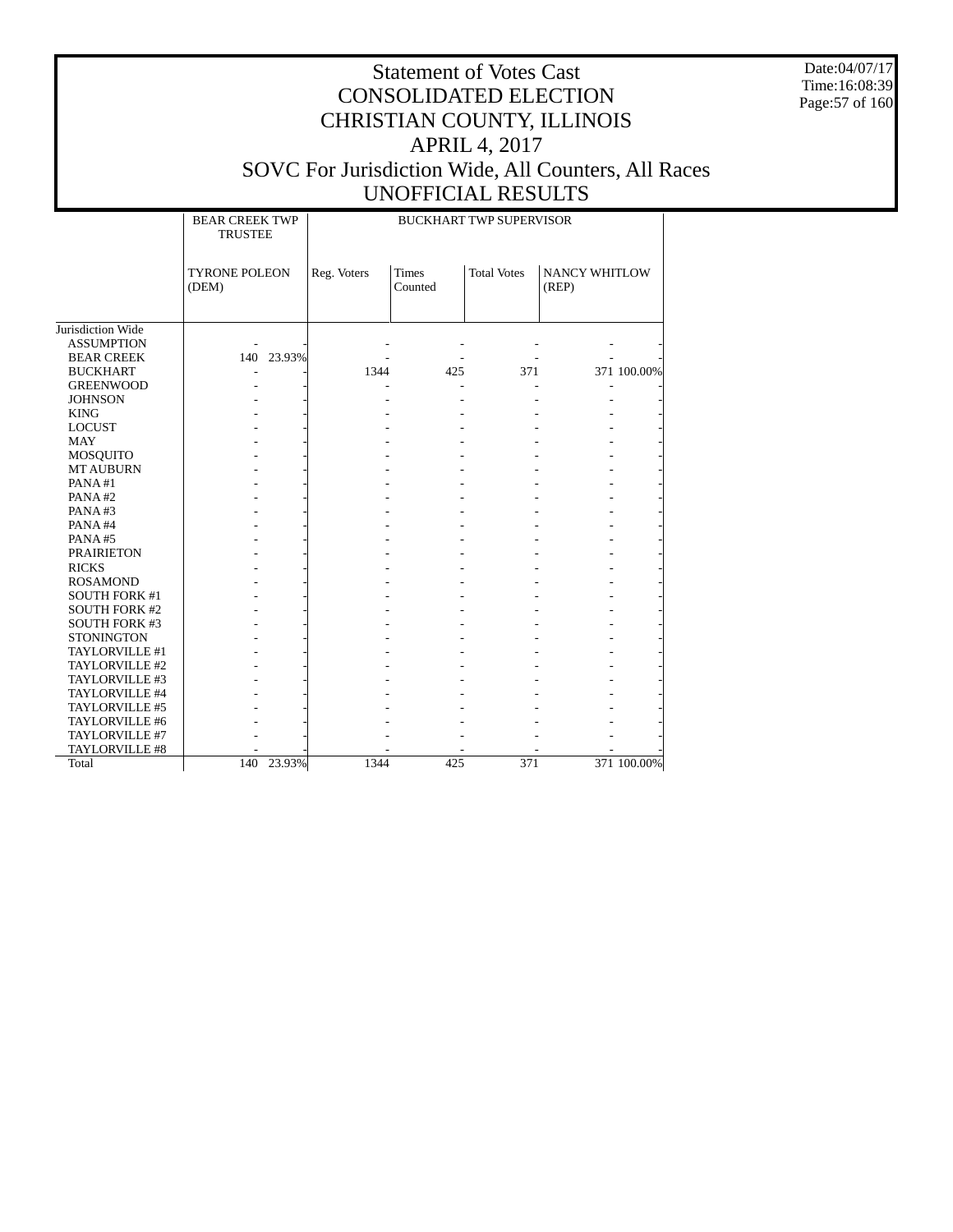Date:04/07/17 Time:16:08:39 Page:57 of 160

|                      | <b>BEAR CREEK TWP</b><br><b>TRUSTEE</b> |             |                         | <b>BUCKHART TWP SUPERVISOR</b> |                               |             |
|----------------------|-----------------------------------------|-------------|-------------------------|--------------------------------|-------------------------------|-------------|
|                      | <b>TYRONE POLEON</b><br>(DEM)           | Reg. Voters | <b>Times</b><br>Counted | <b>Total Votes</b>             | <b>NANCY WHITLOW</b><br>(REP) |             |
| Jurisdiction Wide    |                                         |             |                         |                                |                               |             |
| <b>ASSUMPTION</b>    |                                         |             |                         |                                |                               |             |
| <b>BEAR CREEK</b>    | 140 23.93%                              |             |                         |                                |                               |             |
| <b>BUCKHART</b>      |                                         | 1344        | 425                     | 371                            |                               | 371 100.00% |
| <b>GREENWOOD</b>     |                                         |             |                         |                                |                               |             |
| <b>JOHNSON</b>       |                                         |             |                         |                                |                               |             |
| <b>KING</b>          |                                         |             |                         |                                |                               |             |
| <b>LOCUST</b>        |                                         |             |                         |                                |                               |             |
| <b>MAY</b>           |                                         |             |                         |                                |                               |             |
| <b>MOSQUITO</b>      |                                         |             |                         |                                |                               |             |
| <b>MT AUBURN</b>     |                                         |             |                         |                                |                               |             |
| PANA#1               |                                         |             |                         |                                |                               |             |
| PANA#2               |                                         |             |                         |                                |                               |             |
| PANA#3               |                                         |             |                         |                                |                               |             |
| PANA#4               |                                         |             |                         |                                |                               |             |
| PANA#5               |                                         |             |                         |                                |                               |             |
| <b>PRAIRIETON</b>    |                                         |             |                         |                                |                               |             |
| <b>RICKS</b>         |                                         |             |                         |                                |                               |             |
| <b>ROSAMOND</b>      |                                         |             |                         |                                |                               |             |
| <b>SOUTH FORK #1</b> |                                         |             |                         |                                |                               |             |
| <b>SOUTH FORK #2</b> |                                         |             |                         |                                |                               |             |
| <b>SOUTH FORK #3</b> |                                         |             |                         |                                |                               |             |
| <b>STONINGTON</b>    |                                         |             |                         |                                |                               |             |
| TAYLORVILLE #1       |                                         |             |                         |                                |                               |             |
| TAYLORVILLE #2       |                                         |             |                         |                                |                               |             |
| TAYLORVILLE #3       |                                         |             |                         |                                |                               |             |
| TAYLORVILLE #4       |                                         |             |                         |                                |                               |             |
| TAYLORVILLE #5       |                                         |             |                         |                                |                               |             |
| TAYLORVILLE #6       |                                         |             |                         |                                |                               |             |
| TAYLORVILLE #7       |                                         |             |                         |                                |                               |             |
| TAYLORVILLE #8       |                                         |             |                         |                                |                               |             |
| Total                | 23.93%<br>140                           | 1344        | 425                     | 371                            |                               | 371 100.00% |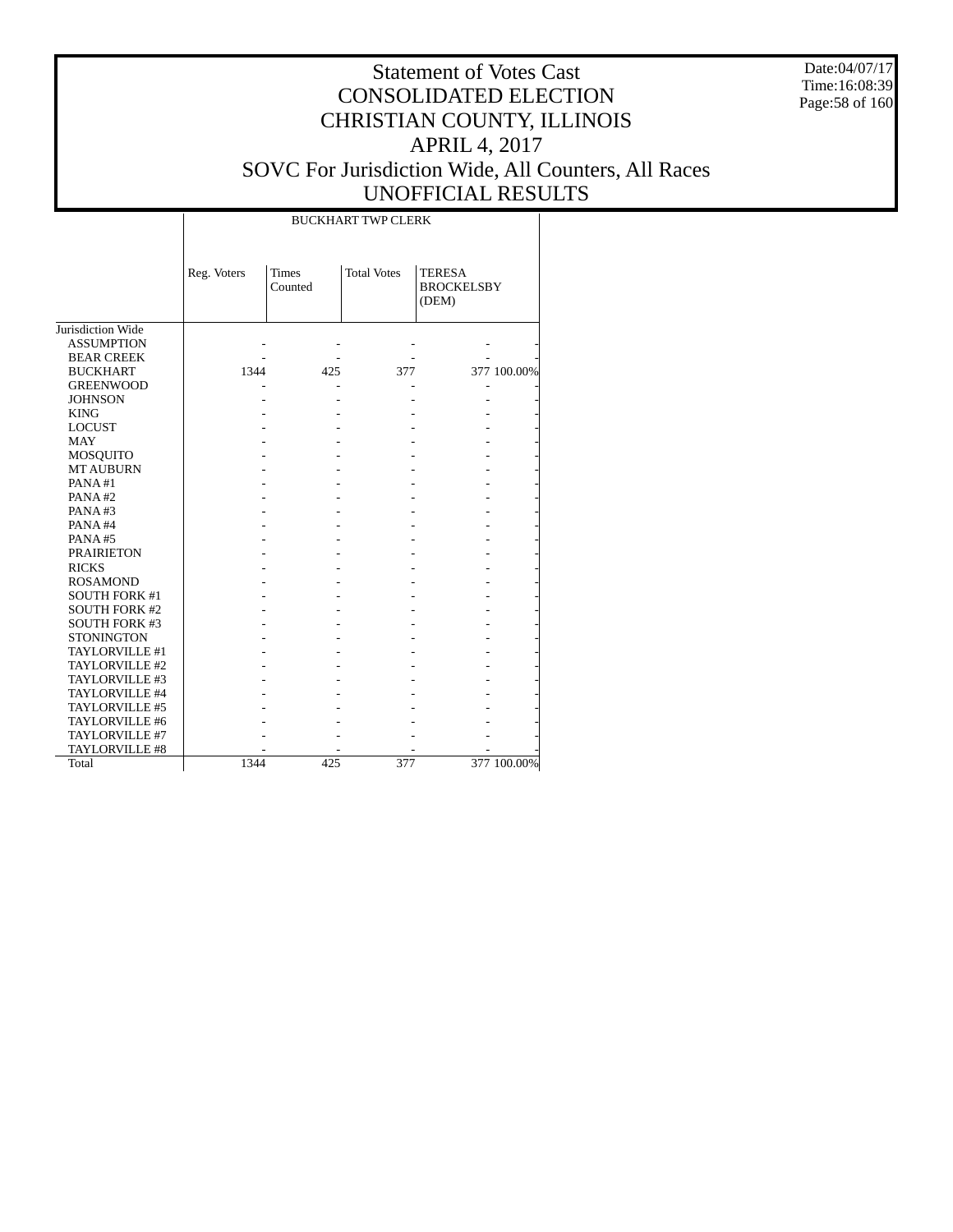Date:04/07/17 Time:16:08:39 Page:58 of 160

|                      |             |                         | <b>BUCKHART TWP CLERK</b> |                                             |             |
|----------------------|-------------|-------------------------|---------------------------|---------------------------------------------|-------------|
|                      | Reg. Voters | <b>Times</b><br>Counted | <b>Total Votes</b>        | <b>TERESA</b><br><b>BROCKELSBY</b><br>(DEM) |             |
| Jurisdiction Wide    |             |                         |                           |                                             |             |
| <b>ASSUMPTION</b>    |             |                         |                           |                                             |             |
| <b>BEAR CREEK</b>    |             |                         |                           |                                             |             |
| <b>BUCKHART</b>      | 1344        | 425                     | 377                       |                                             | 377 100.00% |
| <b>GREENWOOD</b>     |             |                         |                           |                                             |             |
| <b>JOHNSON</b>       |             |                         |                           |                                             |             |
| <b>KING</b>          |             |                         |                           |                                             |             |
| <b>LOCUST</b>        |             |                         |                           |                                             |             |
| <b>MAY</b>           |             |                         |                           |                                             |             |
| MOSQUITO             |             |                         |                           |                                             |             |
| <b>MT AUBURN</b>     |             |                         |                           |                                             |             |
| PANA#1               |             |                         |                           |                                             |             |
| PANA#2               |             |                         |                           |                                             |             |
| PANA#3               |             |                         |                           |                                             |             |
| PANA#4               |             |                         |                           |                                             |             |
| PANA#5               |             |                         |                           |                                             |             |
| <b>PRAIRIETON</b>    |             |                         |                           |                                             |             |
| <b>RICKS</b>         |             |                         |                           |                                             |             |
| <b>ROSAMOND</b>      |             |                         |                           |                                             |             |
| <b>SOUTH FORK #1</b> |             |                         |                           |                                             |             |
| <b>SOUTH FORK #2</b> |             |                         |                           |                                             |             |
| <b>SOUTH FORK #3</b> |             |                         |                           |                                             |             |
| <b>STONINGTON</b>    |             |                         |                           |                                             |             |
| TAYLORVILLE #1       |             |                         |                           |                                             |             |
| TAYLORVILLE #2       |             |                         |                           |                                             |             |
| TAYLORVILLE #3       |             |                         |                           |                                             |             |
| TAYLORVILLE #4       |             |                         |                           |                                             |             |
| TAYLORVILLE #5       |             |                         |                           |                                             |             |
| TAYLORVILLE #6       |             |                         |                           |                                             |             |
| TAYLORVILLE #7       |             |                         |                           |                                             |             |
| TAYLORVILLE #8       |             |                         |                           |                                             |             |
| Total                | 1344        | 425                     | 377                       |                                             | 377 100.00% |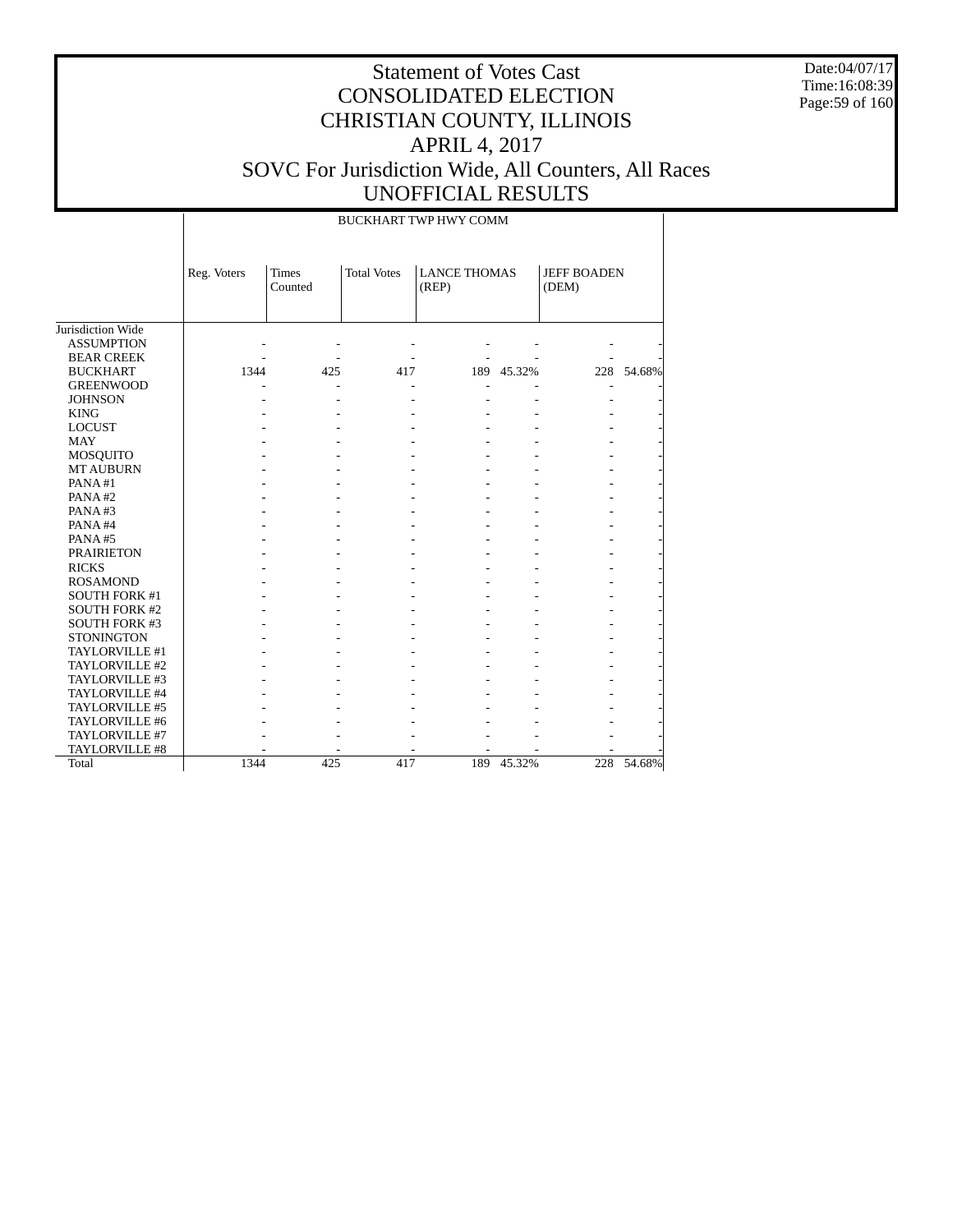Date:04/07/17 Time:16:08:39 Page:59 of 160

|                      |             |                         |                    | <b>BUCKHART TWP HWY COMM</b> |            |                             |            |
|----------------------|-------------|-------------------------|--------------------|------------------------------|------------|-----------------------------|------------|
|                      | Reg. Voters | <b>Times</b><br>Counted | <b>Total Votes</b> | <b>LANCE THOMAS</b><br>(REP) |            | <b>JEFF BOADEN</b><br>(DEM) |            |
| Jurisdiction Wide    |             |                         |                    |                              |            |                             |            |
| <b>ASSUMPTION</b>    |             |                         |                    |                              |            |                             |            |
| <b>BEAR CREEK</b>    |             |                         |                    |                              |            |                             |            |
| <b>BUCKHART</b>      | 1344        | 425                     | 417                |                              | 189 45.32% |                             | 228 54.68% |
| <b>GREENWOOD</b>     |             |                         |                    |                              |            |                             |            |
| <b>JOHNSON</b>       |             |                         |                    |                              |            |                             |            |
| <b>KING</b>          |             |                         |                    |                              |            |                             |            |
| <b>LOCUST</b>        |             |                         |                    |                              |            |                             |            |
| <b>MAY</b>           |             |                         |                    |                              |            |                             |            |
| <b>MOSQUITO</b>      |             |                         |                    |                              |            |                             |            |
| <b>MT AUBURN</b>     |             |                         |                    |                              |            |                             |            |
| PANA#1               |             |                         |                    |                              |            |                             |            |
| PANA#2               |             |                         |                    |                              |            |                             |            |
| PANA#3               |             |                         |                    |                              |            |                             |            |
| PANA#4               |             |                         |                    |                              |            |                             |            |
| PANA#5               |             |                         |                    |                              |            |                             |            |
| <b>PRAIRIETON</b>    |             |                         |                    |                              |            |                             |            |
| <b>RICKS</b>         |             |                         |                    |                              |            |                             |            |
| <b>ROSAMOND</b>      |             |                         |                    |                              |            |                             |            |
| <b>SOUTH FORK #1</b> |             |                         |                    |                              |            |                             |            |
| <b>SOUTH FORK #2</b> |             |                         |                    |                              |            |                             |            |
| <b>SOUTH FORK #3</b> |             |                         |                    |                              |            |                             |            |
| <b>STONINGTON</b>    |             |                         |                    |                              |            |                             |            |
| TAYLORVILLE #1       |             |                         |                    |                              |            |                             |            |
| TAYLORVILLE #2       |             |                         |                    |                              |            |                             |            |
| TAYLORVILLE #3       |             |                         |                    |                              |            |                             |            |
| TAYLORVILLE #4       |             |                         |                    |                              |            |                             |            |
| TAYLORVILLE #5       |             |                         |                    |                              |            |                             |            |
| TAYLORVILLE #6       |             |                         |                    |                              |            |                             |            |
| TAYLORVILLE #7       |             |                         |                    |                              |            |                             |            |
| TAYLORVILLE #8       |             |                         |                    |                              |            |                             |            |
| Total                | 1344        | 425                     | 417                | 189                          | 45.32%     | 228                         | 54.68%     |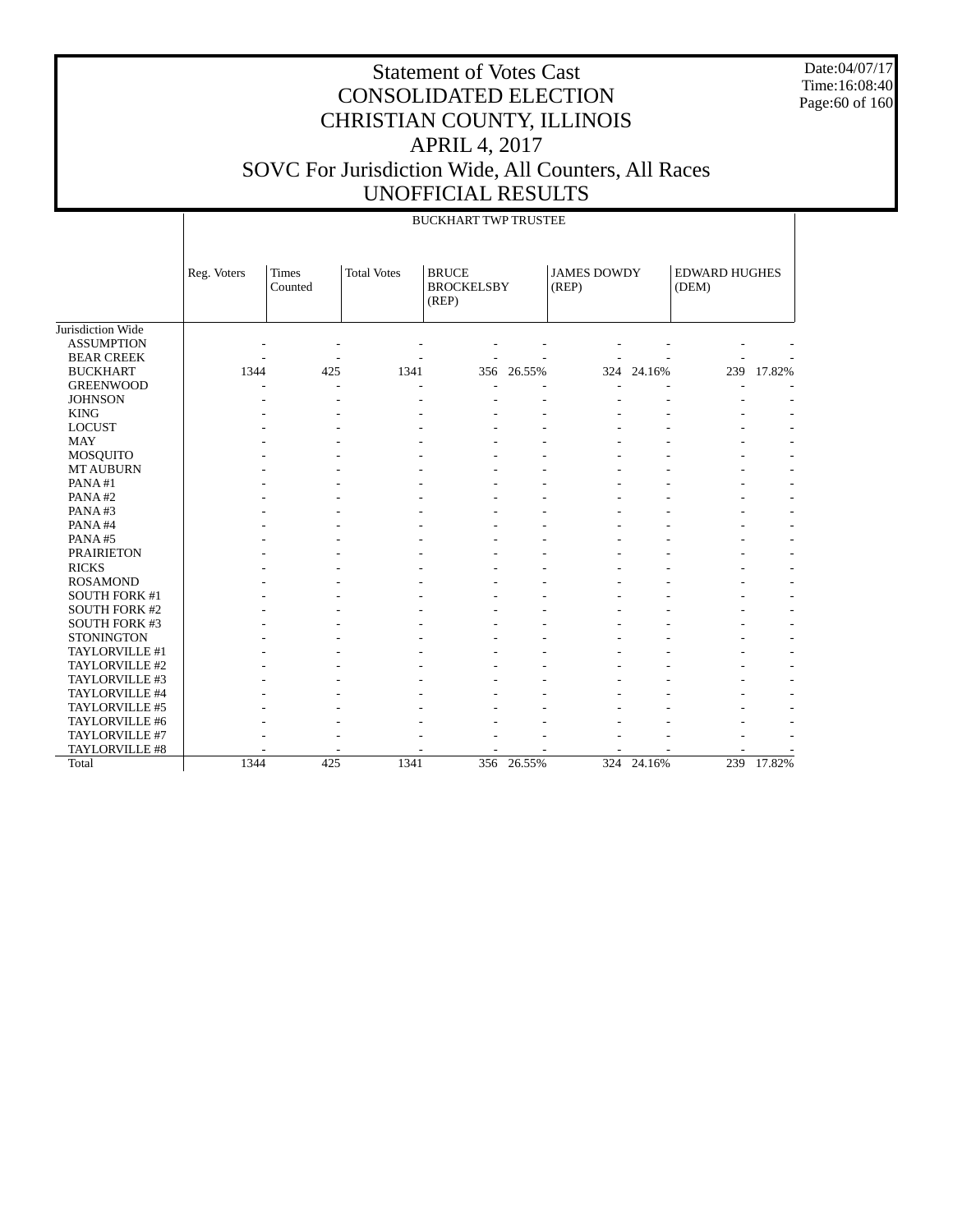Date:04/07/17 Time:16:08:40 Page:60 of 160

|                      |             |                         |                    | <b>BUCKHART TWP TRUSTEE</b>                |        |                             |            |                               |        |
|----------------------|-------------|-------------------------|--------------------|--------------------------------------------|--------|-----------------------------|------------|-------------------------------|--------|
|                      | Reg. Voters | <b>Times</b><br>Counted | <b>Total Votes</b> | <b>BRUCE</b><br><b>BROCKELSBY</b><br>(REP) |        | <b>JAMES DOWDY</b><br>(REP) |            | <b>EDWARD HUGHES</b><br>(DEM) |        |
| Jurisdiction Wide    |             |                         |                    |                                            |        |                             |            |                               |        |
| <b>ASSUMPTION</b>    |             |                         |                    |                                            |        |                             |            |                               |        |
| <b>BEAR CREEK</b>    |             |                         |                    |                                            |        |                             |            |                               |        |
| <b>BUCKHART</b>      | 1344        | 425                     | 1341               | 356                                        | 26.55% |                             | 324 24.16% | 239                           | 17.82% |
| <b>GREENWOOD</b>     |             |                         |                    |                                            |        |                             |            |                               |        |
| <b>JOHNSON</b>       |             |                         |                    |                                            |        |                             |            |                               |        |
| <b>KING</b>          |             |                         |                    |                                            |        |                             |            |                               |        |
| <b>LOCUST</b>        |             |                         |                    |                                            |        |                             |            |                               |        |
| <b>MAY</b>           |             |                         |                    |                                            |        |                             |            |                               |        |
| <b>MOSQUITO</b>      |             |                         |                    |                                            |        |                             |            |                               |        |
| <b>MT AUBURN</b>     |             |                         |                    |                                            |        |                             |            |                               |        |
| PANA#1               |             |                         |                    |                                            |        |                             |            |                               |        |
| PANA#2               |             |                         |                    |                                            |        |                             |            |                               |        |
| PANA#3               |             |                         |                    |                                            |        |                             |            |                               |        |
| PANA#4               |             |                         |                    |                                            |        |                             |            |                               |        |
| PANA#5               |             |                         |                    |                                            |        |                             |            |                               |        |
| <b>PRAIRIETON</b>    |             |                         |                    |                                            |        |                             |            |                               |        |
| <b>RICKS</b>         |             |                         |                    |                                            |        |                             |            |                               |        |
| <b>ROSAMOND</b>      |             |                         |                    |                                            |        |                             |            |                               |        |
| <b>SOUTH FORK #1</b> |             |                         |                    |                                            |        |                             |            |                               |        |
| <b>SOUTH FORK #2</b> |             |                         |                    |                                            |        |                             |            |                               |        |
| <b>SOUTH FORK #3</b> |             |                         |                    |                                            |        |                             |            |                               |        |
| <b>STONINGTON</b>    |             |                         |                    |                                            |        |                             |            |                               |        |
| TAYLORVILLE #1       |             |                         |                    |                                            |        |                             |            |                               |        |
| TAYLORVILLE #2       |             |                         |                    |                                            |        |                             |            |                               |        |
| TAYLORVILLE #3       |             |                         |                    |                                            |        |                             |            |                               |        |
| TAYLORVILLE #4       |             |                         |                    |                                            |        |                             |            |                               |        |
| TAYLORVILLE #5       |             |                         |                    |                                            |        |                             |            |                               |        |
| TAYLORVILLE #6       |             |                         |                    |                                            |        |                             |            |                               |        |
| TAYLORVILLE #7       |             |                         |                    |                                            |        |                             |            |                               |        |
| TAYLORVILLE #8       |             |                         |                    |                                            |        |                             |            |                               |        |
| Total                | 1344        | 425                     | 1341               | 356                                        | 26.55% |                             | 324 24.16% | 239                           | 17.82% |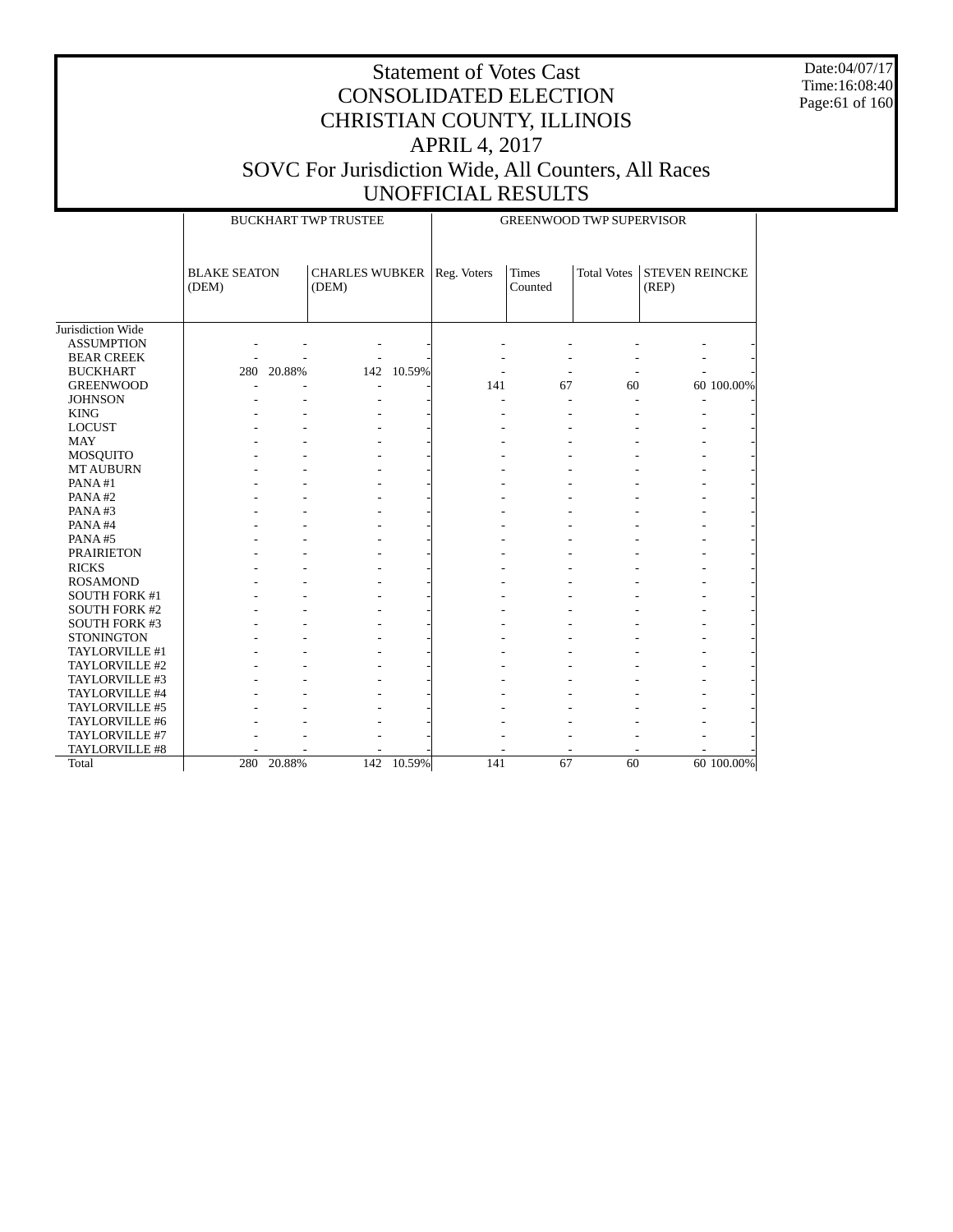Date:04/07/17 Time:16:08:40 Page:61 of 160

|                      |                     |            | <b>BUCKHART TWP TRUSTEE</b>         |            | <b>GREENWOOD TWP SUPERVISOR</b> |         |                          |                       |            |  |
|----------------------|---------------------|------------|-------------------------------------|------------|---------------------------------|---------|--------------------------|-----------------------|------------|--|
|                      | <b>BLAKE SEATON</b> |            | <b>CHARLES WUBKER   Reg. Voters</b> |            |                                 | Times   | <b>Total Votes</b>       | <b>STEVEN REINCKE</b> |            |  |
|                      | (DEM)               |            | (DEM)                               |            |                                 | Counted |                          | (REP)                 |            |  |
|                      |                     |            |                                     |            |                                 |         |                          |                       |            |  |
| Jurisdiction Wide    |                     |            |                                     |            |                                 |         |                          |                       |            |  |
| <b>ASSUMPTION</b>    |                     |            |                                     |            |                                 |         |                          |                       |            |  |
| <b>BEAR CREEK</b>    |                     |            |                                     |            |                                 |         |                          |                       |            |  |
| <b>BUCKHART</b>      |                     | 280 20.88% |                                     | 142 10.59% |                                 | ÷,      | $\overline{\phantom{a}}$ |                       |            |  |
| <b>GREENWOOD</b>     |                     |            |                                     |            | 141                             | 67      | 60                       |                       | 60 100.00% |  |
| <b>JOHNSON</b>       |                     |            |                                     |            |                                 |         |                          |                       |            |  |
| <b>KING</b>          |                     |            |                                     |            |                                 |         |                          |                       |            |  |
| <b>LOCUST</b>        |                     |            |                                     |            |                                 |         |                          |                       |            |  |
| <b>MAY</b>           |                     |            |                                     |            |                                 |         |                          |                       |            |  |
| <b>MOSQUITO</b>      |                     |            |                                     |            |                                 |         |                          |                       |            |  |
| <b>MT AUBURN</b>     |                     |            |                                     |            |                                 |         |                          |                       |            |  |
| PANA#1               |                     |            |                                     |            |                                 |         |                          |                       |            |  |
| PANA#2               |                     |            |                                     |            |                                 |         |                          |                       |            |  |
| PANA#3               |                     |            |                                     |            |                                 |         |                          |                       |            |  |
| PANA#4               |                     |            |                                     |            |                                 |         |                          |                       |            |  |
| PANA#5               |                     |            |                                     |            |                                 |         |                          |                       |            |  |
| <b>PRAIRIETON</b>    |                     |            |                                     |            |                                 |         |                          |                       |            |  |
| <b>RICKS</b>         |                     |            |                                     |            |                                 |         |                          |                       |            |  |
| <b>ROSAMOND</b>      |                     |            |                                     |            |                                 |         |                          |                       |            |  |
| SOUTH FORK #1        |                     |            |                                     |            |                                 |         |                          |                       |            |  |
| <b>SOUTH FORK #2</b> |                     |            |                                     |            |                                 |         |                          |                       |            |  |
| <b>SOUTH FORK #3</b> |                     |            |                                     |            |                                 |         |                          |                       |            |  |
| <b>STONINGTON</b>    |                     |            |                                     |            |                                 |         |                          |                       |            |  |
| TAYLORVILLE #1       |                     |            |                                     |            |                                 |         |                          |                       |            |  |
| TAYLORVILLE #2       |                     |            |                                     |            |                                 |         |                          |                       |            |  |
| TAYLORVILLE #3       |                     |            |                                     |            |                                 |         |                          |                       |            |  |
| TAYLORVILLE #4       |                     |            |                                     |            |                                 |         |                          |                       |            |  |
| TAYLORVILLE #5       |                     |            |                                     |            |                                 |         |                          |                       |            |  |
| TAYLORVILLE #6       |                     |            |                                     |            |                                 |         |                          |                       |            |  |
| TAYLORVILLE #7       |                     |            |                                     |            |                                 |         |                          |                       |            |  |
| TAYLORVILLE #8       |                     |            |                                     |            |                                 |         |                          |                       |            |  |
| Total                |                     | 280 20.88% |                                     | 142 10.59% | 141                             | 67      | 60                       |                       | 60 100.00% |  |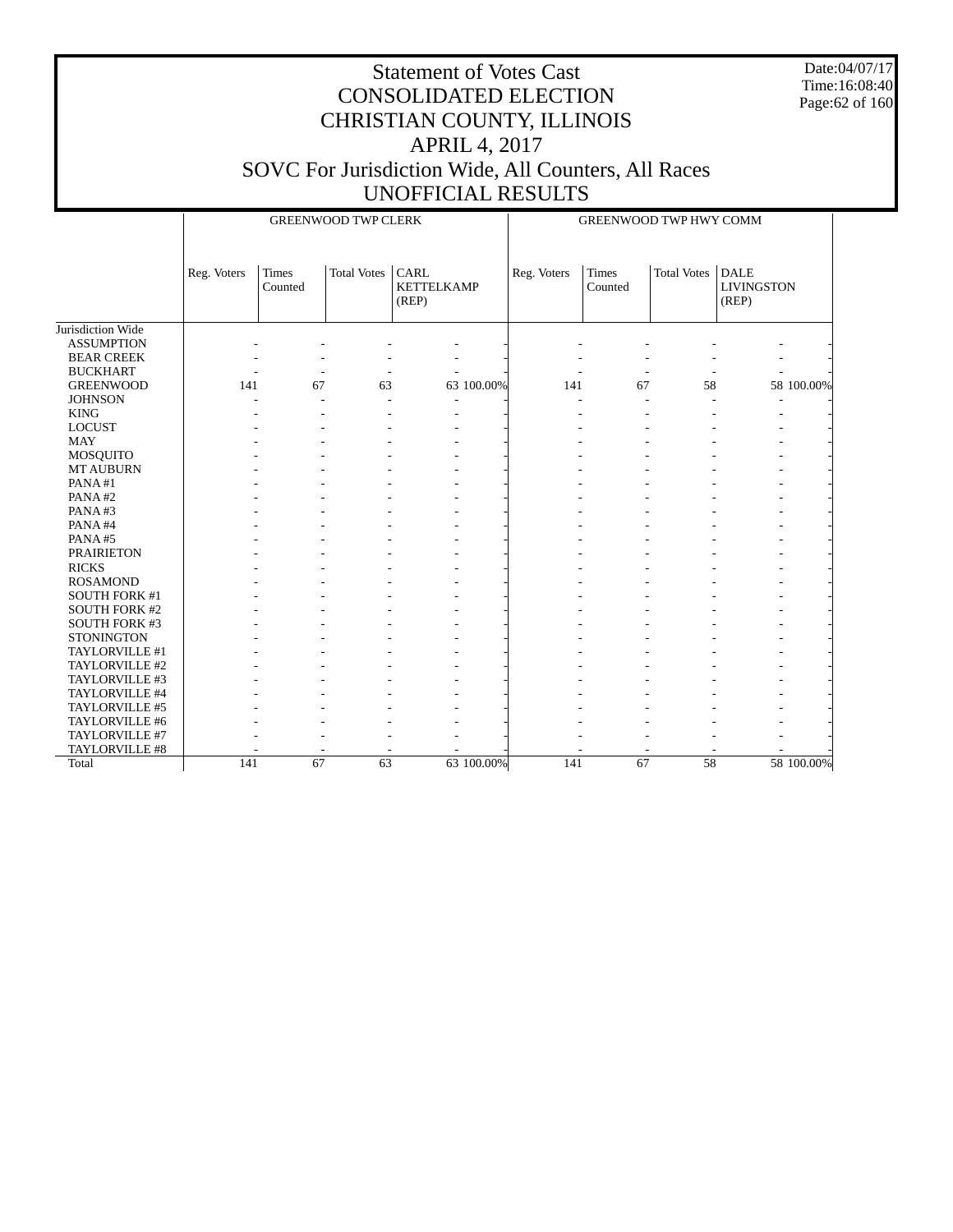Date:04/07/17 Time:16:08:40 Page:62 of 160

|                      |             |                          | <b>GREENWOOD TWP CLERK</b> |                                    |            | <b>GREENWOOD TWP HWY COMM</b> |                  |                    |                                           |            |
|----------------------|-------------|--------------------------|----------------------------|------------------------------------|------------|-------------------------------|------------------|--------------------|-------------------------------------------|------------|
|                      | Reg. Voters | <b>Times</b><br>Counted  | <b>Total Votes</b>         | CARL<br><b>KETTELKAMP</b><br>(REP) |            | Reg. Voters                   | Times<br>Counted | <b>Total Votes</b> | <b>DALE</b><br><b>LIVINGSTON</b><br>(REP) |            |
| Jurisdiction Wide    |             |                          |                            |                                    |            |                               |                  |                    |                                           |            |
| <b>ASSUMPTION</b>    |             |                          |                            |                                    |            |                               |                  |                    |                                           |            |
| <b>BEAR CREEK</b>    |             |                          |                            |                                    |            |                               |                  |                    |                                           |            |
| <b>BUCKHART</b>      |             | $\overline{\phantom{a}}$ |                            |                                    |            |                               |                  |                    |                                           |            |
| <b>GREENWOOD</b>     | 141         | 67                       | 63                         |                                    | 63 100.00% | 141                           | 67               | 58                 |                                           | 58 100.00% |
| <b>JOHNSON</b>       |             |                          |                            |                                    |            |                               |                  |                    |                                           |            |
| <b>KING</b>          |             |                          |                            |                                    |            |                               |                  |                    |                                           |            |
| <b>LOCUST</b>        |             |                          |                            |                                    |            |                               |                  |                    |                                           |            |
| <b>MAY</b>           |             |                          |                            |                                    |            |                               |                  |                    |                                           |            |
| MOSQUITO             |             |                          |                            |                                    |            |                               |                  |                    |                                           |            |
| <b>MT AUBURN</b>     |             |                          |                            |                                    |            |                               |                  |                    |                                           |            |
| PANA#1               |             |                          |                            |                                    |            |                               |                  |                    |                                           |            |
| PANA#2               |             |                          |                            |                                    |            |                               |                  |                    |                                           |            |
| PANA#3               |             |                          |                            |                                    |            |                               |                  |                    |                                           |            |
| PANA#4               |             |                          |                            |                                    |            |                               |                  |                    |                                           |            |
| PANA#5               |             |                          |                            |                                    |            |                               |                  |                    |                                           |            |
| <b>PRAIRIETON</b>    |             |                          |                            |                                    |            |                               |                  |                    |                                           |            |
| <b>RICKS</b>         |             |                          |                            |                                    |            |                               |                  |                    |                                           |            |
| <b>ROSAMOND</b>      |             |                          |                            |                                    |            |                               |                  |                    |                                           |            |
| SOUTH FORK #1        |             |                          |                            |                                    |            |                               |                  |                    |                                           |            |
| <b>SOUTH FORK #2</b> |             |                          |                            |                                    |            |                               |                  |                    |                                           |            |
| <b>SOUTH FORK #3</b> |             |                          |                            |                                    |            |                               |                  |                    |                                           |            |
| <b>STONINGTON</b>    |             |                          |                            |                                    |            |                               |                  |                    |                                           |            |
| TAYLORVILLE #1       |             |                          |                            |                                    |            |                               |                  |                    |                                           |            |
| TAYLORVILLE #2       |             |                          |                            |                                    |            |                               |                  |                    |                                           |            |
| TAYLORVILLE #3       |             |                          |                            |                                    |            |                               |                  |                    |                                           |            |
| TAYLORVILLE #4       |             |                          |                            |                                    |            |                               |                  |                    |                                           |            |
| TAYLORVILLE #5       |             |                          |                            |                                    |            |                               |                  |                    |                                           |            |
| TAYLORVILLE #6       |             |                          |                            |                                    |            |                               |                  |                    |                                           |            |
| TAYLORVILLE #7       |             |                          |                            |                                    |            |                               |                  |                    |                                           |            |
| TAYLORVILLE #8       |             |                          |                            |                                    |            |                               |                  |                    |                                           |            |
| Total                | 141         | $\overline{67}$          | $\overline{63}$            |                                    | 63 100.00% | 141                           | $\overline{67}$  | 58                 |                                           | 58 100.00% |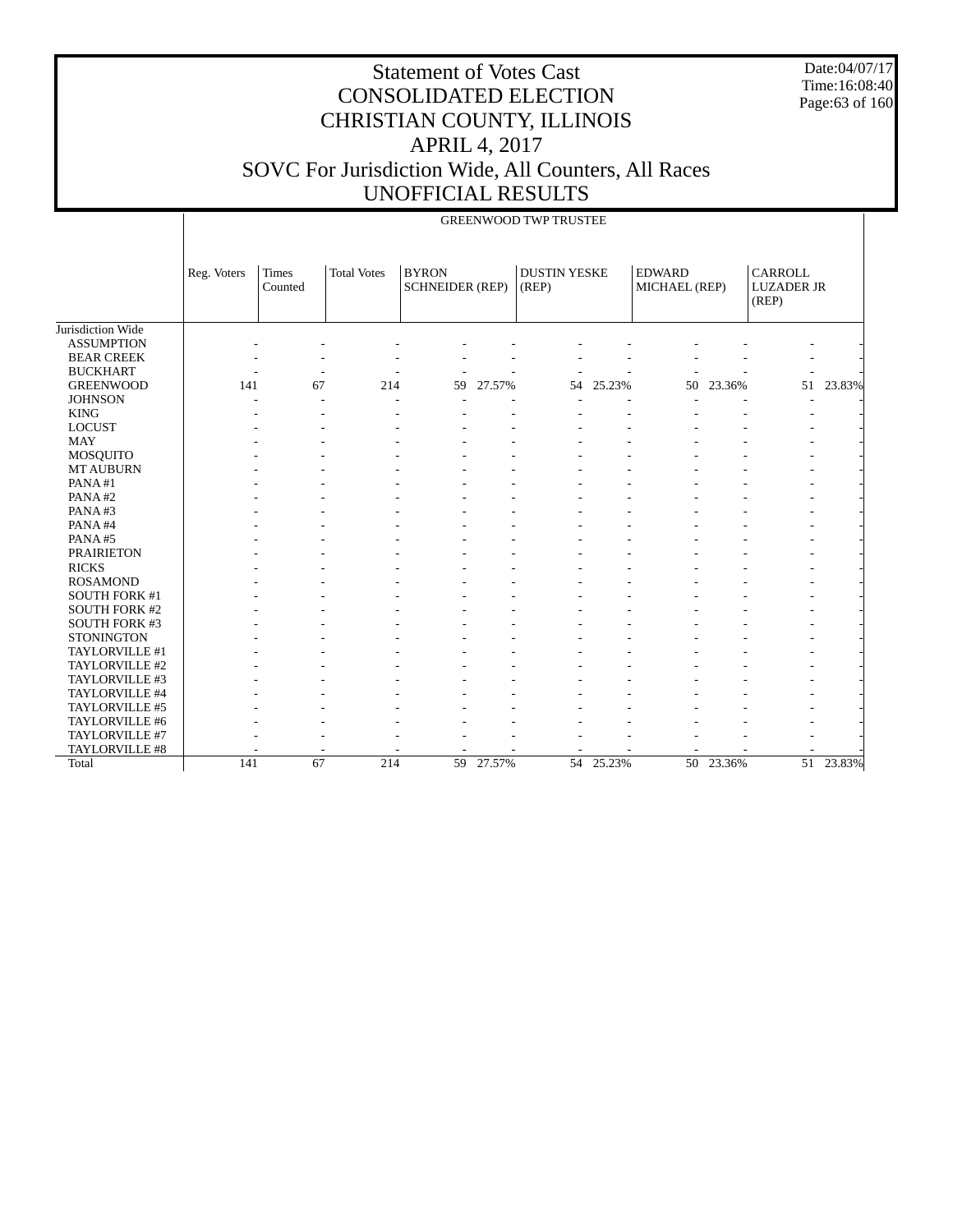Date:04/07/17 Time:16:08:40 Page:63 of 160

|                       |             |                          |                    |                                        |        | <b>GREENWOOD TWP TRUSTEE</b> |           |                                |           |                                       |           |
|-----------------------|-------------|--------------------------|--------------------|----------------------------------------|--------|------------------------------|-----------|--------------------------------|-----------|---------------------------------------|-----------|
|                       | Reg. Voters | Times<br>Counted         | <b>Total Votes</b> | <b>BYRON</b><br><b>SCHNEIDER (REP)</b> |        | <b>DUSTIN YESKE</b><br>(REP) |           | <b>EDWARD</b><br>MICHAEL (REP) |           | CARROLL<br><b>LUZADER JR</b><br>(REP) |           |
| Jurisdiction Wide     |             |                          |                    |                                        |        |                              |           |                                |           |                                       |           |
| <b>ASSUMPTION</b>     |             |                          |                    |                                        |        |                              |           |                                |           |                                       |           |
| <b>BEAR CREEK</b>     |             |                          |                    |                                        |        |                              |           |                                |           |                                       |           |
| <b>BUCKHART</b>       |             | $\overline{\phantom{a}}$ |                    |                                        |        |                              |           |                                |           |                                       |           |
| <b>GREENWOOD</b>      | 141         | 67                       | 214                | 59                                     | 27.57% | 54                           | 25.23%    | 50                             | 23.36%    | 51                                    | 23.83%    |
| <b>JOHNSON</b>        |             |                          |                    |                                        |        |                              |           |                                |           |                                       |           |
| <b>KING</b>           |             |                          |                    |                                        |        |                              |           |                                |           |                                       |           |
| <b>LOCUST</b>         |             |                          |                    |                                        |        |                              |           |                                |           |                                       |           |
| <b>MAY</b>            |             |                          |                    |                                        |        |                              |           |                                |           |                                       |           |
| MOSQUITO              |             |                          |                    |                                        |        |                              |           |                                |           |                                       |           |
| <b>MT AUBURN</b>      |             |                          |                    |                                        |        |                              |           |                                |           |                                       |           |
| PANA#1                |             |                          |                    |                                        |        |                              |           |                                |           |                                       |           |
| PANA#2                |             |                          |                    |                                        |        |                              |           |                                |           |                                       |           |
| PANA#3                |             |                          |                    |                                        |        |                              |           |                                |           |                                       |           |
| PANA#4                |             |                          |                    |                                        |        |                              |           |                                |           |                                       |           |
| PANA#5                |             |                          |                    |                                        |        |                              |           |                                |           |                                       |           |
| <b>PRAIRIETON</b>     |             |                          |                    |                                        |        |                              |           |                                |           |                                       |           |
| <b>RICKS</b>          |             |                          |                    |                                        |        |                              |           |                                |           |                                       |           |
| <b>ROSAMOND</b>       |             |                          |                    |                                        |        |                              |           |                                |           |                                       |           |
| <b>SOUTH FORK #1</b>  |             |                          |                    |                                        |        |                              |           |                                |           |                                       |           |
| <b>SOUTH FORK #2</b>  |             |                          |                    |                                        |        |                              |           |                                |           |                                       |           |
| SOUTH FORK #3         |             |                          |                    |                                        |        |                              |           |                                |           |                                       |           |
| <b>STONINGTON</b>     |             |                          |                    |                                        |        |                              |           |                                |           |                                       |           |
| TAYLORVILLE #1        |             |                          |                    |                                        |        |                              |           |                                |           |                                       |           |
| TAYLORVILLE #2        |             |                          |                    |                                        |        |                              |           |                                |           |                                       |           |
| TAYLORVILLE #3        |             |                          |                    |                                        |        |                              |           |                                |           |                                       |           |
| TAYLORVILLE #4        |             |                          |                    |                                        |        |                              |           |                                |           |                                       |           |
| TAYLORVILLE #5        |             |                          |                    |                                        |        |                              |           |                                |           |                                       |           |
| TAYLORVILLE #6        |             |                          |                    |                                        |        |                              |           |                                |           |                                       |           |
| TAYLORVILLE #7        |             |                          |                    |                                        |        |                              |           |                                |           |                                       |           |
| <b>TAYLORVILLE #8</b> |             |                          |                    |                                        |        |                              |           |                                |           |                                       |           |
| Total                 | 141         | 67                       | 214                | 59                                     | 27.57% |                              | 54 25.23% |                                | 50 23.36% |                                       | 51 23.83% |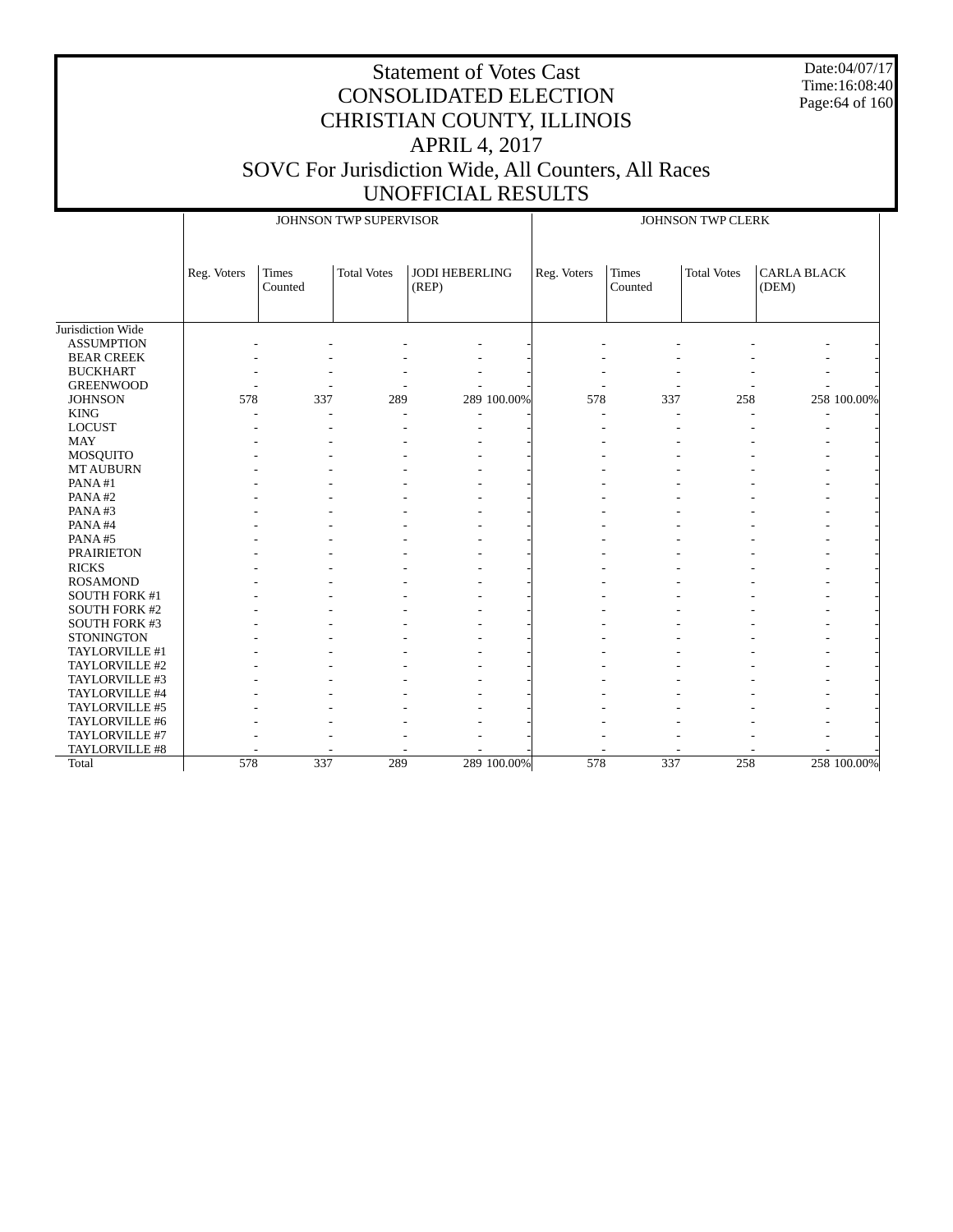Date:04/07/17 Time:16:08:40 Page:64 of 160

|                      |             |                         | JOHNSON TWP SUPERVISOR |                                |             |             |                  | JOHNSON TWP CLERK  |                             |             |
|----------------------|-------------|-------------------------|------------------------|--------------------------------|-------------|-------------|------------------|--------------------|-----------------------------|-------------|
|                      | Reg. Voters | <b>Times</b><br>Counted | <b>Total Votes</b>     | <b>JODI HEBERLING</b><br>(REP) |             | Reg. Voters | Times<br>Counted | <b>Total Votes</b> | <b>CARLA BLACK</b><br>(DEM) |             |
| Jurisdiction Wide    |             |                         |                        |                                |             |             |                  |                    |                             |             |
| <b>ASSUMPTION</b>    |             |                         |                        |                                |             |             |                  |                    |                             |             |
| <b>BEAR CREEK</b>    |             |                         |                        |                                |             |             |                  |                    |                             |             |
| <b>BUCKHART</b>      |             |                         |                        |                                |             |             |                  |                    |                             |             |
| <b>GREENWOOD</b>     |             |                         |                        |                                |             |             |                  |                    |                             |             |
| <b>JOHNSON</b>       | 578         | 337                     | 289                    |                                | 289 100.00% | 578         | 337              | 258                |                             | 258 100.00% |
| <b>KING</b>          |             |                         |                        |                                |             |             |                  |                    |                             |             |
| <b>LOCUST</b>        |             |                         |                        |                                |             |             |                  |                    |                             |             |
| <b>MAY</b>           |             |                         |                        |                                |             |             |                  |                    |                             |             |
| MOSQUITO             |             |                         |                        |                                |             |             |                  |                    |                             |             |
| <b>MT AUBURN</b>     |             |                         |                        |                                |             |             |                  |                    |                             |             |
| PANA#1               |             |                         |                        |                                |             |             |                  |                    |                             |             |
| PANA#2               |             |                         |                        |                                |             |             |                  |                    |                             |             |
| PANA#3               |             |                         |                        |                                |             |             |                  |                    |                             |             |
| PANA#4               |             |                         |                        |                                |             |             |                  |                    |                             |             |
| PANA#5               |             |                         |                        |                                |             |             |                  |                    |                             |             |
| <b>PRAIRIETON</b>    |             |                         |                        |                                |             |             |                  |                    |                             |             |
| <b>RICKS</b>         |             |                         |                        |                                |             |             |                  |                    |                             |             |
| <b>ROSAMOND</b>      |             |                         |                        |                                |             |             |                  |                    |                             |             |
| SOUTH FORK #1        |             |                         |                        |                                |             |             |                  |                    |                             |             |
| <b>SOUTH FORK #2</b> |             |                         |                        |                                |             |             |                  |                    |                             |             |
| SOUTH FORK #3        |             |                         |                        |                                |             |             |                  |                    |                             |             |
| <b>STONINGTON</b>    |             |                         |                        |                                |             |             |                  |                    |                             |             |
| TAYLORVILLE #1       |             |                         |                        |                                |             |             |                  |                    |                             |             |
| TAYLORVILLE #2       |             |                         |                        |                                |             |             |                  |                    |                             |             |
| TAYLORVILLE #3       |             |                         |                        |                                |             |             |                  |                    |                             |             |
| TAYLORVILLE #4       |             |                         |                        |                                |             |             |                  |                    |                             |             |
| TAYLORVILLE #5       |             |                         |                        |                                |             |             |                  |                    |                             |             |
| TAYLORVILLE #6       |             |                         |                        |                                |             |             |                  |                    |                             |             |
| TAYLORVILLE #7       |             |                         |                        |                                |             |             |                  |                    |                             |             |
| TAYLORVILLE #8       |             |                         |                        |                                |             |             |                  |                    |                             |             |
| Total                | 578         | 337                     | 289                    |                                | 289 100.00% | 578         | 337              | 258                |                             | 258 100.00% |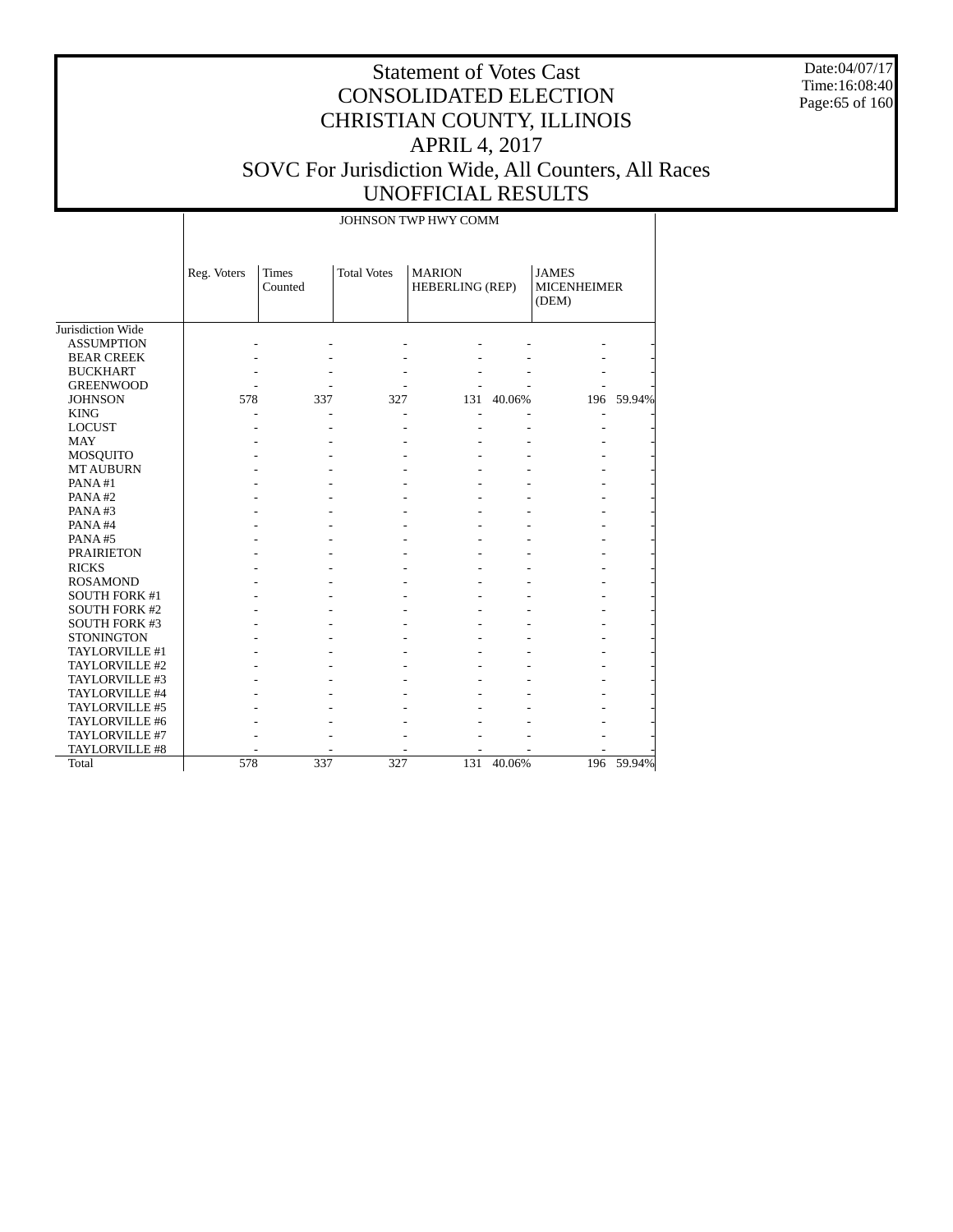Date:04/07/17 Time:16:08:40 Page:65 of 160

|                       |             |                         |                    | JOHNSON TWP HWY COMM             |        |                                             |            |
|-----------------------|-------------|-------------------------|--------------------|----------------------------------|--------|---------------------------------------------|------------|
|                       | Reg. Voters | <b>Times</b><br>Counted | <b>Total Votes</b> | <b>MARION</b><br>HEBERLING (REP) |        | <b>JAMES</b><br><b>MICENHEIMER</b><br>(DEM) |            |
| Jurisdiction Wide     |             |                         |                    |                                  |        |                                             |            |
| <b>ASSUMPTION</b>     |             |                         |                    |                                  |        |                                             |            |
| <b>BEAR CREEK</b>     |             |                         |                    |                                  |        |                                             |            |
| <b>BUCKHART</b>       |             |                         |                    |                                  |        |                                             |            |
| <b>GREENWOOD</b>      |             |                         |                    |                                  |        |                                             |            |
| <b>JOHNSON</b>        | 578         | 337                     | 327                | 131                              | 40.06% |                                             | 196 59.94% |
| <b>KING</b>           |             |                         |                    |                                  |        |                                             |            |
| <b>LOCUST</b>         |             |                         |                    |                                  |        |                                             |            |
| <b>MAY</b>            |             |                         |                    |                                  |        |                                             |            |
| <b>MOSQUITO</b>       |             |                         |                    |                                  |        |                                             |            |
| <b>MT AUBURN</b>      |             |                         |                    |                                  |        |                                             |            |
| PANA#1                |             |                         |                    |                                  |        |                                             |            |
| PANA#2                |             |                         |                    |                                  |        |                                             |            |
| PANA#3                |             |                         |                    |                                  |        |                                             |            |
| PANA#4                |             |                         |                    |                                  |        |                                             |            |
| PANA#5                |             |                         |                    |                                  |        |                                             |            |
| <b>PRAIRIETON</b>     |             |                         |                    |                                  |        |                                             |            |
| <b>RICKS</b>          |             |                         |                    |                                  |        |                                             |            |
| <b>ROSAMOND</b>       |             |                         |                    |                                  |        |                                             |            |
| <b>SOUTH FORK #1</b>  |             |                         |                    |                                  |        |                                             |            |
| <b>SOUTH FORK #2</b>  |             |                         |                    |                                  |        |                                             |            |
| <b>SOUTH FORK #3</b>  |             |                         |                    |                                  |        |                                             |            |
| <b>STONINGTON</b>     |             |                         |                    |                                  |        |                                             |            |
| TAYLORVILLE #1        |             |                         |                    |                                  |        |                                             |            |
| TAYLORVILLE #2        |             |                         |                    |                                  |        |                                             |            |
| TAYLORVILLE #3        |             |                         |                    |                                  |        |                                             |            |
| TAYLORVILLE #4        |             |                         |                    |                                  |        |                                             |            |
| TAYLORVILLE #5        |             |                         |                    |                                  |        |                                             |            |
| TAYLORVILLE #6        |             |                         |                    |                                  |        |                                             |            |
| TAYLORVILLE #7        |             |                         |                    |                                  |        |                                             |            |
| <b>TAYLORVILLE #8</b> |             |                         |                    |                                  |        |                                             |            |
| Total                 | 578         | 337                     | 327                | 131                              | 40.06% | 196                                         | 59.94%     |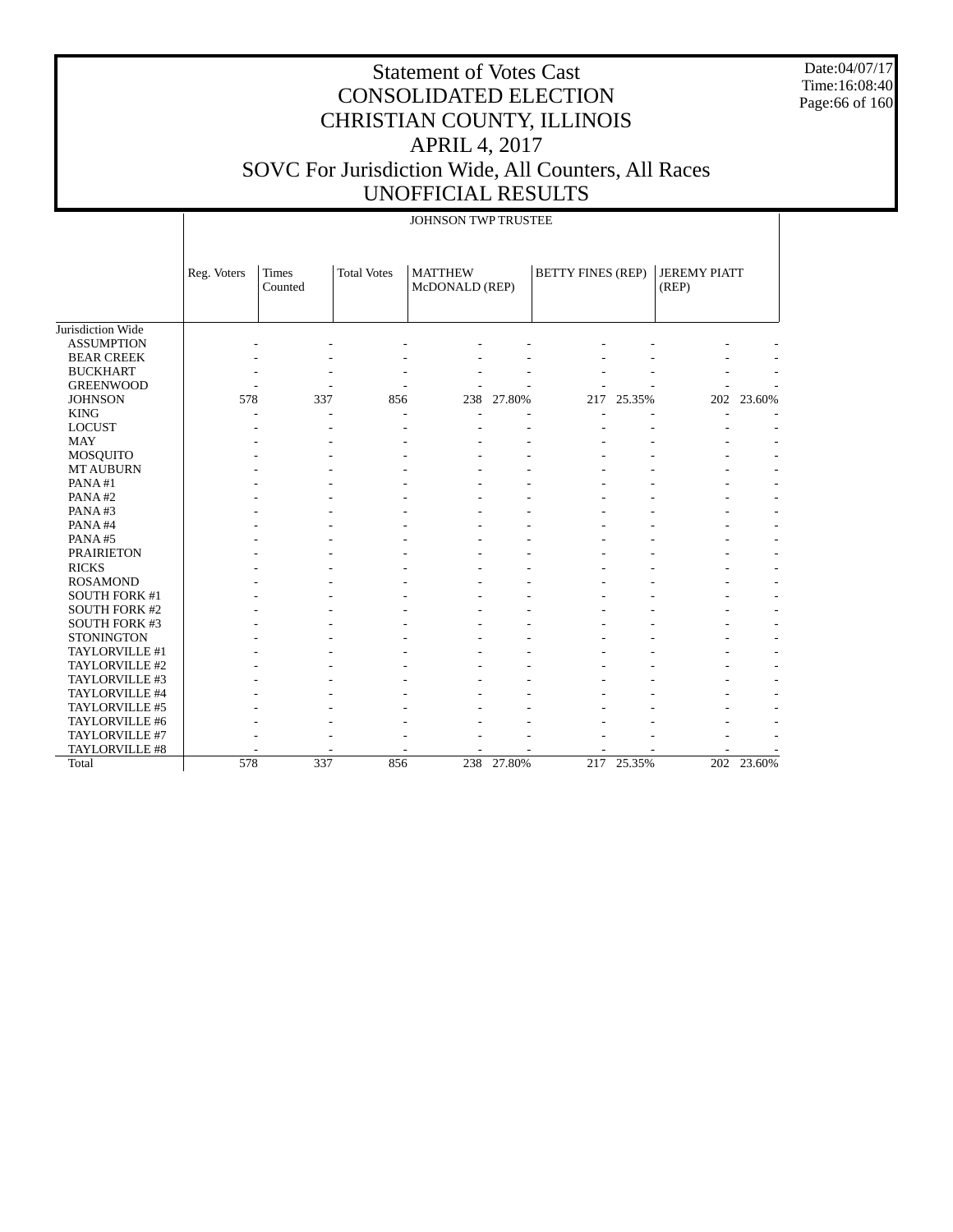Date:04/07/17 Time:16:08:40 Page:66 of 160

|                      |             |                         |                    | JOHNSON TWP TRUSTEE              |        |                          |        |                              |            |
|----------------------|-------------|-------------------------|--------------------|----------------------------------|--------|--------------------------|--------|------------------------------|------------|
|                      | Reg. Voters | <b>Times</b><br>Counted | <b>Total Votes</b> | <b>MATTHEW</b><br>McDONALD (REP) |        | <b>BETTY FINES (REP)</b> |        | <b>JEREMY PIATT</b><br>(REP) |            |
| Jurisdiction Wide    |             |                         |                    |                                  |        |                          |        |                              |            |
| <b>ASSUMPTION</b>    |             |                         |                    |                                  |        |                          |        |                              |            |
| <b>BEAR CREEK</b>    |             |                         |                    |                                  |        |                          |        |                              |            |
| <b>BUCKHART</b>      |             |                         |                    |                                  |        |                          |        |                              |            |
| <b>GREENWOOD</b>     |             |                         |                    |                                  |        |                          |        |                              |            |
| <b>JOHNSON</b>       | 578         | 337                     | 856                | 238                              | 27.80% | 217                      | 25.35% | 202                          | 23.60%     |
| <b>KING</b>          |             |                         |                    |                                  |        |                          |        |                              |            |
| <b>LOCUST</b>        |             |                         |                    |                                  |        |                          |        |                              |            |
| <b>MAY</b>           |             |                         |                    |                                  |        |                          |        |                              |            |
| <b>MOSQUITO</b>      |             |                         |                    |                                  |        |                          |        |                              |            |
| <b>MT AUBURN</b>     |             |                         |                    |                                  |        |                          |        |                              |            |
| PANA#1               |             |                         |                    |                                  |        |                          |        |                              |            |
| PANA#2               |             |                         |                    |                                  |        |                          |        |                              |            |
| PANA#3               |             |                         |                    |                                  |        |                          |        |                              |            |
| PANA#4               |             |                         |                    |                                  |        |                          |        |                              |            |
| PANA#5               |             |                         |                    |                                  |        |                          |        |                              |            |
| <b>PRAIRIETON</b>    |             |                         |                    |                                  |        |                          |        |                              |            |
| <b>RICKS</b>         |             |                         |                    |                                  |        |                          |        |                              |            |
| <b>ROSAMOND</b>      |             |                         |                    |                                  |        |                          |        |                              |            |
| SOUTH FORK #1        |             |                         |                    |                                  |        |                          |        |                              |            |
| <b>SOUTH FORK #2</b> |             |                         |                    |                                  |        |                          |        |                              |            |
| <b>SOUTH FORK #3</b> |             |                         |                    |                                  |        |                          |        |                              |            |
| <b>STONINGTON</b>    |             |                         |                    |                                  |        |                          |        |                              |            |
| TAYLORVILLE #1       |             |                         |                    |                                  |        |                          |        |                              |            |
| TAYLORVILLE #2       |             |                         |                    |                                  |        |                          |        |                              |            |
| TAYLORVILLE #3       |             |                         |                    |                                  |        |                          |        |                              |            |
| TAYLORVILLE #4       |             |                         |                    |                                  |        |                          |        |                              |            |
| TAYLORVILLE #5       |             |                         |                    |                                  |        |                          |        |                              |            |
| TAYLORVILLE #6       |             |                         |                    |                                  |        |                          |        |                              |            |
| TAYLORVILLE #7       |             |                         |                    |                                  |        |                          |        |                              |            |
| TAYLORVILLE #8       |             |                         |                    |                                  |        |                          |        |                              |            |
| Total                | 578         | 337                     | 856                | 238                              | 27.80% | 217                      | 25.35% |                              | 202 23.60% |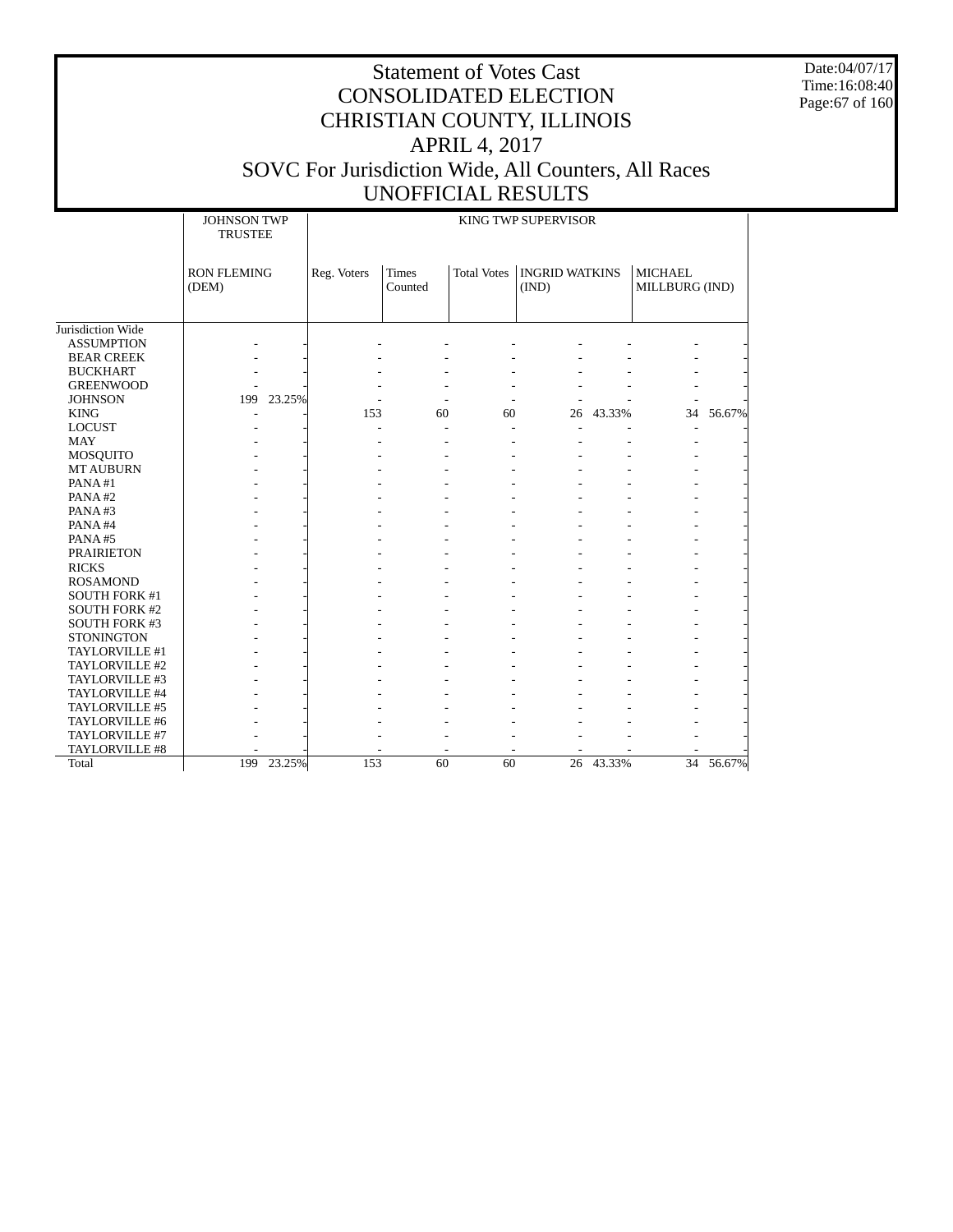Date:04/07/17 Time:16:08:40 Page:67 of 160

|                      | <b>JOHNSON TWP</b><br><b>TRUSTEE</b> |            |             | KING TWP SUPERVISOR     |                    |                                |           |                                  |        |
|----------------------|--------------------------------------|------------|-------------|-------------------------|--------------------|--------------------------------|-----------|----------------------------------|--------|
|                      | <b>RON FLEMING</b><br>(DEM)          |            | Reg. Voters | <b>Times</b><br>Counted | <b>Total Votes</b> | <b>INGRID WATKINS</b><br>(IND) |           | <b>MICHAEL</b><br>MILLBURG (IND) |        |
|                      |                                      |            |             |                         |                    |                                |           |                                  |        |
| Jurisdiction Wide    |                                      |            |             |                         |                    |                                |           |                                  |        |
| <b>ASSUMPTION</b>    |                                      |            |             |                         |                    |                                |           |                                  |        |
| <b>BEAR CREEK</b>    |                                      |            |             |                         |                    |                                |           |                                  |        |
| <b>BUCKHART</b>      |                                      |            |             |                         |                    |                                |           |                                  |        |
| <b>GREENWOOD</b>     |                                      |            |             |                         |                    |                                |           |                                  |        |
| <b>JOHNSON</b>       |                                      | 199 23.25% |             |                         |                    |                                |           |                                  |        |
| <b>KING</b>          |                                      |            | 153         | 60                      | 60                 |                                | 26 43.33% | 34                               | 56.67% |
| <b>LOCUST</b>        |                                      |            |             |                         |                    |                                |           |                                  |        |
| <b>MAY</b>           |                                      |            |             |                         |                    |                                |           |                                  |        |
| <b>MOSQUITO</b>      |                                      |            |             |                         |                    |                                |           |                                  |        |
| <b>MT AUBURN</b>     |                                      |            |             |                         |                    |                                |           |                                  |        |
| PANA#1               |                                      |            |             |                         |                    |                                |           |                                  |        |
| PANA#2               |                                      |            |             |                         |                    |                                |           |                                  |        |
| PANA#3               |                                      |            |             |                         |                    |                                |           |                                  |        |
| PANA#4               |                                      |            |             |                         |                    |                                |           |                                  |        |
| PANA#5               |                                      |            |             |                         |                    |                                |           |                                  |        |
| <b>PRAIRIETON</b>    |                                      |            |             |                         |                    |                                |           |                                  |        |
| <b>RICKS</b>         |                                      |            |             |                         |                    |                                |           |                                  |        |
| <b>ROSAMOND</b>      |                                      |            |             |                         |                    |                                |           |                                  |        |
| <b>SOUTH FORK #1</b> |                                      |            |             |                         |                    |                                |           |                                  |        |
| <b>SOUTH FORK #2</b> |                                      |            |             |                         |                    |                                |           |                                  |        |
| <b>SOUTH FORK #3</b> |                                      |            |             |                         |                    |                                |           |                                  |        |
| <b>STONINGTON</b>    |                                      |            |             |                         |                    |                                |           |                                  |        |
| TAYLORVILLE #1       |                                      |            |             |                         |                    |                                |           |                                  |        |
| TAYLORVILLE #2       |                                      |            |             |                         |                    |                                |           |                                  |        |
| TAYLORVILLE #3       |                                      |            |             |                         |                    |                                |           |                                  |        |
| TAYLORVILLE #4       |                                      |            |             |                         |                    |                                |           |                                  |        |
| TAYLORVILLE #5       |                                      |            |             |                         |                    |                                |           |                                  |        |
| TAYLORVILLE #6       |                                      |            |             |                         |                    |                                |           |                                  |        |
| TAYLORVILLE #7       |                                      |            |             |                         |                    |                                |           |                                  |        |
| TAYLORVILLE #8       |                                      |            |             |                         |                    |                                |           |                                  |        |
| Total                |                                      | 199 23.25% | 153         | 60                      | 60                 |                                | 26 43.33% | $\overline{34}$                  | 56.67% |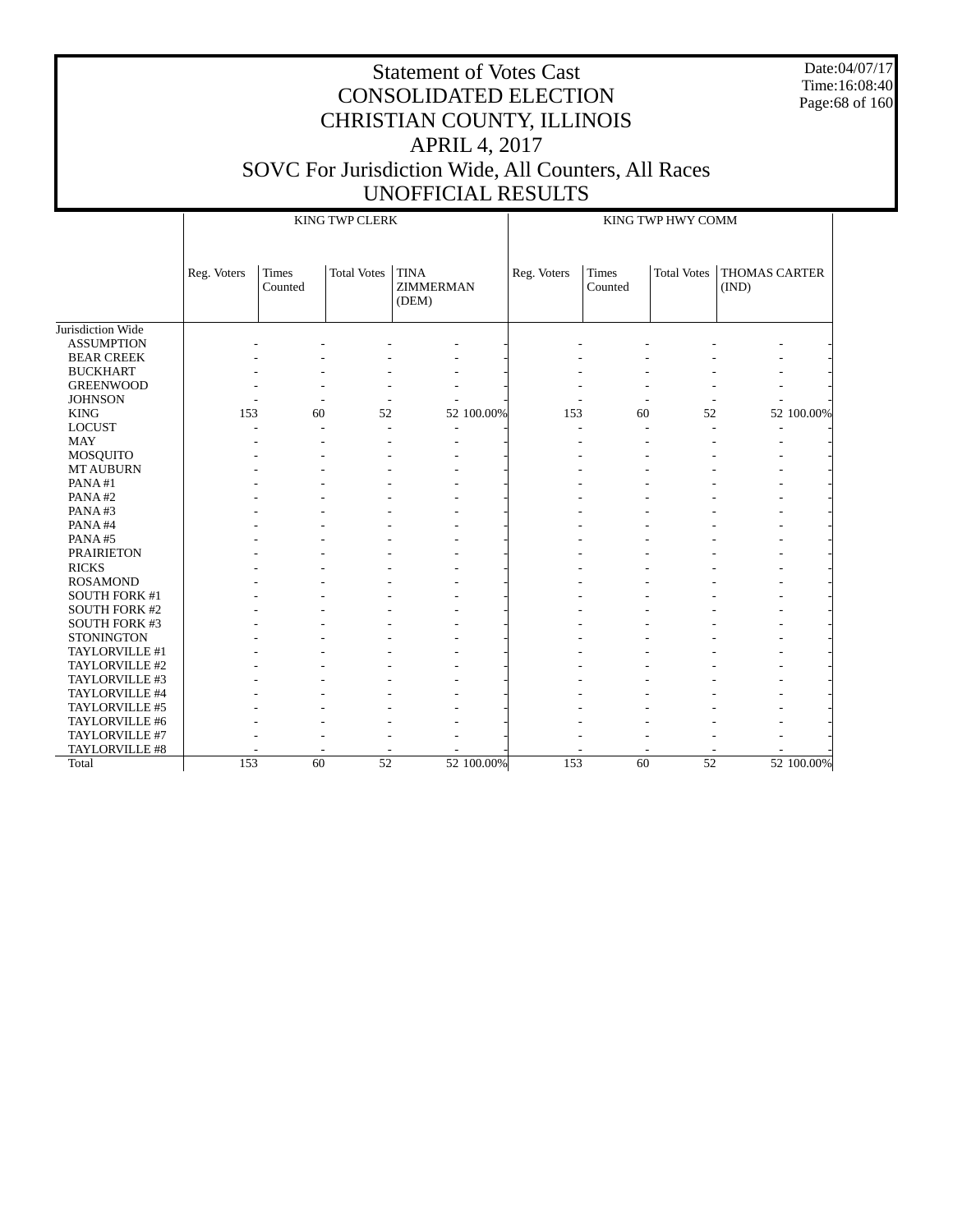Date:04/07/17 Time:16:08:40 Page:68 of 160

|                      |             |                  | <b>KING TWP CLERK</b> |                                   |             |                  | KING TWP HWY COMM  |                               |
|----------------------|-------------|------------------|-----------------------|-----------------------------------|-------------|------------------|--------------------|-------------------------------|
|                      | Reg. Voters | Times<br>Counted | <b>Total Votes</b>    | <b>TINA</b><br>ZIMMERMAN<br>(DEM) | Reg. Voters | Times<br>Counted | <b>Total Votes</b> | <b>THOMAS CARTER</b><br>(IND) |
| Jurisdiction Wide    |             |                  |                       |                                   |             |                  |                    |                               |
| <b>ASSUMPTION</b>    |             |                  |                       |                                   |             |                  |                    |                               |
| <b>BEAR CREEK</b>    |             |                  |                       |                                   |             |                  |                    |                               |
| <b>BUCKHART</b>      |             |                  |                       |                                   |             |                  |                    |                               |
| <b>GREENWOOD</b>     |             |                  |                       |                                   |             |                  |                    |                               |
| <b>JOHNSON</b>       |             |                  |                       |                                   |             |                  |                    |                               |
| <b>KING</b>          | 153         | 60               | 52                    | 52 100.00%                        | 153         | 60               | 52                 | 52 100.00%                    |
| <b>LOCUST</b>        |             |                  |                       |                                   |             |                  |                    |                               |
| <b>MAY</b>           |             |                  |                       |                                   |             |                  |                    |                               |
| <b>MOSQUITO</b>      |             |                  |                       |                                   |             |                  |                    |                               |
| <b>MT AUBURN</b>     |             |                  |                       |                                   |             |                  |                    |                               |
| PANA#1               |             |                  |                       |                                   |             |                  |                    |                               |
| PANA#2               |             |                  |                       |                                   |             |                  |                    |                               |
| PANA#3               |             |                  |                       |                                   |             |                  |                    |                               |
| PANA#4               |             |                  |                       |                                   |             |                  |                    |                               |
| PANA#5               |             |                  |                       |                                   |             |                  |                    |                               |
| <b>PRAIRIETON</b>    |             |                  |                       |                                   |             |                  |                    |                               |
| <b>RICKS</b>         |             |                  |                       |                                   |             |                  |                    |                               |
| <b>ROSAMOND</b>      |             |                  |                       |                                   |             |                  |                    |                               |
| SOUTH FORK #1        |             |                  |                       |                                   |             |                  |                    |                               |
| <b>SOUTH FORK #2</b> |             |                  |                       |                                   |             |                  |                    |                               |
| SOUTH FORK #3        |             |                  |                       |                                   |             |                  |                    |                               |
| <b>STONINGTON</b>    |             |                  |                       |                                   |             |                  |                    |                               |
| TAYLORVILLE #1       |             |                  |                       |                                   |             |                  |                    |                               |
| TAYLORVILLE #2       |             |                  |                       |                                   |             |                  |                    |                               |
| TAYLORVILLE #3       |             |                  |                       |                                   |             |                  |                    |                               |
| TAYLORVILLE #4       |             |                  |                       |                                   |             |                  |                    |                               |
| TAYLORVILLE #5       |             |                  |                       |                                   |             |                  |                    |                               |
| TAYLORVILLE #6       |             |                  |                       |                                   |             |                  |                    |                               |
| TAYLORVILLE #7       |             |                  |                       |                                   |             |                  |                    |                               |
| TAYLORVILLE #8       |             |                  |                       |                                   |             |                  |                    |                               |
| Total                | 153         | 60               | $\overline{52}$       | 52 100.00%                        | 153         | 60               | $\overline{52}$    | 52 100.00%                    |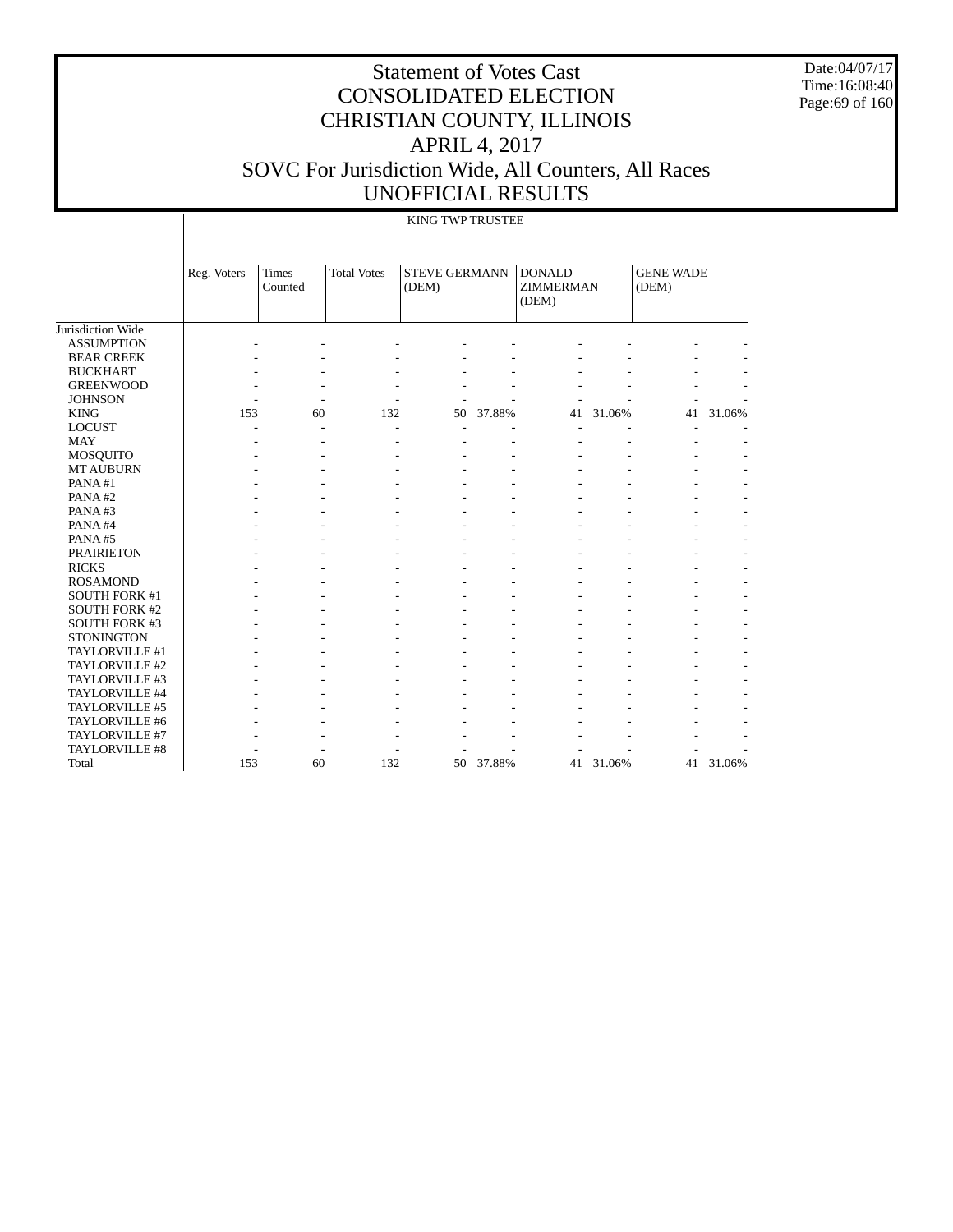Date:04/07/17 Time:16:08:40 Page:69 of 160

|                      |             |                         |                    | KING TWP TRUSTEE              |           |                                            |           |                           |        |
|----------------------|-------------|-------------------------|--------------------|-------------------------------|-----------|--------------------------------------------|-----------|---------------------------|--------|
|                      | Reg. Voters | <b>Times</b><br>Counted | <b>Total Votes</b> | <b>STEVE GERMANN</b><br>(DEM) |           | <b>DONALD</b><br><b>ZIMMERMAN</b><br>(DEM) |           | <b>GENE WADE</b><br>(DEM) |        |
| Jurisdiction Wide    |             |                         |                    |                               |           |                                            |           |                           |        |
| <b>ASSUMPTION</b>    |             |                         |                    |                               |           |                                            |           |                           |        |
| <b>BEAR CREEK</b>    |             |                         |                    |                               |           |                                            |           |                           |        |
| <b>BUCKHART</b>      |             |                         |                    |                               |           |                                            |           |                           |        |
| <b>GREENWOOD</b>     |             |                         |                    |                               |           |                                            |           |                           |        |
| <b>JOHNSON</b>       |             |                         |                    |                               |           |                                            |           |                           |        |
| <b>KING</b>          | 153         | 60                      | 132                | 50                            | 37.88%    | 41                                         | 31.06%    | 41                        | 31.06% |
| <b>LOCUST</b>        |             |                         |                    |                               |           |                                            |           |                           |        |
| <b>MAY</b>           |             |                         |                    |                               |           |                                            |           |                           |        |
| MOSQUITO             |             |                         |                    |                               |           |                                            |           |                           |        |
| <b>MT AUBURN</b>     |             |                         |                    |                               |           |                                            |           |                           |        |
| PANA#1               |             |                         |                    |                               |           |                                            |           |                           |        |
| PANA#2               |             |                         |                    |                               |           |                                            |           |                           |        |
| PANA#3               |             |                         |                    |                               |           |                                            |           |                           |        |
| PANA#4               |             |                         |                    |                               |           |                                            |           |                           |        |
| PANA#5               |             |                         |                    |                               |           |                                            |           |                           |        |
| <b>PRAIRIETON</b>    |             |                         |                    |                               |           |                                            |           |                           |        |
| <b>RICKS</b>         |             |                         |                    |                               |           |                                            |           |                           |        |
| <b>ROSAMOND</b>      |             |                         |                    |                               |           |                                            |           |                           |        |
| <b>SOUTH FORK #1</b> |             |                         |                    |                               |           |                                            |           |                           |        |
| <b>SOUTH FORK #2</b> |             |                         |                    |                               |           |                                            |           |                           |        |
| <b>SOUTH FORK #3</b> |             |                         |                    |                               |           |                                            |           |                           |        |
| <b>STONINGTON</b>    |             |                         |                    |                               |           |                                            |           |                           |        |
| TAYLORVILLE #1       |             |                         |                    |                               |           |                                            |           |                           |        |
| TAYLORVILLE #2       |             |                         |                    |                               |           |                                            |           |                           |        |
| TAYLORVILLE #3       |             |                         |                    |                               |           |                                            |           |                           |        |
| TAYLORVILLE #4       |             |                         |                    |                               |           |                                            |           |                           |        |
| TAYLORVILLE #5       |             |                         |                    |                               |           |                                            |           |                           |        |
| TAYLORVILLE #6       |             |                         |                    |                               |           |                                            |           |                           |        |
| TAYLORVILLE #7       |             |                         |                    |                               |           |                                            |           |                           |        |
| TAYLORVILLE #8       |             |                         |                    |                               |           | $\overline{a}$                             |           |                           |        |
| Total                | 153         | 60                      | 132                |                               | 50 37.88% |                                            | 41 31.06% | 41                        | 31.06% |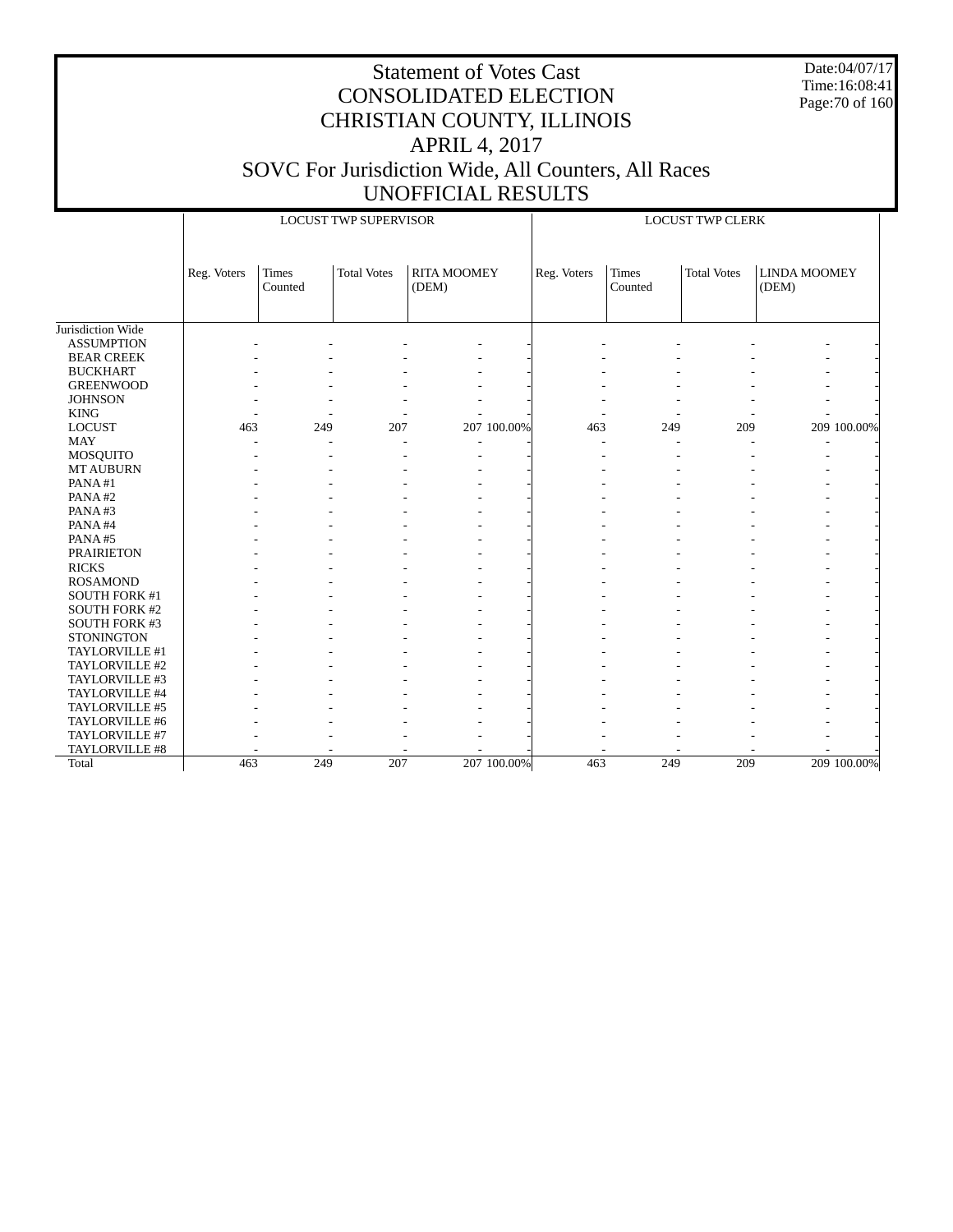Date:04/07/17 Time:16:08:41 Page:70 of 160

|                      |             |                         | <b>LOCUST TWP SUPERVISOR</b> |                             |             |             |                  | <b>LOCUST TWP CLERK</b> |                              |             |
|----------------------|-------------|-------------------------|------------------------------|-----------------------------|-------------|-------------|------------------|-------------------------|------------------------------|-------------|
|                      | Reg. Voters | <b>Times</b><br>Counted | <b>Total Votes</b>           | <b>RITA MOOMEY</b><br>(DEM) |             | Reg. Voters | Times<br>Counted | <b>Total Votes</b>      | <b>LINDA MOOMEY</b><br>(DEM) |             |
| Jurisdiction Wide    |             |                         |                              |                             |             |             |                  |                         |                              |             |
| <b>ASSUMPTION</b>    |             |                         |                              |                             |             |             |                  |                         |                              |             |
| <b>BEAR CREEK</b>    |             |                         |                              |                             |             |             |                  |                         |                              |             |
| <b>BUCKHART</b>      |             |                         |                              |                             |             |             |                  |                         |                              |             |
| <b>GREENWOOD</b>     |             |                         |                              |                             |             |             |                  |                         |                              |             |
| <b>JOHNSON</b>       |             |                         |                              |                             |             |             |                  |                         |                              |             |
| <b>KING</b>          |             |                         |                              |                             |             |             |                  |                         |                              |             |
| <b>LOCUST</b>        | 463         | 249                     | 207                          |                             | 207 100.00% | 463         | 249              | 209                     |                              | 209 100.00% |
| <b>MAY</b>           |             |                         |                              |                             |             |             |                  |                         |                              |             |
| <b>MOSQUITO</b>      |             |                         |                              |                             |             |             |                  |                         |                              |             |
| <b>MT AUBURN</b>     |             |                         |                              |                             |             |             |                  |                         |                              |             |
| PANA#1               |             |                         |                              |                             |             |             |                  |                         |                              |             |
| PANA#2               |             |                         |                              |                             |             |             |                  |                         |                              |             |
| PANA#3               |             |                         |                              |                             |             |             |                  |                         |                              |             |
| PANA#4               |             |                         |                              |                             |             |             |                  |                         |                              |             |
| PANA#5               |             |                         |                              |                             |             |             |                  |                         |                              |             |
| <b>PRAIRIETON</b>    |             |                         |                              |                             |             |             |                  |                         |                              |             |
| <b>RICKS</b>         |             |                         |                              |                             |             |             |                  |                         |                              |             |
| <b>ROSAMOND</b>      |             |                         |                              |                             |             |             |                  |                         |                              |             |
| SOUTH FORK #1        |             |                         |                              |                             |             |             |                  |                         |                              |             |
| <b>SOUTH FORK #2</b> |             |                         |                              |                             |             |             |                  |                         |                              |             |
| SOUTH FORK #3        |             |                         |                              |                             |             |             |                  |                         |                              |             |
| <b>STONINGTON</b>    |             |                         |                              |                             |             |             |                  |                         |                              |             |
| TAYLORVILLE #1       |             |                         |                              |                             |             |             |                  |                         |                              |             |
| TAYLORVILLE #2       |             |                         |                              |                             |             |             |                  |                         |                              |             |
| TAYLORVILLE #3       |             |                         |                              |                             |             |             |                  |                         |                              |             |
| TAYLORVILLE #4       |             |                         |                              |                             |             |             |                  |                         |                              |             |
| TAYLORVILLE #5       |             |                         |                              |                             |             |             |                  |                         |                              |             |
| TAYLORVILLE #6       |             |                         |                              |                             |             |             |                  |                         |                              |             |
| TAYLORVILLE #7       |             |                         |                              |                             |             |             |                  |                         |                              |             |
| TAYLORVILLE #8       |             |                         |                              |                             |             |             |                  |                         |                              |             |
| Total                | 463         | 249                     | 207                          |                             | 207 100.00% | 463         | 249              | 209                     |                              | 209 100.00% |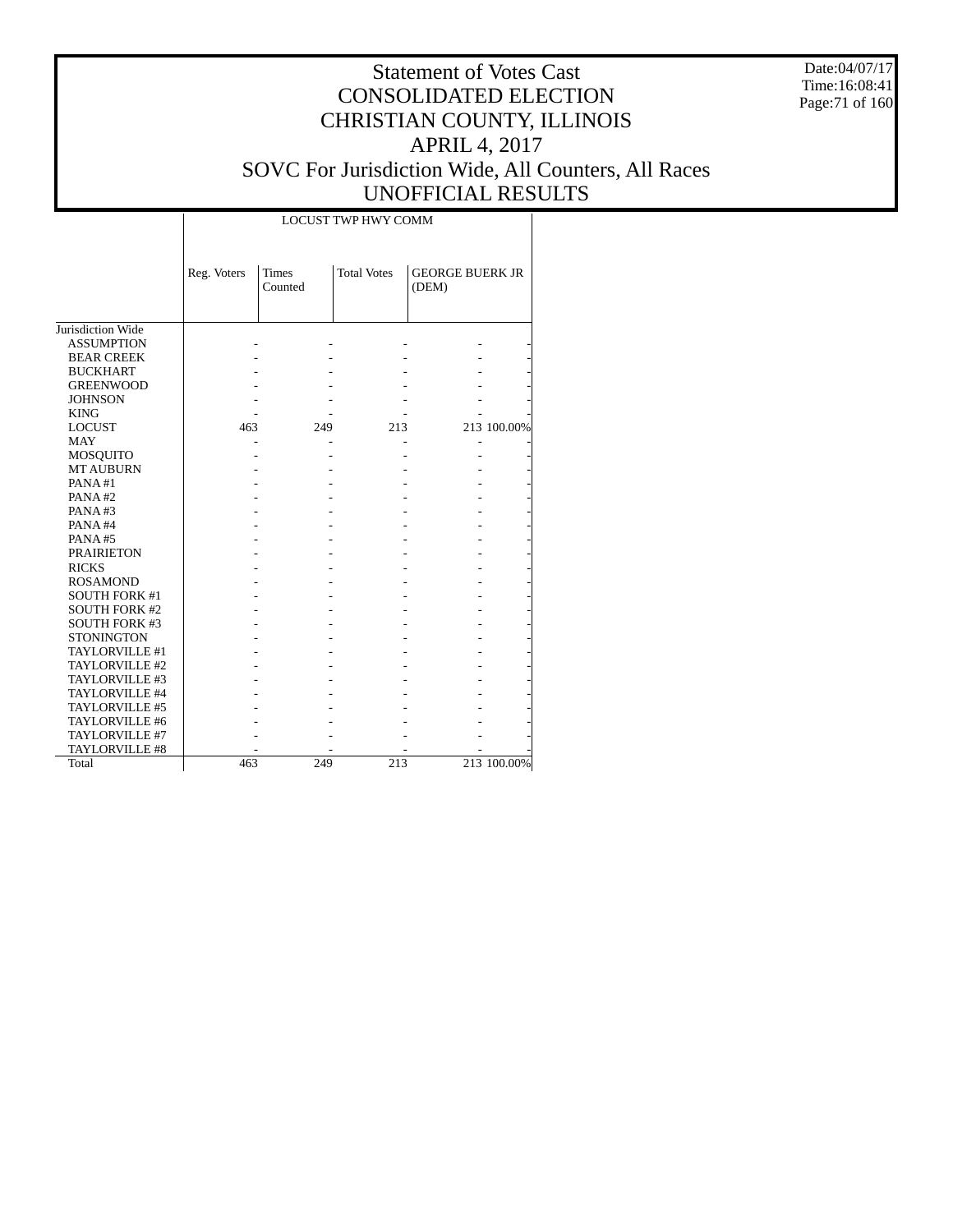Date:04/07/17 Time:16:08:41 Page:71 of 160

#### Statement of Votes Cast CONSOLIDATED ELECTION CHRISTIAN COUNTY, ILLINOIS APRIL 4, 2017 SOVC For Jurisdiction Wide, All Counters, All Races UNOFFICIAL RESULTS

|                      |             |                         | <b>LOCUST TWP HWY COMM</b> |                                 |             |
|----------------------|-------------|-------------------------|----------------------------|---------------------------------|-------------|
|                      | Reg. Voters | <b>Times</b><br>Counted | <b>Total Votes</b>         | <b>GEORGE BUERK JR</b><br>(DEM) |             |
| Jurisdiction Wide    |             |                         |                            |                                 |             |
| <b>ASSUMPTION</b>    |             |                         |                            |                                 |             |
| <b>BEAR CREEK</b>    |             |                         |                            |                                 |             |
| <b>BUCKHART</b>      |             |                         |                            |                                 |             |
| <b>GREENWOOD</b>     |             |                         |                            |                                 |             |
| <b>JOHNSON</b>       |             |                         |                            |                                 |             |
| <b>KING</b>          |             |                         |                            |                                 |             |
| <b>LOCUST</b>        | 463         | 249                     | 213                        |                                 | 213 100.00% |
| <b>MAY</b>           |             |                         |                            |                                 |             |
| <b>MOSQUITO</b>      |             |                         |                            |                                 |             |
| <b>MT AUBURN</b>     |             |                         |                            |                                 |             |
| PANA#1               |             |                         |                            |                                 |             |
| PANA#2               |             |                         |                            |                                 |             |
| PANA#3               |             |                         |                            |                                 |             |
| PANA#4               |             |                         |                            |                                 |             |
| PANA#5               |             |                         |                            |                                 |             |
| <b>PRAIRIETON</b>    |             |                         |                            |                                 |             |
| <b>RICKS</b>         |             |                         |                            |                                 |             |
| <b>ROSAMOND</b>      |             |                         |                            |                                 |             |
| <b>SOUTH FORK #1</b> |             |                         |                            |                                 |             |
| <b>SOUTH FORK #2</b> |             |                         |                            |                                 |             |
| <b>SOUTH FORK #3</b> |             |                         |                            |                                 |             |
| <b>STONINGTON</b>    |             |                         |                            |                                 |             |
| TAYLORVILLE #1       |             |                         |                            |                                 |             |
| TAYLORVILLE #2       |             |                         |                            |                                 |             |
| TAYLORVILLE #3       |             |                         |                            |                                 |             |
| TAYLORVILLE #4       |             |                         |                            |                                 |             |
| TAYLORVILLE #5       |             |                         |                            |                                 |             |
| TAYLORVILLE #6       |             |                         |                            |                                 |             |
| TAYLORVILLE #7       |             |                         |                            |                                 |             |
| TAYLORVILLE #8       |             |                         |                            |                                 |             |
| Total                | 463         | 249                     | 213                        |                                 | 213 100.00% |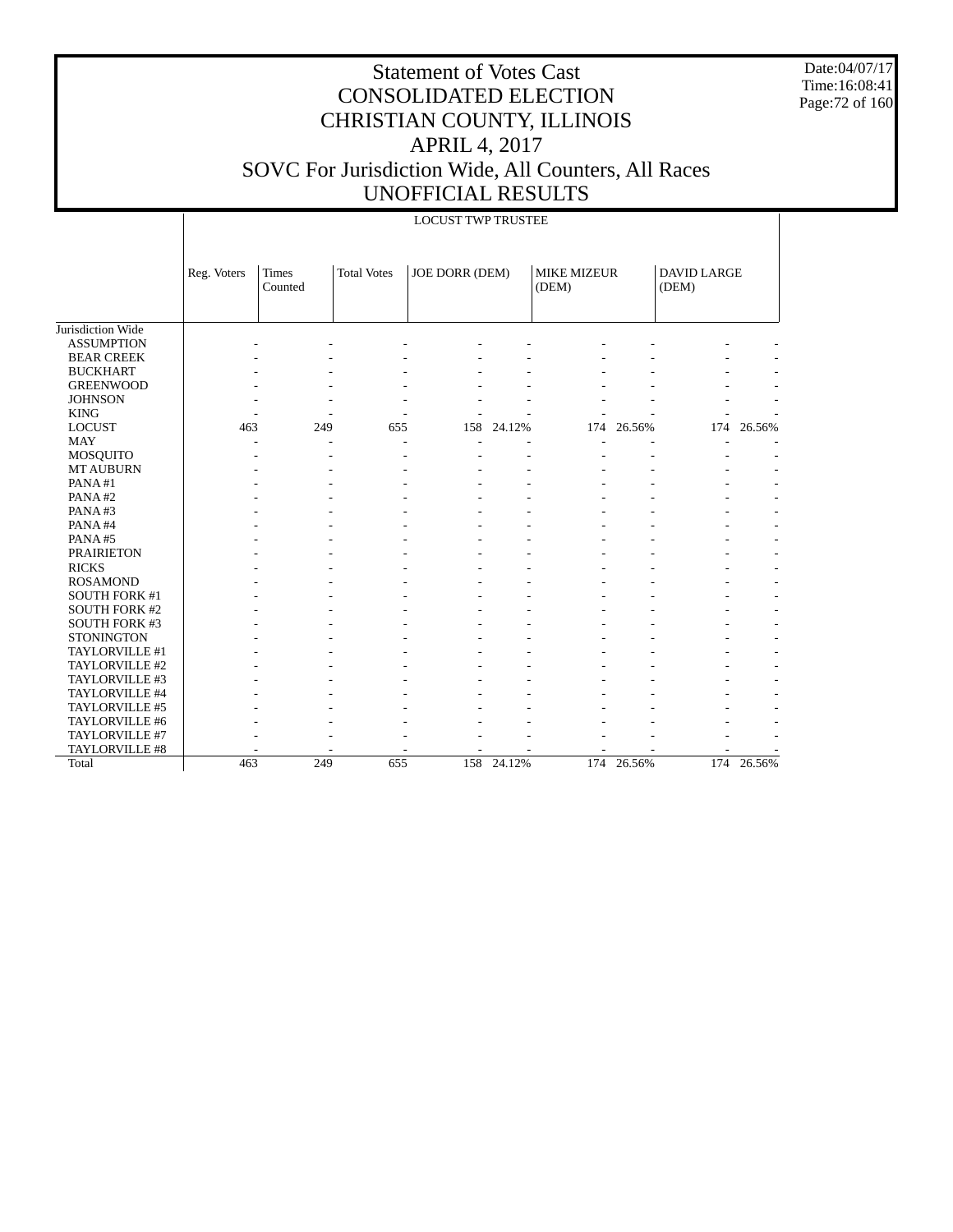Date:04/07/17 Time:16:08:41 Page:72 of 160

|                      |             |                         |                    | <b>LOCUST TWP TRUSTEE</b> |        |                             |        |                             |            |
|----------------------|-------------|-------------------------|--------------------|---------------------------|--------|-----------------------------|--------|-----------------------------|------------|
|                      | Reg. Voters | <b>Times</b><br>Counted | <b>Total Votes</b> | JOE DORR (DEM)            |        | <b>MIKE MIZEUR</b><br>(DEM) |        | <b>DAVID LARGE</b><br>(DEM) |            |
| Jurisdiction Wide    |             |                         |                    |                           |        |                             |        |                             |            |
| <b>ASSUMPTION</b>    |             |                         |                    |                           |        |                             |        |                             |            |
| <b>BEAR CREEK</b>    |             |                         |                    |                           |        |                             |        |                             |            |
| <b>BUCKHART</b>      |             |                         |                    |                           |        |                             |        |                             |            |
| <b>GREENWOOD</b>     |             |                         |                    |                           |        |                             |        |                             |            |
| <b>JOHNSON</b>       |             |                         |                    |                           |        |                             |        |                             |            |
| <b>KING</b>          |             |                         |                    |                           |        |                             |        |                             |            |
| <b>LOCUST</b>        | 463         | 249                     | 655                | 158                       | 24.12% | 174                         | 26.56% | 174                         | 26.56%     |
| <b>MAY</b>           | ٠           |                         | L,                 |                           |        |                             |        |                             |            |
| <b>MOSQUITO</b>      |             |                         |                    |                           |        |                             |        |                             |            |
| <b>MT AUBURN</b>     |             |                         |                    |                           |        |                             |        |                             |            |
| PANA#1               |             |                         |                    |                           |        |                             |        |                             |            |
| PANA#2               |             |                         |                    |                           |        |                             |        |                             |            |
| PANA#3               |             |                         |                    |                           |        |                             |        |                             |            |
| PANA#4               |             |                         |                    |                           |        |                             |        |                             |            |
| PANA#5               |             |                         |                    |                           |        |                             |        |                             |            |
| <b>PRAIRIETON</b>    |             |                         |                    |                           |        |                             |        |                             |            |
| <b>RICKS</b>         |             |                         |                    |                           |        |                             |        |                             |            |
| <b>ROSAMOND</b>      |             |                         |                    |                           |        |                             |        |                             |            |
| SOUTH FORK #1        |             |                         |                    |                           |        |                             |        |                             |            |
| <b>SOUTH FORK #2</b> |             |                         |                    |                           |        |                             |        |                             |            |
| <b>SOUTH FORK #3</b> |             |                         |                    |                           |        |                             |        |                             |            |
| <b>STONINGTON</b>    |             |                         |                    |                           |        |                             |        |                             |            |
| TAYLORVILLE #1       |             |                         |                    |                           |        |                             |        |                             |            |
| TAYLORVILLE #2       |             |                         |                    |                           |        |                             |        |                             |            |
| TAYLORVILLE #3       |             |                         |                    |                           |        |                             |        |                             |            |
| TAYLORVILLE #4       |             |                         |                    |                           |        |                             |        |                             |            |
| TAYLORVILLE #5       |             |                         |                    |                           |        |                             |        |                             |            |
| TAYLORVILLE #6       |             |                         |                    |                           |        |                             |        |                             |            |
| TAYLORVILLE #7       |             |                         |                    |                           |        |                             |        |                             |            |
| TAYLORVILLE #8       |             |                         |                    |                           |        |                             |        |                             |            |
| Total                | 463         | 249                     | 655                | 158                       | 24.12% | 174                         | 26.56% |                             | 174 26.56% |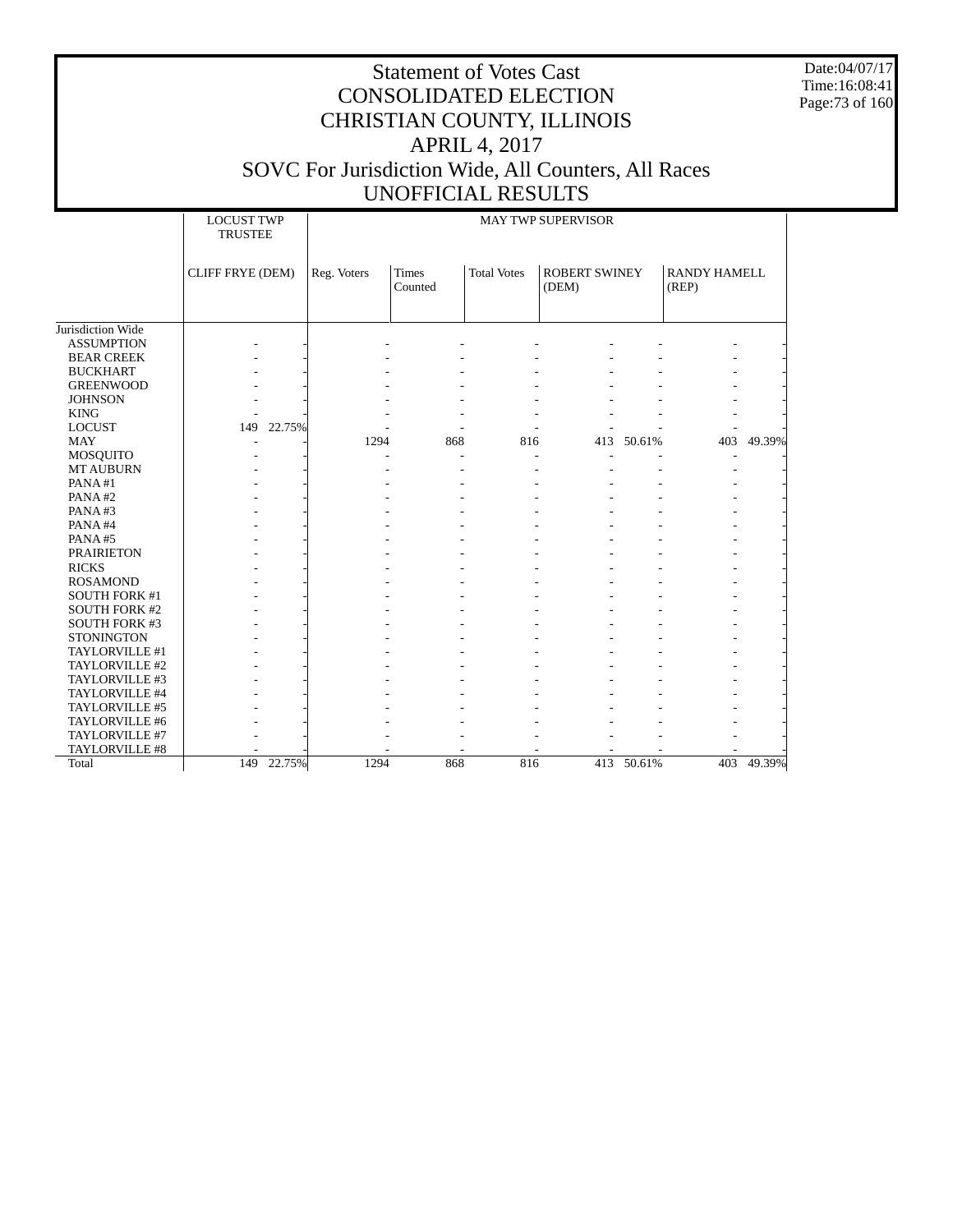Date:04/07/17 Time:16:08:41 Page:73 of 160

|                      |                         | <b>LOCUST TWP</b><br><b>MAY TWP SUPERVISOR</b><br><b>TRUSTEE</b> |             |                         |                    |                               |            |                              |        |
|----------------------|-------------------------|------------------------------------------------------------------|-------------|-------------------------|--------------------|-------------------------------|------------|------------------------------|--------|
|                      | <b>CLIFF FRYE (DEM)</b> |                                                                  | Reg. Voters | <b>Times</b><br>Counted | <b>Total Votes</b> | <b>ROBERT SWINEY</b><br>(DEM) |            | <b>RANDY HAMELL</b><br>(REP) |        |
|                      |                         |                                                                  |             |                         |                    |                               |            |                              |        |
| Jurisdiction Wide    |                         |                                                                  |             |                         |                    |                               |            |                              |        |
| <b>ASSUMPTION</b>    |                         |                                                                  |             |                         |                    |                               |            |                              |        |
| <b>BEAR CREEK</b>    |                         |                                                                  |             |                         |                    |                               |            |                              |        |
| <b>BUCKHART</b>      |                         |                                                                  |             |                         |                    |                               |            |                              |        |
| <b>GREENWOOD</b>     |                         |                                                                  |             |                         |                    |                               |            |                              |        |
| <b>JOHNSON</b>       |                         |                                                                  |             |                         |                    |                               |            |                              |        |
| <b>KING</b>          |                         |                                                                  |             |                         |                    |                               |            |                              |        |
| <b>LOCUST</b>        | 149                     | 22.75%                                                           |             |                         |                    |                               |            |                              |        |
| <b>MAY</b>           |                         |                                                                  | 1294        | 868                     | 816                |                               | 413 50.61% | 403                          | 49.39% |
| <b>MOSQUITO</b>      |                         |                                                                  |             |                         |                    |                               |            |                              |        |
| <b>MT AUBURN</b>     |                         |                                                                  |             |                         |                    |                               |            |                              |        |
| PANA#1               |                         |                                                                  |             |                         |                    |                               |            |                              |        |
| PANA#2               |                         |                                                                  |             |                         |                    |                               |            |                              |        |
| PANA#3               |                         |                                                                  |             |                         |                    |                               |            |                              |        |
| PANA#4               |                         |                                                                  |             |                         |                    |                               |            |                              |        |
| PANA#5               |                         |                                                                  |             |                         |                    |                               |            |                              |        |
| <b>PRAIRIETON</b>    |                         |                                                                  |             |                         |                    |                               |            |                              |        |
| <b>RICKS</b>         |                         |                                                                  |             |                         |                    |                               |            |                              |        |
| <b>ROSAMOND</b>      |                         |                                                                  |             |                         |                    |                               |            |                              |        |
| <b>SOUTH FORK #1</b> |                         |                                                                  |             |                         |                    |                               |            |                              |        |
| <b>SOUTH FORK #2</b> |                         |                                                                  |             |                         |                    |                               |            |                              |        |
| SOUTH FORK #3        |                         |                                                                  |             |                         |                    |                               |            |                              |        |
| <b>STONINGTON</b>    |                         |                                                                  |             |                         |                    |                               |            |                              |        |
| TAYLORVILLE #1       |                         |                                                                  |             |                         |                    |                               |            |                              |        |
| TAYLORVILLE #2       |                         |                                                                  |             |                         |                    |                               |            |                              |        |
| TAYLORVILLE #3       |                         |                                                                  |             |                         |                    |                               |            |                              |        |
| TAYLORVILLE #4       |                         |                                                                  |             |                         |                    |                               |            |                              |        |
| TAYLORVILLE #5       |                         |                                                                  |             |                         |                    |                               |            |                              |        |
| TAYLORVILLE #6       |                         |                                                                  |             |                         |                    |                               |            |                              |        |
| TAYLORVILLE #7       |                         |                                                                  |             |                         |                    |                               |            |                              |        |
| TAYLORVILLE #8       |                         |                                                                  |             |                         |                    |                               |            |                              |        |
| Total                | 149                     | 22.75%                                                           | 1294        | 868                     | 816                |                               | 413 50.61% | 403                          | 49.39% |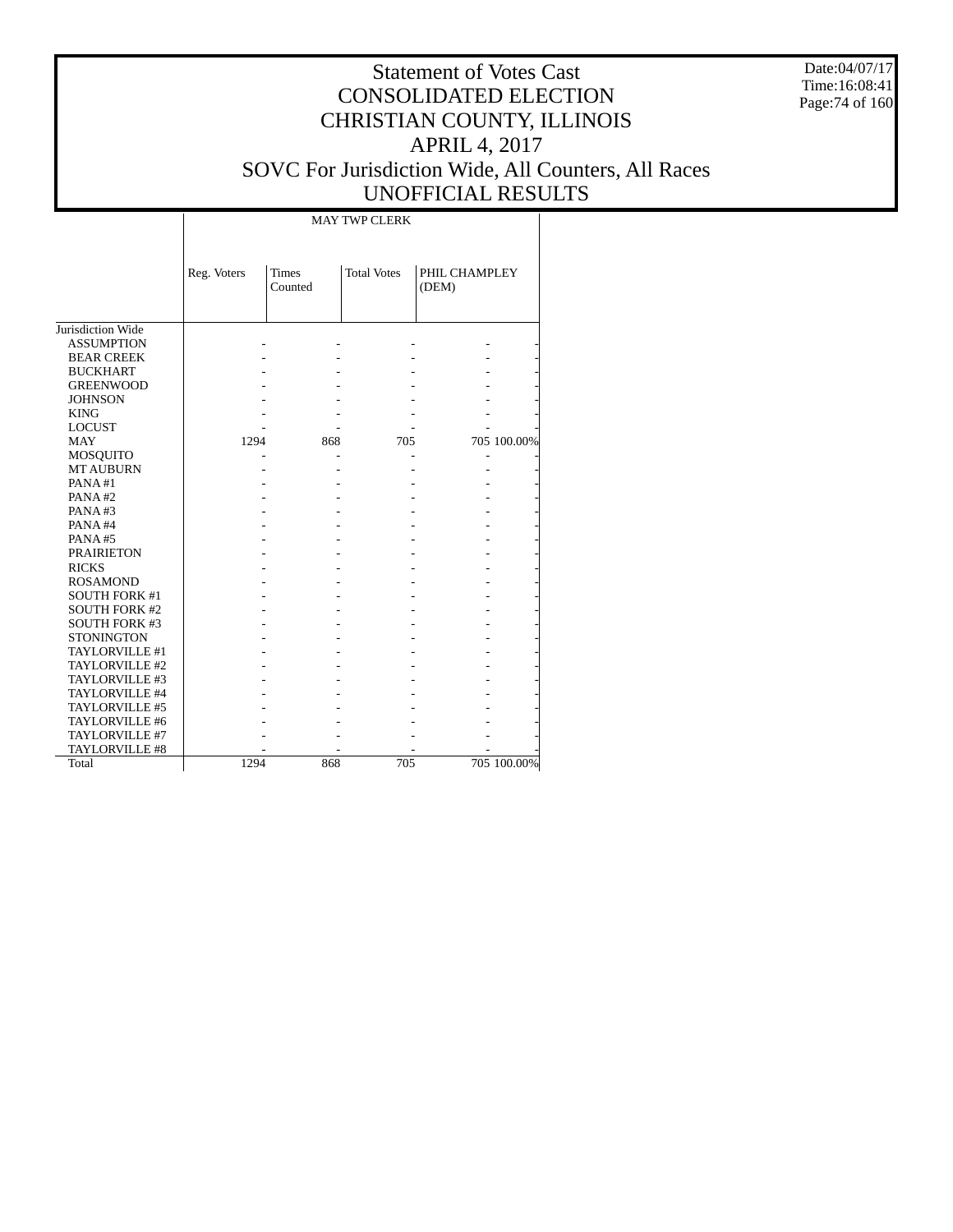Date:04/07/17 Time:16:08:41 Page:74 of 160

#### Statement of Votes Cast CONSOLIDATED ELECTION CHRISTIAN COUNTY, ILLINOIS APRIL 4, 2017 SOVC For Jurisdiction Wide, All Counters, All Races UNOFFICIAL RESULTS

 Jurisdiction Wide ASSUMPTION BEAR CREEK BUCKHART GREENWOOD JOHNSON KING LOCUST MAY MOSQUITO MT AUBURN PANA #1 PANA #2 PANA #3 PANA #4 PANA #5 PRAIRIETON RICKS ROSAMOND SOUTH FORK #1 SOUTH FORK #2 SOUTH FORK #3 **STONINGTON**  TAYLORVILLE #1 TAYLORVILLE #2 TAYLORVILLE #3 TAYLORVILLE #4 TAYLORVILLE #5 TAYLORVILLE #6 TAYLORVILLE #7 TAYLORVILLE #8 Total Reg. Voters Times Counted Total Votes | PHIL CHAMPLEY (DEM) MAY TWP CLERK - - - - - - - - - - - - - - - - - - - - - - - - - - - - - - - - - - - 1294 868 705 705 100.00% - - - - - - - - - - - - - - - - - - - - - - - - - - - - - - - - - - - - - - - - - - - - - - - - - - - - - - - - - - - - - - - - - - - - - - - - - - - - - - - - - - - - - - - - - - - - - - - - - - - - - - - - - - - - - - 1294 868 705 705 100.00%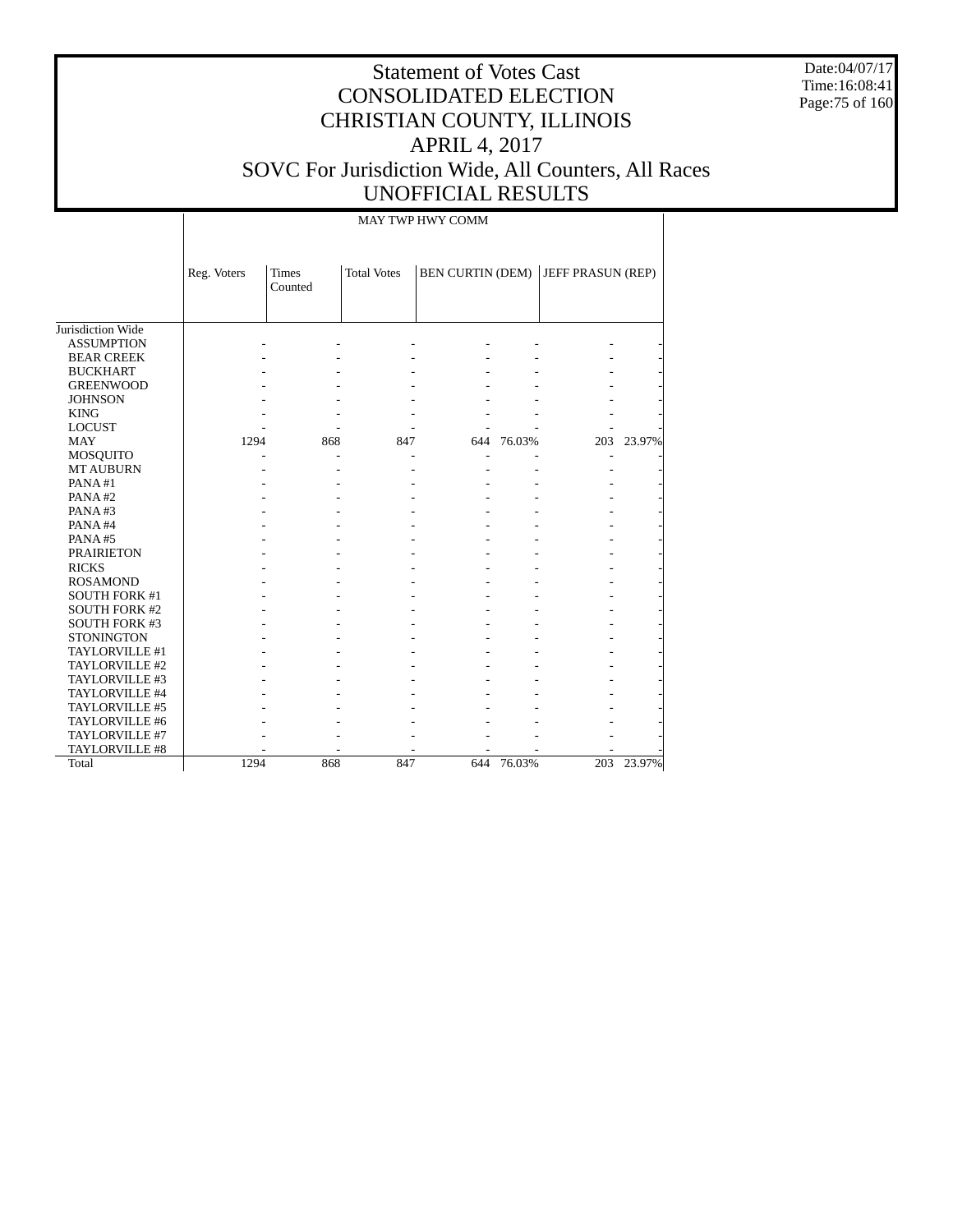Date:04/07/17 Time:16:08:41 Page:75 of 160

# Statement of Votes Cast CONSOLIDATED ELECTION CHRISTIAN COUNTY, ILLINOIS APRIL 4, 2017 SOVC For Jurisdiction Wide, All Counters, All Races UNOFFICIAL RESULTS

MAY TWP HWY COMM

|                      | Reg. Voters | <b>Times</b><br>Counted | <b>Total Votes</b> | <b>BEN CURTIN (DEM)</b> |        | JEFF PRASUN (REP) |        |
|----------------------|-------------|-------------------------|--------------------|-------------------------|--------|-------------------|--------|
|                      |             |                         |                    |                         |        |                   |        |
| Jurisdiction Wide    |             |                         |                    |                         |        |                   |        |
| <b>ASSUMPTION</b>    |             |                         |                    |                         |        |                   |        |
| <b>BEAR CREEK</b>    |             |                         |                    |                         |        |                   |        |
| <b>BUCKHART</b>      |             |                         |                    |                         |        |                   |        |
| <b>GREENWOOD</b>     |             |                         |                    |                         |        |                   |        |
| <b>JOHNSON</b>       |             |                         |                    |                         |        |                   |        |
| <b>KING</b>          |             |                         |                    |                         |        |                   |        |
| <b>LOCUST</b>        |             |                         |                    |                         |        |                   |        |
| <b>MAY</b>           | 1294        | 868                     | 847                | 644                     | 76.03% | 203               | 23.97% |
| MOSQUITO             |             |                         |                    |                         |        |                   |        |
| <b>MT AUBURN</b>     |             |                         |                    |                         |        |                   |        |
| PANA#1               |             |                         |                    |                         |        |                   |        |
| PANA#2               |             |                         |                    |                         |        |                   |        |
| PANA#3               |             |                         |                    |                         |        |                   |        |
| PANA#4               |             |                         |                    |                         |        |                   |        |
| PANA#5               |             |                         |                    |                         |        |                   |        |
| <b>PRAIRIETON</b>    |             |                         |                    |                         |        |                   |        |
| <b>RICKS</b>         |             |                         |                    |                         |        |                   |        |
| <b>ROSAMOND</b>      |             |                         |                    |                         |        |                   |        |
| <b>SOUTH FORK #1</b> |             |                         |                    |                         |        |                   |        |
| <b>SOUTH FORK #2</b> |             |                         |                    |                         |        |                   |        |
| <b>SOUTH FORK #3</b> |             |                         |                    |                         |        |                   |        |
| <b>STONINGTON</b>    |             |                         |                    |                         |        |                   |        |
| TAYLORVILLE #1       |             |                         |                    |                         |        |                   |        |
| TAYLORVILLE #2       |             |                         |                    |                         |        |                   |        |
| TAYLORVILLE #3       |             |                         |                    |                         |        |                   |        |
| TAYLORVILLE #4       |             |                         |                    |                         |        |                   |        |
| TAYLORVILLE #5       |             |                         |                    |                         |        |                   |        |
| TAYLORVILLE #6       |             |                         |                    |                         |        |                   |        |
| TAYLORVILLE #7       |             |                         |                    |                         |        |                   |        |
| TAYLORVILLE #8       |             |                         |                    |                         |        |                   |        |
| Total                | 1294        | 868                     | 847                | 644                     | 76.03% | 203               | 23.97% |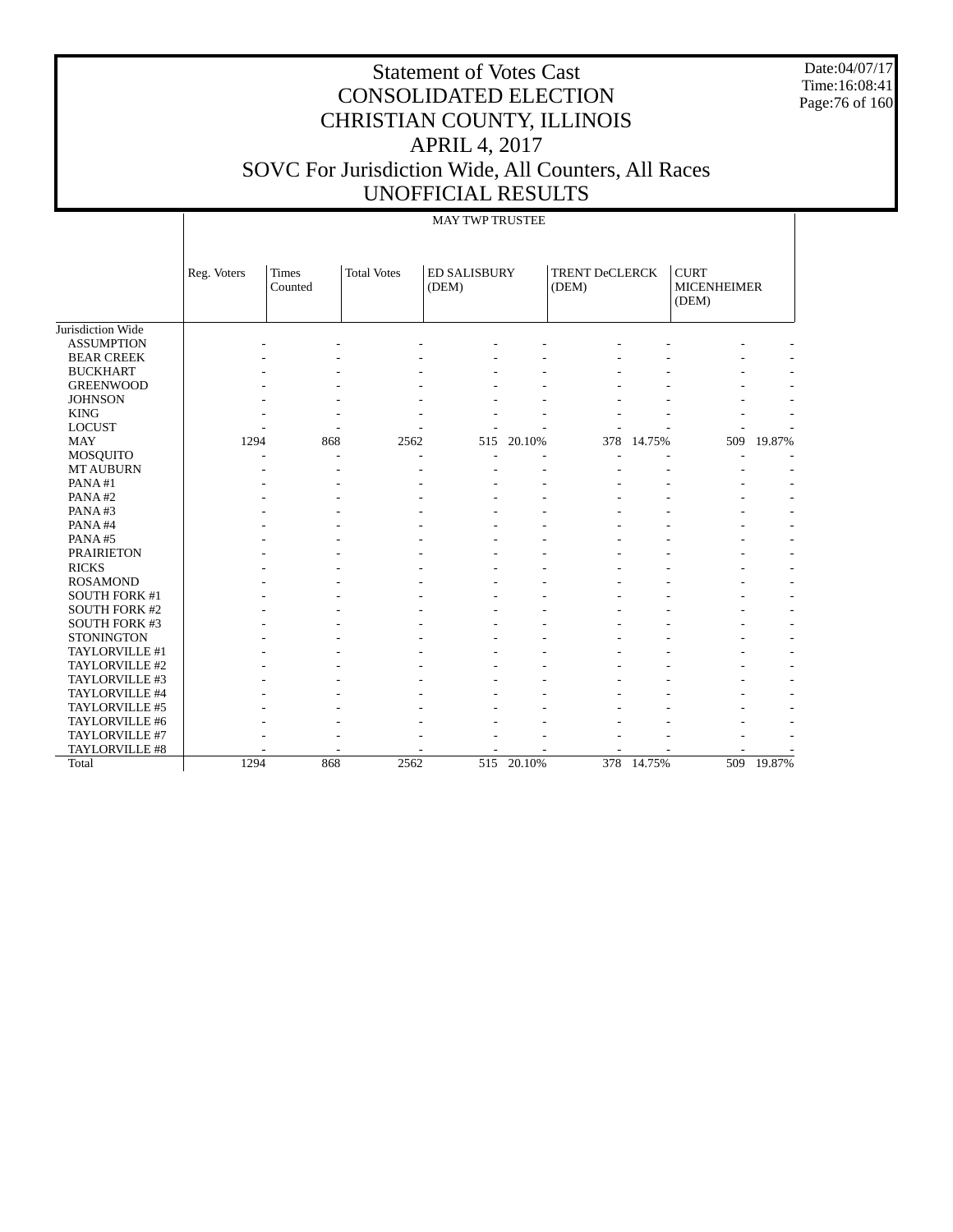Date:04/07/17 Time:16:08:41 Page:76 of 160

# Statement of Votes Cast CONSOLIDATED ELECTION CHRISTIAN COUNTY, ILLINOIS APRIL 4, 2017 SOVC For Jurisdiction Wide, All Counters, All Races UNOFFICIAL RESULTS

#### MAY TWP TRUSTEE

|                      | Reg. Voters | <b>Times</b><br>Counted | <b>Total Votes</b> | <b>ED SALISBURY</b><br>(DEM) |            | <b>TRENT DeCLERCK</b><br>(DEM) |        | <b>CURT</b><br><b>MICENHEIMER</b><br>(DEM) |        |
|----------------------|-------------|-------------------------|--------------------|------------------------------|------------|--------------------------------|--------|--------------------------------------------|--------|
| Jurisdiction Wide    |             |                         |                    |                              |            |                                |        |                                            |        |
| <b>ASSUMPTION</b>    |             |                         |                    |                              |            |                                |        |                                            |        |
| <b>BEAR CREEK</b>    |             |                         |                    |                              |            |                                |        |                                            |        |
| <b>BUCKHART</b>      |             |                         |                    |                              |            |                                |        |                                            |        |
| <b>GREENWOOD</b>     |             |                         |                    |                              |            |                                |        |                                            |        |
| <b>JOHNSON</b>       |             |                         |                    |                              |            |                                |        |                                            |        |
| <b>KING</b>          |             |                         |                    |                              |            |                                |        |                                            |        |
| <b>LOCUST</b>        |             |                         |                    |                              |            |                                |        |                                            |        |
| <b>MAY</b>           | 1294        | 868                     | 2562               | 515                          | 20.10%     | 378                            | 14.75% | 509                                        | 19.87% |
| <b>MOSQUITO</b>      |             |                         |                    |                              |            |                                |        |                                            |        |
| <b>MT AUBURN</b>     |             |                         |                    |                              |            |                                |        |                                            |        |
| PANA#1               |             |                         |                    |                              |            |                                |        |                                            |        |
| PANA#2               |             |                         |                    |                              |            |                                |        |                                            |        |
| PANA#3               |             |                         |                    |                              |            |                                |        |                                            |        |
| PANA#4               |             |                         |                    |                              |            |                                |        |                                            | ٠      |
| PANA#5               |             |                         |                    |                              |            |                                |        |                                            | ۰      |
| <b>PRAIRIETON</b>    |             |                         |                    |                              |            |                                |        |                                            | ٠      |
| <b>RICKS</b>         |             |                         |                    |                              |            |                                |        |                                            | ٠      |
| <b>ROSAMOND</b>      |             |                         |                    |                              |            |                                |        |                                            | ٠      |
| SOUTH FORK #1        |             |                         |                    |                              |            |                                |        |                                            | ٠      |
| <b>SOUTH FORK #2</b> |             |                         |                    |                              |            |                                |        |                                            | ٠      |
| SOUTH FORK #3        |             |                         |                    |                              |            |                                |        |                                            |        |
| <b>STONINGTON</b>    |             |                         |                    |                              |            |                                |        |                                            |        |
| TAYLORVILLE #1       |             |                         |                    |                              |            |                                |        |                                            |        |
| TAYLORVILLE #2       |             |                         |                    |                              |            |                                |        |                                            |        |
| TAYLORVILLE #3       |             |                         |                    |                              |            |                                |        |                                            |        |
| TAYLORVILLE #4       |             |                         |                    |                              |            |                                |        |                                            |        |
| TAYLORVILLE #5       |             |                         |                    |                              |            |                                |        |                                            |        |
| TAYLORVILLE #6       |             |                         |                    |                              |            |                                |        |                                            |        |
| TAYLORVILLE #7       |             |                         |                    |                              |            |                                |        |                                            |        |
| TAYLORVILLE #8       |             |                         |                    |                              |            |                                |        |                                            |        |
| Total                | 1294        | 868                     | 2562               |                              | 515 20.10% | 378                            | 14.75% | 509                                        | 19.87% |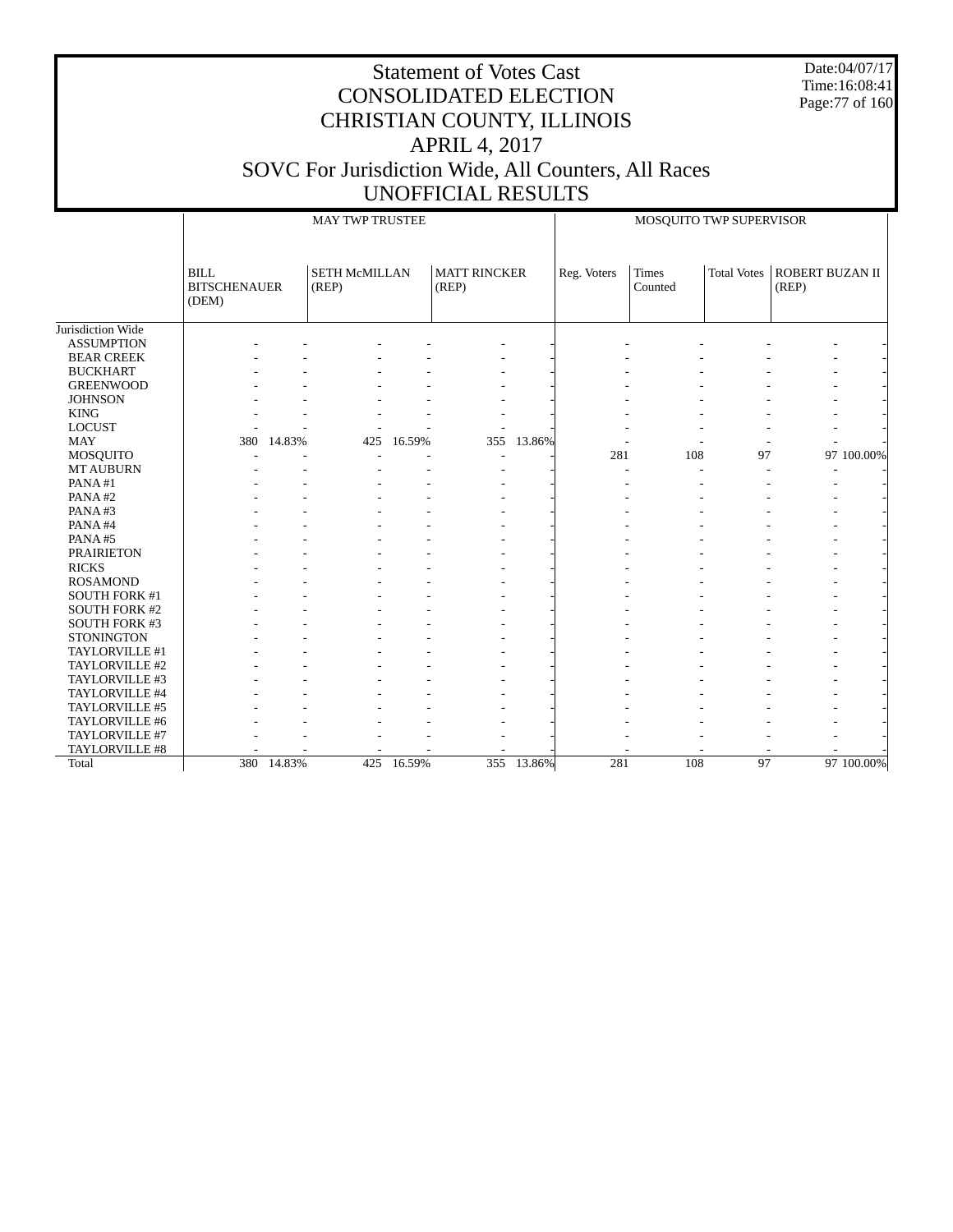Date:04/07/17 Time:16:08:41 Page:77 of 160

|                      |                                      | <b>MAY TWP TRUSTEE</b> |                               |            |                              |            |             | MOSQUITO TWP SUPERVISOR |                    |                          |            |
|----------------------|--------------------------------------|------------------------|-------------------------------|------------|------------------------------|------------|-------------|-------------------------|--------------------|--------------------------|------------|
|                      | BILL<br><b>BITSCHENAUER</b><br>(DEM) |                        | <b>SETH McMILLAN</b><br>(REP) |            | <b>MATT RINCKER</b><br>(REP) |            | Reg. Voters | Times<br>Counted        | <b>Total Votes</b> | ROBERT BUZAN II<br>(REP) |            |
| Jurisdiction Wide    |                                      |                        |                               |            |                              |            |             |                         |                    |                          |            |
| <b>ASSUMPTION</b>    |                                      |                        |                               |            |                              |            |             |                         |                    |                          |            |
| <b>BEAR CREEK</b>    |                                      |                        |                               |            |                              |            |             |                         |                    |                          |            |
| <b>BUCKHART</b>      |                                      |                        |                               |            |                              |            |             |                         |                    |                          |            |
| <b>GREENWOOD</b>     |                                      |                        |                               |            |                              |            |             |                         |                    |                          |            |
| <b>JOHNSON</b>       |                                      |                        |                               |            |                              |            |             |                         |                    |                          |            |
| <b>KING</b>          |                                      |                        |                               |            |                              |            |             |                         |                    |                          |            |
| <b>LOCUST</b>        |                                      |                        |                               |            |                              |            |             |                         |                    |                          |            |
| <b>MAY</b>           | 380                                  | 14.83%                 | 425                           | 16.59%     | 355                          | 13.86%     |             |                         |                    |                          |            |
| <b>MOSQUITO</b>      |                                      |                        |                               |            |                              |            | 281         | 108                     | 97                 |                          | 97 100.00% |
| <b>MT AUBURN</b>     |                                      |                        |                               |            |                              |            |             |                         |                    |                          |            |
| PANA#1               |                                      |                        |                               |            |                              |            |             |                         |                    |                          |            |
| PANA#2               |                                      |                        |                               |            |                              |            |             |                         |                    |                          |            |
| PANA#3               |                                      |                        |                               |            |                              |            |             |                         |                    |                          |            |
| PANA#4               |                                      |                        |                               |            |                              |            |             |                         |                    |                          |            |
| PANA#5               |                                      |                        |                               |            |                              |            |             |                         |                    |                          |            |
| <b>PRAIRIETON</b>    |                                      |                        |                               |            |                              |            |             |                         |                    |                          |            |
| <b>RICKS</b>         |                                      |                        |                               |            |                              |            |             |                         |                    |                          |            |
| <b>ROSAMOND</b>      |                                      |                        |                               |            |                              |            |             |                         |                    |                          |            |
| SOUTH FORK #1        |                                      |                        |                               |            |                              |            |             |                         |                    |                          |            |
| <b>SOUTH FORK #2</b> |                                      |                        |                               |            |                              |            |             |                         |                    |                          |            |
| <b>SOUTH FORK #3</b> |                                      |                        |                               |            |                              |            |             |                         |                    |                          |            |
| <b>STONINGTON</b>    |                                      |                        |                               |            |                              |            |             |                         |                    |                          |            |
| TAYLORVILLE #1       |                                      |                        |                               |            |                              |            |             |                         |                    |                          |            |
| TAYLORVILLE #2       |                                      |                        |                               |            |                              |            |             |                         |                    |                          |            |
| TAYLORVILLE #3       |                                      |                        |                               |            |                              |            |             |                         |                    |                          |            |
| TAYLORVILLE #4       |                                      |                        |                               |            |                              |            |             |                         |                    |                          |            |
| TAYLORVILLE #5       |                                      |                        |                               |            |                              |            |             |                         |                    |                          |            |
| TAYLORVILLE #6       |                                      |                        |                               |            |                              |            |             |                         |                    |                          |            |
| TAYLORVILLE #7       |                                      |                        |                               |            |                              |            |             |                         |                    |                          |            |
| TAYLORVILLE #8       |                                      |                        |                               |            |                              |            |             |                         |                    |                          |            |
| Total                |                                      | 380 14.83%             |                               | 425 16.59% |                              | 355 13.86% | 281         | 108                     | 97                 |                          | 97 100.00% |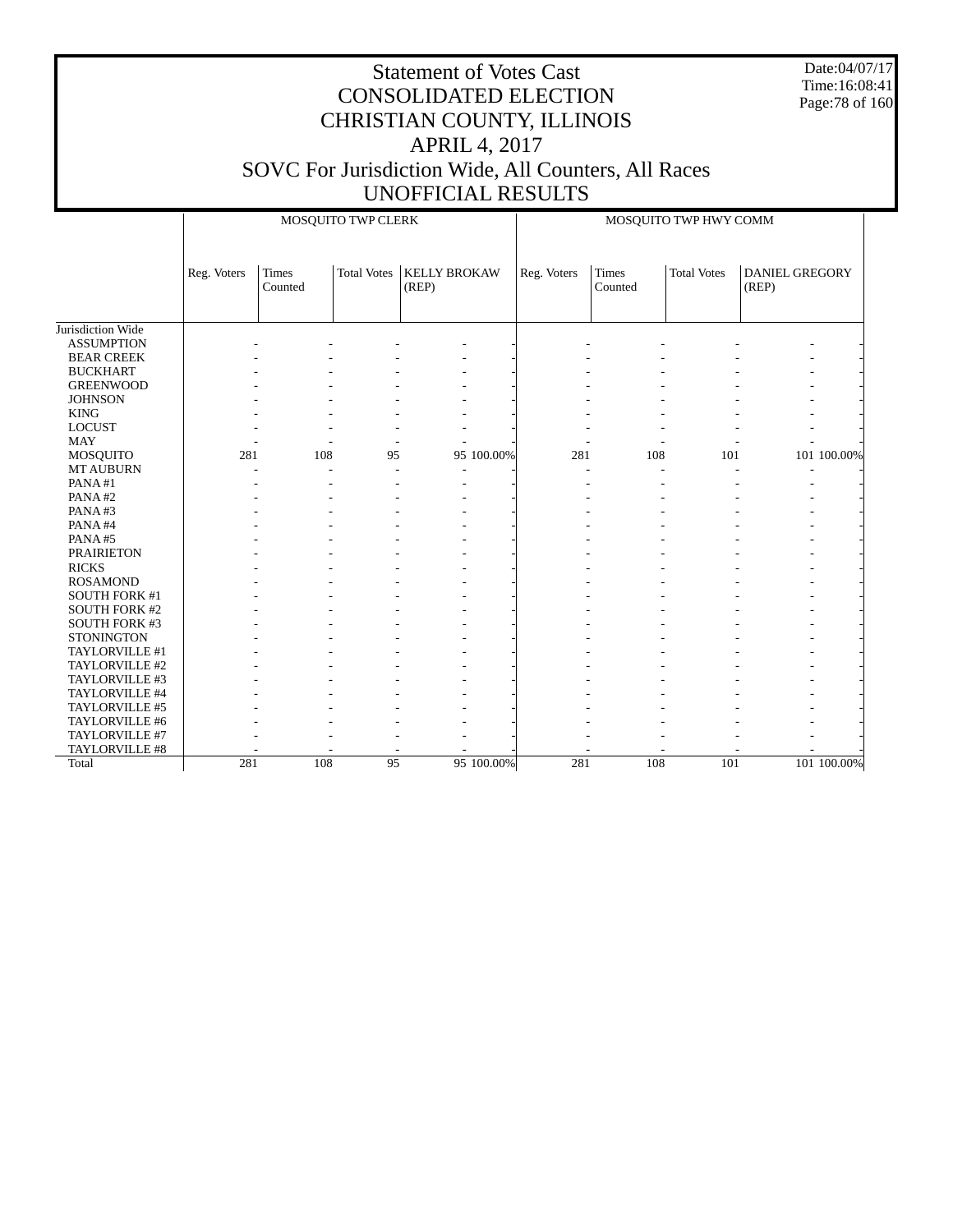Date:04/07/17 Time:16:08:41 Page:78 of 160

|                      |             | MOSQUITO TWP CLERK      |                    |                              |            |             |                  | MOSQUITO TWP HWY COMM |                                |             |  |  |  |
|----------------------|-------------|-------------------------|--------------------|------------------------------|------------|-------------|------------------|-----------------------|--------------------------------|-------------|--|--|--|
|                      | Reg. Voters | <b>Times</b><br>Counted | <b>Total Votes</b> | <b>KELLY BROKAW</b><br>(REP) |            | Reg. Voters | Times<br>Counted | <b>Total Votes</b>    | <b>DANIEL GREGORY</b><br>(REP) |             |  |  |  |
| Jurisdiction Wide    |             |                         |                    |                              |            |             |                  |                       |                                |             |  |  |  |
| <b>ASSUMPTION</b>    |             |                         |                    |                              |            |             |                  |                       |                                |             |  |  |  |
| <b>BEAR CREEK</b>    |             |                         |                    |                              |            |             |                  |                       |                                |             |  |  |  |
| <b>BUCKHART</b>      |             |                         |                    |                              |            |             |                  |                       |                                |             |  |  |  |
| <b>GREENWOOD</b>     |             |                         |                    |                              |            |             |                  |                       |                                |             |  |  |  |
| <b>JOHNSON</b>       |             |                         |                    |                              |            |             |                  |                       |                                |             |  |  |  |
| <b>KING</b>          |             |                         |                    |                              |            |             |                  |                       |                                |             |  |  |  |
| <b>LOCUST</b>        |             |                         |                    |                              |            |             |                  |                       |                                |             |  |  |  |
| <b>MAY</b>           |             |                         |                    |                              |            |             |                  |                       |                                |             |  |  |  |
| MOSQUITO             | 281         | 108                     | 95                 |                              | 95 100.00% | 281         | 108              | 101                   |                                | 101 100.00% |  |  |  |
| <b>MT AUBURN</b>     |             |                         |                    |                              |            |             |                  |                       |                                |             |  |  |  |
| PANA#1               |             |                         |                    |                              |            |             |                  |                       |                                |             |  |  |  |
| PANA#2               |             |                         |                    |                              |            |             |                  |                       |                                |             |  |  |  |
| PANA#3               |             |                         |                    |                              |            |             |                  |                       |                                |             |  |  |  |
| PANA#4               |             |                         |                    |                              |            |             |                  |                       |                                |             |  |  |  |
| PANA#5               |             |                         |                    |                              |            |             |                  |                       |                                |             |  |  |  |
| <b>PRAIRIETON</b>    |             |                         |                    |                              |            |             |                  |                       |                                |             |  |  |  |
| <b>RICKS</b>         |             |                         |                    |                              |            |             |                  |                       |                                |             |  |  |  |
| <b>ROSAMOND</b>      |             |                         |                    |                              |            |             |                  |                       |                                |             |  |  |  |
| SOUTH FORK #1        |             |                         |                    |                              |            |             |                  |                       |                                |             |  |  |  |
| <b>SOUTH FORK #2</b> |             |                         |                    |                              |            |             |                  |                       |                                |             |  |  |  |
| <b>SOUTH FORK #3</b> |             |                         |                    |                              |            |             |                  |                       |                                |             |  |  |  |
| <b>STONINGTON</b>    |             |                         |                    |                              |            |             |                  |                       |                                |             |  |  |  |
| TAYLORVILLE #1       |             |                         |                    |                              |            |             |                  |                       |                                |             |  |  |  |
| TAYLORVILLE #2       |             |                         |                    |                              |            |             |                  |                       |                                |             |  |  |  |
| TAYLORVILLE #3       |             |                         |                    |                              |            |             |                  |                       |                                |             |  |  |  |
| TAYLORVILLE #4       |             |                         |                    |                              |            |             |                  |                       |                                |             |  |  |  |
| TAYLORVILLE #5       |             |                         |                    |                              |            |             |                  |                       |                                |             |  |  |  |
| TAYLORVILLE #6       |             |                         |                    |                              |            |             |                  |                       |                                |             |  |  |  |
| TAYLORVILLE #7       |             |                         |                    |                              |            |             |                  |                       |                                |             |  |  |  |
| TAYLORVILLE #8       |             |                         |                    |                              |            |             |                  |                       |                                |             |  |  |  |
| Total                | 281         | 108                     | 95                 |                              | 95 100.00% | 281         | 108              | 101                   |                                | 101 100.00% |  |  |  |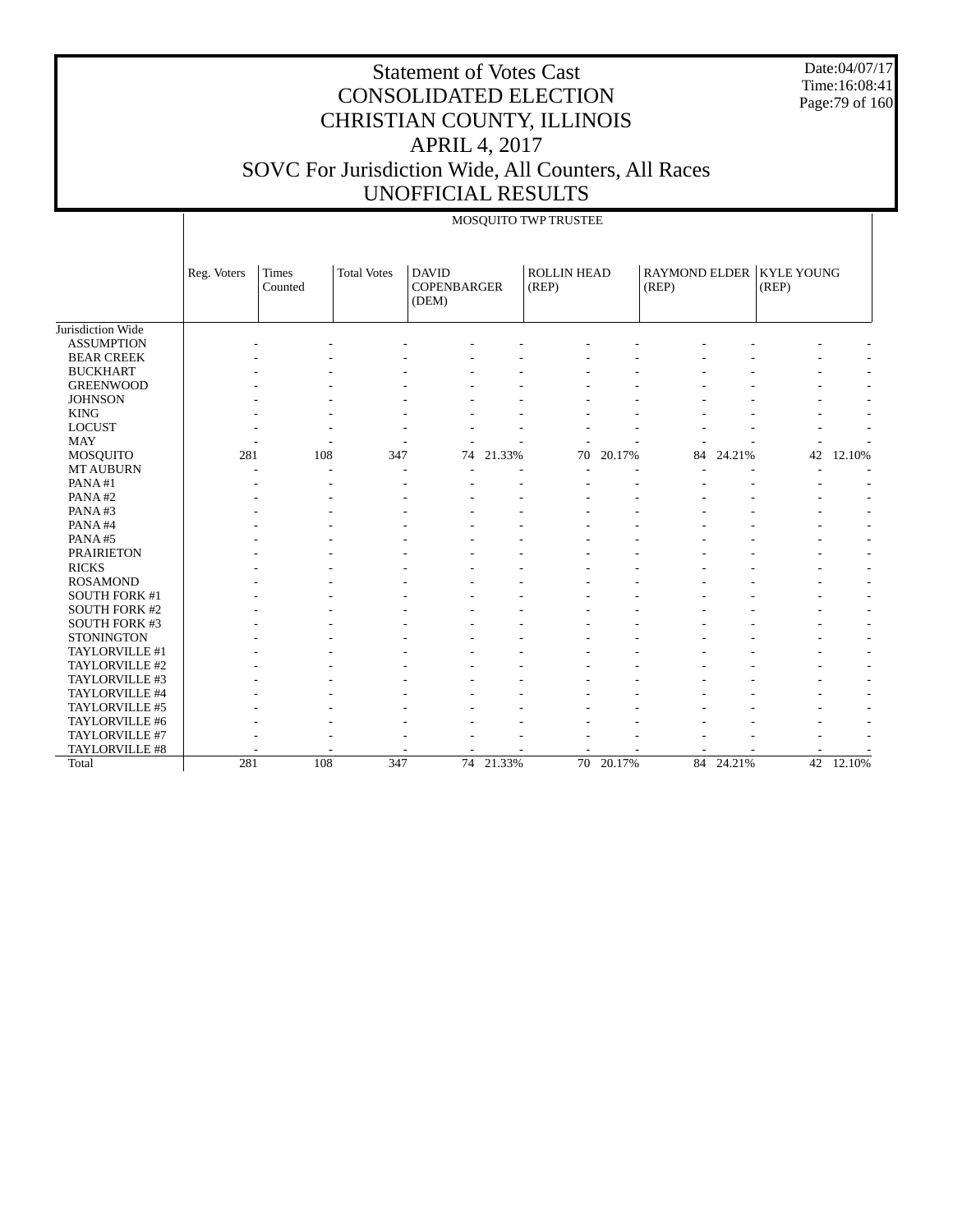Date:04/07/17 Time:16:08:41 Page:79 of 160

|                      |             | MOSQUITO TWP TRUSTEE |                    |                                             |           |                             |           |       |           |                                     |           |
|----------------------|-------------|----------------------|--------------------|---------------------------------------------|-----------|-----------------------------|-----------|-------|-----------|-------------------------------------|-----------|
|                      | Reg. Voters | Times<br>Counted     | <b>Total Votes</b> | <b>DAVID</b><br><b>COPENBARGER</b><br>(DEM) |           | <b>ROLLIN HEAD</b><br>(REP) |           | (REP) |           | RAYMOND ELDER   KYLE YOUNG<br>(REP) |           |
| Jurisdiction Wide    |             |                      |                    |                                             |           |                             |           |       |           |                                     |           |
| <b>ASSUMPTION</b>    |             |                      |                    |                                             |           |                             |           |       |           |                                     |           |
| <b>BEAR CREEK</b>    |             |                      |                    |                                             |           |                             |           |       |           |                                     |           |
| <b>BUCKHART</b>      |             |                      |                    |                                             |           |                             |           |       |           |                                     |           |
| <b>GREENWOOD</b>     |             |                      |                    |                                             |           |                             |           |       |           |                                     |           |
| <b>JOHNSON</b>       |             |                      |                    |                                             |           |                             |           |       |           |                                     |           |
| <b>KING</b>          |             |                      |                    |                                             |           |                             |           |       |           |                                     |           |
| <b>LOCUST</b>        |             |                      |                    |                                             |           |                             |           |       |           |                                     |           |
| <b>MAY</b>           |             |                      |                    |                                             |           |                             |           |       |           |                                     |           |
| <b>MOSQUITO</b>      | 281         | 108                  | 347                | 74                                          | 21.33%    | 70                          | 20.17%    | 84    | 24.21%    | 42                                  | 12.10%    |
| <b>MT AUBURN</b>     |             |                      |                    |                                             |           |                             |           |       |           |                                     |           |
| PANA#1               |             |                      |                    |                                             |           |                             |           |       |           |                                     |           |
| PANA#2               |             |                      |                    |                                             |           |                             |           |       |           |                                     |           |
| PANA#3               |             |                      |                    |                                             |           |                             |           |       |           |                                     |           |
| PANA#4               |             |                      |                    |                                             |           |                             |           |       |           |                                     | ٠         |
| PANA#5               |             |                      |                    |                                             |           |                             |           |       |           |                                     | ٠         |
| <b>PRAIRIETON</b>    |             |                      |                    |                                             |           |                             |           |       |           |                                     |           |
| <b>RICKS</b>         |             |                      |                    |                                             |           |                             |           |       |           |                                     |           |
| <b>ROSAMOND</b>      |             |                      |                    |                                             |           |                             |           |       |           |                                     |           |
| SOUTH FORK #1        |             |                      |                    |                                             |           |                             |           |       |           |                                     |           |
| <b>SOUTH FORK #2</b> |             |                      |                    |                                             |           |                             |           |       |           |                                     |           |
| SOUTH FORK #3        |             |                      |                    |                                             |           |                             |           |       |           |                                     |           |
| <b>STONINGTON</b>    |             |                      |                    |                                             |           |                             |           |       |           |                                     |           |
| TAYLORVILLE #1       |             |                      |                    |                                             |           |                             |           |       |           |                                     |           |
| TAYLORVILLE #2       |             |                      |                    |                                             |           |                             |           |       |           |                                     |           |
| TAYLORVILLE #3       |             |                      |                    |                                             |           |                             |           |       |           |                                     |           |
| TAYLORVILLE #4       |             |                      |                    |                                             |           |                             |           |       |           |                                     |           |
| TAYLORVILLE #5       |             |                      |                    |                                             |           |                             |           |       |           |                                     |           |
| TAYLORVILLE #6       |             |                      |                    |                                             |           |                             |           |       |           |                                     |           |
| TAYLORVILLE #7       |             |                      |                    |                                             |           |                             |           |       |           |                                     |           |
| TAYLORVILLE #8       |             |                      |                    |                                             |           |                             |           |       |           |                                     |           |
| Total                | 281         | 108                  | 347                |                                             | 74 21.33% |                             | 70 20.17% |       | 84 24.21% |                                     | 42 12.10% |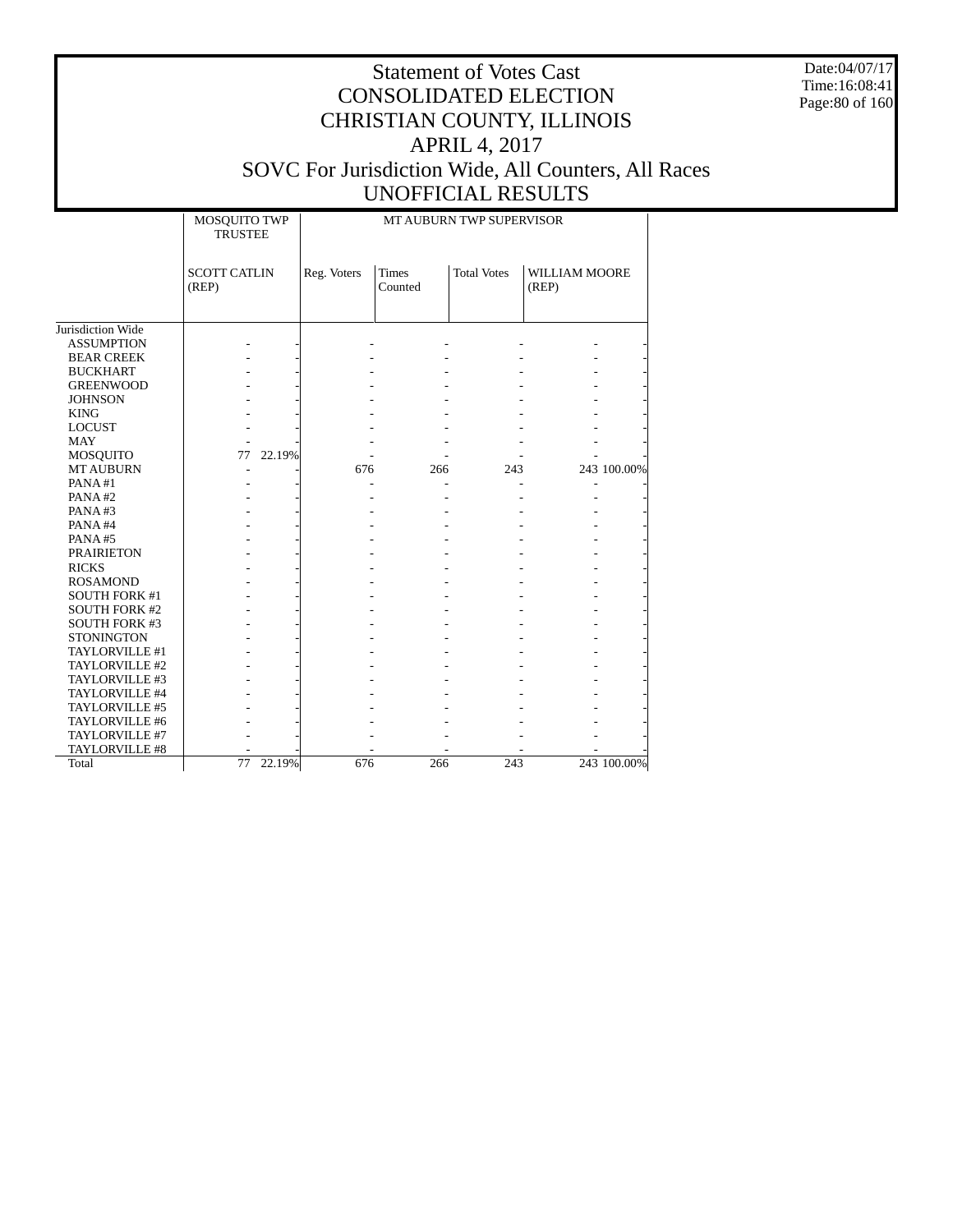Date:04/07/17 Time:16:08:41 Page:80 of 160

|                      | MOSQUITO TWP<br><b>TRUSTEE</b> |             |                         | MT AUBURN TWP SUPERVISOR |                        |
|----------------------|--------------------------------|-------------|-------------------------|--------------------------|------------------------|
|                      | <b>SCOTT CATLIN</b><br>(REP)   | Reg. Voters | <b>Times</b><br>Counted | <b>Total Votes</b>       | WILLIAM MOORE<br>(REP) |
| Jurisdiction Wide    |                                |             |                         |                          |                        |
| <b>ASSUMPTION</b>    |                                |             |                         |                          |                        |
| <b>BEAR CREEK</b>    |                                |             |                         |                          |                        |
| <b>BUCKHART</b>      |                                |             |                         |                          |                        |
|                      |                                |             |                         |                          |                        |
| <b>GREENWOOD</b>     |                                |             |                         |                          |                        |
| <b>JOHNSON</b>       |                                |             |                         |                          |                        |
| <b>KING</b>          |                                |             |                         |                          |                        |
| <b>LOCUST</b>        |                                |             |                         |                          |                        |
| <b>MAY</b>           |                                |             |                         |                          |                        |
| <b>MOSQUITO</b>      | 77<br>22.19%                   |             |                         |                          |                        |
| <b>MT AUBURN</b>     |                                | 676         | 266                     | 243                      | 243 100.00%            |
| PANA#1               |                                |             |                         |                          |                        |
| PANA#2               |                                |             |                         |                          |                        |
| PANA#3               |                                |             |                         |                          |                        |
| PANA#4               |                                |             |                         |                          |                        |
| PANA#5               |                                |             |                         |                          |                        |
| <b>PRAIRIETON</b>    |                                |             |                         |                          |                        |
| <b>RICKS</b>         |                                |             |                         |                          |                        |
| <b>ROSAMOND</b>      |                                |             |                         |                          |                        |
| <b>SOUTH FORK #1</b> |                                |             |                         |                          |                        |
| <b>SOUTH FORK #2</b> |                                |             |                         |                          |                        |
| <b>SOUTH FORK #3</b> |                                |             |                         |                          |                        |
| <b>STONINGTON</b>    |                                |             |                         |                          |                        |
| TAYLORVILLE #1       |                                |             |                         |                          |                        |
| TAYLORVILLE #2       |                                |             |                         |                          |                        |
| TAYLORVILLE #3       |                                |             |                         |                          |                        |
| TAYLORVILLE #4       |                                |             |                         |                          |                        |
| TAYLORVILLE #5       |                                |             |                         |                          |                        |
| TAYLORVILLE #6       |                                |             |                         |                          |                        |
| TAYLORVILLE #7       |                                |             |                         |                          |                        |
| TAYLORVILLE #8       |                                |             |                         |                          |                        |
| Total                | 22.19%<br>77                   | 676         | 266                     | 243                      | 243 100.00%            |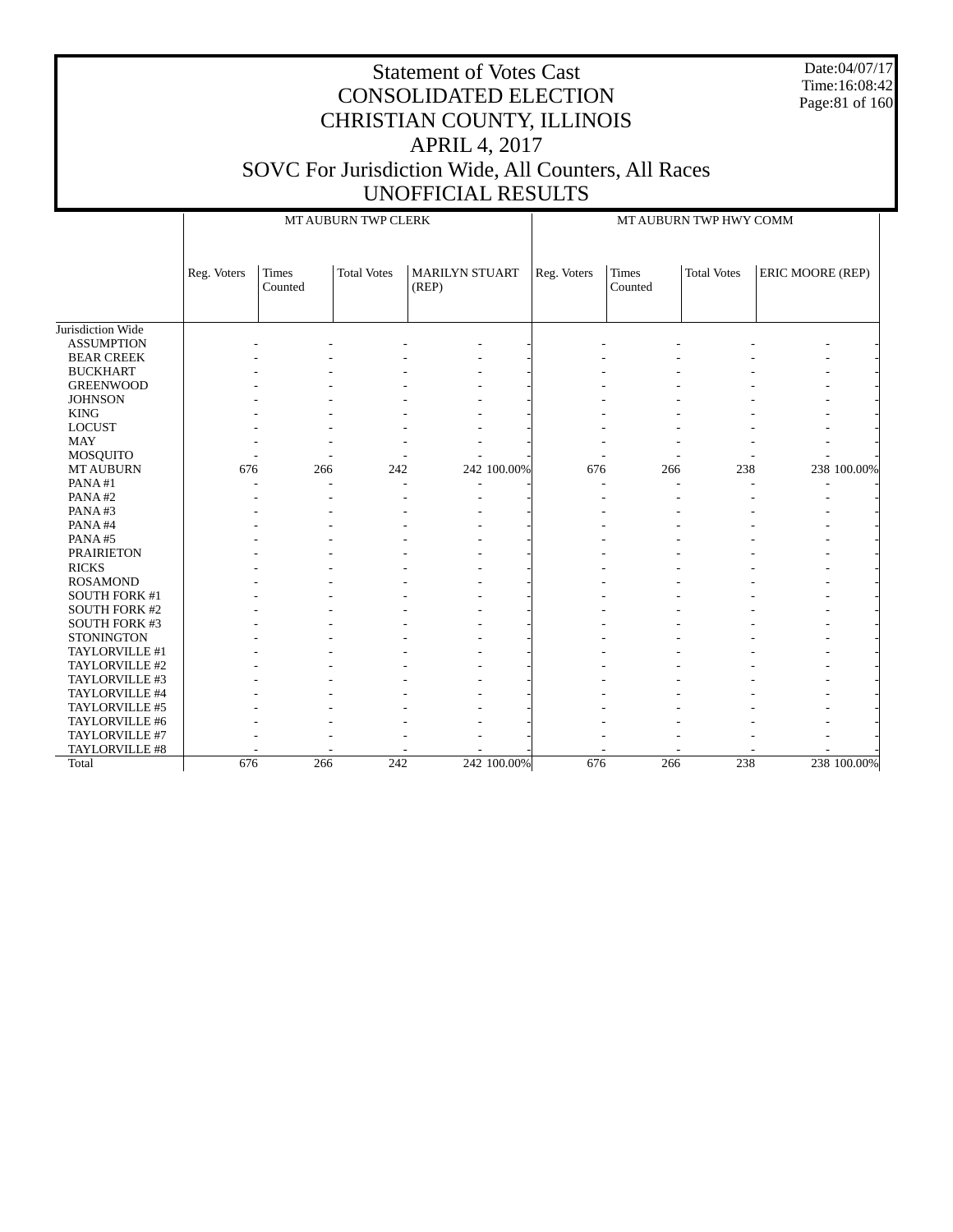Date:04/07/17 Time:16:08:42 Page:81 of 160

|                      |             | MT AUBURN TWP CLERK     |                    |                                |             | MT AUBURN TWP HWY COMM |                         |                    |                  |             |
|----------------------|-------------|-------------------------|--------------------|--------------------------------|-------------|------------------------|-------------------------|--------------------|------------------|-------------|
|                      | Reg. Voters | <b>Times</b><br>Counted | <b>Total Votes</b> | <b>MARILYN STUART</b><br>(REP) |             | Reg. Voters            | <b>Times</b><br>Counted | <b>Total Votes</b> | ERIC MOORE (REP) |             |
| Jurisdiction Wide    |             |                         |                    |                                |             |                        |                         |                    |                  |             |
| <b>ASSUMPTION</b>    |             |                         |                    |                                |             |                        |                         |                    |                  |             |
| <b>BEAR CREEK</b>    |             |                         |                    |                                |             |                        |                         |                    |                  |             |
| <b>BUCKHART</b>      |             |                         |                    |                                |             |                        |                         |                    |                  |             |
| <b>GREENWOOD</b>     |             |                         |                    |                                |             |                        |                         |                    |                  |             |
| <b>JOHNSON</b>       |             |                         |                    |                                |             |                        |                         |                    |                  |             |
| <b>KING</b>          |             |                         |                    |                                |             |                        |                         |                    |                  |             |
| <b>LOCUST</b>        |             |                         |                    |                                |             |                        |                         |                    |                  |             |
| <b>MAY</b>           |             |                         |                    |                                |             |                        |                         |                    |                  |             |
| MOSQUITO             |             |                         |                    |                                |             |                        |                         |                    |                  |             |
| <b>MT AUBURN</b>     | 676         | 266                     | 242                |                                | 242 100.00% | 676                    | 266                     | 238                |                  | 238 100.00% |
| PANA#1               |             |                         |                    |                                |             |                        |                         |                    |                  |             |
| PANA#2               |             |                         |                    |                                |             |                        |                         |                    |                  |             |
| PANA#3               |             |                         |                    |                                |             |                        |                         |                    |                  |             |
| PANA#4               |             |                         |                    |                                |             |                        |                         |                    |                  |             |
| PANA#5               |             |                         |                    |                                |             |                        |                         |                    |                  |             |
| <b>PRAIRIETON</b>    |             |                         |                    |                                |             |                        |                         |                    |                  |             |
| <b>RICKS</b>         |             |                         |                    |                                |             |                        |                         |                    |                  |             |
| <b>ROSAMOND</b>      |             |                         |                    |                                |             |                        |                         |                    |                  |             |
| SOUTH FORK #1        |             |                         |                    |                                |             |                        |                         |                    |                  |             |
| <b>SOUTH FORK #2</b> |             |                         |                    |                                |             |                        |                         |                    |                  |             |
| <b>SOUTH FORK #3</b> |             |                         |                    |                                |             |                        |                         |                    |                  |             |
| <b>STONINGTON</b>    |             |                         |                    |                                |             |                        |                         |                    |                  |             |
| TAYLORVILLE #1       |             |                         |                    |                                |             |                        |                         |                    |                  |             |
| TAYLORVILLE #2       |             |                         |                    |                                |             |                        |                         |                    |                  |             |
| TAYLORVILLE #3       |             |                         |                    |                                |             |                        |                         |                    |                  |             |
| TAYLORVILLE #4       |             |                         |                    |                                |             |                        |                         |                    |                  |             |
| TAYLORVILLE #5       |             |                         |                    |                                |             |                        |                         |                    |                  |             |
| TAYLORVILLE #6       |             |                         |                    |                                |             |                        |                         |                    |                  |             |
| TAYLORVILLE #7       |             |                         |                    |                                |             |                        |                         |                    |                  |             |
| TAYLORVILLE #8       |             |                         |                    |                                |             |                        |                         |                    |                  |             |
| Total                | 676         | 266                     | 242                |                                | 242 100.00% | 676                    | 266                     | 238                |                  | 238 100.00% |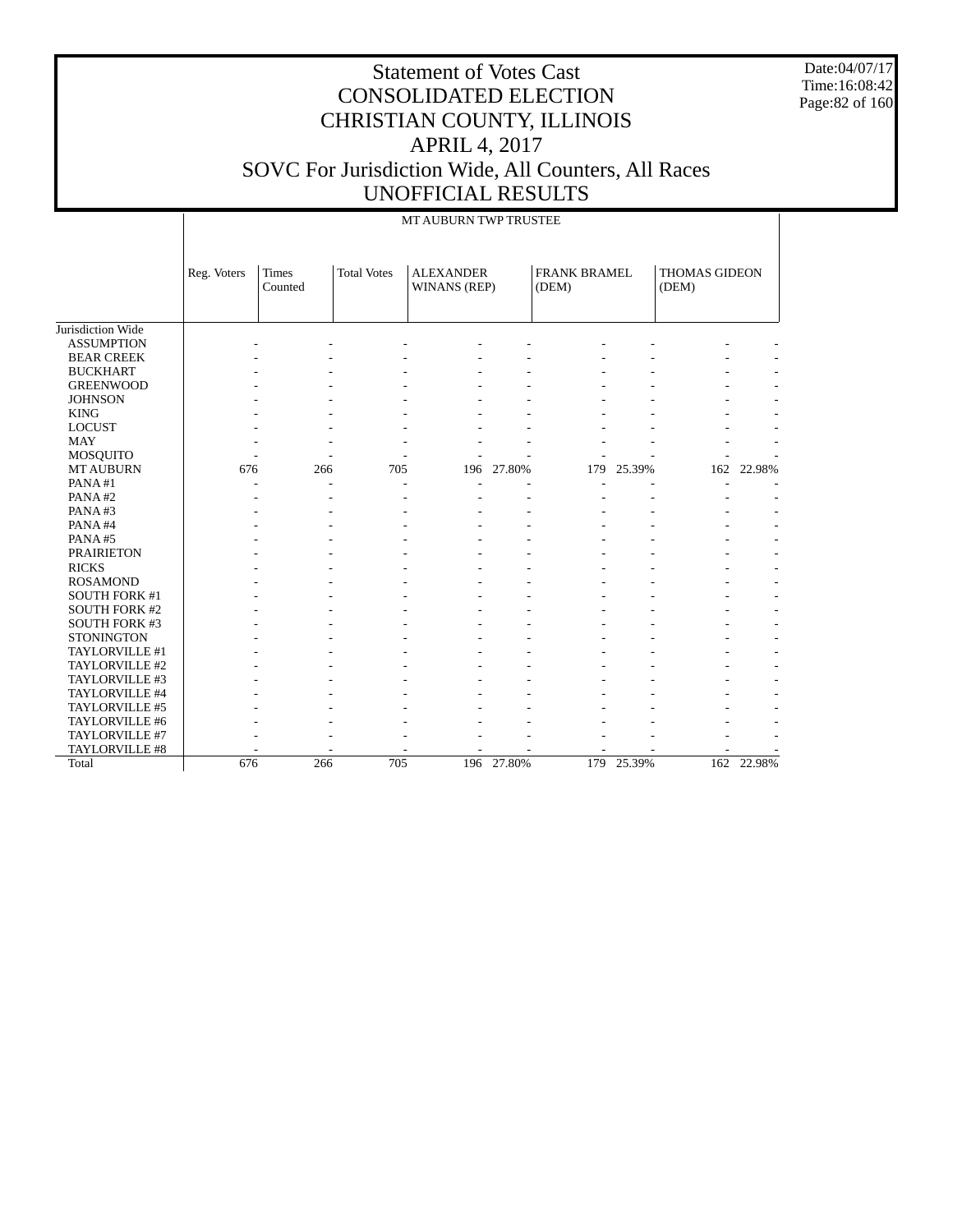Date:04/07/17 Time:16:08:42 Page:82 of 160

|                      |             | MT AUBURN TWP TRUSTEE   |                    |                                         |        |                              |        |                               |            |  |  |  |
|----------------------|-------------|-------------------------|--------------------|-----------------------------------------|--------|------------------------------|--------|-------------------------------|------------|--|--|--|
|                      | Reg. Voters | <b>Times</b><br>Counted | <b>Total Votes</b> | <b>ALEXANDER</b><br><b>WINANS (REP)</b> |        | <b>FRANK BRAMEL</b><br>(DEM) |        | <b>THOMAS GIDEON</b><br>(DEM) |            |  |  |  |
| Jurisdiction Wide    |             |                         |                    |                                         |        |                              |        |                               |            |  |  |  |
| <b>ASSUMPTION</b>    |             |                         |                    |                                         |        |                              |        |                               |            |  |  |  |
| <b>BEAR CREEK</b>    |             |                         |                    |                                         |        |                              |        |                               |            |  |  |  |
| <b>BUCKHART</b>      |             |                         |                    |                                         |        |                              |        |                               |            |  |  |  |
| <b>GREENWOOD</b>     |             |                         |                    |                                         |        |                              |        |                               |            |  |  |  |
| <b>JOHNSON</b>       |             |                         |                    |                                         |        |                              |        |                               |            |  |  |  |
| <b>KING</b>          |             |                         |                    |                                         |        |                              |        |                               |            |  |  |  |
| <b>LOCUST</b>        |             |                         |                    |                                         |        |                              |        |                               |            |  |  |  |
| <b>MAY</b>           |             |                         |                    |                                         |        |                              |        |                               |            |  |  |  |
| <b>MOSQUITO</b>      |             |                         |                    |                                         |        |                              |        |                               |            |  |  |  |
| <b>MT AUBURN</b>     | 676         | 266                     | 705                | 196                                     | 27.80% | 179                          | 25.39% | 162                           | 22.98%     |  |  |  |
| PANA#1               | ٠           |                         | ٠                  |                                         |        |                              |        |                               |            |  |  |  |
| PANA#2               |             |                         | ٠                  |                                         |        |                              |        |                               |            |  |  |  |
| PANA#3               |             |                         |                    |                                         |        |                              |        |                               |            |  |  |  |
| PANA#4               |             |                         |                    |                                         |        |                              |        |                               |            |  |  |  |
| PANA#5               |             |                         |                    |                                         |        |                              |        |                               |            |  |  |  |
| <b>PRAIRIETON</b>    |             |                         |                    |                                         |        |                              |        |                               |            |  |  |  |
| <b>RICKS</b>         |             |                         |                    |                                         |        |                              |        |                               |            |  |  |  |
| <b>ROSAMOND</b>      |             |                         |                    |                                         |        |                              |        |                               |            |  |  |  |
| <b>SOUTH FORK #1</b> |             |                         |                    |                                         |        |                              |        |                               |            |  |  |  |
| <b>SOUTH FORK #2</b> |             |                         |                    |                                         |        |                              |        |                               |            |  |  |  |
| <b>SOUTH FORK #3</b> |             |                         |                    |                                         |        |                              |        |                               |            |  |  |  |
| <b>STONINGTON</b>    |             |                         |                    |                                         |        |                              |        |                               |            |  |  |  |
| TAYLORVILLE #1       |             |                         |                    |                                         |        |                              |        |                               |            |  |  |  |
| TAYLORVILLE #2       |             |                         |                    |                                         |        |                              |        |                               |            |  |  |  |
| TAYLORVILLE #3       |             |                         |                    |                                         |        |                              |        |                               |            |  |  |  |
| TAYLORVILLE #4       |             |                         |                    |                                         |        |                              |        |                               |            |  |  |  |
| TAYLORVILLE #5       |             |                         |                    |                                         |        |                              |        |                               |            |  |  |  |
| TAYLORVILLE #6       |             |                         |                    |                                         |        |                              |        |                               |            |  |  |  |
| TAYLORVILLE #7       |             |                         |                    |                                         |        |                              |        |                               |            |  |  |  |
| TAYLORVILLE #8       |             |                         |                    |                                         |        |                              |        |                               |            |  |  |  |
| Total                | 676         | 266                     | 705                | 196                                     | 27.80% | 179                          | 25.39% |                               | 162 22.98% |  |  |  |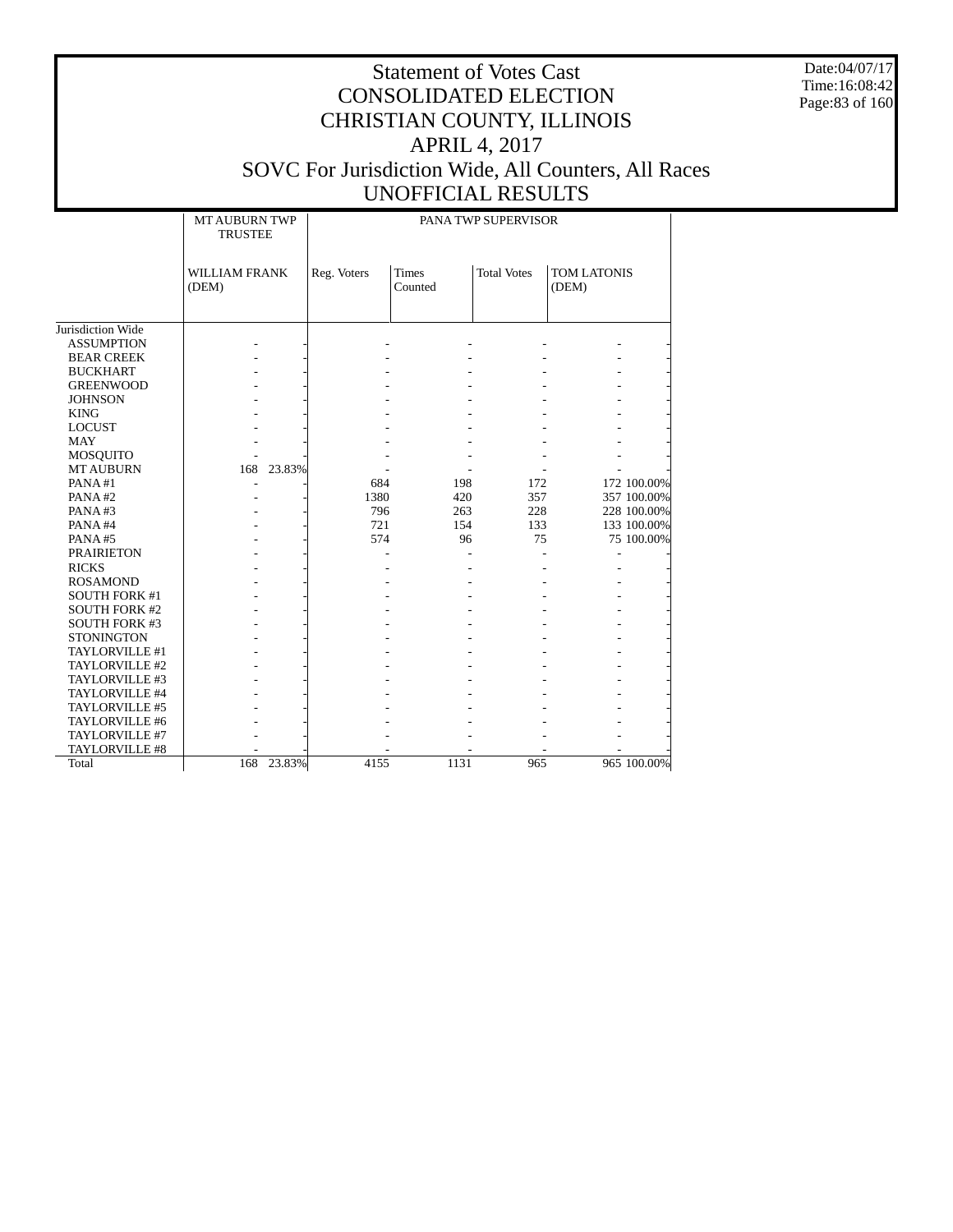Date:04/07/17 Time:16:08:42 Page:83 of 160

|                      | <b>MT AUBURN TWP</b><br><b>TRUSTEE</b> | PANA TWP SUPERVISOR |                         |                    |                      |  |  |  |  |
|----------------------|----------------------------------------|---------------------|-------------------------|--------------------|----------------------|--|--|--|--|
|                      | <b>WILLIAM FRANK</b><br>(DEM)          | Reg. Voters         | <b>Times</b><br>Counted | <b>Total Votes</b> | TOM LATONIS<br>(DEM) |  |  |  |  |
| Jurisdiction Wide    |                                        |                     |                         |                    |                      |  |  |  |  |
| <b>ASSUMPTION</b>    |                                        |                     |                         |                    |                      |  |  |  |  |
| <b>BEAR CREEK</b>    |                                        |                     |                         |                    |                      |  |  |  |  |
| <b>BUCKHART</b>      |                                        |                     |                         |                    |                      |  |  |  |  |
| <b>GREENWOOD</b>     |                                        |                     |                         |                    |                      |  |  |  |  |
| <b>JOHNSON</b>       |                                        |                     |                         |                    |                      |  |  |  |  |
| <b>KING</b>          |                                        |                     |                         |                    |                      |  |  |  |  |
| <b>LOCUST</b>        |                                        |                     |                         |                    |                      |  |  |  |  |
| <b>MAY</b>           |                                        |                     |                         |                    |                      |  |  |  |  |
| <b>MOSQUITO</b>      |                                        |                     |                         |                    |                      |  |  |  |  |
| <b>MT AUBURN</b>     | 23.83%<br>168                          |                     |                         |                    |                      |  |  |  |  |
| PANA#1               |                                        | 684                 | 198                     | 172                | 172 100.00%          |  |  |  |  |
| PANA#2               |                                        | 1380                | 420                     | 357                | 357 100.00%          |  |  |  |  |
| PANA#3               |                                        | 796                 | 263                     | 228                | 228 100.00%          |  |  |  |  |
| PANA#4               |                                        | 721                 | 154                     | 133                | 133 100.00%          |  |  |  |  |
| PANA#5               |                                        | 574                 | 96                      | 75                 | 75 100.00%           |  |  |  |  |
| <b>PRAIRIETON</b>    |                                        |                     |                         |                    |                      |  |  |  |  |
| <b>RICKS</b>         |                                        |                     |                         |                    |                      |  |  |  |  |
| <b>ROSAMOND</b>      |                                        |                     |                         |                    |                      |  |  |  |  |
| <b>SOUTH FORK #1</b> |                                        |                     |                         |                    |                      |  |  |  |  |
| <b>SOUTH FORK #2</b> |                                        |                     |                         |                    |                      |  |  |  |  |
| <b>SOUTH FORK #3</b> |                                        |                     |                         |                    |                      |  |  |  |  |
| <b>STONINGTON</b>    |                                        |                     |                         |                    |                      |  |  |  |  |
| TAYLORVILLE #1       |                                        |                     |                         |                    |                      |  |  |  |  |
| TAYLORVILLE #2       |                                        |                     |                         |                    |                      |  |  |  |  |
| TAYLORVILLE #3       |                                        |                     |                         |                    |                      |  |  |  |  |
| TAYLORVILLE #4       |                                        |                     |                         |                    |                      |  |  |  |  |
| TAYLORVILLE #5       |                                        |                     |                         |                    |                      |  |  |  |  |
| TAYLORVILLE #6       |                                        |                     |                         |                    |                      |  |  |  |  |
| TAYLORVILLE #7       |                                        |                     |                         |                    |                      |  |  |  |  |
| TAYLORVILLE #8       |                                        |                     |                         |                    |                      |  |  |  |  |
| Total                | 168<br>23.83%                          | 4155                | 1131                    | 965                | 965 100.00%          |  |  |  |  |
|                      |                                        |                     |                         |                    |                      |  |  |  |  |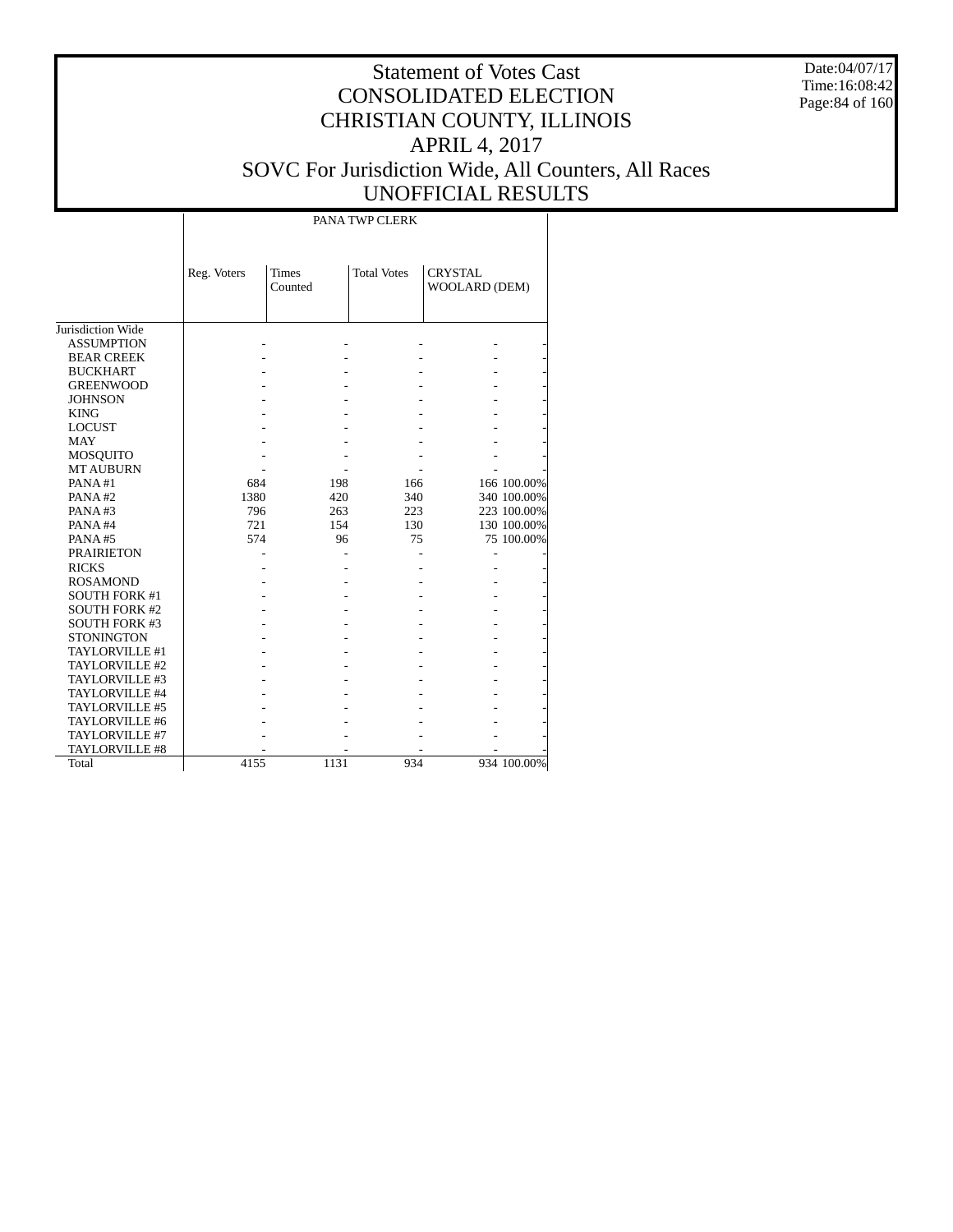Date:04/07/17 Time:16:08:42 Page:84 of 160

# Statement of Votes Cast CONSOLIDATED ELECTION CHRISTIAN COUNTY, ILLINOIS APRIL 4, 2017 SOVC For Jurisdiction Wide, All Counters, All Races UNOFFICIAL RESULTS

PANA TWP CLERK

|                       | Reg. Voters | <b>Times</b><br>Counted | <b>Total Votes</b> | <b>CRYSTAL</b><br>WOOLARD (DEM) |             |
|-----------------------|-------------|-------------------------|--------------------|---------------------------------|-------------|
|                       |             |                         |                    |                                 |             |
| Jurisdiction Wide     |             |                         |                    |                                 |             |
| <b>ASSUMPTION</b>     |             |                         |                    |                                 |             |
| <b>BEAR CREEK</b>     |             |                         |                    |                                 |             |
| <b>BUCKHART</b>       |             |                         |                    |                                 |             |
| <b>GREENWOOD</b>      |             |                         |                    |                                 |             |
| <b>JOHNSON</b>        |             |                         |                    |                                 |             |
| <b>KING</b>           |             |                         |                    |                                 |             |
| <b>LOCUST</b>         |             |                         |                    |                                 |             |
| <b>MAY</b>            |             |                         |                    |                                 |             |
| MOSQUITO              |             |                         |                    |                                 |             |
| <b>MT AUBURN</b>      |             |                         |                    |                                 |             |
| PANA#1                | 684         | 198                     | 166                |                                 | 166 100.00% |
| PANA#2                | 1380        | 420                     | 340                |                                 | 340 100.00% |
| PANA#3                | 796         | 263                     | 223                |                                 | 223 100.00% |
| PANA#4                | 721         | 154                     | 130                |                                 | 130 100.00% |
| PANA#5                | 574         | 96                      | 75                 |                                 | 75 100.00%  |
| <b>PRAIRIETON</b>     |             |                         |                    |                                 |             |
| <b>RICKS</b>          |             |                         |                    |                                 |             |
| <b>ROSAMOND</b>       |             |                         |                    |                                 |             |
| <b>SOUTH FORK #1</b>  |             |                         |                    |                                 |             |
| <b>SOUTH FORK #2</b>  |             |                         |                    |                                 |             |
| <b>SOUTH FORK #3</b>  |             |                         |                    |                                 |             |
| <b>STONINGTON</b>     |             |                         |                    |                                 |             |
| TAYLORVILLE #1        |             |                         |                    |                                 |             |
| TAYLORVILLE #2        |             |                         |                    |                                 |             |
| TAYLORVILLE #3        |             |                         |                    |                                 |             |
| TAYLORVILLE #4        |             |                         |                    |                                 |             |
| TAYLORVILLE #5        |             |                         |                    |                                 |             |
| TAYLORVILLE #6        |             |                         |                    |                                 |             |
| TAYLORVILLE #7        |             |                         |                    |                                 |             |
| <b>TAYLORVILLE #8</b> |             |                         |                    |                                 |             |
| Total                 | 4155        | 1131                    | 934                |                                 | 934 100.00% |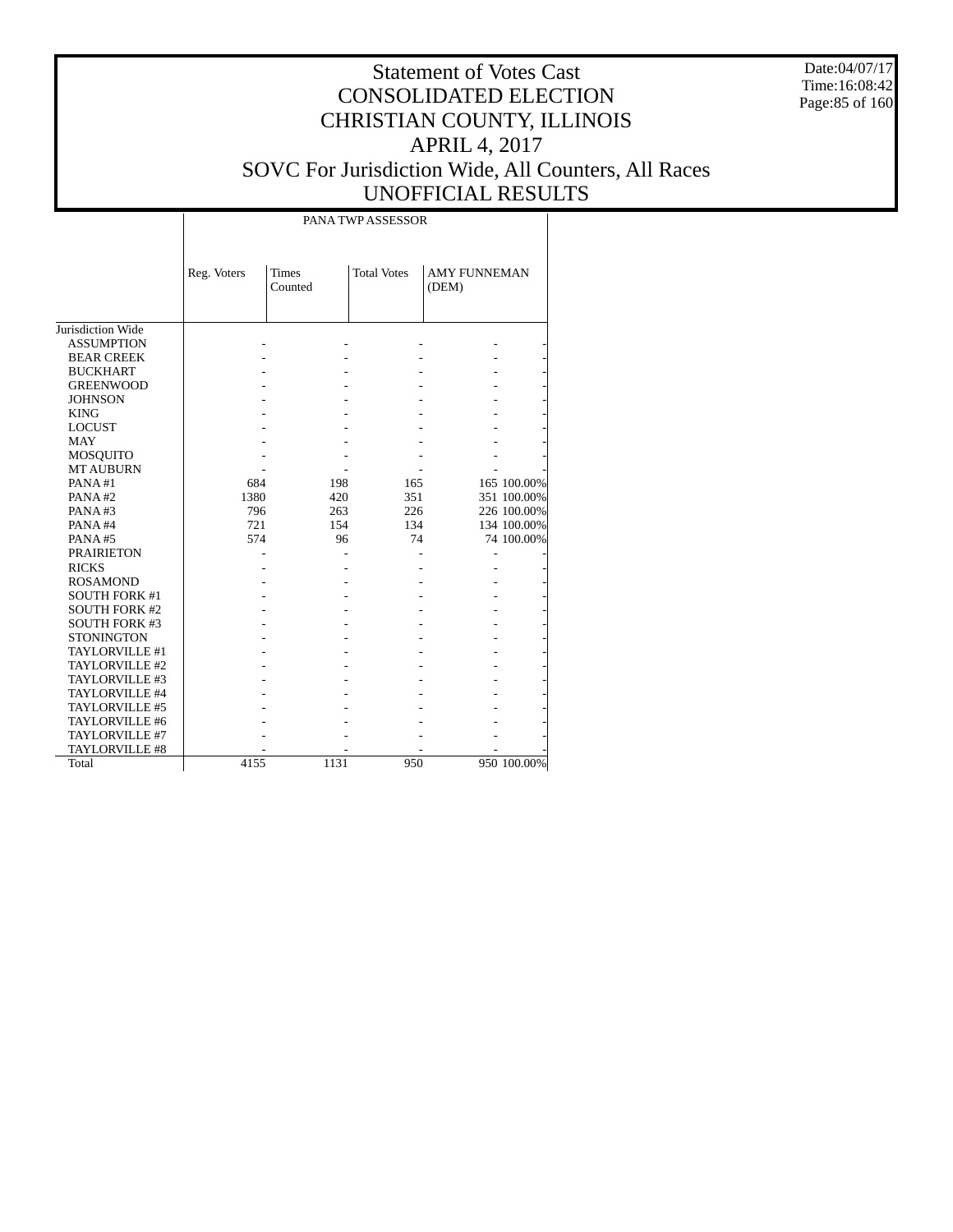Date:04/07/17 Time:16:08:42 Page:85 of 160

## Statement of Votes Cast CONSOLIDATED ELECTION CHRISTIAN COUNTY, ILLINOIS APRIL 4, 2017 SOVC For Jurisdiction Wide, All Counters, All Races UNOFFICIAL RESULTS

|                      |             | PANA TWP ASSESSOR       |                    |                              |             |  |  |  |  |  |  |
|----------------------|-------------|-------------------------|--------------------|------------------------------|-------------|--|--|--|--|--|--|
|                      | Reg. Voters | <b>Times</b><br>Counted | <b>Total Votes</b> | <b>AMY FUNNEMAN</b><br>(DEM) |             |  |  |  |  |  |  |
| Jurisdiction Wide    |             |                         |                    |                              |             |  |  |  |  |  |  |
| <b>ASSUMPTION</b>    |             |                         |                    |                              |             |  |  |  |  |  |  |
| <b>BEAR CREEK</b>    |             |                         |                    |                              |             |  |  |  |  |  |  |
| <b>BUCKHART</b>      |             |                         |                    |                              |             |  |  |  |  |  |  |
| <b>GREENWOOD</b>     |             |                         |                    |                              |             |  |  |  |  |  |  |
| <b>JOHNSON</b>       |             |                         |                    |                              |             |  |  |  |  |  |  |
| <b>KING</b>          |             |                         |                    |                              |             |  |  |  |  |  |  |
| <b>LOCUST</b>        |             |                         |                    |                              |             |  |  |  |  |  |  |
| <b>MAY</b>           |             |                         |                    |                              |             |  |  |  |  |  |  |
| <b>MOSQUITO</b>      |             |                         |                    |                              |             |  |  |  |  |  |  |
| <b>MT AUBURN</b>     |             |                         |                    |                              |             |  |  |  |  |  |  |
| PANA#1               | 684         | 198                     | 165                |                              | 165 100.00% |  |  |  |  |  |  |
| PANA#2               | 1380        | 420                     | 351                |                              | 351 100.00% |  |  |  |  |  |  |
| PANA#3               | 796         | 263                     | 226                |                              | 226 100.00% |  |  |  |  |  |  |
| PANA#4               | 721         | 154                     | 134                |                              | 134 100.00% |  |  |  |  |  |  |
| PANA#5               | 574         | 96                      | 74                 |                              | 74 100.00%  |  |  |  |  |  |  |
| <b>PRAIRIETON</b>    |             |                         |                    |                              |             |  |  |  |  |  |  |
| <b>RICKS</b>         |             |                         |                    |                              |             |  |  |  |  |  |  |
| <b>ROSAMOND</b>      |             |                         |                    |                              |             |  |  |  |  |  |  |
| <b>SOUTH FORK #1</b> |             |                         |                    |                              |             |  |  |  |  |  |  |
| <b>SOUTH FORK #2</b> |             |                         |                    |                              |             |  |  |  |  |  |  |
| <b>SOUTH FORK #3</b> |             |                         |                    |                              |             |  |  |  |  |  |  |
| <b>STONINGTON</b>    |             |                         |                    |                              |             |  |  |  |  |  |  |
| TAYLORVILLE #1       |             |                         |                    |                              |             |  |  |  |  |  |  |
| TAYLORVILLE #2       |             |                         |                    |                              |             |  |  |  |  |  |  |
| TAYLORVILLE #3       |             |                         |                    |                              |             |  |  |  |  |  |  |
| TAYLORVILLE #4       |             |                         |                    |                              |             |  |  |  |  |  |  |
| TAYLORVILLE #5       |             |                         |                    |                              |             |  |  |  |  |  |  |
| TAYLORVILLE #6       |             |                         |                    |                              |             |  |  |  |  |  |  |
| TAYLORVILLE #7       |             |                         |                    |                              |             |  |  |  |  |  |  |
| TAYLORVILLE #8       |             |                         |                    |                              |             |  |  |  |  |  |  |
| Total                | 4155        | 1131                    | 950                |                              | 950 100.00% |  |  |  |  |  |  |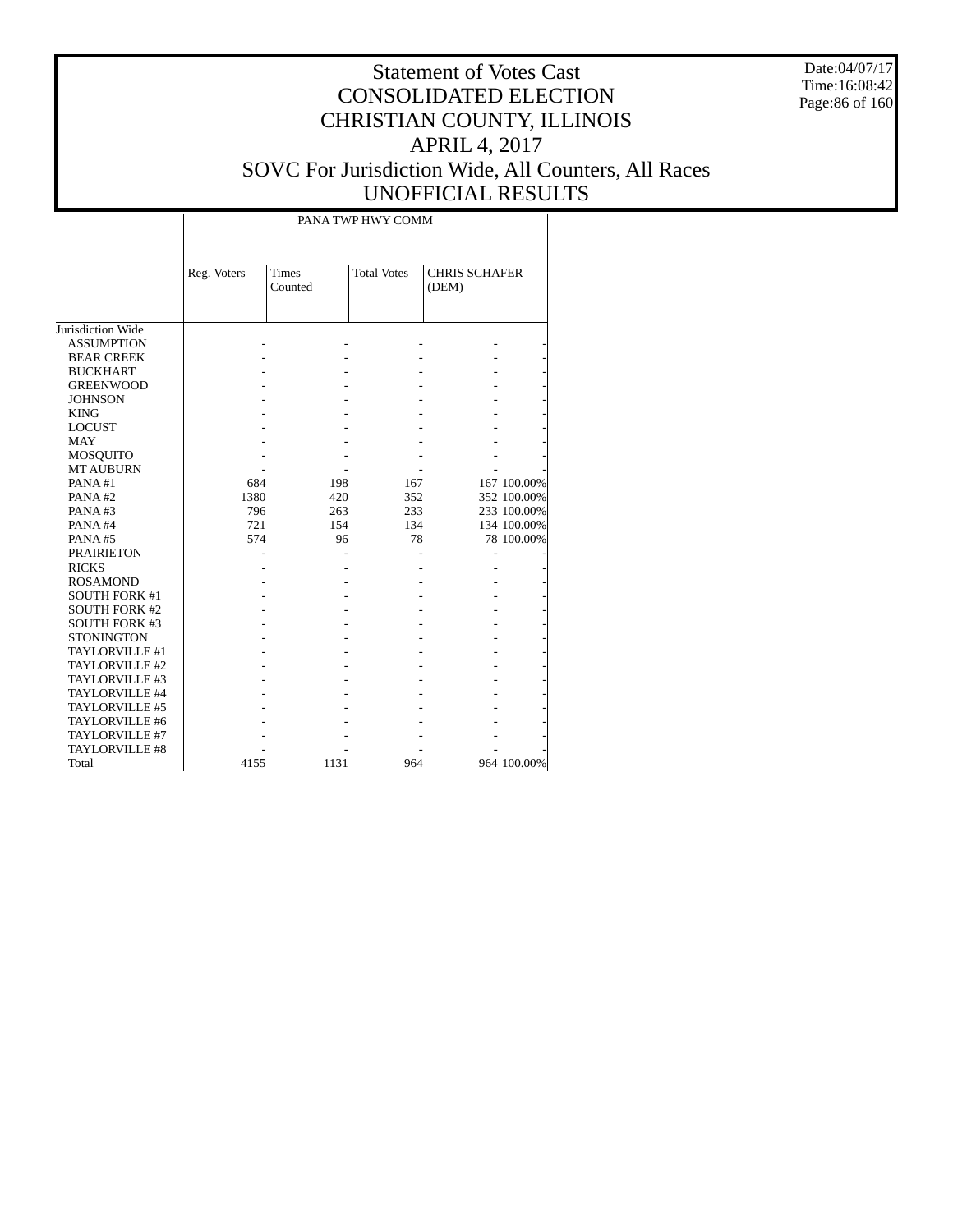Date:04/07/17 Time:16:08:42 Page:86 of 160

|                   |             |                         | PANA TWP HWY COMM  |                               |  |
|-------------------|-------------|-------------------------|--------------------|-------------------------------|--|
|                   | Reg. Voters | <b>Times</b><br>Counted | <b>Total Votes</b> | <b>CHRIS SCHAFER</b><br>(DEM) |  |
| Jurisdiction Wide |             |                         |                    |                               |  |
| <b>ASSUMPTION</b> |             |                         |                    |                               |  |
| <b>BEAR CREEK</b> |             |                         |                    |                               |  |
| <b>BUCKHART</b>   |             |                         |                    |                               |  |
| <b>GREENWOOD</b>  |             |                         |                    |                               |  |
| <b>JOHNSON</b>    |             |                         |                    |                               |  |
| <b>KING</b>       |             |                         |                    |                               |  |
| I OCHET           |             |                         |                    |                               |  |

| <b>ASSUMPTION</b>     |      |      |     |             |
|-----------------------|------|------|-----|-------------|
| <b>BEAR CREEK</b>     |      |      |     |             |
| <b>BUCKHART</b>       |      |      |     |             |
| <b>GREENWOOD</b>      |      |      |     |             |
| <b>JOHNSON</b>        |      |      |     |             |
| <b>KING</b>           |      |      |     |             |
| <b>LOCUST</b>         |      |      |     |             |
| MAY                   |      |      |     |             |
| <b>MOSQUITO</b>       |      |      |     |             |
| <b>MT AUBURN</b>      |      |      |     |             |
| PANA#1                | 684  | 198  | 167 | 167 100.00% |
| PANA#2                | 1380 | 420  | 352 | 352 100.00% |
| PANA#3                | 796  | 263  | 233 | 233 100.00% |
| PANA#4                | 721  | 154  | 134 | 134 100.00% |
| PANA#5                | 574  | 96   | 78  | 78 100.00%  |
| <b>PRAIRIETON</b>     |      |      |     |             |
| <b>RICKS</b>          |      |      |     |             |
| <b>ROSAMOND</b>       |      |      |     |             |
| <b>SOUTH FORK #1</b>  |      |      |     |             |
| <b>SOUTH FORK #2</b>  |      |      |     |             |
| <b>SOUTH FORK #3</b>  |      |      |     |             |
| <b>STONINGTON</b>     |      |      |     |             |
| TAYLORVILLE #1        |      |      |     |             |
| TAYLORVILLE #2        |      |      |     |             |
| TAYLORVILLE #3        |      |      |     |             |
| TAYLORVILLE #4        |      |      |     |             |
| TAYLORVILLE #5        |      |      |     |             |
| TAYLORVILLE #6        |      |      |     |             |
| TAYLORVILLE #7        |      |      |     |             |
| <b>TAYLORVILLE #8</b> |      |      |     |             |
| Total                 | 4155 | 1131 | 964 | 964 100.00% |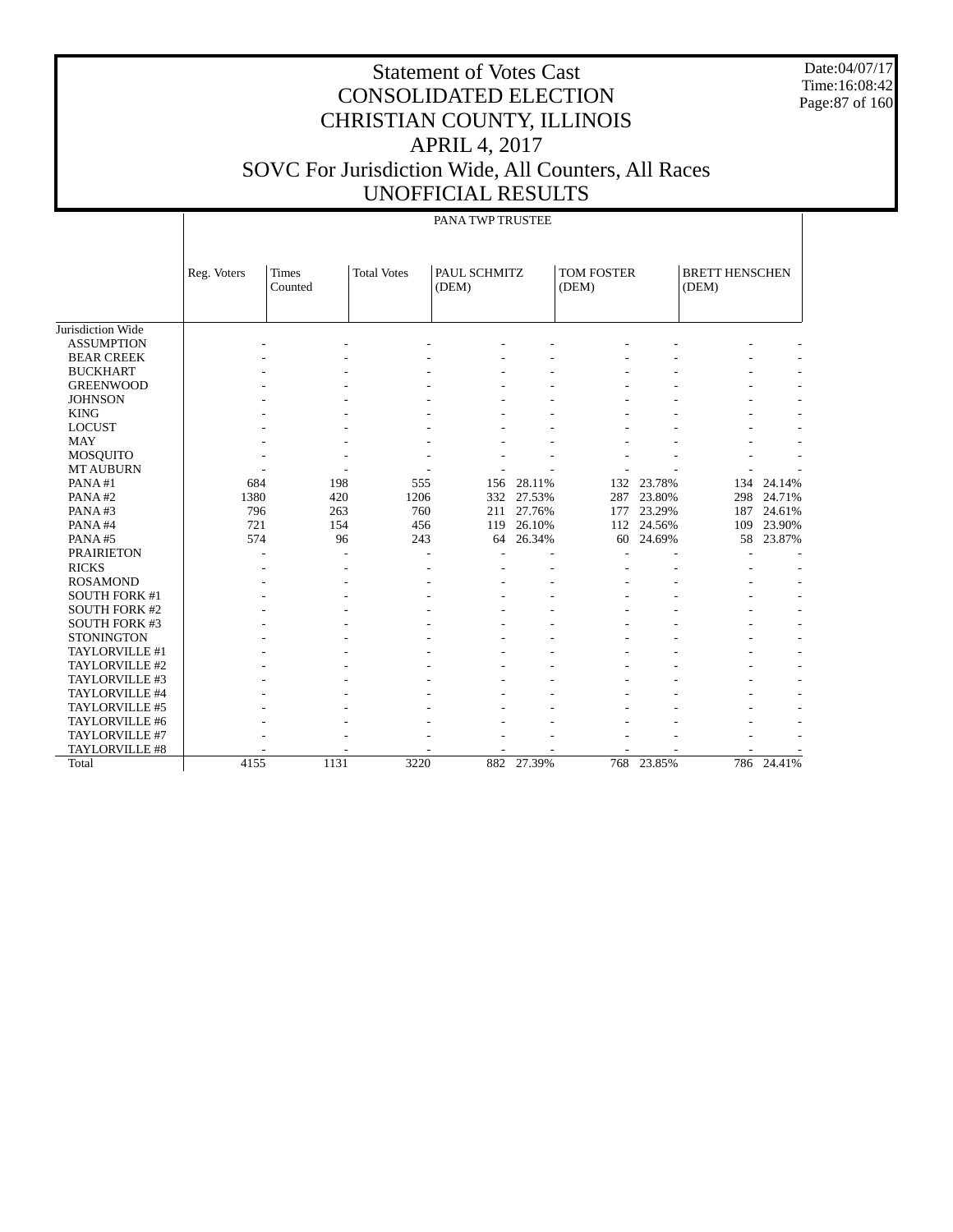Date:04/07/17 Time:16:08:42 Page:87 of 160

## Statement of Votes Cast CONSOLIDATED ELECTION CHRISTIAN COUNTY, ILLINOIS APRIL 4, 2017 SOVC For Jurisdiction Wide, All Counters, All Races UNOFFICIAL RESULTS

#### PANA TWP TRUSTEE

|                      | Reg. Voters | Times<br>Counted | <b>Total Votes</b> | PAUL SCHMITZ<br>(DEM) |                | <b>TOM FOSTER</b><br>(DEM) |                          | <b>BRETT HENSCHEN</b><br>(DEM) |            |
|----------------------|-------------|------------------|--------------------|-----------------------|----------------|----------------------------|--------------------------|--------------------------------|------------|
|                      |             |                  |                    |                       |                |                            |                          |                                |            |
| Jurisdiction Wide    |             |                  |                    |                       |                |                            |                          |                                |            |
| <b>ASSUMPTION</b>    |             |                  |                    |                       |                |                            |                          |                                |            |
| <b>BEAR CREEK</b>    |             |                  |                    |                       |                |                            |                          |                                |            |
| <b>BUCKHART</b>      |             |                  |                    |                       |                |                            |                          |                                |            |
| <b>GREENWOOD</b>     |             |                  |                    |                       |                |                            |                          |                                |            |
| <b>JOHNSON</b>       |             |                  |                    |                       |                |                            |                          |                                |            |
| <b>KING</b>          |             |                  |                    |                       |                |                            |                          |                                |            |
| <b>LOCUST</b>        |             |                  |                    |                       |                |                            |                          |                                |            |
| <b>MAY</b>           |             |                  |                    |                       |                |                            |                          |                                |            |
| <b>MOSQUITO</b>      |             |                  |                    |                       |                |                            |                          |                                |            |
| <b>MT AUBURN</b>     |             |                  |                    |                       |                |                            |                          |                                |            |
| PANA#1               | 684         | 198              | 555                | 156                   | 28.11%         | 132                        | 23.78%                   | 134                            | 24.14%     |
| PANA#2               | 1380        | 420              | 1206               | 332                   | 27.53%         | 287                        | 23.80%                   | 298                            | 24.71%     |
| PANA#3               | 796         | 263              | 760                | 211                   | 27.76%         | 177                        | 23.29%                   | 187                            | 24.61%     |
| PANA#4               | 721         | 154              | 456                | 119                   | 26.10%         | 112                        | 24.56%                   | 109                            | 23.90%     |
| PANA#5               | 574         | 96               | 243                | 64                    | 26.34%         | 60                         | 24.69%                   | 58                             | 23.87%     |
| <b>PRAIRIETON</b>    |             |                  |                    |                       |                |                            |                          |                                |            |
| <b>RICKS</b>         |             |                  |                    |                       |                |                            |                          |                                |            |
| <b>ROSAMOND</b>      |             |                  |                    |                       |                |                            |                          |                                |            |
| <b>SOUTH FORK #1</b> |             |                  |                    |                       |                |                            |                          |                                |            |
| <b>SOUTH FORK #2</b> |             |                  |                    |                       |                |                            |                          |                                |            |
| <b>SOUTH FORK #3</b> |             |                  |                    |                       |                |                            |                          |                                |            |
| <b>STONINGTON</b>    |             |                  |                    |                       |                |                            |                          |                                |            |
| TAYLORVILLE #1       |             |                  |                    |                       | $\overline{a}$ |                            | $\overline{\phantom{a}}$ |                                |            |
| TAYLORVILLE #2       |             |                  |                    |                       | $\overline{a}$ |                            | $\overline{\phantom{a}}$ |                                |            |
| TAYLORVILLE #3       |             |                  |                    |                       | $\overline{a}$ |                            | $\overline{\phantom{a}}$ |                                |            |
| TAYLORVILLE #4       |             |                  |                    |                       |                |                            |                          |                                |            |
| TAYLORVILLE #5       |             |                  |                    |                       |                |                            |                          |                                |            |
| TAYLORVILLE #6       |             |                  |                    |                       |                |                            |                          |                                |            |
| TAYLORVILLE #7       |             |                  |                    |                       |                |                            |                          |                                |            |
| TAYLORVILLE #8       |             |                  |                    |                       |                |                            |                          |                                |            |
| Total                | 4155        | 1131             | 3220               |                       | 882 27.39%     |                            | 768 23.85%               |                                | 786 24.41% |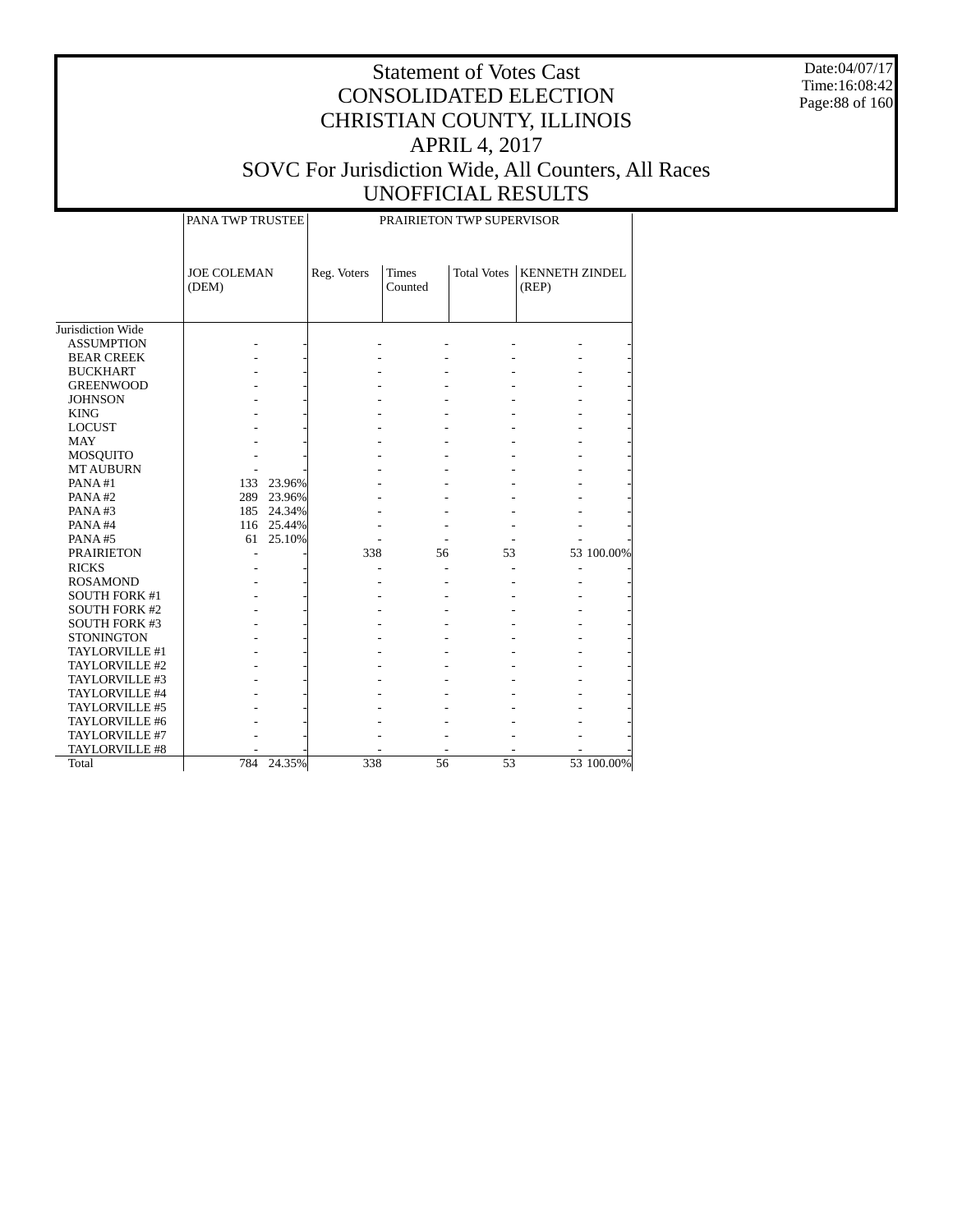Date:04/07/17 Time:16:08:42 Page:88 of 160

|                      | PANA TWP TRUSTEE            |             |                         | PRAIRIETON TWP SUPERVISOR |                       |            |
|----------------------|-----------------------------|-------------|-------------------------|---------------------------|-----------------------|------------|
|                      | <b>JOE COLEMAN</b><br>(DEM) | Reg. Voters | <b>Times</b><br>Counted | <b>Total Votes</b>        | <b>KENNETH ZINDEL</b> |            |
| Jurisdiction Wide    |                             |             |                         |                           |                       |            |
| <b>ASSUMPTION</b>    |                             |             |                         |                           |                       |            |
| <b>BEAR CREEK</b>    |                             |             |                         |                           |                       |            |
| <b>BUCKHART</b>      |                             |             |                         |                           |                       |            |
| <b>GREENWOOD</b>     |                             |             |                         |                           |                       |            |
| <b>JOHNSON</b>       |                             |             |                         |                           |                       |            |
| <b>KING</b>          |                             |             |                         |                           |                       |            |
| <b>LOCUST</b>        |                             |             |                         |                           |                       |            |
| <b>MAY</b>           |                             |             |                         |                           |                       |            |
| <b>MOSQUITO</b>      |                             |             |                         |                           |                       |            |
| <b>MT AUBURN</b>     |                             |             |                         |                           |                       |            |
| PANA#1               | 23.96%<br>133               |             |                         |                           |                       |            |
| PANA#2               | 289 23.96%                  |             |                         |                           |                       |            |
| PANA#3               | 185 24.34%                  |             |                         |                           |                       |            |
| PANA#4               | 116 25.44%                  |             |                         |                           |                       |            |
| PANA#5               | 25.10%<br>61                |             |                         |                           |                       |            |
| <b>PRAIRIETON</b>    |                             | 338         | 56                      | 53                        |                       | 53 100.00% |
| <b>RICKS</b>         |                             |             |                         |                           | L,                    |            |
| <b>ROSAMOND</b>      |                             |             |                         |                           |                       |            |
| <b>SOUTH FORK #1</b> |                             |             |                         |                           |                       |            |
| <b>SOUTH FORK #2</b> |                             |             |                         |                           |                       |            |
| <b>SOUTH FORK #3</b> |                             |             |                         |                           |                       |            |
| <b>STONINGTON</b>    |                             |             |                         |                           |                       |            |
| TAYLORVILLE #1       |                             |             |                         |                           |                       |            |
| TAYLORVILLE #2       |                             |             |                         |                           |                       |            |
| TAYLORVILLE #3       |                             |             |                         |                           |                       |            |
| TAYLORVILLE #4       |                             |             |                         |                           |                       |            |
| TAYLORVILLE #5       |                             |             |                         |                           |                       |            |
| TAYLORVILLE #6       |                             |             |                         |                           |                       |            |
| TAYLORVILLE #7       |                             |             |                         |                           |                       |            |
| TAYLORVILLE #8       |                             |             |                         |                           |                       |            |
| Total                | 24.35%<br>784               | 338         | 56                      | 53                        |                       | 53 100.00% |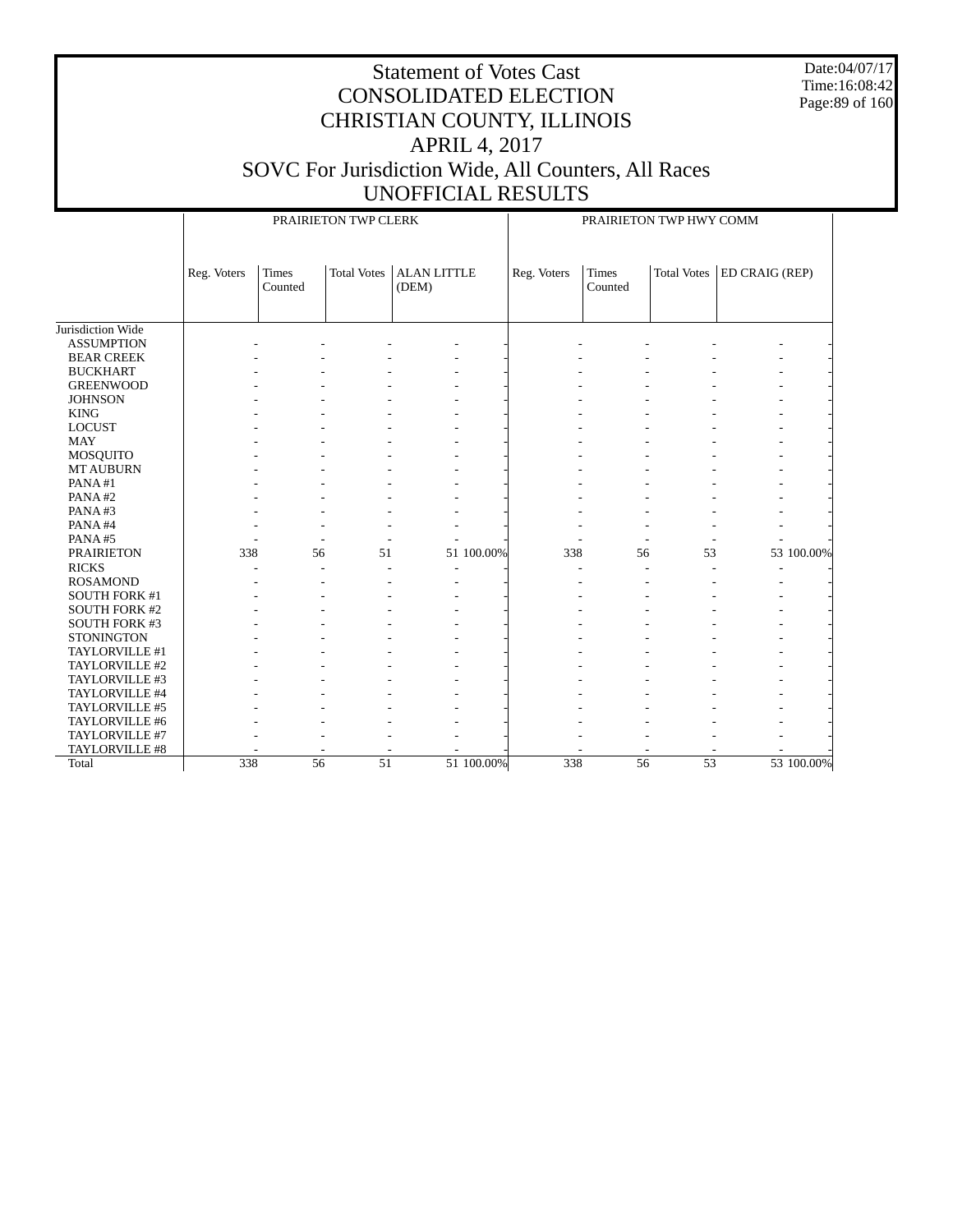Date:04/07/17 Time:16:08:42 Page:89 of 160

|                      |             |                  | PRAIRIETON TWP CLERK |                             |            | PRAIRIETON TWP HWY COMM |                         |                    |                |            |
|----------------------|-------------|------------------|----------------------|-----------------------------|------------|-------------------------|-------------------------|--------------------|----------------|------------|
|                      | Reg. Voters | Times<br>Counted | <b>Total Votes</b>   | <b>ALAN LITTLE</b><br>(DEM) |            | Reg. Voters             | <b>Times</b><br>Counted | <b>Total Votes</b> | ED CRAIG (REP) |            |
| Jurisdiction Wide    |             |                  |                      |                             |            |                         |                         |                    |                |            |
| <b>ASSUMPTION</b>    |             |                  |                      |                             |            |                         |                         |                    |                |            |
| <b>BEAR CREEK</b>    |             |                  |                      |                             |            |                         |                         |                    |                |            |
| <b>BUCKHART</b>      |             |                  |                      |                             |            |                         |                         |                    |                |            |
| <b>GREENWOOD</b>     |             |                  |                      |                             |            |                         |                         |                    |                |            |
| <b>JOHNSON</b>       |             |                  |                      |                             |            |                         |                         |                    |                |            |
| <b>KING</b>          |             |                  |                      |                             |            |                         |                         |                    |                |            |
| <b>LOCUST</b>        |             |                  |                      |                             |            |                         |                         |                    |                |            |
| <b>MAY</b>           |             |                  |                      |                             |            |                         |                         |                    |                |            |
| <b>MOSQUITO</b>      |             |                  |                      |                             |            |                         |                         |                    |                |            |
| <b>MT AUBURN</b>     |             |                  |                      |                             |            |                         |                         |                    |                |            |
| PANA#1               |             |                  |                      |                             |            |                         |                         |                    |                |            |
| PANA#2               |             |                  |                      |                             |            |                         |                         |                    |                |            |
| PANA#3               |             |                  |                      |                             |            |                         |                         |                    |                |            |
| PANA#4               |             |                  |                      |                             |            |                         |                         |                    |                |            |
| PANA#5               |             |                  |                      |                             |            |                         |                         |                    |                |            |
| <b>PRAIRIETON</b>    | 338         | 56               | 51                   |                             | 51 100.00% | 338                     | 56                      | 53                 |                | 53 100.00% |
| <b>RICKS</b>         |             |                  |                      | $\overline{\phantom{a}}$    |            |                         |                         |                    | ٠              |            |
| <b>ROSAMOND</b>      |             |                  |                      |                             |            |                         |                         |                    |                |            |
| SOUTH FORK #1        |             |                  |                      |                             |            |                         |                         |                    |                |            |
| <b>SOUTH FORK #2</b> |             |                  |                      |                             |            |                         |                         |                    |                |            |
| <b>SOUTH FORK #3</b> |             |                  |                      |                             |            |                         |                         |                    |                |            |
| <b>STONINGTON</b>    |             |                  |                      |                             |            |                         |                         |                    |                |            |
| TAYLORVILLE #1       |             |                  |                      |                             |            |                         |                         |                    |                |            |
| TAYLORVILLE #2       |             |                  |                      |                             |            |                         |                         |                    |                |            |
| TAYLORVILLE #3       |             |                  |                      |                             |            |                         |                         |                    |                |            |
| TAYLORVILLE #4       |             |                  |                      |                             |            |                         |                         |                    |                |            |
| TAYLORVILLE #5       |             |                  |                      |                             |            |                         |                         |                    |                |            |
| TAYLORVILLE #6       |             |                  |                      |                             |            |                         |                         |                    |                |            |
| TAYLORVILLE #7       |             |                  |                      |                             |            |                         |                         |                    |                |            |
| TAYLORVILLE #8       |             |                  |                      |                             |            |                         |                         |                    |                |            |
| Total                | 338         | 56               | 51                   |                             | 51 100.00% | 338                     | 56                      | 53                 |                | 53 100.00% |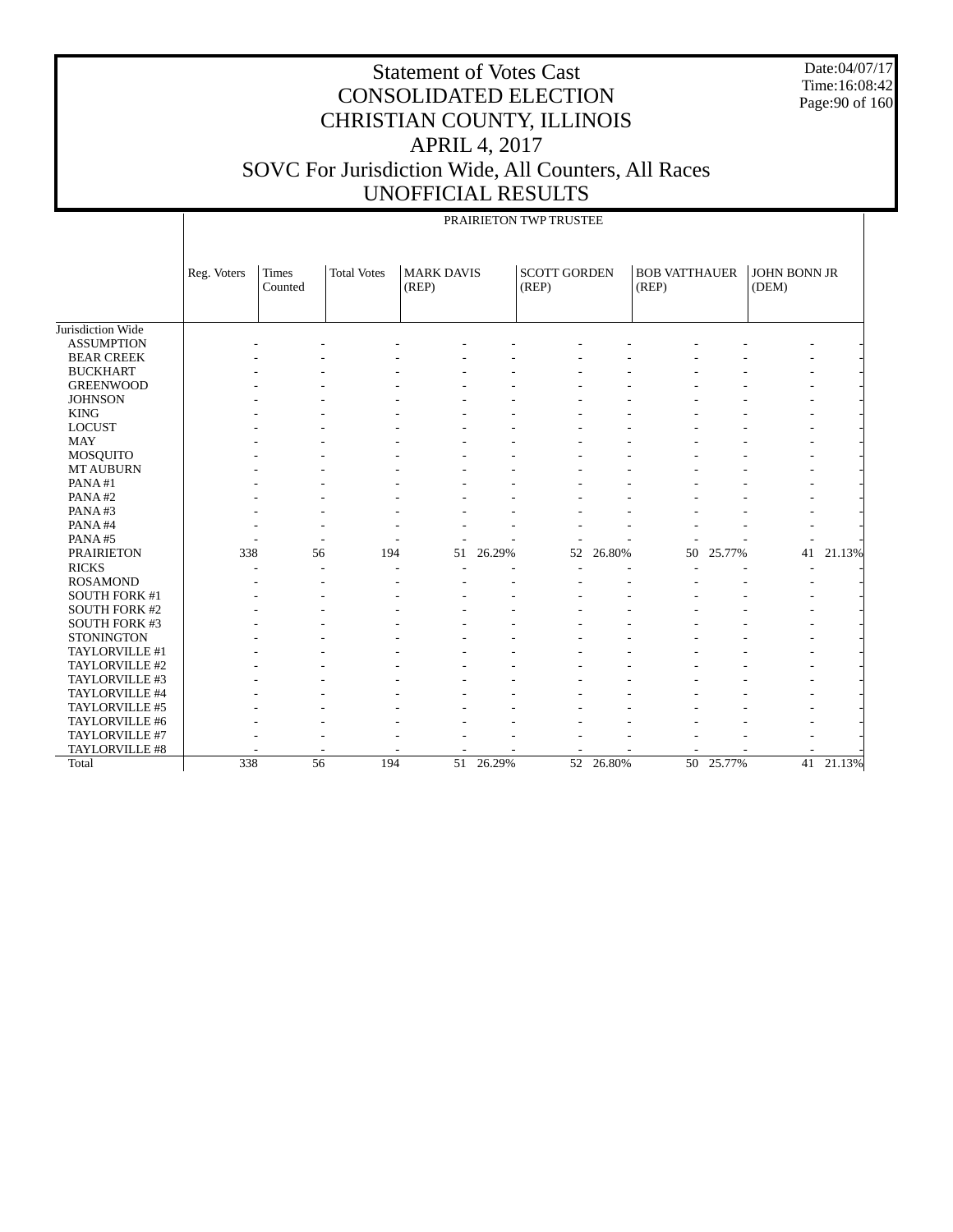Date:04/07/17 Time:16:08:42 Page:90 of 160

|                      |             | PRAIRIETON TWP TRUSTEE |                    |                            |        |                              |           |                               |           |                       |           |  |
|----------------------|-------------|------------------------|--------------------|----------------------------|--------|------------------------------|-----------|-------------------------------|-----------|-----------------------|-----------|--|
|                      | Reg. Voters | Times<br>Counted       | <b>Total Votes</b> | <b>MARK DAVIS</b><br>(REP) |        | <b>SCOTT GORDEN</b><br>(REP) |           | <b>BOB VATTHAUER</b><br>(REP) |           | JOHN BONN JR<br>(DEM) |           |  |
| Jurisdiction Wide    |             |                        |                    |                            |        |                              |           |                               |           |                       |           |  |
| <b>ASSUMPTION</b>    |             |                        |                    |                            |        |                              |           |                               |           |                       |           |  |
| <b>BEAR CREEK</b>    |             |                        |                    |                            |        |                              |           |                               |           |                       |           |  |
| <b>BUCKHART</b>      |             |                        |                    |                            |        |                              |           |                               |           |                       |           |  |
| <b>GREENWOOD</b>     |             |                        |                    |                            |        |                              |           |                               |           |                       |           |  |
| <b>JOHNSON</b>       |             |                        |                    |                            |        |                              |           |                               |           |                       |           |  |
| <b>KING</b>          |             |                        |                    |                            |        |                              |           |                               |           |                       |           |  |
| <b>LOCUST</b>        |             |                        |                    |                            |        |                              |           |                               |           |                       |           |  |
| <b>MAY</b>           |             |                        |                    |                            |        |                              |           |                               |           |                       |           |  |
| <b>MOSQUITO</b>      |             |                        |                    |                            |        |                              |           |                               |           |                       |           |  |
| <b>MT AUBURN</b>     |             |                        |                    |                            |        |                              |           |                               |           |                       |           |  |
| PANA#1               |             |                        |                    |                            |        |                              |           |                               |           |                       |           |  |
| PANA#2               |             |                        |                    |                            |        |                              |           |                               |           |                       |           |  |
| PANA#3               |             |                        |                    |                            |        |                              |           |                               |           |                       |           |  |
| PANA#4               |             |                        |                    |                            |        |                              |           |                               |           |                       |           |  |
| PANA#5               |             |                        |                    |                            |        |                              |           |                               |           |                       |           |  |
| <b>PRAIRIETON</b>    | 338         | 56                     | 194                | 51                         | 26.29% | 52                           | 26.80%    | 50                            | 25.77%    | 41                    | 21.13%    |  |
| <b>RICKS</b>         |             |                        |                    |                            |        |                              |           |                               |           |                       |           |  |
| <b>ROSAMOND</b>      |             |                        |                    |                            |        |                              |           |                               |           |                       |           |  |
| SOUTH FORK #1        |             |                        |                    |                            |        |                              |           |                               |           |                       |           |  |
| <b>SOUTH FORK #2</b> |             |                        |                    |                            |        |                              |           |                               |           |                       |           |  |
| <b>SOUTH FORK #3</b> |             |                        |                    |                            |        |                              |           |                               |           |                       |           |  |
| <b>STONINGTON</b>    |             |                        |                    |                            |        |                              |           |                               |           |                       |           |  |
| TAYLORVILLE #1       |             |                        |                    |                            |        |                              |           |                               |           |                       |           |  |
| TAYLORVILLE #2       |             |                        |                    |                            |        |                              |           |                               |           |                       |           |  |
| TAYLORVILLE #3       |             |                        |                    |                            |        |                              |           |                               |           |                       |           |  |
| TAYLORVILLE #4       |             |                        |                    |                            |        |                              |           |                               |           |                       |           |  |
| TAYLORVILLE #5       |             |                        |                    |                            |        |                              |           |                               |           |                       |           |  |
| TAYLORVILLE #6       |             |                        |                    |                            |        |                              |           |                               |           |                       |           |  |
| TAYLORVILLE #7       |             |                        |                    |                            |        |                              |           |                               |           |                       |           |  |
| TAYLORVILLE #8       |             |                        |                    |                            |        |                              |           |                               |           |                       |           |  |
| Total                | 338         | $\overline{56}$        | 194                | $\overline{51}$            | 26.29% |                              | 52 26.80% |                               | 50 25.77% |                       | 41 21.13% |  |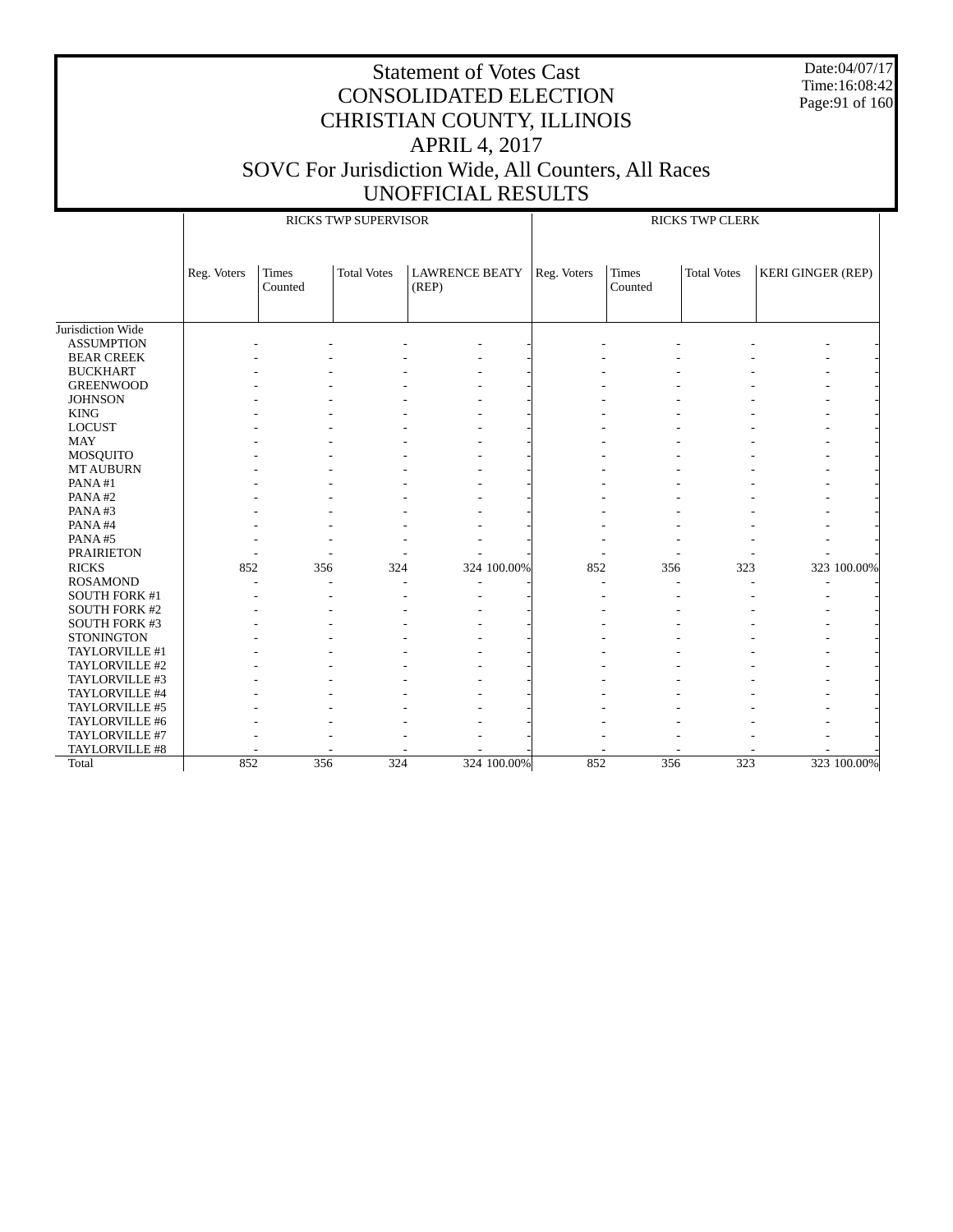Date:04/07/17 Time:16:08:42 Page:91 of 160

|                      |             |                  | <b>RICKS TWP SUPERVISOR</b> |                                | <b>RICKS TWP CLERK</b> |                  |                    |                          |  |  |
|----------------------|-------------|------------------|-----------------------------|--------------------------------|------------------------|------------------|--------------------|--------------------------|--|--|
|                      | Reg. Voters | Times<br>Counted | <b>Total Votes</b>          | <b>LAWRENCE BEATY</b><br>(REP) | Reg. Voters            | Times<br>Counted | <b>Total Votes</b> | <b>KERI GINGER (REP)</b> |  |  |
| Jurisdiction Wide    |             |                  |                             |                                |                        |                  |                    |                          |  |  |
| <b>ASSUMPTION</b>    |             |                  |                             |                                |                        |                  |                    |                          |  |  |
| <b>BEAR CREEK</b>    |             |                  |                             |                                |                        |                  |                    |                          |  |  |
| <b>BUCKHART</b>      |             |                  |                             |                                |                        |                  |                    |                          |  |  |
| <b>GREENWOOD</b>     |             |                  |                             |                                |                        |                  |                    |                          |  |  |
| <b>JOHNSON</b>       |             |                  |                             |                                |                        |                  |                    |                          |  |  |
| <b>KING</b>          |             |                  |                             |                                |                        |                  |                    |                          |  |  |
| <b>LOCUST</b>        |             |                  |                             |                                |                        |                  |                    |                          |  |  |
| <b>MAY</b>           |             |                  |                             |                                |                        |                  |                    |                          |  |  |
| MOSQUITO             |             |                  |                             |                                |                        |                  |                    |                          |  |  |
| <b>MT AUBURN</b>     |             |                  |                             |                                |                        |                  |                    |                          |  |  |
| PANA#1               |             |                  |                             |                                |                        |                  |                    |                          |  |  |
| PANA#2               |             |                  |                             |                                |                        |                  |                    |                          |  |  |
| PANA#3               |             |                  |                             |                                |                        |                  |                    |                          |  |  |
| PANA#4               |             |                  |                             |                                |                        |                  |                    |                          |  |  |
| PANA#5               |             |                  |                             |                                |                        |                  |                    |                          |  |  |
| <b>PRAIRIETON</b>    |             |                  |                             |                                |                        |                  |                    |                          |  |  |
| <b>RICKS</b>         | 852         | 356              | 324                         | 324 100.00%                    | 852                    | 356              | 323                | 323 100.00%              |  |  |
| <b>ROSAMOND</b>      |             |                  |                             |                                |                        |                  |                    |                          |  |  |
| SOUTH FORK #1        |             |                  |                             |                                |                        |                  |                    |                          |  |  |
| <b>SOUTH FORK #2</b> |             |                  |                             |                                |                        |                  |                    |                          |  |  |
| <b>SOUTH FORK #3</b> |             |                  |                             |                                |                        |                  |                    |                          |  |  |
| <b>STONINGTON</b>    |             |                  |                             |                                |                        |                  |                    |                          |  |  |
| TAYLORVILLE #1       |             |                  |                             |                                |                        |                  |                    |                          |  |  |
| TAYLORVILLE #2       |             |                  |                             |                                |                        |                  |                    |                          |  |  |
| TAYLORVILLE #3       |             |                  |                             |                                |                        |                  |                    |                          |  |  |
| TAYLORVILLE #4       |             |                  |                             |                                |                        |                  |                    |                          |  |  |
| TAYLORVILLE #5       |             |                  |                             |                                |                        |                  |                    |                          |  |  |
| TAYLORVILLE #6       |             |                  |                             |                                |                        |                  |                    |                          |  |  |
| TAYLORVILLE #7       |             |                  |                             |                                |                        |                  |                    |                          |  |  |
| TAYLORVILLE #8       |             |                  |                             |                                |                        |                  |                    |                          |  |  |
| Total                | 852         | 356              | 324                         | 324 100.00%                    | 852                    | 356              | 323                | 323 100.00%              |  |  |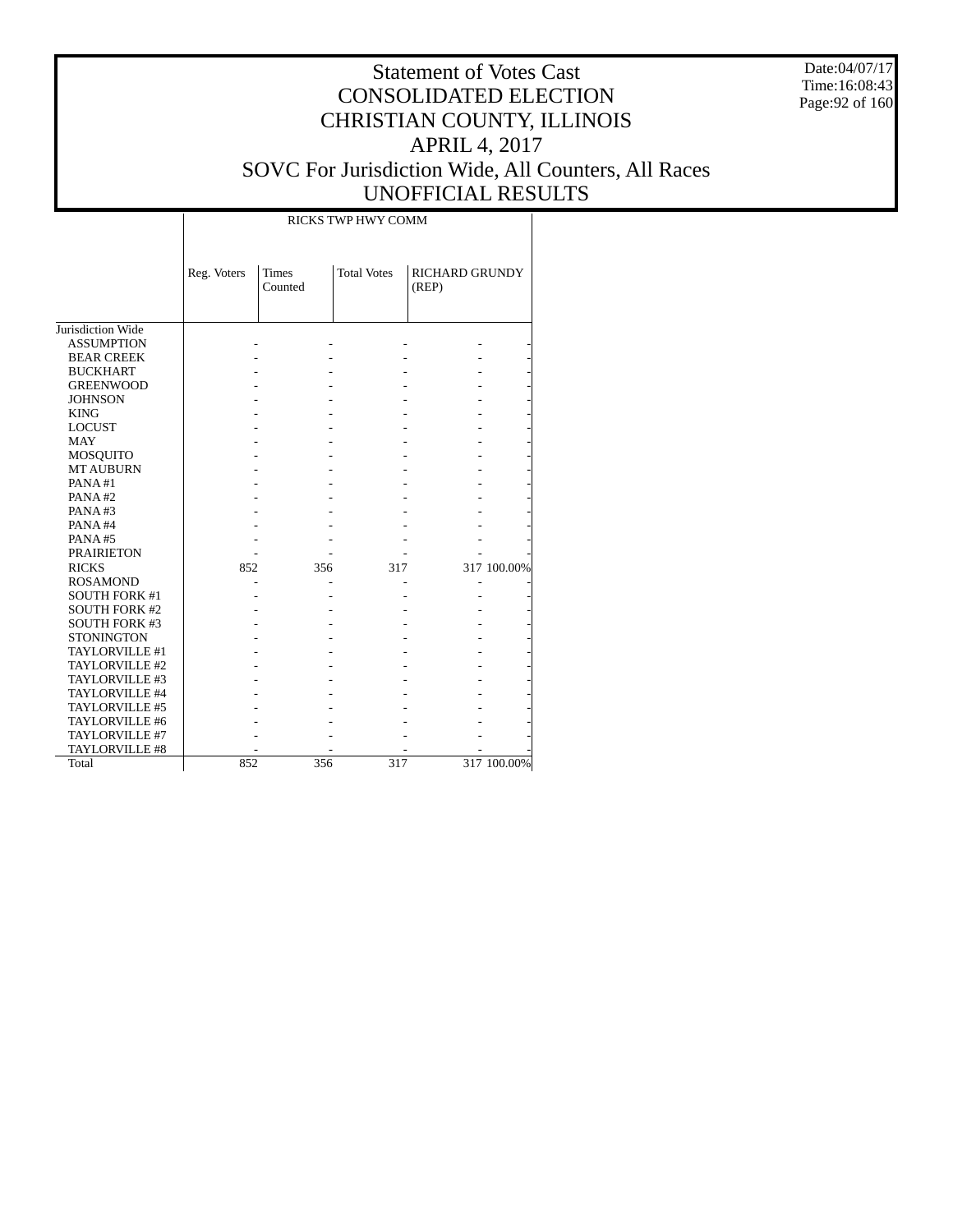Date:04/07/17 Time:16:08:43 Page:92 of 160

## Statement of Votes Cast CONSOLIDATED ELECTION CHRISTIAN COUNTY, ILLINOIS APRIL 4, 2017 SOVC For Jurisdiction Wide, All Counters, All Races UNOFFICIAL RESULTS

T

|                      |             |                         | RICKS TWP HWY COMM |                                |             |
|----------------------|-------------|-------------------------|--------------------|--------------------------------|-------------|
|                      | Reg. Voters | <b>Times</b><br>Counted | <b>Total Votes</b> | <b>RICHARD GRUNDY</b><br>(REP) |             |
| Jurisdiction Wide    |             |                         |                    |                                |             |
| <b>ASSUMPTION</b>    |             |                         |                    |                                |             |
| <b>BEAR CREEK</b>    |             |                         |                    |                                |             |
| <b>BUCKHART</b>      |             |                         |                    |                                |             |
| <b>GREENWOOD</b>     |             |                         |                    |                                |             |
| <b>JOHNSON</b>       |             |                         |                    |                                |             |
| <b>KING</b>          |             |                         |                    |                                |             |
| <b>LOCUST</b>        |             |                         |                    |                                |             |
| <b>MAY</b>           |             |                         |                    |                                |             |
| MOSQUITO             |             |                         |                    |                                |             |
| <b>MT AUBURN</b>     |             |                         |                    |                                |             |
| PANA#1               |             |                         |                    |                                |             |
| PANA#2               |             |                         |                    |                                |             |
| PANA#3               |             |                         |                    |                                |             |
| PANA#4               |             |                         |                    |                                |             |
| PANA#5               |             |                         |                    |                                |             |
| <b>PRAIRIETON</b>    |             |                         |                    |                                |             |
| <b>RICKS</b>         | 852         | 356                     | 317                |                                | 317 100.00% |
| <b>ROSAMOND</b>      |             |                         |                    |                                |             |
| <b>SOUTH FORK #1</b> |             |                         |                    |                                |             |
| <b>SOUTH FORK #2</b> |             |                         |                    |                                |             |
| <b>SOUTH FORK #3</b> |             |                         |                    |                                |             |
| <b>STONINGTON</b>    |             |                         |                    |                                |             |
| TAYLORVILLE #1       |             |                         |                    |                                |             |
| TAYLORVILLE #2       |             |                         |                    |                                |             |
| TAYLORVILLE #3       |             |                         |                    |                                |             |
| TAYLORVILLE #4       |             |                         |                    |                                |             |
| TAYLORVILLE #5       |             |                         |                    |                                |             |
| TAYLORVILLE #6       |             |                         |                    |                                |             |
| TAYLORVILLE #7       |             |                         |                    |                                |             |
| TAYLORVILLE #8       |             |                         |                    |                                |             |
| Total                | 852         | 356                     | 317                |                                | 317 100.00% |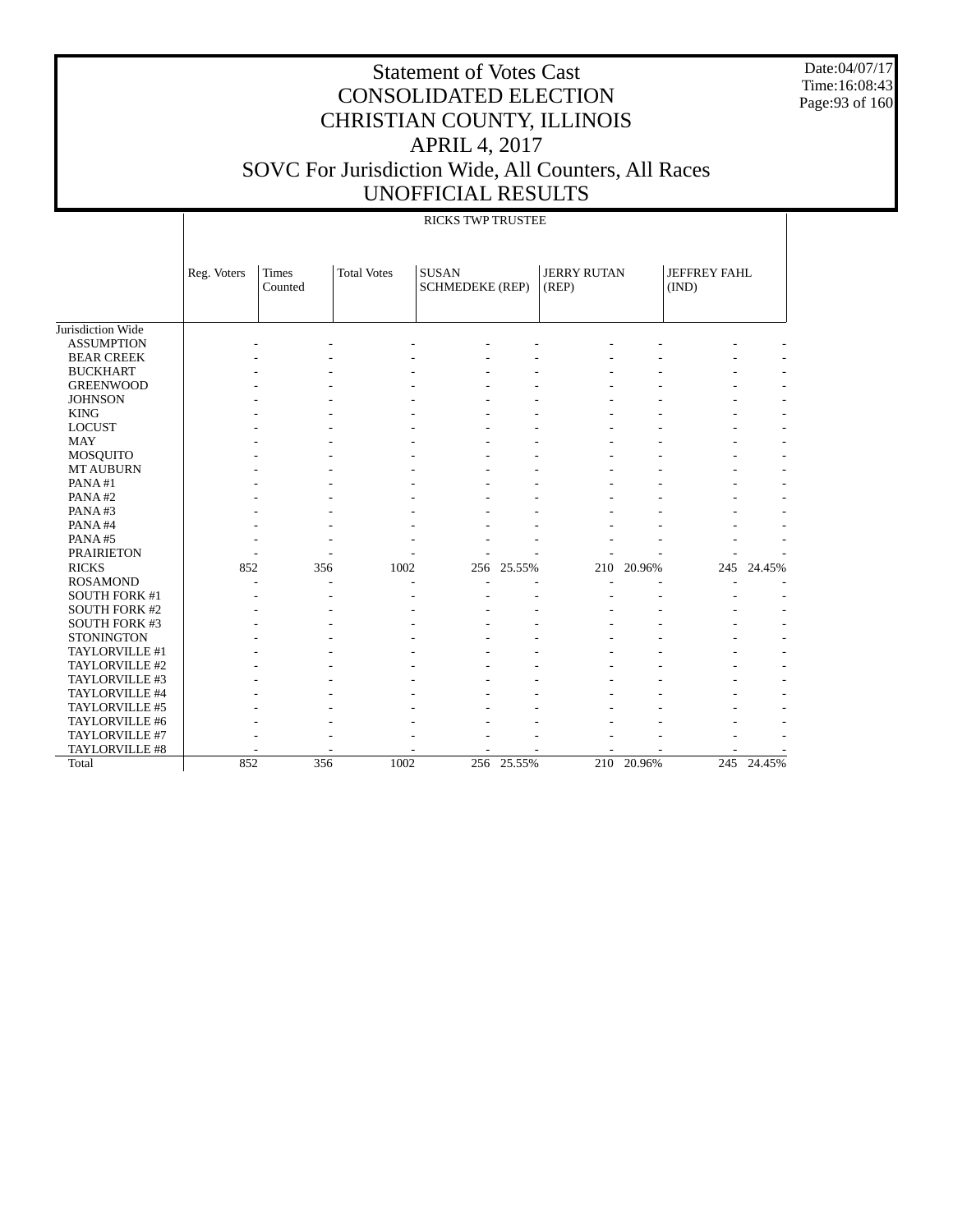Date:04/07/17 Time:16:08:43 Page:93 of 160

|                       |             | <b>RICKS TWP TRUSTEE</b> |                    |                                        |        |                             |        |                              |            |  |  |  |
|-----------------------|-------------|--------------------------|--------------------|----------------------------------------|--------|-----------------------------|--------|------------------------------|------------|--|--|--|
|                       | Reg. Voters | <b>Times</b><br>Counted  | <b>Total Votes</b> | <b>SUSAN</b><br><b>SCHMEDEKE (REP)</b> |        | <b>JERRY RUTAN</b><br>(REP) |        | <b>JEFFREY FAHL</b><br>(IND) |            |  |  |  |
| Jurisdiction Wide     |             |                          |                    |                                        |        |                             |        |                              |            |  |  |  |
| <b>ASSUMPTION</b>     |             |                          |                    |                                        |        |                             |        |                              |            |  |  |  |
| <b>BEAR CREEK</b>     |             |                          |                    |                                        |        |                             |        |                              |            |  |  |  |
| <b>BUCKHART</b>       |             |                          |                    |                                        |        |                             |        |                              |            |  |  |  |
| <b>GREENWOOD</b>      |             |                          |                    |                                        |        |                             |        |                              |            |  |  |  |
| <b>JOHNSON</b>        |             |                          |                    |                                        |        |                             |        |                              |            |  |  |  |
| <b>KING</b>           |             |                          |                    |                                        |        |                             |        |                              |            |  |  |  |
| <b>LOCUST</b>         |             |                          |                    |                                        |        |                             |        |                              |            |  |  |  |
| <b>MAY</b>            |             |                          |                    |                                        |        |                             |        |                              |            |  |  |  |
| MOSQUITO              |             |                          |                    |                                        |        |                             |        |                              |            |  |  |  |
| <b>MT AUBURN</b>      |             |                          |                    |                                        |        |                             |        |                              |            |  |  |  |
| PANA#1                |             |                          |                    |                                        |        |                             |        |                              |            |  |  |  |
| PANA#2                |             |                          |                    |                                        |        |                             |        |                              |            |  |  |  |
| PANA#3                |             |                          |                    |                                        |        |                             |        |                              |            |  |  |  |
| PANA#4                |             |                          |                    |                                        |        |                             |        |                              |            |  |  |  |
| PANA#5                |             |                          |                    |                                        |        |                             |        |                              |            |  |  |  |
| <b>PRAIRIETON</b>     |             |                          |                    |                                        |        |                             |        |                              |            |  |  |  |
| <b>RICKS</b>          | 852         | 356                      | 1002               | 256                                    | 25.55% | 210                         | 20.96% | 245                          | 24.45%     |  |  |  |
| <b>ROSAMOND</b>       |             |                          |                    |                                        |        |                             |        |                              |            |  |  |  |
| <b>SOUTH FORK #1</b>  |             | ۰                        |                    |                                        |        |                             |        |                              |            |  |  |  |
| <b>SOUTH FORK #2</b>  |             |                          |                    |                                        |        |                             |        |                              |            |  |  |  |
| <b>SOUTH FORK #3</b>  |             |                          |                    |                                        |        |                             |        |                              |            |  |  |  |
| <b>STONINGTON</b>     |             |                          |                    |                                        |        |                             |        |                              |            |  |  |  |
| TAYLORVILLE #1        |             |                          |                    |                                        |        |                             |        |                              |            |  |  |  |
| TAYLORVILLE #2        |             |                          |                    |                                        |        |                             |        |                              |            |  |  |  |
| TAYLORVILLE #3        |             |                          |                    |                                        |        |                             |        |                              |            |  |  |  |
| TAYLORVILLE #4        |             |                          |                    |                                        |        |                             |        |                              |            |  |  |  |
| TAYLORVILLE #5        |             |                          |                    |                                        |        |                             |        |                              |            |  |  |  |
| TAYLORVILLE #6        |             |                          |                    |                                        |        |                             |        |                              |            |  |  |  |
| TAYLORVILLE #7        |             |                          |                    |                                        |        |                             |        |                              |            |  |  |  |
| <b>TAYLORVILLE #8</b> |             |                          |                    |                                        |        |                             |        |                              |            |  |  |  |
| Total                 | 852         | 356                      | 1002               | 256                                    | 25.55% | 210                         | 20.96% |                              | 245 24.45% |  |  |  |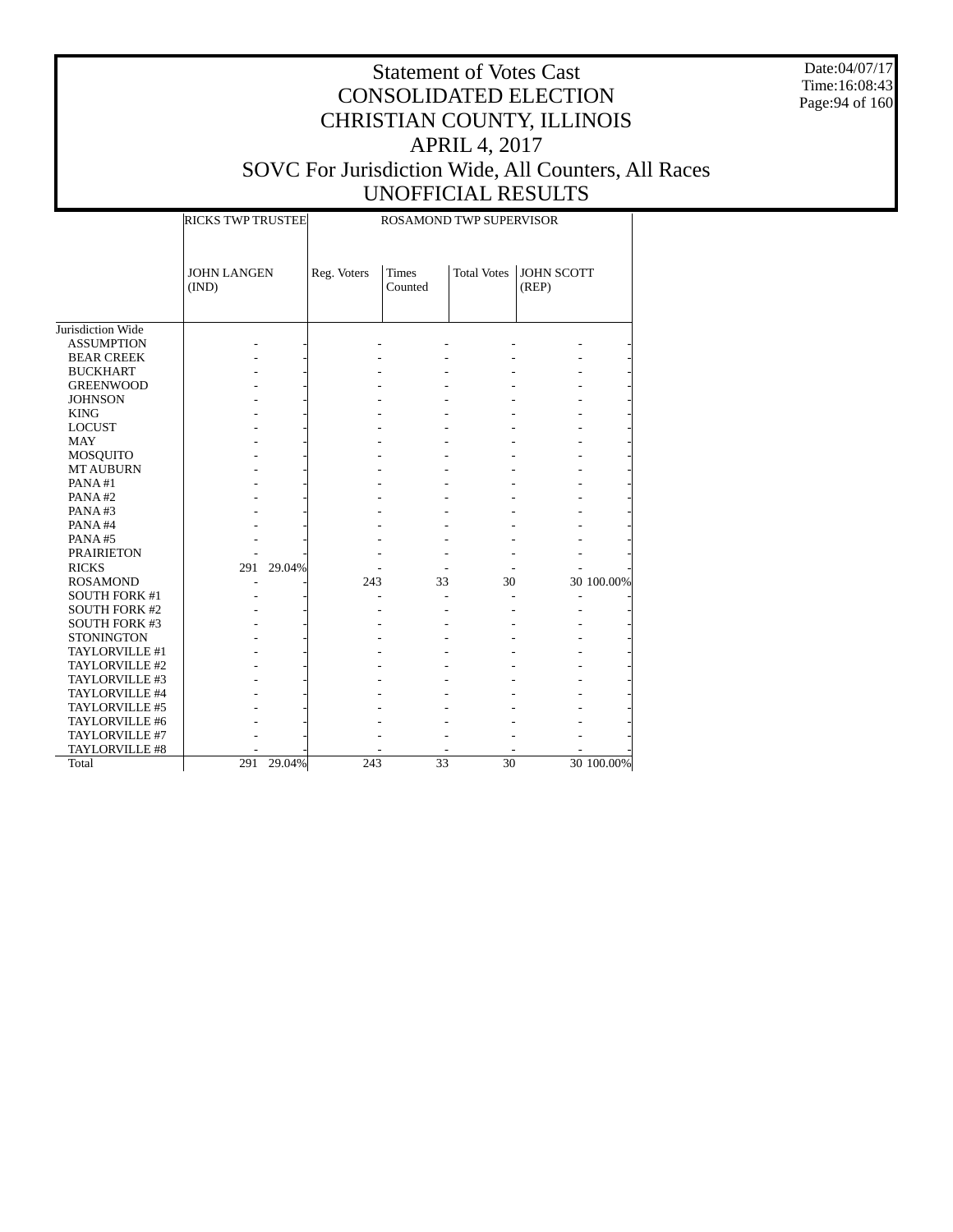Date:04/07/17 Time:16:08:43 Page:94 of 160

|                              | <b>RICKS TWP TRUSTEE</b>    |             | ROSAMOND TWP SUPERVISOR |                    |                            |            |  |  |  |
|------------------------------|-----------------------------|-------------|-------------------------|--------------------|----------------------------|------------|--|--|--|
|                              | <b>JOHN LANGEN</b><br>(IND) | Reg. Voters | <b>Times</b><br>Counted | <b>Total Votes</b> | <b>JOHN SCOTT</b><br>(REP) |            |  |  |  |
| Jurisdiction Wide            |                             |             |                         |                    |                            |            |  |  |  |
| <b>ASSUMPTION</b>            |                             |             |                         |                    |                            |            |  |  |  |
| <b>BEAR CREEK</b>            |                             |             |                         |                    |                            |            |  |  |  |
| <b>BUCKHART</b>              |                             |             |                         |                    |                            |            |  |  |  |
|                              |                             |             |                         |                    |                            |            |  |  |  |
| <b>GREENWOOD</b>             |                             |             |                         |                    |                            |            |  |  |  |
| <b>JOHNSON</b>               |                             |             |                         |                    |                            |            |  |  |  |
| <b>KING</b><br><b>LOCUST</b> |                             |             |                         |                    |                            |            |  |  |  |
|                              |                             |             |                         |                    |                            |            |  |  |  |
| <b>MAY</b>                   |                             |             |                         |                    |                            |            |  |  |  |
| <b>MOSQUITO</b>              |                             |             |                         |                    |                            |            |  |  |  |
| <b>MT AUBURN</b><br>PANA#1   |                             |             |                         |                    |                            |            |  |  |  |
|                              |                             |             |                         |                    |                            |            |  |  |  |
| PANA#2                       |                             |             |                         |                    |                            |            |  |  |  |
| PANA#3                       |                             |             |                         |                    |                            |            |  |  |  |
| PANA#4                       |                             |             |                         |                    |                            |            |  |  |  |
| PANA#5                       |                             |             |                         |                    |                            |            |  |  |  |
| <b>PRAIRIETON</b>            |                             |             |                         |                    |                            |            |  |  |  |
| <b>RICKS</b>                 | 29.04%<br>291               |             |                         |                    |                            |            |  |  |  |
| <b>ROSAMOND</b>              |                             | 243         | 33                      | 30                 |                            | 30 100.00% |  |  |  |
| SOUTH FORK #1                |                             |             |                         |                    |                            |            |  |  |  |
| <b>SOUTH FORK #2</b>         |                             |             |                         |                    |                            |            |  |  |  |
| <b>SOUTH FORK #3</b>         |                             |             |                         |                    |                            |            |  |  |  |
| <b>STONINGTON</b>            |                             |             |                         |                    |                            |            |  |  |  |
| TAYLORVILLE #1               |                             |             |                         |                    |                            |            |  |  |  |
| TAYLORVILLE #2               |                             |             |                         |                    |                            |            |  |  |  |
| TAYLORVILLE #3               |                             |             |                         |                    |                            |            |  |  |  |
| TAYLORVILLE #4               |                             |             |                         |                    |                            |            |  |  |  |
| TAYLORVILLE #5               |                             |             |                         |                    |                            |            |  |  |  |
| TAYLORVILLE #6               |                             |             |                         |                    |                            |            |  |  |  |
| TAYLORVILLE #7               |                             |             |                         |                    |                            |            |  |  |  |
| TAYLORVILLE #8               |                             |             |                         |                    |                            |            |  |  |  |
| Total                        | 291 29.04%                  | 243         | 33                      | 30                 |                            | 30 100.00% |  |  |  |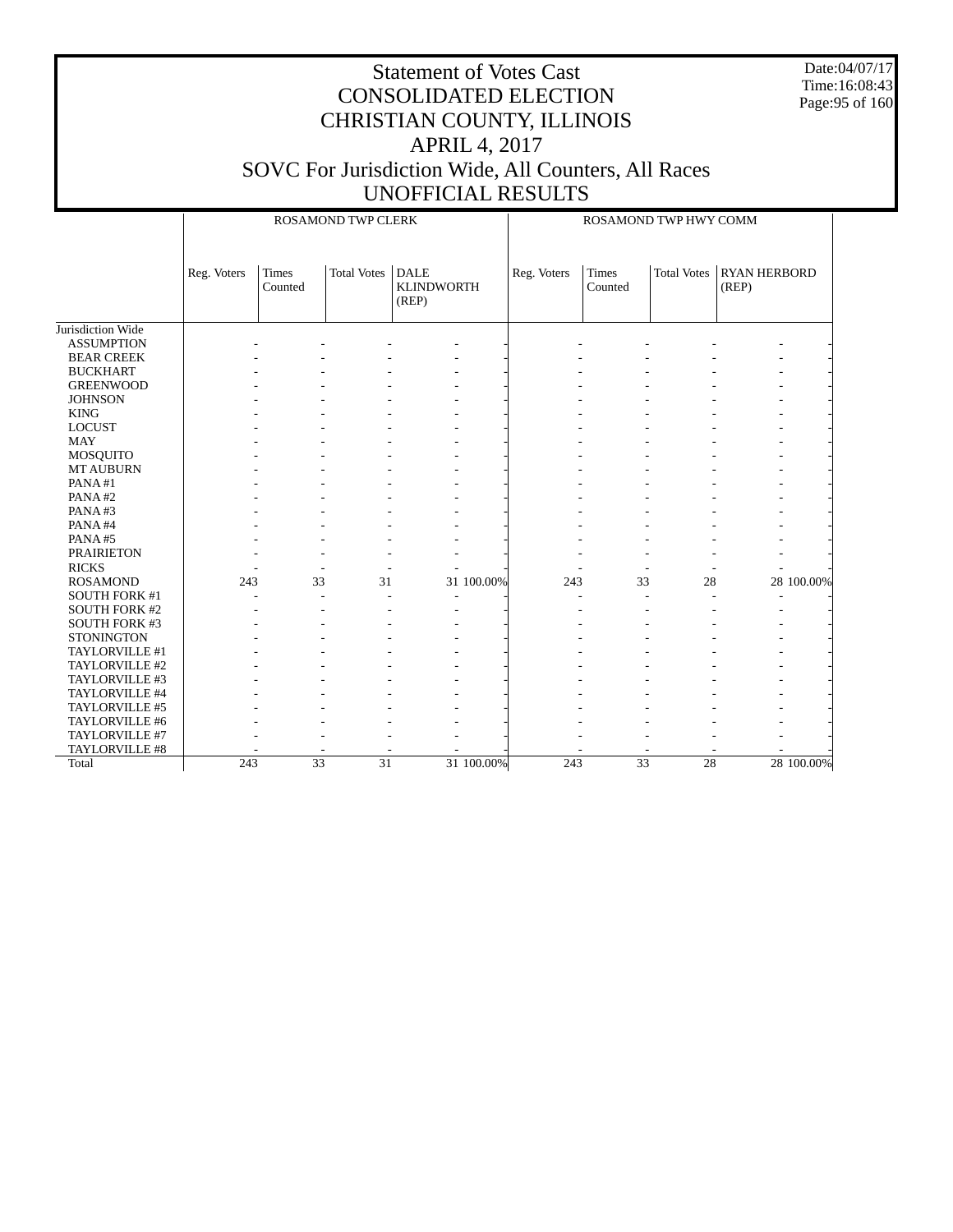Date:04/07/17 Time:16:08:43 Page:95 of 160

|                      |             |                  | <b>ROSAMOND TWP CLERK</b> |                                           |            | ROSAMOND TWP HWY COMM |                         |                                                    |  |            |  |
|----------------------|-------------|------------------|---------------------------|-------------------------------------------|------------|-----------------------|-------------------------|----------------------------------------------------|--|------------|--|
|                      | Reg. Voters | Times<br>Counted | <b>Total Votes</b>        | <b>DALE</b><br><b>KLINDWORTH</b><br>(REP) |            | Reg. Voters           | <b>Times</b><br>Counted | <b>Total Votes</b><br><b>RYAN HERBORD</b><br>(REP) |  |            |  |
| Jurisdiction Wide    |             |                  |                           |                                           |            |                       |                         |                                                    |  |            |  |
| <b>ASSUMPTION</b>    |             |                  |                           |                                           |            |                       |                         |                                                    |  |            |  |
| <b>BEAR CREEK</b>    |             |                  |                           |                                           |            |                       |                         |                                                    |  |            |  |
| <b>BUCKHART</b>      |             |                  |                           |                                           |            |                       |                         |                                                    |  |            |  |
| <b>GREENWOOD</b>     |             |                  |                           |                                           |            |                       |                         |                                                    |  |            |  |
| <b>JOHNSON</b>       |             |                  |                           |                                           |            |                       |                         |                                                    |  |            |  |
| <b>KING</b>          |             |                  |                           |                                           |            |                       |                         |                                                    |  |            |  |
| <b>LOCUST</b>        |             |                  |                           |                                           |            |                       |                         |                                                    |  |            |  |
| <b>MAY</b>           |             |                  |                           |                                           |            |                       |                         |                                                    |  |            |  |
| MOSQUITO             |             |                  |                           |                                           |            |                       |                         |                                                    |  |            |  |
| <b>MT AUBURN</b>     |             |                  |                           |                                           |            |                       |                         |                                                    |  |            |  |
| PANA#1               |             |                  |                           |                                           |            |                       |                         |                                                    |  |            |  |
| PANA#2               |             |                  |                           |                                           |            |                       |                         |                                                    |  |            |  |
| PANA#3               |             |                  |                           |                                           |            |                       |                         |                                                    |  |            |  |
| PANA#4               |             |                  |                           |                                           |            |                       |                         |                                                    |  |            |  |
| PANA#5               |             |                  |                           |                                           |            |                       |                         |                                                    |  |            |  |
| <b>PRAIRIETON</b>    |             |                  |                           |                                           |            |                       |                         |                                                    |  |            |  |
| <b>RICKS</b>         |             |                  |                           |                                           |            |                       |                         |                                                    |  |            |  |
| <b>ROSAMOND</b>      | 243         | 33               | 31                        |                                           | 31 100.00% | 243                   | 33                      | 28                                                 |  | 28 100.00% |  |
| SOUTH FORK #1        |             |                  | $\overline{a}$            | ÷,                                        |            |                       |                         |                                                    |  |            |  |
| <b>SOUTH FORK #2</b> |             |                  |                           |                                           |            |                       |                         |                                                    |  |            |  |
| <b>SOUTH FORK #3</b> |             |                  |                           |                                           |            |                       |                         |                                                    |  |            |  |
| <b>STONINGTON</b>    |             |                  |                           |                                           |            |                       |                         |                                                    |  |            |  |
| TAYLORVILLE #1       |             |                  |                           |                                           |            |                       |                         |                                                    |  |            |  |
| TAYLORVILLE #2       |             |                  |                           |                                           |            |                       |                         |                                                    |  |            |  |
| TAYLORVILLE #3       |             |                  |                           |                                           |            |                       |                         |                                                    |  |            |  |
| TAYLORVILLE #4       |             |                  |                           |                                           |            |                       |                         |                                                    |  |            |  |
| TAYLORVILLE #5       |             |                  |                           |                                           |            |                       |                         |                                                    |  |            |  |
| TAYLORVILLE #6       |             |                  |                           |                                           |            |                       |                         |                                                    |  |            |  |
| TAYLORVILLE #7       |             |                  |                           |                                           |            |                       |                         |                                                    |  |            |  |
| TAYLORVILLE #8       |             |                  |                           |                                           |            |                       |                         |                                                    |  |            |  |
| Total                | 243         | $\overline{33}$  | $\overline{31}$           |                                           | 31 100.00% | 243                   | $\overline{33}$         | 28                                                 |  | 28 100,00% |  |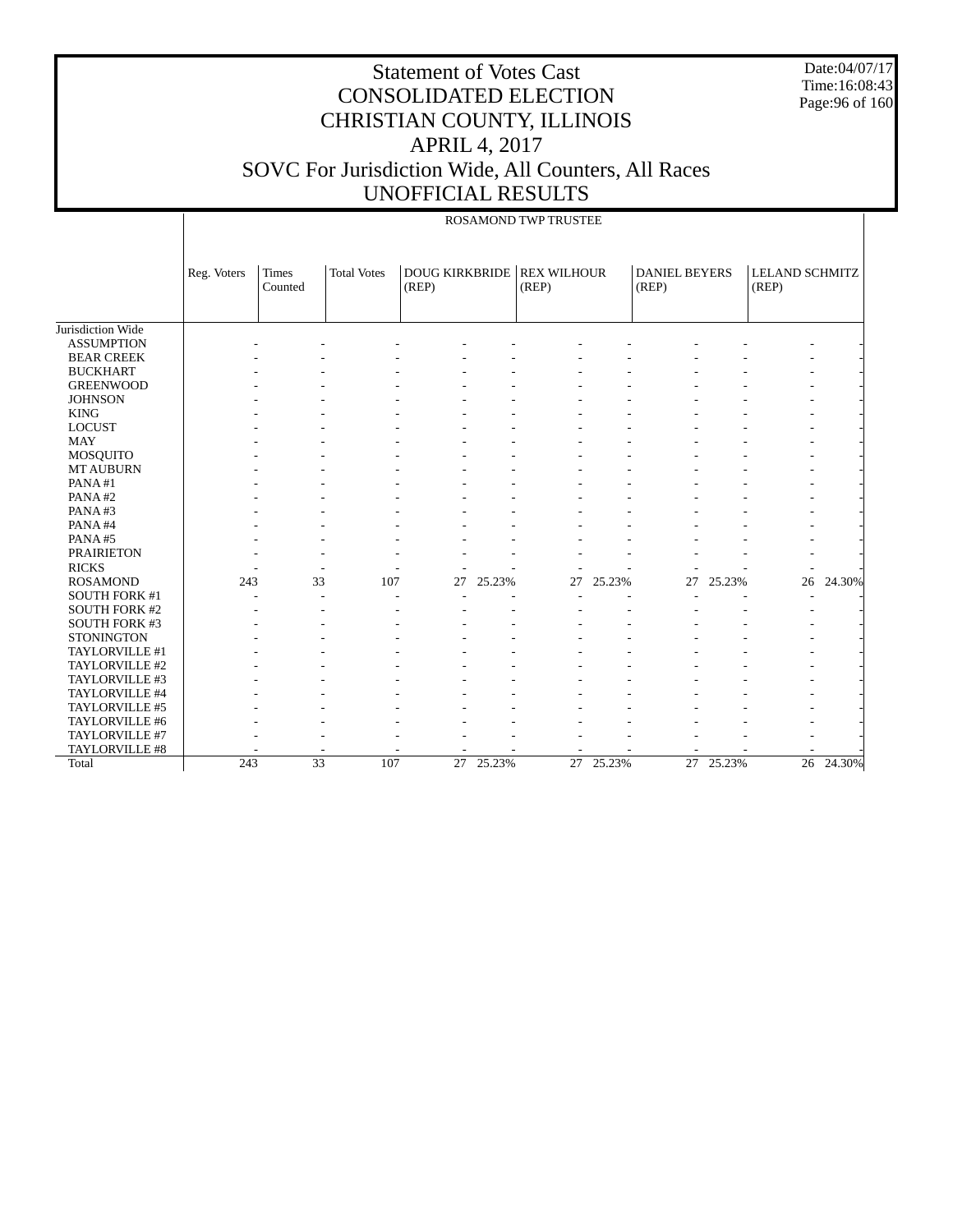Date:04/07/17 Time:16:08:43 Page:96 of 160

|                      |             | <b>ROSAMOND TWP TRUSTEE</b> |                    |                                |        |                             |           |                               |           |                                |           |
|----------------------|-------------|-----------------------------|--------------------|--------------------------------|--------|-----------------------------|-----------|-------------------------------|-----------|--------------------------------|-----------|
|                      | Reg. Voters | Times<br>Counted            | <b>Total Votes</b> | <b>DOUG KIRKBRIDE</b><br>(REP) |        | <b>REX WILHOUR</b><br>(REP) |           | <b>DANIEL BEYERS</b><br>(REP) |           | <b>LELAND SCHMITZ</b><br>(REP) |           |
| Jurisdiction Wide    |             |                             |                    |                                |        |                             |           |                               |           |                                |           |
| <b>ASSUMPTION</b>    |             |                             |                    |                                |        |                             |           |                               |           |                                |           |
| <b>BEAR CREEK</b>    |             |                             |                    |                                |        |                             |           |                               |           |                                |           |
| <b>BUCKHART</b>      |             |                             |                    |                                |        |                             |           |                               |           |                                |           |
| <b>GREENWOOD</b>     |             |                             |                    |                                |        |                             |           |                               |           |                                |           |
| <b>JOHNSON</b>       |             |                             |                    |                                |        |                             |           |                               |           |                                |           |
| <b>KING</b>          |             |                             |                    |                                |        |                             |           |                               |           |                                |           |
| <b>LOCUST</b>        |             |                             |                    |                                |        |                             |           |                               |           |                                |           |
| <b>MAY</b>           |             |                             |                    |                                |        |                             |           |                               |           |                                |           |
| MOSQUITO             |             |                             |                    |                                |        |                             |           |                               |           |                                |           |
| <b>MT AUBURN</b>     |             |                             |                    |                                |        |                             |           |                               |           |                                |           |
| PANA#1               |             |                             |                    |                                |        |                             |           |                               |           |                                |           |
| PANA#2               |             |                             |                    |                                |        |                             |           |                               |           |                                |           |
| PANA#3               |             |                             |                    |                                |        |                             |           |                               |           |                                |           |
| PANA#4               |             |                             |                    |                                |        |                             |           |                               |           |                                |           |
| PANA#5               |             |                             |                    |                                |        |                             |           |                               |           |                                |           |
| <b>PRAIRIETON</b>    |             |                             |                    |                                |        |                             |           |                               |           |                                |           |
| <b>RICKS</b>         |             |                             |                    |                                |        |                             |           |                               |           |                                |           |
| <b>ROSAMOND</b>      | 243         | 33                          | 107                | 27                             | 25.23% | 27                          | 25.23%    | 27                            | 25.23%    | 26                             | 24.30%    |
| <b>SOUTH FORK #1</b> |             |                             |                    |                                |        |                             |           |                               |           |                                |           |
| <b>SOUTH FORK #2</b> |             |                             |                    |                                |        |                             |           |                               |           |                                |           |
| <b>SOUTH FORK #3</b> |             |                             |                    |                                |        |                             |           |                               |           |                                |           |
| <b>STONINGTON</b>    |             |                             |                    |                                |        |                             |           |                               |           |                                |           |
| TAYLORVILLE #1       |             |                             |                    |                                |        |                             |           |                               |           |                                |           |
| TAYLORVILLE #2       |             |                             |                    |                                |        |                             |           |                               |           |                                |           |
| TAYLORVILLE #3       |             |                             |                    |                                |        |                             |           |                               |           |                                |           |
| TAYLORVILLE #4       |             |                             |                    |                                |        |                             |           |                               |           |                                |           |
| TAYLORVILLE #5       |             |                             |                    |                                |        |                             |           |                               |           |                                |           |
| TAYLORVILLE #6       |             |                             |                    |                                |        |                             |           |                               |           |                                |           |
| TAYLORVILLE #7       |             |                             |                    |                                |        |                             |           |                               |           |                                |           |
| TAYLORVILLE #8       |             |                             |                    |                                |        |                             |           |                               |           |                                |           |
| Total                | 243         | $\overline{33}$             | 107                | 27                             | 25.23% |                             | 27 25.23% |                               | 27 25.23% |                                | 26 24.30% |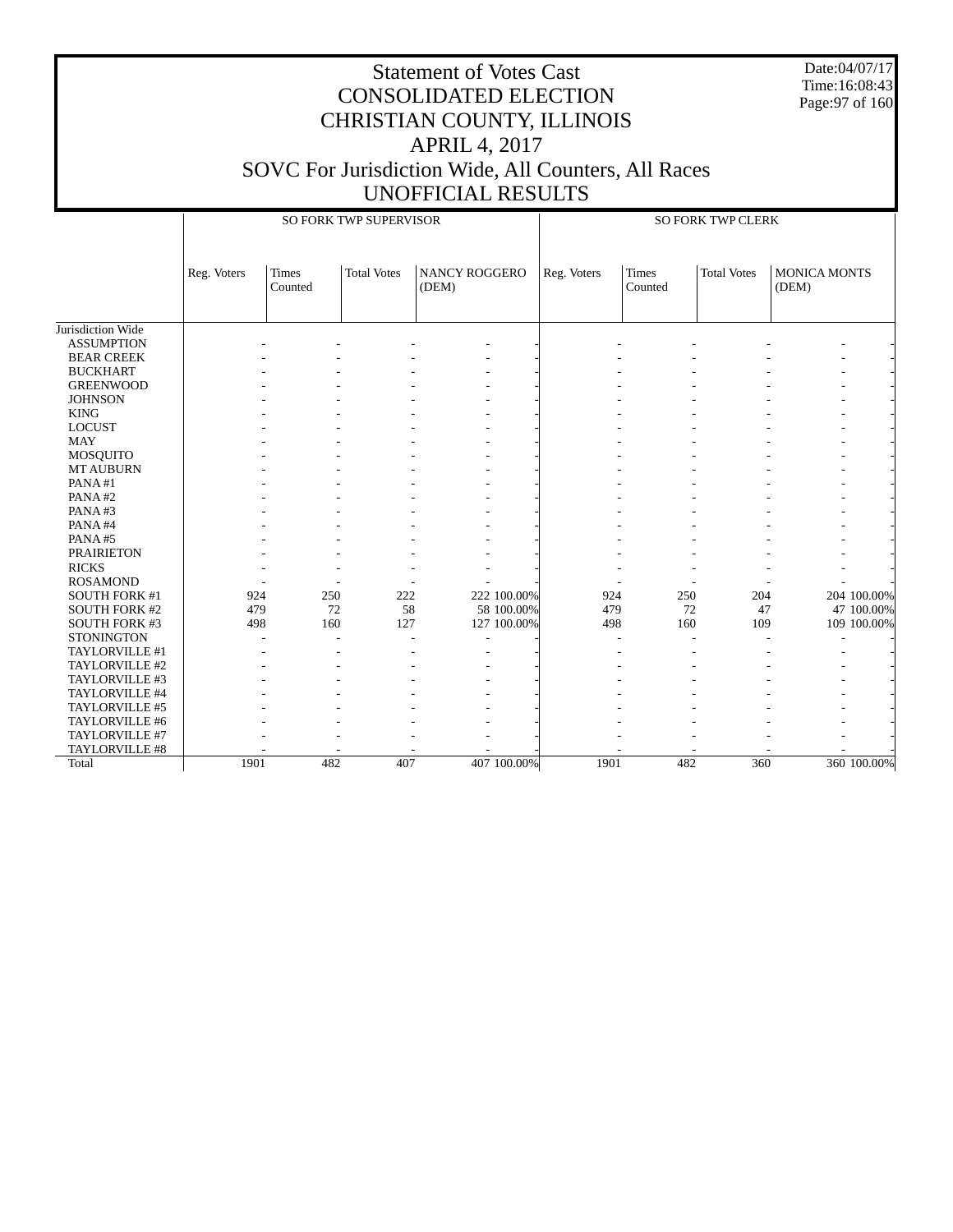Date:04/07/17 Time:16:08:43 Page:97 of 160

#### CONSOLIDATED ELECTION CHRISTIAN COUNTY, ILLINOIS APRIL 4, 2017 SOVC For Jurisdiction Wide, All Counters, All Races UNOFFICIAL RESULTS

Statement of Votes Cast

 Jurisdiction Wide ASSUMPTION BEAR CREEK BUCKHART GREENWOOD **JOHNSON**  KING LOCUST MAY MOSQUITO MT AUBURN PANA #1 PANA #2 PANA #3 PANA #4 PANA #5 PRAIRIETON RICKS ROSAMOND SOUTH FORK #1 SOUTH FORK #2 SOUTH FORK #3 **STONINGTON**  TAYLORVILLE #1 TAYLORVILLE #2 TAYLORVILLE #3 TAYLORVILLE #4 TAYLORVILLE #5 TAYLORVILLE #6 TAYLORVILLE #7 TAYLORVILLE #8 Total Reg. Voters Times Counted Total Votes | NANCY ROGGERO (DEM) SO FORK TWP SUPERVISOR Reg. Voters | Times Counted Total Votes | MONICA MONTS (DEM) SO FORK TWP CLERK - - - - - - - - - - - - - - - - - - - - - - - - - - - - - - - - - - - - - - - - - - - - - - - - - - - - - - - - - - - - - - - - - - - - - - - - - - - - - - - - - - - - - - - - - - - - - - - - - - - - - - - - - - - - - - - - - - - - - - - - - - - - - - - - - - - - - - - - - - - - - - - - - - - - - - - - - - - - - - - - - - - - - - - - - - - - - - - - - - - - 924 250 222 222 100.00% 924 250 204 204 100.00% 479 72 58 58 100.00% 479 72 47 47 100.00% 498 160 127 127 100.00% 498 160 109 109 100.00% - - - - - - - - - - - - - - - - - - - - - - - - - - - - - - - - - - - - - - - - - - - - - - - - - - - - - - - - - - - - - - - - - - - - - - - - - - - - - - - - - - - - - - - - - - 1901 482 407 407 100.00% 1901 482 360 360 100.00%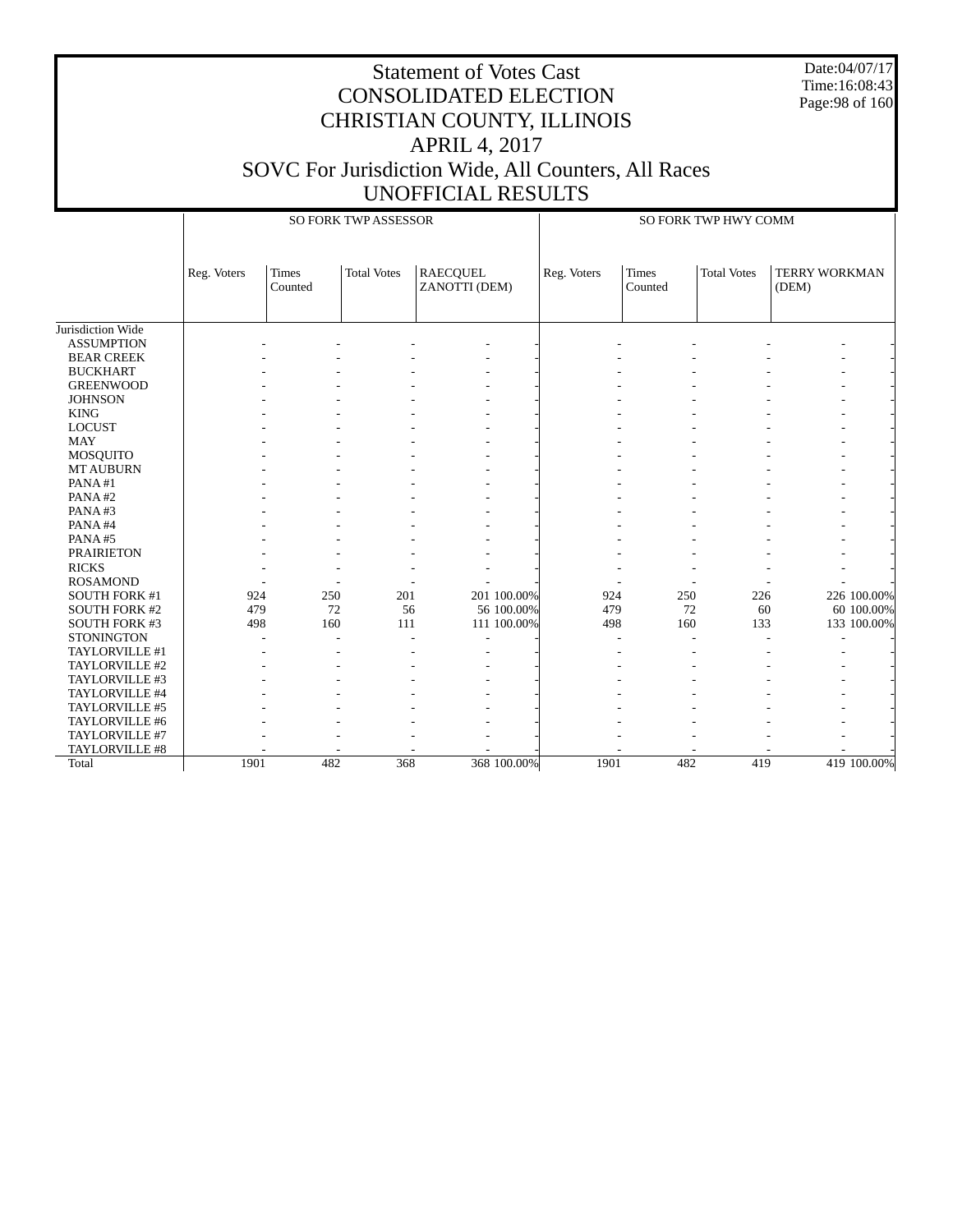Date:04/07/17 Time:16:08:43 Page:98 of 160

|                      |             |                         | SO FORK TWP ASSESSOR |                                  |             |             |                         | SO FORK TWP HWY COMM |                        |             |
|----------------------|-------------|-------------------------|----------------------|----------------------------------|-------------|-------------|-------------------------|----------------------|------------------------|-------------|
|                      | Reg. Voters | <b>Times</b><br>Counted | <b>Total Votes</b>   | <b>RAECQUEL</b><br>ZANOTTI (DEM) |             | Reg. Voters | <b>Times</b><br>Counted | <b>Total Votes</b>   | TERRY WORKMAN<br>(DEM) |             |
| Jurisdiction Wide    |             |                         |                      |                                  |             |             |                         |                      |                        |             |
| <b>ASSUMPTION</b>    |             |                         |                      |                                  |             |             |                         |                      |                        |             |
| <b>BEAR CREEK</b>    |             |                         |                      |                                  |             |             |                         |                      |                        |             |
| <b>BUCKHART</b>      |             |                         |                      |                                  |             |             |                         |                      |                        |             |
| <b>GREENWOOD</b>     |             |                         |                      |                                  |             |             |                         |                      |                        |             |
| <b>JOHNSON</b>       |             |                         |                      |                                  |             |             |                         |                      |                        |             |
| <b>KING</b>          |             |                         |                      |                                  |             |             |                         |                      |                        |             |
| <b>LOCUST</b>        |             |                         |                      |                                  |             |             |                         |                      |                        |             |
| <b>MAY</b>           |             |                         |                      |                                  |             |             |                         |                      |                        |             |
| MOSQUITO             |             |                         |                      |                                  |             |             |                         |                      |                        |             |
| <b>MT AUBURN</b>     |             |                         |                      |                                  |             |             |                         |                      |                        |             |
| PANA#1               |             |                         |                      |                                  |             |             |                         |                      |                        |             |
| PANA#2               |             |                         |                      |                                  |             |             |                         |                      |                        |             |
| PANA#3               |             |                         |                      |                                  |             |             |                         |                      |                        |             |
| PANA#4               |             |                         |                      |                                  |             |             |                         |                      |                        |             |
| PANA#5               |             |                         |                      |                                  |             |             |                         |                      |                        |             |
| <b>PRAIRIETON</b>    |             |                         |                      |                                  |             |             |                         |                      |                        |             |
| <b>RICKS</b>         |             |                         |                      |                                  |             |             |                         |                      |                        |             |
| <b>ROSAMOND</b>      |             |                         |                      |                                  |             |             |                         |                      |                        |             |
| SOUTH FORK #1        | 924         | 250                     | 201                  |                                  | 201 100.00% | 924         | 250                     | 226                  |                        | 226 100.00% |
| SOUTH FORK #2        | 479         | 72                      | 56                   |                                  | 56 100.00%  | 479         | 72                      | 60                   |                        | 60 100.00%  |
| <b>SOUTH FORK #3</b> | 498         | 160                     | 111                  |                                  | 111 100.00% | 498         | 160                     | 133                  |                        | 133 100.00% |
| <b>STONINGTON</b>    |             |                         |                      |                                  |             |             |                         |                      |                        |             |
| TAYLORVILLE #1       |             |                         |                      |                                  |             |             |                         |                      |                        |             |
| TAYLORVILLE #2       |             |                         |                      |                                  |             |             |                         |                      |                        |             |
| TAYLORVILLE #3       |             |                         |                      |                                  |             |             |                         |                      |                        |             |
| TAYLORVILLE #4       |             |                         |                      |                                  |             |             |                         |                      |                        |             |
| TAYLORVILLE #5       |             |                         |                      |                                  |             |             |                         |                      |                        |             |
| TAYLORVILLE #6       |             |                         |                      |                                  |             |             |                         |                      |                        |             |
| TAYLORVILLE #7       |             |                         |                      |                                  |             |             |                         |                      |                        |             |
| TAYLORVILLE #8       |             |                         |                      |                                  |             |             |                         |                      |                        |             |
| Total                | 1901        | 482                     | 368                  |                                  | 368 100.00% | 1901        | 482                     | 419                  |                        | 419 100.00% |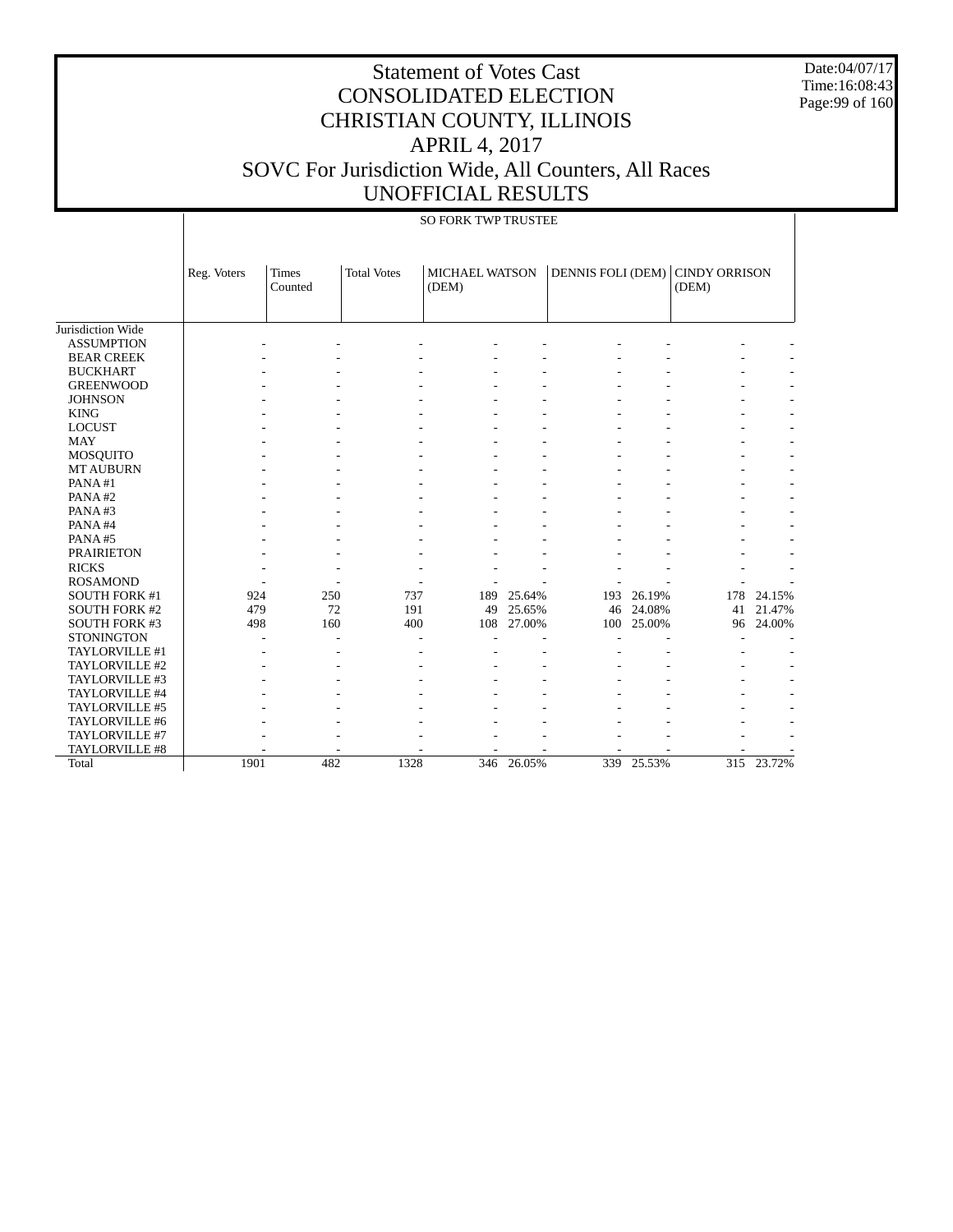Date:04/07/17 Time:16:08:43 Page:99 of 160

|                      |             |                         |                    | SO FORK TWP TRUSTEE            |        |                          |            |                        |            |
|----------------------|-------------|-------------------------|--------------------|--------------------------------|--------|--------------------------|------------|------------------------|------------|
|                      | Reg. Voters | <b>Times</b><br>Counted | <b>Total Votes</b> | <b>MICHAEL WATSON</b><br>(DEM) |        | <b>DENNIS FOLI (DEM)</b> |            | CINDY ORRISON<br>(DEM) |            |
| Jurisdiction Wide    |             |                         |                    |                                |        |                          |            |                        |            |
|                      |             |                         |                    |                                |        |                          |            |                        |            |
| <b>ASSUMPTION</b>    |             |                         |                    |                                |        |                          |            |                        |            |
| <b>BEAR CREEK</b>    |             |                         |                    |                                |        |                          |            |                        |            |
| <b>BUCKHART</b>      |             |                         |                    |                                |        |                          |            |                        |            |
| <b>GREENWOOD</b>     |             |                         |                    |                                |        |                          |            |                        |            |
| <b>JOHNSON</b>       |             |                         |                    |                                |        |                          |            |                        |            |
| <b>KING</b>          |             |                         |                    |                                |        |                          |            |                        |            |
| <b>LOCUST</b>        |             |                         |                    |                                |        |                          |            |                        |            |
| <b>MAY</b>           |             |                         |                    |                                |        |                          |            |                        |            |
| <b>MOSQUITO</b>      |             |                         |                    |                                |        |                          |            |                        |            |
| <b>MT AUBURN</b>     |             |                         |                    |                                |        |                          |            |                        |            |
| PANA#1               |             |                         |                    |                                |        |                          |            |                        |            |
| PANA#2               |             |                         |                    |                                |        |                          |            |                        |            |
| PANA#3               |             |                         |                    |                                |        |                          |            |                        |            |
| PANA#4               |             |                         |                    |                                |        |                          |            |                        |            |
| PANA#5               |             |                         |                    |                                |        |                          |            |                        |            |
| <b>PRAIRIETON</b>    |             |                         |                    |                                |        |                          |            |                        |            |
| <b>RICKS</b>         |             |                         |                    |                                |        |                          |            |                        |            |
| <b>ROSAMOND</b>      |             |                         |                    |                                |        |                          |            |                        |            |
| <b>SOUTH FORK #1</b> | 924         | 250                     | 737                | 189                            | 25.64% | 193                      | 26.19%     | 178                    | 24.15%     |
| <b>SOUTH FORK #2</b> | 479         | 72                      | 191                | 49                             | 25.65% | 46                       | 24.08%     | 41                     | 21.47%     |
| <b>SOUTH FORK #3</b> | 498         | 160                     | 400                | 108                            | 27.00% | 100                      | 25.00%     | 96                     | 24.00%     |
| <b>STONINGTON</b>    |             |                         |                    |                                |        |                          |            |                        |            |
| TAYLORVILLE #1       |             |                         |                    |                                |        |                          |            |                        |            |
| TAYLORVILLE #2       |             |                         |                    |                                |        |                          |            |                        |            |
| TAYLORVILLE #3       |             |                         |                    |                                |        |                          |            |                        |            |
| TAYLORVILLE #4       |             |                         |                    |                                |        |                          |            |                        |            |
| TAYLORVILLE #5       |             |                         |                    |                                |        |                          |            |                        |            |
| TAYLORVILLE #6       |             |                         |                    |                                |        |                          |            |                        |            |
| TAYLORVILLE #7       |             |                         |                    |                                |        |                          |            |                        |            |
| TAYLORVILLE #8       |             |                         |                    |                                |        |                          |            |                        |            |
| Total                | 1901        | 482                     | 1328               | 346                            | 26.05% |                          | 339 25.53% |                        | 315 23.72% |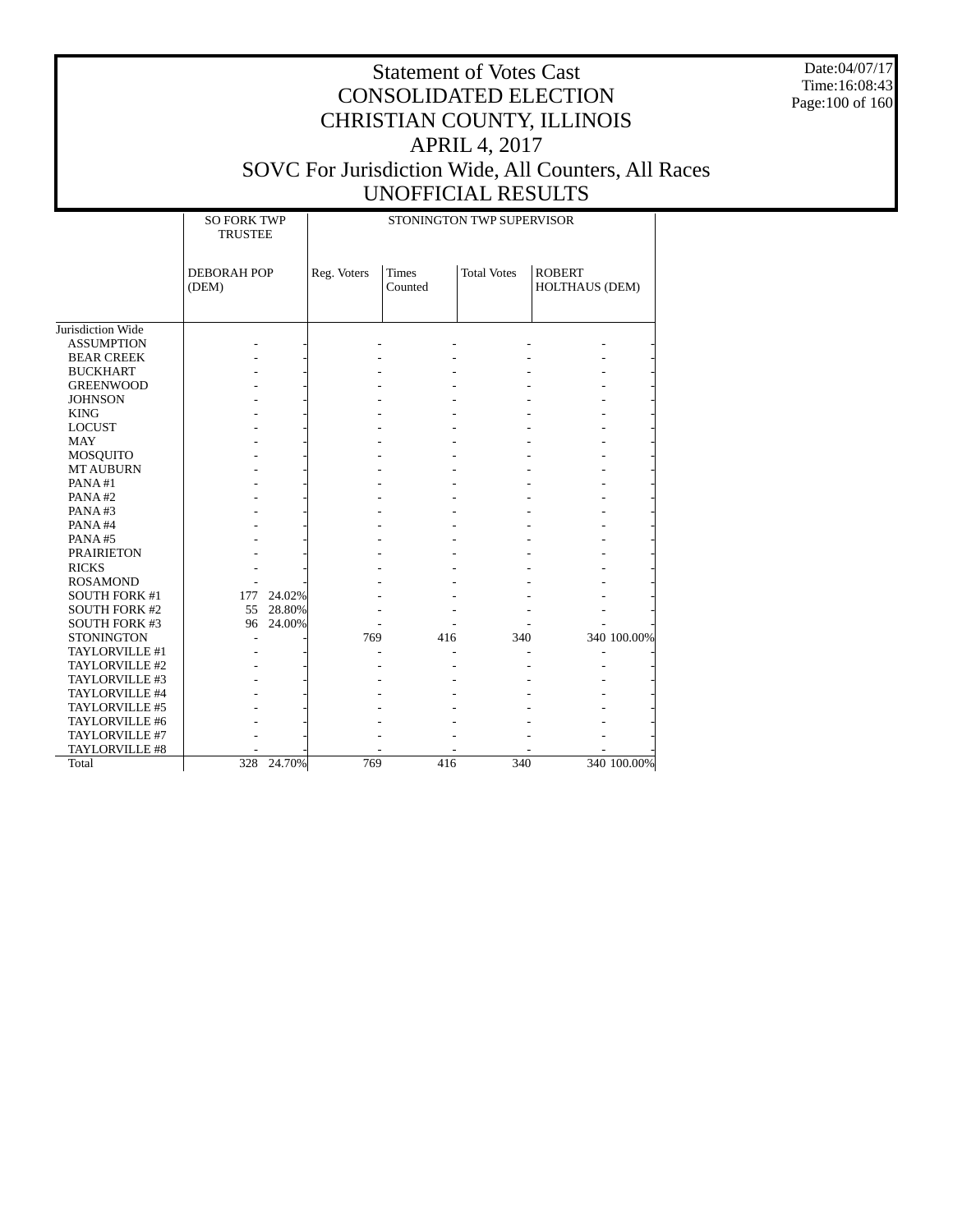Date:04/07/17 Time:16:08:43 Page:100 of 160

|                      | <b>SO FORK TWP</b><br><b>TRUSTEE</b> |        |             |                         | STONINGTON TWP SUPERVISOR |                                 |             |
|----------------------|--------------------------------------|--------|-------------|-------------------------|---------------------------|---------------------------------|-------------|
|                      | <b>DEBORAH POP</b><br>(DEM)          |        | Reg. Voters | <b>Times</b><br>Counted | <b>Total Votes</b>        | <b>ROBERT</b><br>HOLTHAUS (DEM) |             |
| Jurisdiction Wide    |                                      |        |             |                         |                           |                                 |             |
| <b>ASSUMPTION</b>    |                                      |        |             |                         |                           |                                 |             |
| <b>BEAR CREEK</b>    |                                      |        |             |                         |                           |                                 |             |
| <b>BUCKHART</b>      |                                      |        |             |                         |                           |                                 |             |
| <b>GREENWOOD</b>     |                                      |        |             |                         |                           |                                 |             |
| <b>JOHNSON</b>       |                                      |        |             |                         |                           |                                 |             |
| <b>KING</b>          |                                      |        |             |                         |                           |                                 |             |
| <b>LOCUST</b>        |                                      |        |             |                         |                           |                                 |             |
| <b>MAY</b>           |                                      |        |             |                         |                           |                                 |             |
| MOSQUITO             |                                      |        |             |                         |                           |                                 |             |
| <b>MT AUBURN</b>     |                                      |        |             |                         |                           |                                 |             |
| PANA#1               |                                      |        |             |                         |                           |                                 |             |
| PANA#2               |                                      |        |             |                         |                           |                                 |             |
| PANA#3               |                                      |        |             |                         |                           |                                 |             |
| PANA#4               |                                      |        |             |                         |                           |                                 |             |
| PANA#5               |                                      |        |             |                         |                           |                                 |             |
| <b>PRAIRIETON</b>    |                                      |        |             |                         |                           |                                 |             |
| <b>RICKS</b>         |                                      |        |             |                         |                           |                                 |             |
| <b>ROSAMOND</b>      |                                      |        |             |                         |                           |                                 |             |
| <b>SOUTH FORK #1</b> | 177                                  | 24.02% |             |                         |                           |                                 |             |
| <b>SOUTH FORK #2</b> | 55                                   | 28.80% |             |                         |                           |                                 |             |
| SOUTH FORK #3        | 96                                   | 24.00% |             |                         |                           |                                 |             |
| <b>STONINGTON</b>    |                                      |        | 769         | 416                     | 340                       |                                 | 340 100.00% |
| TAYLORVILLE #1       |                                      |        |             |                         |                           |                                 |             |
| TAYLORVILLE #2       |                                      |        |             |                         |                           |                                 |             |
| TAYLORVILLE #3       |                                      |        |             |                         |                           |                                 |             |
| TAYLORVILLE #4       |                                      |        |             |                         |                           |                                 |             |
| TAYLORVILLE #5       |                                      |        |             |                         |                           |                                 |             |
| TAYLORVILLE #6       |                                      |        |             |                         |                           |                                 |             |
| TAYLORVILLE #7       |                                      |        |             |                         |                           |                                 |             |
| TAYLORVILLE #8       |                                      |        |             |                         |                           |                                 |             |
| Total                | 328                                  | 24.70% | 769         | 416                     | $\overline{340}$          |                                 | 340 100.00% |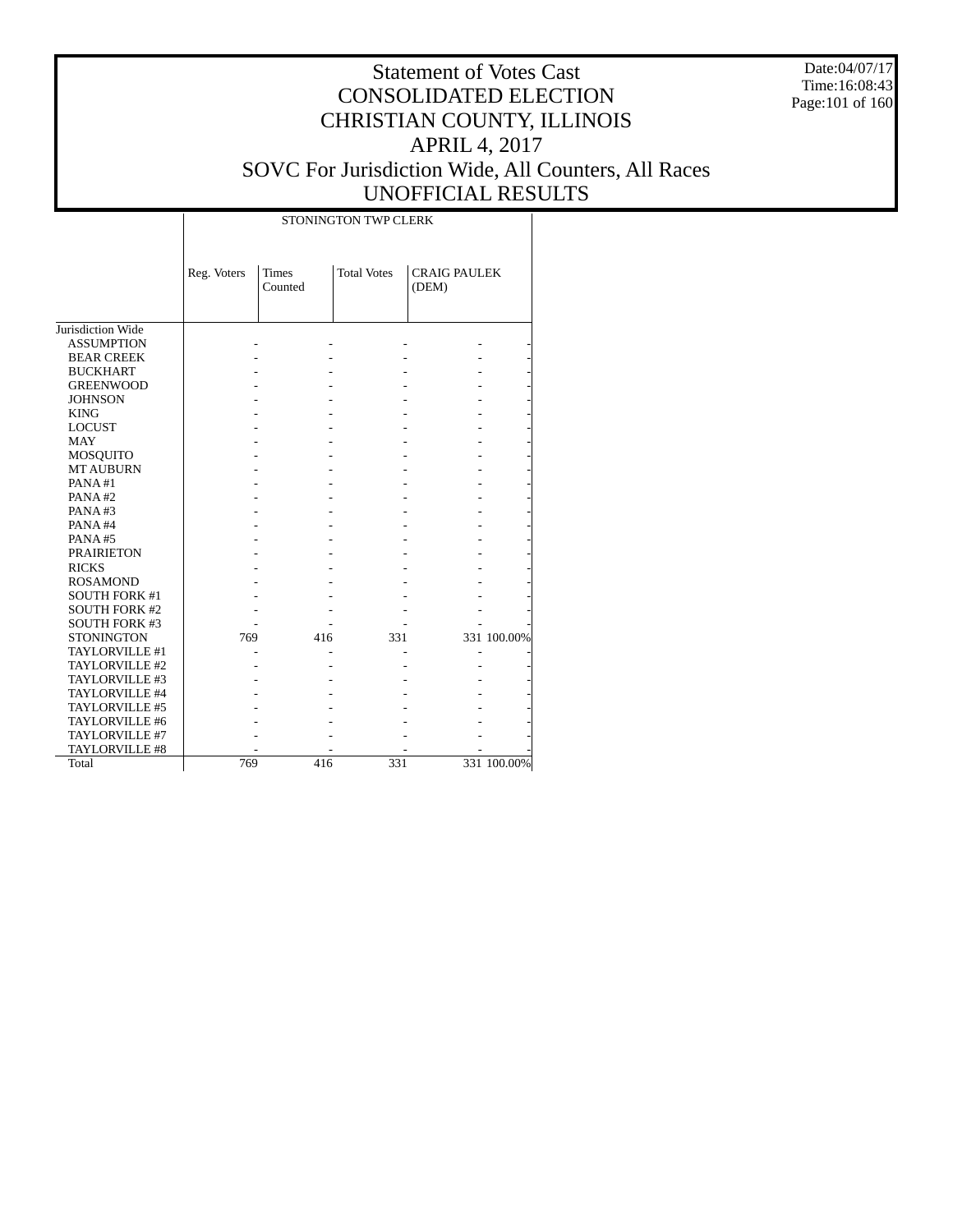Date:04/07/17 Time:16:08:43 Page:101 of 160

|                      |             |                         | STONINGTON TWP CLERK |                              |             |
|----------------------|-------------|-------------------------|----------------------|------------------------------|-------------|
|                      | Reg. Voters | <b>Times</b><br>Counted | <b>Total Votes</b>   | <b>CRAIG PAULEK</b><br>(DEM) |             |
| Jurisdiction Wide    |             |                         |                      |                              |             |
| <b>ASSUMPTION</b>    |             |                         |                      |                              |             |
| <b>BEAR CREEK</b>    |             |                         |                      |                              |             |
| <b>BUCKHART</b>      |             |                         |                      |                              |             |
| <b>GREENWOOD</b>     |             |                         |                      |                              |             |
| <b>JOHNSON</b>       |             |                         |                      |                              |             |
| <b>KING</b>          |             |                         |                      |                              |             |
| <b>LOCUST</b>        |             |                         |                      |                              |             |
| <b>MAY</b>           |             |                         |                      |                              |             |
| <b>MOSQUITO</b>      |             |                         |                      |                              |             |
| <b>MT AUBURN</b>     |             |                         |                      |                              |             |
| PANA#1               |             |                         |                      |                              |             |
| PANA#2               |             |                         |                      |                              |             |
| PANA#3               |             |                         |                      |                              |             |
| PANA#4               |             |                         |                      |                              |             |
| PANA#5               |             |                         |                      |                              |             |
| <b>PRAIRIETON</b>    |             |                         |                      |                              |             |
| <b>RICKS</b>         |             |                         |                      |                              |             |
| <b>ROSAMOND</b>      |             |                         |                      |                              |             |
| <b>SOUTH FORK #1</b> |             |                         |                      |                              |             |
| <b>SOUTH FORK #2</b> |             |                         |                      |                              |             |
| <b>SOUTH FORK #3</b> |             |                         |                      |                              |             |
| <b>STONINGTON</b>    | 769         | 416                     | 331                  |                              | 331 100.00% |
| TAYLORVILLE #1       |             |                         |                      |                              |             |
| TAYLORVILLE #2       |             |                         |                      |                              |             |
| TAYLORVILLE #3       |             |                         |                      |                              |             |
| TAYLORVILLE #4       |             |                         |                      |                              |             |
| TAYLORVILLE #5       |             |                         |                      |                              |             |
| TAYLORVILLE #6       |             |                         |                      |                              |             |
| TAYLORVILLE #7       |             |                         |                      |                              |             |
| TAYLORVILLE #8       |             |                         |                      |                              |             |
| Total                | 769         | 416                     | 331                  |                              | 331 100.00% |
|                      |             |                         |                      |                              |             |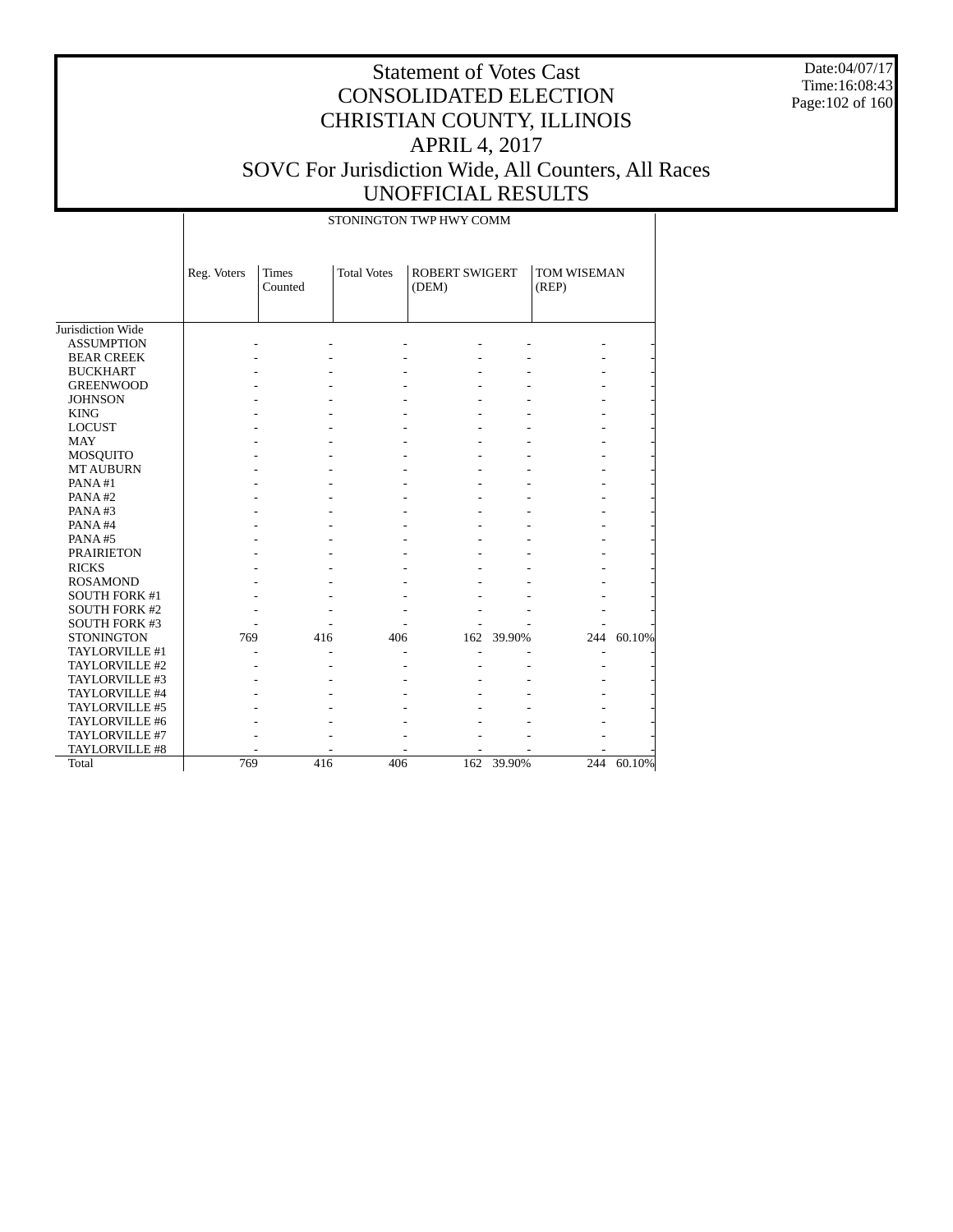Date:04/07/17 Time:16:08:43 Page:102 of 160

|                      |             |                         |                    | STONINGTON TWP HWY COMM        |            |                      |            |
|----------------------|-------------|-------------------------|--------------------|--------------------------------|------------|----------------------|------------|
|                      | Reg. Voters | <b>Times</b><br>Counted | <b>Total Votes</b> | <b>ROBERT SWIGERT</b><br>(DEM) |            | TOM WISEMAN<br>(REP) |            |
| Jurisdiction Wide    |             |                         |                    |                                |            |                      |            |
| <b>ASSUMPTION</b>    |             |                         |                    |                                |            |                      |            |
| <b>BEAR CREEK</b>    |             |                         |                    |                                |            |                      |            |
| <b>BUCKHART</b>      |             |                         |                    |                                |            |                      |            |
| <b>GREENWOOD</b>     |             |                         |                    |                                |            |                      |            |
| <b>JOHNSON</b>       |             |                         |                    |                                |            |                      |            |
| <b>KING</b>          |             |                         |                    |                                |            |                      |            |
| <b>LOCUST</b>        |             |                         |                    |                                |            |                      |            |
| <b>MAY</b>           |             |                         |                    |                                |            |                      |            |
| MOSQUITO             |             |                         |                    |                                |            |                      |            |
| <b>MT AUBURN</b>     |             |                         |                    |                                |            |                      |            |
| PANA#1               |             |                         |                    |                                |            |                      |            |
| PANA#2               |             |                         |                    |                                |            |                      |            |
| PANA#3               |             |                         |                    |                                |            |                      |            |
| PANA#4               |             |                         |                    |                                |            |                      |            |
| PANA#5               |             |                         |                    |                                |            |                      |            |
| <b>PRAIRIETON</b>    |             |                         |                    |                                |            |                      |            |
| <b>RICKS</b>         |             |                         |                    |                                |            |                      |            |
| <b>ROSAMOND</b>      |             |                         |                    |                                |            |                      |            |
| <b>SOUTH FORK #1</b> |             |                         |                    |                                |            |                      |            |
| <b>SOUTH FORK #2</b> |             |                         |                    |                                |            |                      |            |
| <b>SOUTH FORK #3</b> |             |                         |                    |                                |            |                      |            |
| <b>STONINGTON</b>    | 769         | 416                     | 406                |                                | 162 39.90% |                      | 244 60.10% |
| TAYLORVILLE #1       |             |                         |                    |                                |            |                      |            |
| TAYLORVILLE #2       |             |                         |                    |                                |            |                      |            |
| TAYLORVILLE #3       |             |                         |                    |                                |            |                      |            |
| TAYLORVILLE #4       |             |                         |                    |                                |            |                      |            |
| TAYLORVILLE #5       |             |                         |                    |                                |            |                      |            |
| TAYLORVILLE #6       |             |                         |                    |                                |            |                      |            |
| TAYLORVILLE #7       |             |                         |                    |                                |            |                      |            |
| TAYLORVILLE #8       |             |                         |                    |                                |            |                      |            |
| Total                | 769         | 416                     | 406                | 162                            | 39.90%     |                      | 244 60.10% |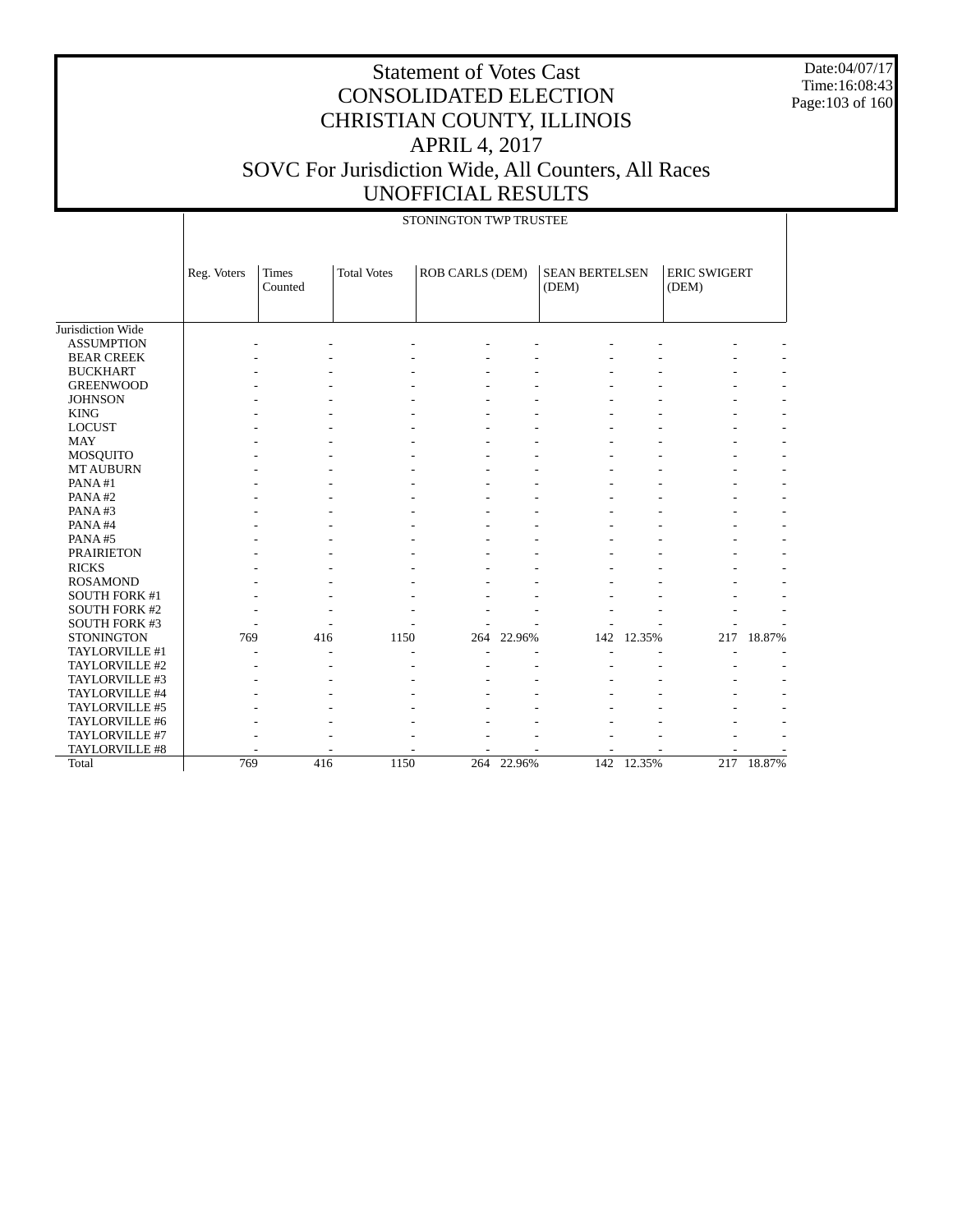Date:04/07/17 Time:16:08:43 Page:103 of 160

|                                     |             |                  |                    | STONINGTON TWP TRUSTEE |        |                                |        |                              |        |
|-------------------------------------|-------------|------------------|--------------------|------------------------|--------|--------------------------------|--------|------------------------------|--------|
|                                     | Reg. Voters | Times<br>Counted | <b>Total Votes</b> | <b>ROB CARLS (DEM)</b> |        | <b>SEAN BERTELSEN</b><br>(DEM) |        | <b>ERIC SWIGERT</b><br>(DEM) |        |
| Jurisdiction Wide                   |             |                  |                    |                        |        |                                |        |                              |        |
| <b>ASSUMPTION</b>                   |             |                  |                    |                        |        |                                |        |                              |        |
| <b>BEAR CREEK</b>                   |             |                  |                    |                        |        |                                |        |                              |        |
| <b>BUCKHART</b>                     |             |                  |                    |                        |        |                                |        |                              |        |
| <b>GREENWOOD</b>                    |             |                  |                    |                        |        |                                |        |                              |        |
| <b>JOHNSON</b>                      |             |                  |                    |                        |        |                                |        |                              |        |
| <b>KING</b>                         |             |                  |                    |                        |        |                                |        |                              |        |
| <b>LOCUST</b>                       |             |                  |                    |                        |        |                                |        |                              |        |
| <b>MAY</b>                          |             |                  |                    |                        |        |                                |        |                              |        |
|                                     |             |                  |                    |                        |        |                                |        |                              |        |
| <b>MOSQUITO</b><br><b>MT AUBURN</b> |             |                  |                    |                        |        |                                |        |                              |        |
| PANA#1                              |             |                  |                    |                        |        |                                |        |                              |        |
| PANA#2                              |             |                  |                    |                        |        |                                |        |                              |        |
| PANA#3                              |             |                  |                    |                        |        |                                |        |                              |        |
|                                     |             |                  |                    |                        |        |                                |        |                              |        |
| PANA#4                              |             |                  |                    |                        |        |                                |        |                              |        |
| PANA#5                              |             |                  |                    |                        |        |                                |        |                              |        |
| <b>PRAIRIETON</b>                   |             |                  |                    |                        |        |                                |        |                              |        |
| <b>RICKS</b>                        |             |                  |                    |                        |        |                                |        |                              |        |
| <b>ROSAMOND</b>                     |             |                  |                    |                        |        |                                |        |                              |        |
| SOUTH FORK #1                       |             |                  |                    |                        |        |                                |        |                              |        |
| <b>SOUTH FORK #2</b>                |             |                  |                    |                        |        |                                |        |                              |        |
| <b>SOUTH FORK #3</b>                |             |                  |                    |                        |        |                                |        |                              |        |
| <b>STONINGTON</b>                   | 769         | 416              | 1150               | 264                    | 22.96% | 142                            | 12.35% | 217                          | 18.87% |
| TAYLORVILLE #1                      |             |                  |                    |                        |        |                                |        |                              |        |
| TAYLORVILLE #2                      |             |                  |                    |                        |        |                                |        |                              |        |
| TAYLORVILLE #3                      |             |                  |                    |                        |        |                                |        |                              |        |
| TAYLORVILLE #4                      |             |                  |                    |                        |        |                                |        |                              |        |
| TAYLORVILLE #5                      |             |                  |                    |                        |        |                                |        |                              |        |
| TAYLORVILLE #6                      |             |                  |                    |                        |        |                                |        |                              |        |
| TAYLORVILLE #7                      |             |                  |                    |                        |        |                                |        |                              |        |
| TAYLORVILLE #8                      |             |                  |                    |                        |        |                                |        |                              |        |
| Total                               | 769         | 416              | 1150               | 264                    | 22.96% | 142                            | 12.35% | 217                          | 18.87% |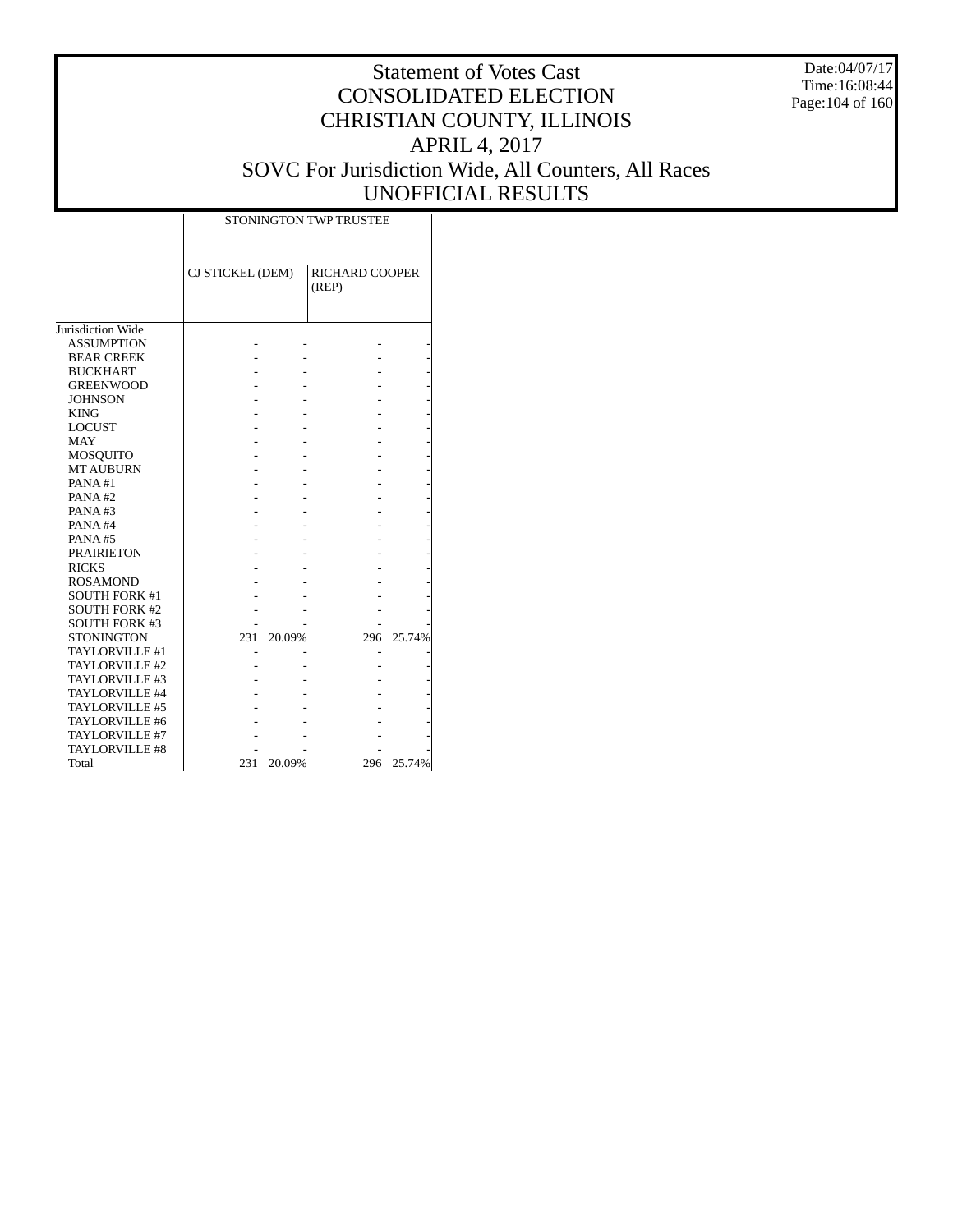Date:04/07/17 Time:16:08:44 Page:104 of 160

|                      | STONINGTON TWP TRUSTEE |        |                         |            |  |  |  |  |  |
|----------------------|------------------------|--------|-------------------------|------------|--|--|--|--|--|
|                      | CJ STICKEL (DEM)       |        | RICHARD COOPER<br>(REP) |            |  |  |  |  |  |
| Jurisdiction Wide    |                        |        |                         |            |  |  |  |  |  |
| <b>ASSUMPTION</b>    |                        |        |                         |            |  |  |  |  |  |
| <b>BEAR CREEK</b>    |                        |        |                         |            |  |  |  |  |  |
| <b>BUCKHART</b>      |                        |        |                         |            |  |  |  |  |  |
| <b>GREENWOOD</b>     |                        |        |                         |            |  |  |  |  |  |
| <b>JOHNSON</b>       |                        |        |                         |            |  |  |  |  |  |
| <b>KING</b>          |                        |        |                         |            |  |  |  |  |  |
| <b>LOCUST</b>        |                        |        |                         |            |  |  |  |  |  |
| <b>MAY</b>           |                        |        |                         |            |  |  |  |  |  |
| <b>MOSQUITO</b>      |                        |        |                         |            |  |  |  |  |  |
| <b>MT AUBURN</b>     |                        |        |                         |            |  |  |  |  |  |
| PANA#1               |                        |        |                         |            |  |  |  |  |  |
| PANA#2               |                        |        |                         |            |  |  |  |  |  |
| PANA#3               |                        |        |                         |            |  |  |  |  |  |
| PANA#4               |                        |        |                         |            |  |  |  |  |  |
| PANA#5               |                        |        |                         |            |  |  |  |  |  |
| <b>PRAIRIETON</b>    |                        |        |                         |            |  |  |  |  |  |
| <b>RICKS</b>         |                        |        |                         |            |  |  |  |  |  |
| <b>ROSAMOND</b>      |                        |        |                         |            |  |  |  |  |  |
| <b>SOUTH FORK #1</b> |                        |        |                         |            |  |  |  |  |  |
| <b>SOUTH FORK #2</b> |                        |        |                         |            |  |  |  |  |  |
| <b>SOUTH FORK #3</b> |                        |        |                         |            |  |  |  |  |  |
| <b>STONINGTON</b>    | 231                    | 20.09% |                         | 296 25.74% |  |  |  |  |  |
| TAYLORVILLE #1       |                        |        |                         |            |  |  |  |  |  |
| TAYLORVILLE #2       |                        |        |                         |            |  |  |  |  |  |
| TAYLORVILLE #3       |                        |        |                         |            |  |  |  |  |  |
| TAYLORVILLE #4       |                        |        |                         |            |  |  |  |  |  |
| TAYLORVILLE #5       |                        |        |                         |            |  |  |  |  |  |
| TAYLORVILLE #6       |                        |        |                         |            |  |  |  |  |  |
| TAYLORVILLE #7       |                        |        |                         |            |  |  |  |  |  |
| TAYLORVILLE #8       |                        |        |                         |            |  |  |  |  |  |
| Total                | 231                    | 20.09% | 296                     | 25.74%     |  |  |  |  |  |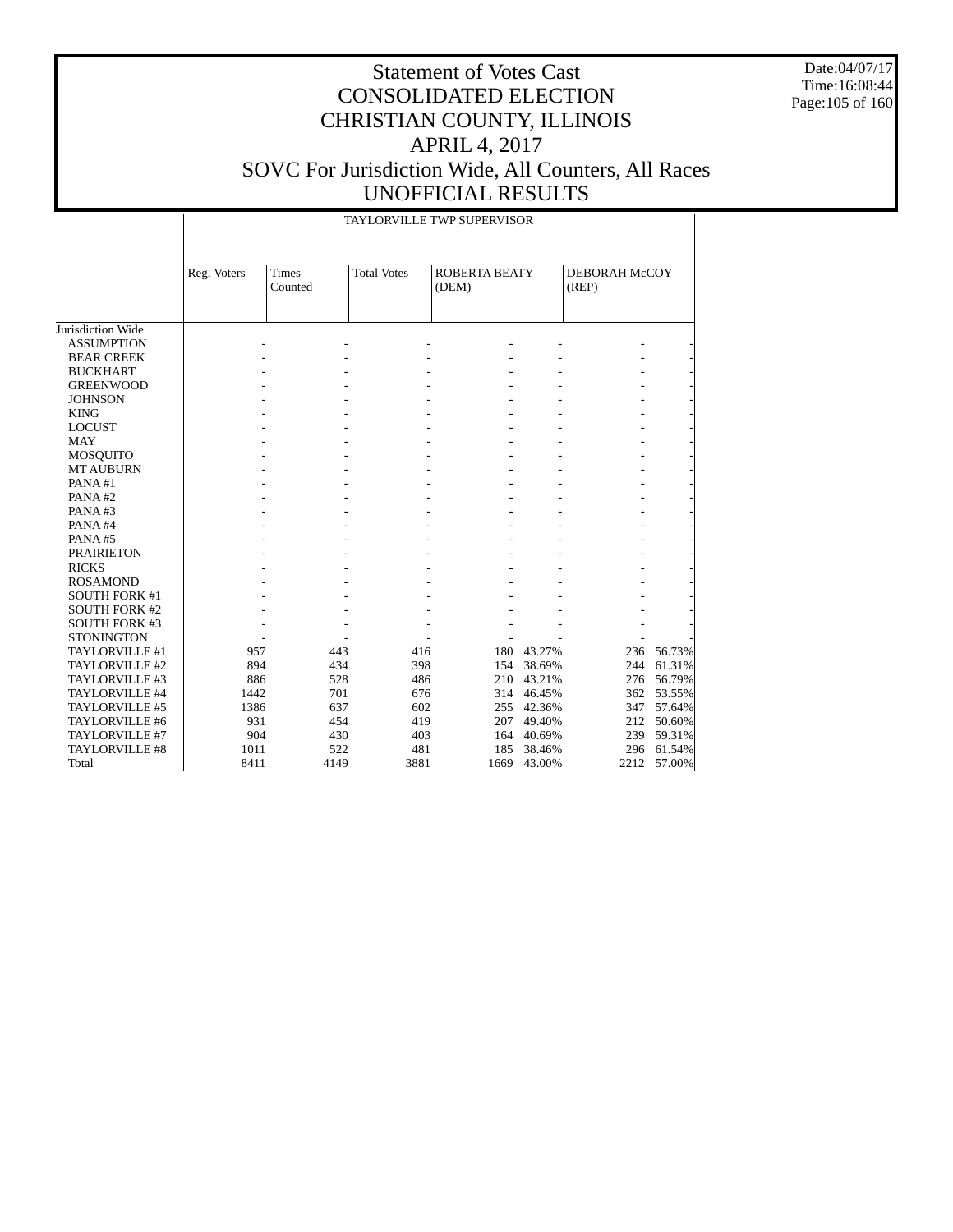Date:04/07/17 Time:16:08:44 Page:105 of 160

|                      |             |                         |                    | <b>TAYLORVILLE TWP SUPERVISOR</b> |            |                        |            |
|----------------------|-------------|-------------------------|--------------------|-----------------------------------|------------|------------------------|------------|
|                      | Reg. Voters | <b>Times</b><br>Counted | <b>Total Votes</b> | <b>ROBERTA BEATY</b><br>(DEM)     |            | DEBORAH McCOY<br>(REP) |            |
|                      |             |                         |                    |                                   |            |                        |            |
|                      |             |                         |                    |                                   |            |                        |            |
| Jurisdiction Wide    |             |                         |                    |                                   |            |                        |            |
| <b>ASSUMPTION</b>    |             |                         |                    |                                   |            |                        |            |
| <b>BEAR CREEK</b>    |             |                         |                    |                                   |            |                        |            |
| <b>BUCKHART</b>      |             |                         |                    |                                   |            |                        |            |
| <b>GREENWOOD</b>     |             |                         |                    |                                   |            |                        |            |
| <b>JOHNSON</b>       |             |                         |                    |                                   |            |                        |            |
| <b>KING</b>          |             |                         |                    |                                   |            |                        |            |
| <b>LOCUST</b>        |             |                         |                    |                                   |            |                        |            |
| <b>MAY</b>           |             |                         |                    |                                   |            |                        |            |
| <b>MOSQUITO</b>      |             |                         |                    |                                   |            |                        |            |
| <b>MT AUBURN</b>     |             |                         |                    |                                   |            |                        |            |
| PANA#1               |             |                         |                    |                                   |            |                        |            |
| PANA#2               |             |                         |                    |                                   |            |                        |            |
| PANA#3               |             |                         |                    |                                   |            |                        |            |
| PANA#4               |             |                         |                    |                                   |            |                        |            |
| PANA#5               |             |                         |                    |                                   |            |                        |            |
| <b>PRAIRIETON</b>    |             |                         |                    |                                   |            |                        |            |
| <b>RICKS</b>         |             |                         |                    |                                   |            |                        |            |
| <b>ROSAMOND</b>      |             |                         |                    |                                   |            |                        |            |
| <b>SOUTH FORK #1</b> |             |                         |                    |                                   |            |                        |            |
| <b>SOUTH FORK #2</b> |             |                         |                    |                                   |            |                        |            |
| <b>SOUTH FORK #3</b> |             |                         |                    |                                   |            |                        |            |
| <b>STONINGTON</b>    |             |                         |                    |                                   |            |                        |            |
| TAYLORVILLE #1       | 957         | 443                     | 416                | 180                               | 43.27%     |                        | 236 56.73% |
| TAYLORVILLE #2       | 894         | 434                     | 398                | 154                               | 38.69%     | 244                    | 61.31%     |
| TAYLORVILLE #3       | 886         | 528                     | 486                | 210                               | 43.21%     |                        | 276 56.79% |
| TAYLORVILLE #4       | 1442        | 701                     | 676                | 314                               | 46.45%     |                        | 362 53.55% |
| TAYLORVILLE #5       | 1386        | 637                     | 602                | 255                               | 42.36%     |                        | 347 57.64% |
| TAYLORVILLE #6       | 931         | 454                     | 419                |                                   | 207 49.40% |                        | 212 50.60% |
| TAYLORVILLE #7       | 904         | 430                     | 403                |                                   | 164 40.69% | 239                    | 59.31%     |
| TAYLORVILLE #8       | 1011        | 522                     | 481                | 185                               | 38.46%     |                        | 296 61.54% |
| Total                | 8411        | 4149                    | 3881               | 1669                              | 43.00%     | 2212                   | 57.00%     |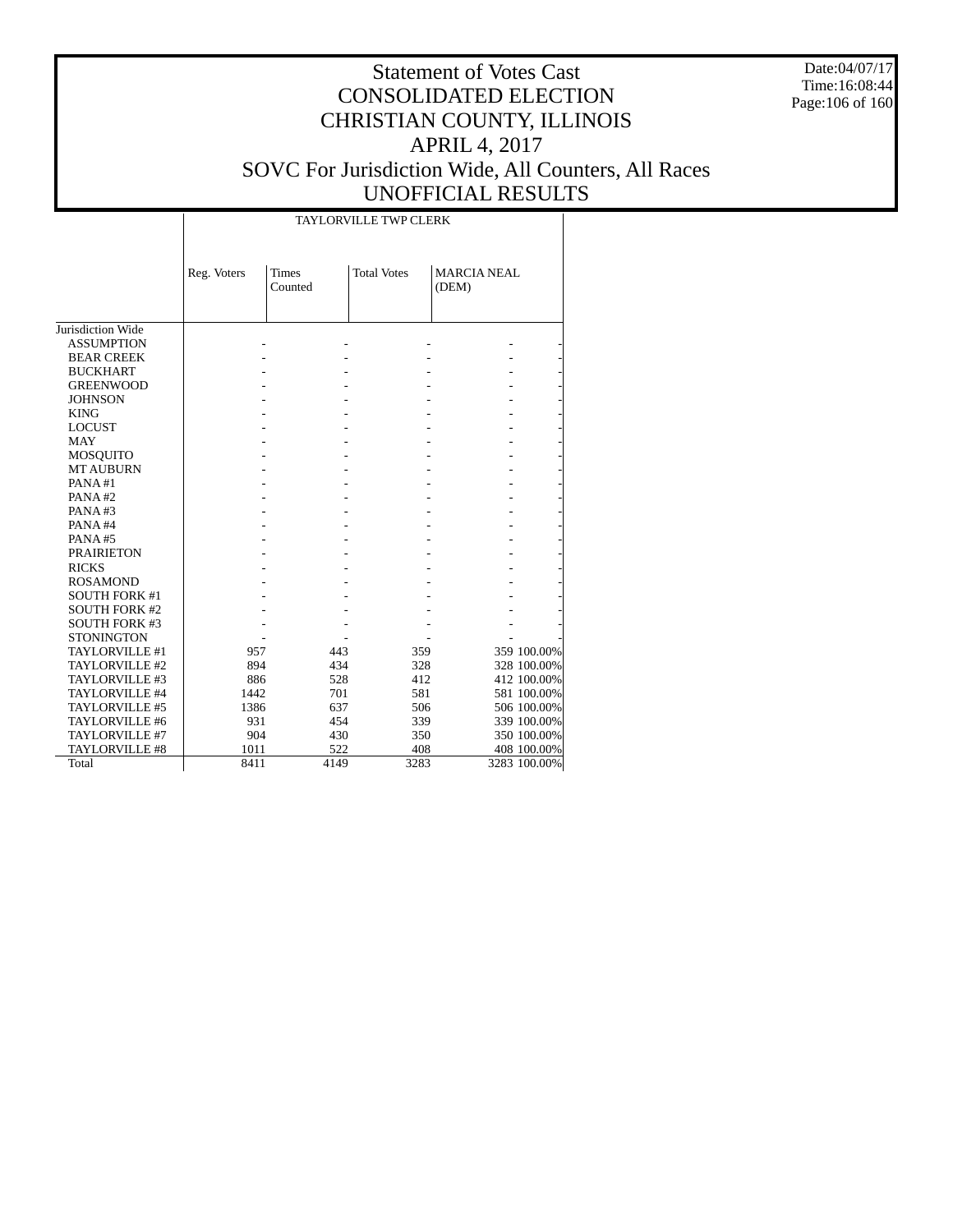Date:04/07/17 Time:16:08:44 Page:106 of 160

| <b>TAYLORVILLE TWP CLERK</b> |  |
|------------------------------|--|

|                      | Reg. Voters | <b>Times</b><br>Counted | <b>Total Votes</b> | <b>MARCIA NEAL</b><br>(DEM) |              |
|----------------------|-------------|-------------------------|--------------------|-----------------------------|--------------|
| Jurisdiction Wide    |             |                         |                    |                             |              |
| <b>ASSUMPTION</b>    |             |                         |                    |                             |              |
| <b>BEAR CREEK</b>    |             |                         |                    |                             |              |
| <b>BUCKHART</b>      |             |                         |                    |                             |              |
| <b>GREENWOOD</b>     |             |                         |                    |                             |              |
| <b>JOHNSON</b>       |             |                         |                    |                             |              |
| <b>KING</b>          |             |                         |                    |                             |              |
| <b>LOCUST</b>        |             |                         |                    |                             |              |
| <b>MAY</b>           |             |                         |                    |                             |              |
| MOSQUITO             |             |                         |                    |                             |              |
| <b>MT AUBURN</b>     |             |                         |                    |                             |              |
| PANA#1               |             |                         |                    |                             |              |
| PANA#2               |             |                         |                    |                             |              |
| PANA#3               |             |                         |                    |                             |              |
| PANA#4               |             |                         |                    |                             |              |
| PANA#5               |             |                         |                    |                             |              |
| <b>PRAIRIETON</b>    |             |                         |                    |                             |              |
| <b>RICKS</b>         |             |                         |                    |                             |              |
| <b>ROSAMOND</b>      |             |                         |                    |                             |              |
| <b>SOUTH FORK #1</b> |             |                         |                    |                             |              |
| <b>SOUTH FORK #2</b> |             |                         |                    |                             |              |
| <b>SOUTH FORK #3</b> |             |                         |                    |                             |              |
| <b>STONINGTON</b>    |             |                         |                    |                             |              |
| TAYLORVILLE #1       | 957         | 443                     | 359                |                             | 359 100.00%  |
| TAYLORVILLE #2       | 894         | 434                     | 328                |                             | 328 100.00%  |
| TAYLORVILLE #3       | 886         | 528                     | 412                |                             | 412 100.00%  |
| TAYLORVILLE #4       | 1442        | 701                     | 581                |                             | 581 100.00%  |
| TAYLORVILLE #5       | 1386        | 637                     | 506                |                             | 506 100.00%  |
| TAYLORVILLE #6       | 931         | 454                     | 339                |                             | 339 100.00%  |
| TAYLORVILLE #7       | 904         | 430                     | 350                |                             | 350 100.00%  |
| TAYLORVILLE #8       | 1011        | 522                     | 408                |                             | 408 100.00%  |
| Total                | 8411        | 4149                    | 3283               |                             | 3283 100.00% |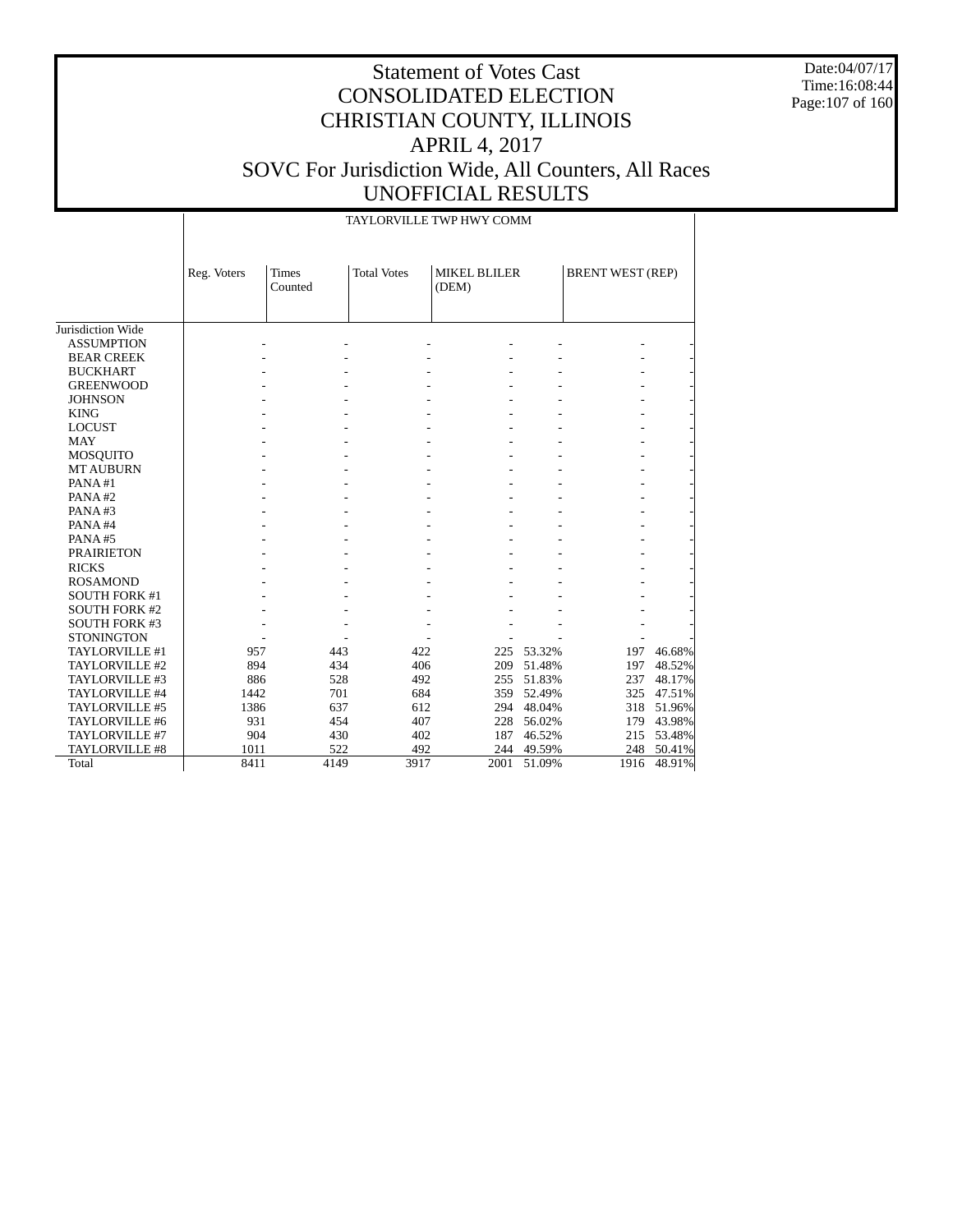Date:04/07/17 Time:16:08:44 Page:107 of 160

|                                        |             |                         |                    | TAYLORVILLE TWP HWY COMM     |        |                         |        |
|----------------------------------------|-------------|-------------------------|--------------------|------------------------------|--------|-------------------------|--------|
|                                        | Reg. Voters | <b>Times</b><br>Counted | <b>Total Votes</b> | <b>MIKEL BLILER</b><br>(DEM) |        | <b>BRENT WEST (REP)</b> |        |
|                                        |             |                         |                    |                              |        |                         |        |
| Jurisdiction Wide<br><b>ASSUMPTION</b> |             |                         |                    |                              |        |                         |        |
|                                        |             |                         |                    |                              |        |                         |        |
| <b>BEAR CREEK</b>                      |             |                         |                    |                              |        |                         |        |
| <b>BUCKHART</b>                        |             |                         |                    |                              |        |                         |        |
| <b>GREENWOOD</b>                       |             |                         |                    |                              |        |                         |        |
| <b>JOHNSON</b>                         |             |                         |                    |                              |        |                         |        |
| <b>KING</b>                            |             |                         |                    |                              |        |                         |        |
| <b>LOCUST</b>                          |             |                         |                    |                              |        |                         |        |
| <b>MAY</b>                             |             |                         |                    |                              |        |                         |        |
| <b>MOSQUITO</b>                        |             |                         |                    |                              |        |                         |        |
| <b>MT AUBURN</b>                       |             |                         |                    |                              |        |                         |        |
| PANA#1                                 |             |                         |                    |                              |        |                         |        |
| PANA#2                                 |             |                         |                    |                              |        |                         |        |
| PANA#3                                 |             |                         |                    |                              |        |                         |        |
| PANA#4                                 |             |                         |                    |                              |        |                         |        |
| PANA#5                                 |             |                         |                    |                              |        |                         |        |
| <b>PRAIRIETON</b>                      |             |                         |                    |                              |        |                         |        |
| <b>RICKS</b>                           |             |                         |                    |                              |        |                         |        |
| <b>ROSAMOND</b>                        |             |                         |                    |                              |        |                         |        |
| <b>SOUTH FORK #1</b>                   |             |                         |                    |                              |        |                         |        |
| <b>SOUTH FORK #2</b>                   |             |                         |                    |                              |        |                         |        |
| <b>SOUTH FORK #3</b>                   |             |                         |                    |                              |        |                         |        |
| <b>STONINGTON</b>                      |             |                         |                    |                              |        |                         |        |
| TAYLORVILLE #1                         | 957         | 443                     | 422                | 225                          | 53.32% | 197                     | 46.68% |
| TAYLORVILLE #2                         | 894         | 434                     | 406                | 209                          | 51.48% | 197                     | 48.52% |
| TAYLORVILLE #3                         | 886         | 528                     | 492                | 255                          | 51.83% | 237                     | 48.17% |
| TAYLORVILLE #4                         | 1442        | 701                     | 684                | 359                          | 52.49% | 325                     | 47.51% |
| TAYLORVILLE #5                         | 1386        | 637                     | 612                | 294                          | 48.04% | 318                     | 51.96% |
| TAYLORVILLE #6                         | 931         | 454                     | 407                | 228                          | 56.02% | 179                     | 43.98% |
| TAYLORVILLE #7                         | 904         | 430                     | 402                | 187                          | 46.52% | 215                     | 53.48% |
| <b>TAYLORVILLE #8</b>                  | 1011        | 522                     | 492                | 244                          | 49.59% | 248                     | 50.41% |
| Total                                  | 8411        | 4149                    | 3917               | 2001                         | 51.09% | 1916                    | 48.91% |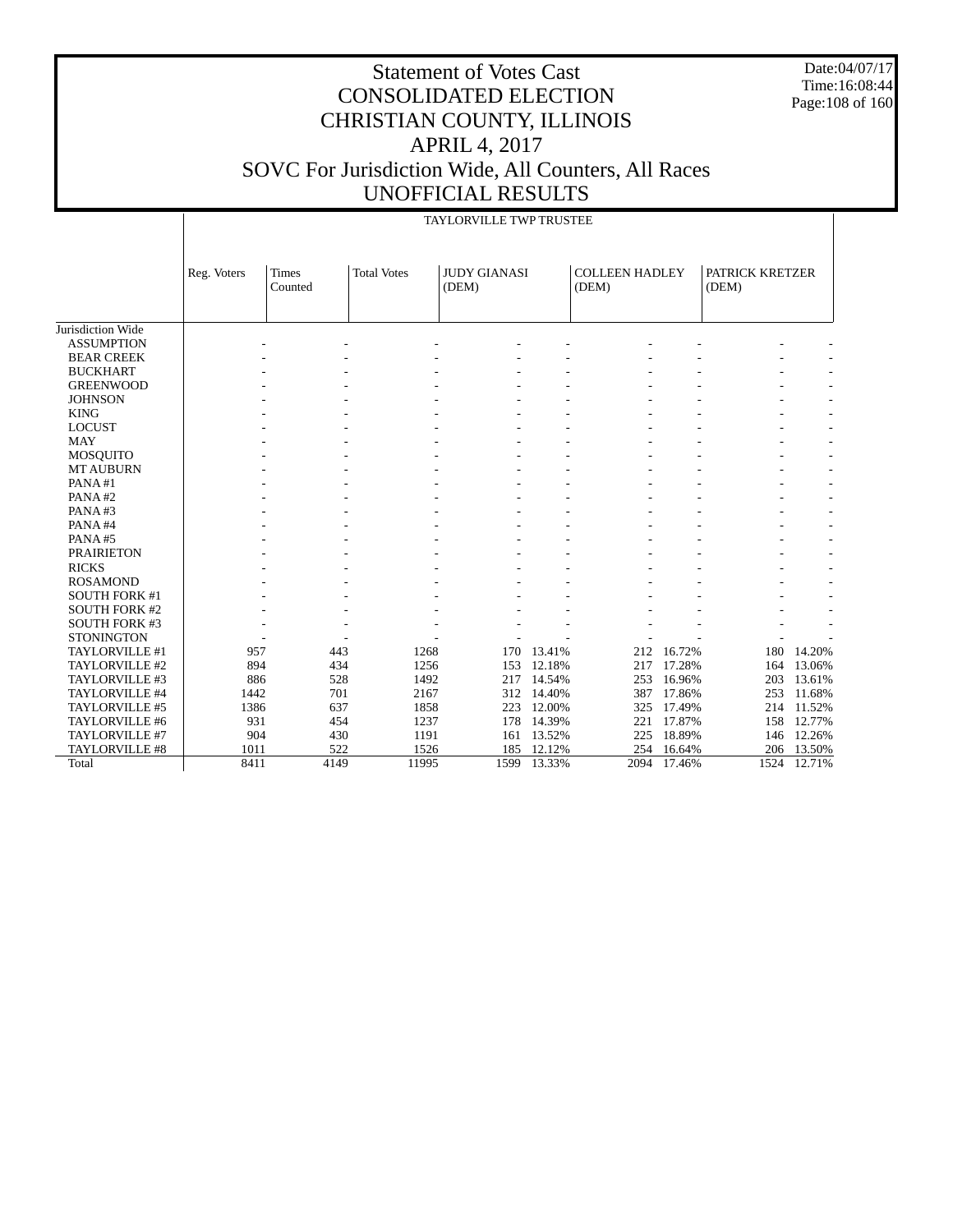Date:04/07/17 Time:16:08:44 Page:108 of 160

## Statement of Votes Cast CONSOLIDATED ELECTION CHRISTIAN COUNTY, ILLINOIS APRIL 4, 2017 SOVC For Jurisdiction Wide, All Counters, All Races UNOFFICIAL RESULTS

TAYLORVILLE TWP TRUSTEE

|                      |             |                         |                    | IAYLORVILLE I WP I RUSTEE    |        |                                |        |                          |        |
|----------------------|-------------|-------------------------|--------------------|------------------------------|--------|--------------------------------|--------|--------------------------|--------|
|                      | Reg. Voters | <b>Times</b><br>Counted | <b>Total Votes</b> | <b>JUDY GIANASI</b><br>(DEM) |        | <b>COLLEEN HADLEY</b><br>(DEM) |        | PATRICK KRETZER<br>(DEM) |        |
| Jurisdiction Wide    |             |                         |                    |                              |        |                                |        |                          |        |
| <b>ASSUMPTION</b>    |             |                         |                    |                              |        |                                |        |                          |        |
| <b>BEAR CREEK</b>    |             |                         |                    |                              |        |                                |        |                          |        |
| <b>BUCKHART</b>      |             |                         |                    |                              |        |                                |        |                          |        |
| <b>GREENWOOD</b>     |             |                         |                    |                              |        |                                |        |                          |        |
| <b>JOHNSON</b>       |             |                         |                    |                              |        |                                |        |                          |        |
| <b>KING</b>          |             |                         |                    |                              |        |                                |        |                          |        |
| <b>LOCUST</b>        |             |                         |                    |                              |        |                                |        |                          |        |
| <b>MAY</b>           |             |                         |                    |                              |        |                                |        |                          |        |
| MOSQUITO             |             |                         |                    |                              |        |                                |        |                          |        |
| <b>MT AUBURN</b>     |             |                         |                    |                              |        |                                |        |                          |        |
| PANA#1               |             |                         |                    |                              |        |                                |        |                          |        |
| PANA#2               |             |                         |                    |                              |        |                                |        |                          |        |
| PANA#3               |             |                         |                    |                              |        |                                |        |                          |        |
| PANA#4               |             |                         |                    |                              |        |                                |        |                          |        |
| PANA#5               |             |                         |                    |                              |        |                                |        |                          |        |
| <b>PRAIRIETON</b>    |             |                         |                    |                              |        |                                |        |                          |        |
| <b>RICKS</b>         |             |                         |                    |                              |        |                                |        |                          |        |
| <b>ROSAMOND</b>      |             |                         |                    |                              |        |                                |        |                          |        |
| <b>SOUTH FORK #1</b> |             |                         |                    |                              |        |                                |        |                          |        |
| <b>SOUTH FORK #2</b> |             |                         |                    |                              |        |                                |        |                          |        |
| <b>SOUTH FORK #3</b> |             |                         |                    |                              |        |                                |        |                          |        |
| <b>STONINGTON</b>    |             |                         |                    |                              |        |                                |        |                          |        |
| TAYLORVILLE #1       | 957         | 443                     | 1268               | 170                          | 13.41% | 212                            | 16.72% | 180                      | 14.20% |
| TAYLORVILLE #2       | 894         | 434                     | 1256               | 153                          | 12.18% | 217                            | 17.28% | 164                      | 13.06% |
| TAYLORVILLE #3       | 886         | 528                     | 1492               | 217                          | 14.54% | 253                            | 16.96% | 203                      | 13.61% |
| TAYLORVILLE #4       | 1442        | 701                     | 2167               | 312                          | 14.40% | 387                            | 17.86% | 253                      | 11.68% |
| TAYLORVILLE #5       | 1386        | 637                     | 1858               | 223                          | 12.00% | 325                            | 17.49% | 214                      | 11.52% |
| TAYLORVILLE #6       | 931         | 454                     | 1237               | 178                          | 14.39% | 221                            | 17.87% | 158                      | 12.77% |
| TAYLORVILLE #7       | 904         | 430                     | 1191               | 161                          | 13.52% | 225                            | 18.89% | 146                      | 12.26% |
| TAYLORVILLE #8       | 1011        | 522                     | 1526               | 185                          | 12.12% | 254                            | 16.64% | 206                      | 13.50% |
| Total                | 8411        | 4149                    | 11995              | 1599                         | 13.33% | 2094                           | 17.46% | 1524                     | 12.71% |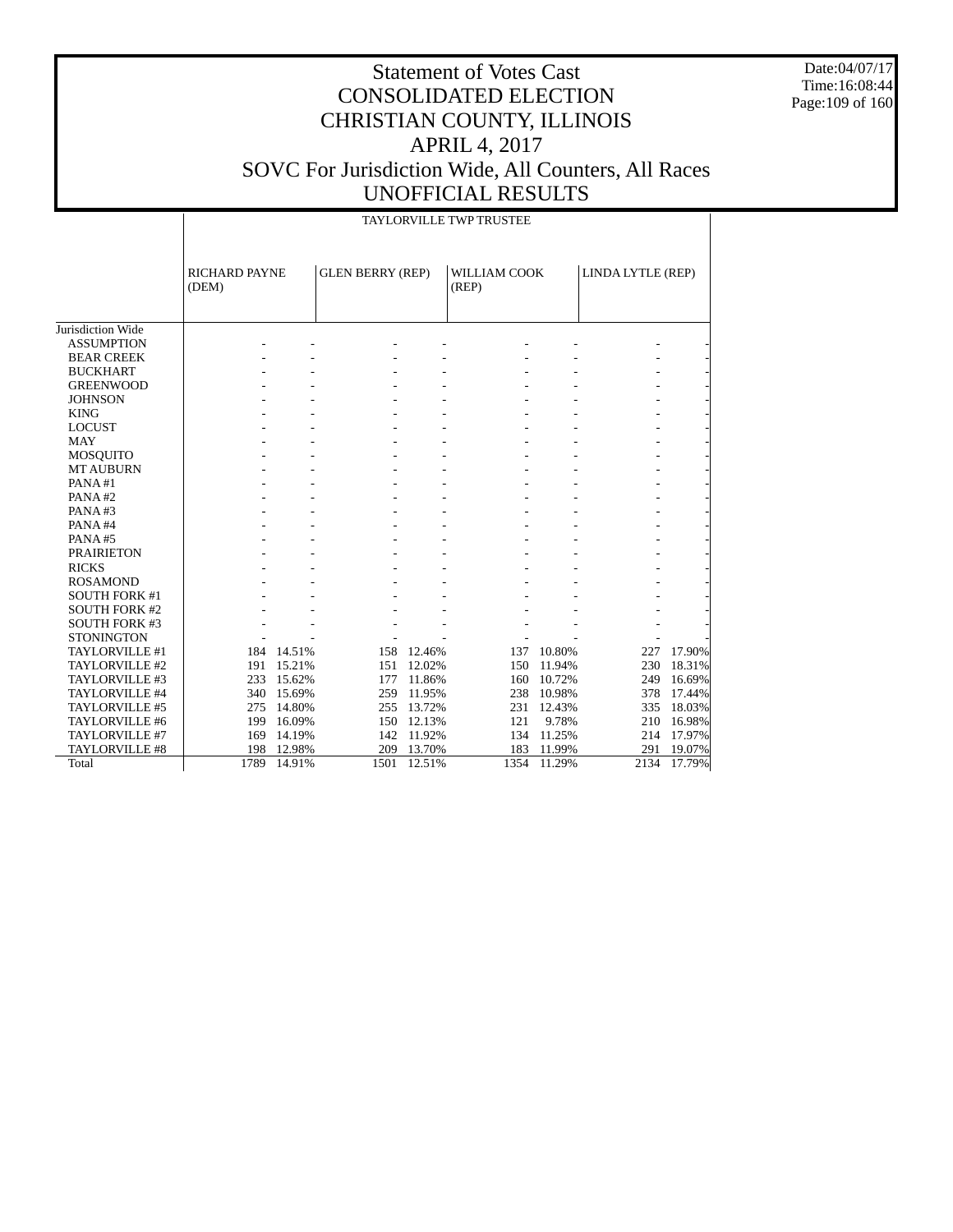Date:04/07/17 Time:16:08:44 Page:109 of 160

|                      |                               | <b>TAYLORVILLE TWP TRUSTEE</b> |                         |            |                       |        |                   |        |  |  |  |  |
|----------------------|-------------------------------|--------------------------------|-------------------------|------------|-----------------------|--------|-------------------|--------|--|--|--|--|
|                      | <b>RICHARD PAYNE</b><br>(DEM) |                                | <b>GLEN BERRY (REP)</b> |            | WILLIAM COOK<br>(REP) |        | LINDA LYTLE (REP) |        |  |  |  |  |
| Jurisdiction Wide    |                               |                                |                         |            |                       |        |                   |        |  |  |  |  |
| <b>ASSUMPTION</b>    |                               |                                |                         |            |                       |        |                   |        |  |  |  |  |
| <b>BEAR CREEK</b>    |                               |                                |                         |            |                       |        |                   |        |  |  |  |  |
| <b>BUCKHART</b>      |                               |                                |                         |            |                       |        |                   |        |  |  |  |  |
| <b>GREENWOOD</b>     |                               |                                |                         |            |                       |        |                   |        |  |  |  |  |
| <b>JOHNSON</b>       |                               |                                |                         |            |                       |        |                   |        |  |  |  |  |
| <b>KING</b>          |                               |                                |                         |            |                       |        |                   |        |  |  |  |  |
| <b>LOCUST</b>        |                               |                                |                         |            |                       |        |                   |        |  |  |  |  |
| <b>MAY</b>           |                               |                                |                         |            |                       |        |                   |        |  |  |  |  |
| <b>MOSQUITO</b>      |                               |                                |                         |            |                       |        |                   |        |  |  |  |  |
| <b>MT AUBURN</b>     |                               |                                |                         |            |                       |        |                   |        |  |  |  |  |
| PANA#1               |                               |                                |                         |            |                       |        |                   |        |  |  |  |  |
| PANA#2               |                               |                                |                         |            |                       |        |                   |        |  |  |  |  |
| PANA#3               |                               |                                |                         |            |                       |        |                   |        |  |  |  |  |
| PANA#4               |                               |                                |                         |            |                       |        |                   |        |  |  |  |  |
| PANA#5               |                               |                                |                         |            |                       |        |                   |        |  |  |  |  |
| <b>PRAIRIETON</b>    |                               |                                |                         |            |                       |        |                   |        |  |  |  |  |
| <b>RICKS</b>         |                               |                                |                         |            |                       |        |                   |        |  |  |  |  |
| <b>ROSAMOND</b>      |                               |                                |                         |            |                       |        |                   |        |  |  |  |  |
| <b>SOUTH FORK #1</b> |                               |                                |                         |            |                       |        |                   |        |  |  |  |  |
| <b>SOUTH FORK #2</b> |                               |                                |                         |            |                       |        |                   |        |  |  |  |  |
| <b>SOUTH FORK #3</b> |                               |                                |                         |            |                       |        |                   |        |  |  |  |  |
| <b>STONINGTON</b>    |                               |                                |                         |            |                       |        |                   |        |  |  |  |  |
| TAYLORVILLE #1       |                               | 184 14.51%                     |                         | 158 12.46% | 137                   | 10.80% | 227               | 17.90% |  |  |  |  |
| TAYLORVILLE #2       | 191                           | 15.21%                         |                         | 151 12.02% | 150                   | 11.94% | 230               | 18.31% |  |  |  |  |
| TAYLORVILLE #3       | 233                           | 15.62%                         |                         | 177 11.86% | 160                   | 10.72% | 249               | 16.69% |  |  |  |  |
| TAYLORVILLE #4       | 340                           | 15.69%                         | 259                     | 11.95%     | 238                   | 10.98% | 378               | 17.44% |  |  |  |  |
| TAYLORVILLE #5       | 275                           | 14.80%                         | 255                     | 13.72%     | 231                   | 12.43% | 335               | 18.03% |  |  |  |  |
| TAYLORVILLE #6       | 199                           | 16.09%                         |                         | 150 12.13% | 121                   | 9.78%  | 210               | 16.98% |  |  |  |  |
| TAYLORVILLE #7       | 169                           | 14.19%                         | 142                     | 11.92%     | 134                   | 11.25% | 214               | 17.97% |  |  |  |  |
| TAYLORVILLE #8       | 198                           | 12.98%                         |                         | 209 13.70% | 183                   | 11.99% | 291               | 19.07% |  |  |  |  |
| Total                | 1789                          | 14.91%                         | 1501                    | 12.51%     | 1354                  | 11.29% | 2134              | 17.79% |  |  |  |  |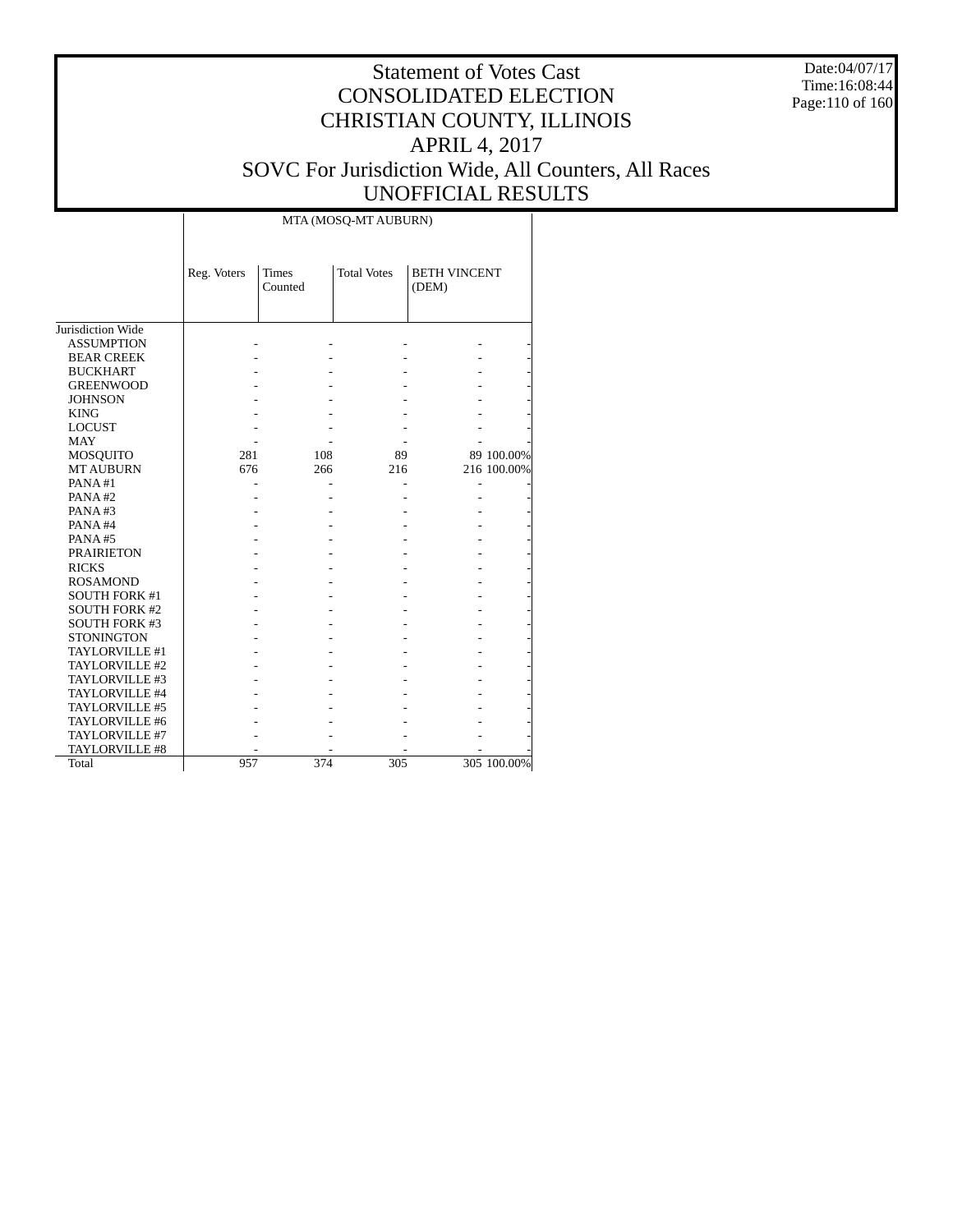Date:04/07/17 Time:16:08:44 Page:110 of 160

|                      | MTA (MOSQ-MT AUBURN) |                         |                    |                              |             |  |  |  |  |  |
|----------------------|----------------------|-------------------------|--------------------|------------------------------|-------------|--|--|--|--|--|
|                      | Reg. Voters          | <b>Times</b><br>Counted | <b>Total Votes</b> | <b>BETH VINCENT</b><br>(DEM) |             |  |  |  |  |  |
|                      |                      |                         |                    |                              |             |  |  |  |  |  |
| Jurisdiction Wide    |                      |                         |                    |                              |             |  |  |  |  |  |
| <b>ASSUMPTION</b>    |                      |                         |                    |                              |             |  |  |  |  |  |
| <b>BEAR CREEK</b>    |                      |                         |                    |                              |             |  |  |  |  |  |
| <b>BUCKHART</b>      |                      |                         |                    |                              |             |  |  |  |  |  |
| <b>GREENWOOD</b>     |                      |                         |                    |                              |             |  |  |  |  |  |
| <b>JOHNSON</b>       |                      |                         |                    |                              |             |  |  |  |  |  |
| <b>KING</b>          |                      |                         |                    |                              |             |  |  |  |  |  |
| <b>LOCUST</b>        |                      |                         |                    |                              |             |  |  |  |  |  |
| <b>MAY</b>           |                      |                         |                    |                              |             |  |  |  |  |  |
| MOSQUITO             | 281                  | 108                     | 89                 |                              | 89 100.00%  |  |  |  |  |  |
| <b>MT AUBURN</b>     | 676                  | 266                     | 216                |                              | 216 100.00% |  |  |  |  |  |
| PANA#1               |                      |                         |                    |                              |             |  |  |  |  |  |
| PANA#2               |                      |                         |                    |                              |             |  |  |  |  |  |
| PANA#3               |                      |                         |                    |                              |             |  |  |  |  |  |
| PANA#4               |                      |                         |                    |                              |             |  |  |  |  |  |
| PANA#5               |                      |                         |                    |                              |             |  |  |  |  |  |
| <b>PRAIRIETON</b>    |                      |                         |                    |                              |             |  |  |  |  |  |
| <b>RICKS</b>         |                      |                         |                    |                              |             |  |  |  |  |  |
| <b>ROSAMOND</b>      |                      |                         |                    |                              |             |  |  |  |  |  |
| <b>SOUTH FORK #1</b> |                      |                         |                    |                              |             |  |  |  |  |  |
| <b>SOUTH FORK #2</b> |                      |                         |                    |                              |             |  |  |  |  |  |
| <b>SOUTH FORK #3</b> |                      |                         |                    |                              |             |  |  |  |  |  |
| <b>STONINGTON</b>    |                      |                         |                    |                              |             |  |  |  |  |  |
| TAYLORVILLE #1       |                      |                         |                    |                              |             |  |  |  |  |  |
| TAYLORVILLE #2       |                      |                         |                    |                              |             |  |  |  |  |  |
| TAYLORVILLE #3       |                      |                         |                    |                              |             |  |  |  |  |  |
| TAYLORVILLE #4       |                      |                         |                    |                              |             |  |  |  |  |  |
| TAYLORVILLE #5       |                      |                         |                    |                              |             |  |  |  |  |  |
| TAYLORVILLE #6       |                      |                         |                    |                              |             |  |  |  |  |  |
| TAYLORVILLE #7       |                      |                         |                    |                              |             |  |  |  |  |  |
| TAYLORVILLE #8       |                      |                         |                    |                              |             |  |  |  |  |  |
| Total                | 957                  | 374                     | 305                |                              | 305 100.00% |  |  |  |  |  |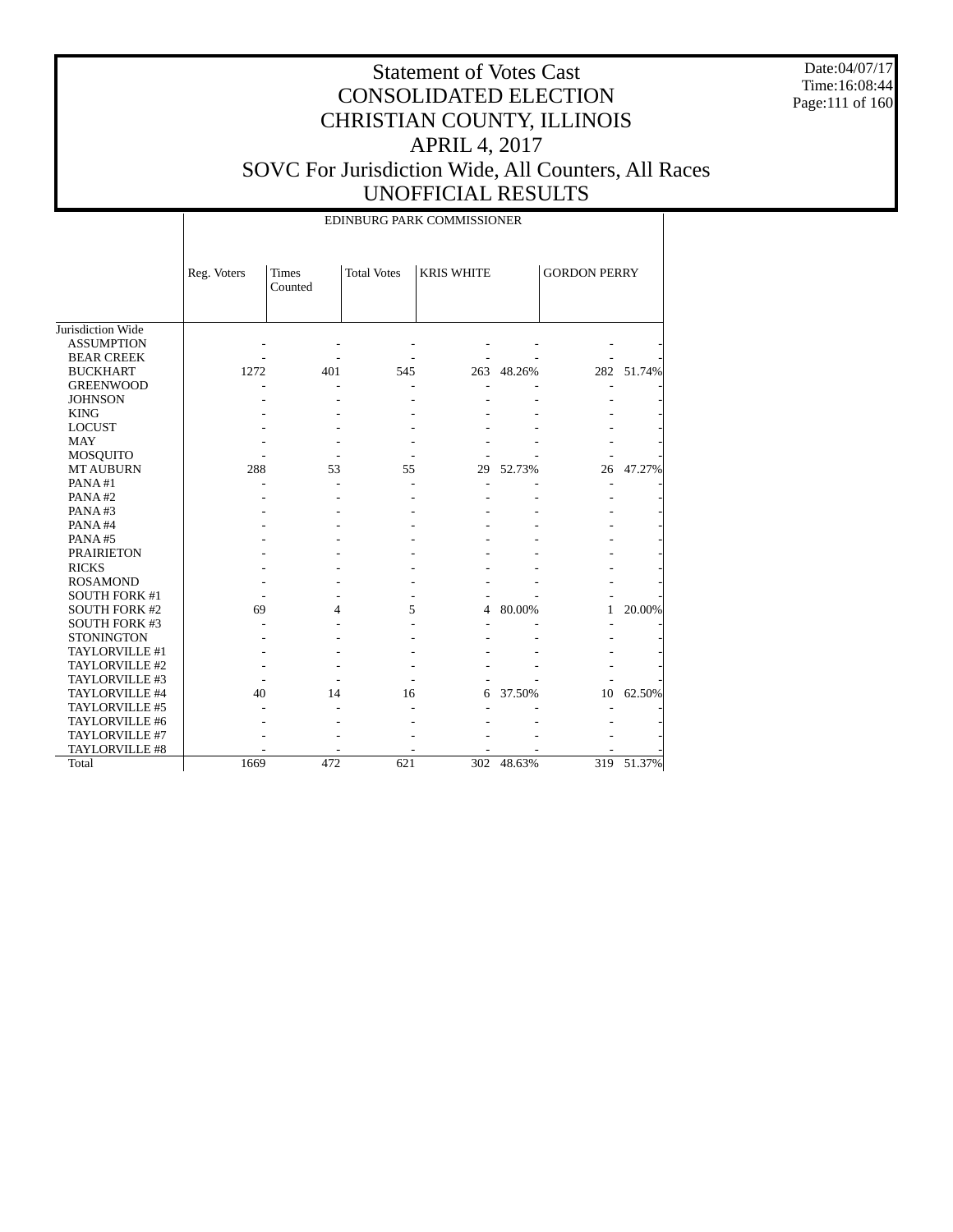Date:04/07/17 Time:16:08:44 Page:111 of 160

|                      |             |                  |                    | EDINBURG PARK COMMISSIONER |            |                     |            |
|----------------------|-------------|------------------|--------------------|----------------------------|------------|---------------------|------------|
|                      | Reg. Voters | Times<br>Counted | <b>Total Votes</b> | <b>KRIS WHITE</b>          |            | <b>GORDON PERRY</b> |            |
| Jurisdiction Wide    |             |                  |                    |                            |            |                     |            |
| <b>ASSUMPTION</b>    |             |                  |                    |                            |            |                     |            |
| <b>BEAR CREEK</b>    |             |                  |                    |                            |            |                     |            |
| <b>BUCKHART</b>      | 1272        | 401              | 545                |                            | 263 48.26% |                     | 282 51.74% |
| <b>GREENWOOD</b>     |             |                  |                    |                            |            |                     |            |
| <b>JOHNSON</b>       |             |                  |                    |                            |            |                     |            |
| <b>KING</b>          |             |                  |                    |                            |            |                     |            |
| <b>LOCUST</b>        |             |                  |                    |                            |            |                     |            |
| <b>MAY</b>           |             |                  |                    |                            |            |                     |            |
| MOSQUITO             |             |                  |                    |                            |            |                     |            |
| <b>MT AUBURN</b>     | 288         | 53               | 55                 | 29                         | 52.73%     | 26                  | 47.27%     |
| PANA#1               |             |                  |                    |                            |            |                     |            |
| PANA#2               |             |                  |                    |                            |            |                     |            |
| PANA#3               |             |                  |                    |                            |            |                     |            |
| PANA#4               |             |                  |                    |                            |            |                     |            |
| PANA#5               |             |                  |                    |                            |            |                     |            |
| <b>PRAIRIETON</b>    |             |                  |                    |                            |            |                     |            |
| <b>RICKS</b>         |             |                  |                    |                            |            |                     |            |
| <b>ROSAMOND</b>      |             |                  |                    |                            |            |                     |            |
| <b>SOUTH FORK #1</b> |             |                  |                    |                            |            |                     |            |
| <b>SOUTH FORK #2</b> | 69          | 4                | 5                  | 4                          | 80.00%     | 1                   | 20.00%     |
| <b>SOUTH FORK #3</b> |             |                  |                    |                            |            |                     |            |
| <b>STONINGTON</b>    |             |                  |                    |                            |            |                     |            |
| TAYLORVILLE #1       |             |                  |                    |                            |            |                     |            |
| TAYLORVILLE #2       |             |                  |                    |                            |            |                     |            |
| TAYLORVILLE #3       |             |                  |                    |                            |            |                     |            |
| TAYLORVILLE #4       | 40          | 14               | 16                 | 6                          | 37.50%     | 10                  | 62.50%     |
| TAYLORVILLE #5       |             |                  |                    |                            |            |                     |            |
| TAYLORVILLE #6       |             |                  |                    |                            |            |                     |            |
| TAYLORVILLE #7       |             |                  |                    |                            |            |                     |            |
| TAYLORVILLE #8       |             |                  |                    |                            |            |                     |            |
| Total                | 1669        | 472              | 621                | 302                        | 48.63%     |                     | 319 51.37% |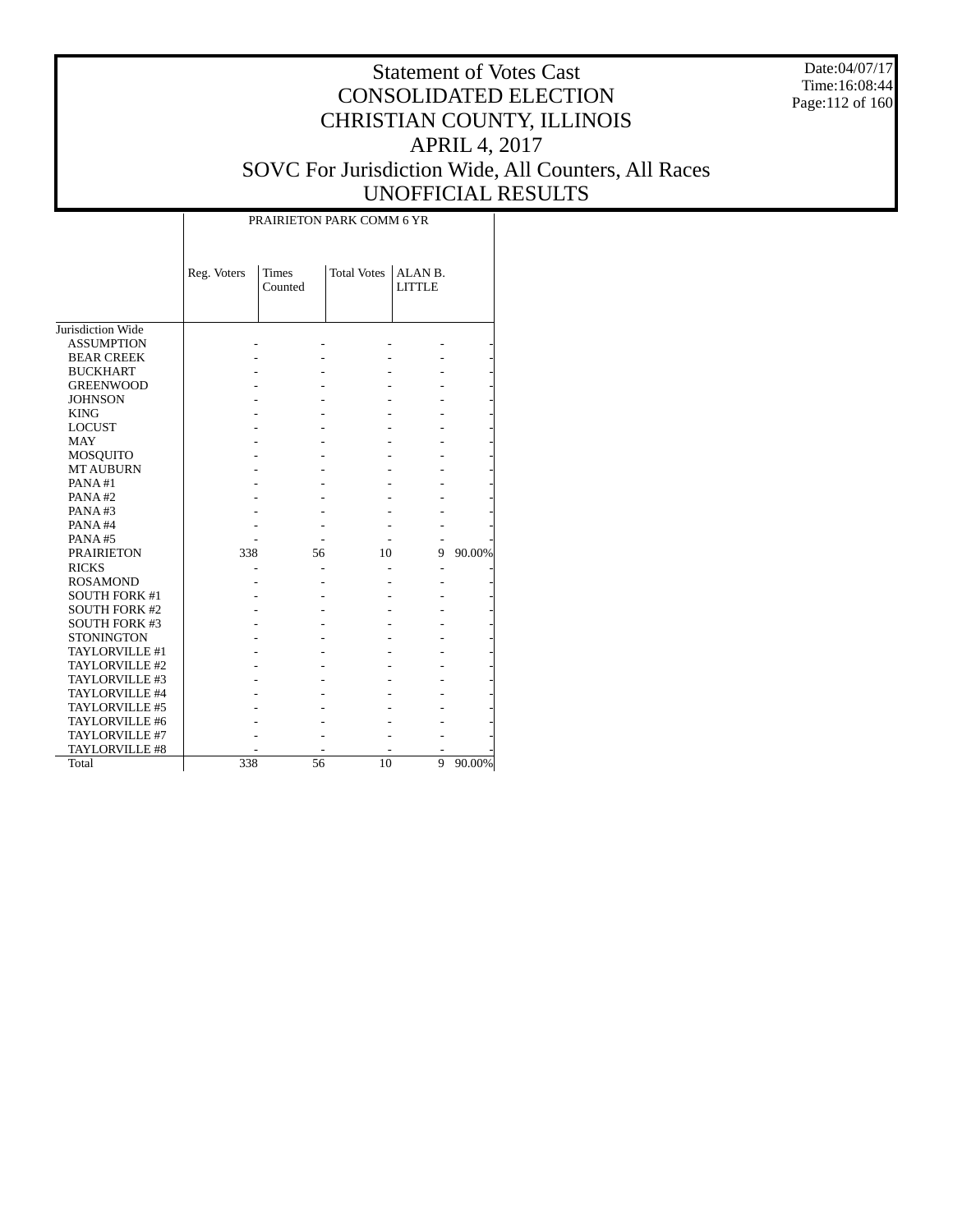Date:04/07/17 Time:16:08:44 Page:112 of 160

### Statement of Votes Cast CONSOLIDATED ELECTION CHRISTIAN COUNTY, ILLINOIS APRIL 4, 2017 SOVC For Jurisdiction Wide, All Counters, All Races UNOFFICIAL RESULTS

Τ

|                      |             | PRAIRIETON PARK COMM 6 YR |                    |                          |        |
|----------------------|-------------|---------------------------|--------------------|--------------------------|--------|
|                      | Reg. Voters | <b>Times</b><br>Counted   | <b>Total Votes</b> | ALAN B.<br><b>LITTLE</b> |        |
| Jurisdiction Wide    |             |                           |                    |                          |        |
| <b>ASSUMPTION</b>    |             |                           |                    |                          |        |
| <b>BEAR CREEK</b>    |             |                           |                    |                          |        |
| <b>BUCKHART</b>      |             |                           |                    |                          |        |
| <b>GREENWOOD</b>     |             |                           |                    |                          |        |
| <b>JOHNSON</b>       |             |                           |                    |                          |        |
| <b>KING</b>          |             |                           |                    |                          |        |
| <b>LOCUST</b>        |             |                           |                    |                          |        |
| <b>MAY</b>           |             |                           |                    |                          |        |
| MOSQUITO             |             |                           |                    |                          |        |
| <b>MT AUBURN</b>     |             |                           |                    |                          |        |
| PANA#1               |             |                           |                    |                          |        |
| PANA#2               |             |                           |                    |                          |        |
| PANA#3               |             |                           |                    |                          |        |
| PANA#4               |             |                           |                    |                          |        |
| PANA#5               |             |                           |                    |                          |        |
| <b>PRAIRIETON</b>    | 338         | 56                        | 10                 | 9                        | 90.00% |
| <b>RICKS</b>         |             |                           |                    |                          |        |
| <b>ROSAMOND</b>      |             |                           |                    |                          |        |
| <b>SOUTH FORK #1</b> |             |                           |                    |                          |        |
| <b>SOUTH FORK #2</b> |             |                           |                    |                          |        |
| <b>SOUTH FORK #3</b> |             |                           |                    |                          |        |
| <b>STONINGTON</b>    |             |                           |                    |                          |        |
| TAYLORVILLE #1       |             |                           |                    |                          |        |
| TAYLORVILLE #2       |             |                           |                    |                          |        |
| TAYLORVILLE #3       |             |                           |                    |                          |        |
| TAYLORVILLE #4       |             |                           |                    |                          |        |
| TAYLORVILLE #5       |             |                           |                    |                          |        |
| TAYLORVILLE #6       |             |                           |                    |                          |        |
| TAYLORVILLE #7       |             |                           |                    |                          |        |
| TAYLORVILLE #8       |             |                           |                    |                          |        |
| Total                | 338         | 56                        | 10                 | 9                        | 90.00% |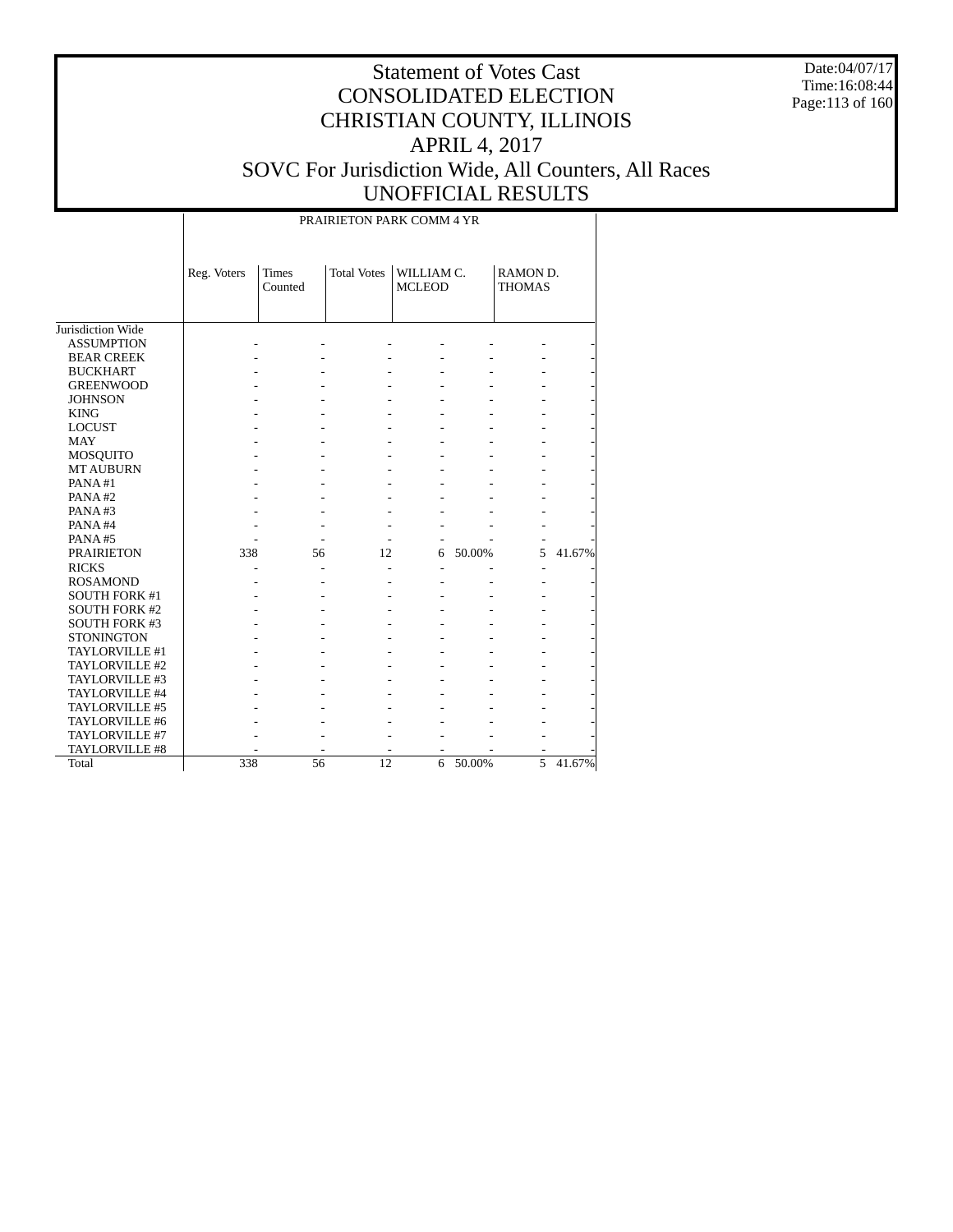Date:04/07/17 Time:16:08:44 Page:113 of 160

# Statement of Votes Cast CONSOLIDATED ELECTION CHRISTIAN COUNTY, ILLINOIS APRIL 4, 2017 SOVC For Jurisdiction Wide, All Counters, All Races UNOFFICIAL RESULTS

### PRAIRIETON PARK COMM 4 YR

|                      | Reg. Voters | <b>Times</b><br>Counted | <b>Total Votes</b> | WILLIAM C.<br><b>MCLEOD</b> |        | RAMON D.<br><b>THOMAS</b> |        |
|----------------------|-------------|-------------------------|--------------------|-----------------------------|--------|---------------------------|--------|
| Jurisdiction Wide    |             |                         |                    |                             |        |                           |        |
| <b>ASSUMPTION</b>    |             |                         |                    |                             |        |                           |        |
| <b>BEAR CREEK</b>    |             |                         |                    |                             |        |                           |        |
| <b>BUCKHART</b>      |             |                         |                    |                             |        |                           |        |
| <b>GREENWOOD</b>     |             |                         |                    |                             |        |                           |        |
| <b>JOHNSON</b>       |             |                         |                    |                             |        |                           |        |
| <b>KING</b>          |             |                         |                    |                             |        |                           |        |
| <b>LOCUST</b>        |             |                         |                    |                             |        |                           |        |
| <b>MAY</b>           |             |                         |                    |                             |        |                           |        |
| MOSQUITO             |             |                         |                    |                             |        |                           |        |
| <b>MT AUBURN</b>     |             |                         |                    |                             |        |                           |        |
| PANA#1               |             |                         |                    |                             |        |                           |        |
| PANA#2               |             |                         |                    |                             |        |                           |        |
| PANA#3               |             |                         |                    |                             |        |                           |        |
| PANA#4               |             |                         |                    |                             |        |                           |        |
| PANA#5               |             |                         |                    |                             |        |                           |        |
| <b>PRAIRIETON</b>    | 338         | 56                      | 12                 | 6                           | 50.00% | 5                         | 41.67% |
| <b>RICKS</b>         |             |                         |                    |                             |        |                           |        |
| <b>ROSAMOND</b>      |             |                         |                    |                             |        |                           |        |
| <b>SOUTH FORK #1</b> |             |                         |                    |                             |        |                           |        |
| <b>SOUTH FORK #2</b> |             |                         |                    |                             |        |                           |        |
| <b>SOUTH FORK #3</b> |             |                         |                    |                             |        |                           |        |
| <b>STONINGTON</b>    |             |                         |                    |                             |        |                           |        |
| TAYLORVILLE #1       |             |                         |                    |                             |        |                           |        |
| TAYLORVILLE #2       |             |                         |                    |                             |        |                           |        |
| TAYLORVILLE #3       |             |                         |                    |                             |        |                           |        |
| TAYLORVILLE #4       |             |                         |                    |                             |        |                           |        |
| TAYLORVILLE #5       |             |                         |                    |                             |        |                           |        |
| TAYLORVILLE #6       |             |                         |                    |                             |        |                           |        |
| TAYLORVILLE #7       |             |                         |                    |                             |        |                           |        |
| TAYLORVILLE #8       |             |                         |                    |                             |        |                           |        |
| Total                | 338         | 56                      | 12                 | 6                           | 50.00% | 5                         | 41.67% |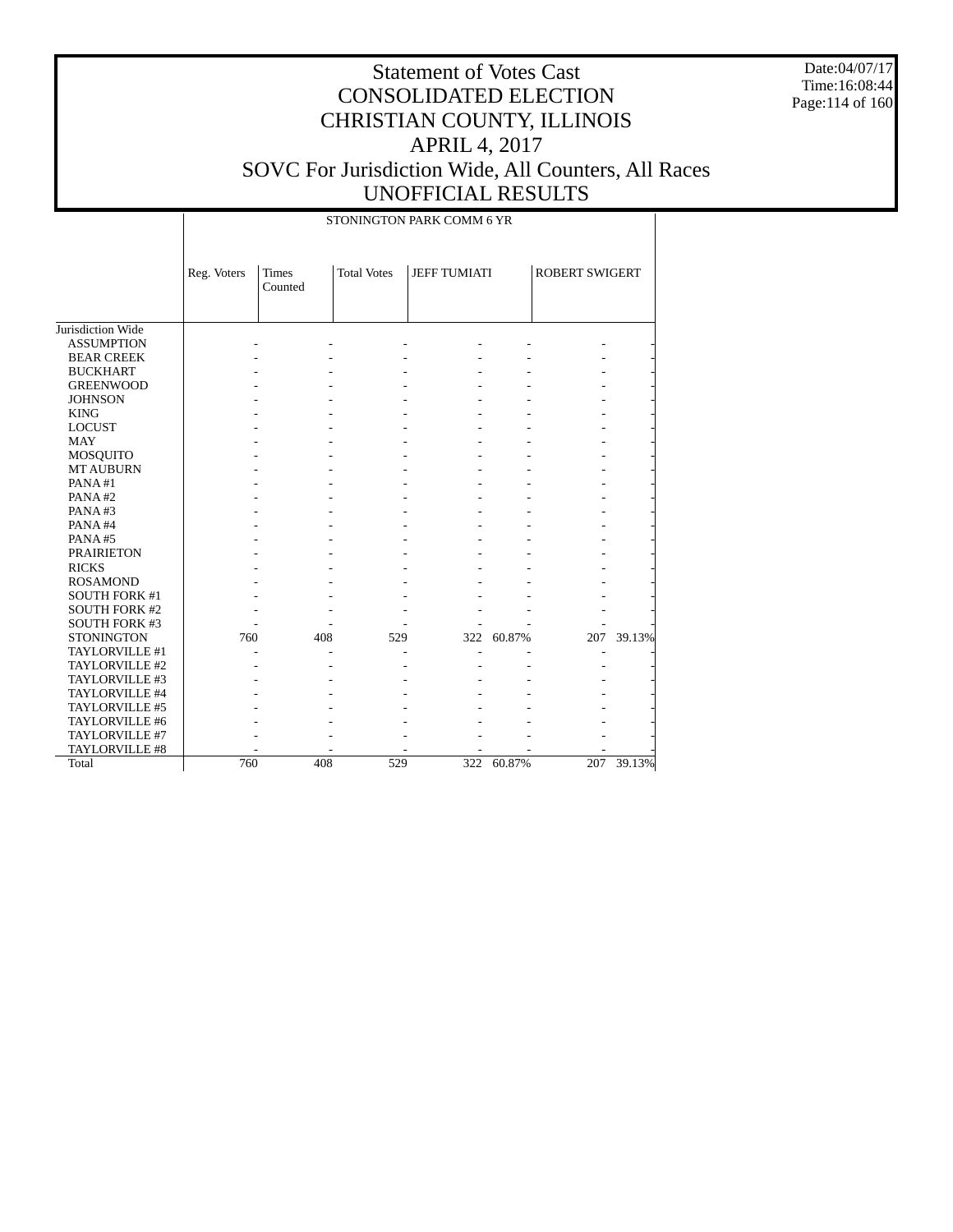Date:04/07/17 Time:16:08:44 Page:114 of 160

# Statement of Votes Cast CONSOLIDATED ELECTION CHRISTIAN COUNTY, ILLINOIS APRIL 4, 2017 SOVC For Jurisdiction Wide, All Counters, All Races UNOFFICIAL RESULTS

STONINGTON PARK COMM 6 YR

|                      | Reg. Voters | <b>Times</b><br>Counted | <b>Total Votes</b> | <b>JEFF TUMIATI</b> |        | <b>ROBERT SWIGERT</b> |        |
|----------------------|-------------|-------------------------|--------------------|---------------------|--------|-----------------------|--------|
| Jurisdiction Wide    |             |                         |                    |                     |        |                       |        |
| <b>ASSUMPTION</b>    |             |                         |                    |                     |        |                       |        |
| <b>BEAR CREEK</b>    |             |                         |                    |                     |        |                       |        |
| <b>BUCKHART</b>      |             |                         |                    |                     |        |                       |        |
| <b>GREENWOOD</b>     |             |                         |                    |                     |        |                       |        |
| <b>JOHNSON</b>       |             |                         |                    |                     |        |                       |        |
| <b>KING</b>          |             |                         |                    |                     |        |                       |        |
| <b>LOCUST</b>        |             |                         |                    |                     |        |                       |        |
| <b>MAY</b>           |             |                         |                    |                     |        |                       |        |
| MOSQUITO             |             |                         |                    |                     |        |                       |        |
| <b>MT AUBURN</b>     |             |                         |                    |                     |        |                       |        |
| PANA#1               |             |                         |                    |                     |        |                       |        |
| PANA#2               |             |                         |                    |                     |        |                       |        |
| PANA#3               |             |                         |                    |                     |        |                       |        |
| PANA#4               |             |                         |                    |                     |        |                       |        |
| PANA#5               |             |                         |                    |                     |        |                       |        |
| <b>PRAIRIETON</b>    |             |                         |                    |                     |        |                       |        |
| <b>RICKS</b>         |             |                         |                    |                     |        |                       |        |
| <b>ROSAMOND</b>      |             |                         |                    |                     |        |                       |        |
| <b>SOUTH FORK #1</b> |             |                         |                    |                     |        |                       |        |
| <b>SOUTH FORK #2</b> |             |                         |                    |                     |        |                       |        |
| <b>SOUTH FORK #3</b> |             |                         |                    |                     |        |                       |        |
| <b>STONINGTON</b>    | 760         | 408                     | 529                | 322                 | 60.87% | 207                   | 39.13% |
| TAYLORVILLE #1       |             |                         |                    |                     |        |                       |        |
| TAYLORVILLE #2       |             |                         |                    |                     |        |                       |        |
| TAYLORVILLE #3       |             |                         |                    |                     |        |                       |        |
| TAYLORVILLE #4       |             |                         |                    |                     |        |                       |        |
| TAYLORVILLE #5       |             |                         |                    |                     |        |                       |        |
| TAYLORVILLE #6       |             |                         |                    |                     |        |                       |        |
| TAYLORVILLE #7       |             |                         |                    |                     |        |                       |        |
| TAYLORVILLE #8       |             |                         |                    |                     |        |                       |        |
| Total                | 760         | 408                     | 529                | 322                 | 60.87% | 207                   | 39.13% |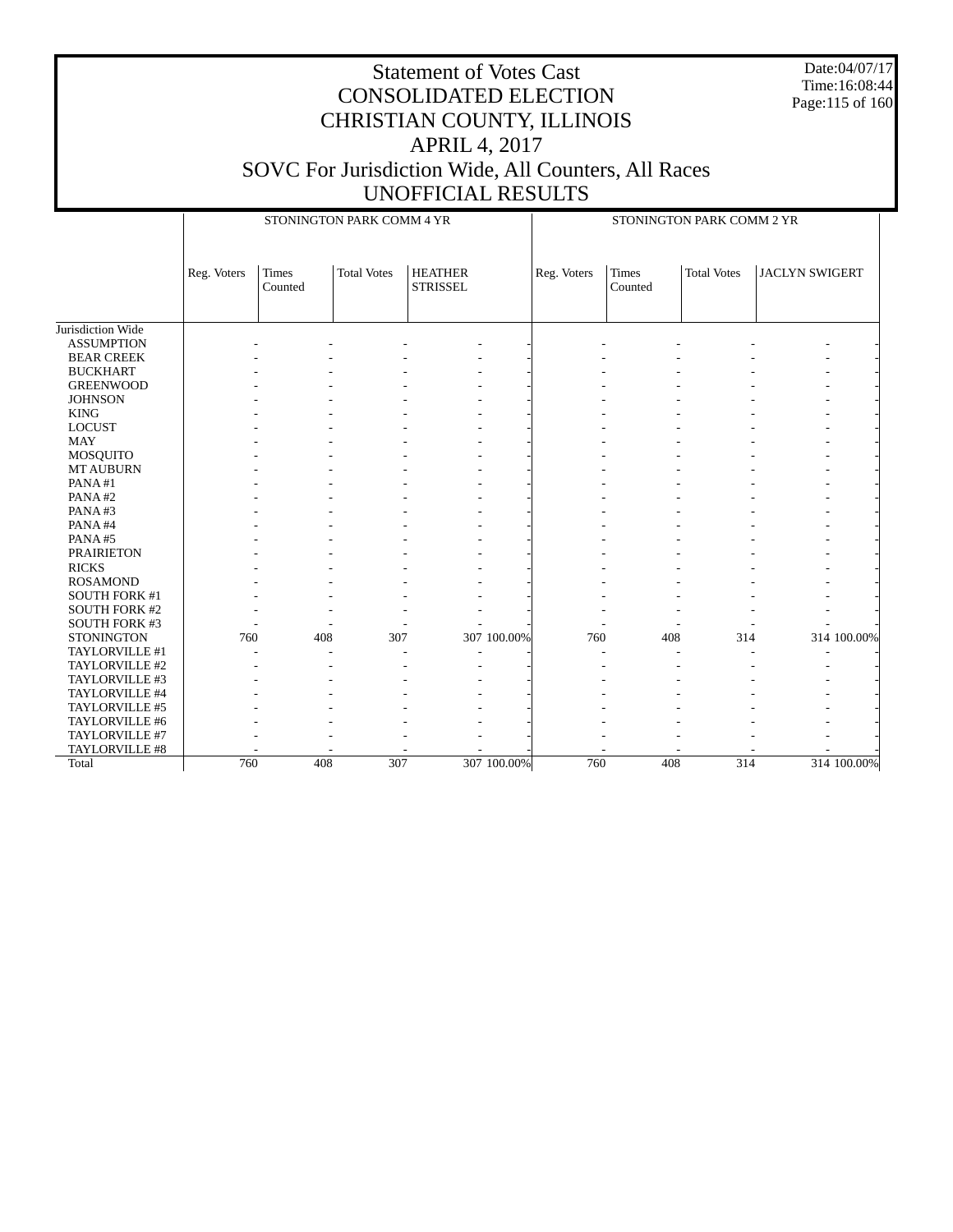Date:04/07/17 Time:16:08:44 Page:115 of 160

|                      |             |                         | STONINGTON PARK COMM 4 YR |                                   |             | STONINGTON PARK COMM 2 YR |                  |                    |                       |             |  |
|----------------------|-------------|-------------------------|---------------------------|-----------------------------------|-------------|---------------------------|------------------|--------------------|-----------------------|-------------|--|
|                      | Reg. Voters | <b>Times</b><br>Counted | <b>Total Votes</b>        | <b>HEATHER</b><br><b>STRISSEL</b> |             | Reg. Voters               | Times<br>Counted | <b>Total Votes</b> | <b>JACLYN SWIGERT</b> |             |  |
| Jurisdiction Wide    |             |                         |                           |                                   |             |                           |                  |                    |                       |             |  |
| <b>ASSUMPTION</b>    |             |                         |                           |                                   |             |                           |                  |                    |                       |             |  |
| <b>BEAR CREEK</b>    |             |                         |                           |                                   |             |                           |                  |                    |                       |             |  |
| <b>BUCKHART</b>      |             |                         |                           |                                   |             |                           |                  |                    |                       |             |  |
| <b>GREENWOOD</b>     |             |                         |                           |                                   |             |                           |                  |                    |                       |             |  |
| <b>JOHNSON</b>       |             |                         |                           |                                   |             |                           |                  |                    |                       |             |  |
| <b>KING</b>          |             |                         |                           |                                   |             |                           |                  |                    |                       |             |  |
| <b>LOCUST</b>        |             |                         |                           |                                   |             |                           |                  |                    |                       |             |  |
| <b>MAY</b>           |             |                         |                           |                                   |             |                           |                  |                    |                       |             |  |
| MOSQUITO             |             |                         |                           |                                   |             |                           |                  |                    |                       |             |  |
| <b>MT AUBURN</b>     |             |                         |                           |                                   |             |                           |                  |                    |                       |             |  |
| PANA#1               |             |                         |                           |                                   |             |                           |                  |                    |                       |             |  |
| PANA#2               |             |                         |                           |                                   |             |                           |                  |                    |                       |             |  |
| PANA#3               |             |                         |                           |                                   |             |                           |                  |                    |                       |             |  |
| PANA#4               |             |                         |                           |                                   |             |                           |                  |                    |                       |             |  |
| PANA#5               |             |                         |                           |                                   |             |                           |                  |                    |                       |             |  |
| <b>PRAIRIETON</b>    |             |                         |                           |                                   |             |                           |                  |                    |                       |             |  |
| <b>RICKS</b>         |             |                         |                           |                                   |             |                           |                  |                    |                       |             |  |
| <b>ROSAMOND</b>      |             |                         |                           |                                   |             |                           |                  |                    |                       |             |  |
| SOUTH FORK #1        |             |                         |                           |                                   |             |                           |                  |                    |                       |             |  |
| <b>SOUTH FORK #2</b> |             |                         |                           |                                   |             |                           |                  |                    |                       |             |  |
| SOUTH FORK #3        |             |                         |                           |                                   |             |                           |                  |                    |                       |             |  |
| <b>STONINGTON</b>    | 760         | 408                     | 307                       |                                   | 307 100.00% | 760                       | 408              | 314                |                       | 314 100.00% |  |
| TAYLORVILLE #1       |             |                         |                           |                                   |             |                           |                  |                    |                       |             |  |
| TAYLORVILLE #2       |             |                         |                           |                                   |             |                           |                  |                    |                       |             |  |
| TAYLORVILLE #3       |             |                         |                           |                                   |             |                           |                  |                    |                       |             |  |
| TAYLORVILLE #4       |             |                         |                           |                                   |             |                           |                  |                    |                       |             |  |
| TAYLORVILLE #5       |             |                         |                           |                                   |             |                           |                  |                    |                       |             |  |
| TAYLORVILLE #6       |             |                         |                           |                                   |             |                           |                  |                    |                       |             |  |
| TAYLORVILLE #7       |             |                         |                           |                                   |             |                           |                  |                    |                       |             |  |
| TAYLORVILLE #8       |             |                         |                           |                                   |             |                           |                  |                    |                       |             |  |
| Total                | 760         | 408                     | 307                       |                                   | 307 100.00% | 760                       | 408              | 314                |                       | 314 100.00% |  |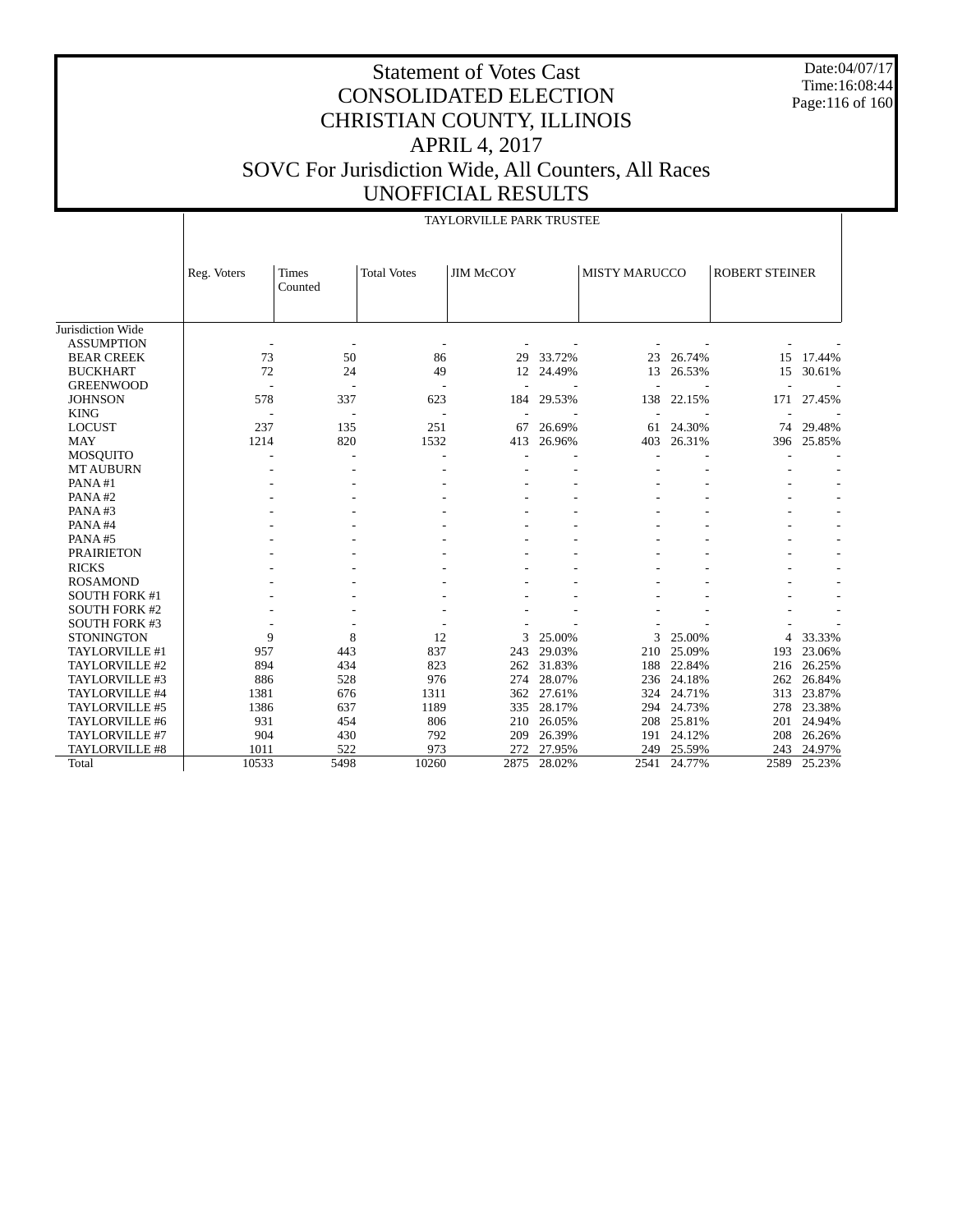Date:04/07/17 Time:16:08:44 Page:116 of 160

|                      |                          |                          |                          | TAYLORVILLE PARK TRUSTEE |        |                      |        |                       |        |
|----------------------|--------------------------|--------------------------|--------------------------|--------------------------|--------|----------------------|--------|-----------------------|--------|
|                      | Reg. Voters              | <b>Times</b><br>Counted  | <b>Total Votes</b>       | <b>JIM McCOY</b>         |        | <b>MISTY MARUCCO</b> |        | <b>ROBERT STEINER</b> |        |
| Jurisdiction Wide    |                          |                          |                          |                          |        |                      |        |                       |        |
| <b>ASSUMPTION</b>    |                          |                          |                          |                          |        |                      |        |                       |        |
| <b>BEAR CREEK</b>    | 73                       | 50                       | 86                       | 29                       | 33.72% | 23                   | 26.74% | 15                    | 17.44% |
| <b>BUCKHART</b>      | 72                       | 24                       | 49                       | 12                       | 24.49% | 13                   | 26.53% | 15                    | 30.61% |
| <b>GREENWOOD</b>     | $\overline{\phantom{a}}$ | $\overline{a}$           |                          |                          |        |                      |        |                       |        |
| <b>JOHNSON</b>       | 578                      | 337                      | 623                      | 184                      | 29.53% | 138                  | 22.15% | 171                   | 27.45% |
| <b>KING</b>          | $\overline{\phantom{a}}$ | $\overline{\phantom{a}}$ | $\overline{\phantom{a}}$ | $\overline{a}$           |        |                      |        |                       |        |
| <b>LOCUST</b>        | 237                      | 135                      | 251                      | 67                       | 26.69% | 61                   | 24.30% | 74                    | 29.48% |
| <b>MAY</b>           | 1214                     | 820                      | 1532                     | 413                      | 26.96% | 403                  | 26.31% | 396                   | 25.85% |
| <b>MOSQUITO</b>      | ٠                        | ÷,                       |                          |                          |        |                      |        |                       |        |
| <b>MT AUBURN</b>     |                          |                          |                          |                          |        |                      |        |                       |        |
| PANA#1               |                          |                          |                          |                          |        |                      |        |                       |        |
| PANA#2               |                          |                          |                          |                          |        |                      |        |                       |        |
| PANA#3               |                          |                          |                          |                          |        |                      |        |                       |        |
| PANA#4               |                          |                          |                          |                          |        |                      |        |                       |        |
| PANA#5               |                          |                          |                          |                          |        |                      |        |                       |        |
| <b>PRAIRIETON</b>    |                          |                          |                          |                          |        |                      |        |                       |        |
| <b>RICKS</b>         |                          |                          |                          |                          |        |                      |        |                       |        |
| <b>ROSAMOND</b>      |                          |                          |                          |                          |        |                      |        |                       |        |
| <b>SOUTH FORK #1</b> |                          |                          |                          |                          |        |                      |        |                       |        |
| <b>SOUTH FORK #2</b> |                          |                          |                          |                          |        |                      |        |                       |        |
| <b>SOUTH FORK #3</b> |                          |                          |                          |                          |        |                      |        |                       |        |
| <b>STONINGTON</b>    | 9                        | 8                        | 12                       | 3                        | 25.00% | 3                    | 25.00% | 4                     | 33.33% |
| TAYLORVILLE #1       | 957                      | 443                      | 837                      | 243                      | 29.03% | 210                  | 25.09% | 193                   | 23.06% |
| TAYLORVILLE #2       | 894                      | 434                      | 823                      | 262                      | 31.83% | 188                  | 22.84% | 216                   | 26.25% |
| TAYLORVILLE #3       | 886                      | 528                      | 976                      | 274                      | 28.07% | 236                  | 24.18% | 262                   | 26.84% |
| TAYLORVILLE #4       | 1381                     | 676                      | 1311                     | 362                      | 27.61% | 324                  | 24.71% | 313                   | 23.87% |
| TAYLORVILLE #5       | 1386                     | 637                      | 1189                     | 335                      | 28.17% | 294                  | 24.73% | 278                   | 23.38% |
| TAYLORVILLE #6       | 931                      | 454                      | 806                      | 210                      | 26.05% | 208                  | 25.81% | 201                   | 24.94% |
| TAYLORVILLE #7       | 904                      | 430                      | 792                      | 209                      | 26.39% | 191                  | 24.12% | 208                   | 26.26% |
| TAYLORVILLE #8       | 1011                     | 522                      | 973                      | 272                      | 27.95% | 249                  | 25.59% | 243                   | 24.97% |
| Total                | 10533                    | 5498                     | 10260                    | 2875                     | 28.02% | 2541                 | 24.77% | 2589                  | 25.23% |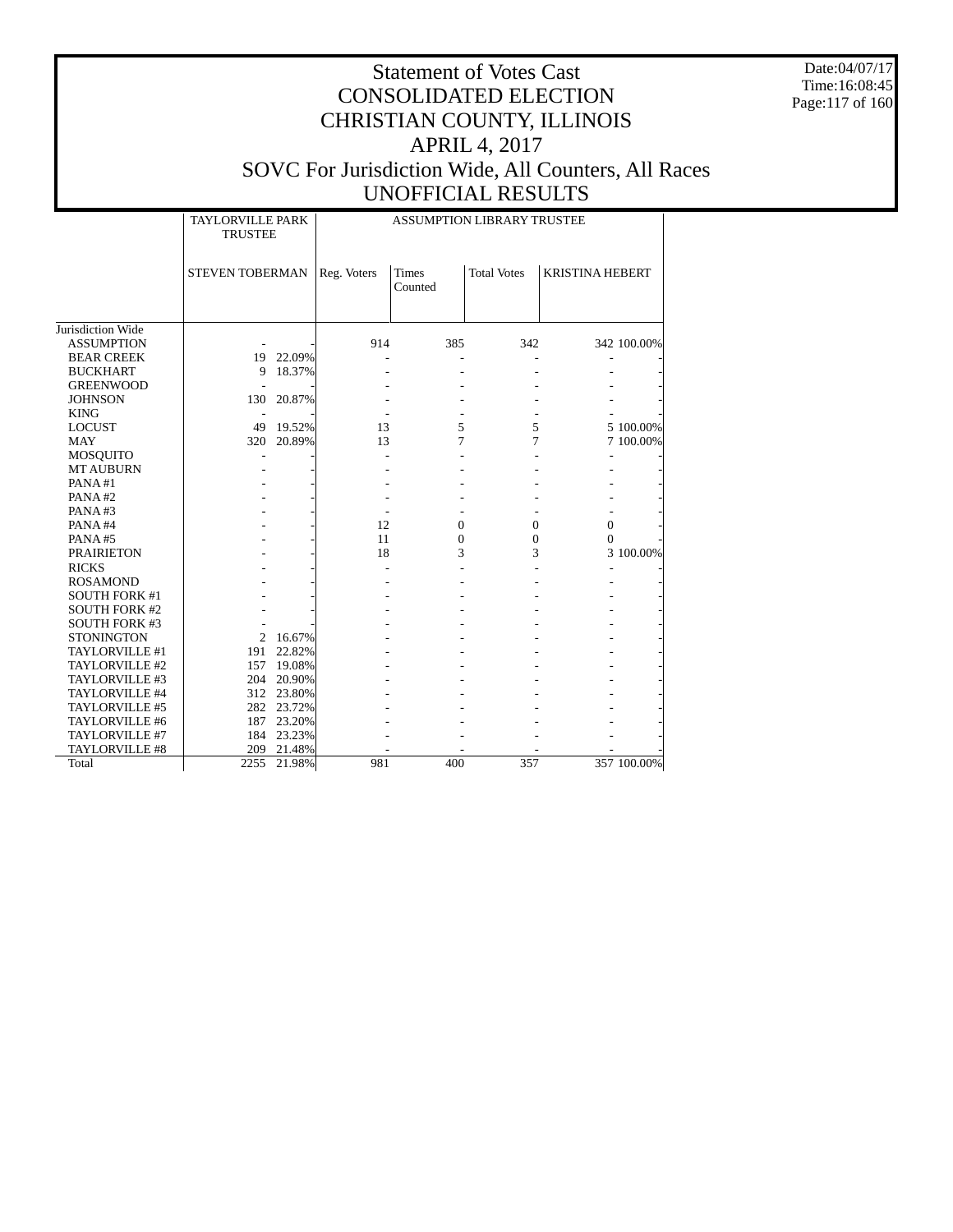Date:04/07/17 Time:16:08:45 Page:117 of 160

|                       | <b>TAYLORVILLE PARK</b><br><b>TRUSTEE</b> |            | <b>ASSUMPTION LIBRARY TRUSTEE</b> |                         |                    |                        |             |  |  |
|-----------------------|-------------------------------------------|------------|-----------------------------------|-------------------------|--------------------|------------------------|-------------|--|--|
|                       | <b>STEVEN TOBERMAN</b>                    |            | Reg. Voters                       | <b>Times</b><br>Counted | <b>Total Votes</b> | <b>KRISTINA HEBERT</b> |             |  |  |
|                       |                                           |            |                                   |                         |                    |                        |             |  |  |
| Jurisdiction Wide     |                                           |            |                                   |                         |                    |                        |             |  |  |
| <b>ASSUMPTION</b>     |                                           |            | 914                               | 385                     | 342                |                        | 342 100.00% |  |  |
| <b>BEAR CREEK</b>     |                                           | 19 22.09%  |                                   |                         |                    |                        |             |  |  |
| <b>BUCKHART</b>       | 9                                         | 18.37%     |                                   |                         |                    |                        |             |  |  |
| <b>GREENWOOD</b>      |                                           |            |                                   |                         |                    |                        |             |  |  |
| <b>JOHNSON</b>        | 130                                       | 20.87%     |                                   |                         |                    |                        |             |  |  |
| <b>KING</b>           |                                           |            |                                   |                         |                    |                        |             |  |  |
| <b>LOCUST</b>         |                                           | 49 19.52%  | 13                                | 5                       | 5                  |                        | 5 100.00%   |  |  |
| <b>MAY</b>            |                                           | 320 20.89% | 13                                | 7                       | 7                  |                        | 7 100.00%   |  |  |
| <b>MOSQUITO</b>       |                                           |            |                                   |                         |                    |                        |             |  |  |
| <b>MT AUBURN</b>      |                                           |            |                                   |                         |                    |                        |             |  |  |
| PANA#1                |                                           |            |                                   |                         |                    |                        |             |  |  |
| PANA#2                |                                           |            |                                   |                         |                    |                        |             |  |  |
| PANA#3                |                                           |            |                                   |                         |                    |                        |             |  |  |
| PANA#4                |                                           |            | 12                                | $\mathbf{0}$            | $\mathbf{0}$       | $\mathbf{0}$           |             |  |  |
| PANA#5                |                                           |            | 11                                | $\mathbf{0}$            | $\overline{0}$     | $\Omega$               |             |  |  |
| <b>PRAIRIETON</b>     |                                           |            | 18                                | 3                       | 3                  |                        | 3 100.00%   |  |  |
| <b>RICKS</b>          |                                           |            |                                   |                         |                    |                        |             |  |  |
| <b>ROSAMOND</b>       |                                           |            |                                   |                         |                    |                        |             |  |  |
| <b>SOUTH FORK #1</b>  |                                           |            |                                   |                         |                    |                        |             |  |  |
| <b>SOUTH FORK #2</b>  |                                           |            |                                   |                         |                    |                        |             |  |  |
| <b>SOUTH FORK #3</b>  |                                           |            |                                   |                         |                    |                        |             |  |  |
| <b>STONINGTON</b>     |                                           | 2 16.67%   |                                   |                         |                    |                        |             |  |  |
| TAYLORVILLE #1        |                                           | 191 22.82% |                                   |                         |                    |                        |             |  |  |
| TAYLORVILLE #2        |                                           | 157 19.08% |                                   |                         |                    |                        |             |  |  |
| TAYLORVILLE #3        |                                           | 204 20.90% |                                   |                         |                    |                        |             |  |  |
| TAYLORVILLE #4        |                                           | 312 23.80% |                                   |                         |                    |                        |             |  |  |
| TAYLORVILLE #5        |                                           | 282 23.72% |                                   |                         |                    |                        |             |  |  |
| TAYLORVILLE #6        |                                           | 187 23.20% |                                   |                         |                    |                        |             |  |  |
| TAYLORVILLE #7        |                                           | 184 23.23% |                                   |                         |                    |                        |             |  |  |
| <b>TAYLORVILLE #8</b> | 209                                       | 21.48%     |                                   |                         |                    |                        |             |  |  |
| Total                 | 2255                                      | 21.98%     | 981                               | 400                     | 357                |                        | 357 100.00% |  |  |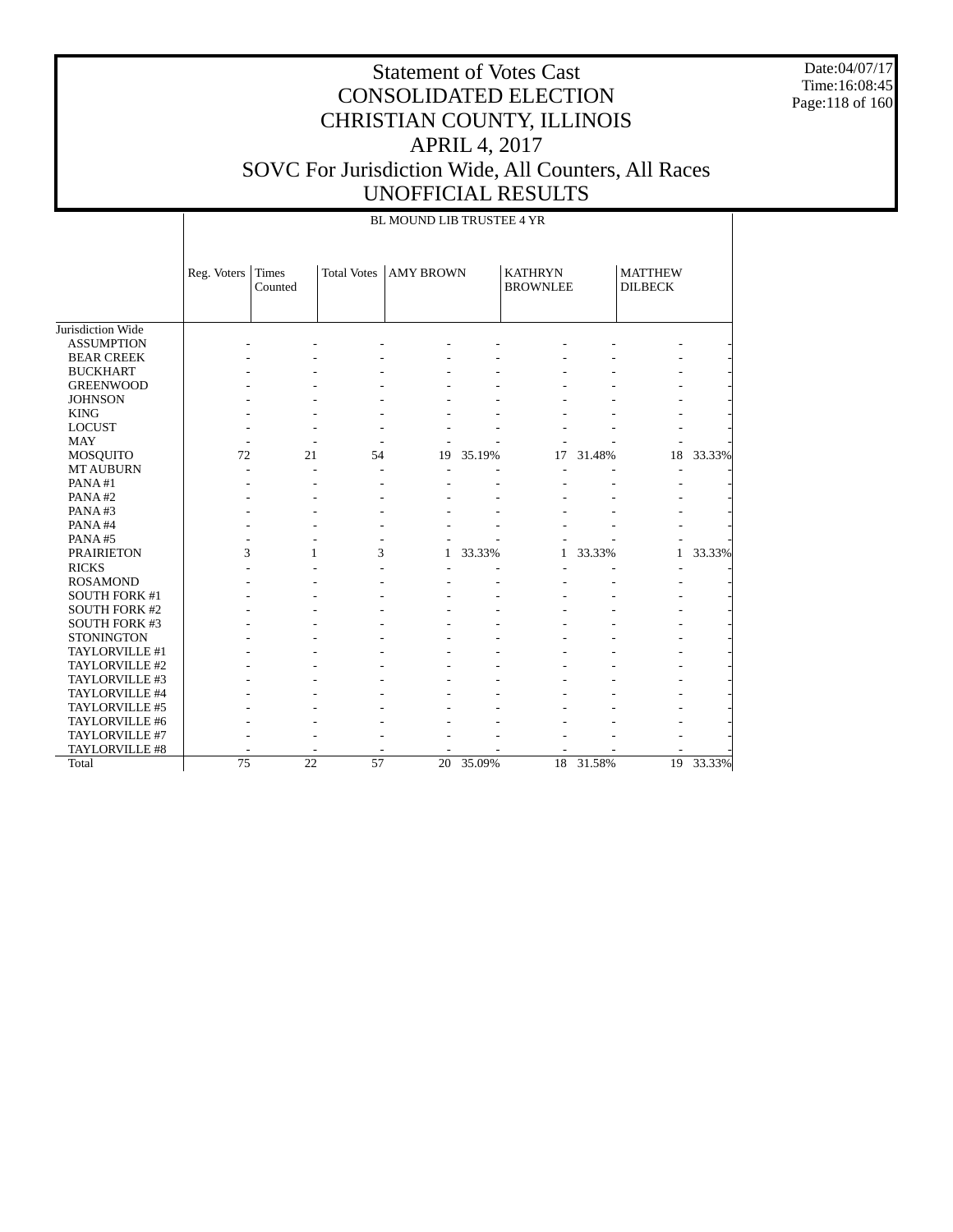Date:04/07/17 Time:16:08:45 Page:118 of 160

|                      |             | BL MOUND LIB TRUSTEE 4 YR |                    |                  |        |                                   |        |                                  |        |  |  |
|----------------------|-------------|---------------------------|--------------------|------------------|--------|-----------------------------------|--------|----------------------------------|--------|--|--|
|                      | Reg. Voters | Times<br>Counted          | <b>Total Votes</b> | <b>AMY BROWN</b> |        | <b>KATHRYN</b><br><b>BROWNLEE</b> |        | <b>MATTHEW</b><br><b>DILBECK</b> |        |  |  |
| Jurisdiction Wide    |             |                           |                    |                  |        |                                   |        |                                  |        |  |  |
| <b>ASSUMPTION</b>    |             |                           |                    |                  |        |                                   |        |                                  |        |  |  |
| <b>BEAR CREEK</b>    |             |                           |                    |                  |        |                                   |        |                                  |        |  |  |
| <b>BUCKHART</b>      |             |                           |                    |                  |        |                                   |        |                                  |        |  |  |
| <b>GREENWOOD</b>     |             |                           |                    |                  |        |                                   |        |                                  |        |  |  |
| <b>JOHNSON</b>       |             |                           |                    |                  |        |                                   |        |                                  |        |  |  |
| <b>KING</b>          |             |                           |                    |                  |        |                                   |        |                                  |        |  |  |
| <b>LOCUST</b>        |             |                           |                    |                  |        |                                   |        |                                  |        |  |  |
| <b>MAY</b>           |             |                           |                    |                  |        |                                   |        |                                  |        |  |  |
| <b>MOSQUITO</b>      | 72          | 21                        | 54                 | 19               | 35.19% | 17                                | 31.48% | 18                               | 33.33% |  |  |
| <b>MT AUBURN</b>     |             |                           |                    |                  |        |                                   |        |                                  |        |  |  |
| PANA#1               |             |                           | ÷,                 |                  |        |                                   |        |                                  |        |  |  |
| PANA#2               |             |                           |                    |                  |        |                                   |        |                                  |        |  |  |
| PANA#3               |             |                           |                    |                  |        |                                   |        |                                  |        |  |  |
| PANA#4               |             |                           |                    |                  |        |                                   |        |                                  |        |  |  |
| PANA#5               |             |                           |                    |                  |        |                                   |        |                                  |        |  |  |
| <b>PRAIRIETON</b>    | 3           | 1                         | 3                  | 1                | 33.33% | $\mathbf{1}$                      | 33.33% | 1                                | 33.33% |  |  |
| <b>RICKS</b>         |             |                           |                    |                  |        |                                   |        | ٠                                |        |  |  |
| <b>ROSAMOND</b>      |             |                           |                    |                  |        |                                   |        |                                  |        |  |  |
| SOUTH FORK #1        |             |                           |                    |                  |        |                                   |        |                                  |        |  |  |
| <b>SOUTH FORK #2</b> |             |                           |                    |                  |        |                                   |        |                                  |        |  |  |
| SOUTH FORK #3        |             |                           |                    |                  |        |                                   |        |                                  |        |  |  |
| <b>STONINGTON</b>    |             |                           |                    |                  |        |                                   |        |                                  |        |  |  |
| TAYLORVILLE #1       |             |                           |                    |                  |        |                                   |        |                                  |        |  |  |
| TAYLORVILLE #2       |             |                           |                    |                  |        |                                   |        |                                  |        |  |  |
| TAYLORVILLE #3       |             |                           |                    |                  |        |                                   |        |                                  |        |  |  |
| TAYLORVILLE #4       |             |                           |                    |                  |        |                                   |        |                                  |        |  |  |
| TAYLORVILLE #5       |             |                           |                    |                  |        |                                   |        |                                  |        |  |  |
| TAYLORVILLE #6       |             |                           |                    |                  |        |                                   |        |                                  |        |  |  |
| TAYLORVILLE #7       |             |                           |                    |                  |        |                                   |        |                                  |        |  |  |
| TAYLORVILLE #8       |             |                           |                    |                  |        |                                   |        |                                  |        |  |  |
| Total                | 75          | 22                        | 57                 | 20               | 35.09% | 18                                | 31.58% | 19                               | 33.33% |  |  |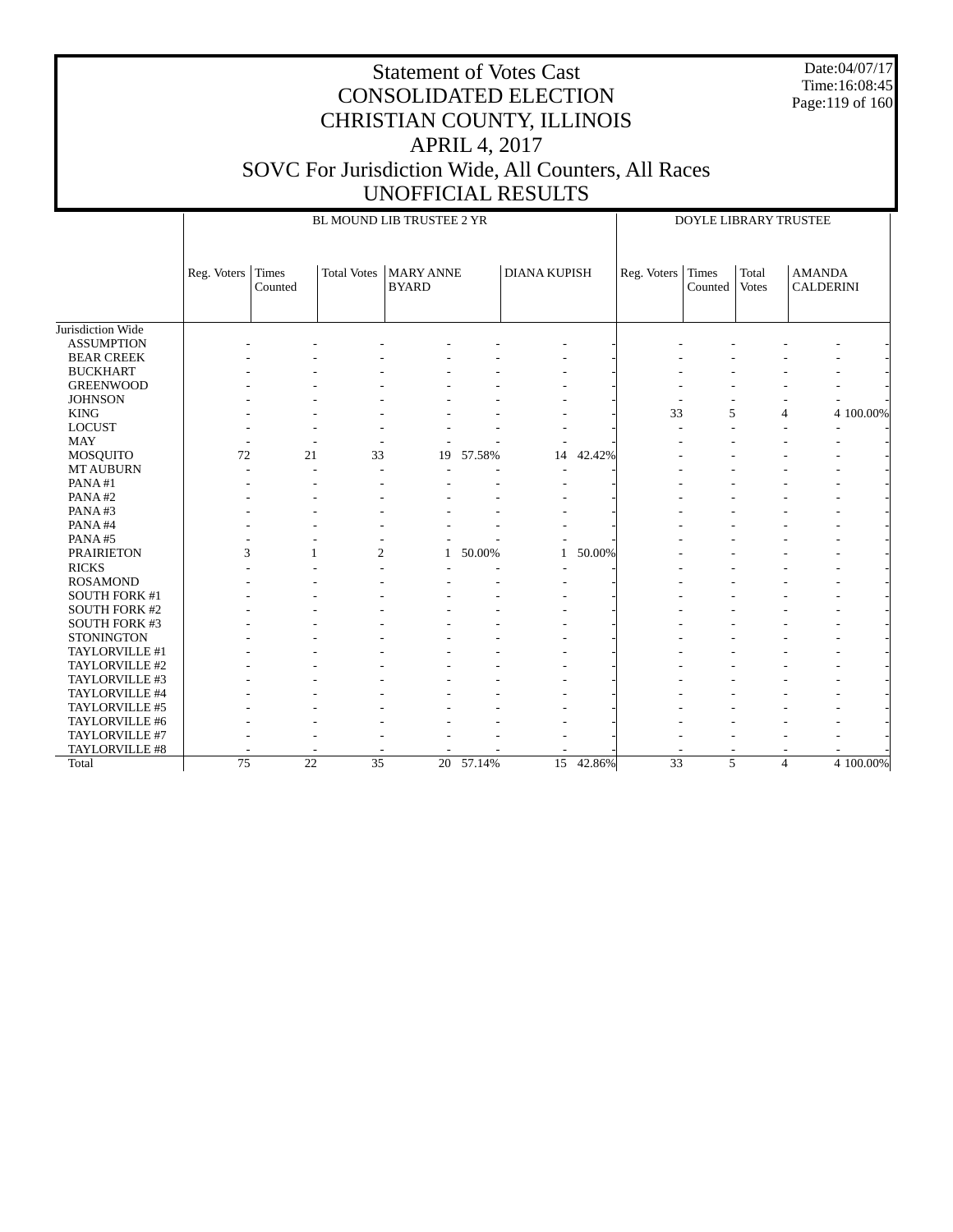Date:04/07/17 Time:16:08:45 Page:119 of 160

### Statement of Votes Cast CONSOLIDATED ELECTION CHRISTIAN COUNTY, ILLINOIS APRIL 4, 2017 SOVC For Jurisdiction Wide, All Counters, All Races UNOFFICIAL RESULTS

 Jurisdiction Wide ASSUMPTION BEAR CREEK BUCKHART GREENWOOD **JOHNSON**  KING LOCUST MAY MOSQUITO MT AUBURN PANA #1 PANA #2 PANA #3 PANA #4 PANA #5 PRAIRIETON RICKS ROSAMOND SOUTH FORK #1 SOUTH FORK #2 SOUTH FORK #3 **STONINGTON**  TAYLORVILLE #1 TAYLORVILLE #2 TAYLORVILLE #3 TAYLORVILLE #4 TAYLORVILLE #5 TAYLORVILLE #6 TAYLORVILLE #7 TAYLORVILLE #8 **Total** Reg. Voters Times Counted Total Votes | MARY ANNE BYARD DIANA KUPISH BL MOUND LIB TRUSTEE 2 YR Reg. Voters Times Counted Total Votes AMANDA CALDERINI DOYLE LIBRARY TRUSTEE - - - - - - - - - - - - - - - - - - - - - - - - - - - - - - - - - - - - - - - - - - - - - - - - - - - - - - - - - - - - - - - - - - - - - - - - - 33 5 4 4 100.00% - - - - - - - - - - - - - - - - - - - - - - - - 72 21 33 19 57.58% 14 42.42% - - - - - - - - - - - - - - - - - - - - - - - - - - - - - - - - - - - - - - - - - - - - - - - - - - - - - - - - - - - - - - - - - - - - - - - - - - - - -  $3 \hspace{1.5cm} 1 \hspace{1.5cm} 2 \hspace{1.5cm} 1 \hspace{1.5cm} 50.00\% \hspace{1.5cm} 1 \hspace{1.5cm} 50.00\% \hspace{1.5cm} - \hspace{1.5cm} - \hspace{1.5cm} - \hspace{1.5cm} - \hspace{1.5cm} - \hspace{1.5cm} - \hspace{1.5cm} - \hspace{1.5cm} - \hspace{1.5cm} - \hspace{1.5cm} - \hspace{1.5cm} - \hspace{1.5cm} - \hspace{1.5cm} - \hspace{1.5cm} - \$  - - - - - - - - - - - - - - - - - - - - - - - - - - - - - - - - - - - - - - - - - - - - - - - - - - - - - - - - - - - - - - - - - - - - - - - - - - - - - - - - - - - - - - - - - - - - - - - - - - - - - - - - - - - - - - - - - - - - - - - - - - - - - - - - - - - - - - - - - - - - - - - - - - - - - - - - - - - - - - - - - - - - - - - - 75 22 35 20 57.14% 15 42.86% 33 5 4 4 100.00%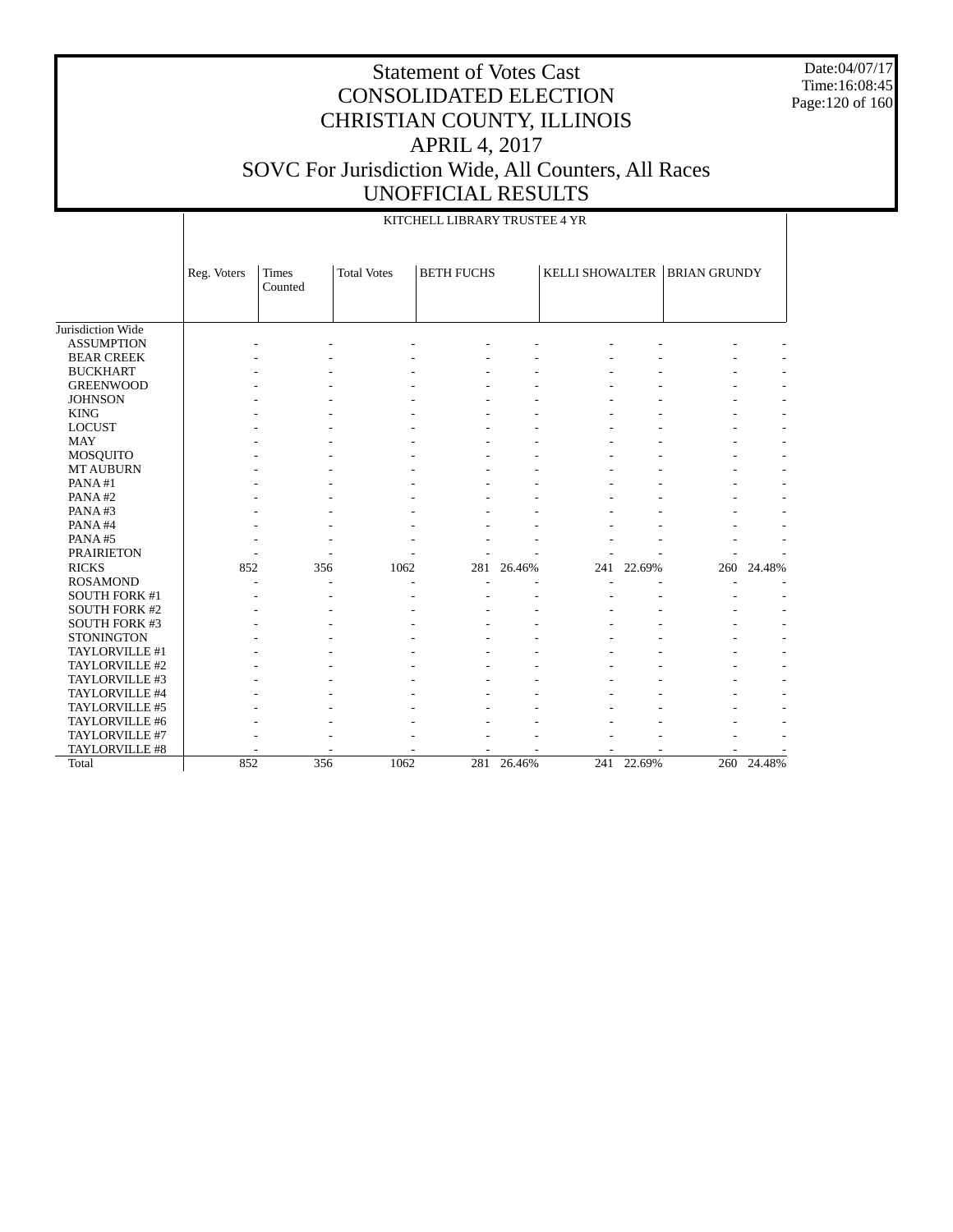Date:04/07/17 Time:16:08:45 Page:120 of 160

|                      |             | KITCHELL LIBRARY TRUSTEE 4 YR |                    |                   |        |                        |            |                     |        |  |  |
|----------------------|-------------|-------------------------------|--------------------|-------------------|--------|------------------------|------------|---------------------|--------|--|--|
|                      | Reg. Voters | Times<br>Counted              | <b>Total Votes</b> | <b>BETH FUCHS</b> |        | <b>KELLI SHOWALTER</b> |            | <b>BRIAN GRUNDY</b> |        |  |  |
| Jurisdiction Wide    |             |                               |                    |                   |        |                        |            |                     |        |  |  |
| <b>ASSUMPTION</b>    |             |                               |                    |                   |        |                        |            |                     |        |  |  |
| <b>BEAR CREEK</b>    |             |                               |                    |                   |        |                        |            |                     |        |  |  |
| <b>BUCKHART</b>      |             |                               |                    |                   |        |                        |            |                     |        |  |  |
| <b>GREENWOOD</b>     |             |                               |                    |                   |        |                        |            |                     |        |  |  |
| <b>JOHNSON</b>       |             |                               |                    |                   |        |                        |            |                     |        |  |  |
| <b>KING</b>          |             |                               |                    |                   |        |                        |            |                     |        |  |  |
| <b>LOCUST</b>        |             |                               |                    |                   |        |                        |            |                     |        |  |  |
| <b>MAY</b>           |             |                               |                    |                   |        |                        |            |                     |        |  |  |
| <b>MOSQUITO</b>      |             |                               |                    |                   |        |                        |            |                     |        |  |  |
| <b>MT AUBURN</b>     |             |                               |                    |                   |        |                        |            |                     |        |  |  |
| PANA#1               |             |                               |                    |                   |        |                        |            |                     |        |  |  |
| PANA#2               |             |                               |                    |                   |        |                        |            |                     |        |  |  |
| PANA#3               |             |                               |                    |                   |        |                        |            |                     |        |  |  |
| PANA#4               |             |                               |                    |                   |        |                        |            |                     |        |  |  |
| PANA#5               |             |                               |                    |                   |        |                        |            |                     |        |  |  |
| <b>PRAIRIETON</b>    |             |                               |                    |                   |        |                        |            |                     |        |  |  |
| <b>RICKS</b>         | 852         | 356                           | 1062               | 281               | 26.46% | 241                    | 22.69%     | 260                 | 24.48% |  |  |
| <b>ROSAMOND</b>      |             |                               |                    |                   |        |                        |            |                     |        |  |  |
| <b>SOUTH FORK #1</b> |             |                               |                    |                   |        |                        |            |                     |        |  |  |
| <b>SOUTH FORK #2</b> |             |                               |                    |                   |        |                        |            |                     |        |  |  |
| <b>SOUTH FORK #3</b> |             |                               |                    |                   |        |                        |            |                     |        |  |  |
| <b>STONINGTON</b>    |             |                               |                    |                   |        |                        |            |                     |        |  |  |
| TAYLORVILLE #1       |             |                               |                    |                   |        |                        |            |                     |        |  |  |
| TAYLORVILLE #2       |             |                               |                    |                   |        |                        |            |                     |        |  |  |
| TAYLORVILLE #3       |             |                               |                    |                   |        |                        |            |                     |        |  |  |
| TAYLORVILLE #4       |             |                               |                    |                   |        |                        |            |                     |        |  |  |
| TAYLORVILLE #5       |             |                               |                    |                   |        |                        |            |                     |        |  |  |
| TAYLORVILLE #6       |             |                               |                    |                   |        |                        |            |                     |        |  |  |
| TAYLORVILLE #7       |             |                               |                    |                   |        |                        |            |                     |        |  |  |
| TAYLORVILLE #8       |             |                               |                    |                   |        |                        |            |                     |        |  |  |
| Total                | 852         | 356                           | 1062               | 281               | 26.46% |                        | 241 22.69% | 260                 | 24.48% |  |  |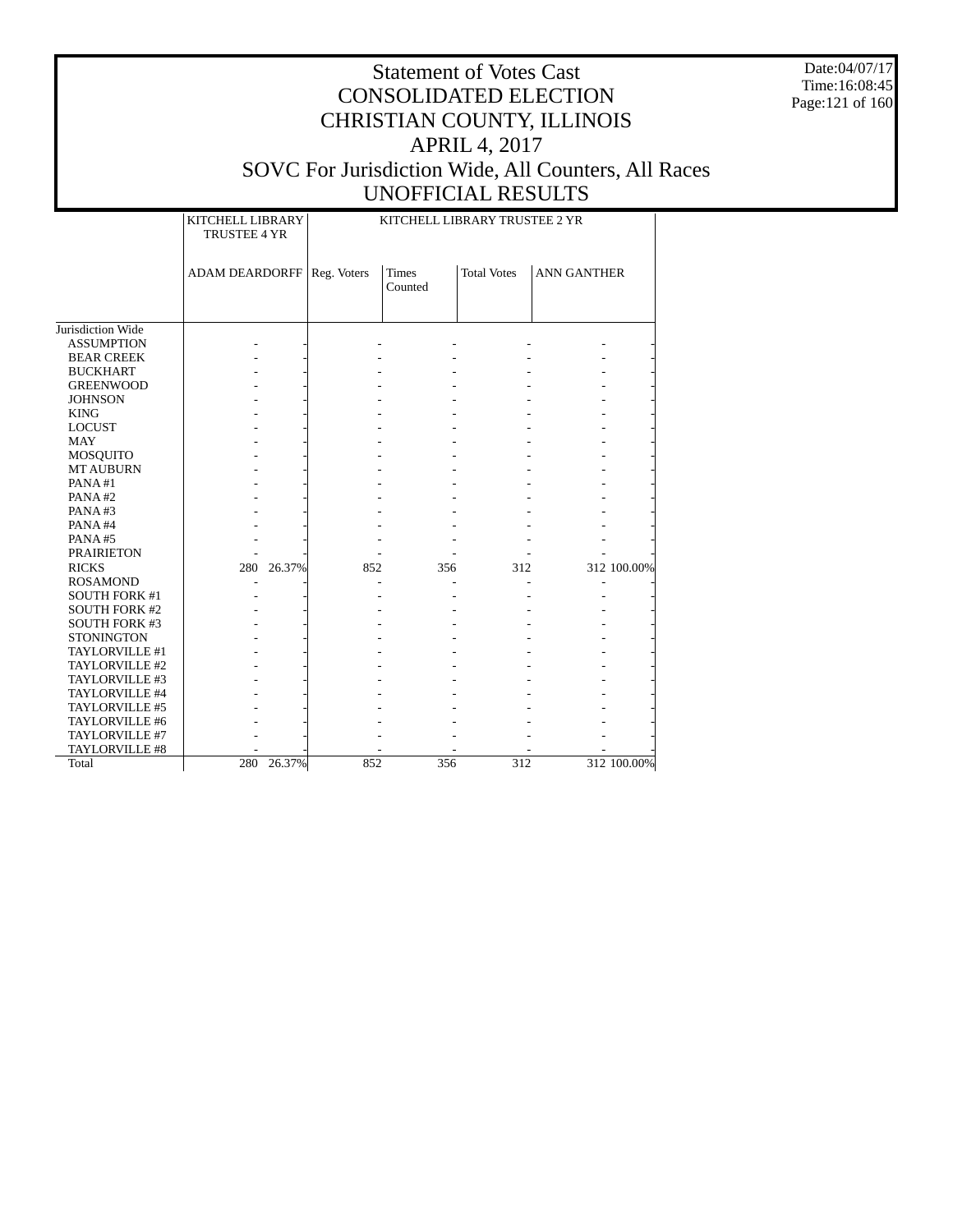Date:04/07/17 Time:16:08:45 Page:121 of 160

|                      | KITCHELL LIBRARY<br>TRUSTEE 4 YR |            | KITCHELL LIBRARY TRUSTEE 2 YR |                         |                    |                          |             |  |  |
|----------------------|----------------------------------|------------|-------------------------------|-------------------------|--------------------|--------------------------|-------------|--|--|
|                      | <b>ADAM DEARDORFF</b>            |            | Reg. Voters                   | <b>Times</b><br>Counted | <b>Total Votes</b> | <b>ANN GANTHER</b>       |             |  |  |
| Jurisdiction Wide    |                                  |            |                               |                         |                    |                          |             |  |  |
| <b>ASSUMPTION</b>    |                                  |            |                               |                         |                    |                          |             |  |  |
| <b>BEAR CREEK</b>    |                                  |            |                               |                         |                    |                          |             |  |  |
| <b>BUCKHART</b>      |                                  |            |                               |                         |                    |                          |             |  |  |
| <b>GREENWOOD</b>     |                                  |            |                               |                         |                    |                          |             |  |  |
| <b>JOHNSON</b>       |                                  |            |                               |                         |                    |                          |             |  |  |
| <b>KING</b>          |                                  |            |                               |                         |                    |                          |             |  |  |
| <b>LOCUST</b>        |                                  |            |                               |                         |                    |                          |             |  |  |
| MAY                  |                                  |            |                               |                         |                    |                          |             |  |  |
| <b>MOSQUITO</b>      |                                  |            |                               |                         |                    |                          |             |  |  |
| <b>MT AUBURN</b>     |                                  |            |                               |                         |                    |                          |             |  |  |
| PANA#1               |                                  |            |                               |                         |                    |                          |             |  |  |
| PANA#2               |                                  |            |                               |                         |                    |                          |             |  |  |
| PANA#3               |                                  |            |                               |                         |                    |                          |             |  |  |
| PANA#4               |                                  |            |                               |                         |                    |                          |             |  |  |
| PANA#5               |                                  |            |                               |                         |                    |                          |             |  |  |
| <b>PRAIRIETON</b>    |                                  |            |                               |                         |                    |                          |             |  |  |
| <b>RICKS</b>         | 280                              | 26.37%     | 852                           | 356                     | 312                |                          | 312 100.00% |  |  |
| <b>ROSAMOND</b>      |                                  |            |                               |                         |                    | $\overline{\phantom{a}}$ |             |  |  |
| <b>SOUTH FORK #1</b> |                                  |            |                               |                         |                    |                          |             |  |  |
| <b>SOUTH FORK #2</b> |                                  |            |                               |                         |                    |                          |             |  |  |
| <b>SOUTH FORK #3</b> |                                  |            |                               |                         |                    |                          |             |  |  |
| <b>STONINGTON</b>    |                                  |            |                               |                         |                    |                          |             |  |  |
| TAYLORVILLE #1       |                                  |            |                               |                         |                    |                          |             |  |  |
| TAYLORVILLE #2       |                                  |            |                               |                         |                    |                          |             |  |  |
| TAYLORVILLE #3       |                                  |            |                               |                         |                    |                          |             |  |  |
| TAYLORVILLE #4       |                                  |            |                               |                         |                    |                          |             |  |  |
| TAYLORVILLE #5       |                                  |            |                               |                         |                    |                          |             |  |  |
| TAYLORVILLE #6       |                                  |            |                               |                         |                    |                          |             |  |  |
| TAYLORVILLE #7       |                                  |            |                               |                         |                    |                          |             |  |  |
| TAYLORVILLE #8       |                                  |            |                               |                         |                    |                          |             |  |  |
| Total                |                                  | 280 26.37% | 852                           | 356                     | 312                |                          | 312 100.00% |  |  |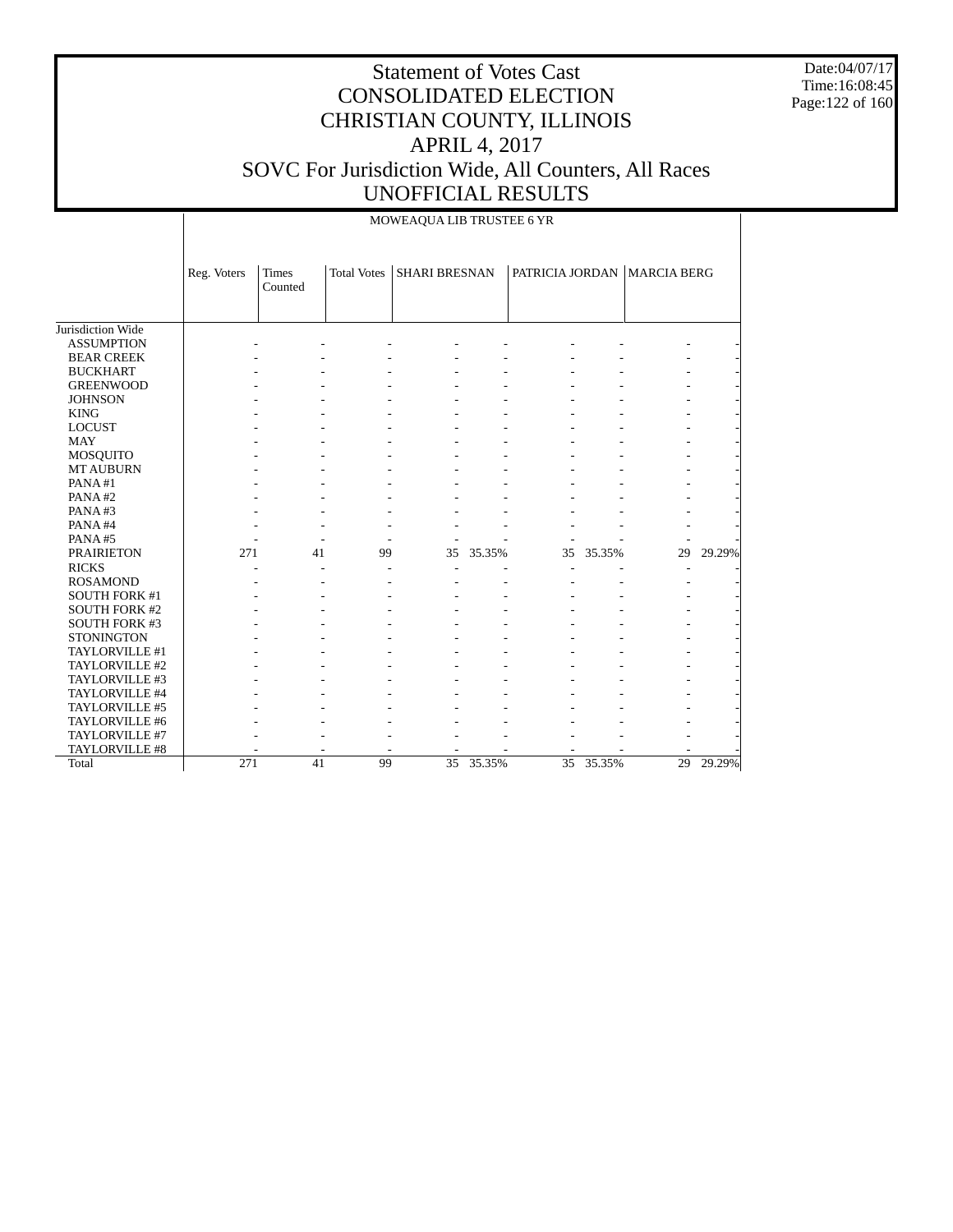Date:04/07/17 Time:16:08:45 Page:122 of 160

|                      |             |                  |                    | MOWEAQUA LIB TRUSTEE 6 YR |           |                 |        |                             |        |
|----------------------|-------------|------------------|--------------------|---------------------------|-----------|-----------------|--------|-----------------------------|--------|
|                      | Reg. Voters | Times<br>Counted | <b>Total Votes</b> | <b>SHARI BRESNAN</b>      |           |                 |        | PATRICIA JORDAN MARCIA BERG |        |
| Jurisdiction Wide    |             |                  |                    |                           |           |                 |        |                             |        |
| <b>ASSUMPTION</b>    |             |                  |                    |                           |           |                 |        |                             |        |
| <b>BEAR CREEK</b>    |             |                  |                    |                           |           |                 |        |                             |        |
| <b>BUCKHART</b>      |             |                  |                    |                           |           |                 |        |                             |        |
| <b>GREENWOOD</b>     |             |                  |                    |                           |           |                 |        |                             |        |
| <b>JOHNSON</b>       |             |                  |                    |                           |           |                 |        |                             |        |
| <b>KING</b>          |             |                  |                    |                           |           |                 |        |                             |        |
| <b>LOCUST</b>        |             |                  |                    |                           |           |                 |        |                             |        |
| <b>MAY</b>           |             |                  |                    |                           |           |                 |        |                             |        |
| <b>MOSQUITO</b>      |             |                  |                    |                           |           |                 |        |                             |        |
| <b>MT AUBURN</b>     |             |                  |                    |                           |           |                 |        |                             |        |
| PANA#1               |             |                  |                    |                           |           |                 |        |                             |        |
| PANA#2               |             |                  |                    |                           |           |                 |        |                             |        |
| PANA#3               |             |                  |                    |                           |           |                 |        |                             |        |
| PANA#4               |             |                  |                    |                           |           |                 |        |                             |        |
| PANA#5               |             |                  |                    |                           |           |                 |        |                             |        |
| <b>PRAIRIETON</b>    | 271         | 41               | 99                 | 35                        | 35.35%    | 35              | 35.35% | 29                          | 29.29% |
| <b>RICKS</b>         |             |                  |                    |                           |           |                 |        |                             |        |
| <b>ROSAMOND</b>      |             |                  |                    |                           |           |                 |        |                             |        |
| <b>SOUTH FORK #1</b> |             |                  |                    |                           |           |                 |        |                             |        |
| <b>SOUTH FORK #2</b> |             |                  |                    |                           |           |                 |        |                             |        |
| SOUTH FORK #3        |             |                  |                    |                           |           |                 |        |                             |        |
| <b>STONINGTON</b>    |             |                  |                    |                           |           |                 |        |                             |        |
| TAYLORVILLE #1       |             |                  |                    |                           |           |                 |        |                             |        |
| TAYLORVILLE #2       |             |                  |                    |                           |           |                 |        |                             |        |
| TAYLORVILLE #3       |             |                  |                    |                           |           |                 |        |                             |        |
| TAYLORVILLE #4       |             |                  |                    |                           |           |                 |        |                             |        |
| TAYLORVILLE #5       |             |                  |                    |                           |           |                 |        |                             |        |
| TAYLORVILLE #6       |             |                  |                    |                           |           |                 |        |                             |        |
| TAYLORVILLE #7       |             |                  |                    |                           |           |                 |        |                             |        |
| TAYLORVILLE #8       |             |                  |                    |                           |           |                 |        |                             |        |
| Total                | 271         | 41               | 99                 |                           | 35 35.35% | $\overline{35}$ | 35.35% | 29                          | 29.29% |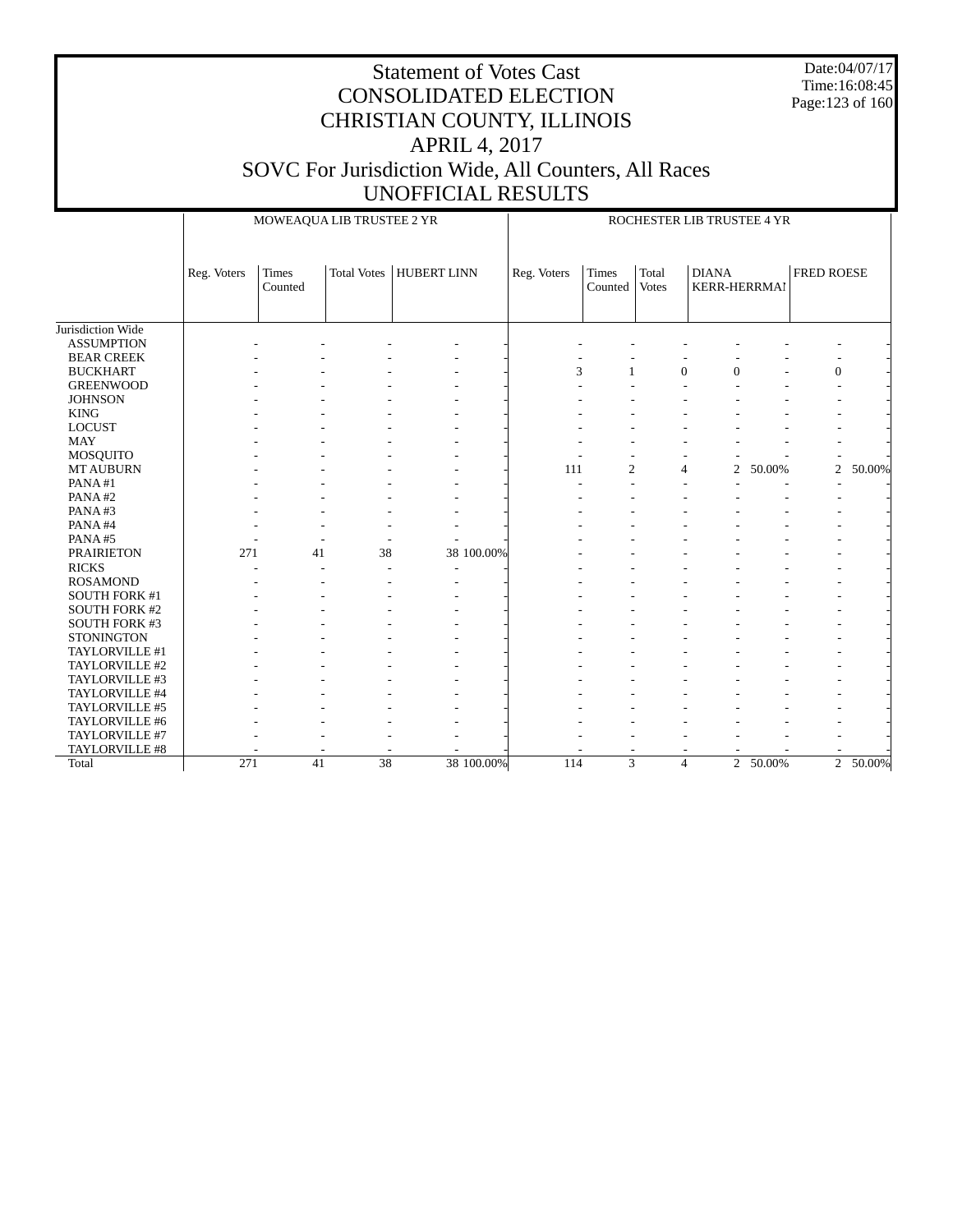Date:04/07/17 Time:16:08:45 Page:123 of 160

### Statement of Votes Cast CONSOLIDATED ELECTION CHRISTIAN COUNTY, ILLINOIS APRIL 4, 2017 SOVC For Jurisdiction Wide, All Counters, All Races UNOFFICIAL RESULTS

 Jurisdiction Wide ASSUMPTION BEAR CREEK BUCKHART GREENWOOD **JOHNSON**  KING LOCUST MAY MOSQUITO MT AUBURN PANA #1 PANA #2 PANA #3 PANA #4 PANA #5 PRAIRIETON RICKS ROSAMOND SOUTH FORK #1 SOUTH FORK #2 SOUTH FORK #3 **STONINGTON**  TAYLORVILLE #1 TAYLORVILLE #2 TAYLORVILLE #3 TAYLORVILLE #4 TAYLORVILLE #5 TAYLORVILLE #6 TAYLORVILLE #7 TAYLORVILLE #8 Total Reg. Voters | Times Counted Total Votes | HUBERT LINN MOWEAQUA LIB TRUSTEE 2 YR Reg. Voters | Times Counted Total Votes DIANA KERR-HERRMAI FRED ROESE ROCHESTER LIB TRUSTEE 4 YR - - - - - - - - - - - - - - - - - - - - - - - -  $3$   $1$  0 0  $-$  0  $-$  - - - - - - - - - - - - - - - - - - - - - - - - - - - - - - - - - - - - - - - - - - - - - - - - - - - - - - - - - - - - - - - - - - - - - - - -  $-$  -  $111$   $2$   $4$   $2$   $50.00\%$   $2$   $50.00\%$  - - - - - - - - - - - - - - - - - - - - - - - - - - - - - - - - - - - - - - - - - - - - - - - - - - - - - - - - - - - -  $271$  41 38 38 100.00% - - - - - - - - - - - - - - - - - - - - - - - - - - - - - - - - - - - - - - - - - - - - - - - - - - - - - - - - - - - - - - - - - - - - - - - - - - - - - - - - - - - - - - - - - - - - - - - - - - - - - - - - - - - - - - - - - - - - - - - - - - - - - - - - - - - - - - - - - - - - - - - - - - - - - - - - - - - - - - - - - - - - - - - - - - - - - - - - - 271 41 38 38 100.00% 114 3 4 2 50.00% 2 50.00%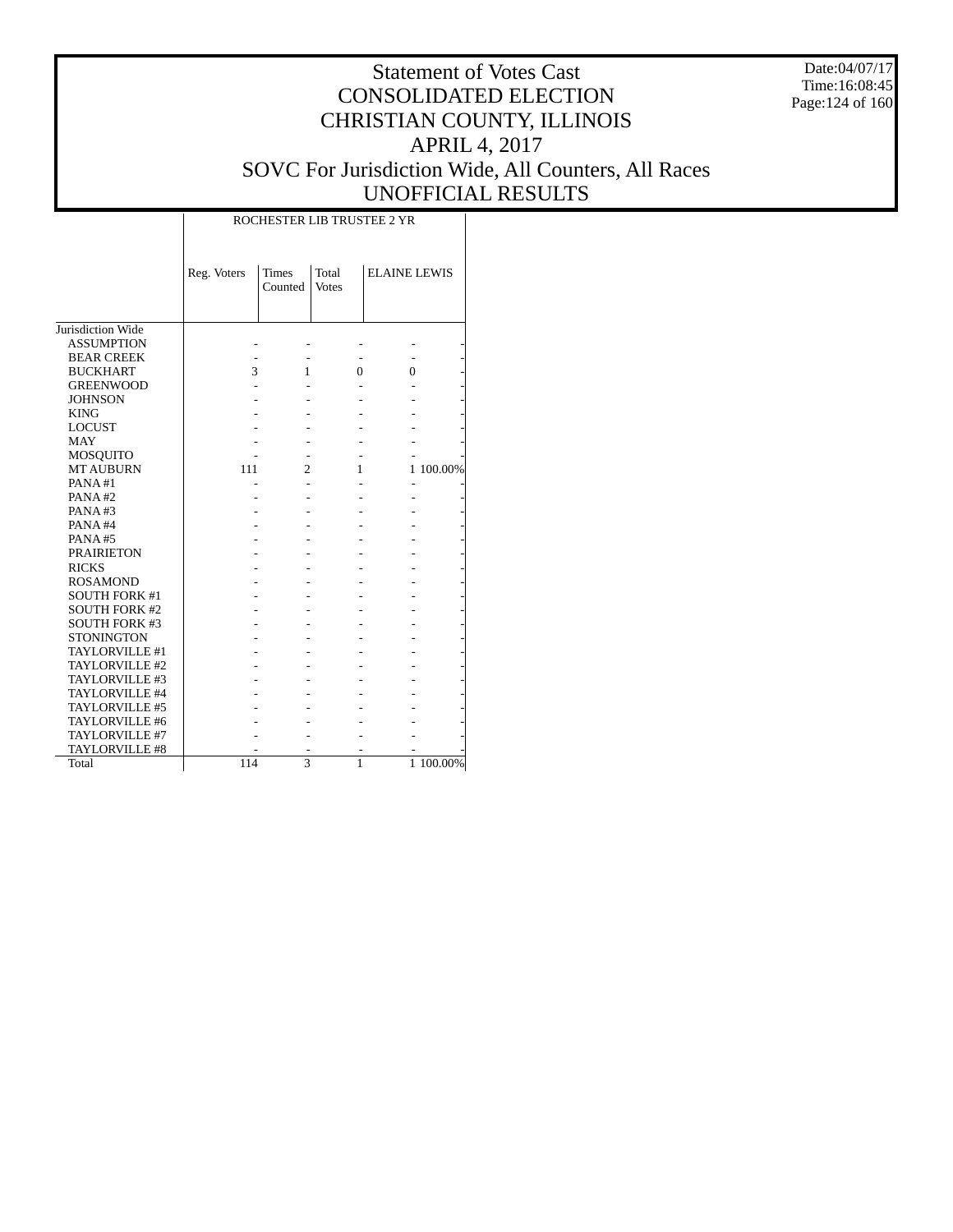Date:04/07/17 Time:16:08:45 Page:124 of 160

# Statement of Votes Cast CONSOLIDATED ELECTION CHRISTIAN COUNTY, ILLINOIS APRIL 4, 2017 SOVC For Jurisdiction Wide, All Counters, All Races UNOFFICIAL RESULTS

|                       |             |                         | ROCHESTER LIB TRUSTEE 2 YR |                     |           |
|-----------------------|-------------|-------------------------|----------------------------|---------------------|-----------|
|                       | Reg. Voters | <b>Times</b><br>Counted | Total<br><b>Votes</b>      | <b>ELAINE LEWIS</b> |           |
| Jurisdiction Wide     |             |                         |                            |                     |           |
| <b>ASSUMPTION</b>     |             |                         |                            |                     |           |
| <b>BEAR CREEK</b>     |             |                         |                            |                     |           |
| <b>BUCKHART</b>       | 3           | 1                       | 0                          | 0                   |           |
| <b>GREENWOOD</b>      |             |                         |                            |                     |           |
| <b>JOHNSON</b>        |             |                         |                            |                     |           |
| <b>KING</b>           |             |                         |                            |                     |           |
| <b>LOCUST</b>         |             |                         |                            |                     |           |
| <b>MAY</b>            |             |                         |                            |                     |           |
| <b>MOSQUITO</b>       |             |                         |                            |                     |           |
| <b>MT AUBURN</b>      | 111         | $\overline{c}$          | 1                          |                     | 1 100.00% |
| PANA#1                |             |                         |                            |                     |           |
| PANA#2                |             |                         |                            |                     |           |
| PANA#3                |             |                         |                            |                     |           |
| PANA#4                |             |                         |                            |                     |           |
| PANA#5                |             |                         |                            |                     |           |
| <b>PRAIRIETON</b>     |             |                         |                            |                     |           |
| <b>RICKS</b>          |             |                         |                            |                     |           |
| <b>ROSAMOND</b>       |             |                         |                            |                     |           |
| <b>SOUTH FORK #1</b>  |             |                         |                            |                     |           |
| <b>SOUTH FORK #2</b>  |             |                         |                            |                     |           |
| <b>SOUTH FORK #3</b>  |             |                         |                            |                     |           |
| <b>STONINGTON</b>     |             |                         |                            |                     |           |
| TAYLORVILLE #1        |             |                         |                            |                     |           |
| TAYLORVILLE #2        |             |                         |                            |                     |           |
| TAYLORVILLE #3        |             |                         |                            |                     |           |
| TAYLORVILLE #4        |             |                         |                            |                     |           |
| TAYLORVILLE #5        |             |                         |                            |                     |           |
| TAYLORVILLE #6        |             |                         |                            |                     |           |
| TAYLORVILLE #7        |             |                         |                            |                     |           |
| <b>TAYLORVILLE #8</b> |             |                         |                            |                     |           |
| Total                 | 114         | 3                       | 1                          |                     | 1 100.00% |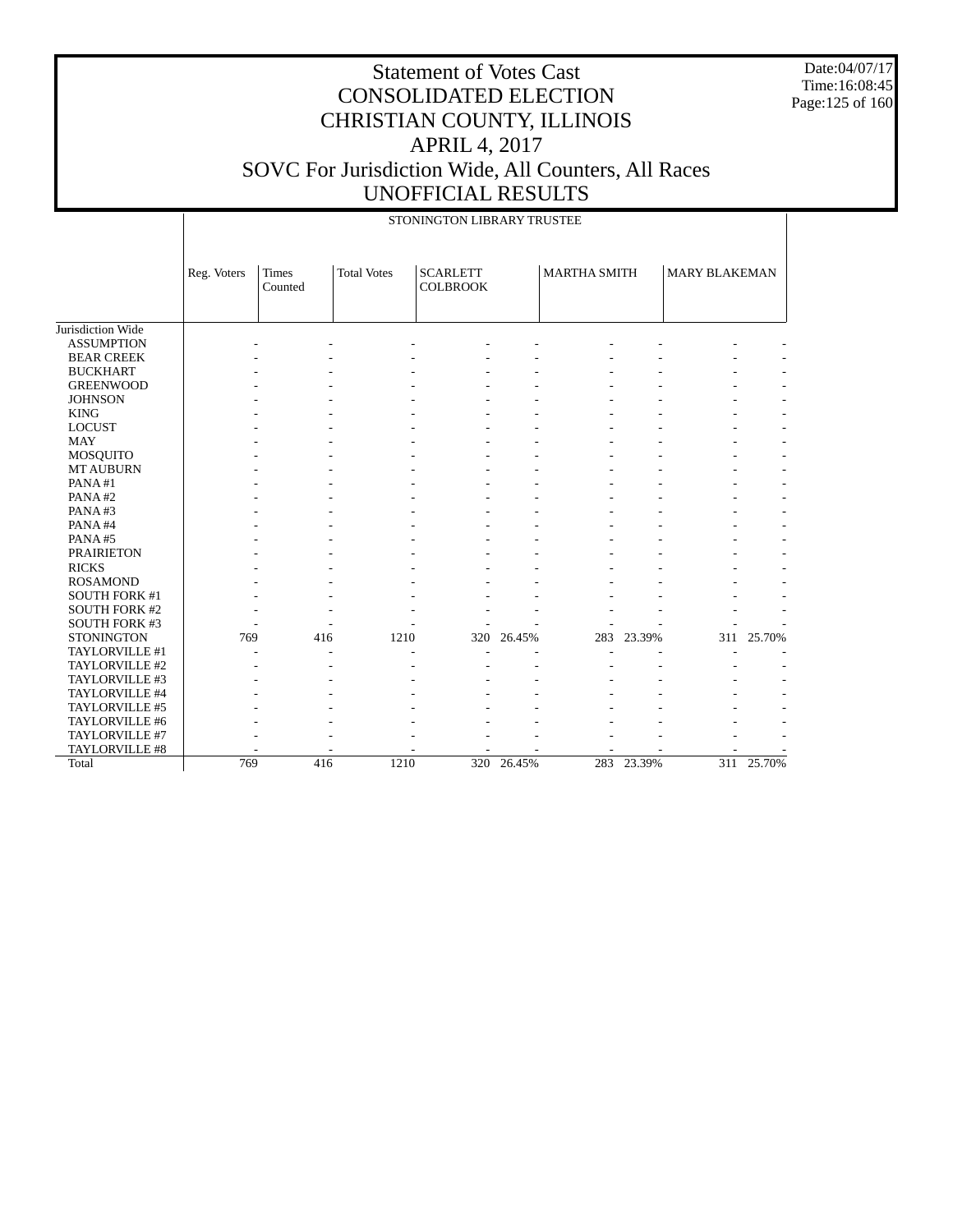Date:04/07/17 Time:16:08:45 Page:125 of 160

| Jurisdiction Wide<br><b>ASSUMPTION</b> | Reg. Voters | <b>Times</b><br>Counted | <b>Total Votes</b> | <b>SCARLETT</b> |        |                     |        |                      |            |
|----------------------------------------|-------------|-------------------------|--------------------|-----------------|--------|---------------------|--------|----------------------|------------|
|                                        |             |                         |                    | <b>COLBROOK</b> |        | <b>MARTHA SMITH</b> |        | <b>MARY BLAKEMAN</b> |            |
|                                        |             |                         |                    |                 |        |                     |        |                      |            |
|                                        |             |                         |                    |                 |        |                     |        |                      |            |
|                                        |             |                         |                    |                 |        |                     |        |                      |            |
| <b>BEAR CREEK</b><br><b>BUCKHART</b>   |             |                         |                    |                 |        |                     |        |                      |            |
| <b>GREENWOOD</b>                       |             |                         |                    |                 |        |                     |        |                      |            |
| <b>JOHNSON</b>                         |             |                         |                    |                 |        |                     |        |                      |            |
| <b>KING</b>                            |             |                         |                    |                 |        |                     |        |                      |            |
| <b>LOCUST</b>                          |             |                         |                    |                 |        |                     |        |                      |            |
| <b>MAY</b>                             |             |                         |                    |                 |        |                     |        |                      |            |
|                                        |             |                         |                    |                 |        |                     |        |                      |            |
| MOSQUITO<br><b>MT AUBURN</b>           |             |                         |                    |                 |        |                     |        |                      |            |
| PANA#1                                 |             |                         |                    |                 |        |                     |        |                      |            |
| PANA#2                                 |             |                         |                    |                 |        |                     |        |                      |            |
| PANA#3                                 |             |                         |                    |                 |        |                     |        |                      |            |
| PANA#4                                 |             |                         |                    |                 |        |                     |        |                      |            |
| PANA#5                                 |             |                         |                    |                 |        |                     |        |                      |            |
| <b>PRAIRIETON</b>                      |             |                         |                    |                 |        |                     |        |                      |            |
| <b>RICKS</b>                           |             |                         |                    |                 |        |                     |        |                      |            |
| <b>ROSAMOND</b>                        |             |                         |                    |                 |        |                     |        |                      |            |
| <b>SOUTH FORK #1</b>                   |             |                         |                    |                 |        |                     |        |                      |            |
| <b>SOUTH FORK #2</b>                   |             |                         |                    |                 |        |                     |        |                      |            |
| SOUTH FORK #3                          |             |                         |                    |                 |        |                     |        |                      |            |
| <b>STONINGTON</b>                      | 769         | 416                     |                    | 1210<br>320     | 26.45% | 283                 | 23.39% |                      | 311 25.70% |
| TAYLORVILLE #1                         |             |                         |                    |                 |        |                     |        |                      |            |
| TAYLORVILLE #2                         |             |                         |                    |                 |        |                     |        |                      |            |
| TAYLORVILLE #3                         |             |                         |                    |                 |        |                     |        |                      |            |
| TAYLORVILLE #4                         |             |                         |                    |                 |        |                     |        |                      |            |
| TAYLORVILLE #5                         |             |                         |                    |                 |        |                     |        |                      |            |
| TAYLORVILLE #6                         |             |                         |                    |                 |        |                     |        |                      |            |
| TAYLORVILLE #7                         |             |                         |                    |                 |        |                     |        |                      |            |
| TAYLORVILLE #8                         |             |                         |                    |                 |        |                     |        |                      |            |
| Total                                  | 769         | 416                     |                    | 1210<br>320     | 26.45% | 283                 | 23.39% |                      | 311 25.70% |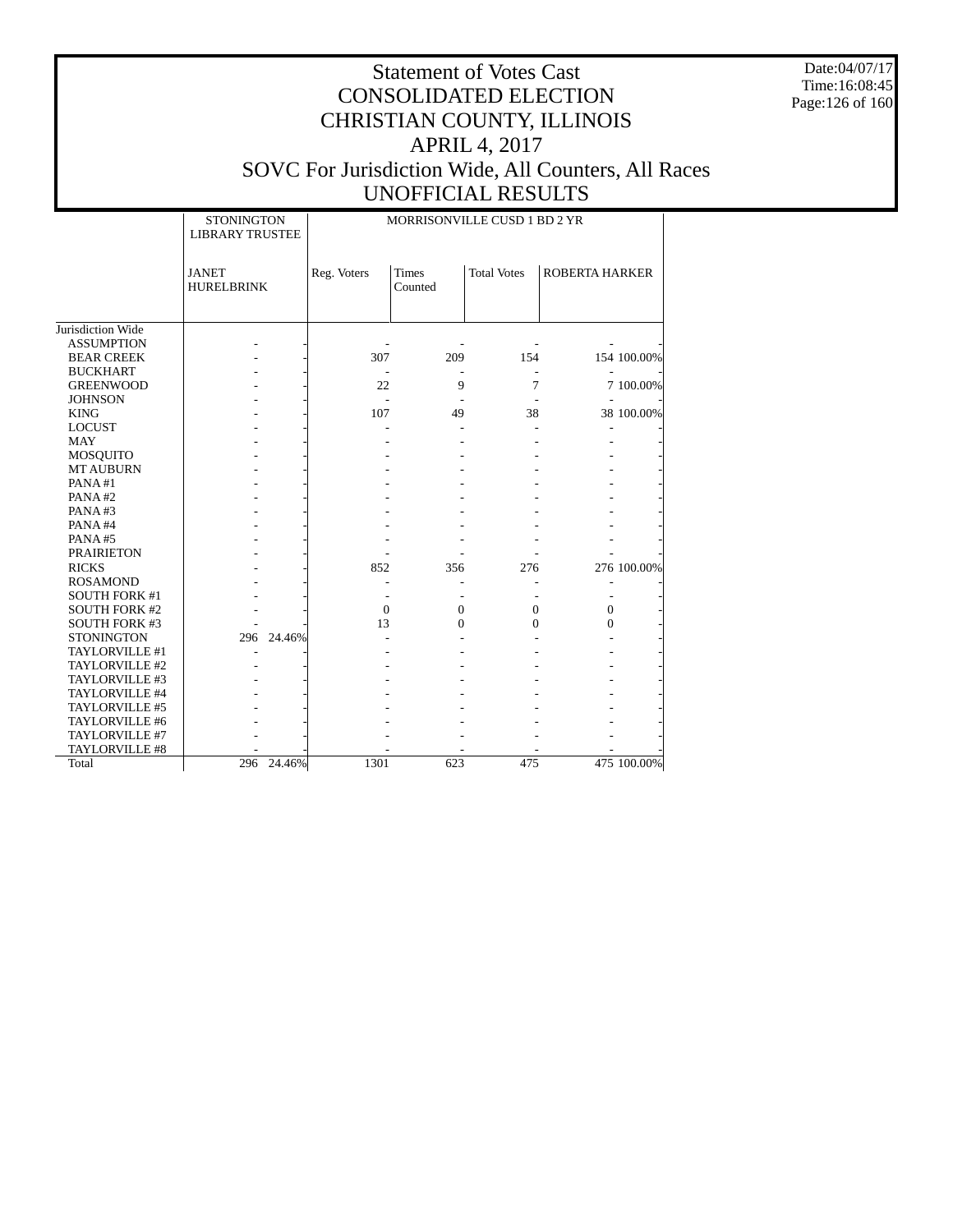Date:04/07/17 Time:16:08:45 Page:126 of 160

|                      | <b>STONINGTON</b><br><b>LIBRARY TRUSTEE</b> |            |                | MORRISONVILLE CUSD 1 BD 2 YR |                    |                       |             |
|----------------------|---------------------------------------------|------------|----------------|------------------------------|--------------------|-----------------------|-------------|
|                      | <b>JANET</b><br><b>HURELBRINK</b>           |            | Reg. Voters    | <b>Times</b><br>Counted      | <b>Total Votes</b> | <b>ROBERTA HARKER</b> |             |
| Jurisdiction Wide    |                                             |            |                |                              |                    |                       |             |
| <b>ASSUMPTION</b>    |                                             |            |                |                              |                    |                       |             |
| <b>BEAR CREEK</b>    |                                             |            | 307            | 209                          | 154                |                       | 154 100.00% |
| <b>BUCKHART</b>      |                                             |            |                |                              |                    |                       |             |
| <b>GREENWOOD</b>     |                                             |            | 22             | 9                            | 7                  |                       | 7 100.00%   |
| <b>JOHNSON</b>       |                                             |            | ÷.             |                              |                    |                       |             |
| <b>KING</b>          |                                             |            | 107            | 49                           | 38                 |                       | 38 100.00%  |
| <b>LOCUST</b>        |                                             |            |                |                              |                    |                       |             |
| <b>MAY</b>           |                                             |            |                |                              |                    |                       |             |
| <b>MOSQUITO</b>      |                                             |            |                |                              |                    |                       |             |
| <b>MT AUBURN</b>     |                                             |            |                |                              |                    |                       |             |
| PANA#1               |                                             |            |                |                              |                    |                       |             |
| PANA#2               |                                             |            |                |                              |                    |                       |             |
| PANA#3               |                                             |            |                |                              |                    |                       |             |
| PANA#4               |                                             |            |                |                              |                    |                       |             |
| PANA#5               |                                             |            |                |                              |                    |                       |             |
| <b>PRAIRIETON</b>    |                                             |            |                |                              |                    |                       |             |
| <b>RICKS</b>         |                                             |            | 852            | 356                          | 276                |                       | 276 100.00% |
| <b>ROSAMOND</b>      |                                             |            |                |                              |                    |                       |             |
| <b>SOUTH FORK #1</b> |                                             |            |                |                              |                    |                       |             |
| <b>SOUTH FORK #2</b> |                                             |            | $\overline{0}$ | 0                            | $\boldsymbol{0}$   | $\overline{0}$        |             |
| <b>SOUTH FORK #3</b> |                                             |            | 13             | $\theta$                     | $\theta$           | $\theta$              |             |
| <b>STONINGTON</b>    | 296                                         | 24.46%     |                |                              |                    |                       |             |
| TAYLORVILLE #1       |                                             |            |                |                              |                    |                       |             |
| TAYLORVILLE #2       |                                             |            |                |                              |                    |                       |             |
| TAYLORVILLE #3       |                                             |            |                |                              |                    |                       |             |
| TAYLORVILLE #4       |                                             |            |                |                              |                    |                       |             |
| TAYLORVILLE #5       |                                             |            |                |                              |                    |                       |             |
| TAYLORVILLE #6       |                                             |            |                |                              |                    |                       |             |
| TAYLORVILLE #7       |                                             |            |                |                              |                    |                       |             |
| TAYLORVILLE #8       |                                             |            |                |                              |                    |                       |             |
| Total                |                                             | 296 24.46% | 1301           | 623                          | 475                |                       | 475 100.00% |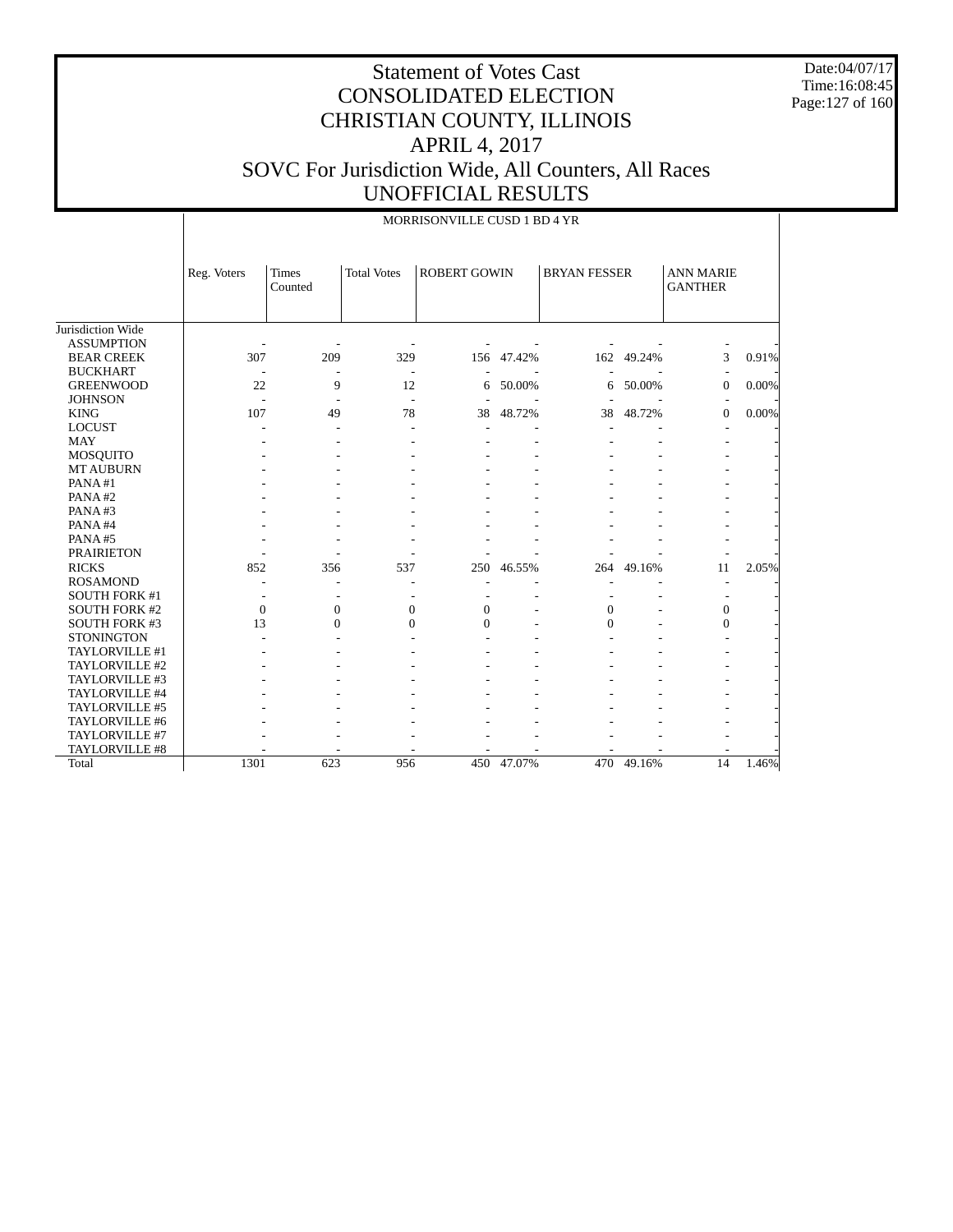Date:04/07/17 Time:16:08:45 Page:127 of 160

|                      |              |                  |                    | MORRISONVILLE CUSD 1 BD 4 YR |            |                     |        |                                    |          |
|----------------------|--------------|------------------|--------------------|------------------------------|------------|---------------------|--------|------------------------------------|----------|
|                      | Reg. Voters  | Times<br>Counted | <b>Total Votes</b> | <b>ROBERT GOWIN</b>          |            | <b>BRYAN FESSER</b> |        | <b>ANN MARIE</b><br><b>GANTHER</b> |          |
| Jurisdiction Wide    |              |                  |                    |                              |            |                     |        |                                    |          |
| <b>ASSUMPTION</b>    |              |                  |                    |                              |            |                     |        |                                    |          |
| <b>BEAR CREEK</b>    | 307          | 209              | 329                |                              | 156 47.42% | 162                 | 49.24% | 3                                  | 0.91%    |
| <b>BUCKHART</b>      |              |                  |                    |                              |            |                     |        |                                    |          |
| <b>GREENWOOD</b>     | 22           | 9                | 12                 | 6                            | 50.00%     | 6                   | 50.00% | $\overline{0}$                     | $0.00\%$ |
| <b>JOHNSON</b>       | L.           |                  |                    |                              |            |                     |        |                                    |          |
| <b>KING</b>          | 107          | 49               | 78                 | 38                           | 48.72%     | 38                  | 48.72% | $\overline{0}$                     | $0.00\%$ |
| <b>LOCUST</b>        |              |                  |                    |                              |            |                     |        |                                    |          |
| <b>MAY</b>           |              |                  |                    |                              |            |                     |        |                                    |          |
| <b>MOSQUITO</b>      |              |                  |                    |                              |            |                     |        |                                    |          |
| <b>MT AUBURN</b>     |              |                  |                    |                              |            |                     |        |                                    |          |
| PANA#1               |              |                  |                    |                              |            |                     |        |                                    |          |
| PANA#2               |              |                  |                    |                              |            |                     |        |                                    |          |
| PANA#3               |              |                  |                    |                              |            |                     |        |                                    |          |
| PANA#4               |              |                  |                    |                              |            |                     |        |                                    |          |
| PANA#5               |              |                  |                    |                              |            |                     |        |                                    |          |
| <b>PRAIRIETON</b>    |              |                  |                    |                              |            |                     |        |                                    |          |
| <b>RICKS</b>         | 852          | 356              | 537                | 250                          | 46.55%     | 264                 | 49.16% | 11                                 | 2.05%    |
| <b>ROSAMOND</b>      |              |                  |                    |                              |            |                     |        |                                    |          |
| <b>SOUTH FORK #1</b> |              |                  |                    |                              |            |                     |        |                                    |          |
| <b>SOUTH FORK #2</b> | $\mathbf{0}$ | $\mathbf{0}$     | $\mathbf{0}$       | $\boldsymbol{0}$             |            | $\mathbf{0}$        |        | $\overline{0}$                     |          |
| <b>SOUTH FORK #3</b> | 13           | $\Omega$         | $\mathbf{0}$       | $\Omega$                     |            | $\theta$            |        | $\overline{0}$                     |          |
| <b>STONINGTON</b>    |              |                  |                    |                              |            |                     |        |                                    |          |
| TAYLORVILLE #1       |              |                  |                    |                              |            |                     |        |                                    |          |
| TAYLORVILLE #2       |              |                  |                    |                              |            |                     |        |                                    |          |
| TAYLORVILLE #3       |              |                  |                    |                              |            |                     |        |                                    |          |
| TAYLORVILLE #4       |              |                  |                    |                              |            |                     |        |                                    |          |
| TAYLORVILLE #5       |              |                  |                    |                              |            |                     |        |                                    |          |
| TAYLORVILLE #6       |              |                  |                    |                              |            |                     |        |                                    |          |
| TAYLORVILLE #7       |              |                  |                    |                              |            |                     |        |                                    |          |
| TAYLORVILLE #8       |              |                  |                    |                              |            |                     |        |                                    |          |
| Total                | 1301         | 623              | 956                |                              | 450 47.07% | 470                 | 49.16% | $\overline{14}$                    | 1.46%    |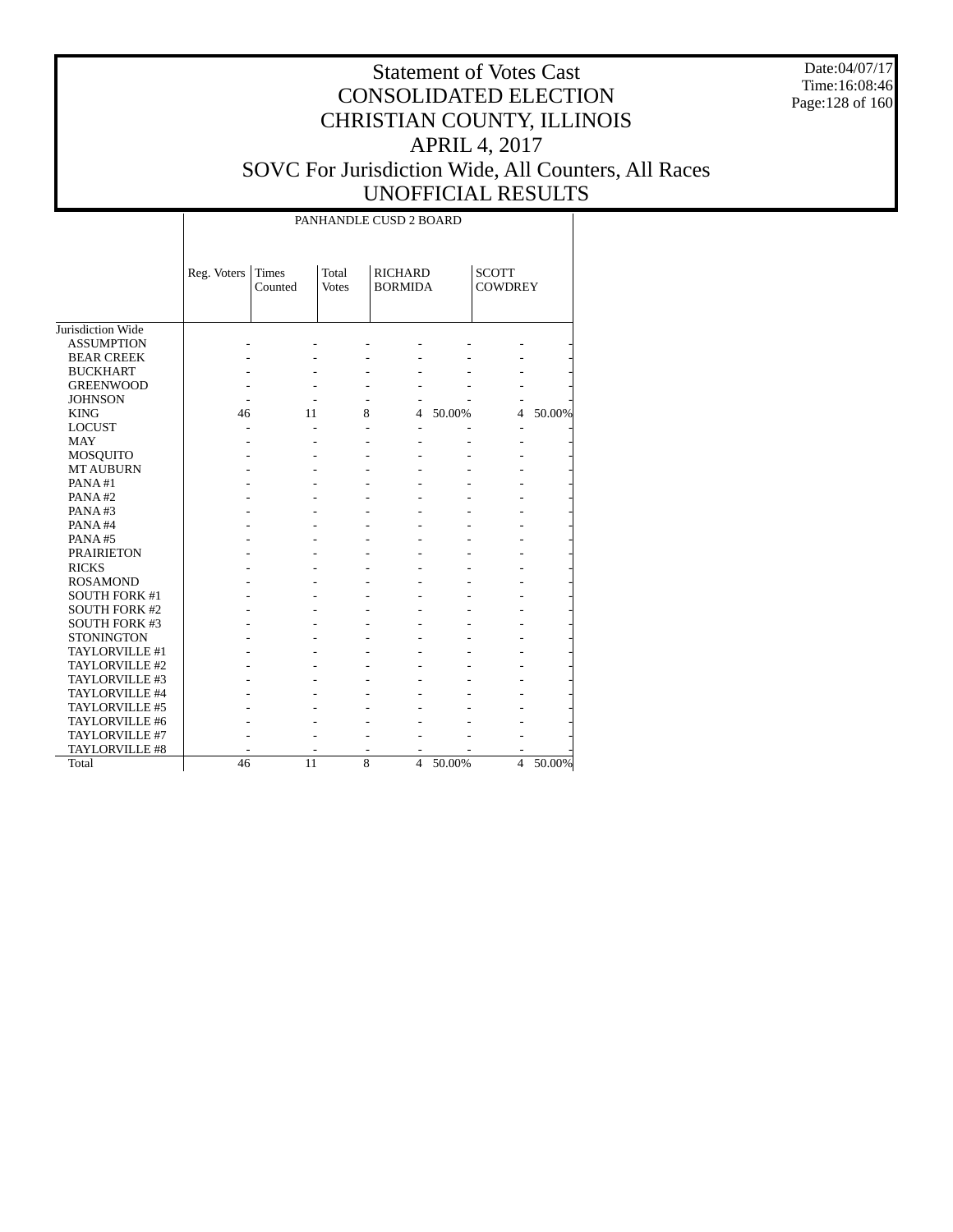Date:04/07/17 Time:16:08:46 Page:128 of 160

# Statement of Votes Cast CONSOLIDATED ELECTION CHRISTIAN COUNTY, ILLINOIS APRIL 4, 2017 SOVC For Jurisdiction Wide, All Counters, All Races UNOFFICIAL RESULTS

### PANHANDLE CUSD 2 BOARD

|                      | Reg. Voters | <b>Times</b><br>Counted | Total<br><b>Votes</b> | <b>RICHARD</b><br><b>BORMIDA</b> |        | <b>SCOTT</b><br><b>COWDREY</b> |        |
|----------------------|-------------|-------------------------|-----------------------|----------------------------------|--------|--------------------------------|--------|
| Jurisdiction Wide    |             |                         |                       |                                  |        |                                |        |
| <b>ASSUMPTION</b>    |             |                         |                       |                                  |        |                                |        |
| <b>BEAR CREEK</b>    |             |                         |                       |                                  |        |                                |        |
| <b>BUCKHART</b>      |             |                         |                       |                                  |        |                                |        |
| <b>GREENWOOD</b>     |             |                         |                       |                                  |        |                                |        |
| <b>JOHNSON</b>       |             |                         |                       |                                  |        |                                |        |
| <b>KING</b>          | 46          | 11                      | 8                     | 4                                | 50.00% | 4                              | 50.00% |
| <b>LOCUST</b>        |             |                         |                       |                                  |        |                                |        |
| <b>MAY</b>           |             |                         |                       |                                  |        |                                |        |
| <b>MOSQUITO</b>      |             |                         |                       |                                  |        |                                |        |
| <b>MT AUBURN</b>     |             |                         |                       |                                  |        |                                |        |
| PANA#1               |             |                         |                       |                                  |        |                                |        |
| PANA#2               |             |                         |                       |                                  |        |                                |        |
| PANA#3               |             |                         |                       |                                  |        |                                |        |
| PANA#4               |             |                         |                       |                                  |        |                                |        |
| PANA#5               |             |                         |                       |                                  |        |                                |        |
| <b>PRAIRIETON</b>    |             |                         |                       |                                  |        |                                |        |
| <b>RICKS</b>         |             |                         |                       |                                  |        |                                |        |
| <b>ROSAMOND</b>      |             |                         |                       |                                  |        |                                |        |
| <b>SOUTH FORK #1</b> |             |                         |                       |                                  |        |                                |        |
| <b>SOUTH FORK #2</b> |             |                         |                       |                                  |        |                                |        |
| <b>SOUTH FORK #3</b> |             |                         |                       |                                  |        |                                |        |
| <b>STONINGTON</b>    |             |                         |                       |                                  |        |                                |        |
| TAYLORVILLE #1       |             |                         |                       |                                  |        |                                |        |
| TAYLORVILLE #2       |             |                         |                       |                                  |        |                                |        |
| TAYLORVILLE #3       |             |                         |                       |                                  |        |                                |        |
| TAYLORVILLE #4       |             |                         |                       |                                  |        |                                |        |
| TAYLORVILLE #5       |             |                         |                       |                                  |        |                                |        |
| TAYLORVILLE #6       |             |                         |                       |                                  |        |                                |        |
| TAYLORVILLE #7       |             |                         |                       |                                  |        |                                |        |
| TAYLORVILLE #8       |             |                         |                       |                                  |        |                                |        |
| Total                | 46          | 11                      | 8                     | $\overline{4}$                   | 50.00% | $\overline{4}$                 | 50.00% |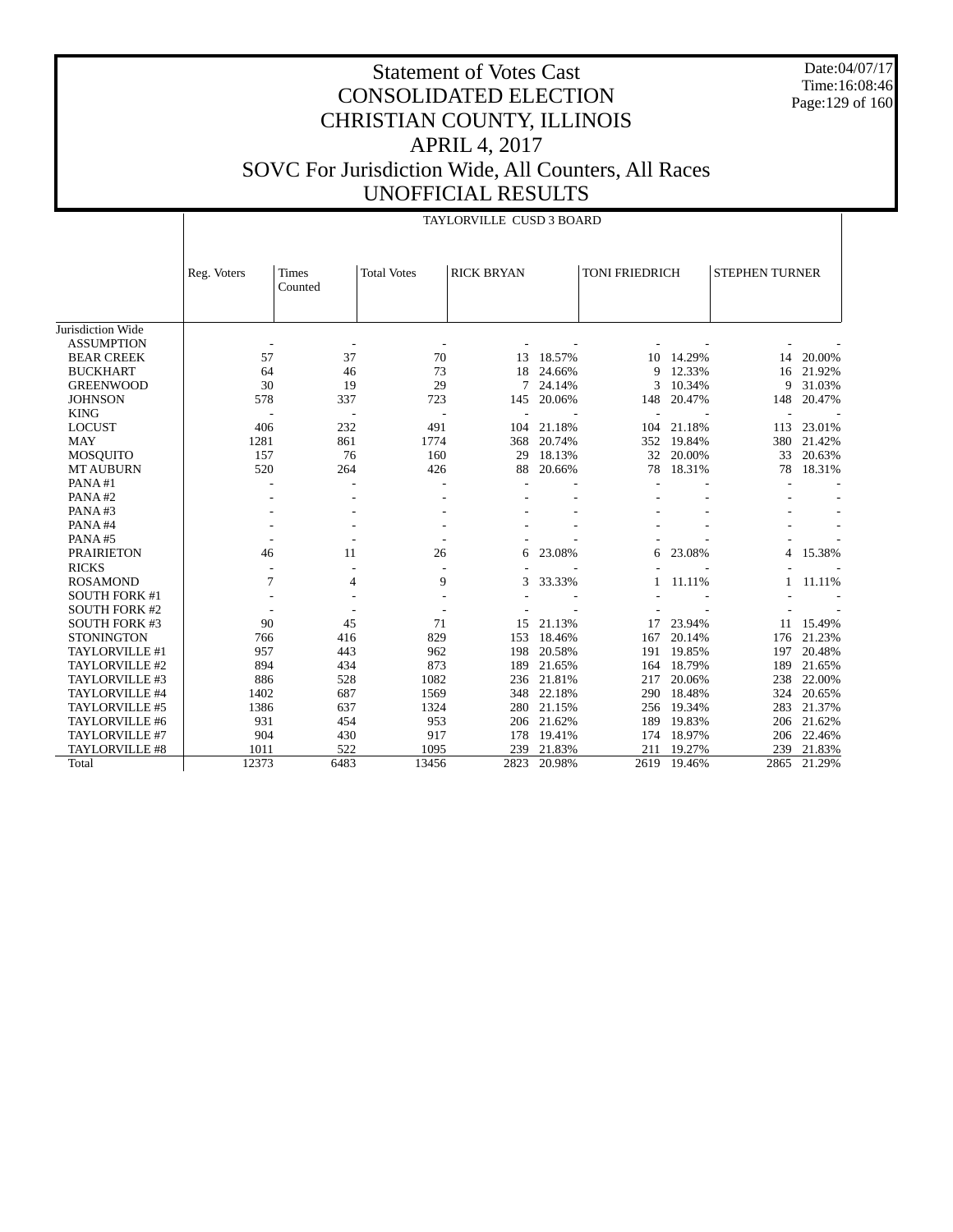Date:04/07/17 Time:16:08:46 Page:129 of 160

### Statement of Votes Cast CONSOLIDATED ELECTION CHRISTIAN COUNTY, ILLINOIS APRIL 4, 2017 SOVC For Jurisdiction Wide, All Counters, All Races UNOFFICIAL RESULTS

|                      |             |         |                    | TAYLORVILLE CUSD 3 BOARD |        |                |        |                       |        |
|----------------------|-------------|---------|--------------------|--------------------------|--------|----------------|--------|-----------------------|--------|
|                      |             |         |                    |                          |        |                |        |                       |        |
|                      |             |         |                    |                          |        |                |        |                       |        |
|                      | Reg. Voters | Times   | <b>Total Votes</b> | <b>RICK BRYAN</b>        |        | TONI FRIEDRICH |        | <b>STEPHEN TURNER</b> |        |
|                      |             | Counted |                    |                          |        |                |        |                       |        |
|                      |             |         |                    |                          |        |                |        |                       |        |
| Jurisdiction Wide    |             |         |                    |                          |        |                |        |                       |        |
| <b>ASSUMPTION</b>    |             |         |                    |                          |        |                |        |                       |        |
| <b>BEAR CREEK</b>    | 57          | 37      | 70                 | 13                       | 18.57% | 10             | 14.29% | 14                    | 20.00% |
| <b>BUCKHART</b>      | 64          | 46      | 73                 | 18                       | 24.66% | 9              | 12.33% | 16                    | 21.92% |
| <b>GREENWOOD</b>     | 30          | 19      | 29                 | 7                        | 24.14% | 3              | 10.34% | 9                     | 31.03% |
| <b>JOHNSON</b>       | 578         | 337     | 723                | 145                      | 20.06% | 148            | 20.47% | 148                   | 20.47% |
| <b>KING</b>          |             |         |                    |                          |        |                |        |                       |        |
| <b>LOCUST</b>        | 406         | 232     | 491                | 104                      | 21.18% | 104            | 21.18% | 113                   | 23.01% |
| <b>MAY</b>           | 1281        | 861     | 1774               | 368                      | 20.74% | 352            | 19.84% | 380                   | 21.42% |
| <b>MOSQUITO</b>      | 157         | 76      | 160                | 29                       | 18.13% | 32             | 20.00% | 33                    | 20.63% |
| <b>MT AUBURN</b>     | 520         | 264     | 426                | 88                       | 20.66% | 78             | 18.31% | 78                    | 18.31% |
| PANA#1               |             |         |                    |                          |        |                |        |                       |        |
| PANA#2               |             |         |                    |                          |        |                |        |                       |        |
| PANA#3               |             |         |                    |                          |        |                |        |                       |        |
| PANA#4               |             |         |                    |                          |        |                |        |                       |        |
| PANA#5               |             |         |                    |                          |        |                |        |                       |        |
| <b>PRAIRIETON</b>    | 46          | 11      | 26                 | 6                        | 23.08% | 6              | 23.08% | 4                     | 15.38% |
| <b>RICKS</b>         |             | ÷,      |                    |                          |        |                |        |                       |        |
| <b>ROSAMOND</b>      | 7           | 4       | 9                  | 3                        | 33.33% |                | 11.11% |                       | 11.11% |
| <b>SOUTH FORK #1</b> |             |         |                    |                          |        |                |        |                       |        |
| <b>SOUTH FORK #2</b> |             |         |                    |                          |        |                |        |                       |        |
| <b>SOUTH FORK #3</b> | 90          | 45      | 71                 | 15                       | 21.13% | 17             | 23.94% | 11                    | 15.49% |
| <b>STONINGTON</b>    | 766         | 416     | 829                | 153                      | 18.46% | 167            | 20.14% | 176                   | 21.23% |
| TAYLORVILLE #1       | 957         | 443     | 962                | 198                      | 20.58% | 191            | 19.85% | 197                   | 20.48% |
| TAYLORVILLE #2       | 894         | 434     | 873                | 189                      | 21.65% | 164            | 18.79% | 189                   | 21.65% |
| TAYLORVILLE #3       | 886         | 528     | 1082               | 236                      | 21.81% | 217            | 20.06% | 238                   | 22.00% |
| TAYLORVILLE #4       | 1402        | 687     | 1569               | 348                      | 22.18% | 290            | 18.48% | 324                   | 20.65% |
| TAYLORVILLE #5       | 1386        | 637     | 1324               | 280                      | 21.15% | 256            | 19.34% | 283                   | 21.37% |
| TAYLORVILLE #6       | 931         | 454     | 953                | 206                      | 21.62% | 189            | 19.83% | 206                   | 21.62% |
| TAYLORVILLE #7       | 904         | 430     | 917                | 178                      | 19.41% | 174            | 18.97% | 206                   | 22.46% |
| TAYLORVILLE #8       | 1011        | 522     | 1095               | 239                      | 21.83% | 211            | 19.27% | 239                   | 21.83% |
| Total                | 12373       | 6483    | 13456              | 2823                     | 20.98% | 2619           | 19.46% | 2865                  | 21.29% |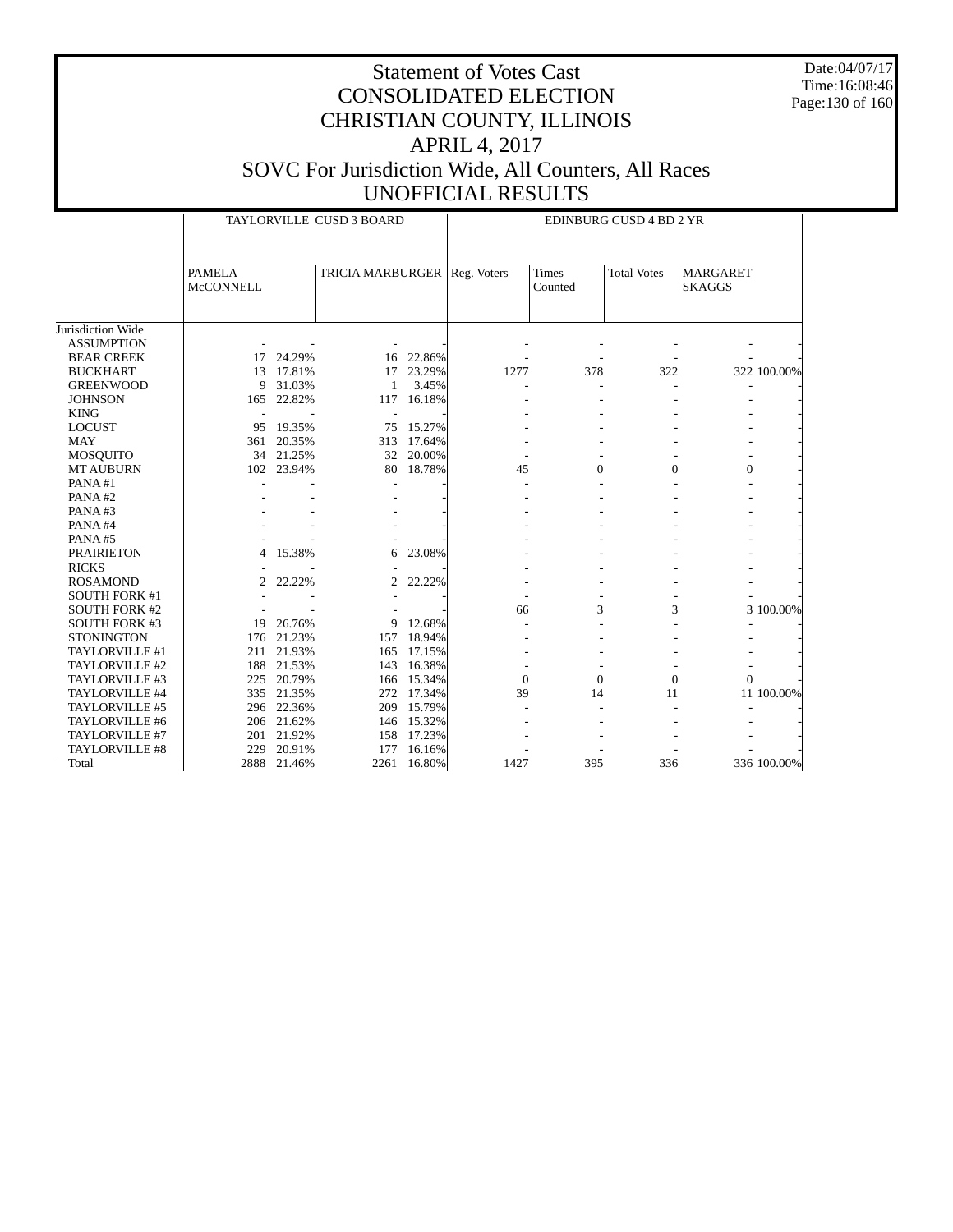Date:04/07/17 Time:16:08:46 Page:130 of 160

|                      |                                   |            | TAYLORVILLE CUSD 3 BOARD       |            |          |                         | EDINBURG CUSD 4 BD 2 YR |                                  |             |
|----------------------|-----------------------------------|------------|--------------------------------|------------|----------|-------------------------|-------------------------|----------------------------------|-------------|
|                      | <b>PAMELA</b><br><b>McCONNELL</b> |            | TRICIA MARBURGER   Reg. Voters |            |          | <b>Times</b><br>Counted | <b>Total Votes</b>      | <b>MARGARET</b><br><b>SKAGGS</b> |             |
| Jurisdiction Wide    |                                   |            |                                |            |          |                         |                         |                                  |             |
| <b>ASSUMPTION</b>    |                                   |            |                                |            |          |                         |                         |                                  |             |
| <b>BEAR CREEK</b>    | 17                                | 24.29%     | 16                             | 22.86%     |          |                         |                         |                                  |             |
| <b>BUCKHART</b>      | 13                                | 17.81%     | 17                             | 23.29%     | 1277     | 378                     | 322                     |                                  | 322 100.00% |
| <b>GREENWOOD</b>     | 9                                 | 31.03%     | 1                              | 3.45%      |          |                         |                         |                                  |             |
| <b>JOHNSON</b>       | 165                               | 22.82%     |                                | 117 16.18% |          |                         |                         |                                  |             |
| <b>KING</b>          |                                   |            |                                |            |          |                         |                         |                                  |             |
| <b>LOCUST</b>        | 95                                | 19.35%     | 75                             | 15.27%     |          |                         |                         |                                  |             |
| <b>MAY</b>           | 361                               | 20.35%     | 313                            | 17.64%     |          |                         |                         |                                  |             |
| <b>MOSQUITO</b>      |                                   | 34 21.25%  | 32                             | 20.00%     |          |                         |                         |                                  |             |
| <b>MT AUBURN</b>     | 102                               | 23.94%     | 80                             | 18.78%     | 45       | $\overline{0}$          | $\theta$                | $\mathbf{0}$                     |             |
| PANA#1               |                                   |            |                                |            |          |                         |                         |                                  |             |
| PANA#2               |                                   |            |                                |            |          |                         |                         |                                  |             |
| PANA#3               |                                   |            |                                |            |          |                         |                         |                                  |             |
| PANA#4               |                                   |            |                                |            |          |                         |                         |                                  |             |
| PANA#5               |                                   |            |                                |            |          |                         |                         |                                  |             |
| <b>PRAIRIETON</b>    | 4                                 | 15.38%     | 6                              | 23.08%     |          |                         |                         |                                  |             |
| <b>RICKS</b>         |                                   |            |                                |            |          |                         |                         |                                  |             |
| <b>ROSAMOND</b>      | 2                                 | 22.22%     | $\overline{c}$                 | 22.22%     |          |                         |                         |                                  |             |
| <b>SOUTH FORK #1</b> |                                   |            |                                |            |          |                         |                         |                                  |             |
| <b>SOUTH FORK #2</b> |                                   |            |                                |            | 66       | 3                       | 3                       |                                  | 3 100.00%   |
| <b>SOUTH FORK #3</b> | 19                                | 26.76%     | 9                              | 12.68%     |          |                         |                         |                                  |             |
| <b>STONINGTON</b>    |                                   | 176 21.23% |                                | 157 18.94% |          |                         |                         |                                  |             |
| TAYLORVILLE #1       | 211                               | 21.93%     | 165                            | 17.15%     |          |                         |                         |                                  |             |
| TAYLORVILLE #2       | 188                               | 21.53%     | 143                            | 16.38%     |          |                         |                         |                                  |             |
| TAYLORVILLE #3       |                                   | 225 20.79% |                                | 166 15.34% | $\theta$ | $\overline{0}$          | $\overline{0}$          | $\Omega$                         |             |
| TAYLORVILLE #4       | 335                               | 21.35%     | 272                            | 17.34%     | 39       | 14                      | 11                      |                                  | 11 100.00%  |
| TAYLORVILLE #5       |                                   | 296 22.36% | 209                            | 15.79%     |          |                         |                         |                                  |             |
| TAYLORVILLE #6       |                                   | 206 21.62% |                                | 146 15.32% |          |                         |                         |                                  |             |
| TAYLORVILLE #7       | 201                               | 21.92%     |                                | 158 17.23% |          |                         |                         |                                  |             |
| TAYLORVILLE #8       | 229                               | 20.91%     | 177                            | 16.16%     |          |                         |                         |                                  |             |
| Total                | 2888                              | 21.46%     | 2261                           | 16.80%     | 1427     | 395                     | 336                     |                                  | 336 100.00% |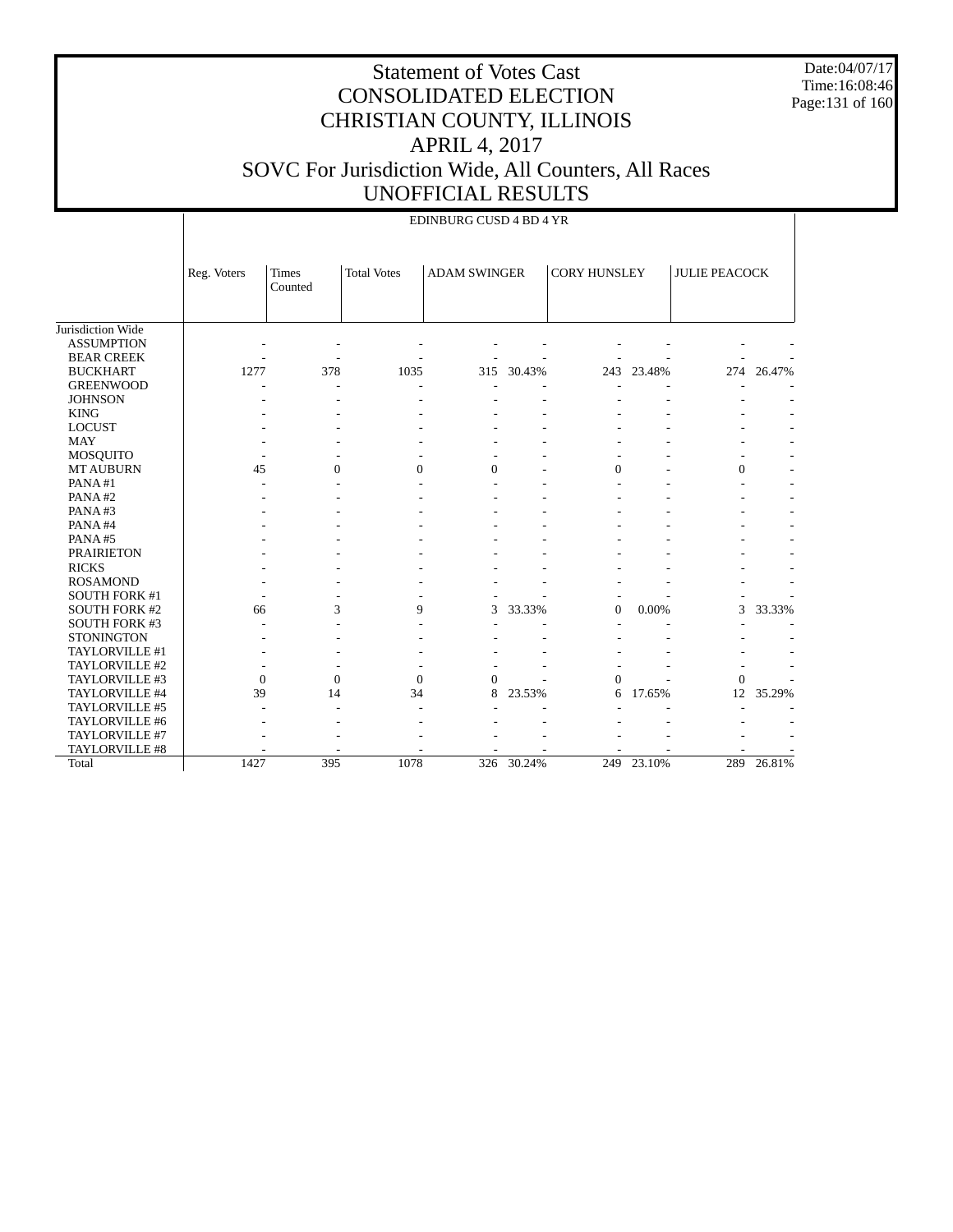Date:04/07/17 Time:16:08:46 Page:131 of 160

|                      |              |                         |                    | EDINBURG CUSD 4 BD 4 YR |        |                     |            |                      |        |
|----------------------|--------------|-------------------------|--------------------|-------------------------|--------|---------------------|------------|----------------------|--------|
|                      | Reg. Voters  | <b>Times</b><br>Counted | <b>Total Votes</b> | <b>ADAM SWINGER</b>     |        | <b>CORY HUNSLEY</b> |            | <b>JULIE PEACOCK</b> |        |
| Jurisdiction Wide    |              |                         |                    |                         |        |                     |            |                      |        |
| <b>ASSUMPTION</b>    |              |                         |                    |                         |        |                     |            |                      |        |
| <b>BEAR CREEK</b>    |              |                         |                    |                         |        |                     |            |                      |        |
| <b>BUCKHART</b>      | 1277         | 378                     | 1035               | 315                     | 30.43% | 243                 | 23.48%     | 274                  | 26.47% |
| <b>GREENWOOD</b>     |              |                         |                    |                         |        |                     |            |                      |        |
| <b>JOHNSON</b>       |              |                         |                    |                         |        |                     |            |                      |        |
| <b>KING</b>          |              |                         |                    |                         |        |                     |            |                      |        |
| <b>LOCUST</b>        |              |                         |                    |                         |        |                     |            |                      |        |
| <b>MAY</b>           |              |                         |                    |                         |        |                     |            |                      |        |
| <b>MOSQUITO</b>      |              |                         |                    |                         |        |                     |            |                      |        |
| <b>MT AUBURN</b>     | 45           | $\Omega$                | $\Omega$           | $\mathbf{0}$            |        | $\Omega$            |            | $\Omega$             |        |
| PANA#1               |              |                         |                    |                         |        |                     |            |                      |        |
| PANA#2               |              |                         |                    |                         |        |                     |            |                      |        |
| PANA#3               |              |                         |                    |                         |        |                     |            |                      |        |
| PANA#4               |              |                         |                    |                         |        |                     |            |                      |        |
| PANA#5               |              |                         |                    |                         |        |                     |            |                      |        |
| <b>PRAIRIETON</b>    |              |                         |                    |                         |        |                     |            |                      |        |
| <b>RICKS</b>         |              |                         |                    |                         |        |                     |            |                      |        |
| <b>ROSAMOND</b>      |              |                         |                    |                         |        |                     |            |                      |        |
| <b>SOUTH FORK #1</b> |              |                         |                    |                         |        |                     |            |                      |        |
| <b>SOUTH FORK #2</b> | 66           | 3                       | 9                  | 3                       | 33.33% | $\Omega$            | 0.00%      | 3                    | 33.33% |
| SOUTH FORK #3        |              |                         |                    |                         |        |                     |            |                      |        |
| <b>STONINGTON</b>    |              |                         |                    |                         |        |                     |            |                      |        |
| TAYLORVILLE #1       |              |                         |                    |                         |        |                     |            |                      |        |
| TAYLORVILLE #2       |              |                         |                    |                         |        |                     |            |                      |        |
| TAYLORVILLE #3       | $\mathbf{0}$ | $\mathbf{0}$            | $\theta$           | $\Omega$                |        | $\Omega$            |            | $\theta$             |        |
| TAYLORVILLE #4       | 39           | 14                      | 34                 | 8                       | 23.53% | 6                   | 17.65%     | 12                   | 35.29% |
| TAYLORVILLE #5       |              |                         |                    |                         |        |                     |            |                      |        |
| TAYLORVILLE #6       |              |                         |                    |                         |        |                     |            |                      |        |
| TAYLORVILLE #7       |              |                         |                    |                         |        |                     |            |                      |        |
| TAYLORVILLE #8       |              |                         |                    |                         |        |                     |            |                      |        |
| Total                | 1427         | 395                     | 1078               | 326                     | 30.24% |                     | 249 23.10% | 289                  | 26.81% |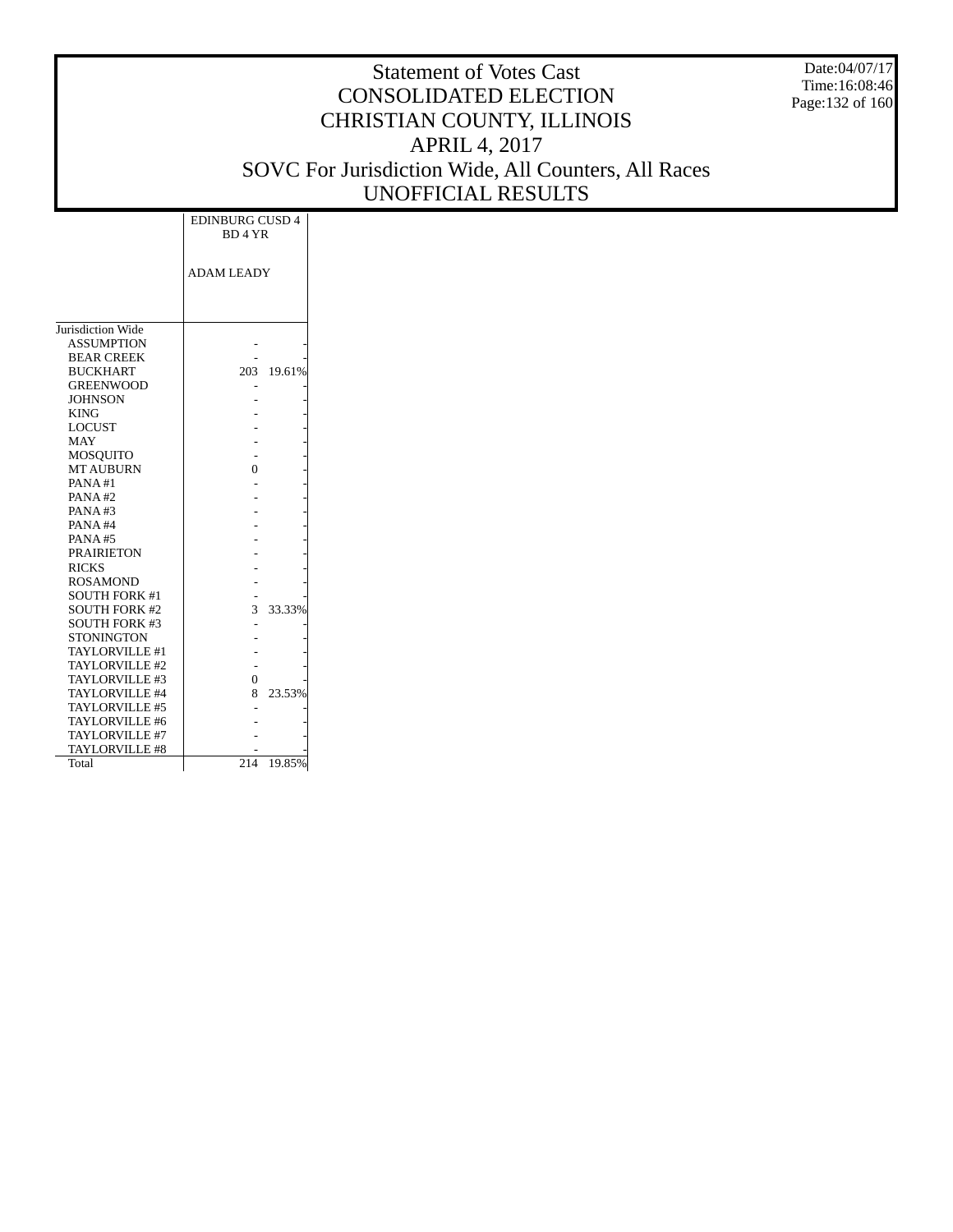Date:04/07/17 Time:16:08:46 Page:132 of 160

|                       | <b>EDINBURG CUSD 4</b><br>BD <sub>4</sub> YR |        |
|-----------------------|----------------------------------------------|--------|
|                       | <b>ADAM LEADY</b>                            |        |
|                       |                                              |        |
|                       |                                              |        |
| Jurisdiction Wide     |                                              |        |
| <b>ASSUMPTION</b>     |                                              |        |
| <b>BEAR CREEK</b>     |                                              |        |
| <b>BUCKHART</b>       | 203                                          | 19.61% |
| <b>GREENWOOD</b>      |                                              |        |
| <b>JOHNSON</b>        |                                              |        |
| <b>KING</b>           |                                              |        |
| <b>LOCUST</b>         |                                              |        |
| <b>MAY</b>            |                                              |        |
| <b>MOSQUITO</b>       |                                              |        |
| <b>MT AUBURN</b>      | 0                                            |        |
| PANA#1                |                                              |        |
| PANA#2                |                                              |        |
| PANA#3                |                                              |        |
| PANA#4                |                                              |        |
| <b>PANA#5</b>         |                                              |        |
| <b>PRAIRIETON</b>     |                                              |        |
| <b>RICKS</b>          |                                              |        |
| <b>ROSAMOND</b>       |                                              |        |
| <b>SOUTH FORK #1</b>  |                                              |        |
| <b>SOUTH FORK #2</b>  | 3                                            | 33.33% |
| <b>SOUTH FORK #3</b>  |                                              |        |
| <b>STONINGTON</b>     |                                              |        |
| <b>TAYLORVILLE #1</b> |                                              |        |
| TAYLORVILLE #2        |                                              |        |
| TAYLORVILLE #3        | 0                                            |        |
| TAYLORVILLE #4        | 8                                            | 23.53% |
| TAYLORVILLE #5        |                                              |        |
| TAYLORVILLE #6        |                                              |        |
| TAYLORVILLE #7        |                                              |        |
| TAYLORVILLE #8        |                                              |        |
| Total                 | 214                                          | 19.85% |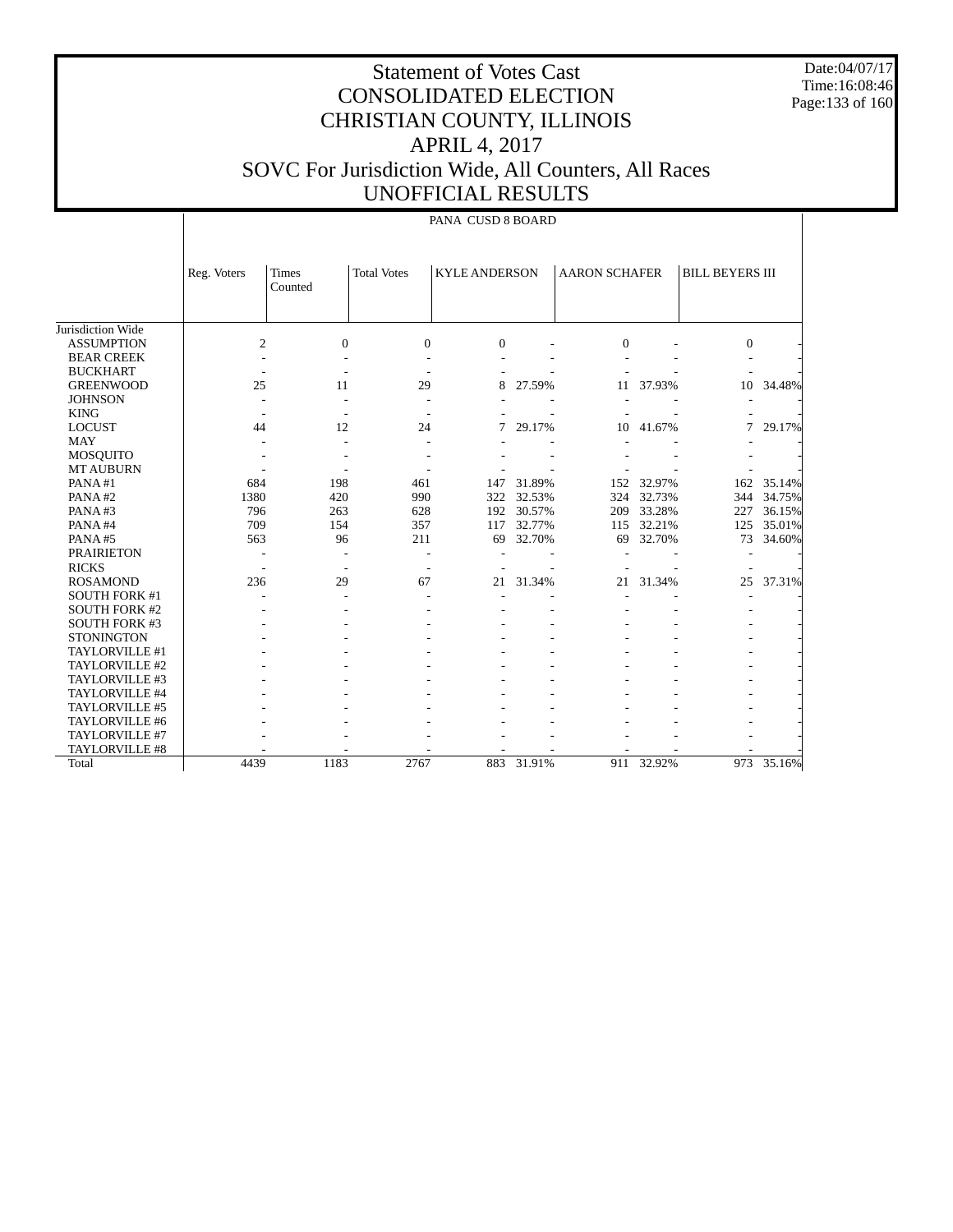Date:04/07/17 Time:16:08:46 Page:133 of 160

# Statement of Votes Cast CONSOLIDATED ELECTION CHRISTIAN COUNTY, ILLINOIS APRIL 4, 2017 SOVC For Jurisdiction Wide, All Counters, All Races UNOFFICIAL RESULTS

### PANA CUSD 8 BOARD

|                      | Reg. Voters    | Times<br>Counted         | <b>Total Votes</b> | <b>KYLE ANDERSON</b> |            | <b>AARON SCHAFER</b> |            | <b>BILL BEYERS III</b> |        |
|----------------------|----------------|--------------------------|--------------------|----------------------|------------|----------------------|------------|------------------------|--------|
| Jurisdiction Wide    |                |                          |                    |                      |            |                      |            |                        |        |
| <b>ASSUMPTION</b>    | $\overline{c}$ | $\Omega$                 | $\Omega$           | $\Omega$             |            | $\Omega$             |            | $\overline{0}$         |        |
| <b>BEAR CREEK</b>    |                |                          |                    |                      |            |                      |            |                        |        |
| <b>BUCKHART</b>      |                |                          |                    |                      |            |                      |            |                        |        |
| <b>GREENWOOD</b>     | 25             | 11                       | 29                 | 8                    | 27.59%     | 11                   | 37.93%     | 10                     | 34.48% |
| <b>JOHNSON</b>       |                |                          |                    |                      |            |                      |            |                        |        |
| <b>KING</b>          |                |                          |                    |                      |            |                      |            |                        |        |
| <b>LOCUST</b>        | 44             | 12                       | 24                 | 7                    | 29.17%     | 10                   | 41.67%     | 7                      | 29.17% |
| MAY                  |                |                          |                    |                      |            |                      |            |                        |        |
| <b>MOSQUITO</b>      |                |                          |                    |                      |            |                      |            |                        |        |
| <b>MT AUBURN</b>     |                |                          |                    |                      |            |                      |            |                        |        |
| PANA#1               | 684            | 198                      | 461                | 147                  | 31.89%     | 152                  | 32.97%     | 162                    | 35.14% |
| PANA#2               | 1380           | 420                      | 990                | 322                  | 32.53%     | 324                  | 32.73%     | 344                    | 34.75% |
| PANA#3               | 796            | 263                      | 628                | 192                  | 30.57%     | 209                  | 33.28%     | 227                    | 36.15% |
| PANA#4               | 709            | 154                      | 357                | 117                  | 32.77%     | 115                  | 32.21%     | 125                    | 35.01% |
| PANA#5               | 563            | 96                       | 211                | 69                   | 32.70%     | 69                   | 32.70%     | 73                     | 34.60% |
| <b>PRAIRIETON</b>    |                |                          | $\overline{a}$     |                      |            |                      |            |                        |        |
| <b>RICKS</b>         |                | $\overline{\phantom{a}}$ | $\overline{a}$     |                      |            |                      |            |                        |        |
| <b>ROSAMOND</b>      | 236            | 29                       | 67                 | 21                   | 31.34%     | 21                   | 31.34%     | 25                     | 37.31% |
| <b>SOUTH FORK #1</b> |                |                          |                    |                      |            |                      |            |                        |        |
| <b>SOUTH FORK #2</b> |                |                          |                    |                      |            |                      |            |                        |        |
| <b>SOUTH FORK #3</b> |                |                          |                    |                      |            |                      |            |                        |        |
| <b>STONINGTON</b>    |                |                          |                    |                      |            |                      |            |                        |        |
| TAYLORVILLE #1       |                |                          |                    |                      |            |                      |            |                        |        |
| TAYLORVILLE #2       |                |                          |                    |                      |            |                      |            |                        |        |
| TAYLORVILLE #3       |                |                          |                    |                      |            |                      |            |                        |        |
| TAYLORVILLE #4       |                |                          |                    |                      |            |                      |            |                        |        |
| TAYLORVILLE #5       |                |                          |                    |                      |            |                      |            |                        |        |
| TAYLORVILLE #6       |                |                          |                    |                      |            |                      |            |                        |        |
| TAYLORVILLE #7       |                |                          |                    |                      |            |                      |            |                        |        |
| TAYLORVILLE #8       |                |                          |                    |                      |            |                      |            |                        |        |
| Total                | 4439           | 1183                     | 2767               |                      | 883 31.91% |                      | 911 32.92% | 973                    | 35.16% |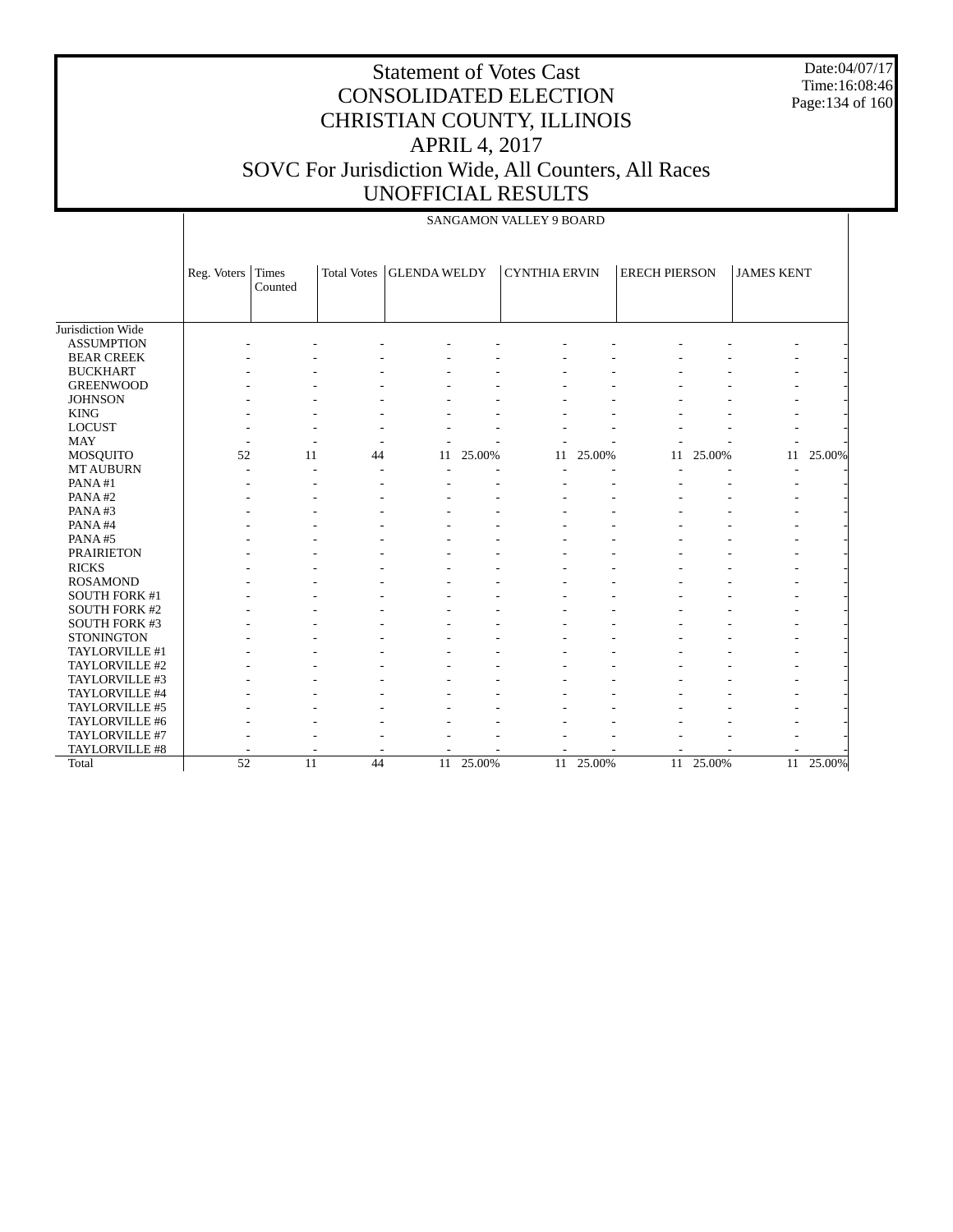Date:04/07/17 Time:16:08:46 Page:134 of 160

|                      |                 |                  |                    |                     |        | <b>SANGAMON VALLEY 9 BOARD</b> |        |                      |        |                   |        |
|----------------------|-----------------|------------------|--------------------|---------------------|--------|--------------------------------|--------|----------------------|--------|-------------------|--------|
|                      | Reg. Voters     | Times<br>Counted | <b>Total Votes</b> | <b>GLENDA WELDY</b> |        | <b>CYNTHIA ERVIN</b>           |        | <b>ERECH PIERSON</b> |        | <b>JAMES KENT</b> |        |
| Jurisdiction Wide    |                 |                  |                    |                     |        |                                |        |                      |        |                   |        |
| <b>ASSUMPTION</b>    |                 |                  |                    |                     |        |                                |        |                      |        |                   |        |
| <b>BEAR CREEK</b>    |                 |                  |                    |                     |        |                                |        |                      |        |                   |        |
| <b>BUCKHART</b>      |                 |                  |                    |                     |        |                                |        |                      |        |                   |        |
| <b>GREENWOOD</b>     |                 |                  |                    |                     |        |                                |        |                      |        |                   |        |
| <b>JOHNSON</b>       |                 |                  |                    |                     |        |                                |        |                      |        |                   |        |
| <b>KING</b>          |                 |                  |                    |                     |        |                                |        |                      |        |                   |        |
| <b>LOCUST</b>        |                 |                  |                    |                     |        |                                |        |                      |        |                   |        |
| <b>MAY</b>           |                 |                  |                    |                     |        |                                |        |                      |        |                   |        |
| <b>MOSQUITO</b>      | 52              | 11               | 44                 | 11                  | 25.00% | 11                             | 25.00% | 11                   | 25.00% | 11                | 25.00% |
| <b>MT AUBURN</b>     |                 |                  |                    |                     |        |                                |        |                      |        |                   |        |
| PANA#1               |                 |                  |                    |                     |        |                                |        |                      |        |                   |        |
| PANA#2               |                 |                  |                    |                     |        |                                |        |                      |        |                   |        |
| PANA#3               |                 |                  |                    |                     |        |                                |        |                      |        |                   |        |
| PANA#4               |                 |                  |                    |                     |        |                                |        |                      |        |                   |        |
| PANA#5               |                 |                  |                    |                     |        |                                |        |                      |        |                   |        |
| <b>PRAIRIETON</b>    |                 |                  |                    |                     |        |                                |        |                      |        |                   |        |
| <b>RICKS</b>         |                 |                  |                    |                     |        |                                |        |                      |        |                   |        |
| <b>ROSAMOND</b>      |                 |                  |                    |                     |        |                                |        |                      |        |                   |        |
| <b>SOUTH FORK #1</b> |                 |                  |                    |                     |        |                                |        |                      |        |                   |        |
| <b>SOUTH FORK #2</b> |                 |                  |                    |                     |        |                                |        |                      |        |                   |        |
| <b>SOUTH FORK #3</b> |                 |                  |                    |                     |        |                                |        |                      |        |                   |        |
| <b>STONINGTON</b>    |                 |                  |                    |                     |        |                                |        |                      |        |                   |        |
| TAYLORVILLE #1       |                 |                  |                    |                     |        |                                |        |                      |        |                   |        |
| TAYLORVILLE #2       |                 |                  |                    |                     |        |                                |        |                      |        |                   |        |
| TAYLORVILLE #3       |                 |                  |                    |                     |        |                                |        |                      |        |                   |        |
| TAYLORVILLE #4       |                 |                  |                    |                     |        |                                |        |                      |        |                   |        |
| TAYLORVILLE #5       |                 |                  |                    |                     |        |                                |        |                      |        |                   |        |
| TAYLORVILLE #6       |                 |                  |                    |                     |        |                                |        |                      |        |                   |        |
| TAYLORVILLE #7       |                 |                  |                    |                     |        |                                |        |                      |        |                   |        |
| TAYLORVILLE #8       |                 |                  |                    |                     |        |                                |        |                      |        |                   |        |
| Total                | $\overline{52}$ | 11               | 44                 | 11                  | 25.00% | 11                             | 25.00% | 11                   | 25.00% | 11                | 25.00% |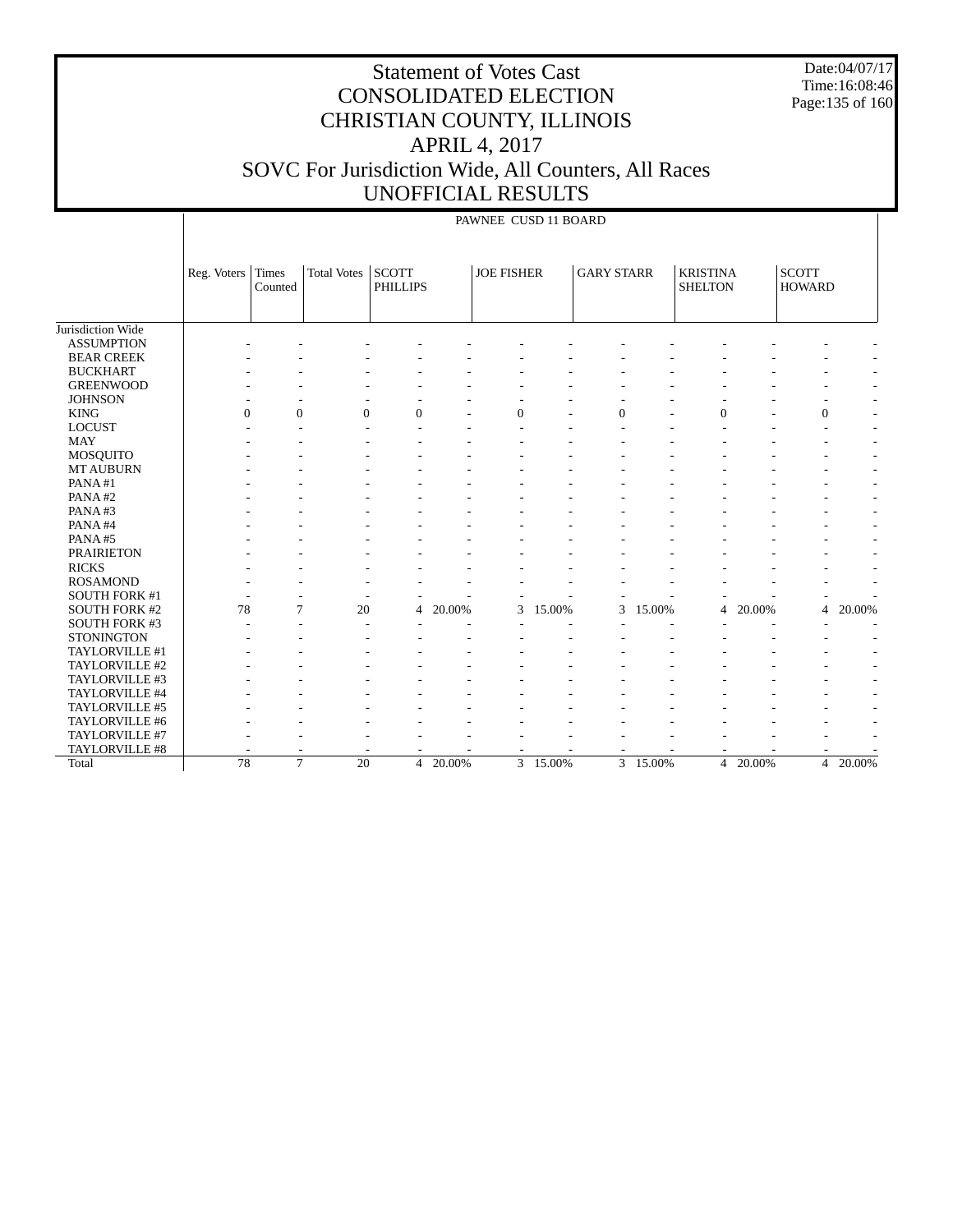Date:04/07/17 Time:16:08:46 Page:135 of 160

|                      |             |                  |                    |                                 |          | PAWNEE CUSD 11 BOARD |          |                   |        |                                   |        |                               |        |
|----------------------|-------------|------------------|--------------------|---------------------------------|----------|----------------------|----------|-------------------|--------|-----------------------------------|--------|-------------------------------|--------|
|                      | Reg. Voters | Times<br>Counted | <b>Total Votes</b> | <b>SCOTT</b><br><b>PHILLIPS</b> |          | <b>JOE FISHER</b>    |          | <b>GARY STARR</b> |        | <b>KRISTINA</b><br><b>SHELTON</b> |        | <b>SCOTT</b><br><b>HOWARD</b> |        |
| Jurisdiction Wide    |             |                  |                    |                                 |          |                      |          |                   |        |                                   |        |                               |        |
| <b>ASSUMPTION</b>    |             |                  |                    |                                 |          |                      |          |                   |        |                                   |        |                               |        |
| <b>BEAR CREEK</b>    |             |                  |                    |                                 |          |                      |          |                   |        |                                   |        |                               |        |
| <b>BUCKHART</b>      |             |                  |                    |                                 |          |                      |          |                   |        |                                   |        |                               |        |
| <b>GREENWOOD</b>     |             |                  |                    |                                 |          |                      |          |                   |        |                                   |        |                               |        |
| <b>JOHNSON</b>       |             |                  |                    |                                 |          |                      |          |                   |        |                                   |        | ٠                             |        |
| <b>KING</b>          | $\Omega$    | $\mathbf{0}$     | $\Omega$           | $\Omega$                        |          | $\Omega$             |          | $\mathbf{0}$      |        | $\Omega$                          |        | $\mathbf{0}$                  |        |
| <b>LOCUST</b>        |             |                  |                    |                                 |          |                      |          |                   |        |                                   |        |                               |        |
| <b>MAY</b>           |             |                  |                    |                                 |          |                      |          |                   |        |                                   |        |                               |        |
| MOSQUITO             |             |                  |                    |                                 |          |                      |          |                   |        |                                   |        |                               |        |
| <b>MT AUBURN</b>     |             |                  |                    |                                 |          |                      |          |                   |        |                                   |        |                               |        |
| PANA#1               |             |                  |                    |                                 |          |                      |          |                   |        |                                   |        |                               |        |
| PANA#2               |             |                  |                    |                                 |          |                      |          |                   |        |                                   |        |                               |        |
| PANA#3               |             |                  |                    |                                 |          |                      |          |                   |        |                                   |        |                               |        |
| PANA#4               |             |                  |                    |                                 |          |                      |          |                   |        |                                   |        |                               |        |
| PANA#5               |             |                  |                    |                                 |          |                      |          |                   |        |                                   |        |                               |        |
| <b>PRAIRIETON</b>    |             |                  |                    |                                 |          |                      |          |                   |        |                                   |        |                               |        |
| <b>RICKS</b>         |             |                  |                    |                                 |          |                      |          |                   |        |                                   |        |                               |        |
| <b>ROSAMOND</b>      |             |                  |                    |                                 |          |                      |          |                   |        |                                   |        |                               |        |
| SOUTH FORK #1        |             |                  |                    |                                 |          |                      |          |                   |        |                                   |        |                               |        |
| <b>SOUTH FORK #2</b> | 78          | 7                | 20                 | 4                               | 20.00%   | 3                    | 15.00%   | 3                 | 15.00% | 4                                 | 20.00% | $\overline{4}$                | 20.00% |
| SOUTH FORK #3        |             |                  |                    |                                 |          |                      |          |                   |        |                                   |        |                               |        |
| <b>STONINGTON</b>    |             |                  |                    |                                 |          |                      |          |                   |        |                                   |        |                               |        |
| TAYLORVILLE #1       |             |                  |                    |                                 |          |                      |          |                   |        |                                   |        |                               |        |
| TAYLORVILLE #2       |             |                  |                    |                                 |          |                      |          |                   |        |                                   |        |                               |        |
| TAYLORVILLE #3       |             |                  |                    |                                 |          |                      |          |                   |        |                                   |        |                               |        |
| TAYLORVILLE #4       |             |                  |                    |                                 |          |                      |          |                   |        |                                   |        |                               |        |
| TAYLORVILLE #5       |             |                  |                    |                                 |          |                      |          |                   |        |                                   |        |                               |        |
| TAYLORVILLE #6       |             |                  |                    |                                 |          |                      |          |                   |        |                                   |        |                               |        |
| TAYLORVILLE #7       |             |                  |                    |                                 |          |                      |          |                   |        |                                   |        |                               |        |
| TAYLORVILLE #8       |             |                  |                    |                                 |          |                      |          |                   |        |                                   |        |                               |        |
| Total                | 78          | $\tau$           | 20                 |                                 | 4 20.00% |                      | 3 15.00% | 3                 | 15.00% | $\overline{4}$                    | 20.00% | $\overline{4}$                | 20.00% |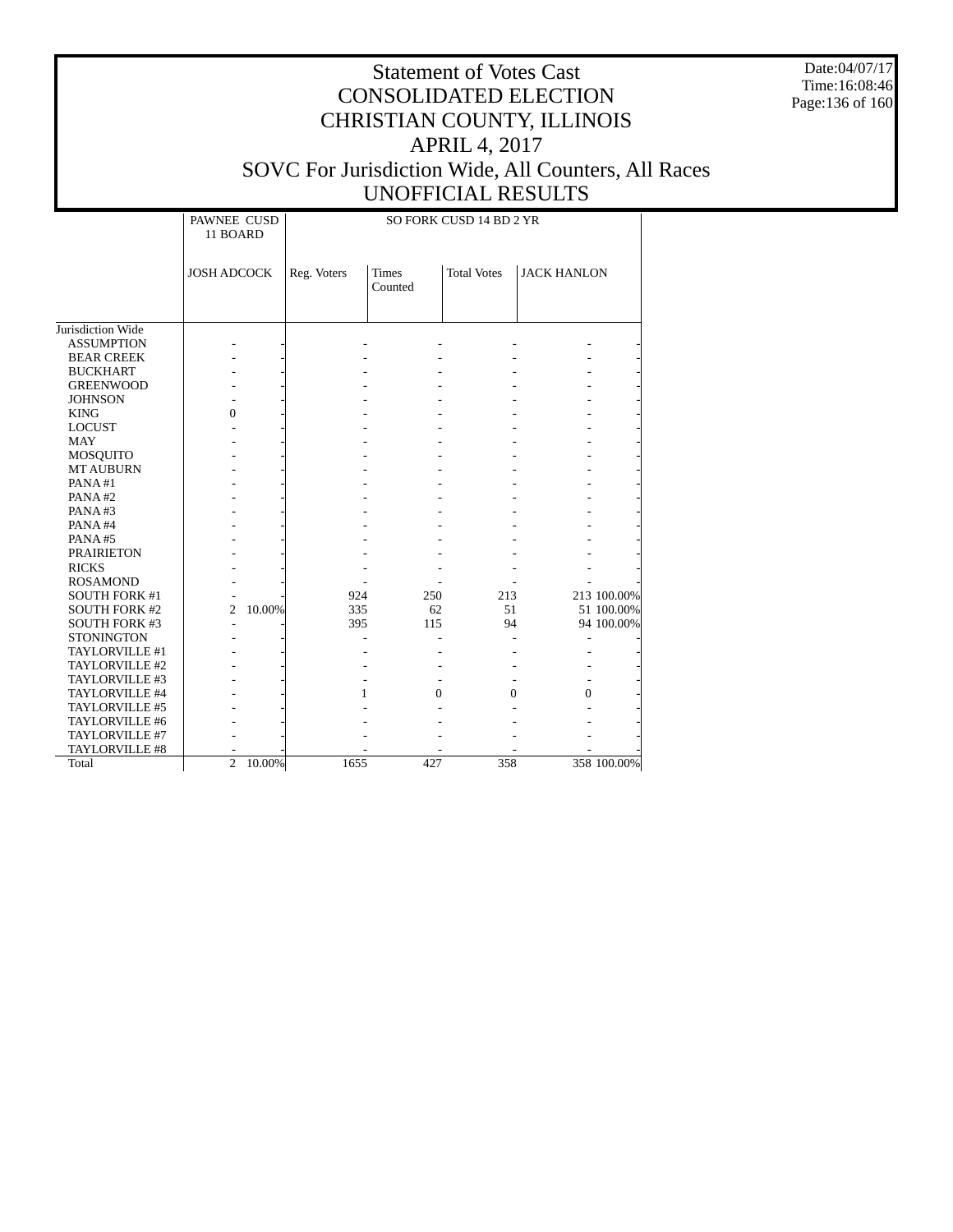Date:04/07/17 Time:16:08:46 Page:136 of 160

|                      | PAWNEE CUSD<br>11 BOARD |        |             |               | SO FORK CUSD 14 BD 2 YR |                    |             |
|----------------------|-------------------------|--------|-------------|---------------|-------------------------|--------------------|-------------|
|                      | <b>JOSH ADCOCK</b>      |        | Reg. Voters | <b>Times</b>  | <b>Total Votes</b>      | <b>JACK HANLON</b> |             |
|                      |                         |        |             | Counted       |                         |                    |             |
|                      |                         |        |             |               |                         |                    |             |
| Jurisdiction Wide    |                         |        |             |               |                         |                    |             |
| <b>ASSUMPTION</b>    |                         |        |             |               |                         |                    |             |
| <b>BEAR CREEK</b>    |                         |        |             |               |                         |                    |             |
| <b>BUCKHART</b>      |                         |        |             |               |                         |                    |             |
| <b>GREENWOOD</b>     |                         |        |             |               |                         |                    |             |
| <b>JOHNSON</b>       |                         |        |             |               |                         |                    |             |
| <b>KING</b>          | $\theta$                |        |             |               |                         |                    |             |
| <b>LOCUST</b>        |                         |        |             |               |                         |                    |             |
| <b>MAY</b>           |                         |        |             |               |                         |                    |             |
| <b>MOSQUITO</b>      |                         |        |             |               |                         |                    |             |
| <b>MT AUBURN</b>     |                         |        |             |               |                         |                    |             |
| PANA#1               |                         |        |             |               |                         |                    |             |
| PANA#2               |                         |        |             |               |                         |                    |             |
| PANA#3               |                         |        |             |               |                         |                    |             |
| PANA#4               |                         |        |             |               |                         |                    |             |
| PANA#5               |                         |        |             |               |                         |                    |             |
| <b>PRAIRIETON</b>    |                         |        |             |               |                         |                    |             |
| <b>RICKS</b>         |                         |        |             |               |                         |                    |             |
| <b>ROSAMOND</b>      |                         |        |             |               |                         |                    |             |
| <b>SOUTH FORK #1</b> |                         |        | 924         | 250           | 213                     |                    | 213 100.00% |
| <b>SOUTH FORK #2</b> | $\overline{c}$          | 10.00% | 335         | 62            | 51                      |                    | 51 100.00%  |
| <b>SOUTH FORK #3</b> |                         |        | 395         | 115           | 94                      |                    | 94 100.00%  |
| <b>STONINGTON</b>    |                         |        |             |               |                         |                    |             |
| TAYLORVILLE #1       |                         |        |             |               |                         |                    |             |
| TAYLORVILLE #2       |                         |        |             |               |                         |                    |             |
| TAYLORVILLE #3       |                         |        |             |               |                         |                    |             |
| TAYLORVILLE #4       |                         |        |             | $\Omega$<br>1 | $\Omega$                | $\theta$           |             |
| TAYLORVILLE #5       |                         |        |             |               |                         |                    |             |
| TAYLORVILLE #6       |                         |        |             |               |                         |                    |             |
| TAYLORVILLE #7       |                         |        |             |               |                         |                    |             |
| TAYLORVILLE #8       |                         |        |             |               |                         |                    |             |
| Total                | $\overline{2}$          | 10.00% | 1655        | 427           | 358                     |                    | 358 100.00% |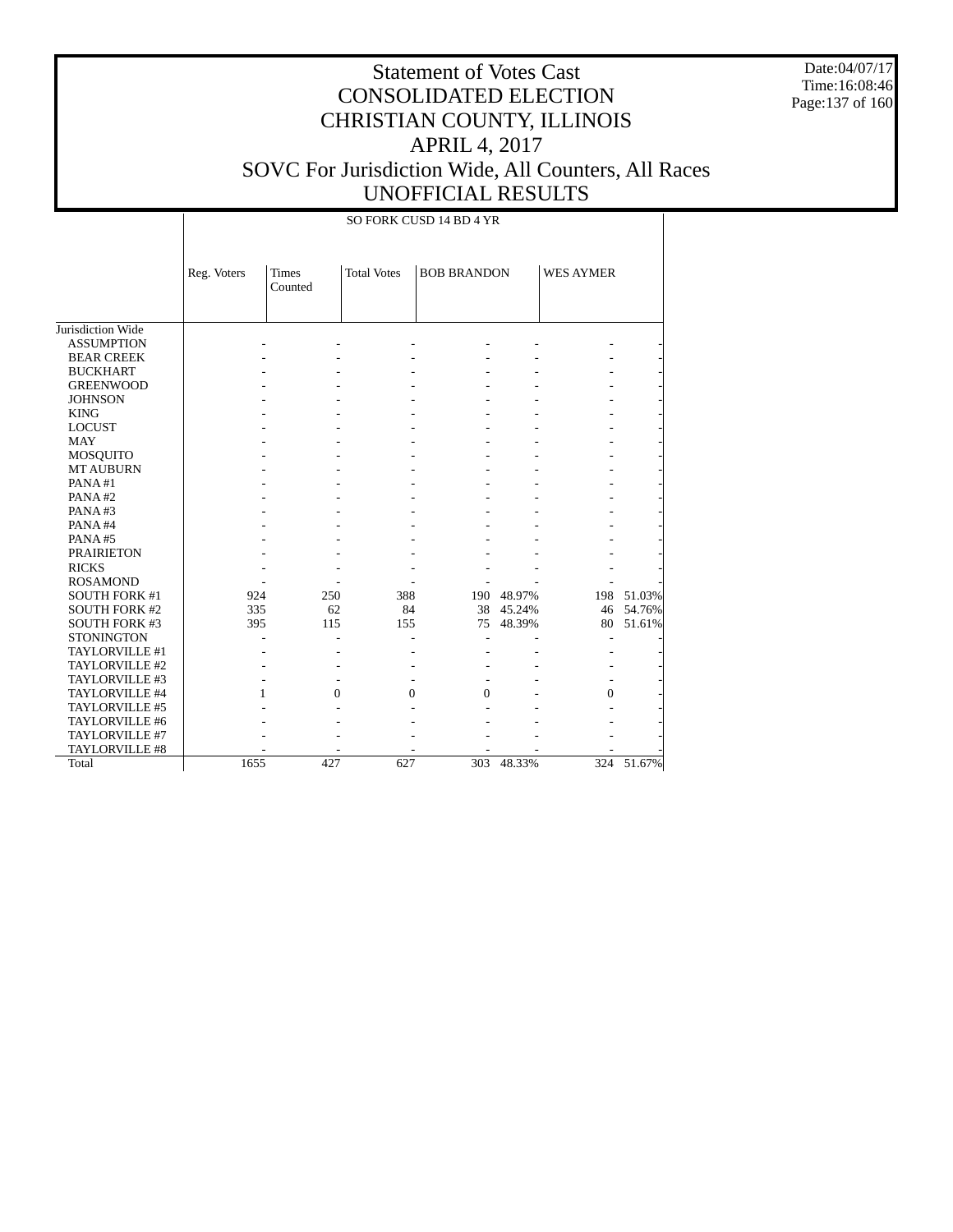Date:04/07/17 Time:16:08:46 Page:137 of 160

# Statement of Votes Cast CONSOLIDATED ELECTION CHRISTIAN COUNTY, ILLINOIS APRIL 4, 2017 SOVC For Jurisdiction Wide, All Counters, All Races UNOFFICIAL RESULTS

### SO FORK CUSD 14 BD 4 YR

|                      | Reg. Voters | <b>Times</b><br>Counted | <b>Total Votes</b> | <b>BOB BRANDON</b> |            | <b>WES AYMER</b> |            |
|----------------------|-------------|-------------------------|--------------------|--------------------|------------|------------------|------------|
|                      |             |                         |                    |                    |            |                  |            |
| Jurisdiction Wide    |             |                         |                    |                    |            |                  |            |
| <b>ASSUMPTION</b>    |             |                         |                    |                    |            |                  |            |
| <b>BEAR CREEK</b>    |             |                         |                    |                    |            |                  |            |
| <b>BUCKHART</b>      |             |                         |                    |                    |            |                  |            |
| <b>GREENWOOD</b>     |             |                         |                    |                    |            |                  |            |
| <b>JOHNSON</b>       |             |                         |                    |                    |            |                  |            |
| <b>KING</b>          |             |                         |                    |                    |            |                  |            |
| <b>LOCUST</b>        |             |                         |                    |                    |            |                  |            |
| <b>MAY</b>           |             |                         |                    |                    |            |                  |            |
|                      |             |                         |                    |                    |            |                  |            |
| MOSQUITO             |             |                         |                    |                    |            |                  |            |
| <b>MT AUBURN</b>     |             |                         |                    |                    |            |                  |            |
| PANA#1               |             |                         |                    |                    |            |                  |            |
| PANA#2               |             |                         |                    |                    |            |                  |            |
| PANA#3               |             |                         |                    |                    |            |                  |            |
| PANA#4               |             |                         |                    |                    |            |                  |            |
| PANA#5               |             |                         |                    |                    |            |                  |            |
| <b>PRAIRIETON</b>    |             |                         |                    |                    |            |                  |            |
| <b>RICKS</b>         |             |                         |                    |                    |            |                  |            |
| <b>ROSAMOND</b>      |             |                         |                    |                    |            |                  |            |
| <b>SOUTH FORK #1</b> | 924         | 250                     | 388                |                    | 190 48.97% |                  | 198 51.03% |
| <b>SOUTH FORK #2</b> | 335         | 62                      | 84                 | 38                 | 45.24%     | 46               | 54.76%     |
| <b>SOUTH FORK #3</b> | 395         | 115                     | 155                | 75                 | 48.39%     | 80               | 51.61%     |
| <b>STONINGTON</b>    |             |                         |                    |                    |            |                  |            |
| TAYLORVILLE #1       |             |                         |                    |                    |            |                  |            |
| TAYLORVILLE #2       |             |                         |                    |                    |            |                  |            |
| TAYLORVILLE #3       |             |                         |                    |                    |            |                  |            |
| TAYLORVILLE #4       | 1           |                         | 0<br>0             | 0                  |            | $\Omega$         |            |
| TAYLORVILLE #5       |             |                         |                    |                    |            |                  |            |
| TAYLORVILLE #6       |             |                         |                    |                    |            |                  |            |
| TAYLORVILLE #7       |             |                         |                    |                    |            |                  |            |
| TAYLORVILLE #8       |             |                         |                    |                    |            |                  |            |
| Total                | 1655        | 427                     | 627                | 303                | 48.33%     |                  | 324 51.67% |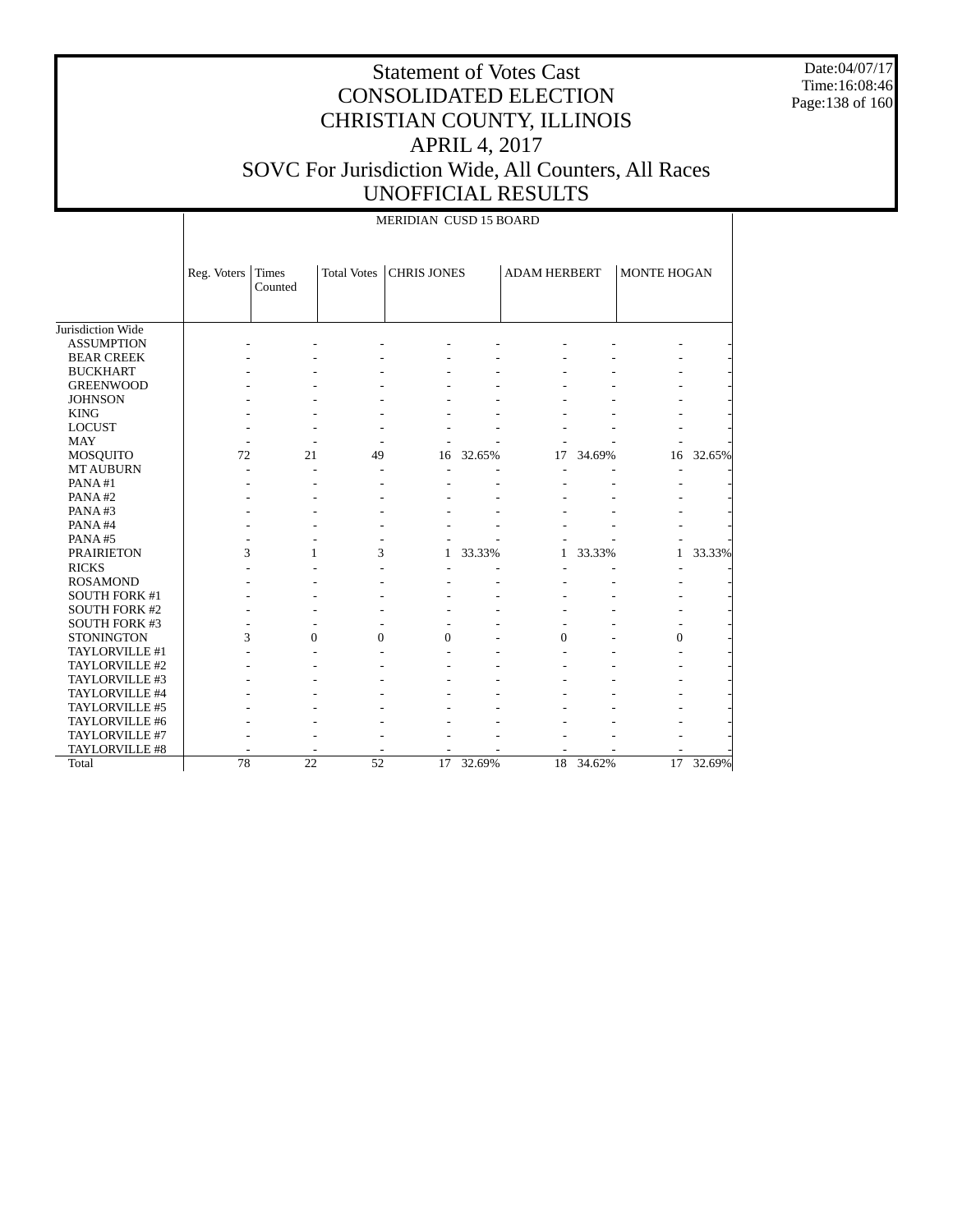Date:04/07/17 Time:16:08:46 Page:138 of 160

# Statement of Votes Cast CONSOLIDATED ELECTION CHRISTIAN COUNTY, ILLINOIS APRIL 4, 2017 SOVC For Jurisdiction Wide, All Counters, All Races UNOFFICIAL RESULTS

MERIDIAN CUSD 15 BOARD

|                      | Reg. Voters Times | Counted      | <b>Total Votes</b>       | <b>CHRIS JONES</b> |        | <b>ADAM HERBERT</b> |        | <b>MONTE HOGAN</b> |        |
|----------------------|-------------------|--------------|--------------------------|--------------------|--------|---------------------|--------|--------------------|--------|
| Jurisdiction Wide    |                   |              |                          |                    |        |                     |        |                    |        |
| <b>ASSUMPTION</b>    |                   |              |                          |                    |        |                     |        |                    |        |
| <b>BEAR CREEK</b>    |                   |              |                          |                    |        |                     |        |                    |        |
| <b>BUCKHART</b>      |                   |              |                          |                    |        |                     |        |                    |        |
| <b>GREENWOOD</b>     |                   |              |                          |                    |        |                     |        |                    |        |
| <b>JOHNSON</b>       |                   |              |                          |                    |        |                     |        |                    |        |
| <b>KING</b>          |                   |              |                          |                    |        |                     |        |                    |        |
| <b>LOCUST</b>        |                   |              |                          |                    |        |                     |        |                    |        |
| <b>MAY</b>           |                   |              |                          |                    |        |                     |        |                    |        |
| <b>MOSQUITO</b>      | 72                | 21           | 49                       | 16                 | 32.65% | 17                  | 34.69% | 16                 | 32.65% |
| <b>MT AUBURN</b>     |                   |              |                          |                    |        |                     |        |                    |        |
| PANA#1               |                   |              |                          |                    |        |                     |        |                    |        |
| PANA#2               |                   |              |                          |                    |        |                     |        |                    |        |
| PANA#3               |                   |              |                          |                    |        |                     |        |                    |        |
| PANA#4               |                   |              |                          |                    |        |                     |        |                    |        |
| PANA#5               |                   |              |                          |                    |        |                     |        |                    |        |
| <b>PRAIRIETON</b>    | 3                 | $\mathbf{1}$ | 3                        | 1                  | 33.33% | 1                   | 33.33% | 1                  | 33.33% |
| <b>RICKS</b>         |                   |              |                          |                    |        |                     |        |                    |        |
| <b>ROSAMOND</b>      |                   |              |                          |                    |        |                     |        |                    |        |
| <b>SOUTH FORK #1</b> |                   |              |                          |                    |        |                     |        |                    |        |
| <b>SOUTH FORK #2</b> |                   |              |                          |                    |        |                     |        |                    |        |
| <b>SOUTH FORK #3</b> |                   |              |                          |                    |        |                     |        |                    |        |
| <b>STONINGTON</b>    | 3                 | $\theta$     | $\overline{0}$           | $\theta$           |        | $\mathbf{0}$        |        | $\overline{0}$     |        |
| TAYLORVILLE #1       |                   |              |                          |                    |        |                     |        |                    |        |
| TAYLORVILLE #2       |                   |              |                          |                    |        |                     |        |                    |        |
| TAYLORVILLE #3       |                   |              |                          |                    |        |                     |        |                    |        |
| TAYLORVILLE #4       |                   |              |                          |                    |        |                     |        |                    |        |
| TAYLORVILLE #5       |                   |              |                          |                    |        |                     |        |                    |        |
| TAYLORVILLE #6       |                   |              |                          |                    |        |                     |        |                    |        |
| TAYLORVILLE #7       |                   |              |                          |                    |        |                     |        |                    |        |
| TAYLORVILLE #8       |                   |              | $\overline{\phantom{a}}$ |                    |        |                     |        |                    |        |
| Total                | 78                | 22           | 52                       | 17                 | 32.69% | 18                  | 34.62% | 17                 | 32.69% |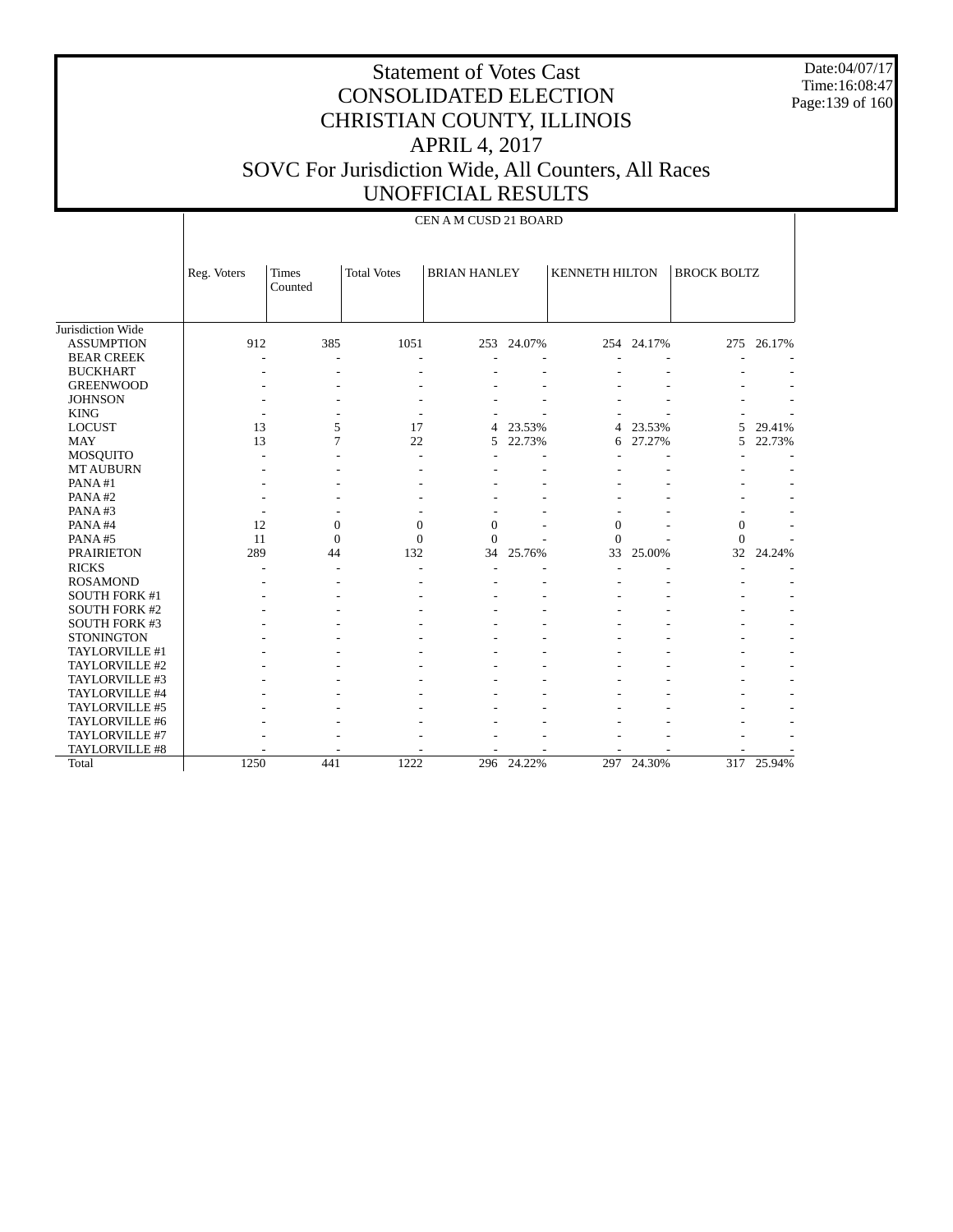Date:04/07/17 Time:16:08:47 Page:139 of 160

|                      |             |                         |                    | CEN A M CUSD 21 BOARD |            |                       |            |                    |            |
|----------------------|-------------|-------------------------|--------------------|-----------------------|------------|-----------------------|------------|--------------------|------------|
|                      | Reg. Voters | <b>Times</b><br>Counted | <b>Total Votes</b> | <b>BRIAN HANLEY</b>   |            | <b>KENNETH HILTON</b> |            | <b>BROCK BOLTZ</b> |            |
| Jurisdiction Wide    |             |                         |                    |                       |            |                       |            |                    |            |
| <b>ASSUMPTION</b>    | 912         | 385                     | 1051               |                       | 253 24.07% |                       | 254 24.17% |                    | 275 26.17% |
| <b>BEAR CREEK</b>    |             |                         |                    |                       |            |                       |            |                    |            |
| <b>BUCKHART</b>      |             |                         |                    |                       |            |                       |            |                    |            |
| <b>GREENWOOD</b>     |             |                         |                    |                       |            |                       |            |                    |            |
| <b>JOHNSON</b>       |             |                         |                    |                       |            |                       |            |                    |            |
| <b>KING</b>          |             |                         |                    |                       |            |                       |            |                    |            |
| <b>LOCUST</b>        | 13          | 5                       | 17                 | 4                     | 23.53%     | 4                     | 23.53%     | 5                  | 29.41%     |
| <b>MAY</b>           | 13          | 7                       | 22                 | 5                     | 22.73%     | 6                     | 27.27%     | 5                  | 22.73%     |
| <b>MOSQUITO</b>      |             |                         |                    |                       |            |                       |            |                    |            |
| <b>MT AUBURN</b>     |             |                         |                    |                       |            |                       |            |                    |            |
| PANA#1               |             |                         |                    |                       |            |                       |            |                    |            |
| PANA#2               |             |                         |                    |                       |            |                       |            |                    |            |
| PANA#3               |             |                         |                    |                       |            |                       |            |                    |            |
| PANA#4               | 12          | $\mathbf{0}$            | $\mathbf{0}$       | $\Omega$              |            | $\theta$              |            | $\overline{0}$     |            |
| PANA#5               | 11          | $\mathbf{0}$            | $\mathbf{0}$       | $\Omega$              |            | $\Omega$              |            | $\theta$           |            |
| <b>PRAIRIETON</b>    | 289         | 44                      | 132                | 34                    | 25.76%     | 33                    | 25.00%     | 32                 | 24.24%     |
| <b>RICKS</b>         |             |                         |                    |                       |            |                       |            |                    |            |
| <b>ROSAMOND</b>      |             |                         |                    |                       |            |                       |            |                    |            |
| SOUTH FORK #1        |             |                         |                    |                       |            |                       |            |                    |            |
| <b>SOUTH FORK #2</b> |             |                         |                    |                       |            |                       |            |                    |            |
| <b>SOUTH FORK #3</b> |             |                         |                    |                       |            |                       |            |                    |            |
| <b>STONINGTON</b>    |             |                         |                    |                       |            |                       |            |                    |            |
| TAYLORVILLE #1       |             |                         |                    |                       |            |                       |            |                    |            |
| TAYLORVILLE #2       |             |                         |                    |                       |            |                       |            |                    |            |
| TAYLORVILLE #3       |             |                         |                    |                       |            |                       |            |                    |            |
| TAYLORVILLE #4       |             |                         |                    |                       |            |                       |            |                    |            |
| TAYLORVILLE #5       |             |                         |                    |                       |            |                       |            |                    |            |
| TAYLORVILLE #6       |             |                         |                    |                       |            |                       |            |                    |            |
| TAYLORVILLE #7       |             |                         |                    |                       |            |                       |            |                    |            |
| TAYLORVILLE #8       |             |                         |                    |                       |            |                       |            |                    |            |
| Total                | 1250        | 441                     | 1222               | 296                   | 24.22%     |                       | 297 24.30% |                    | 317 25.94% |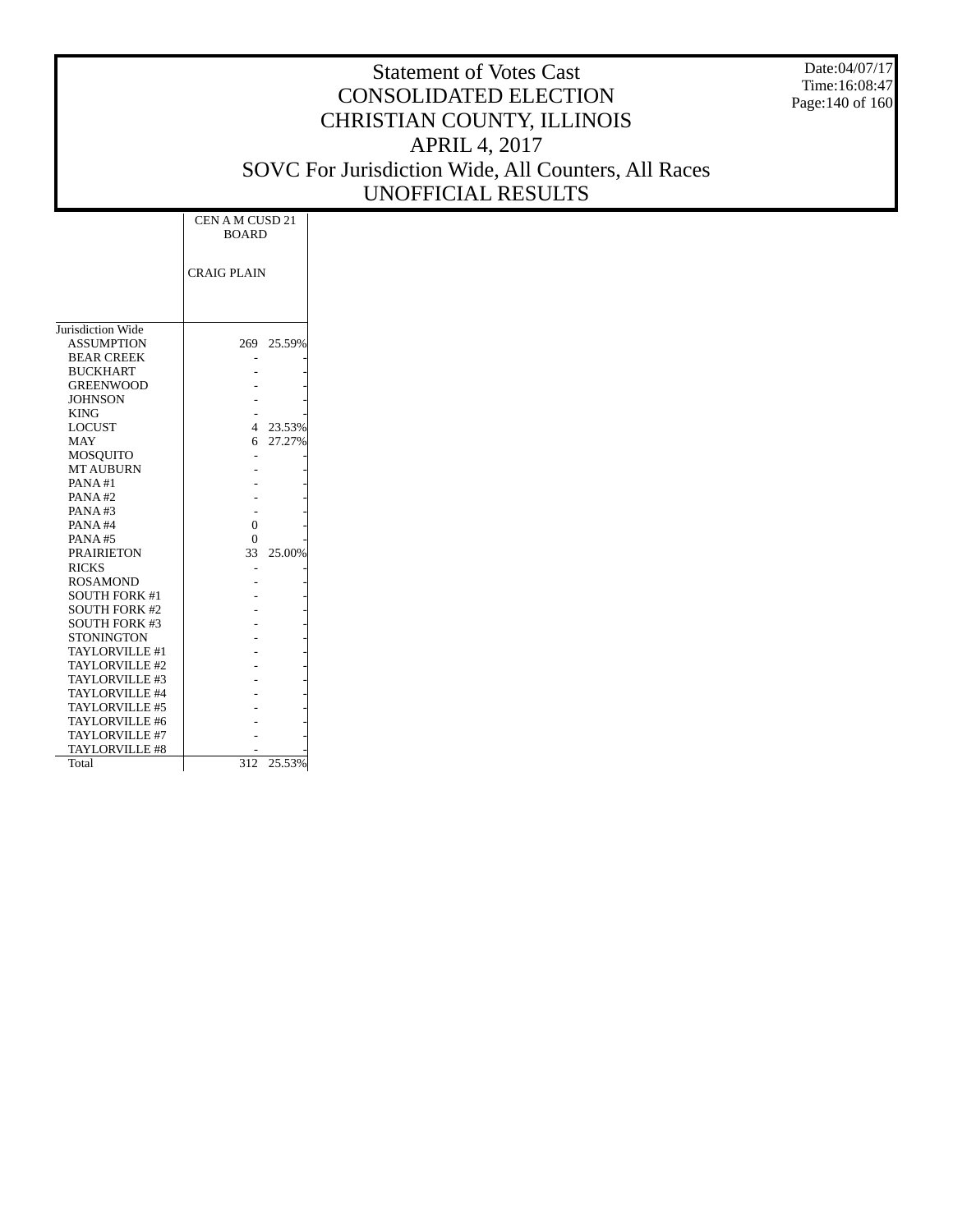Date:04/07/17 Time:16:08:47 Page:140 of 160

|                       | CEN A M CUSD 21<br><b>BOARD</b> |            |
|-----------------------|---------------------------------|------------|
|                       | <b>CRAIG PLAIN</b>              |            |
| Jurisdiction Wide     |                                 |            |
| <b>ASSUMPTION</b>     |                                 | 269 25.59% |
| <b>BEAR CREEK</b>     |                                 |            |
| <b>BUCKHART</b>       |                                 |            |
| <b>GREENWOOD</b>      |                                 |            |
| <b>JOHNSON</b>        |                                 |            |
| <b>KING</b>           |                                 |            |
| <b>LOCUST</b>         | 4                               | 23.53%     |
| <b>MAY</b>            | 6                               | 27.27%     |
| MOSQUITO              |                                 |            |
| <b>MT AUBURN</b>      |                                 |            |
| PANA#1                |                                 |            |
| PANA#2                |                                 |            |
| PANA#3                |                                 |            |
| PANA#4                | $\theta$                        |            |
| <b>PANA#5</b>         | $\Omega$                        |            |
| <b>PRAIRIETON</b>     | 33                              | 25.00%     |
| <b>RICKS</b>          |                                 |            |
| <b>ROSAMOND</b>       |                                 |            |
| <b>SOUTH FORK #1</b>  |                                 |            |
| <b>SOUTH FORK #2</b>  |                                 |            |
| <b>SOUTH FORK #3</b>  |                                 |            |
| STONINGTON            |                                 |            |
| <b>TAYLORVILLE #1</b> |                                 |            |
| TAYLORVILLE #2        |                                 |            |
| TAYLORVILLE #3        |                                 |            |
| TAYLORVILLE #4        |                                 |            |
| TAYLORVILLE #5        |                                 |            |
| TAYLORVILLE #6        |                                 |            |
| TAYLORVILLE #7        |                                 |            |
| <b>TAYLORVILLE #8</b> |                                 |            |
| Total                 | 312                             | 25.53%     |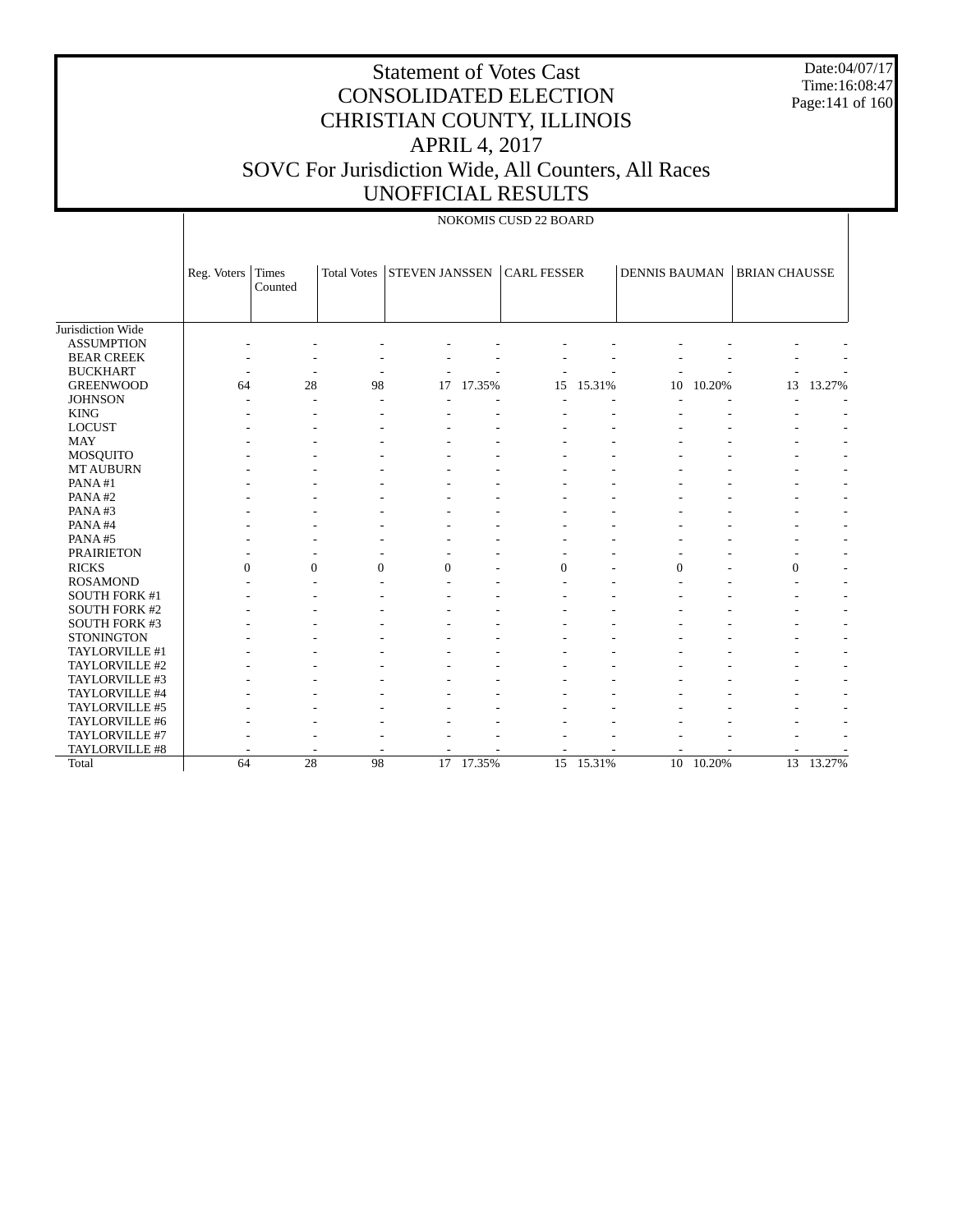Date:04/07/17 Time:16:08:47 Page:141 of 160

|                      |                |                         |                    |                       |             | NOKOMIS CUSD 22 BOARD |           |                      |           |                      |           |
|----------------------|----------------|-------------------------|--------------------|-----------------------|-------------|-----------------------|-----------|----------------------|-----------|----------------------|-----------|
|                      | Reg. Voters    | <b>Times</b><br>Counted | <b>Total Votes</b> | <b>STEVEN JANSSEN</b> |             | <b>CARL FESSER</b>    |           | <b>DENNIS BAUMAN</b> |           | <b>BRIAN CHAUSSE</b> |           |
| Jurisdiction Wide    |                |                         |                    |                       |             |                       |           |                      |           |                      |           |
| <b>ASSUMPTION</b>    |                |                         |                    |                       |             |                       |           |                      |           |                      |           |
| <b>BEAR CREEK</b>    |                |                         |                    |                       |             |                       |           |                      |           |                      |           |
| <b>BUCKHART</b>      |                |                         |                    |                       |             |                       |           |                      |           |                      |           |
| <b>GREENWOOD</b>     | 64             | 28                      | 98                 | 17                    | 17.35%      | 15                    | 15.31%    | 10                   | 10.20%    | 13                   | 13.27%    |
| <b>JOHNSON</b>       |                |                         |                    |                       |             |                       |           |                      |           |                      |           |
| <b>KING</b>          |                |                         |                    |                       |             |                       |           |                      |           |                      |           |
| <b>LOCUST</b>        |                |                         |                    |                       |             |                       |           |                      |           |                      |           |
| <b>MAY</b>           |                |                         |                    |                       |             |                       |           |                      |           |                      |           |
| <b>MOSQUITO</b>      |                |                         |                    |                       |             |                       |           |                      |           |                      |           |
| <b>MT AUBURN</b>     |                |                         |                    |                       |             |                       |           |                      |           |                      |           |
| PANA#1               |                |                         |                    |                       |             |                       |           |                      |           |                      |           |
| PANA#2               |                |                         |                    |                       |             |                       |           |                      |           |                      |           |
| PANA#3               |                |                         |                    |                       |             |                       |           |                      |           |                      |           |
| PANA#4               |                |                         |                    |                       |             |                       |           |                      |           |                      |           |
| PANA#5               |                |                         |                    |                       |             |                       |           |                      |           |                      |           |
| <b>PRAIRIETON</b>    |                |                         |                    |                       |             |                       |           |                      |           |                      |           |
| <b>RICKS</b>         | $\overline{0}$ | $\boldsymbol{0}$        | $\overline{0}$     | $\overline{0}$        |             | $\mathbf{0}$          |           | $\overline{0}$       |           | 0                    |           |
| <b>ROSAMOND</b>      |                |                         |                    |                       |             |                       |           |                      |           | ٠                    |           |
| <b>SOUTH FORK #1</b> |                |                         |                    |                       |             |                       |           |                      |           |                      |           |
| <b>SOUTH FORK #2</b> |                |                         |                    |                       |             |                       |           |                      |           |                      |           |
| SOUTH FORK #3        |                |                         |                    |                       |             |                       |           |                      |           |                      |           |
| <b>STONINGTON</b>    |                |                         |                    |                       |             |                       |           |                      |           |                      |           |
| TAYLORVILLE #1       |                |                         |                    |                       |             |                       |           |                      |           |                      |           |
| TAYLORVILLE #2       |                |                         |                    |                       |             |                       |           |                      |           |                      |           |
| TAYLORVILLE #3       |                |                         |                    |                       |             |                       |           |                      |           |                      |           |
| TAYLORVILLE #4       |                |                         |                    |                       |             |                       |           |                      |           |                      |           |
| TAYLORVILLE #5       |                |                         |                    |                       |             |                       |           |                      |           |                      |           |
| TAYLORVILLE #6       |                |                         |                    |                       |             |                       |           |                      |           |                      |           |
| TAYLORVILLE #7       |                |                         |                    |                       |             |                       |           |                      |           |                      |           |
| TAYLORVILLE #8       |                |                         |                    |                       |             |                       |           |                      |           |                      |           |
| Total                | 64             | 28                      | 98                 |                       | $17$ 17.35% |                       | 15 15.31% |                      | 10 10.20% |                      | 13 13.27% |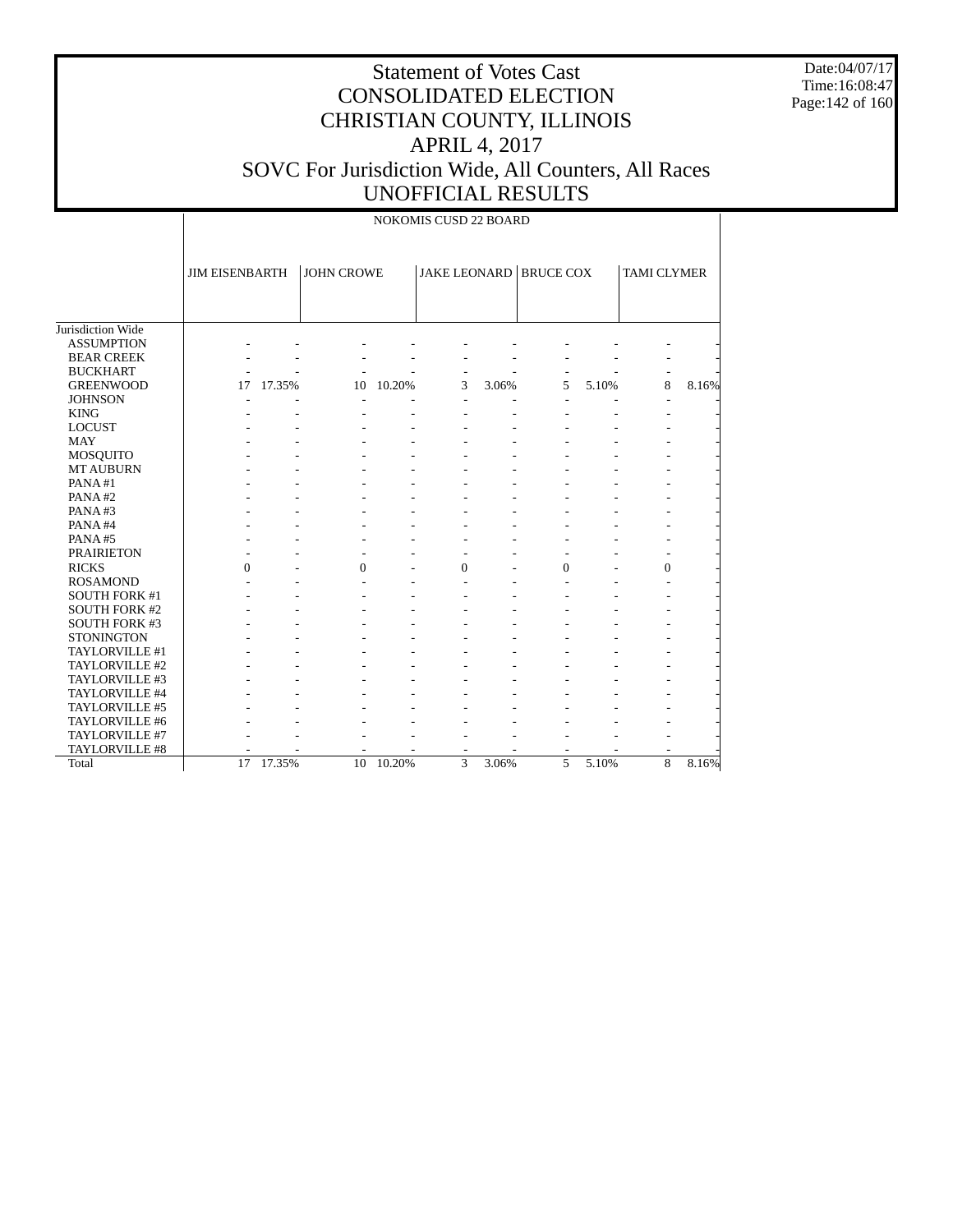Date:04/07/17 Time:16:08:47 Page:142 of 160

# Statement of Votes Cast CONSOLIDATED ELECTION CHRISTIAN COUNTY, ILLINOIS APRIL 4, 2017 SOVC For Jurisdiction Wide, All Counters, All Races UNOFFICIAL RESULTS

NOKOMIS CUSD 22 BOARD

|                      | <b>JIM EISENBARTH</b> |        | <b>JOHN CROWE</b> |        |          |       | <b>JAKE LEONARD BRUCE COX</b> |       | <b>TAMI CLYMER</b> |       |
|----------------------|-----------------------|--------|-------------------|--------|----------|-------|-------------------------------|-------|--------------------|-------|
| Jurisdiction Wide    |                       |        |                   |        |          |       |                               |       |                    |       |
| <b>ASSUMPTION</b>    |                       |        |                   |        |          |       |                               |       |                    |       |
| <b>BEAR CREEK</b>    |                       |        |                   |        |          |       |                               |       |                    |       |
| <b>BUCKHART</b>      |                       |        |                   |        |          |       |                               |       |                    |       |
| <b>GREENWOOD</b>     | 17                    | 17.35% | 10                | 10.20% | 3        | 3.06% | 5                             | 5.10% | 8                  | 8.16% |
| <b>JOHNSON</b>       |                       |        |                   |        |          |       | $\overline{a}$                |       |                    |       |
| <b>KING</b>          |                       |        |                   |        |          |       |                               |       |                    |       |
| <b>LOCUST</b>        |                       |        |                   |        |          |       |                               |       |                    |       |
| <b>MAY</b>           |                       |        |                   |        |          |       |                               |       |                    |       |
| MOSQUITO             |                       |        |                   |        |          |       |                               |       |                    |       |
| <b>MT AUBURN</b>     |                       |        |                   |        |          |       |                               |       |                    |       |
| PANA#1               |                       |        |                   |        |          |       |                               |       |                    |       |
| PANA#2               |                       |        |                   |        |          |       |                               |       |                    |       |
| PANA#3               |                       |        |                   |        |          |       |                               |       |                    |       |
| PANA#4               |                       |        |                   |        |          |       |                               |       |                    |       |
| PANA#5               |                       |        |                   |        |          |       |                               |       |                    |       |
| <b>PRAIRIETON</b>    |                       |        |                   |        |          |       |                               |       |                    |       |
| <b>RICKS</b>         | $\theta$              |        | $\mathbf{0}$      |        | $\theta$ |       | 0                             |       | 0                  |       |
| <b>ROSAMOND</b>      |                       |        |                   |        |          |       |                               |       |                    |       |
| <b>SOUTH FORK #1</b> |                       |        |                   |        |          |       |                               |       |                    |       |
| <b>SOUTH FORK #2</b> |                       |        |                   |        |          |       |                               |       |                    |       |
| <b>SOUTH FORK #3</b> |                       |        |                   |        |          |       |                               |       |                    |       |
| <b>STONINGTON</b>    |                       |        |                   |        |          |       |                               |       |                    |       |
| TAYLORVILLE #1       |                       |        |                   |        |          |       |                               |       |                    |       |
| TAYLORVILLE #2       |                       |        |                   |        |          |       |                               |       |                    |       |
| TAYLORVILLE #3       |                       |        |                   |        |          |       |                               |       |                    |       |
| TAYLORVILLE #4       |                       |        |                   |        |          |       |                               |       |                    |       |
| TAYLORVILLE #5       |                       |        |                   |        |          |       |                               |       |                    |       |
| TAYLORVILLE #6       |                       |        |                   |        |          |       |                               |       |                    |       |
| TAYLORVILLE #7       |                       |        |                   |        |          |       |                               |       |                    |       |
| TAYLORVILLE #8       |                       |        |                   |        |          |       |                               |       |                    |       |
| Total                | 17                    | 17.35% | 10                | 10.20% | 3        | 3.06% | 5                             | 5.10% | 8                  | 8.16% |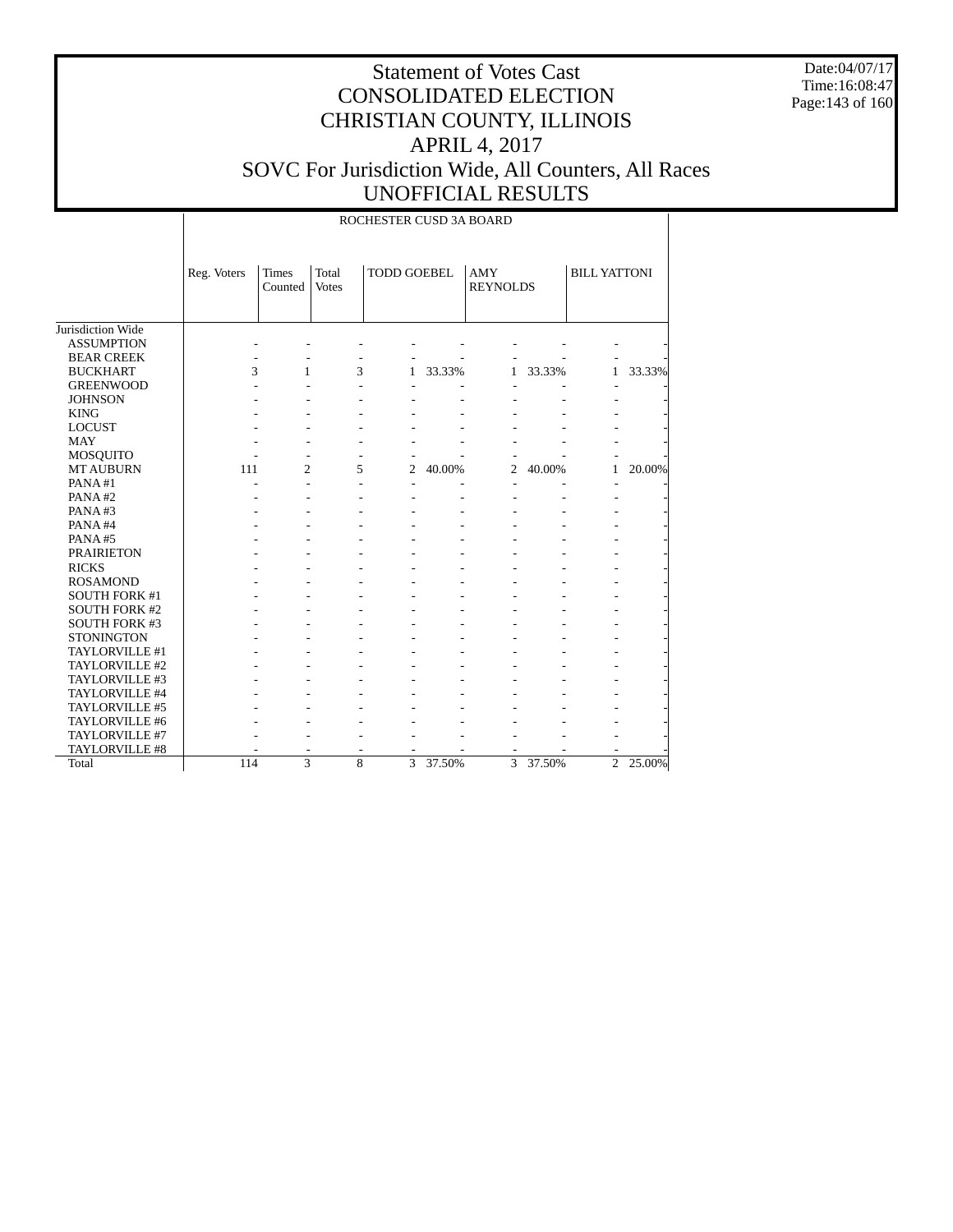Date:04/07/17 Time:16:08:47 Page:143 of 160

|                      |             |                  |                       | ROCHESTER CUSD 3A BOARD |        |                               |        |                     |        |
|----------------------|-------------|------------------|-----------------------|-------------------------|--------|-------------------------------|--------|---------------------|--------|
|                      | Reg. Voters | Times<br>Counted | Total<br><b>Votes</b> | <b>TODD GOEBEL</b>      |        | <b>AMY</b><br><b>REYNOLDS</b> |        | <b>BILL YATTONI</b> |        |
| Jurisdiction Wide    |             |                  |                       |                         |        |                               |        |                     |        |
| <b>ASSUMPTION</b>    |             |                  |                       |                         |        |                               |        |                     |        |
| <b>BEAR CREEK</b>    |             |                  |                       |                         |        |                               |        |                     |        |
| <b>BUCKHART</b>      | 3           | $\mathbf{1}$     | 3                     | $\mathbf{1}$            | 33.33% | $\mathbf{1}$                  | 33.33% | 1                   | 33.33% |
| <b>GREENWOOD</b>     |             |                  |                       |                         |        |                               |        |                     |        |
| <b>JOHNSON</b>       |             |                  |                       |                         |        |                               |        |                     |        |
| <b>KING</b>          |             |                  |                       |                         |        |                               |        |                     |        |
| <b>LOCUST</b>        |             |                  |                       |                         |        |                               |        |                     |        |
| <b>MAY</b>           |             |                  |                       |                         |        |                               |        |                     |        |
| <b>MOSQUITO</b>      |             |                  |                       | $\overline{a}$          |        | $\overline{a}$                |        |                     |        |
| <b>MT AUBURN</b>     | 111         | $\overline{c}$   | 5                     | $\overline{c}$          | 40.00% | $\overline{2}$                | 40.00% | $\mathbf{1}$        | 20.00% |
| PANA#1               |             |                  |                       | L.                      |        | ÷                             |        | $\overline{a}$      |        |
| PANA#2               |             |                  |                       |                         |        |                               |        |                     |        |
| PANA#3               |             |                  |                       |                         |        |                               |        |                     |        |
| PANA#4               |             |                  |                       |                         |        |                               |        |                     |        |
| PANA#5               |             |                  |                       |                         |        |                               |        |                     |        |
| <b>PRAIRIETON</b>    |             |                  |                       |                         |        |                               |        |                     |        |
| <b>RICKS</b>         |             |                  |                       |                         |        |                               |        |                     |        |
| <b>ROSAMOND</b>      |             |                  |                       |                         |        |                               |        |                     |        |
| <b>SOUTH FORK #1</b> |             |                  |                       |                         |        |                               |        |                     |        |
| <b>SOUTH FORK #2</b> |             |                  |                       |                         |        |                               |        |                     |        |
| <b>SOUTH FORK #3</b> |             |                  |                       |                         |        |                               |        |                     |        |
| <b>STONINGTON</b>    |             |                  |                       |                         |        |                               |        |                     |        |
| TAYLORVILLE #1       |             |                  |                       |                         |        |                               |        |                     |        |
| TAYLORVILLE #2       |             |                  |                       |                         |        |                               |        |                     |        |
| TAYLORVILLE #3       |             |                  |                       |                         |        |                               |        |                     |        |
| TAYLORVILLE #4       |             |                  |                       |                         |        |                               |        |                     |        |
| TAYLORVILLE #5       |             |                  |                       |                         |        |                               |        |                     |        |
| TAYLORVILLE #6       |             |                  |                       |                         |        |                               |        |                     |        |
| TAYLORVILLE #7       |             |                  |                       |                         |        |                               |        |                     |        |
| TAYLORVILLE #8       |             |                  |                       |                         |        |                               |        |                     |        |
| Total                | 114         | $\overline{3}$   | 8                     | $\overline{3}$          | 37.50% | $\overline{3}$                | 37.50% | $\overline{c}$      | 25.00% |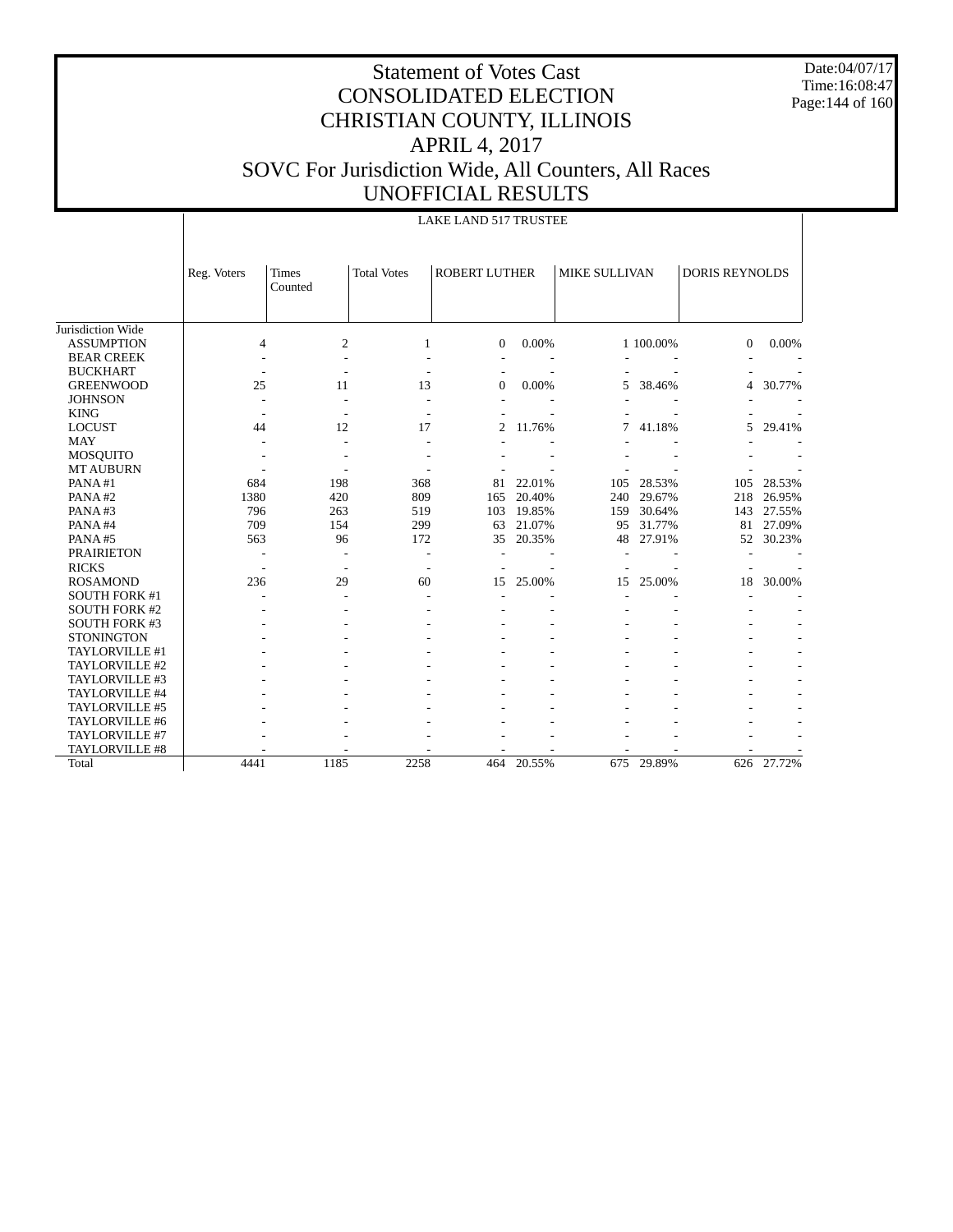Date:04/07/17 Time:16:08:47 Page:144 of 160

|                      |                          | LAKE LAND 517 TRUSTEE    |                          |                      |        |               |            |                       |        |  |  |  |
|----------------------|--------------------------|--------------------------|--------------------------|----------------------|--------|---------------|------------|-----------------------|--------|--|--|--|
|                      | Reg. Voters              | Times<br>Counted         | <b>Total Votes</b>       | <b>ROBERT LUTHER</b> |        | MIKE SULLIVAN |            | <b>DORIS REYNOLDS</b> |        |  |  |  |
| Jurisdiction Wide    |                          |                          |                          |                      |        |               |            |                       |        |  |  |  |
| <b>ASSUMPTION</b>    | 4                        | $\overline{2}$           | 1                        | $\Omega$             | 0.00%  |               | 1 100.00%  | $\Omega$              | 0.00%  |  |  |  |
| <b>BEAR CREEK</b>    |                          |                          |                          |                      |        |               |            |                       |        |  |  |  |
| <b>BUCKHART</b>      |                          |                          |                          |                      |        |               |            |                       |        |  |  |  |
| <b>GREENWOOD</b>     | 25                       | 11                       | 13                       | $\overline{0}$       | 0.00%  | 5             | 38.46%     | 4                     | 30.77% |  |  |  |
| <b>JOHNSON</b>       |                          |                          |                          |                      |        |               |            |                       |        |  |  |  |
| <b>KING</b>          |                          |                          |                          |                      |        |               |            |                       |        |  |  |  |
| <b>LOCUST</b>        | 44                       | 12                       | 17                       | $\mathfrak{D}$       | 11.76% | 7             | 41.18%     | 5                     | 29.41% |  |  |  |
| <b>MAY</b>           |                          |                          |                          |                      |        |               |            |                       |        |  |  |  |
| <b>MOSQUITO</b>      |                          |                          |                          |                      |        |               |            |                       |        |  |  |  |
| <b>MT AUBURN</b>     |                          |                          |                          |                      |        |               |            |                       |        |  |  |  |
| PANA#1               | 684                      | 198                      | 368                      | 81                   | 22.01% | 105           | 28.53%     | 105                   | 28.53% |  |  |  |
| PANA#2               | 1380                     | 420                      | 809                      | 165                  | 20.40% | 240           | 29.67%     | 218                   | 26.95% |  |  |  |
| PANA#3               | 796                      | 263                      | 519                      | 103                  | 19.85% | 159           | 30.64%     | 143                   | 27.55% |  |  |  |
| PANA#4               | 709                      | 154                      | 299                      | 63                   | 21.07% | 95            | 31.77%     | 81                    | 27.09% |  |  |  |
| PANA#5               | 563                      | 96                       | 172                      | 35                   | 20.35% | 48            | 27.91%     | 52                    | 30.23% |  |  |  |
| <b>PRAIRIETON</b>    |                          |                          | $\overline{a}$           |                      |        |               |            |                       |        |  |  |  |
| <b>RICKS</b>         | $\overline{\phantom{a}}$ | $\overline{\phantom{a}}$ | $\overline{\phantom{a}}$ |                      |        |               |            |                       |        |  |  |  |
| <b>ROSAMOND</b>      | 236                      | 29                       | 60                       | 15                   | 25.00% | 15            | 25.00%     | 18                    | 30.00% |  |  |  |
| <b>SOUTH FORK #1</b> |                          |                          |                          |                      |        |               |            |                       |        |  |  |  |
| <b>SOUTH FORK #2</b> |                          |                          |                          |                      |        |               |            |                       |        |  |  |  |
| <b>SOUTH FORK #3</b> |                          |                          |                          |                      |        |               |            |                       |        |  |  |  |
| <b>STONINGTON</b>    |                          |                          |                          |                      |        |               |            |                       |        |  |  |  |
| TAYLORVILLE #1       |                          |                          |                          |                      |        |               |            |                       |        |  |  |  |
| TAYLORVILLE #2       |                          |                          |                          |                      |        |               |            |                       |        |  |  |  |
| TAYLORVILLE #3       |                          |                          |                          |                      |        |               |            |                       |        |  |  |  |
| TAYLORVILLE #4       |                          |                          |                          |                      |        |               |            |                       |        |  |  |  |
| TAYLORVILLE #5       |                          |                          |                          |                      |        |               |            |                       |        |  |  |  |
| TAYLORVILLE #6       |                          |                          |                          |                      |        |               |            |                       |        |  |  |  |
| TAYLORVILLE #7       |                          |                          |                          |                      |        |               |            |                       |        |  |  |  |
| TAYLORVILLE #8       |                          |                          |                          |                      |        |               |            |                       |        |  |  |  |
| Total                | 4441                     | 1185                     | 2258                     | 464                  | 20.55% |               | 675 29.89% | 626                   | 27.72% |  |  |  |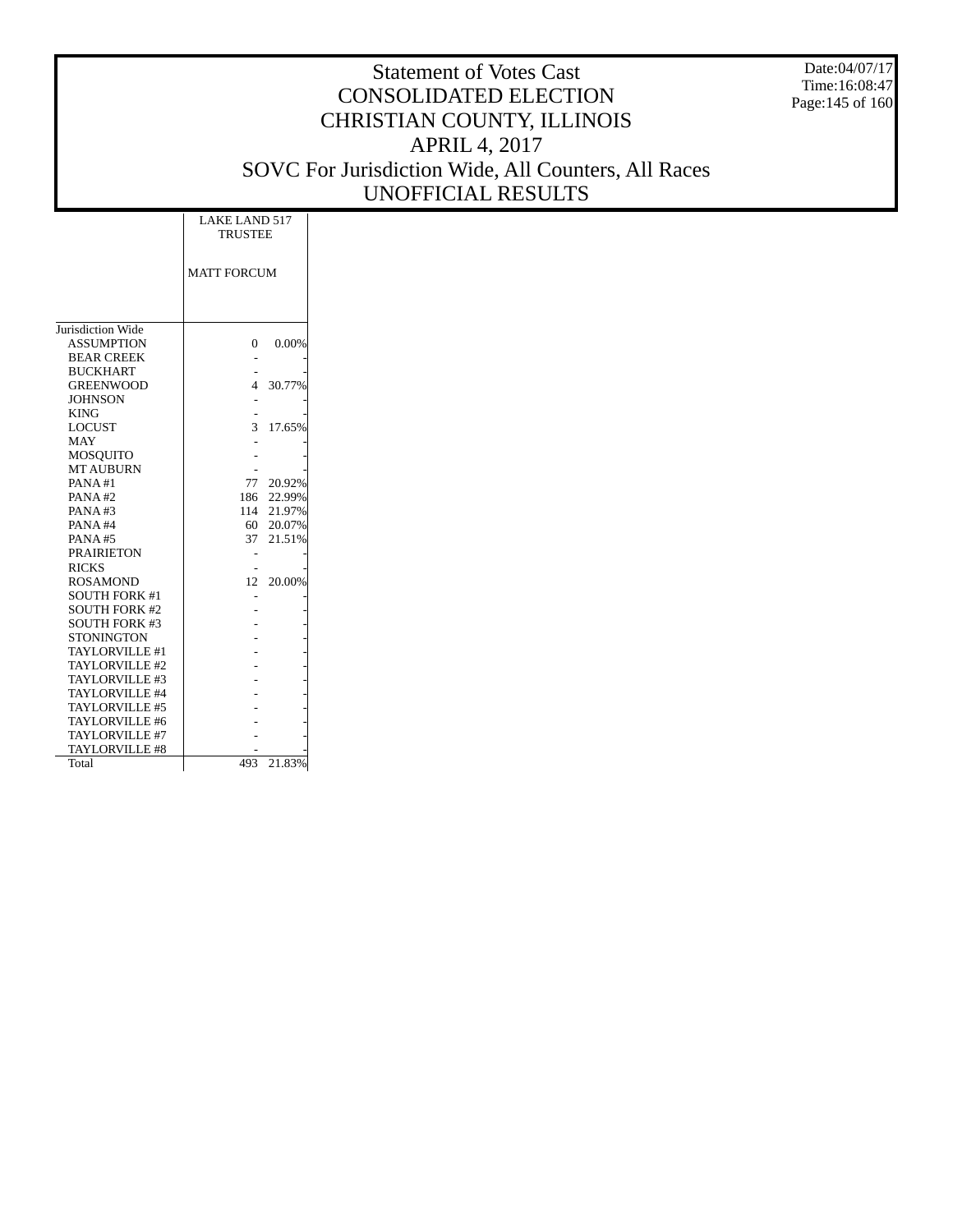Date:04/07/17 Time:16:08:47 Page:145 of 160

|                      | <b>LAKE LAND 517</b><br><b>TRUSTEE</b> |            |
|----------------------|----------------------------------------|------------|
|                      | <b>MATT FORCUM</b>                     |            |
|                      |                                        |            |
|                      |                                        |            |
| Jurisdiction Wide    |                                        |            |
| <b>ASSUMPTION</b>    | 0                                      | 0.00%      |
| <b>BEAR CREEK</b>    |                                        |            |
| <b>BUCKHART</b>      |                                        |            |
| <b>GREENWOOD</b>     | 4                                      | 30.77%     |
| <b>JOHNSON</b>       |                                        |            |
| <b>KING</b>          |                                        |            |
| <b>LOCUST</b>        | 3                                      | 17.65%     |
| <b>MAY</b>           |                                        |            |
| <b>MOSOUITO</b>      |                                        |            |
| <b>MT AUBURN</b>     |                                        |            |
| PANA#1               | 77                                     | 20.92%     |
| PANA#2               | 186                                    | 22.99%     |
| PANA#3               |                                        | 114 21.97% |
| PANA#4               | 60                                     | 20.07%     |
| <b>PANA#5</b>        |                                        | 37 21.51%  |
| <b>PRAIRIETON</b>    |                                        |            |
| <b>RICKS</b>         |                                        |            |
| <b>ROSAMOND</b>      | 12                                     | 20.00%     |
| <b>SOUTH FORK #1</b> |                                        |            |
| <b>SOUTH FORK #2</b> |                                        |            |
| <b>SOUTH FORK #3</b> |                                        |            |
| <b>STONINGTON</b>    |                                        |            |
| TAYLORVILLE #1       |                                        |            |
| TAYLORVILLE #2       |                                        |            |
| TAYLORVILLE #3       |                                        |            |
| TAYLORVILLE #4       |                                        |            |
| TAYLORVILLE #5       |                                        |            |
| TAYLORVILLE #6       |                                        |            |
| TAYLORVILLE #7       |                                        |            |
| TAYLORVILLE #8       |                                        |            |
| Total                | 493                                    | 21.83%     |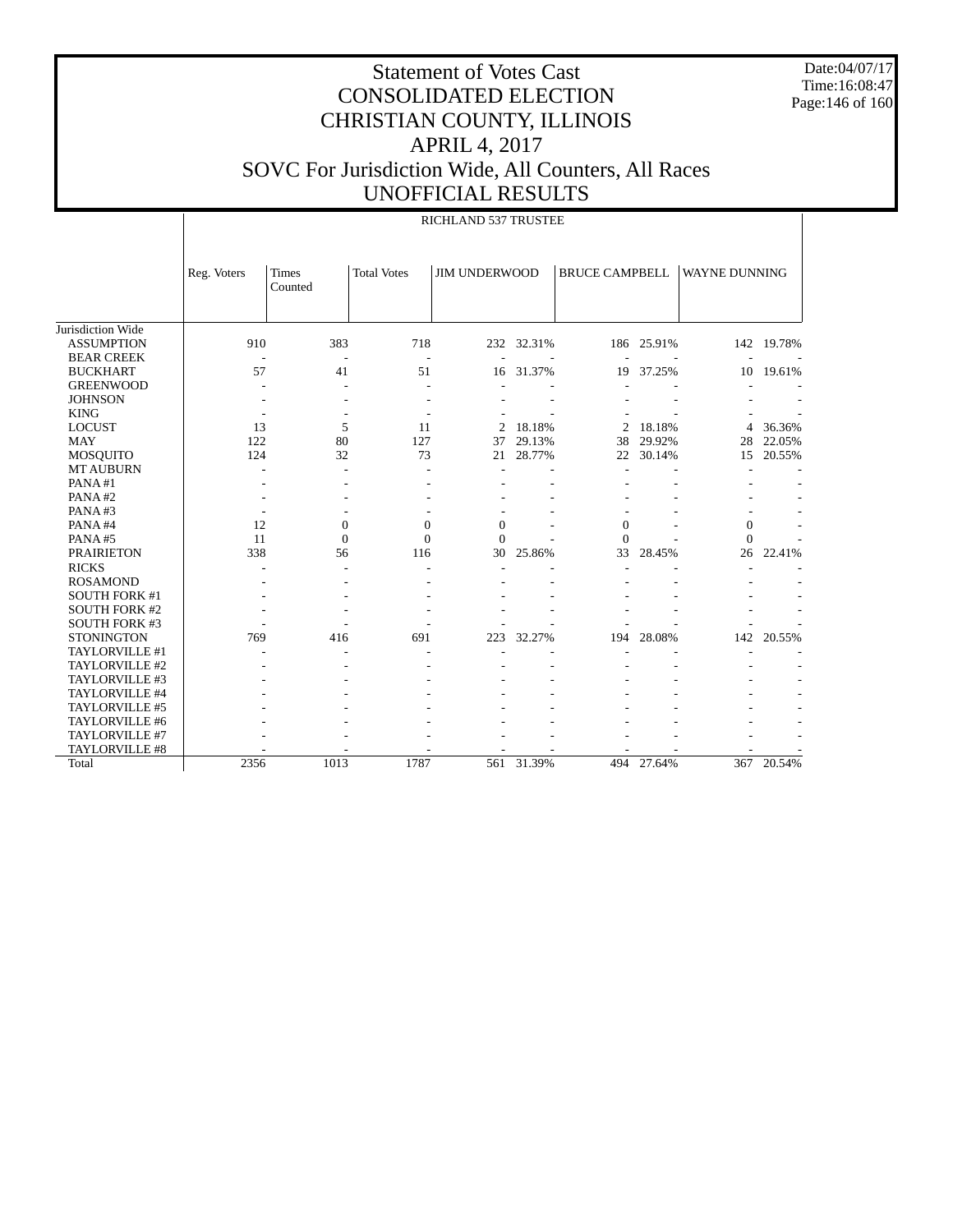Date:04/07/17 Time:16:08:47 Page:146 of 160

|                      |             |                  |                    | RICHLAND 537 TRUSTEE |            |                       |            |                |            |
|----------------------|-------------|------------------|--------------------|----------------------|------------|-----------------------|------------|----------------|------------|
|                      | Reg. Voters | Times<br>Counted | <b>Total Votes</b> | <b>JIM UNDERWOOD</b> |            | <b>BRUCE CAMPBELL</b> |            | WAYNE DUNNING  |            |
| Jurisdiction Wide    |             |                  |                    |                      |            |                       |            |                |            |
| <b>ASSUMPTION</b>    | 910         | 383              | 718                |                      | 232 32.31% |                       | 186 25.91% |                | 142 19.78% |
| <b>BEAR CREEK</b>    |             |                  |                    |                      |            |                       |            |                |            |
| <b>BUCKHART</b>      | 57          | 41               | 51                 |                      | 16 31.37%  | 19                    | 37.25%     | 10             | 19.61%     |
| <b>GREENWOOD</b>     | ÷.          |                  |                    |                      |            |                       |            |                |            |
| <b>JOHNSON</b>       |             |                  |                    |                      |            |                       |            |                |            |
| <b>KING</b>          |             |                  |                    |                      |            |                       |            |                |            |
| <b>LOCUST</b>        | 13          | 5                | 11                 | $\overline{2}$       | 18.18%     | 2                     | 18.18%     | 4              | 36.36%     |
| <b>MAY</b>           | 122         | 80               | 127                | 37                   | 29.13%     | 38                    | 29.92%     | 28             | 22.05%     |
| <b>MOSQUITO</b>      | 124         | 32               | 73                 | 21                   | 28.77%     | 22                    | 30.14%     | 15             | 20.55%     |
| <b>MT AUBURN</b>     |             |                  |                    |                      |            |                       |            |                |            |
| PANA#1               |             |                  |                    |                      |            |                       |            |                |            |
| PANA#2               |             |                  |                    |                      |            |                       |            |                |            |
| PANA#3               |             |                  |                    |                      |            |                       |            |                |            |
| PANA#4               | 12          | $\theta$         | $\overline{0}$     | $\overline{0}$       |            | $\theta$              |            | $\overline{0}$ |            |
| PANA#5               | 11          | $\Omega$         | $\Omega$           | $\theta$             |            | $\Omega$              |            | $\theta$       |            |
| <b>PRAIRIETON</b>    | 338         | 56               | 116                | 30                   | 25.86%     | 33                    | 28.45%     | 26             | 22.41%     |
| <b>RICKS</b>         | ÷           |                  |                    |                      |            |                       |            |                |            |
| <b>ROSAMOND</b>      |             |                  |                    |                      |            |                       |            |                |            |
| <b>SOUTH FORK #1</b> |             |                  |                    |                      |            |                       |            |                |            |
| <b>SOUTH FORK #2</b> |             |                  |                    |                      |            |                       |            |                |            |
| <b>SOUTH FORK #3</b> |             |                  |                    |                      |            |                       |            |                |            |
| <b>STONINGTON</b>    | 769         | 416              | 691                | 223                  | 32.27%     | 194                   | 28.08%     | 142            | 20.55%     |
| TAYLORVILLE #1       |             |                  |                    |                      |            |                       |            |                |            |
| TAYLORVILLE #2       |             |                  |                    |                      |            |                       |            |                |            |
| TAYLORVILLE #3       |             |                  |                    |                      |            |                       |            |                |            |
| TAYLORVILLE #4       |             |                  |                    |                      |            |                       |            |                |            |
| TAYLORVILLE #5       |             |                  |                    |                      |            |                       |            |                |            |
| TAYLORVILLE #6       |             |                  |                    |                      |            |                       |            |                |            |
| TAYLORVILLE #7       |             |                  |                    |                      |            |                       |            |                |            |
| TAYLORVILLE #8       |             |                  |                    |                      |            |                       |            |                |            |
| Total                | 2356        | 1013             | 1787               | 561                  | 31.39%     |                       | 494 27.64% |                | 367 20.54% |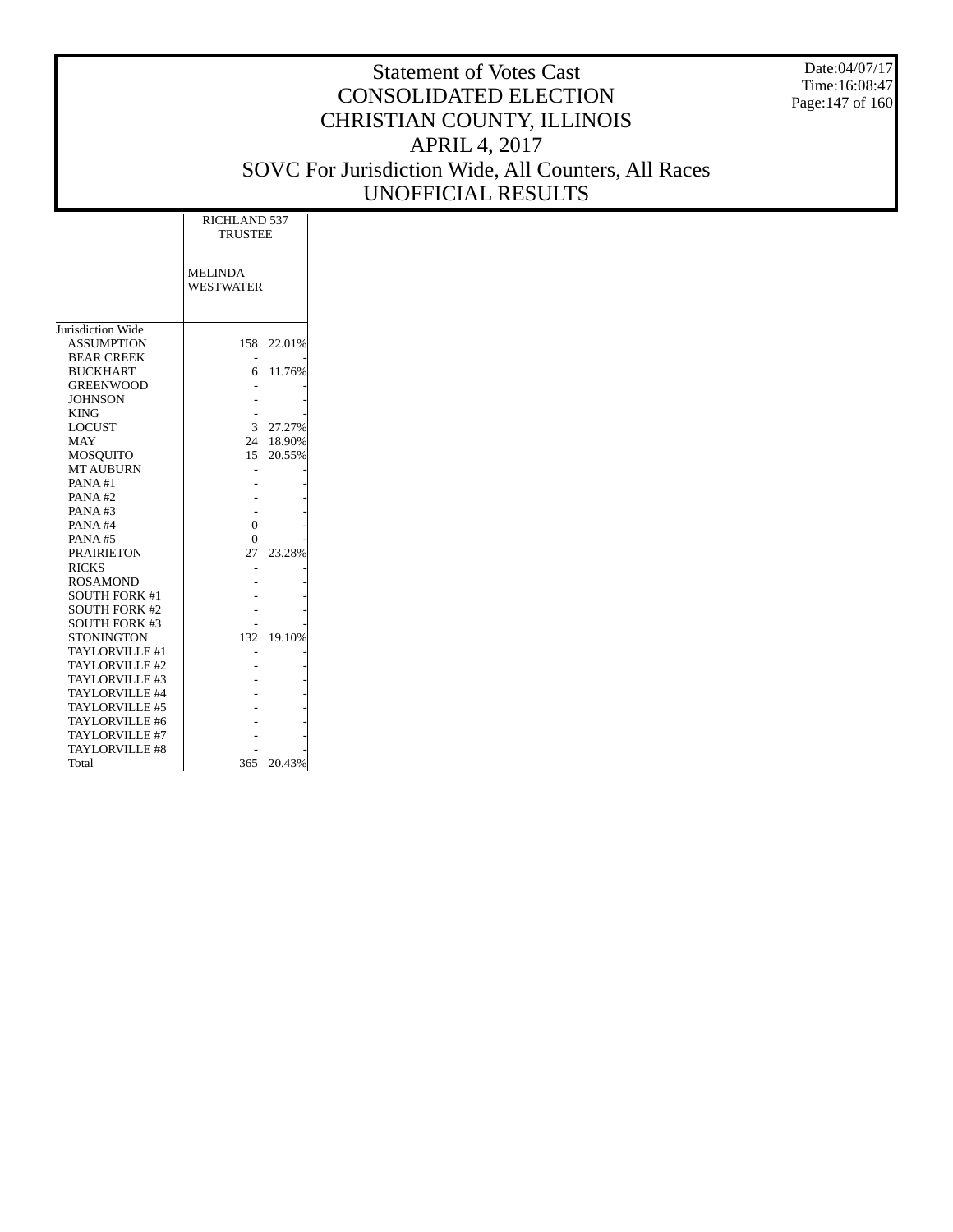Date:04/07/17 Time:16:08:47 Page:147 of 160

|                      | RICHLAND 537<br><b>TRUSTEE</b>     |           |
|----------------------|------------------------------------|-----------|
|                      | <b>MELINDA</b><br><b>WESTWATER</b> |           |
| Jurisdiction Wide    |                                    |           |
| <b>ASSUMPTION</b>    | 158                                | 22.01%    |
| <b>BEAR CREEK</b>    |                                    |           |
| <b>BUCKHART</b>      | б.                                 | 11.76%    |
| <b>GREENWOOD</b>     |                                    |           |
| <b>JOHNSON</b>       |                                    |           |
| <b>KING</b>          |                                    |           |
| <b>LOCUST</b>        | 3                                  | 27.27%    |
| <b>MAY</b>           |                                    | 24 18.90% |
| MOSOUITO             |                                    | 15 20.55% |
| <b>MT AUBURN</b>     |                                    |           |
| PANA#1               |                                    |           |
| PANA#2               |                                    |           |
| PANA#3               |                                    |           |
| PANA#4               | $\theta$                           |           |
| <b>PANA#5</b>        | 0                                  |           |
| <b>PRAIRIETON</b>    | 27                                 | 23.28%    |
| <b>RICKS</b>         |                                    |           |
| <b>ROSAMOND</b>      |                                    |           |
| <b>SOUTH FORK #1</b> |                                    |           |
| <b>SOUTH FORK #2</b> |                                    |           |
| <b>SOUTH FORK #3</b> |                                    |           |
| <b>STONINGTON</b>    | 132                                | 19.10%    |
| TAYLORVILLE #1       |                                    |           |
| TAYLORVILLE #2       |                                    |           |
| TAYLORVILLE #3       |                                    |           |
| TAYLORVILLE #4       |                                    |           |
| TAYLORVILLE #5       |                                    |           |
| TAYLORVILLE #6       |                                    |           |
| TAYLORVILLE #7       |                                    |           |
| TAYLORVILLE #8       |                                    |           |
| Total                | 365                                | 20.43%    |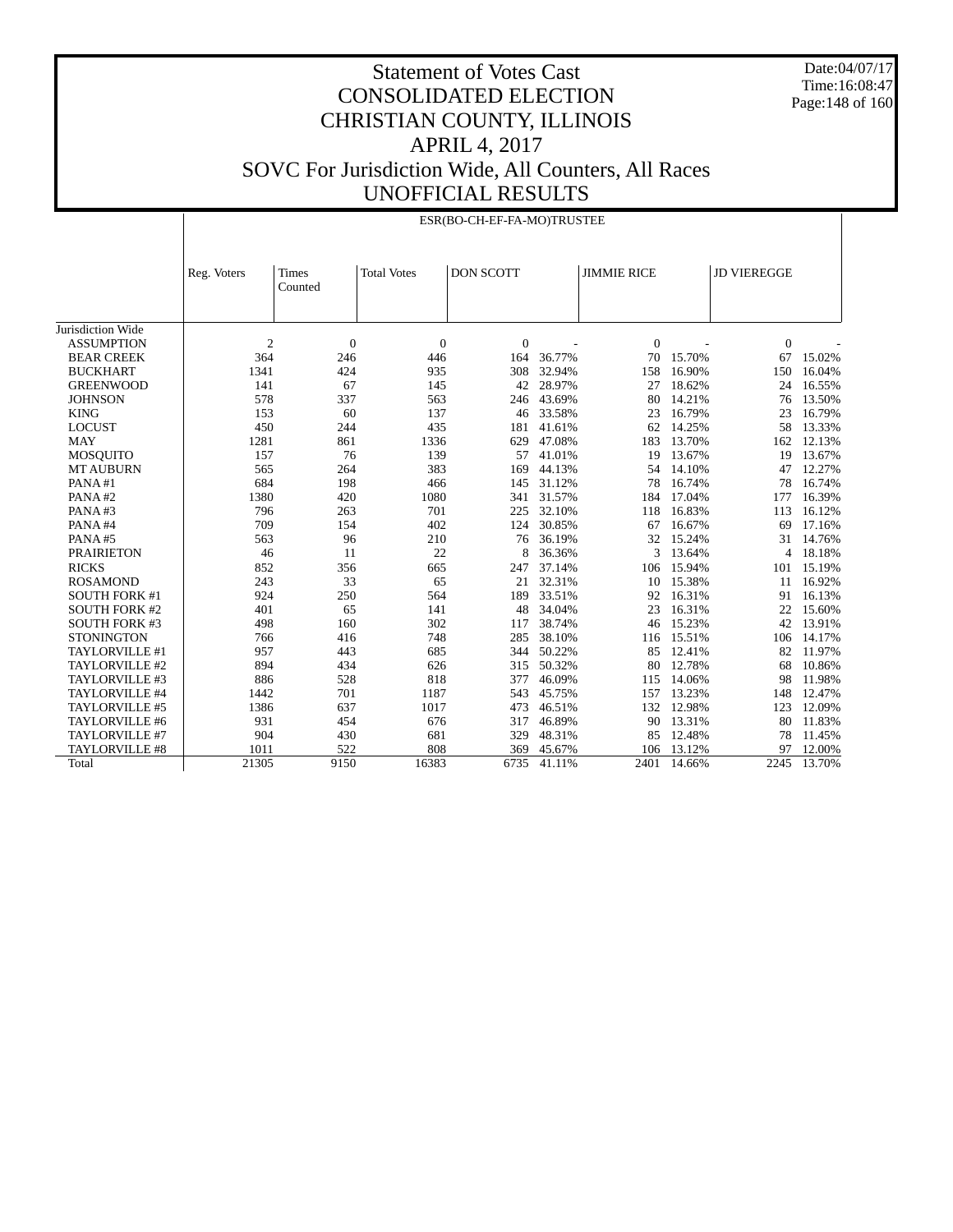Date:04/07/17 Time:16:08:47 Page: 148 of 160

# Statement of Votes Cast CONSOLIDATED ELECTION CHRISTIAN COUNTY, ILLINOIS APRIL 4, 2017 SOVC For Jurisdiction Wide, All Counters, All Races UNOFFICIAL RESULTS

ESR(BO-CH-EF-FA-MO)TRUSTEE

|                      |                |                         |                    | ESR(BO-CH-EF-FA-MO)IRUSTEE |        |                    |        |                    |          |
|----------------------|----------------|-------------------------|--------------------|----------------------------|--------|--------------------|--------|--------------------|----------|
|                      | Reg. Voters    | <b>Times</b><br>Counted | <b>Total Votes</b> | <b>DON SCOTT</b>           |        | <b>JIMMIE RICE</b> |        | <b>JD VIEREGGE</b> |          |
| Jurisdiction Wide    |                |                         |                    |                            |        |                    |        |                    |          |
| <b>ASSUMPTION</b>    | $\overline{c}$ | $\boldsymbol{0}$        | $\mathbf{0}$       | $\overline{0}$             |        | $\Omega$           |        | $\mathbf{0}$       |          |
| <b>BEAR CREEK</b>    | 364            | 246                     | 446                | 164                        | 36.77% | 70                 | 15.70% | 67                 | 15.02%   |
| <b>BUCKHART</b>      | 1341           | 424                     | 935                | 308                        | 32.94% | 158                | 16.90% | 150                | 16.04%   |
| <b>GREENWOOD</b>     | 141            | 67                      | 145                | 42                         | 28.97% | 27                 | 18.62% | 24                 | 16.55%   |
| <b>JOHNSON</b>       | 578            | 337                     | 563                | 246                        | 43.69% | 80                 | 14.21% | 76                 | 13.50%   |
| <b>KING</b>          | 153            | 60                      | 137                | 46                         | 33.58% | 23                 | 16.79% | 23                 | 16.79%   |
| <b>LOCUST</b>        | 450            | 244                     | 435                | 181                        | 41.61% | 62                 | 14.25% | 58                 | 13.33%   |
| <b>MAY</b>           | 1281           | 861                     | 1336               | 629                        | 47.08% | 183                | 13.70% | 162                | 12.13%   |
| <b>MOSQUITO</b>      | 157            | 76                      | 139                | 57                         | 41.01% | 19                 | 13.67% | 19                 | 13.67%   |
| <b>MT AUBURN</b>     | 565            | 264                     | 383                | 169                        | 44.13% | 54                 | 14.10% | 47                 | 12.27%   |
| PANA#1               | 684            | 198                     | 466                | 145                        | 31.12% | 78                 | 16.74% | 78                 | 16.74%   |
| PANA#2               | 1380           | 420                     | 1080               | 341                        | 31.57% | 184                | 17.04% | 177                | 16.39%   |
| PANA#3               | 796            | 263                     | 701                | 225                        | 32.10% | 118                | 16.83% | 113                | 16.12%   |
| PANA#4               | 709            | 154                     | 402                | 124                        | 30.85% | 67                 | 16.67% | 69                 | 17.16%   |
| PANA#5               | 563            | 96                      | 210                | 76                         | 36.19% | 32                 | 15.24% | 31                 | 14.76%   |
| <b>PRAIRIETON</b>    | 46             | 11                      | 22                 | 8                          | 36.36% | 3                  | 13.64% |                    | 4 18.18% |
| <b>RICKS</b>         | 852            | 356                     | 665                | 247                        | 37.14% | 106                | 15.94% | 101                | 15.19%   |
| <b>ROSAMOND</b>      | 243            | 33                      | 65                 | 21                         | 32.31% | 10                 | 15.38% | 11                 | 16.92%   |
| <b>SOUTH FORK #1</b> | 924            | 250                     | 564                | 189                        | 33.51% | 92                 | 16.31% | 91                 | 16.13%   |
| <b>SOUTH FORK #2</b> | 401            | 65                      | 141                | 48                         | 34.04% | 23                 | 16.31% | 22                 | 15.60%   |
| <b>SOUTH FORK #3</b> | 498            | 160                     | 302                | 117                        | 38.74% | 46                 | 15.23% | 42                 | 13.91%   |
| <b>STONINGTON</b>    | 766            | 416                     | 748                | 285                        | 38.10% | 116                | 15.51% | 106                | 14.17%   |
| TAYLORVILLE #1       | 957            | 443                     | 685                | 344                        | 50.22% | 85                 | 12.41% | 82                 | 11.97%   |
| TAYLORVILLE #2       | 894            | 434                     | 626                | 315                        | 50.32% | 80                 | 12.78% | 68                 | 10.86%   |
| TAYLORVILLE #3       | 886            | 528                     | 818                | 377                        | 46.09% | 115                | 14.06% | 98                 | 11.98%   |
| TAYLORVILLE #4       | 1442           | 701                     | 1187               | 543                        | 45.75% | 157                | 13.23% | 148                | 12.47%   |
| TAYLORVILLE #5       | 1386           | 637                     | 1017               | 473                        | 46.51% | 132                | 12.98% | 123                | 12.09%   |
| TAYLORVILLE #6       | 931            | 454                     | 676                | 317                        | 46.89% | 90                 | 13.31% | 80                 | 11.83%   |
| TAYLORVILLE #7       | 904            | 430                     | 681                | 329                        | 48.31% | 85                 | 12.48% | 78                 | 11.45%   |
| TAYLORVILLE #8       | 1011           | 522                     | 808                | 369                        | 45.67% | 106                | 13.12% | 97                 | 12.00%   |
| Total                | 21305          | 9150                    | 16383              | 6735                       | 41.11% | 2401               | 14.66% | 2245               | 13.70%   |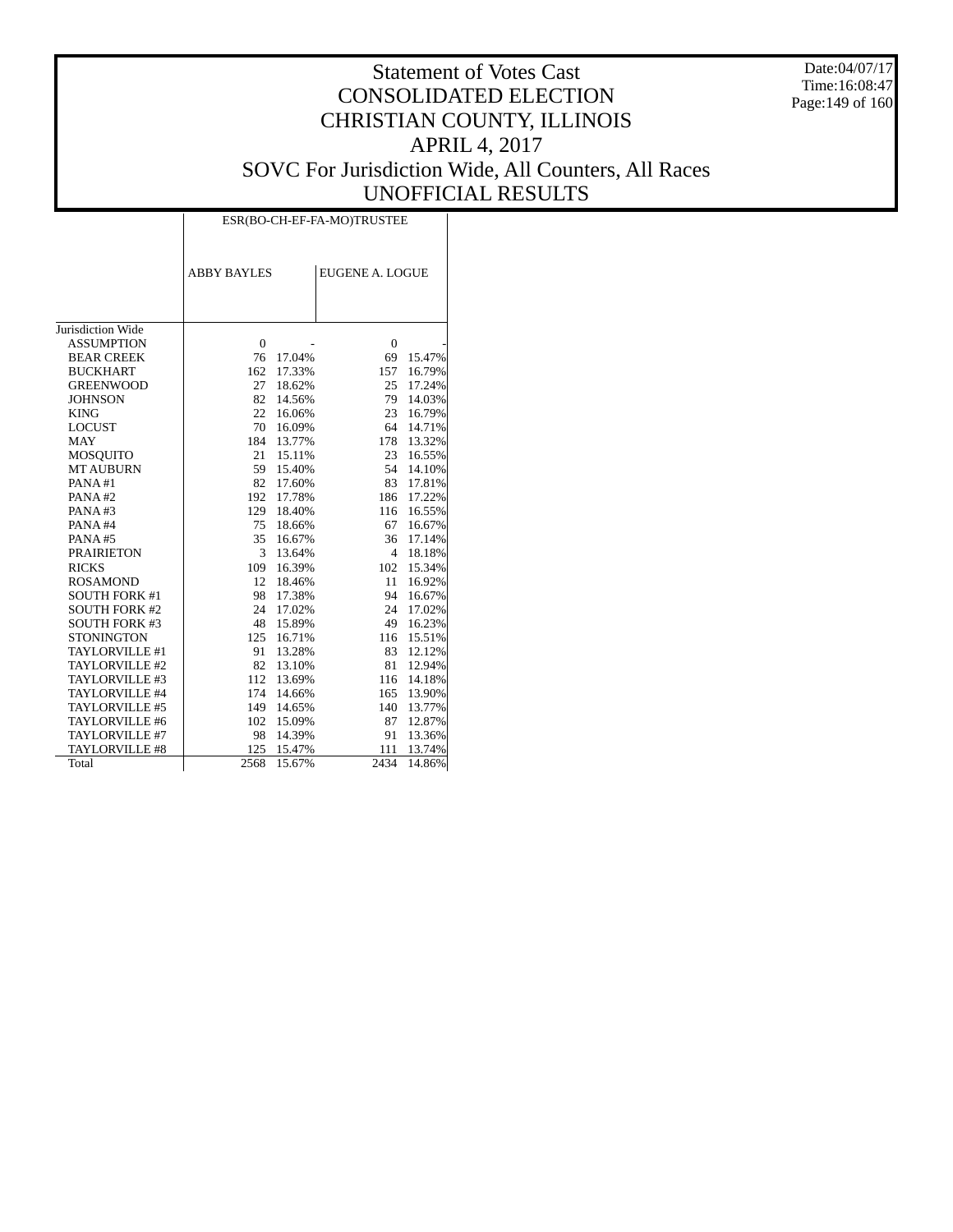Date:04/07/17 Time:16:08:47 Page:149 of 160

# Statement of Votes Cast CONSOLIDATED ELECTION CHRISTIAN COUNTY, ILLINOIS APRIL 4, 2017 SOVC For Jurisdiction Wide, All Counters, All Races UNOFFICIAL RESULTS

|                      |                    |        | ESR(BO-CH-EF-FA-MO)TRUSTEE |        |
|----------------------|--------------------|--------|----------------------------|--------|
|                      | <b>ABBY BAYLES</b> |        | <b>EUGENE A. LOGUE</b>     |        |
|                      |                    |        |                            |        |
| Jurisdiction Wide    |                    |        |                            |        |
| <b>ASSUMPTION</b>    | $\mathbf{0}$       |        | $\mathbf{0}$               |        |
| <b>BEAR CREEK</b>    | 76                 | 17.04% | 69                         | 15.47% |
| <b>BUCKHART</b>      | 162                | 17.33% | 157                        | 16.79% |
| <b>GREENWOOD</b>     | 27                 | 18.62% | 25                         | 17.24% |
| <b>JOHNSON</b>       | 82                 | 14.56% | 79                         | 14.03% |
| <b>KING</b>          | 22                 | 16.06% | 23                         | 16.79% |
| <b>LOCUST</b>        | 70                 | 16.09% | 64                         | 14.71% |
| <b>MAY</b>           | 184                | 13.77% | 178                        | 13.32% |
| <b>MOSQUITO</b>      | 21                 | 15.11% | 23                         | 16.55% |
| <b>MT AUBURN</b>     | 59                 | 15.40% | 54                         | 14.10% |
| PANA#1               | 82                 | 17.60% | 83                         | 17.81% |
| PANA#2               | 192                | 17.78% | 186                        | 17.22% |
| PANA#3               | 129                | 18.40% | 116                        | 16.55% |
| PANA#4               | 75                 | 18.66% | 67                         | 16.67% |
| PANA#5               | 35                 | 16.67% | 36                         | 17.14% |
| <b>PRAIRIETON</b>    | 3                  | 13.64% | 4                          | 18.18% |
| <b>RICKS</b>         | 109                | 16.39% | 102                        | 15.34% |
| <b>ROSAMOND</b>      | 12                 | 18.46% | 11                         | 16.92% |
| <b>SOUTH FORK #1</b> | 98                 | 17.38% | 94                         | 16.67% |
| <b>SOUTH FORK #2</b> | 24                 | 17.02% | 24                         | 17.02% |
| <b>SOUTH FORK #3</b> | 48                 | 15.89% | 49                         | 16.23% |
| <b>STONINGTON</b>    | 125                | 16.71% | 116                        | 15.51% |
| TAYLORVILLE #1       | 91                 | 13.28% | 83                         | 12.12% |
| TAYLORVILLE #2       | 82                 | 13.10% | 81                         | 12.94% |
| TAYLORVILLE #3       | 112                | 13.69% | 116                        | 14.18% |
| TAYLORVILLE #4       | 174                | 14.66% | 165                        | 13.90% |
| TAYLORVILLE #5       | 149                | 14.65% | 140                        | 13.77% |
| TAYLORVILLE #6       | 102                | 15.09% | 87                         | 12.87% |
| TAYLORVILLE #7       | 98                 | 14.39% | 91                         | 13.36% |
| TAYLORVILLE #8       | 125                | 15.47% | 111                        | 13.74% |
| Total                | 2568               | 15.67% | 2434                       | 14.86% |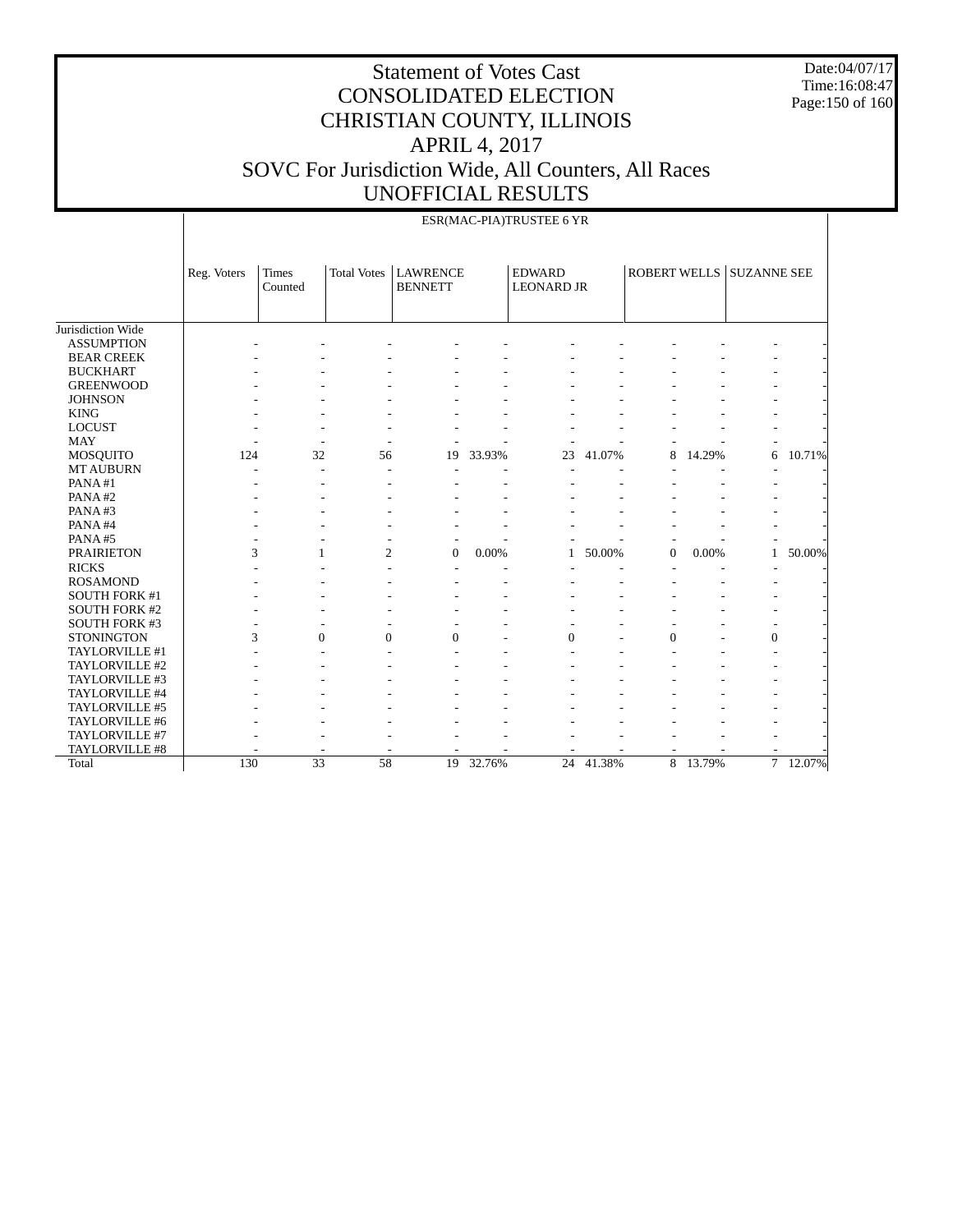Date:04/07/17 Time:16:08:47 Page:150 of 160

|                      |             |                         |                    |                                   |        | ESR(MAC-PIA)TRUSTEE 6 YR           |        |                  |        |                          |        |
|----------------------|-------------|-------------------------|--------------------|-----------------------------------|--------|------------------------------------|--------|------------------|--------|--------------------------|--------|
|                      | Reg. Voters | <b>Times</b><br>Counted | <b>Total Votes</b> | <b>LAWRENCE</b><br><b>BENNETT</b> |        | <b>EDWARD</b><br><b>LEONARD JR</b> |        |                  |        | ROBERT WELLS SUZANNE SEE |        |
| Jurisdiction Wide    |             |                         |                    |                                   |        |                                    |        |                  |        |                          |        |
| <b>ASSUMPTION</b>    |             |                         |                    |                                   |        |                                    |        |                  |        |                          |        |
| <b>BEAR CREEK</b>    |             |                         |                    |                                   |        |                                    |        |                  |        |                          |        |
| <b>BUCKHART</b>      |             |                         |                    |                                   |        |                                    |        |                  |        |                          |        |
| <b>GREENWOOD</b>     |             |                         |                    |                                   |        |                                    |        |                  |        |                          |        |
| <b>JOHNSON</b>       |             |                         |                    |                                   |        |                                    |        |                  |        |                          |        |
| <b>KING</b>          |             |                         |                    |                                   |        |                                    |        |                  |        |                          |        |
| <b>LOCUST</b>        |             |                         |                    |                                   |        |                                    |        |                  |        |                          |        |
| <b>MAY</b>           |             |                         |                    |                                   |        |                                    |        |                  |        |                          |        |
| <b>MOSQUITO</b>      | 124         | 32                      | 56                 | 19                                | 33.93% | 23                                 | 41.07% | 8                | 14.29% | 6                        | 10.71% |
| <b>MT AUBURN</b>     |             | ٠                       | ٠                  |                                   |        |                                    |        |                  |        |                          |        |
| PANA#1               |             |                         |                    |                                   |        |                                    |        |                  |        |                          |        |
| PANA#2               |             |                         |                    |                                   |        |                                    |        |                  |        |                          |        |
| PANA#3               |             |                         |                    |                                   |        |                                    |        |                  |        |                          |        |
| PANA#4               |             |                         |                    |                                   |        |                                    |        |                  |        |                          |        |
| PANA#5               |             |                         |                    |                                   |        |                                    |        |                  |        |                          |        |
| <b>PRAIRIETON</b>    | 3           | $\mathbf{1}$            | $\overline{2}$     | $\overline{0}$                    | 0.00%  | 1                                  | 50.00% | $\boldsymbol{0}$ | 0.00%  | $\mathbf{1}$             | 50.00% |
| <b>RICKS</b>         |             |                         |                    |                                   |        |                                    |        |                  |        |                          |        |
| <b>ROSAMOND</b>      |             |                         |                    |                                   |        |                                    |        |                  |        |                          |        |
| <b>SOUTH FORK #1</b> |             |                         |                    |                                   |        |                                    |        |                  |        |                          |        |
| <b>SOUTH FORK #2</b> |             |                         |                    |                                   |        |                                    |        |                  |        | ۰                        |        |
| <b>SOUTH FORK #3</b> |             |                         |                    |                                   |        |                                    |        |                  |        |                          |        |
| <b>STONINGTON</b>    | 3           | $\Omega$                | $\theta$           | $\Omega$                          |        | $\Omega$                           |        | $\Omega$         |        | $\mathbf{0}$             |        |
| TAYLORVILLE #1       |             |                         |                    |                                   |        |                                    |        |                  |        |                          |        |
| TAYLORVILLE #2       |             |                         |                    |                                   |        |                                    |        |                  |        |                          |        |
| TAYLORVILLE #3       |             |                         |                    |                                   |        |                                    |        |                  |        |                          |        |
| TAYLORVILLE #4       |             |                         |                    |                                   |        |                                    |        |                  |        |                          |        |
| TAYLORVILLE #5       |             |                         |                    |                                   |        |                                    |        |                  |        |                          |        |
| TAYLORVILLE #6       |             |                         |                    |                                   |        |                                    |        |                  |        |                          |        |
| TAYLORVILLE #7       |             |                         |                    |                                   |        |                                    |        |                  |        |                          |        |
| TAYLORVILLE #8       |             |                         |                    |                                   |        |                                    |        |                  |        |                          |        |
| Total                | 130         | 33                      | 58                 | 19                                | 32.76% | 24                                 | 41.38% | 8                | 13.79% | $\overline{\tau}$        | 12.07% |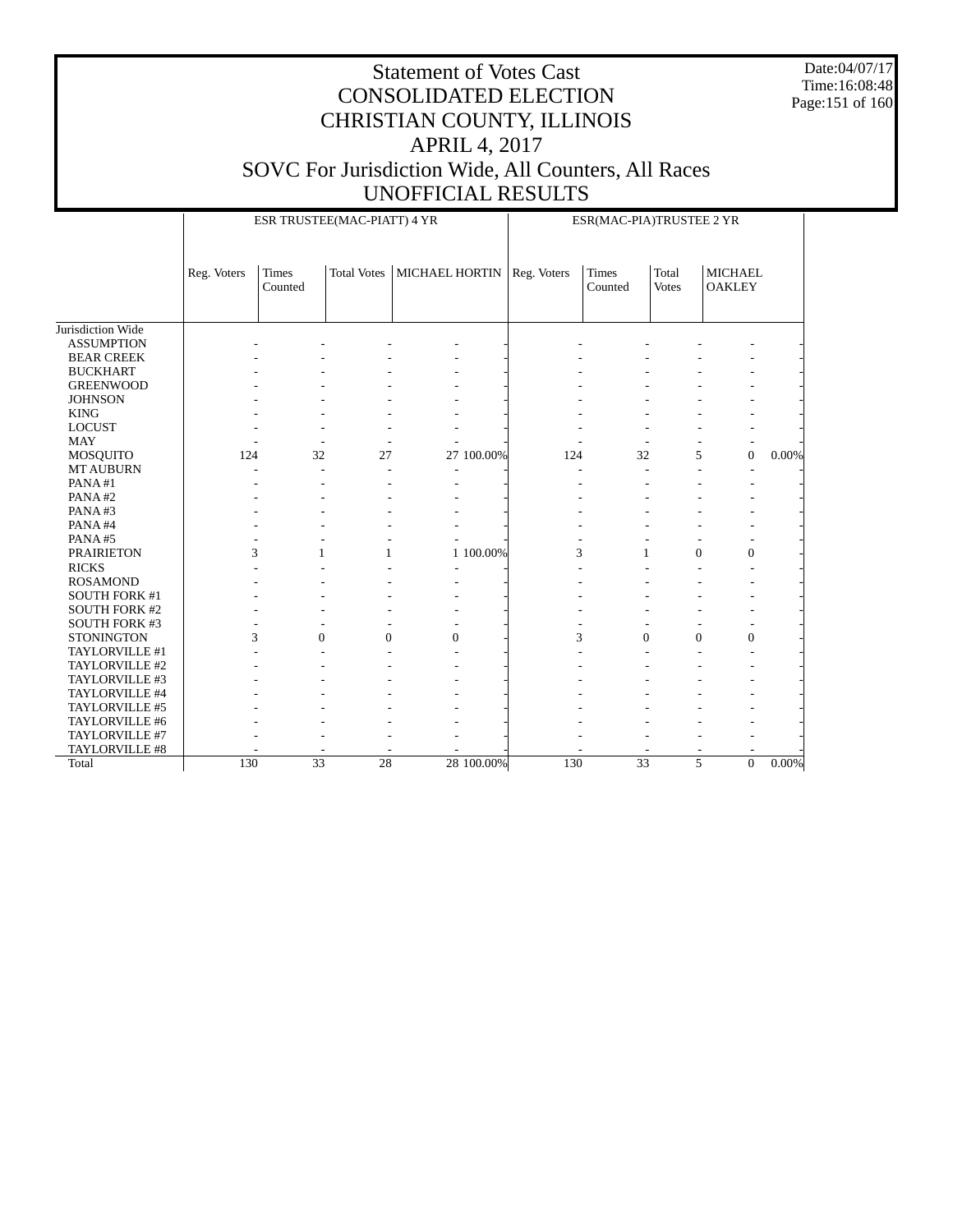Date:04/07/17 Time:16:08:48 Page:151 of 160

|                      |             | ESR TRUSTEE(MAC-PIATT) 4 YR |                    |                       |            | ESR(MAC-PIA)TRUSTEE 2 YR |                         |                       |                                 |       |
|----------------------|-------------|-----------------------------|--------------------|-----------------------|------------|--------------------------|-------------------------|-----------------------|---------------------------------|-------|
|                      | Reg. Voters | <b>Times</b><br>Counted     | <b>Total Votes</b> | <b>MICHAEL HORTIN</b> |            | Reg. Voters              | <b>Times</b><br>Counted | Total<br><b>Votes</b> | <b>MICHAEL</b><br><b>OAKLEY</b> |       |
| Jurisdiction Wide    |             |                             |                    |                       |            |                          |                         |                       |                                 |       |
| <b>ASSUMPTION</b>    |             |                             |                    |                       |            |                          |                         |                       |                                 |       |
| <b>BEAR CREEK</b>    |             |                             |                    |                       |            |                          |                         |                       |                                 |       |
| <b>BUCKHART</b>      |             |                             |                    |                       |            |                          |                         |                       |                                 |       |
| <b>GREENWOOD</b>     |             |                             |                    |                       |            |                          |                         |                       |                                 |       |
| <b>JOHNSON</b>       |             |                             |                    |                       |            |                          |                         |                       |                                 |       |
| <b>KING</b>          |             |                             |                    |                       |            |                          |                         |                       |                                 |       |
| <b>LOCUST</b>        |             |                             |                    |                       |            |                          |                         |                       |                                 |       |
| <b>MAY</b>           |             |                             |                    |                       |            |                          |                         |                       |                                 |       |
| MOSQUITO             | 124         | 32                          | 27                 |                       | 27 100.00% | 124                      | 32                      | 5                     | $\mathbf{0}$                    | 0.00% |
| <b>MT AUBURN</b>     |             |                             |                    |                       |            |                          |                         | ÷                     |                                 |       |
| PANA#1               |             |                             |                    |                       |            |                          |                         |                       |                                 |       |
| PANA#2               |             |                             |                    |                       |            |                          |                         |                       |                                 |       |
| PANA#3               |             |                             |                    |                       |            |                          |                         |                       |                                 |       |
| PANA#4               |             |                             |                    |                       |            |                          |                         |                       |                                 |       |
| PANA#5               |             |                             |                    |                       |            |                          |                         |                       |                                 |       |
| <b>PRAIRIETON</b>    | 3           | 1                           | 1                  |                       | 1 100.00%  | 3                        | 1                       | $\mathbf{0}$          | $\mathbf{0}$                    |       |
| <b>RICKS</b>         |             |                             |                    |                       |            |                          |                         |                       |                                 |       |
| <b>ROSAMOND</b>      |             |                             |                    |                       |            |                          |                         |                       |                                 |       |
| <b>SOUTH FORK #1</b> |             |                             |                    |                       |            |                          |                         |                       |                                 |       |
| <b>SOUTH FORK #2</b> |             |                             |                    |                       |            |                          |                         |                       |                                 |       |
| <b>SOUTH FORK #3</b> |             |                             |                    |                       |            |                          |                         |                       |                                 |       |
| <b>STONINGTON</b>    | 3           | $\theta$                    | $\theta$           | $\Omega$              |            | 3                        | $\theta$                | $\mathbf{0}$          | $\mathbf{0}$                    |       |
| TAYLORVILLE #1       |             |                             |                    |                       |            |                          |                         |                       |                                 |       |
| TAYLORVILLE #2       |             |                             |                    |                       |            |                          |                         |                       |                                 |       |
| TAYLORVILLE #3       |             |                             |                    |                       |            |                          |                         |                       |                                 |       |
| TAYLORVILLE #4       |             |                             |                    |                       |            |                          |                         |                       |                                 |       |
| TAYLORVILLE #5       |             |                             |                    |                       |            |                          |                         |                       |                                 |       |
| TAYLORVILLE #6       |             |                             |                    |                       |            |                          |                         |                       |                                 |       |
| TAYLORVILLE #7       |             |                             |                    |                       |            |                          |                         |                       |                                 |       |
| TAYLORVILLE #8       |             |                             |                    |                       |            |                          |                         |                       |                                 |       |
| Total                | 130         | 33                          | 28                 |                       | 28 100.00% | 130                      | $\overline{33}$         | 5                     | $\overline{0}$                  | 0.00% |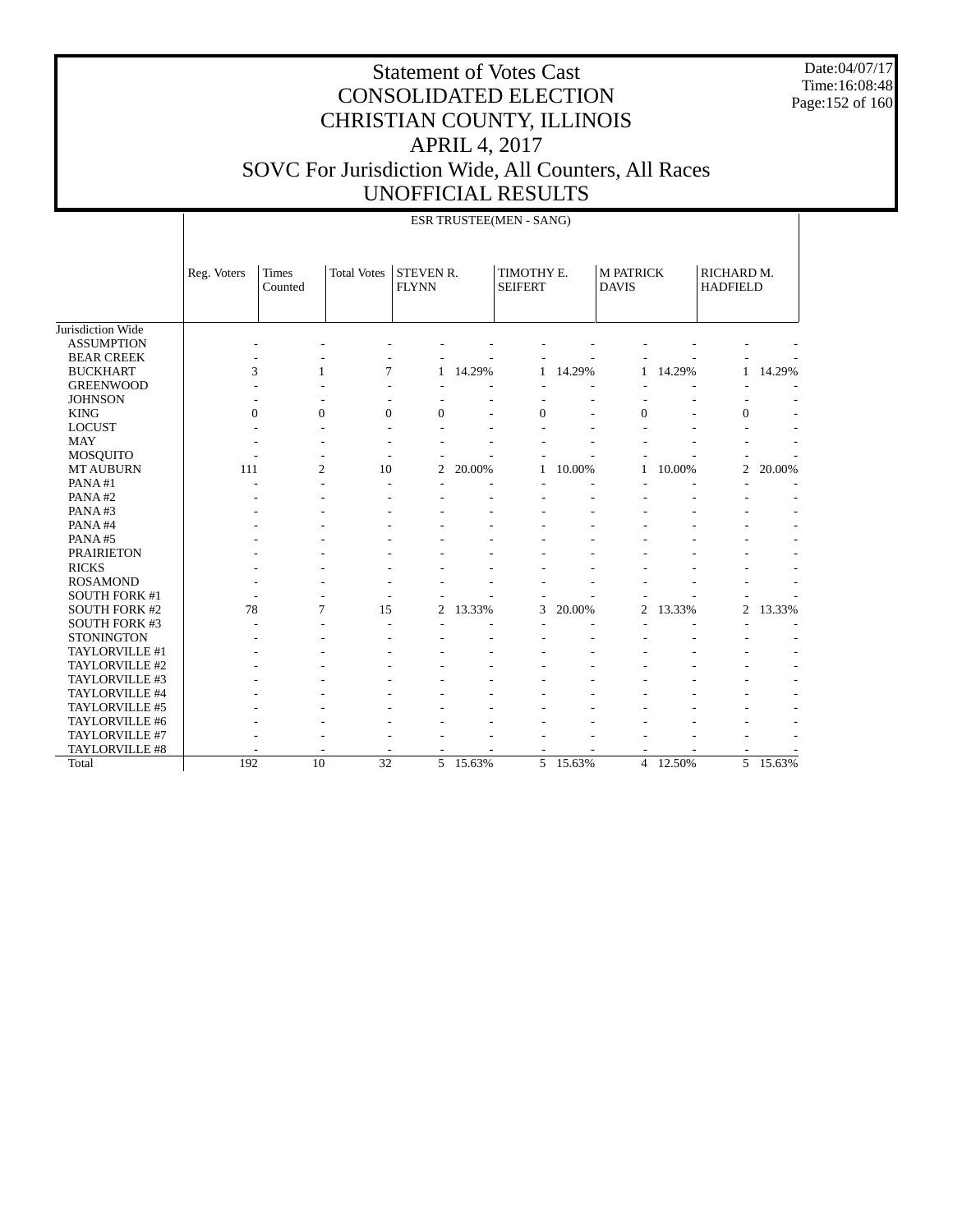Date:04/07/17 Time:16:08:48 Page:152 of 160

|                       |             |                  |                    |                                  |        | ESR TRUSTEE(MEN - SANG)      |        |                                  |        |                               |        |
|-----------------------|-------------|------------------|--------------------|----------------------------------|--------|------------------------------|--------|----------------------------------|--------|-------------------------------|--------|
|                       | Reg. Voters | Times<br>Counted | <b>Total Votes</b> | <b>STEVEN R.</b><br><b>FLYNN</b> |        | TIMOTHY E.<br><b>SEIFERT</b> |        | <b>M PATRICK</b><br><b>DAVIS</b> |        | RICHARD M.<br><b>HADFIELD</b> |        |
| Jurisdiction Wide     |             |                  |                    |                                  |        |                              |        |                                  |        |                               |        |
| <b>ASSUMPTION</b>     |             |                  |                    |                                  |        |                              |        |                                  |        |                               |        |
| <b>BEAR CREEK</b>     |             |                  |                    |                                  |        |                              |        |                                  |        |                               |        |
| <b>BUCKHART</b>       | 3           | 1                | 7                  | 1                                | 14.29% | 1                            | 14.29% | 1                                | 14.29% | 1                             | 14.29% |
| <b>GREENWOOD</b>      |             |                  |                    |                                  |        |                              |        |                                  |        |                               |        |
| <b>JOHNSON</b>        |             |                  |                    |                                  |        |                              |        |                                  |        |                               |        |
| <b>KING</b>           | $\theta$    | $\overline{0}$   | $\Omega$           | $\theta$                         |        | $\overline{0}$               |        | $\theta$                         |        | $\mathbf{0}$                  |        |
| <b>LOCUST</b>         |             |                  |                    |                                  |        |                              |        |                                  |        |                               |        |
| <b>MAY</b>            |             |                  |                    |                                  |        |                              |        |                                  |        |                               |        |
| <b>MOSQUITO</b>       |             |                  |                    |                                  |        |                              |        |                                  |        |                               |        |
| <b>MT AUBURN</b>      | 111         | $\overline{2}$   | 10                 | 2                                | 20.00% | 1                            | 10.00% | 1                                | 10.00% | $\overline{c}$                | 20.00% |
| PANA#1                |             |                  |                    |                                  |        |                              |        |                                  |        |                               |        |
| PANA#2                |             |                  |                    |                                  |        |                              |        |                                  |        |                               |        |
| PANA#3                |             |                  |                    |                                  |        |                              |        |                                  |        |                               |        |
| PANA#4                |             |                  |                    |                                  |        |                              |        |                                  |        |                               |        |
| PANA#5                |             |                  |                    |                                  |        |                              |        |                                  |        |                               |        |
| <b>PRAIRIETON</b>     |             |                  |                    |                                  |        |                              |        |                                  |        |                               |        |
| <b>RICKS</b>          |             |                  |                    |                                  |        |                              |        |                                  |        |                               |        |
| <b>ROSAMOND</b>       |             |                  |                    |                                  |        |                              |        |                                  |        |                               |        |
| <b>SOUTH FORK #1</b>  |             |                  |                    |                                  |        |                              |        |                                  |        |                               |        |
| <b>SOUTH FORK #2</b>  | 78          | 7                | 15                 | $\overline{c}$                   | 13.33% | 3                            | 20.00% | $\overline{c}$                   | 13.33% | $\overline{c}$                | 13.33% |
| <b>SOUTH FORK #3</b>  |             |                  |                    |                                  |        |                              |        |                                  |        |                               |        |
| <b>STONINGTON</b>     |             |                  |                    |                                  |        |                              |        |                                  |        |                               |        |
| TAYLORVILLE #1        |             |                  |                    |                                  |        |                              |        |                                  |        |                               |        |
| TAYLORVILLE #2        |             |                  |                    |                                  |        |                              |        |                                  |        |                               |        |
| TAYLORVILLE #3        |             |                  |                    |                                  |        |                              |        |                                  |        |                               |        |
| TAYLORVILLE #4        |             |                  |                    |                                  |        |                              |        |                                  |        |                               |        |
| TAYLORVILLE #5        |             |                  |                    |                                  |        |                              |        |                                  |        |                               |        |
| TAYLORVILLE #6        |             |                  |                    |                                  |        |                              |        |                                  |        |                               |        |
| TAYLORVILLE #7        |             |                  |                    |                                  |        |                              |        |                                  |        |                               |        |
| <b>TAYLORVILLE #8</b> |             |                  |                    |                                  |        |                              |        |                                  |        |                               |        |
| Total                 | 192         | 10               | $\overline{32}$    | 5                                | 15.63% | 5                            | 15.63% | $\overline{4}$                   | 12.50% | $\overline{5}$                | 15.63% |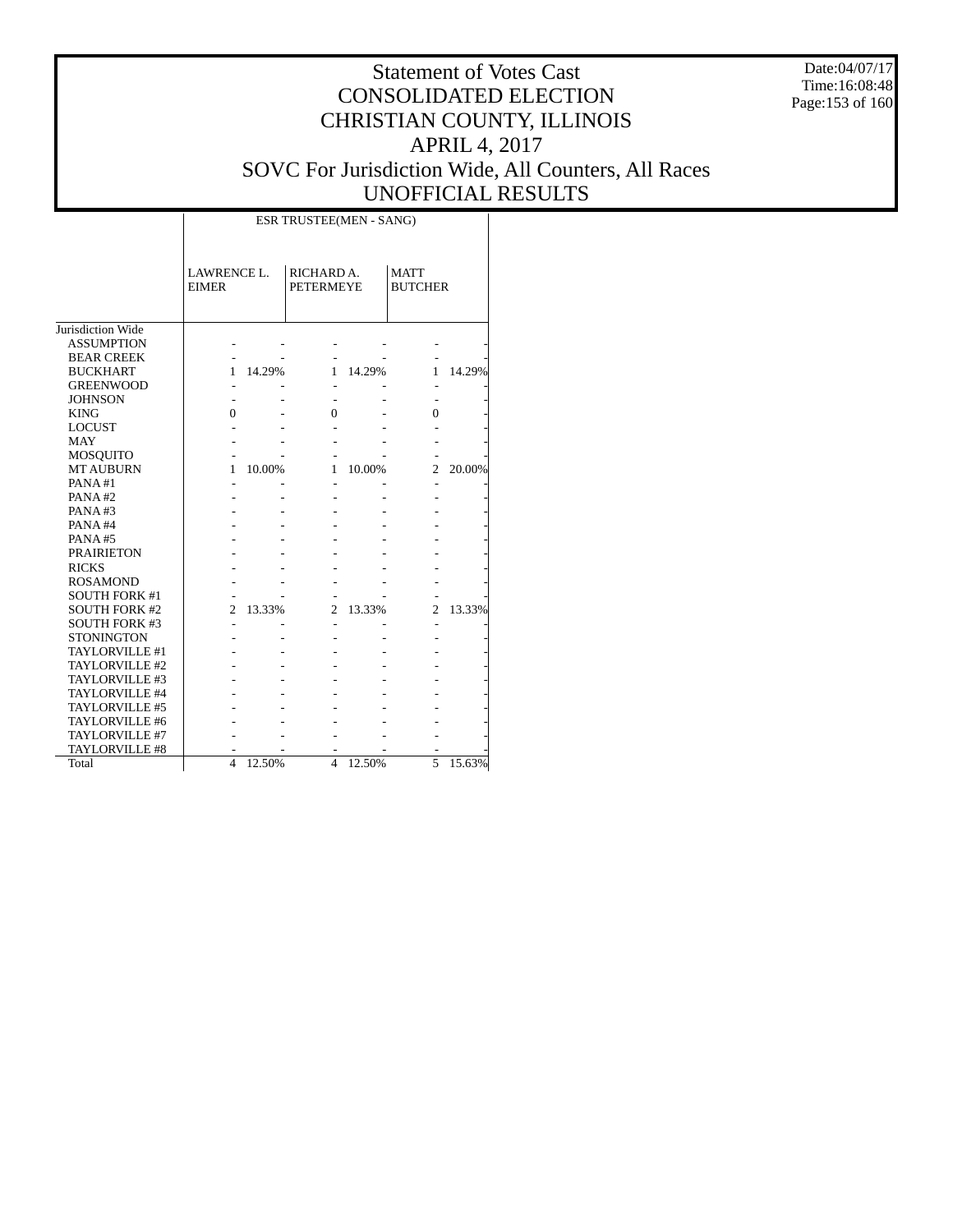Date:04/07/17 Time:16:08:48 Page:153 of 160

|                      |                             |        | ESR TRUSTEE(MEN - SANG)        |        |                               |        |
|----------------------|-----------------------------|--------|--------------------------------|--------|-------------------------------|--------|
|                      | LAWRENCE L.<br><b>EIMER</b> |        | RICHARD A.<br><b>PETERMEYE</b> |        | <b>MATT</b><br><b>BUTCHER</b> |        |
| Jurisdiction Wide    |                             |        |                                |        |                               |        |
| <b>ASSUMPTION</b>    |                             |        |                                |        |                               |        |
| <b>BEAR CREEK</b>    |                             |        |                                |        |                               |        |
| <b>BUCKHART</b>      | 1                           | 14.29% | 1                              | 14.29% | 1                             | 14.29% |
| <b>GREENWOOD</b>     |                             |        |                                |        |                               |        |
| <b>JOHNSON</b>       |                             |        |                                |        |                               |        |
| <b>KING</b>          | 0                           |        | 0                              |        | 0                             |        |
| <b>LOCUST</b>        |                             |        |                                |        |                               |        |
| <b>MAY</b>           |                             |        |                                |        |                               |        |
| <b>MOSQUITO</b>      |                             |        |                                |        |                               |        |
| <b>MT AUBURN</b>     | 1                           | 10.00% | 1                              | 10.00% | $\overline{c}$                | 20.00% |
| PANA#1               |                             |        |                                |        |                               |        |
| PANA#2               |                             |        |                                |        |                               |        |
| PANA#3               |                             |        |                                |        |                               |        |
| PANA#4               |                             |        |                                |        |                               |        |
| PANA#5               |                             |        |                                |        |                               |        |
| <b>PRAIRIETON</b>    |                             |        |                                |        |                               |        |
| <b>RICKS</b>         |                             |        |                                |        |                               |        |
| <b>ROSAMOND</b>      |                             |        |                                |        |                               |        |
| <b>SOUTH FORK #1</b> |                             |        |                                |        |                               |        |
| <b>SOUTH FORK #2</b> | 2                           | 13.33% | 2                              | 13.33% | 2                             | 13.33% |
| <b>SOUTH FORK #3</b> |                             |        |                                |        |                               |        |
| <b>STONINGTON</b>    |                             |        |                                |        |                               |        |
| TAYLORVILLE #1       |                             |        |                                |        |                               |        |
| TAYLORVILLE #2       |                             |        |                                |        |                               |        |
| TAYLORVILLE #3       |                             |        |                                |        |                               |        |
| TAYLORVILLE #4       |                             |        |                                |        |                               |        |
| TAYLORVILLE #5       |                             |        |                                |        |                               |        |
| TAYLORVILLE #6       |                             |        |                                |        |                               |        |
| TAYLORVILLE #7       |                             |        |                                |        |                               |        |
| TAYLORVILLE #8       |                             |        |                                |        |                               |        |
| Total                | $\overline{4}$              | 12.50% | 4                              | 12.50% | 5                             | 15.63% |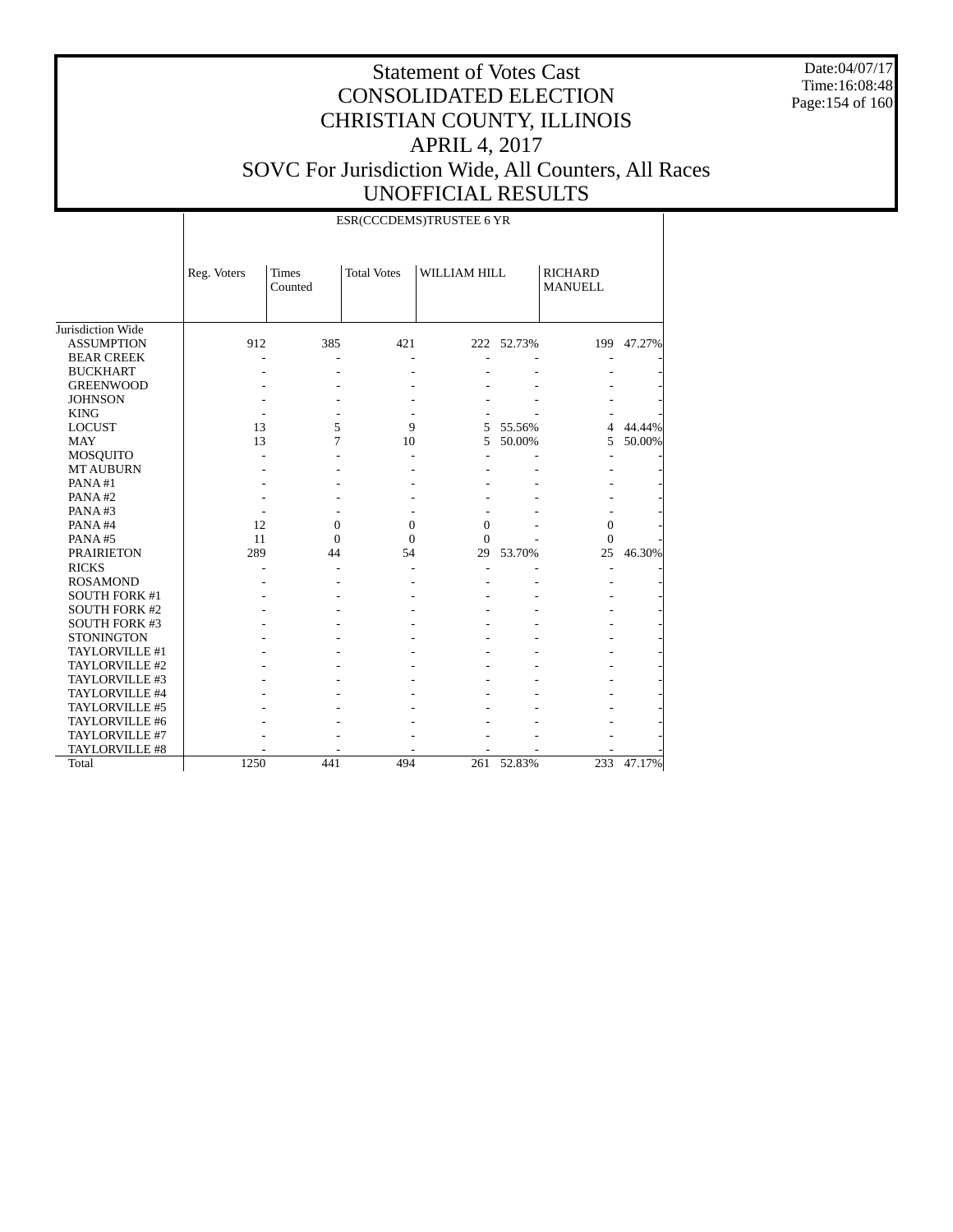Date:04/07/17 Time:16:08:48 Page:154 of 160

|                      |             |                  |                    | ESR(CCCDEMS)TRUSTEE 6 YR |            |                                  |        |
|----------------------|-------------|------------------|--------------------|--------------------------|------------|----------------------------------|--------|
|                      | Reg. Voters | Times<br>Counted | <b>Total Votes</b> | WILLIAM HILL             |            | <b>RICHARD</b><br><b>MANUELL</b> |        |
| Jurisdiction Wide    |             |                  |                    |                          |            |                                  |        |
| <b>ASSUMPTION</b>    | 912         | 385              | 421                |                          | 222 52.73% | 199                              | 47.27% |
| <b>BEAR CREEK</b>    |             |                  |                    |                          |            |                                  |        |
| <b>BUCKHART</b>      |             |                  |                    |                          |            |                                  |        |
| <b>GREENWOOD</b>     |             |                  |                    |                          |            |                                  |        |
| <b>JOHNSON</b>       |             |                  |                    |                          |            |                                  |        |
| <b>KING</b>          |             |                  |                    |                          |            |                                  |        |
| <b>LOCUST</b>        | 13          | 5                | 9                  | 5                        | 55.56%     | $\overline{4}$                   | 44.44% |
| <b>MAY</b>           | 13          | 7                | 10                 | 5                        | 50.00%     | 5                                | 50.00% |
| <b>MOSQUITO</b>      |             |                  |                    |                          |            |                                  |        |
| <b>MT AUBURN</b>     |             |                  |                    |                          |            |                                  |        |
| PANA#1               |             |                  |                    |                          |            |                                  |        |
| PANA#2               |             |                  |                    |                          |            |                                  |        |
| PANA#3               |             |                  |                    |                          |            |                                  |        |
| PANA#4               | 12          | $\overline{0}$   | $\overline{0}$     | $\boldsymbol{0}$         |            | $\overline{0}$                   |        |
| PANA#5               | 11          | $\overline{0}$   | $\Omega$           | $\theta$                 |            | $\mathbf{0}$                     |        |
| <b>PRAIRIETON</b>    | 289         | 44               | 54                 | 29                       | 53.70%     | 25                               | 46.30% |
| <b>RICKS</b>         |             |                  |                    |                          |            | ٠                                |        |
| <b>ROSAMOND</b>      |             |                  |                    |                          |            |                                  |        |
| <b>SOUTH FORK #1</b> |             |                  |                    |                          |            |                                  |        |
| <b>SOUTH FORK #2</b> |             |                  |                    |                          |            |                                  |        |
| <b>SOUTH FORK #3</b> |             |                  |                    |                          |            |                                  |        |
| <b>STONINGTON</b>    |             |                  |                    |                          |            |                                  |        |
| TAYLORVILLE #1       |             |                  |                    |                          |            |                                  |        |
| TAYLORVILLE #2       |             |                  |                    |                          |            |                                  |        |
| TAYLORVILLE #3       |             |                  |                    |                          |            |                                  |        |
| TAYLORVILLE #4       |             |                  |                    |                          |            |                                  |        |
| TAYLORVILLE #5       |             |                  |                    |                          |            |                                  |        |
| TAYLORVILLE #6       |             |                  |                    |                          |            |                                  |        |
| TAYLORVILLE #7       |             |                  |                    |                          |            |                                  |        |
| TAYLORVILLE #8       |             |                  |                    |                          |            |                                  |        |
| Total                | 1250        | 441              | 494                | 261                      | 52.83%     | 233                              | 47.17% |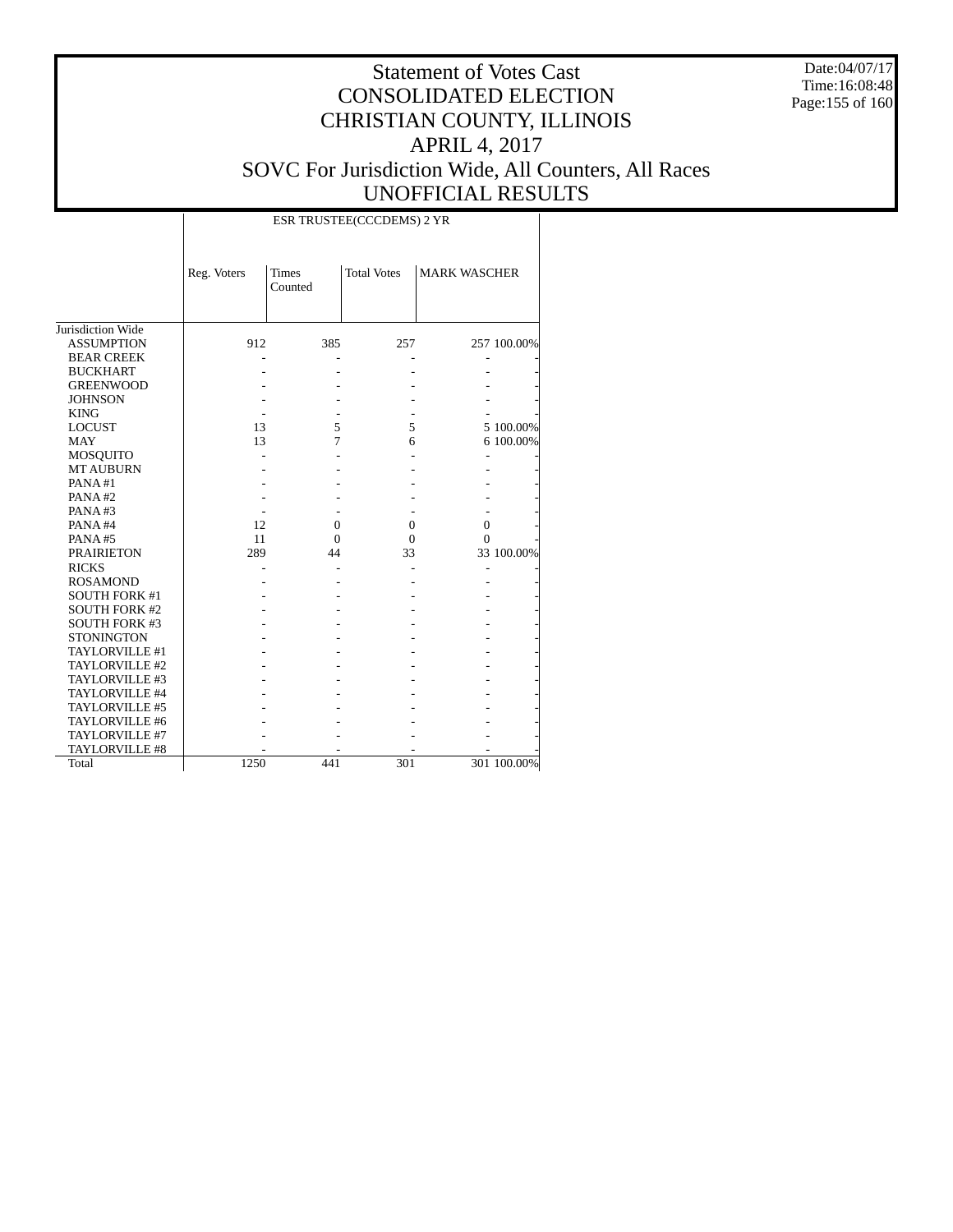Date:04/07/17 Time:16:08:48 Page:155 of 160

|                      |             |                         | ESR TRUSTEE(CCCDEMS) 2 YR |                     |             |
|----------------------|-------------|-------------------------|---------------------------|---------------------|-------------|
|                      | Reg. Voters | <b>Times</b><br>Counted | <b>Total Votes</b>        | <b>MARK WASCHER</b> |             |
| Jurisdiction Wide    |             |                         |                           |                     |             |
| <b>ASSUMPTION</b>    | 912         | 385                     | 257                       |                     | 257 100.00% |
| <b>BEAR CREEK</b>    |             |                         |                           |                     |             |
| <b>BUCKHART</b>      |             |                         |                           |                     |             |
| <b>GREENWOOD</b>     |             |                         |                           |                     |             |
| <b>JOHNSON</b>       |             |                         |                           |                     |             |
| <b>KING</b>          |             |                         |                           |                     |             |
| <b>LOCUST</b>        | 13          | 5                       | 5                         |                     | 5 100.00%   |
| <b>MAY</b>           | 13          | 7                       | 6                         |                     | 6 100.00%   |
| <b>MOSQUITO</b>      |             |                         |                           |                     |             |
| <b>MT AUBURN</b>     |             |                         |                           |                     |             |
| PANA#1               |             |                         |                           |                     |             |
| PANA#2               |             |                         |                           |                     |             |
| PANA#3               |             |                         |                           |                     |             |
| PANA#4               | 12          | $\mathbf{0}$            | $\mathbf{0}$              | $\mathbf{0}$        |             |
| PANA#5               | 11          | $\Omega$                | $\Omega$                  | 0                   |             |
| <b>PRAIRIETON</b>    | 289         | 44                      | 33                        |                     | 33 100.00%  |
| <b>RICKS</b>         |             |                         |                           |                     |             |
| <b>ROSAMOND</b>      |             |                         |                           |                     |             |
| <b>SOUTH FORK #1</b> |             |                         |                           |                     |             |
| <b>SOUTH FORK #2</b> |             |                         |                           |                     |             |
| <b>SOUTH FORK #3</b> |             |                         |                           |                     |             |
| <b>STONINGTON</b>    |             |                         |                           |                     |             |
| TAYLORVILLE #1       |             |                         |                           |                     |             |
| TAYLORVILLE #2       |             |                         |                           |                     |             |
| TAYLORVILLE #3       |             |                         |                           |                     |             |
| TAYLORVILLE #4       |             |                         |                           |                     |             |
| TAYLORVILLE #5       |             |                         |                           |                     |             |
| TAYLORVILLE #6       |             |                         |                           |                     |             |
| TAYLORVILLE #7       |             |                         |                           |                     |             |
| TAYLORVILLE #8       |             |                         |                           |                     |             |
| Total                | 1250        | 441                     | 301                       |                     | 301 100.00% |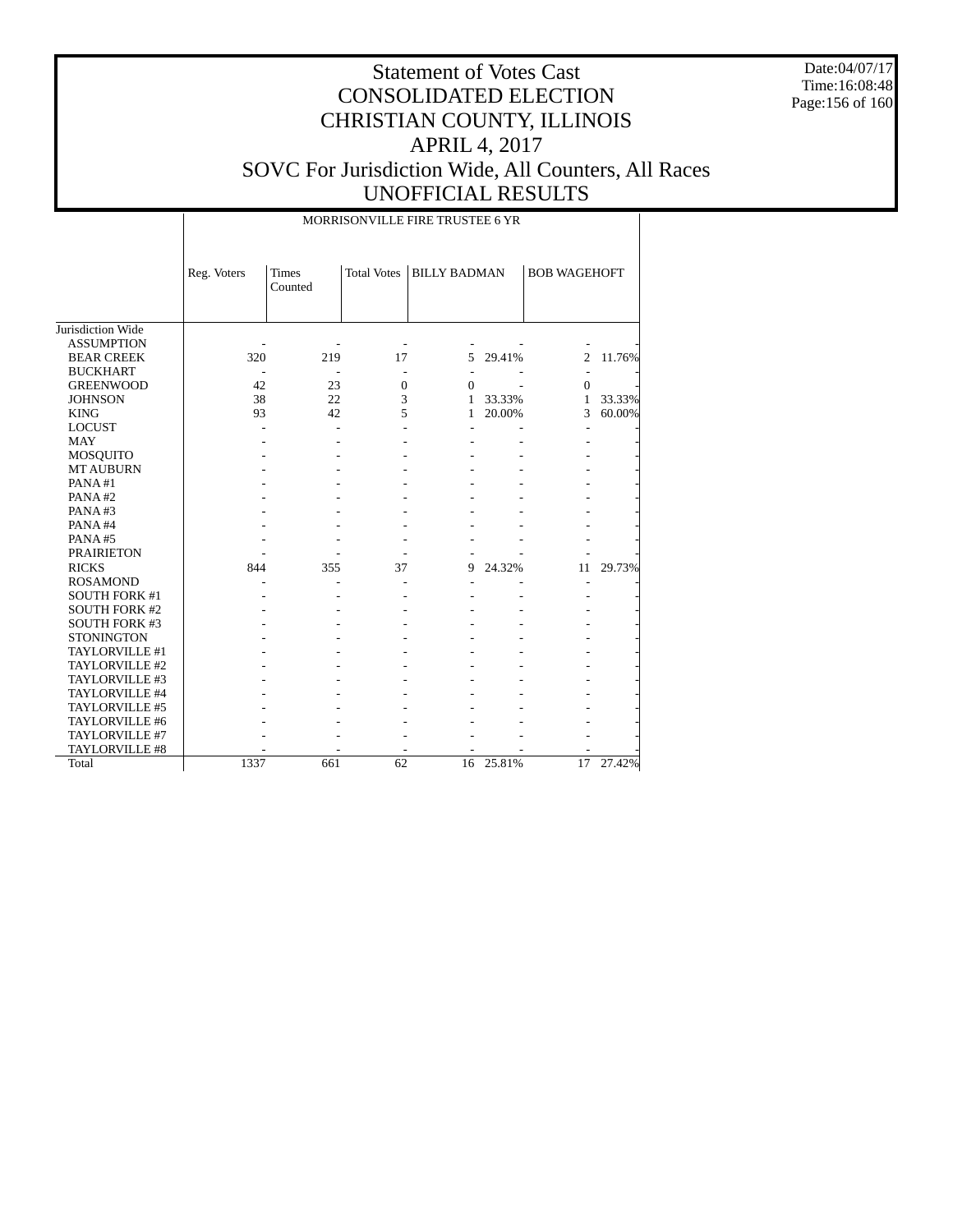Date:04/07/17 Time:16:08:48 Page:156 of 160

|                      |             |                         |                    | MORRISONVILLE FIRE TRUSTEE 6 YR |        |                     |        |
|----------------------|-------------|-------------------------|--------------------|---------------------------------|--------|---------------------|--------|
|                      | Reg. Voters | <b>Times</b><br>Counted | <b>Total Votes</b> | <b>BILLY BADMAN</b>             |        | <b>BOB WAGEHOFT</b> |        |
| Jurisdiction Wide    |             |                         |                    |                                 |        |                     |        |
| <b>ASSUMPTION</b>    |             |                         |                    |                                 |        |                     |        |
| <b>BEAR CREEK</b>    | 320         | 219                     | 17                 | 5                               | 29.41% | 2                   | 11.76% |
| <b>BUCKHART</b>      |             |                         | ÷,                 | $\overline{a}$                  |        |                     |        |
| <b>GREENWOOD</b>     | 42          | 23                      | $\boldsymbol{0}$   | $\mathbf{0}$                    |        | $\mathbf{0}$        |        |
| <b>JOHNSON</b>       | 38          | 22                      | 3                  | 1                               | 33.33% | $\mathbf{1}$        | 33.33% |
| <b>KING</b>          | 93          | 42                      | 5                  | 1                               | 20.00% | 3                   | 60.00% |
| <b>LOCUST</b>        |             |                         |                    |                                 |        | $\overline{a}$      |        |
| <b>MAY</b>           |             |                         |                    |                                 |        |                     |        |
| <b>MOSQUITO</b>      |             |                         |                    |                                 |        |                     |        |
| <b>MT AUBURN</b>     |             |                         |                    |                                 |        |                     |        |
| PANA#1               |             |                         |                    |                                 |        |                     |        |
| PANA#2               |             |                         |                    |                                 |        |                     |        |
| PANA#3               |             |                         |                    |                                 |        |                     |        |
| PANA#4               |             |                         |                    |                                 |        |                     |        |
| PANA#5               |             |                         |                    |                                 |        |                     |        |
| <b>PRAIRIETON</b>    |             |                         |                    |                                 |        |                     |        |
| <b>RICKS</b>         | 844         | 355                     | 37                 | 9                               | 24.32% | 11                  | 29.73% |
| <b>ROSAMOND</b>      |             |                         |                    |                                 |        |                     |        |
| <b>SOUTH FORK #1</b> |             |                         |                    |                                 |        |                     |        |
| <b>SOUTH FORK #2</b> |             |                         |                    |                                 |        |                     |        |
| <b>SOUTH FORK #3</b> |             |                         |                    |                                 |        |                     |        |
| <b>STONINGTON</b>    |             |                         |                    |                                 |        |                     |        |
| TAYLORVILLE #1       |             |                         |                    |                                 |        |                     |        |
| TAYLORVILLE #2       |             |                         |                    |                                 |        |                     |        |
| TAYLORVILLE #3       |             |                         |                    |                                 |        |                     |        |
| TAYLORVILLE #4       |             |                         |                    |                                 |        |                     |        |
| TAYLORVILLE #5       |             |                         |                    |                                 |        |                     |        |
| TAYLORVILLE #6       |             |                         |                    |                                 |        |                     |        |
| TAYLORVILLE #7       |             |                         |                    |                                 |        |                     |        |
| TAYLORVILLE #8       |             |                         |                    |                                 |        |                     |        |
| Total                | 1337        | 661                     | 62                 | 16                              | 25.81% | 17                  | 27.42% |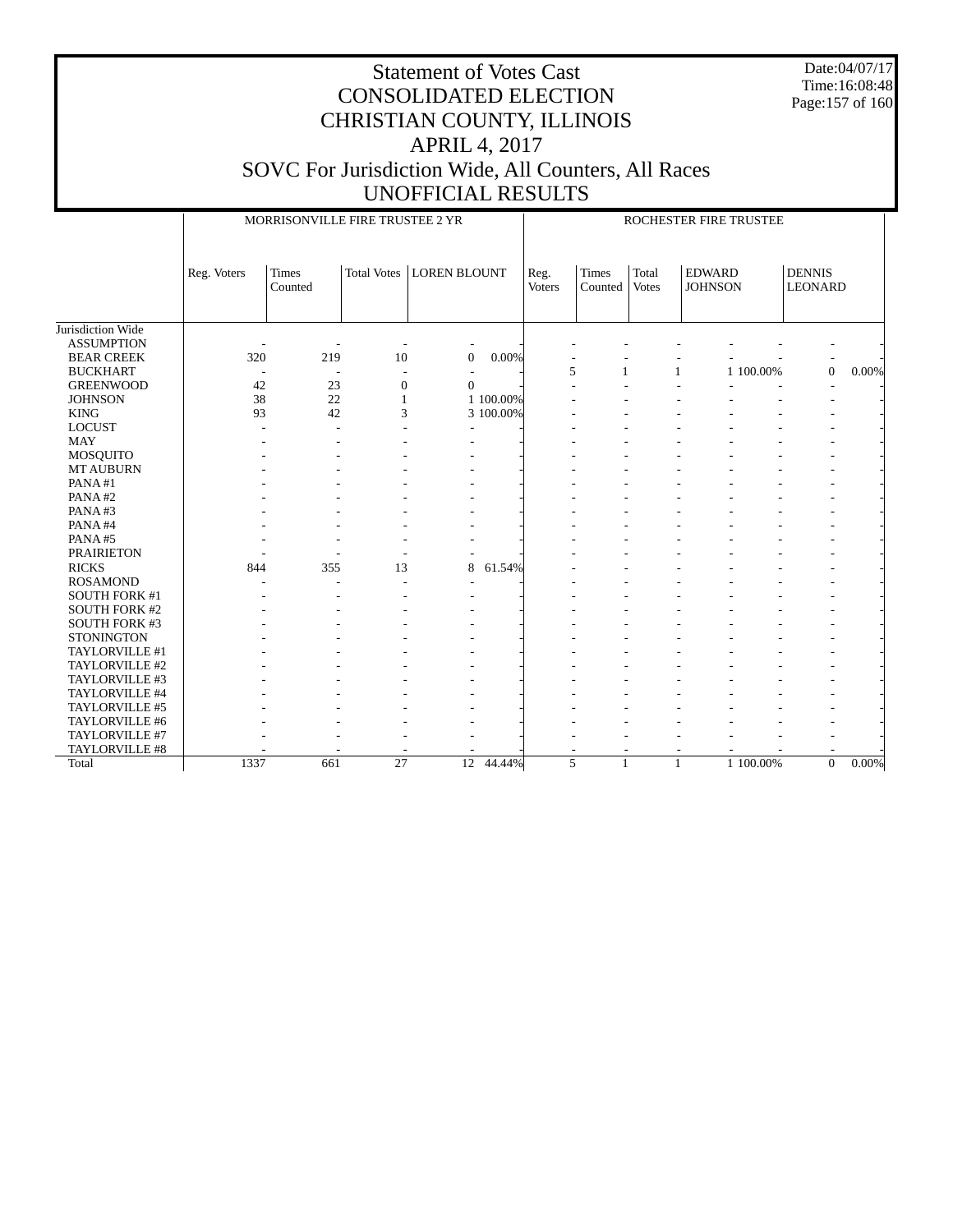Date:04/07/17 Time:16:08:48 Page:157 of 160

|                      |             | MORRISONVILLE FIRE TRUSTEE 2 YR |                    |                     |           | ROCHESTER FIRE TRUSTEE |                         |                |                                 |                                 |       |
|----------------------|-------------|---------------------------------|--------------------|---------------------|-----------|------------------------|-------------------------|----------------|---------------------------------|---------------------------------|-------|
|                      | Reg. Voters | <b>Times</b><br>Counted         | <b>Total Votes</b> | <b>LOREN BLOUNT</b> |           | Reg.<br><b>Voters</b>  | <b>Times</b><br>Counted | Total<br>Votes | <b>EDWARD</b><br><b>JOHNSON</b> | <b>DENNIS</b><br><b>LEONARD</b> |       |
| Jurisdiction Wide    |             |                                 |                    |                     |           |                        |                         |                |                                 |                                 |       |
| <b>ASSUMPTION</b>    |             |                                 |                    |                     |           |                        |                         |                |                                 |                                 |       |
| <b>BEAR CREEK</b>    | 320         | 219                             | 10                 | $\overline{0}$      | 0.00%     |                        |                         |                |                                 |                                 |       |
| <b>BUCKHART</b>      |             | $\overline{\phantom{a}}$        |                    |                     |           |                        | 5<br>1                  | 1              | 1 100.00%                       | $\mathbf{0}$                    | 0.00% |
| <b>GREENWOOD</b>     | 42          | 23                              | $\overline{0}$     | $\Omega$            |           |                        |                         |                |                                 |                                 |       |
| <b>JOHNSON</b>       | 38          | 22                              |                    |                     | 1 100,00% |                        |                         |                |                                 |                                 |       |
| <b>KING</b>          | 93          | 42                              | 3                  |                     | 3 100.00% |                        |                         |                |                                 |                                 |       |
| <b>LOCUST</b>        |             |                                 |                    | ÷,                  |           |                        |                         |                |                                 |                                 |       |
| <b>MAY</b>           |             |                                 |                    |                     |           |                        |                         |                |                                 |                                 |       |
| <b>MOSQUITO</b>      |             |                                 |                    |                     |           |                        |                         |                |                                 |                                 |       |
| <b>MT AUBURN</b>     |             |                                 |                    |                     |           |                        |                         |                |                                 |                                 |       |
| PANA#1               |             |                                 |                    |                     |           |                        |                         |                |                                 |                                 |       |
| PANA#2               |             |                                 |                    | ٠                   |           |                        |                         |                |                                 |                                 |       |
| PANA#3               |             |                                 |                    | ÷                   |           |                        |                         |                |                                 |                                 |       |
| PANA#4               |             |                                 |                    |                     |           |                        |                         |                |                                 |                                 |       |
| PANA#5               |             |                                 |                    |                     |           |                        |                         |                |                                 | ٠                               |       |
| <b>PRAIRIETON</b>    |             |                                 |                    |                     |           |                        |                         |                |                                 |                                 |       |
| <b>RICKS</b>         | 844         | 355                             | 13                 | 8                   | 61.54%    |                        |                         |                |                                 |                                 |       |
| <b>ROSAMOND</b>      |             | ÷.                              | L,                 |                     |           |                        |                         |                |                                 |                                 |       |
| SOUTH FORK #1        |             |                                 |                    |                     |           |                        |                         |                |                                 |                                 |       |
| <b>SOUTH FORK #2</b> |             |                                 |                    |                     |           |                        |                         |                |                                 |                                 |       |
| <b>SOUTH FORK #3</b> |             |                                 |                    |                     |           |                        |                         |                |                                 |                                 |       |
| <b>STONINGTON</b>    |             |                                 |                    |                     |           |                        |                         |                |                                 |                                 |       |
| TAYLORVILLE #1       |             |                                 |                    |                     |           |                        |                         |                |                                 | $\overline{a}$                  |       |
| TAYLORVILLE #2       |             |                                 |                    |                     |           |                        |                         |                |                                 |                                 |       |
| TAYLORVILLE #3       |             |                                 |                    |                     |           |                        |                         |                |                                 |                                 |       |
| TAYLORVILLE #4       |             |                                 |                    |                     |           |                        |                         |                |                                 |                                 |       |
| TAYLORVILLE #5       |             |                                 |                    |                     |           |                        |                         |                |                                 |                                 |       |
| TAYLORVILLE #6       |             |                                 |                    |                     |           |                        |                         |                |                                 |                                 |       |
| TAYLORVILLE #7       |             |                                 |                    |                     |           |                        |                         |                |                                 |                                 |       |
| TAYLORVILLE #8       |             |                                 |                    |                     |           |                        |                         |                |                                 |                                 |       |
| Total                | 1337        | 661                             | 27                 | 12                  | 44.44%    | 5                      | 1                       | $\mathbf{1}$   | 1 100.00%                       | $\boldsymbol{0}$                | 0.00% |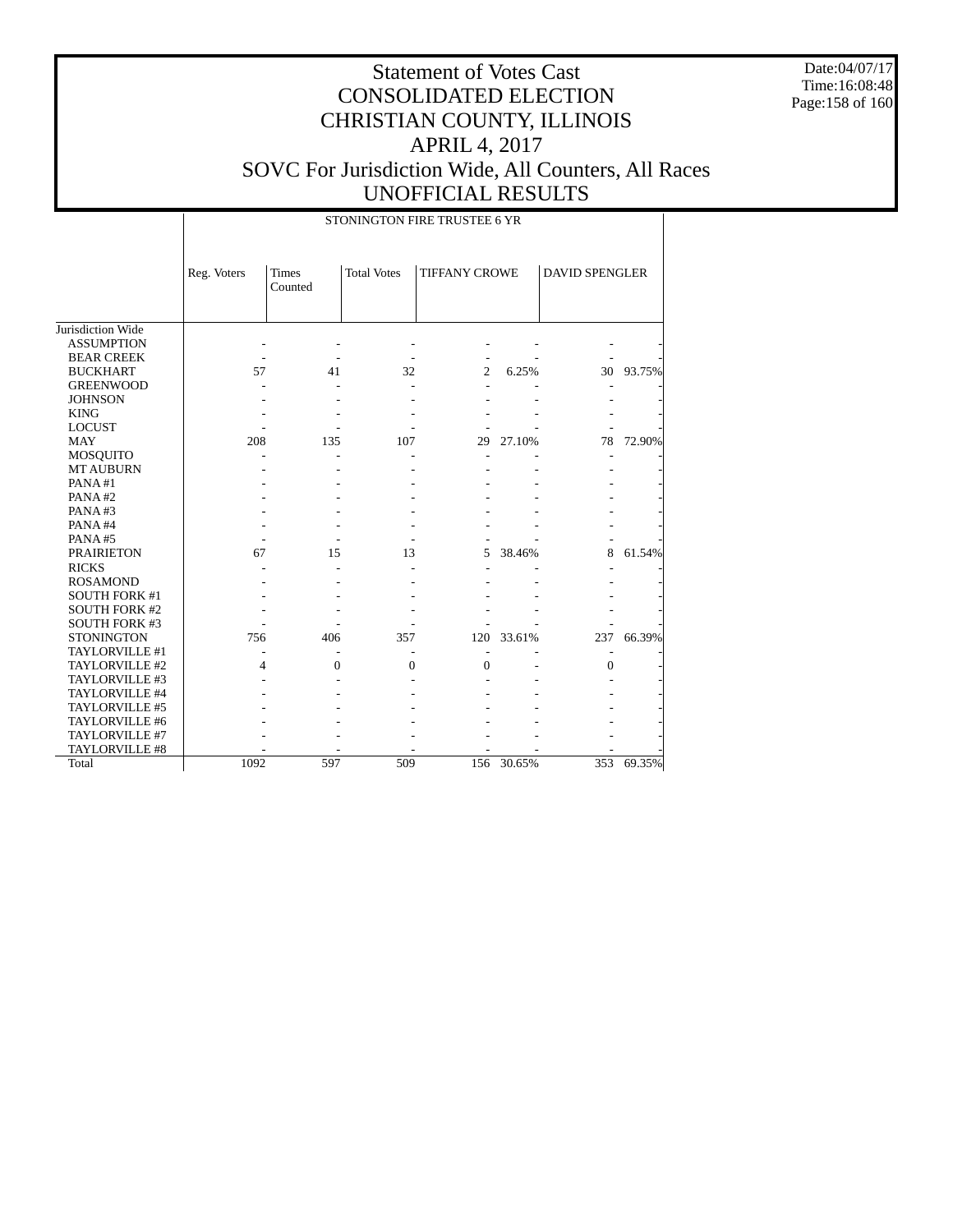Date:04/07/17 Time:16:08:48 Page:158 of 160

## Statement of Votes Cast CONSOLIDATED ELECTION CHRISTIAN COUNTY, ILLINOIS APRIL 4, 2017 SOVC For Jurisdiction Wide, All Counters, All Races UNOFFICIAL RESULTS

 Jurisdiction Wide ASSUMPTION BEAR CREEK BUCKHART GREENWOOD JOHNSON KING LOCUST MAY MOSQUITO MT AUBURN PANA #1 PANA #2 PANA #3 PANA #4 PANA #5 PRAIRIETON RICKS ROSAMOND SOUTH FORK #1 SOUTH FORK #2 SOUTH FORK #3 **STONINGTON**  TAYLORVILLE #1 TAYLORVILLE #2 TAYLORVILLE #3 TAYLORVILLE #4 TAYLORVILLE #5 TAYLORVILLE #6 TAYLORVILLE #7 TAYLORVILLE #8 Reg. Voters Times Counted Total Votes | TIFFANY CROWE | DAVID SPENGLER STONINGTON FIRE TRUSTEE 6 YR - - - - - - - - - - - - - - 57 41 32 2 6.25% 30 93.75% - - - - - - - - - - - - - - - - - - - - - - - - - - - - 208 135 107 29 27.10% 78 72.90% - - - - - - - - - - - - - - - - - - - - - - - - - - - - - - - - - - - - - - - - - - - - - - - - - 67 15 13 5 38.46% 8 61.54% - - - - - - - - - - - - - - - - - - - - - - - - - - - - - - - - - - - 756 406 357 120 33.61% 237 66.39% - - - - - - - 4 0 0 0 - 0 - - - - - - - - - - - - - - - - - - - - - - - - - - - - - - - - - - - - - - - - - - -

1092 597 509 156 30.65% 353 69.35%

Total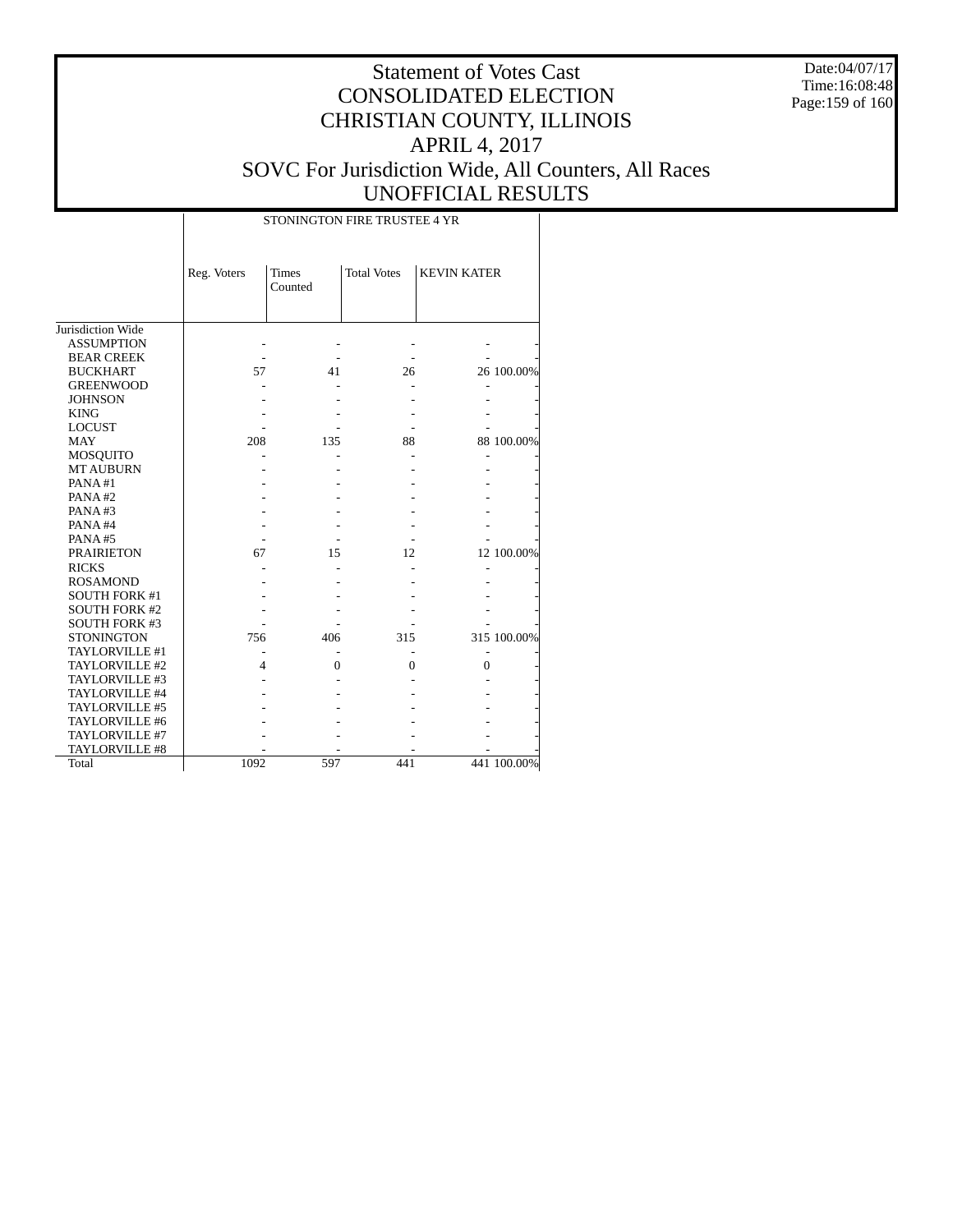Date:04/07/17 Time:16:08:48 Page:159 of 160

## Statement of Votes Cast CONSOLIDATED ELECTION CHRISTIAN COUNTY, ILLINOIS APRIL 4, 2017 SOVC For Jurisdiction Wide, All Counters, All Races UNOFFICIAL RESULTS

|                      | STONINGTON FIRE TRUSTEE 4 YR |                         |                    |                    |             |  |  |
|----------------------|------------------------------|-------------------------|--------------------|--------------------|-------------|--|--|
|                      | Reg. Voters                  | <b>Times</b><br>Counted | <b>Total Votes</b> | <b>KEVIN KATER</b> |             |  |  |
| Jurisdiction Wide    |                              |                         |                    |                    |             |  |  |
| <b>ASSUMPTION</b>    |                              |                         |                    |                    |             |  |  |
| <b>BEAR CREEK</b>    |                              |                         |                    |                    |             |  |  |
| <b>BUCKHART</b>      | 57                           | 41                      | 26                 |                    | 26 100.00%  |  |  |
| <b>GREENWOOD</b>     |                              |                         |                    |                    |             |  |  |
| <b>JOHNSON</b>       |                              |                         |                    |                    |             |  |  |
| <b>KING</b>          |                              |                         |                    |                    |             |  |  |
| <b>LOCUST</b>        |                              |                         |                    |                    |             |  |  |
| <b>MAY</b>           | 208                          | 135                     | 88                 |                    | 88 100.00%  |  |  |
| <b>MOSQUITO</b>      |                              |                         |                    |                    |             |  |  |
| <b>MT AUBURN</b>     |                              |                         |                    |                    |             |  |  |
| PANA#1               |                              |                         |                    |                    |             |  |  |
| PANA#2               |                              |                         |                    |                    |             |  |  |
| PANA#3               |                              |                         |                    |                    |             |  |  |
| PANA#4               |                              |                         |                    |                    |             |  |  |
| PANA#5               |                              |                         |                    |                    |             |  |  |
| <b>PRAIRIETON</b>    | 67                           | 15                      | 12                 |                    | 12 100.00%  |  |  |
| <b>RICKS</b>         |                              |                         |                    |                    |             |  |  |
| <b>ROSAMOND</b>      |                              |                         |                    |                    |             |  |  |
| <b>SOUTH FORK #1</b> |                              |                         |                    |                    |             |  |  |
| <b>SOUTH FORK #2</b> |                              |                         |                    |                    |             |  |  |
| <b>SOUTH FORK #3</b> |                              |                         |                    |                    |             |  |  |
| <b>STONINGTON</b>    | 756                          | 406                     | 315                |                    | 315 100.00% |  |  |
| TAYLORVILLE #1       |                              |                         |                    |                    |             |  |  |
| TAYLORVILLE #2       | 4                            | $\overline{0}$          | $\theta$           | $\theta$           |             |  |  |
| TAYLORVILLE #3       |                              |                         |                    |                    |             |  |  |
| TAYLORVILLE #4       |                              |                         |                    |                    |             |  |  |
| TAYLORVILLE #5       |                              |                         |                    |                    |             |  |  |
| TAYLORVILLE #6       |                              |                         |                    |                    |             |  |  |
| TAYLORVILLE #7       |                              |                         |                    |                    |             |  |  |
| TAYLORVILLE #8       |                              |                         |                    |                    |             |  |  |
| Total                | 1092                         | 597                     | 441                |                    | 441 100.00% |  |  |